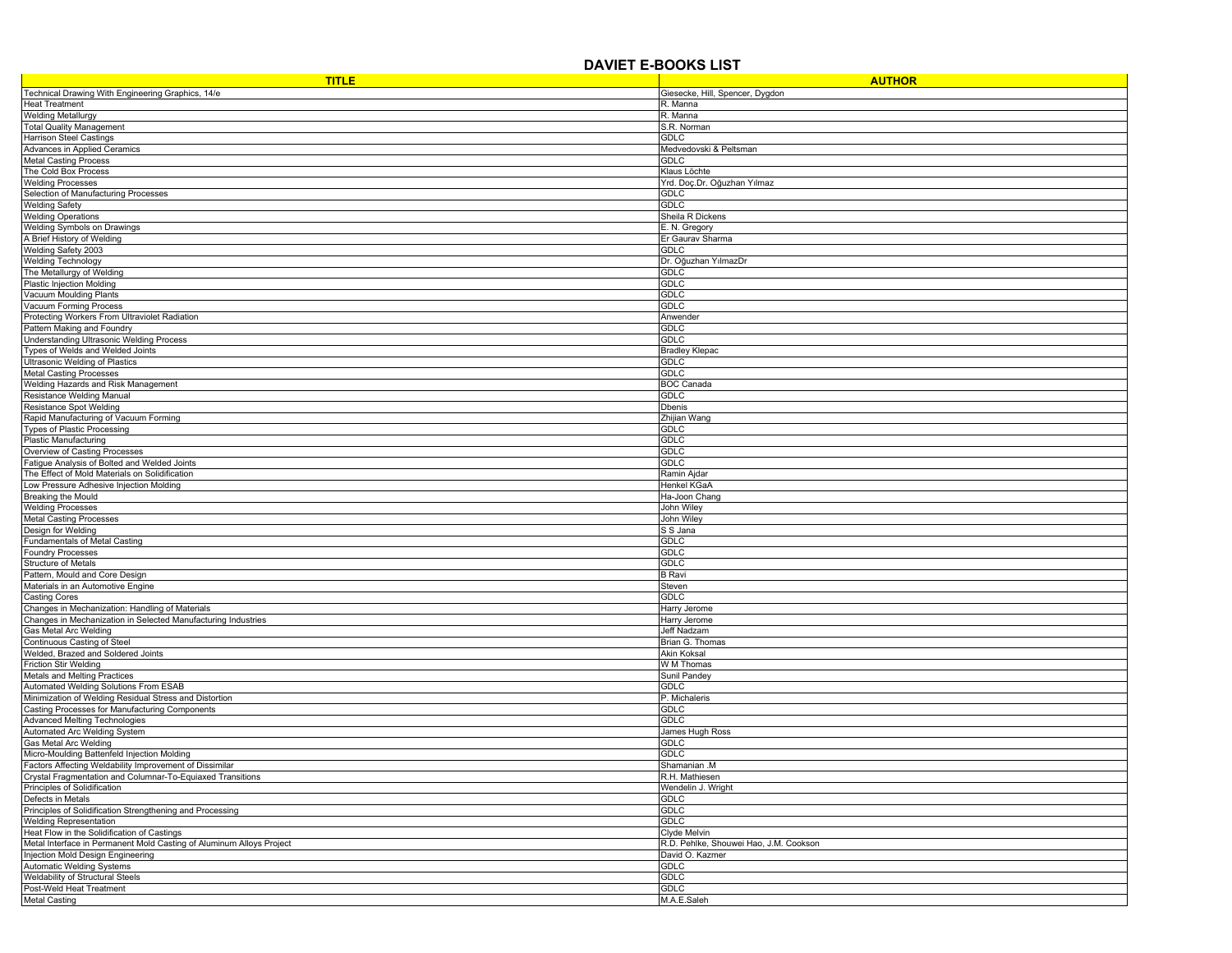## **DAVIET E-BOOKS LIST**

| <b>TITLE</b>                                                                                                          | <b>AUTHOR</b>                          |
|-----------------------------------------------------------------------------------------------------------------------|----------------------------------------|
| Technical Drawing With Engineering Graphics, 14/e                                                                     | Giesecke, Hill, Spencer, Dygdon        |
| <b>Heat Treatment</b>                                                                                                 | R. Manna                               |
| <b>Welding Metallurgy</b>                                                                                             | R. Manna                               |
| <b>Total Quality Management</b>                                                                                       | S.R. Norman                            |
| Harrison Steel Castings<br>Advances in Applied Ceramics                                                               | <b>GDLC</b><br>Medvedovski & Peltsman  |
| <b>Metal Casting Process</b>                                                                                          | <b>GDLC</b>                            |
| The Cold Box Process                                                                                                  | Klaus Löchte                           |
| <b>Welding Processes</b>                                                                                              | Yrd. Doç.Dr. Oğuzhan Yılmaz            |
| Selection of Manufacturing Processes                                                                                  | GDLC                                   |
| <b>Welding Safety</b>                                                                                                 | <b>GDLC</b>                            |
| <b>Welding Operations</b>                                                                                             | Sheila R Dickens                       |
| <b>Welding Symbols on Drawings</b>                                                                                    | E. N. Gregory                          |
| A Brief History of Welding                                                                                            | Er Gaurav Sharma                       |
| Welding Safety 2003                                                                                                   | <b>GDLC</b>                            |
| <b>Welding Technology</b><br>The Metallurgy of Welding                                                                | Dr. Oğuzhan YılmazDr<br><b>GDLC</b>    |
| Plastic Injection Molding                                                                                             | GDLC                                   |
| Vacuum Moulding Plants                                                                                                | <b>GDLC</b>                            |
| Vacuum Forming Process                                                                                                | <b>GDLC</b>                            |
| Protecting Workers From Ultraviolet Radiation                                                                         | Anwender                               |
| Pattern Making and Foundry                                                                                            | <b>GDLC</b>                            |
| Understanding Ultrasonic Welding Process                                                                              | <b>GDLC</b>                            |
| Types of Welds and Welded Joints                                                                                      | <b>Bradley Klepac</b>                  |
| Ultrasonic Welding of Plastics                                                                                        | <b>GDLC</b>                            |
| <b>Metal Casting Processes</b>                                                                                        | <b>GDLC</b>                            |
| Welding Hazards and Risk Management                                                                                   | <b>BOC Canada</b>                      |
| Resistance Welding Manual<br><b>Resistance Spot Welding</b>                                                           | GDLC<br><b>Dbenis</b>                  |
| Rapid Manufacturing of Vacuum Forming                                                                                 | Zhijian Wang                           |
| <b>Types of Plastic Processing</b>                                                                                    | <b>GDLC</b>                            |
| <b>Plastic Manufacturing</b>                                                                                          | <b>GDLC</b>                            |
| Overview of Casting Processes                                                                                         | GDLC                                   |
| Fatigue Analysis of Bolted and Welded Joints                                                                          | <b>GDLC</b>                            |
| The Effect of Mold Materials on Solidification                                                                        | Ramin Ajdar                            |
| Low Pressure Adhesive Injection Molding                                                                               | Henkel KGaA                            |
| Breaking the Mould                                                                                                    | Ha-Joon Chang                          |
| <b>Welding Processes</b>                                                                                              | John Wiley                             |
| <b>Metal Casting Processes</b><br>Design for Welding                                                                  | John Wiley<br>S S Jana                 |
| <b>Fundamentals of Metal Casting</b>                                                                                  | <b>GDLC</b>                            |
| <b>Foundry Processes</b>                                                                                              | GDLC                                   |
| Structure of Metals                                                                                                   | GDLC                                   |
| Pattern, Mould and Core Design                                                                                        | <b>B</b> Ravi                          |
| Materials in an Automotive Engine                                                                                     | Steven                                 |
| <b>Casting Cores</b>                                                                                                  | <b>GDLC</b>                            |
| Changes in Mechanization: Handling of Materials                                                                       | Harry Jerome                           |
| Changes in Mechanization in Selected Manufacturing Industries                                                         | Harry Jerome                           |
| Gas Metal Arc Welding<br>Continuous Casting of Steel                                                                  | Jeff Nadzam                            |
| Welded, Brazed and Soldered Joints                                                                                    | Brian G. Thomas<br><b>Akin Koksal</b>  |
| <b>Friction Stir Welding</b>                                                                                          | W M Thomas                             |
| Metals and Melting Practices                                                                                          | Sunil Pandey                           |
| Automated Welding Solutions From ESAB                                                                                 | <b>GDLC</b>                            |
| Minimization of Welding Residual Stress and Distortion                                                                | P. Michaleris                          |
| Casting Processes for Manufacturing Components                                                                        | <b>GDLC</b>                            |
| <b>Advanced Melting Technologies</b>                                                                                  | <b>GDLC</b>                            |
| Automated Arc Welding System                                                                                          | James Hugh Ross                        |
| Gas Metal Arc Welding                                                                                                 | <b>GDLC</b>                            |
| Micro-Moulding Battenfeld Injection Molding                                                                           | <b>GDLC</b>                            |
| Factors Affecting Weldability Improvement of Dissimilar<br>Crystal Fragmentation and Columnar-To-Equiaxed Transitions | Shamanian .M<br>R.H. Mathiesen         |
| Principles of Solidification                                                                                          | Wendelin J. Wright                     |
| Defects in Metals                                                                                                     | <b>GDLC</b>                            |
| Principles of Solidification Strengthening and Processing                                                             | <b>GDLC</b>                            |
| <b>Welding Representation</b>                                                                                         | <b>GDLC</b>                            |
| Heat Flow in the Solidification of Castings                                                                           | Clyde Melvin                           |
| Metal Interface in Permanent Mold Casting of Aluminum Alloys Project                                                  | R.D. Pehlke, Shouwei Hao, J.M. Cookson |
| Injection Mold Design Engineering                                                                                     | David O. Kazmer                        |
| <b>Automatic Welding Systems</b>                                                                                      | <b>GDLC</b>                            |
| Weldability of Structural Steels                                                                                      | <b>GDLC</b>                            |
| Post-Weld Heat Treatment                                                                                              | <b>GDLC</b>                            |
| <b>Metal Casting</b>                                                                                                  | M.A.E.Saleh                            |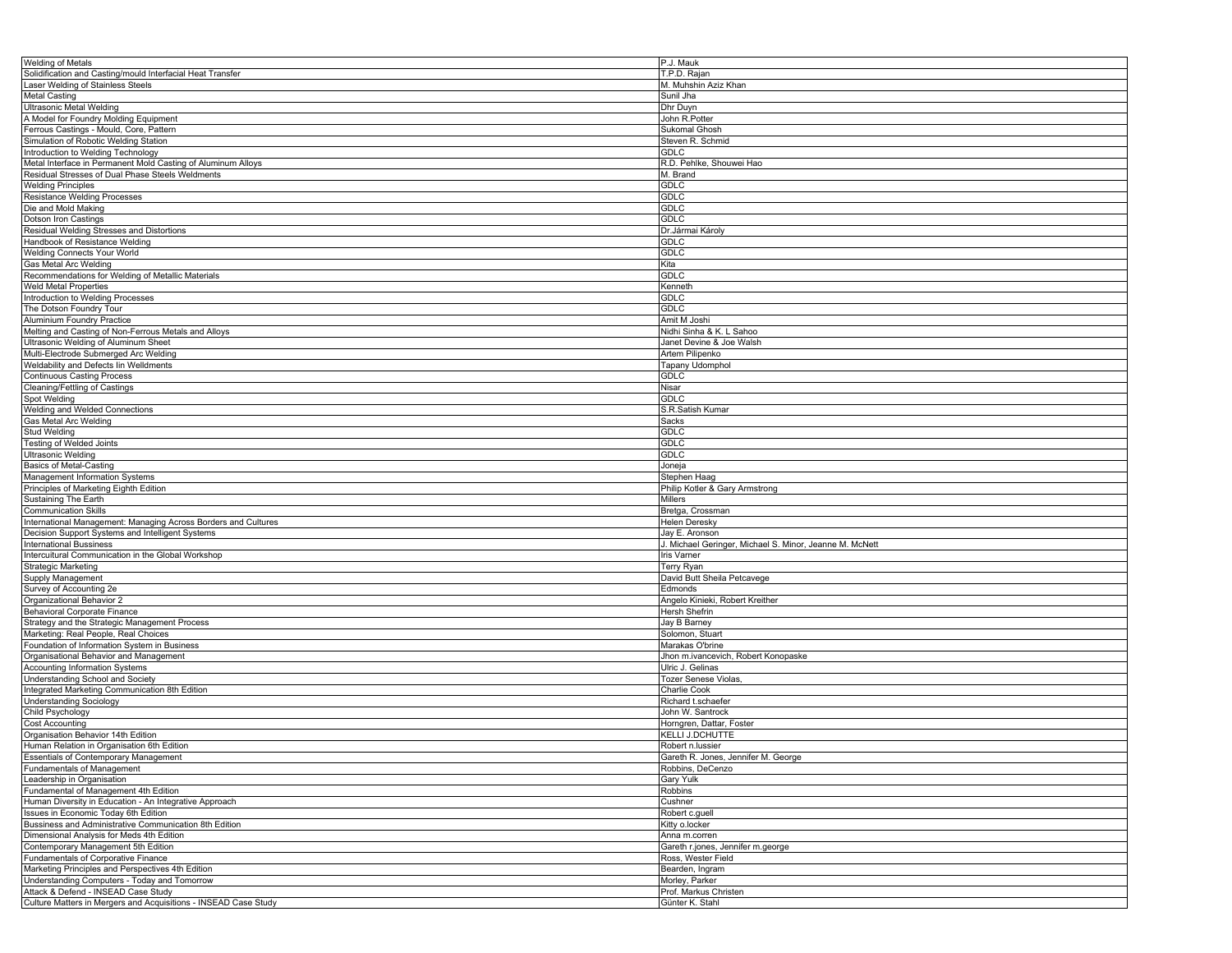| <b>Welding of Metals</b>                                        | P.J. Mauk                                               |
|-----------------------------------------------------------------|---------------------------------------------------------|
| Solidification and Casting/mould Interfacial Heat Transfer      | T.P.D. Rajan                                            |
| Laser Welding of Stainless Steels                               | M. Muhshin Aziz Khan                                    |
| <b>Metal Casting</b>                                            | Sunil Jha                                               |
|                                                                 |                                                         |
| <b>Ultrasonic Metal Welding</b>                                 | Dhr Duyn                                                |
| A Model for Foundry Molding Equipment                           | John R.Potter                                           |
| Ferrous Castings - Mould, Core, Pattern                         | <b>Sukomal Ghosh</b>                                    |
| Simulation of Robotic Welding Station                           | Steven R. Schmid                                        |
| Introduction to Welding Technology                              | <b>GDLC</b>                                             |
| Metal Interface in Permanent Mold Casting of Aluminum Alloys    | R.D. Pehlke, Shouwei Hao                                |
|                                                                 |                                                         |
| Residual Stresses of Dual Phase Steels Weldments                | M. Brand                                                |
| <b>Welding Principles</b>                                       | GDLC                                                    |
| Resistance Welding Processes                                    | <b>GDLC</b>                                             |
| Die and Mold Making                                             | <b>GDLC</b>                                             |
| Dotson Iron Castings                                            | GDLC                                                    |
| Residual Welding Stresses and Distortions                       | Dr. Jármai Károly                                       |
| Handbook of Resistance Welding                                  | GDLC                                                    |
|                                                                 |                                                         |
| <b>Welding Connects Your World</b>                              | GDLC                                                    |
| Gas Metal Arc Welding                                           | Kita                                                    |
| Recommendations for Welding of Metallic Materials               | <b>GDLC</b>                                             |
| Weld Metal Properties                                           | Kenneth                                                 |
| Introduction to Welding Processes                               | <b>GDLC</b>                                             |
| The Dotson Foundry Tour                                         | <b>GDLC</b>                                             |
|                                                                 | Amit M Joshi                                            |
| Aluminium Foundry Practice                                      |                                                         |
| Melting and Casting of Non-Ferrous Metals and Alloys            | Nidhi Sinha & K. L Sahoo                                |
| Ultrasonic Welding of Aluminum Sheet                            | Janet Devine & Joe Walsh                                |
| Multi-Electrode Submerged Arc Welding                           | Artem Pilipenko                                         |
| Weldability and Defects lin Welldments                          | Tapany Udomphol                                         |
| <b>Continuous Casting Process</b>                               | GDLC                                                    |
| Cleaning/Fettling of Castings                                   | Nisar                                                   |
|                                                                 |                                                         |
| Spot Welding                                                    | <b>GDLC</b>                                             |
| Welding and Welded Connections                                  | S.R.Satish Kumar                                        |
| Gas Metal Arc Welding                                           | Sacks                                                   |
| Stud Welding                                                    | <b>GDLC</b>                                             |
| <b>Testing of Welded Joints</b>                                 | <b>GDLC</b>                                             |
| Ultrasonic Welding                                              | <b>GDLC</b>                                             |
|                                                                 |                                                         |
| <b>Basics of Metal-Casting</b>                                  | Joneja                                                  |
| Management Information Systems                                  | Stephen Haag                                            |
| Principles of Marketing Eighth Edition                          | Philip Kotler & Gary Armstrong                          |
| Sustaining The Earth                                            | Millers                                                 |
| <b>Communication Skills</b>                                     | Bretga, Crossman                                        |
| International Management: Managing Across Borders and Cultures  | Helen Deresky                                           |
|                                                                 |                                                         |
| Decision Support Systems and Intelligent Systems                | Jay E. Aronson                                          |
| <b>International Bussiness</b>                                  | J. Michael Geringer, Michael S. Minor, Jeanne M. McNett |
| Intercuitural Communication in the Global Workshop              | Iris Varner                                             |
| <b>Strategic Marketing</b>                                      | <b>Terry Ryan</b>                                       |
| Supply Management                                               | David Butt Sheila Petcavege                             |
| Survey of Accounting 2e                                         | Edmonds                                                 |
| Organizational Behavior 2                                       | Angelo Kinieki, Robert Kreither                         |
| Behavioral Corporate Finance                                    | Hersh Shefrin                                           |
|                                                                 |                                                         |
| Strategy and the Strategic Management Process                   | Jay B Barney                                            |
| Marketing: Real People, Real Choices                            | Solomon, Stuart                                         |
| Foundation of Information System in Business                    | Marakas O'brine                                         |
| Organisational Behavior and Management                          | Jhon m.ivancevich, Robert Konopaske                     |
| <b>Accounting Information Systems</b>                           | Ulric J. Gelinas                                        |
| <b>Understanding School and Society</b>                         | Tozer Senese Violas,                                    |
| Integrated Marketing Communication 8th Edition                  | Charlie Cook                                            |
|                                                                 |                                                         |
| <b>Understanding Sociology</b>                                  | Richard t.schaefer                                      |
| Child Psychology                                                | John W. Santrock                                        |
| <b>Cost Accounting</b>                                          | Horngren, Dattar, Foster                                |
| Organisation Behavior 14th Edition                              | <b>KELLI J.DCHUTTE</b>                                  |
| Human Relation in Organisation 6th Edition                      | Robert n.lussier                                        |
| <b>Essentials of Contemporary Management</b>                    | Gareth R. Jones, Jennifer M. George                     |
| Fundamentals of Management                                      |                                                         |
|                                                                 | Robbins, DeCenzo                                        |
| Leadership in Organisation                                      | Gary Yulk                                               |
| Fundamental of Management 4th Edition                           | Robbins                                                 |
| Human Diversity in Education - An Integrative Approach          | Cushner                                                 |
| Issues in Economic Today 6th Edition                            | Robert c.guell                                          |
| Bussiness and Administrative Communication 8th Edition          | Kitty o.locker                                          |
| Dimensional Analysis for Meds 4th Edition                       | Anna m.corren                                           |
|                                                                 |                                                         |
| Contemporary Management 5th Edition                             | Gareth r.jones, Jennifer m.george                       |
| Fundamentals of Corporative Finance                             | Ross, Wester Field                                      |
| Marketing Principles and Perspectives 4th Edition               | Bearden, Ingram                                         |
| Understanding Computers - Today and Tomorrow                    | Morley, Parker                                          |
| Attack & Defend - INSEAD Case Study                             | Prof. Markus Christen                                   |
| Culture Matters in Mergers and Acquisitions - INSEAD Case Study | Günter K. Stahl                                         |
|                                                                 |                                                         |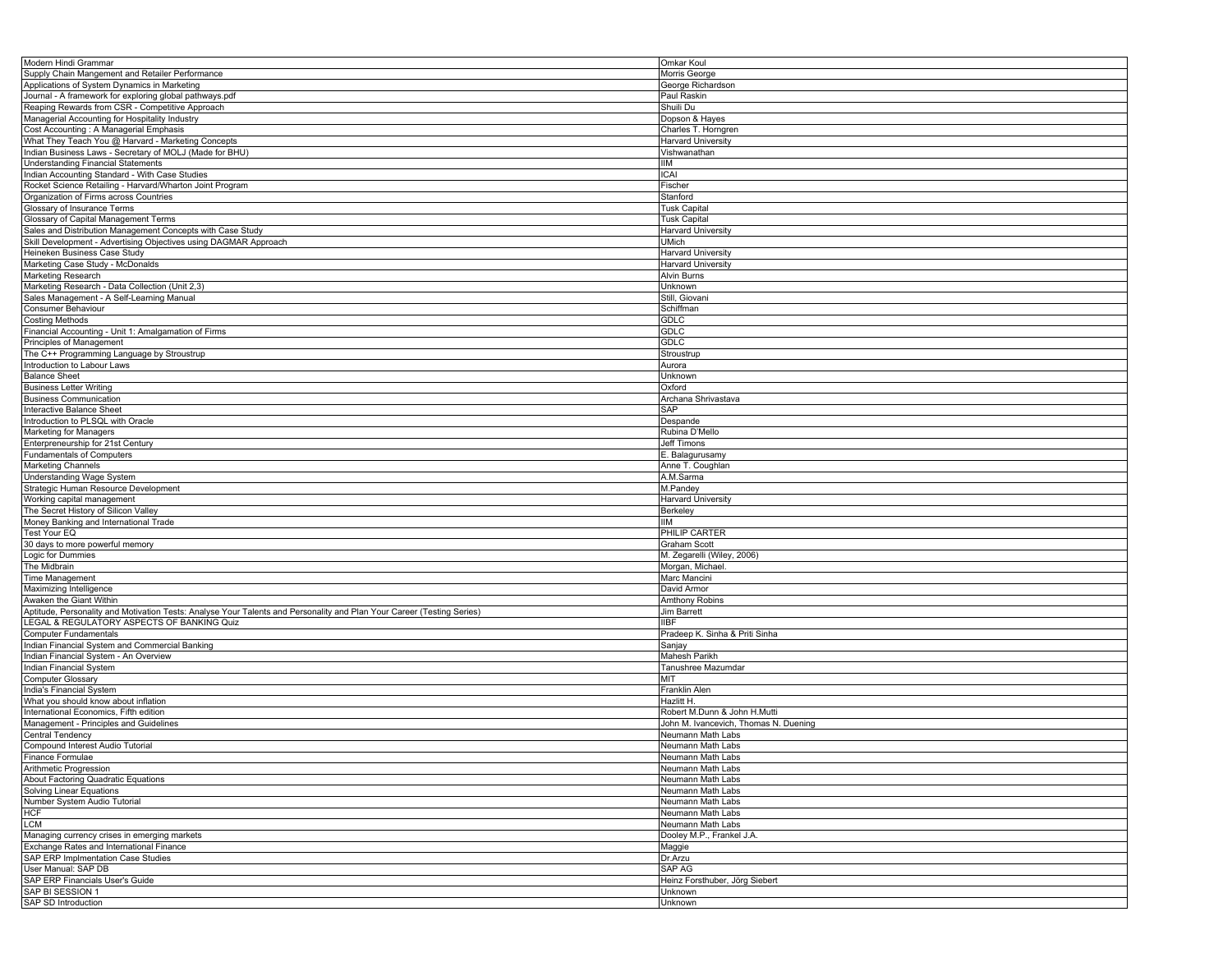| Modern Hindi Grammar                                                                                                   | Omkar Koul                            |
|------------------------------------------------------------------------------------------------------------------------|---------------------------------------|
| Supply Chain Mangement and Retailer Performance                                                                        | Morris George                         |
| Applications of System Dynamics in Marketing                                                                           | George Richardson                     |
|                                                                                                                        |                                       |
| Journal - A framework for exploring global pathways.pdf                                                                | Paul Raskin                           |
| Reaping Rewards from CSR - Competitive Approach                                                                        | Shuili Du                             |
| Managerial Accounting for Hospitality Industry                                                                         | Dopson & Hayes                        |
|                                                                                                                        |                                       |
| Cost Accounting : A Managerial Emphasis                                                                                | Charles T. Horngren                   |
| What They Teach You @ Harvard - Marketing Concepts                                                                     | <b>Harvard University</b>             |
| Indian Business Laws - Secretary of MOLJ (Made for BHU)                                                                | Vishwanathan                          |
|                                                                                                                        |                                       |
| <b>Understanding Financial Statements</b>                                                                              | IIМ                                   |
| Indian Accounting Standard - With Case Studies                                                                         | ICAI                                  |
| Rocket Science Retailing - Harvard/Wharton Joint Program                                                               | Fischer                               |
|                                                                                                                        |                                       |
| Organization of Firms across Countries                                                                                 | Stanford                              |
| Glossary of Insurance Terms                                                                                            | <b>Tusk Capital</b>                   |
| Glossary of Capital Management Terms                                                                                   | <b>Tusk Capital</b>                   |
| Sales and Distribution Management Concepts with Case Study                                                             | Harvard University                    |
|                                                                                                                        |                                       |
| Skill Development - Advertising Objectives using DAGMAR Approach                                                       | <b>UMich</b>                          |
| Heineken Business Case Study                                                                                           | <b>Harvard University</b>             |
| Marketing Case Study - McDonalds                                                                                       | Harvard University                    |
|                                                                                                                        |                                       |
| <b>Marketing Research</b>                                                                                              | Alvin Burns                           |
| Marketing Research - Data Collection (Unit 2,3)                                                                        | Unknown                               |
| Sales Management - A Self-Learning Manual                                                                              | Still, Giovani                        |
|                                                                                                                        |                                       |
| Consumer Behaviour                                                                                                     | Schiffman                             |
| <b>Costing Methods</b>                                                                                                 | <b>GDLC</b>                           |
| Financial Accounting - Unit 1: Amalgamation of Firms                                                                   | <b>GDLC</b>                           |
|                                                                                                                        |                                       |
| Principles of Management                                                                                               | GDLC                                  |
| The C++ Programming Language by Stroustrup                                                                             | Stroustrup                            |
| Introduction to Labour Laws                                                                                            | Aurora                                |
|                                                                                                                        |                                       |
| <b>Balance Sheet</b>                                                                                                   | Unknown                               |
| <b>Business Letter Writing</b>                                                                                         | Oxford                                |
| <b>Business Communication</b>                                                                                          | Archana Shrivastava                   |
|                                                                                                                        |                                       |
| Interactive Balance Sheet                                                                                              | SAP                                   |
| Introduction to PLSQL with Oracle                                                                                      | Despande                              |
| Marketing for Managers                                                                                                 | Rubina D'Mello                        |
|                                                                                                                        |                                       |
| Enterpreneurship for 21st Century                                                                                      | <b>Jeff Timons</b>                    |
| <b>Fundamentals of Computers</b>                                                                                       | E. Balagurusamy                       |
| <b>Marketing Channels</b>                                                                                              | Anne T. Coughlan                      |
|                                                                                                                        |                                       |
| Understanding Wage System                                                                                              | A.M.Sarma                             |
| Strategic Human Resource Development                                                                                   | M.Pandey                              |
| Working capital management                                                                                             | <b>Harvard University</b>             |
|                                                                                                                        |                                       |
| The Secret History of Silicon Valley                                                                                   | Berkeley                              |
| Money Banking and International Trade                                                                                  | IIМ                                   |
| Test Your EQ                                                                                                           | PHILIP CARTER                         |
|                                                                                                                        |                                       |
| 30 days to more powerful memory                                                                                        | <b>Graham Scott</b>                   |
| Logic for Dummies                                                                                                      | M. Zegarelli (Wiley, 2006)            |
| The Midbrain                                                                                                           | Morgan, Michael                       |
|                                                                                                                        |                                       |
| <b>Time Management</b>                                                                                                 | Marc Mancini                          |
| Maximizing Intelligence                                                                                                | David Armor                           |
| Awaken the Giant Within                                                                                                | Amthony Robins                        |
|                                                                                                                        |                                       |
| Aptitude, Personality and Motivation Tests: Analyse Your Talents and Personality and Plan Your Career (Testing Series) | Jim Barrett                           |
| LEGAL & REGULATORY ASPECTS OF BANKING Quiz                                                                             | <b>IIBF</b>                           |
| <b>Computer Fundamentals</b>                                                                                           | Pradeep K. Sinha & Priti Sinha        |
|                                                                                                                        |                                       |
| Indian Financial System and Commercial Banking                                                                         | Sanjay                                |
| Indian Financial System - An Overview                                                                                  | Mahesh Parikh                         |
| Indian Financial System                                                                                                | Tanushree Mazumdar                    |
|                                                                                                                        |                                       |
| <b>Computer Glossary</b>                                                                                               | MIT                                   |
| India's Financial System                                                                                               | Franklin Alen                         |
| What you should know about inflation                                                                                   | Hazlitt H.                            |
|                                                                                                                        |                                       |
| International Economics. Fifth edition                                                                                 | Robert M.Dunn & John H.Mutti          |
| Management - Principles and Guidelines                                                                                 | John M. Ivancevich, Thomas N. Duening |
| Central Tendency                                                                                                       | Neumann Math Labs                     |
|                                                                                                                        |                                       |
| Compound Interest Audio Tutorial                                                                                       | Neumann Math Labs                     |
| Finance Formulae                                                                                                       | Neumann Math Labs                     |
| Arithmetic Progression                                                                                                 | Neumann Math Labs                     |
|                                                                                                                        |                                       |
| About Factoring Quadratic Equations                                                                                    | Neumann Math Labs                     |
| Solving Linear Equations                                                                                               | Neumann Math Labs                     |
| Number System Audio Tutorial                                                                                           | Neumann Math Labs                     |
|                                                                                                                        |                                       |
| <b>HCF</b>                                                                                                             | Neumann Math Labs                     |
| LCM                                                                                                                    | Neumann Math Labs                     |
| Managing currency crises in emerging markets                                                                           | Dooley M.P., Frankel J.A.             |
|                                                                                                                        |                                       |
| Exchange Rates and International Finance                                                                               | Maggie                                |
| SAP ERP Implmentation Case Studies                                                                                     | Dr.Arzu                               |
| User Manual: SAP DB                                                                                                    | SAP AG                                |
| SAP ERP Financials User's Guide                                                                                        |                                       |
|                                                                                                                        | Heinz Forsthuber, Jörg Siebert        |
| SAP BI SESSION 1                                                                                                       | Unknown                               |
| SAP SD Introduction                                                                                                    | Unknown                               |
|                                                                                                                        |                                       |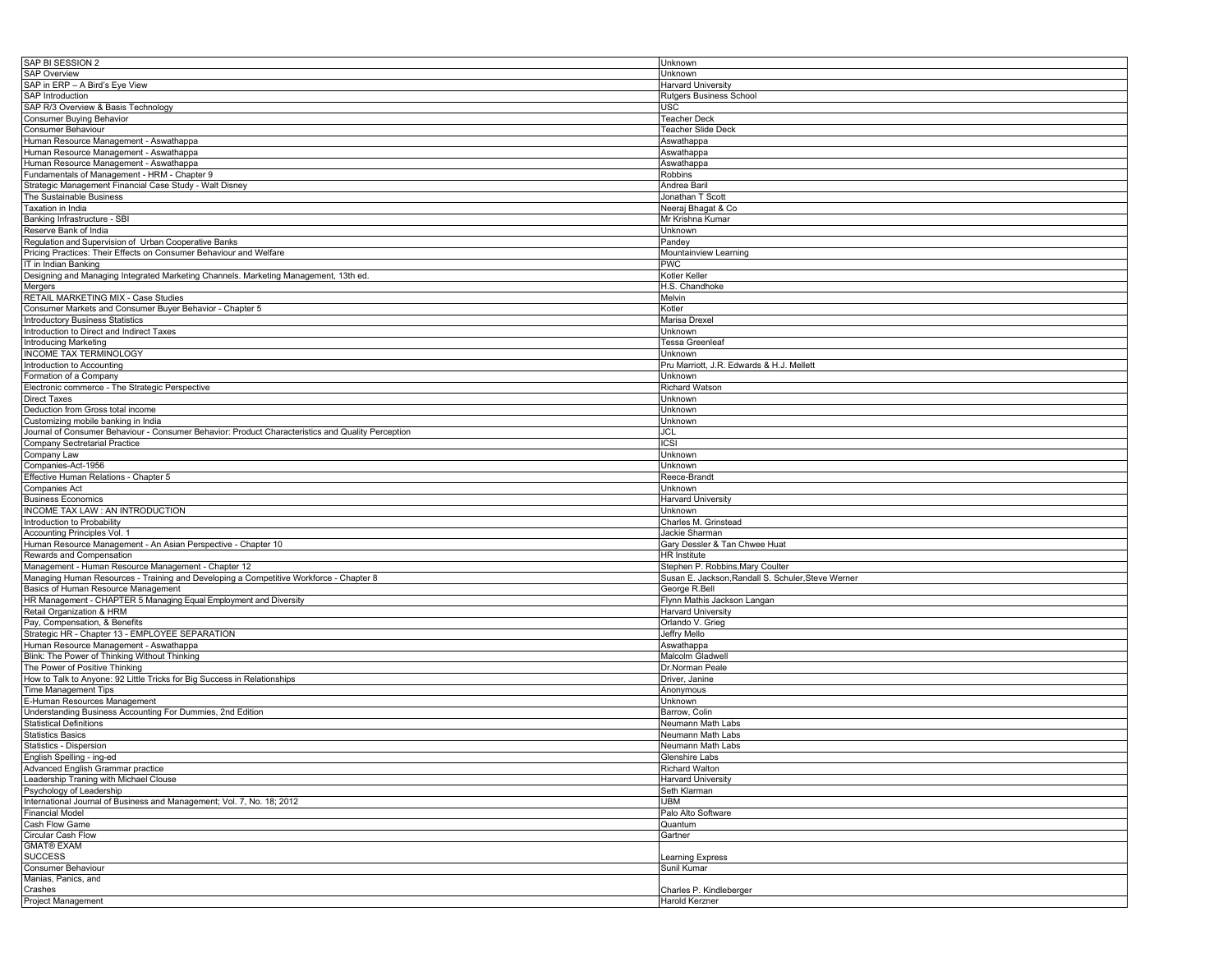| SAP BI SESSION 2                                                                                  | Unknown                                            |
|---------------------------------------------------------------------------------------------------|----------------------------------------------------|
| <b>SAP Overview</b>                                                                               | Unknown                                            |
| SAP in ERP - A Bird's Eye View                                                                    | <b>Harvard University</b>                          |
|                                                                                                   |                                                    |
| <b>SAP Introduction</b>                                                                           | <b>Rutgers Business School</b>                     |
| SAP R/3 Overview & Basis Technology                                                               | USC                                                |
| <b>Consumer Buying Behavior</b>                                                                   | <b>Teacher Deck</b>                                |
| Consumer Behaviour                                                                                | Teacher Slide Deck                                 |
|                                                                                                   |                                                    |
| Human Resource Management - Aswathappa                                                            | Aswathappa                                         |
| Human Resource Management - Aswathappa                                                            | Aswathappa                                         |
| Human Resource Management - Aswathappa                                                            | Aswathappa                                         |
|                                                                                                   |                                                    |
| Fundamentals of Management - HRM - Chapter 9                                                      | Robbins                                            |
| Strategic Management Financial Case Study - Walt Disney                                           | Andrea Baril                                       |
| The Sustainable Business                                                                          | Jonathan T Scott                                   |
| Taxation in India                                                                                 | Neeraj Bhagat & Co                                 |
|                                                                                                   |                                                    |
| Banking Infrastructure - SBI                                                                      | Mr Krishna Kumar                                   |
| Reserve Bank of India                                                                             | Unknown                                            |
| Regulation and Supervision of Urban Cooperative Banks                                             | Pandey                                             |
|                                                                                                   |                                                    |
| Pricing Practices: Their Effects on Consumer Behaviour and Welfare                                | Mountainview Learning                              |
| IT in Indian Banking                                                                              | PWC                                                |
| Designing and Managing Integrated Marketing Channels. Marketing Management, 13th ed.              | Kotler Keller                                      |
| Mergers                                                                                           | H.S. Chandhoke                                     |
|                                                                                                   |                                                    |
| RETAIL MARKETING MIX - Case Studies                                                               | Melvin                                             |
| Consumer Markets and Consumer Buyer Behavior - Chapter 5                                          | Kotler                                             |
| Introductory Business Statistics                                                                  | Marisa Drexel                                      |
| Introduction to Direct and Indirect Taxes                                                         | Unknown                                            |
|                                                                                                   |                                                    |
| Introducing Marketing                                                                             | <b>Tessa Greenleaf</b>                             |
| INCOME TAX TERMINOLOGY                                                                            | Unknown                                            |
| Introduction to Accounting                                                                        | Pru Marriott, J.R. Edwards & H.J. Mellett          |
|                                                                                                   |                                                    |
| Formation of a Company                                                                            | Unknown                                            |
| Electronic commerce - The Strategic Perspective                                                   | Richard Watson                                     |
| Direct Taxes                                                                                      | Unknown                                            |
| Deduction from Gross total income                                                                 | Unknown                                            |
|                                                                                                   |                                                    |
| Customizing mobile banking in India                                                               | Unknown                                            |
| Journal of Consumer Behaviour - Consumer Behavior: Product Characteristics and Quality Perception | JCL                                                |
| Company Sectretarial Practice                                                                     | <b>ICSI</b>                                        |
|                                                                                                   |                                                    |
| Company Law                                                                                       | Unknown                                            |
| Companies-Act-1956                                                                                | Unknown                                            |
| Effective Human Relations - Chapter 5                                                             | Reece-Brandt                                       |
| Companies Act                                                                                     | Unknown                                            |
|                                                                                                   |                                                    |
| <b>Business Economics</b>                                                                         | <b>Harvard University</b>                          |
| INCOME TAX LAW : AN INTRODUCTION                                                                  | Unknown                                            |
| Introduction to Probability                                                                       | Charles M. Grinstead                               |
|                                                                                                   |                                                    |
| Accounting Principles Vol. 1                                                                      | Jackie Sharman                                     |
| Human Resource Management - An Asian Perspective - Chapter 10                                     | Gary Dessler & Tan Chwee Huat                      |
| Rewards and Compensation                                                                          | HR Institute                                       |
| Management - Human Resource Management - Chapter 12                                               | Stephen P. Robbins, Mary Coulter                   |
|                                                                                                   |                                                    |
| Managing Human Resources - Training and Developing a Competitive Workforce - Chapter 8            | Susan E. Jackson, Randall S. Schuler, Steve Werner |
| Basics of Human Resource Management                                                               | George R.Bell                                      |
| HR Management - CHAPTER 5 Managing Equal Employment and Diversity                                 | Flynn Mathis Jackson Langan                        |
| Retail Organization & HRM                                                                         | <b>Harvard University</b>                          |
|                                                                                                   |                                                    |
| Pay, Compensation, & Benefits                                                                     | Orlando V. Grieg                                   |
| Strategic HR - Chapter 13 - EMPLOYEE SEPARATION                                                   | Jeffry Mello                                       |
| Human Resource Management - Aswathappa                                                            | Aswathappa                                         |
|                                                                                                   | Malcolm Gladwell                                   |
| Blink: The Power of Thinking Without Thinking                                                     |                                                    |
| The Power of Positive Thinking                                                                    | Dr.Norman Peale                                    |
| How to Talk to Anyone: 92 Little Tricks for Big Success in Relationships                          | Driver, Janine                                     |
| <b>Time Management Tips</b>                                                                       | Anonymous                                          |
|                                                                                                   |                                                    |
| E-Human Resources Management                                                                      | Unknown                                            |
| Understanding Business Accounting For Dummies, 2nd Edition                                        | Barrow, Colin                                      |
| <b>Statistical Definitions</b>                                                                    | Neumann Math Labs                                  |
| <b>Statistics Basics</b>                                                                          |                                                    |
|                                                                                                   | Neumann Math Labs                                  |
| Statistics - Dispersion                                                                           | Neumann Math Labs                                  |
| English Spelling - ing-ed                                                                         | <b>Glenshire Labs</b>                              |
| Advanced English Grammar practice                                                                 | <b>Richard Walton</b>                              |
|                                                                                                   |                                                    |
| Leadership Traning with Michael Clouse                                                            | <b>Harvard University</b>                          |
| Psychology of Leadership                                                                          | Seth Klarman                                       |
| International Journal of Business and Management; Vol. 7, No. 18; 2012                            | IJBM                                               |
|                                                                                                   | Palo Alto Software                                 |
| <b>Financial Model</b>                                                                            |                                                    |
| Cash Flow Game                                                                                    | Quantum                                            |
| Circular Cash Flow                                                                                | Gartner                                            |
| <b>GMAT® EXAM</b>                                                                                 |                                                    |
|                                                                                                   |                                                    |
| <b>SUCCESS</b>                                                                                    | Learning Express                                   |
| Consumer Behaviour                                                                                | Sunil Kumar                                        |
| Manias, Panics, and                                                                               |                                                    |
| Crashes                                                                                           | Charles P. Kindleberger                            |
|                                                                                                   |                                                    |
| Project Management                                                                                | Harold Kerzner                                     |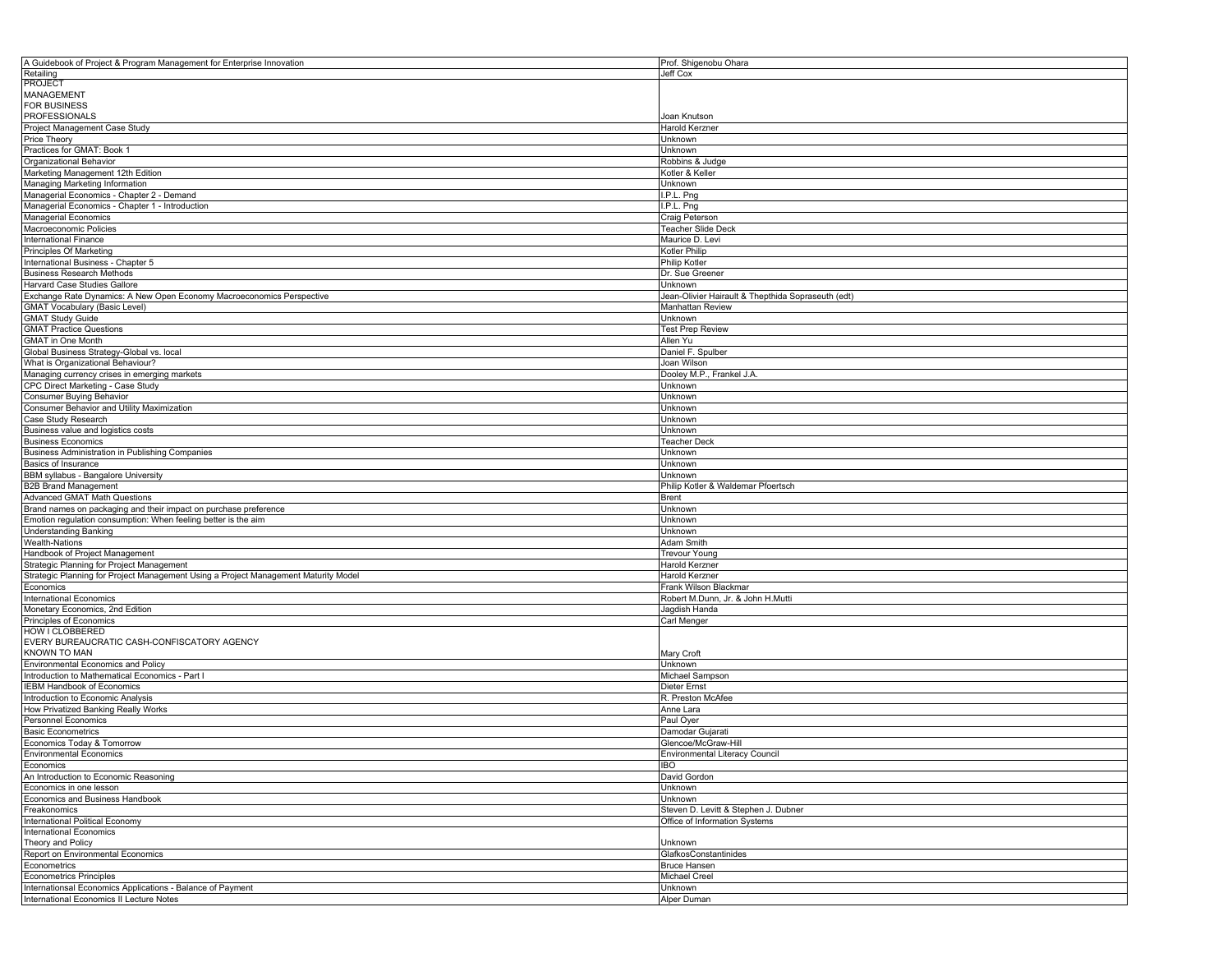| A Guidebook of Project & Program Management for Enterprise Innovation               | Prof. Shigenobu Ohara                              |
|-------------------------------------------------------------------------------------|----------------------------------------------------|
| Retailing                                                                           | Jeff Cox                                           |
| <b>PROJECT</b>                                                                      |                                                    |
| <b>MANAGEMENT</b>                                                                   |                                                    |
| <b>FOR BUSINESS</b>                                                                 |                                                    |
| <b>PROFESSIONALS</b>                                                                | Joan Knutson                                       |
| Project Management Case Study                                                       | Harold Kerzner                                     |
| Price Theory                                                                        | Unknown                                            |
| Practices for GMAT: Book 1                                                          |                                                    |
|                                                                                     | Jnknown                                            |
| Organizational Behavior                                                             | Robbins & Judge                                    |
| Marketing Management 12th Edition                                                   | Kotler & Keller                                    |
| Managing Marketing Information                                                      | Unknown                                            |
| Managerial Economics - Chapter 2 - Demand                                           | I.P.L. Png                                         |
| Managerial Economics - Chapter 1 - Introduction                                     | I.P.L. Png                                         |
| <b>Managerial Economics</b>                                                         | Craig Peterson                                     |
| Macroeconomic Policies                                                              | <b>Teacher Slide Deck</b>                          |
| <b>International Finance</b>                                                        | Maurice D. Levi                                    |
| <b>Principles Of Marketing</b>                                                      | Kotler Philip                                      |
| International Business - Chapter 5                                                  | Philip Kotler                                      |
| <b>Business Research Methods</b>                                                    | Dr. Sue Greener                                    |
|                                                                                     |                                                    |
| Harvard Case Studies Gallore                                                        | Unknown                                            |
| Exchange Rate Dynamics: A New Open Economy Macroeconomics Perspective               | Jean-Olivier Hairault & Thepthida Sopraseuth (edt) |
| <b>GMAT Vocabulary (Basic Level)</b>                                                | Manhattan Review                                   |
| <b>GMAT Study Guide</b>                                                             | Unknown                                            |
| <b>GMAT Practice Questions</b>                                                      | <b>Test Prep Review</b>                            |
| <b>GMAT</b> in One Month                                                            | Allen Yu                                           |
| Global Business Strategy-Global vs. local                                           | Daniel F. Spulber                                  |
| What is Organizational Behaviour?                                                   | Joan Wilson                                        |
| Managing currency crises in emerging markets                                        | Dooley M.P., Frankel J.A.                          |
| CPC Direct Marketing - Case Study                                                   | Unknown                                            |
|                                                                                     |                                                    |
| <b>Consumer Buying Behavior</b>                                                     | Unknown                                            |
| Consumer Behavior and Utility Maximization                                          | Jnknown                                            |
| Case Study Research                                                                 | Unknown                                            |
| Business value and logistics costs                                                  | Unknown                                            |
| <b>Business Economics</b>                                                           | <b>Teacher Deck</b>                                |
| Business Administration in Publishing Companies                                     | Unknown                                            |
| Basics of Insurance                                                                 | Unknown                                            |
| <b>BBM syllabus - Bangalore University</b>                                          | Unknown                                            |
| <b>B2B Brand Management</b>                                                         | Philip Kotler & Waldemar Pfoertsch                 |
| <b>Advanced GMAT Math Questions</b>                                                 | Brent                                              |
|                                                                                     | Unknown                                            |
| Brand names on packaging and their impact on purchase preference                    |                                                    |
| Emotion regulation consumption: When feeling better is the aim                      | Unknown                                            |
| <b>Understanding Banking</b>                                                        | Unknown                                            |
| Wealth-Nations                                                                      | Adam Smith                                         |
| Handbook of Project Management                                                      | <b>Trevour Young</b>                               |
| Strategic Planning for Project Management                                           | Harold Kerzner                                     |
| Strategic Planning for Project Management Using a Project Management Maturity Model | Harold Kerzner                                     |
| Economics                                                                           | Frank Wilson Blackmar                              |
| International Economics                                                             | Robert M.Dunn, Jr. & John H.Mutti                  |
| Monetary Economics, 2nd Edition                                                     | Jagdish Handa                                      |
| <b>Principles of Economics</b>                                                      | Carl Menger                                        |
|                                                                                     |                                                    |
| HOW I CLOBBERED                                                                     |                                                    |
| EVERY BUREAUCRATIC CASH-CONFISCATORY AGENCY                                         |                                                    |
| KNOWN TO MAN                                                                        | Mary Croft                                         |
| <b>Environmental Economics and Policy</b>                                           | Unknown                                            |
| Introduction to Mathematical Economics - Part I                                     | Michael Sampson                                    |
| IEBM Handbook of Economics                                                          | Dieter Ernst                                       |
| Introduction to Economic Analysis                                                   | R. Preston McAfee                                  |
| How Privatized Banking Really Works                                                 | Anne Lara                                          |
| <b>Personnel Economics</b>                                                          | Paul Oyer                                          |
| <b>Basic Econometrics</b>                                                           | Damodar Gujarati                                   |
| Economics Today & Tomorrow                                                          | Glencoe/McGraw-Hill                                |
|                                                                                     |                                                    |
| Environmental Economics                                                             | Environmental Literacy Council                     |
| Economics                                                                           | <b>IBO</b>                                         |
| An Introduction to Economic Reasoning                                               | David Gordon                                       |
| Economics in one lesson                                                             | Unknown                                            |
| Economics and Business Handbook                                                     | Jnknown                                            |
| Freakonomics                                                                        | Steven D. Levitt & Stephen J. Dubner               |
| International Political Economy                                                     | Office of Information Systems                      |
| International Economics                                                             |                                                    |
| Theory and Policy                                                                   | Unknown                                            |
| Report on Environmental Economics                                                   | GlafkosConstantinides                              |
|                                                                                     |                                                    |
| Econometrics                                                                        | <b>Bruce Hansen</b>                                |
| <b>Econometrics Principles</b>                                                      | Michael Creel                                      |
| Internationsal Economics Applications - Balance of Payment                          | Unknown                                            |
| International Economics II Lecture Notes                                            | Alper Duman                                        |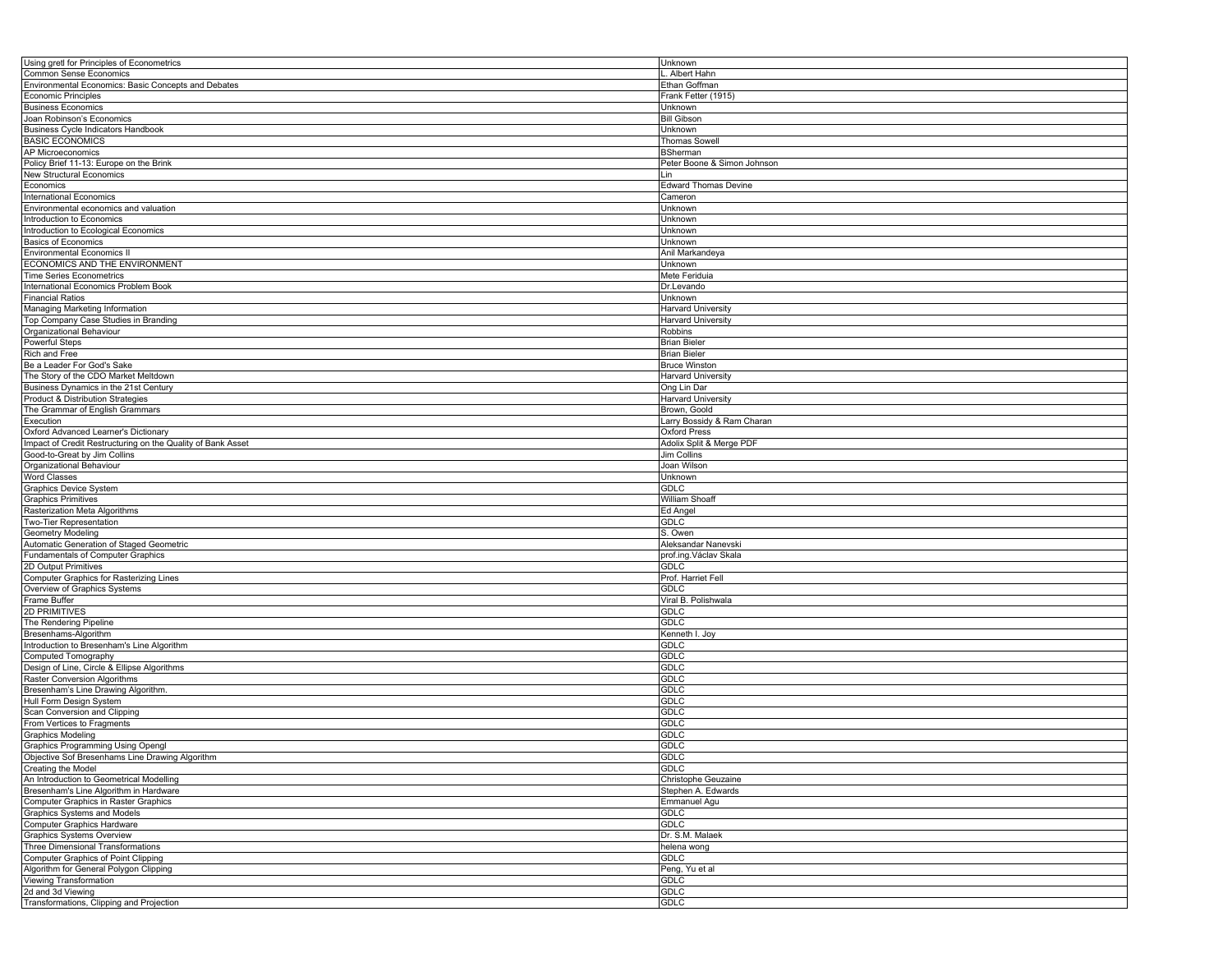| Using gretl for Principles of Econometrics                  | Unknown                     |
|-------------------------------------------------------------|-----------------------------|
| Common Sense Economics                                      | Albert Hahn                 |
| Environmental Economics: Basic Concepts and Debates         | Ethan Goffman               |
| <b>Economic Principles</b>                                  | Frank Fetter (1915)         |
| <b>Business Economics</b>                                   | Unknown                     |
| Joan Robinson's Economics                                   | <b>Bill Gibson</b>          |
| <b>Business Cycle Indicators Handbook</b>                   | Unknown                     |
|                                                             |                             |
| <b>BASIC ECONOMICS</b>                                      | Thomas Sowell               |
| <b>AP Microeconomics</b>                                    | BSherman                    |
| Policy Brief 11-13: Europe on the Brink                     | Peter Boone & Simon Johnson |
| New Structural Economics                                    | Lin                         |
| Economics                                                   | <b>Edward Thomas Devine</b> |
| <b>International Economics</b>                              | Cameron                     |
| Environmental economics and valuation                       | Unknown                     |
| Introduction to Economics                                   | Unknown                     |
| Introduction to Ecological Economics                        | Unknown                     |
| <b>Basics of Economics</b>                                  | Unknown                     |
| <b>Environmental Economics II</b>                           | Anil Markandeya             |
| ECONOMICS AND THE ENVIRONMENT                               | Unknown                     |
| <b>Time Series Econometrics</b>                             | Mete Feriduia               |
|                                                             |                             |
| International Economics Problem Book                        | Dr.Levando                  |
| <b>Financial Ratios</b>                                     | Unknown                     |
| Managing Marketing Information                              | Harvard University          |
| Top Company Case Studies in Branding                        | Harvard University          |
| Organizational Behaviour                                    | Robbins                     |
| Powerful Steps                                              | <b>Brian Bieler</b>         |
| Rich and Free                                               | <b>Brian Bieler</b>         |
| Be a Leader For God's Sake                                  | <b>Bruce Winston</b>        |
| The Story of the CDO Market Meltdown                        | <b>Harvard University</b>   |
| Business Dynamics in the 21st Century                       | Ong Lin Dar                 |
| Product & Distribution Strategies                           |                             |
|                                                             | <b>Harvard University</b>   |
| The Grammar of English Grammars                             | Brown, Goold                |
| Execution                                                   | Larry Bossidy & Ram Charan  |
| Oxford Advanced Learner's Dictionary                        | <b>Oxford Press</b>         |
| Impact of Credit Restructuring on the Quality of Bank Asset | Adolix Split & Merge PDF    |
| Good-to-Great by Jim Collins                                | Jim Collins                 |
| Organizational Behaviour                                    | Joan Wilson                 |
| <b>Word Classes</b>                                         | Unknown                     |
| <b>Graphics Device System</b>                               | <b>GDLC</b>                 |
| <b>Graphics Primitives</b>                                  | William Shoaff              |
| Rasterization Meta Algorithms                               | Ed Angel                    |
| Two-Tier Representation                                     | <b>GDLC</b>                 |
|                                                             | S. Owen                     |
| <b>Geometry Modeling</b>                                    |                             |
| Automatic Generation of Staged Geometric                    | Aleksandar Nanevski         |
| <b>Fundamentals of Computer Graphics</b>                    | prof.ing.Václav Skala       |
| 2D Output Primitives                                        | GDLC                        |
| Computer Graphics for Rasterizing Lines                     | Prof. Harriet Fell          |
| Overview of Graphics Systems                                | GDLC                        |
| Frame Buffer                                                | Viral B. Polishwala         |
| <b>2D PRIMITIVES</b>                                        | <b>GDLC</b>                 |
| The Rendering Pipeline                                      | GDLC                        |
| Bresenhams-Algorithm                                        | Kenneth I. Joy              |
| Introduction to Bresenham's Line Algorithm                  | GDLC                        |
| Computed Tomography                                         | <b>GDLC</b>                 |
| Design of Line, Circle & Ellipse Algorithms                 | GDLC                        |
| Raster Conversion Algorithms                                |                             |
|                                                             | GDLC                        |
| Bresenham's Line Drawing Algorithm.                         | GDLC                        |
| Hull Form Design System                                     | GDLC                        |
| Scan Conversion and Clipping                                | GDLC                        |
| From Vertices to Fragments                                  | GDLC                        |
| <b>Graphics Modeling</b>                                    | GDLC                        |
| <b>Graphics Programming Using Opengl</b>                    | <b>GDLC</b>                 |
| Objective Sof Bresenhams Line Drawing Algorithm             | GDLC                        |
| Creating the Model                                          | <b>GDLC</b>                 |
| An Introduction to Geometrical Modelling                    | Christophe Geuzaine         |
| Bresenham's Line Algorithm in Hardware                      | Stephen A. Edwards          |
| Computer Graphics in Raster Graphics                        | Emmanuel Agu                |
|                                                             |                             |
| Graphics Systems and Models                                 | GDLC                        |
| <b>Computer Graphics Hardware</b>                           | GDLC                        |
| <b>Graphics Systems Overview</b>                            | Dr. S.M. Malaek             |
| Three Dimensional Transformations                           | helena wong                 |
| Computer Graphics of Point Clipping                         | <b>GDLC</b>                 |
| Algorithm for General Polygon Clipping                      | Peng, Yu et al              |
| Viewing Transformation                                      | GDLC                        |
| 2d and 3d Viewing                                           | GDLC                        |
| Transformations, Clipping and Projection                    | <b>GDLC</b>                 |
|                                                             |                             |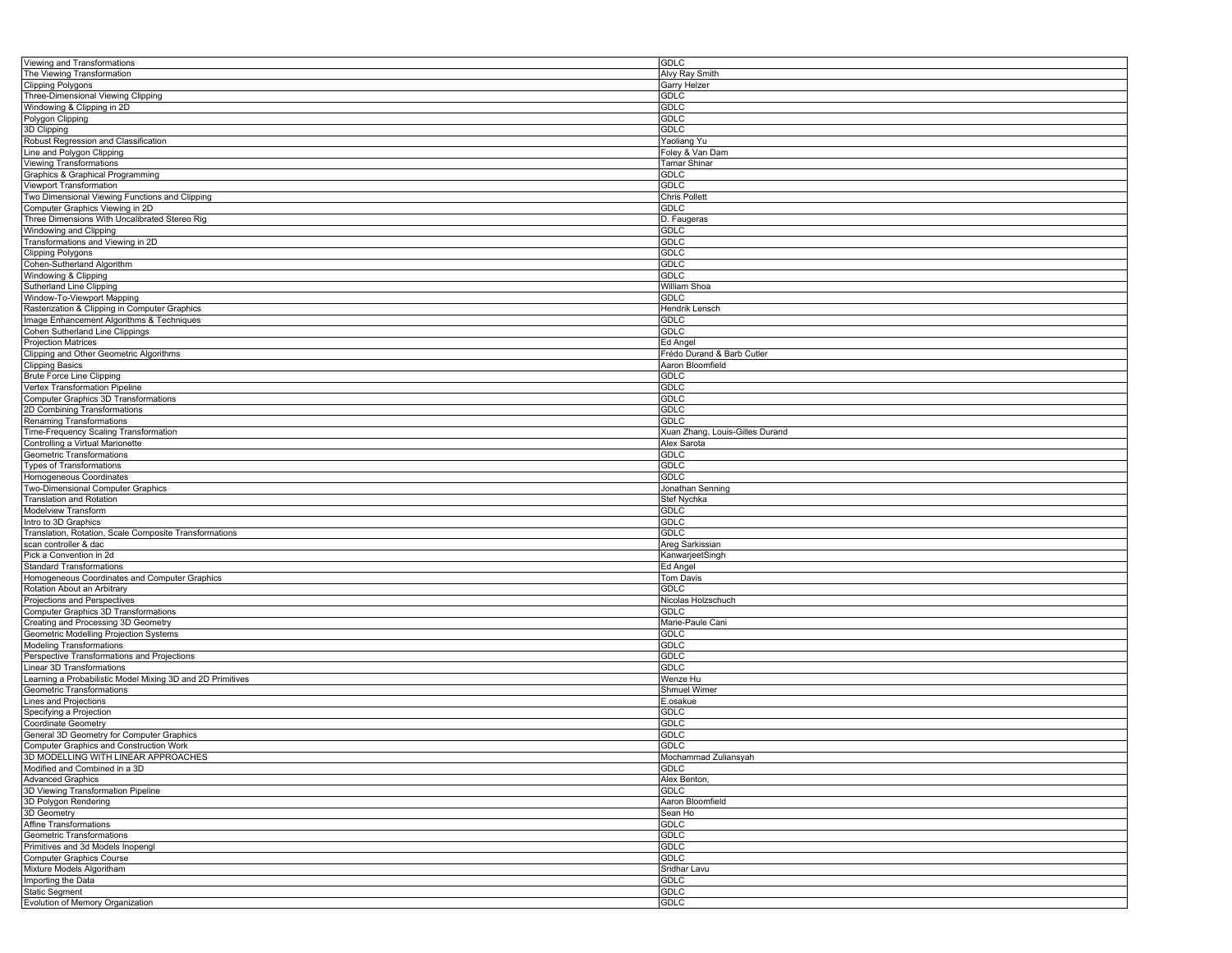| Viewing and Transformations                                | <b>GDLC</b>                     |
|------------------------------------------------------------|---------------------------------|
| The Viewing Transformation                                 | Alvy Ray Smith                  |
|                                                            |                                 |
| <b>Clipping Polygons</b>                                   | Garry Helzer                    |
| Three-Dimensional Viewing Clipping                         | GDLC                            |
| Windowing & Clipping in 2D                                 | GDLC                            |
| Polygon Clipping                                           | <b>GDLC</b>                     |
|                                                            |                                 |
| 3D Clipping                                                | <b>GDLC</b>                     |
| Robust Regression and Classification                       | Yaoliang Yu                     |
| Line and Polygon Clipping                                  | Foley & Van Dam                 |
| Viewing Transformations                                    | Tamar Shinar                    |
|                                                            |                                 |
| Graphics & Graphical Programming                           | <b>GDLC</b>                     |
| Viewport Transformation                                    | <b>GDLC</b>                     |
| Two Dimensional Viewing Functions and Clipping             | Chris Pollett                   |
| Computer Graphics Viewing in 2D                            | <b>GDLC</b>                     |
|                                                            |                                 |
| Three Dimensions With Uncalibrated Stereo Rig              | D. Faugeras                     |
| Windowing and Clipping                                     | GDLC                            |
| Transformations and Viewing in 2D                          | <b>GDLC</b>                     |
| <b>Clipping Polygons</b>                                   | <b>GDLC</b>                     |
|                                                            |                                 |
| Cohen-Sutherland Algorithm                                 | <b>GDLC</b>                     |
| Windowing & Clipping                                       | <b>GDLC</b>                     |
| <b>Sutherland Line Clipping</b>                            | William Shoa                    |
|                                                            |                                 |
| Window-To-Viewport Mapping                                 | <b>GDLC</b>                     |
| Rasterization & Clipping in Computer Graphics              | Hendrik Lensch                  |
| Image Enhancement Algorithms & Techniques                  | GDLC                            |
| Cohen Sutherland Line Clippings                            | GDLC                            |
|                                                            |                                 |
| <b>Projection Matrices</b>                                 | Ed Angel                        |
| Clipping and Other Geometric Algorithms                    | Frédo Durand & Barb Cutler      |
| <b>Clipping Basics</b>                                     | Aaron Bloomfield                |
| <b>Brute Force Line Clipping</b>                           | GDLC                            |
|                                                            |                                 |
| Vertex Transformation Pipeline                             | GDLC                            |
| <b>Computer Graphics 3D Transformations</b>                | <b>GDLC</b>                     |
| 2D Combining Transformations                               | <b>GDLC</b>                     |
|                                                            | <b>GDLC</b>                     |
| Renaming Transformations                                   |                                 |
| Time-Frequency Scaling Transformation                      | Xuan Zhang, Louis-Gilles Durand |
| Controlling a Virtual Marionette                           | Alex Sarota                     |
| Geometric Transformations                                  | GDLC                            |
|                                                            |                                 |
| <b>Types of Transformations</b>                            | <b>GDLC</b>                     |
| Homogeneous Coordinates                                    | <b>GDLC</b>                     |
| Two-Dimensional Computer Graphics                          | Jonathan Senning                |
| <b>Translation and Rotation</b>                            | Stef Nychka                     |
|                                                            |                                 |
| Modelview Transform                                        | GDLC                            |
| Intro to 3D Graphics                                       | <b>GDLC</b>                     |
| Translation, Rotation, Scale Composite Transformations     | <b>GDLC</b>                     |
| scan controller & dac                                      | Areg Sarkissian                 |
|                                                            |                                 |
| Pick a Convention in 2d                                    | KanwarjeetSingh                 |
| <b>Standard Transformations</b>                            | Ed Angel                        |
| Homogeneous Coordinates and Computer Graphics              | <b>Tom Davis</b>                |
| Rotation About an Arbitrary                                | <b>GDLC</b>                     |
|                                                            |                                 |
| Projections and Perspectives                               | Nicolas Holzschuch              |
| Computer Graphics 3D Transformations                       | GDLC                            |
| Creating and Processing 3D Geometry                        | Marie-Paule Cani                |
|                                                            |                                 |
| Geometric Modelling Projection Systems                     | <b>GDLC</b>                     |
| <b>Modeling Transformations</b>                            | <b>GDLC</b>                     |
| Perspective Transformations and Projections                | <b>GDLC</b>                     |
| Linear 3D Transformations                                  | <b>GDLC</b>                     |
|                                                            |                                 |
| Learning a Probabilistic Model Mixing 3D and 2D Primitives | Wenze Hu                        |
| Geometric Transformations                                  | <b>Shmuel Wimer</b>             |
| Lines and Projections                                      | E.osakue                        |
| Specifying a Projection                                    | <b>GDLC</b>                     |
|                                                            |                                 |
| Coordinate Geometry                                        | GDLC                            |
| General 3D Geometry for Computer Graphics                  | <b>GDLC</b>                     |
| Computer Graphics and Construction Work                    | <b>GDLC</b>                     |
| 3D MODELLING WITH LINEAR APPROACHES                        | Mochammad Zuliansyah            |
|                                                            |                                 |
| Modified and Combined in a 3D                              | <b>GDLC</b>                     |
| <b>Advanced Graphics</b>                                   | Alex Benton,                    |
| 3D Viewing Transformation Pipeline                         | <b>GDLC</b>                     |
| 3D Polygon Rendering                                       | Aaron Bloomfield                |
|                                                            |                                 |
| 3D Geometry                                                | Sean Ho                         |
| <b>Affine Transformations</b>                              | GDLC                            |
| Geometric Transformations                                  | <b>GDLC</b>                     |
| Primitives and 3d Models Inopengl                          |                                 |
|                                                            |                                 |
|                                                            | <b>GDLC</b>                     |
| <b>Computer Graphics Course</b>                            | <b>GDLC</b>                     |
| Mixture Models Algoritham                                  | Sridhar Lavu                    |
|                                                            |                                 |
| Importing the Data                                         | <b>GDLC</b>                     |
| <b>Static Segment</b><br>Evolution of Memory Organization  | <b>GDLC</b><br><b>GDLC</b>      |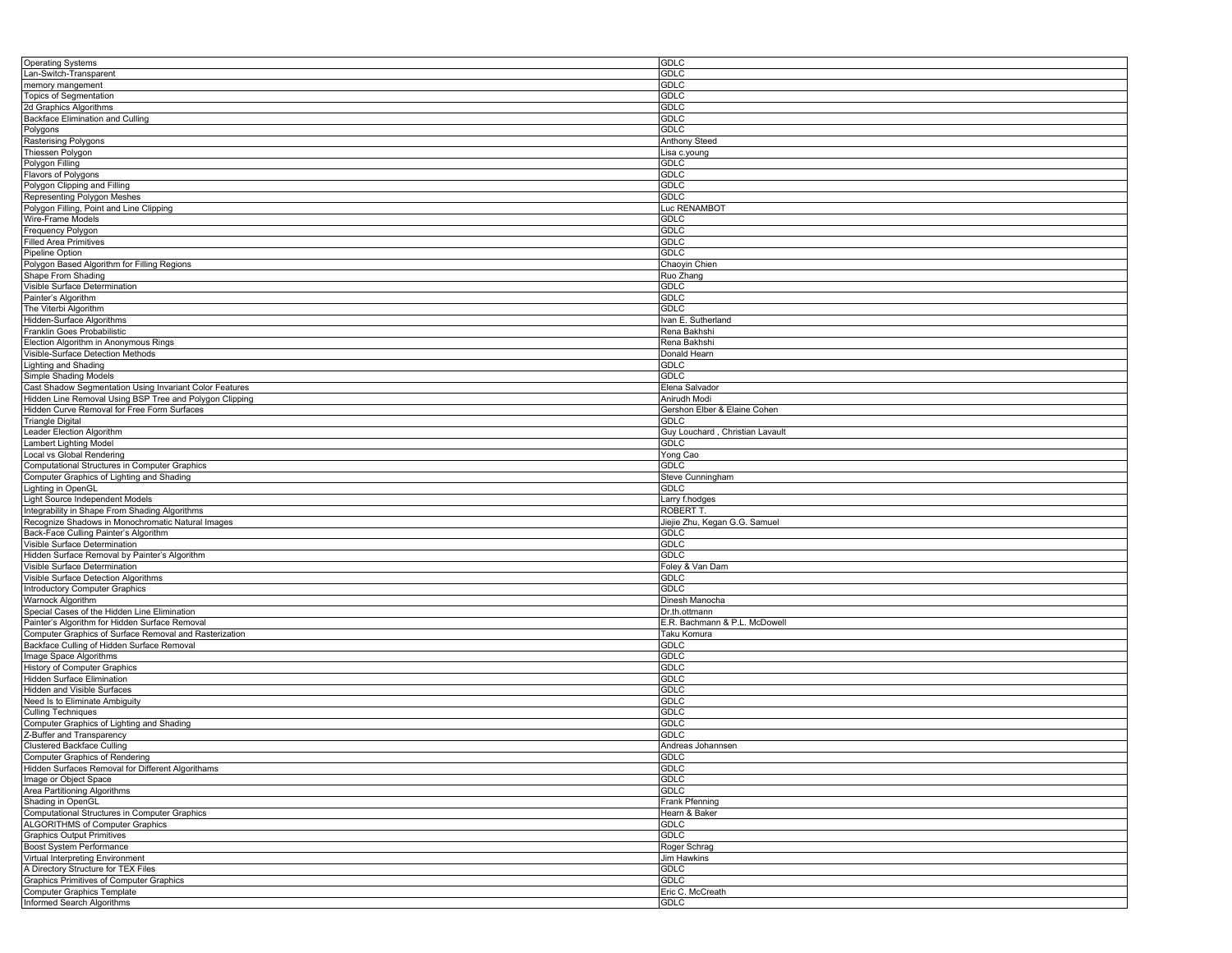| <b>Operating Systems</b>                                        | <b>GDLC</b>                     |
|-----------------------------------------------------------------|---------------------------------|
| Lan-Switch-Transparent                                          | GDLC                            |
| memory mangement                                                | <b>GDLC</b>                     |
| <b>Topics of Segmentation</b>                                   | <b>GDLC</b>                     |
| 2d Graphics Algorithms                                          | <b>GDLC</b>                     |
| Backface Elimination and Culling                                | <b>GDLC</b>                     |
| Polygons                                                        | <b>GDLC</b>                     |
|                                                                 |                                 |
| Rasterising Polygons                                            | Anthony Steed                   |
| Thiessen Polygon                                                | Lisa c.young                    |
| Polygon Filling                                                 | GDLC                            |
| Flavors of Polygons                                             | <b>GDLC</b>                     |
| Polygon Clipping and Filling                                    | <b>GDLC</b>                     |
| Representing Polygon Meshes                                     | <b>GDLC</b>                     |
| Polygon Filling, Point and Line Clipping                        | Luc RENAMBOT                    |
| Wire-Frame Models                                               | GDLC                            |
| <b>Frequency Polygon</b>                                        | GDLC                            |
| <b>Filled Area Primitives</b>                                   | <b>GDLC</b>                     |
| Pipeline Option                                                 | <b>GDLC</b>                     |
| Polygon Based Algorithm for Filling Regions                     | Chaoyin Chien                   |
| Shape From Shading                                              | Ruo Zhang                       |
|                                                                 |                                 |
| Visible Surface Determination                                   | GDLC                            |
| Painter's Algorithm                                             | <b>GDLC</b>                     |
| The Viterbi Algorithm                                           | <b>GDLC</b>                     |
| Hidden-Surface Algorithms                                       | Ivan E. Sutherland              |
| Franklin Goes Probabilistic                                     | Rena Bakhshi                    |
| Election Algorithm in Anonymous Rings                           | Rena Bakhshi                    |
| Visible-Surface Detection Methods                               | Donald Hearn                    |
| Lighting and Shading                                            | <b>GDLC</b>                     |
| Simple Shading Models                                           | <b>GDLC</b>                     |
| Cast Shadow Segmentation Using Invariant Color Features         | Elena Salvador                  |
| Hidden Line Removal Using BSP Tree and Polygon Clipping         | Anirudh Modi                    |
| Hidden Curve Removal for Free Form Surfaces                     | Gershon Elber & Elaine Cohen    |
| Triangle Digital                                                | <b>GDLC</b>                     |
|                                                                 |                                 |
| Leader Election Algorithm                                       | Guy Louchard, Christian Lavault |
| <b>Lambert Lighting Model</b>                                   | <b>GDLC</b>                     |
| Local vs Global Rendering                                       | Yong Cao                        |
| <b>Computational Structures in Computer Graphics</b>            | <b>GDLC</b>                     |
|                                                                 | Steve Cunningham                |
| Computer Graphics of Lighting and Shading                       |                                 |
| Lighting in OpenGL                                              | <b>GDLC</b>                     |
| Light Source Independent Models                                 | Larry f.hodges                  |
|                                                                 | <b>ROBERT T</b>                 |
| Integrability in Shape From Shading Algorithms                  |                                 |
| Recognize Shadows in Monochromatic Natural Images               | Jiejie Zhu, Kegan G.G. Samuel   |
| Back-Face Culling Painter's Algorithm                           | <b>GDLC</b>                     |
| Visible Surface Determination                                   | <b>GDLC</b>                     |
| Hidden Surface Removal by Painter's Algorithm                   | GDLC                            |
| Visible Surface Determination                                   | Foley & Van Dam                 |
| Visible Surface Detection Algorithms                            | <b>GDLC</b>                     |
| Introductory Computer Graphics                                  | <b>GDLC</b>                     |
| Warnock Algorithm                                               | Dinesh Manocha                  |
| Special Cases of the Hidden Line Elimination                    | Dr.th.ottmann                   |
| Painter's Algorithm for Hidden Surface Removal                  | E.R. Bachmann & P.L. McDowell   |
| Computer Graphics of Surface Removal and Rasterization          | Taku Komura                     |
| Backface Culling of Hidden Surface Removal                      | <b>GDLC</b>                     |
| Image Space Algorithms                                          | <b>GDLC</b>                     |
|                                                                 |                                 |
| History of Computer Graphics                                    | <b>GDLC</b>                     |
| Hidden Surface Elimination                                      | <b>GDLC</b>                     |
| Hidden and Visible Surfaces                                     | <b>GDLC</b>                     |
| Need Is to Eliminate Ambiguity                                  | <b>GDLC</b>                     |
| <b>Culling Techniques</b>                                       | <b>GDLC</b>                     |
| Computer Graphics of Lighting and Shading                       | GDLC                            |
| Z-Buffer and Transparency                                       | GDLC                            |
| <b>Clustered Backface Culling</b>                               | Andreas Johannsen               |
| Computer Graphics of Rendering                                  | <b>GDLC</b>                     |
| Hidden Surfaces Removal for Different Algorithams               | GDLC                            |
| Image or Object Space                                           | <b>GDLC</b>                     |
| Area Partitioning Algorithms                                    | <b>GDLC</b>                     |
| Shading in OpenGL                                               | Frank Pfenning                  |
|                                                                 | Hearn & Baker                   |
| Computational Structures in Computer Graphics                   | <b>GDLC</b>                     |
| <b>ALGORITHMS of Computer Graphics</b>                          |                                 |
| <b>Graphics Output Primitives</b>                               | <b>GDLC</b>                     |
| Boost System Performance                                        | Roger Schrag                    |
| Virtual Interpreting Environment                                | Jim Hawkins                     |
| A Directory Structure for TEX Files                             | GDLC                            |
| <b>Graphics Primitives of Computer Graphics</b>                 | <b>GDLC</b>                     |
| <b>Computer Graphics Template</b><br>Informed Search Algorithms | Eric C. McCreath<br>GDLC        |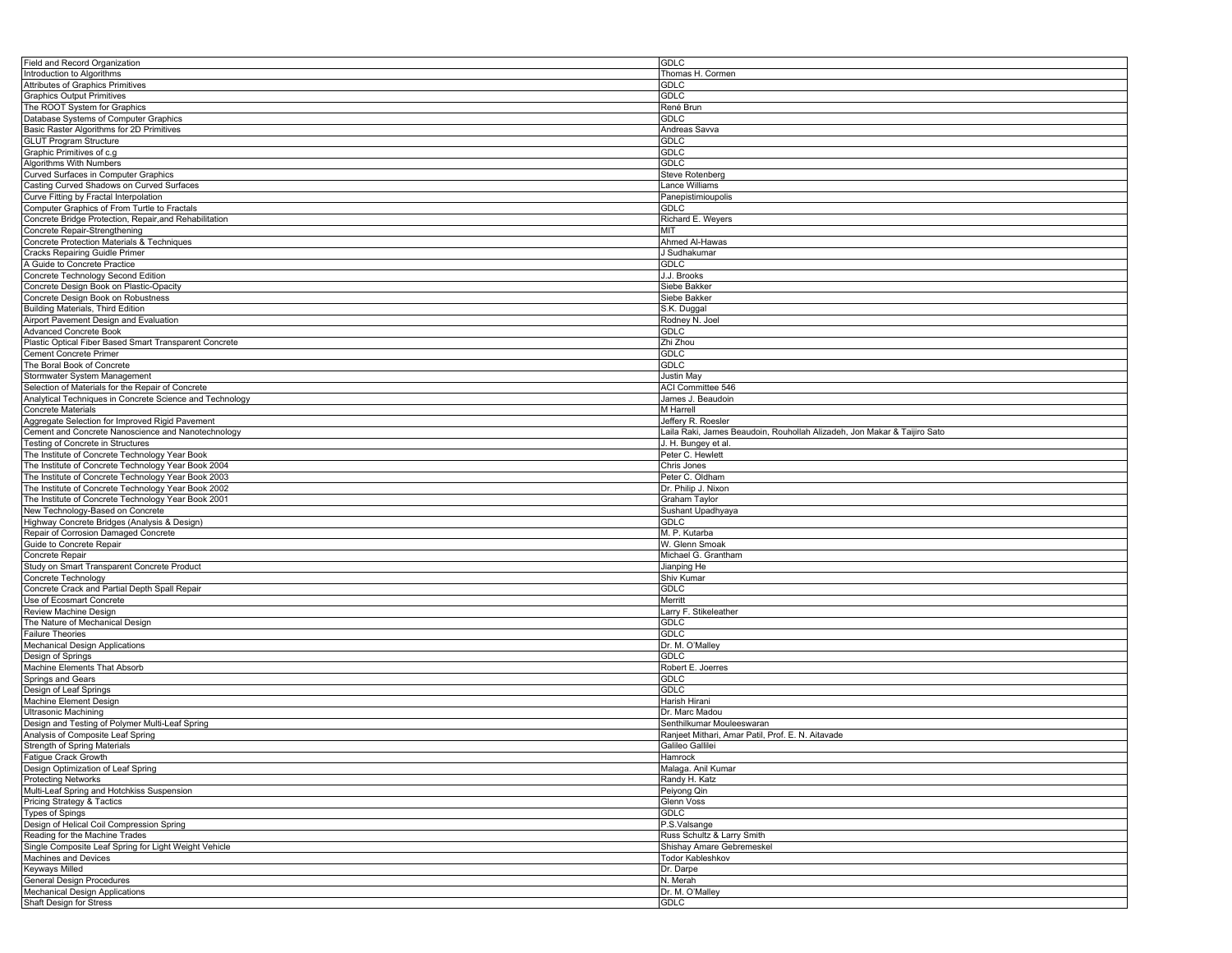| Field and Record Organization                            | <b>GDLC</b>                                                              |
|----------------------------------------------------------|--------------------------------------------------------------------------|
| Introduction to Algorithms                               | Thomas H. Cormen                                                         |
| Attributes of Graphics Primitives                        | GDLC                                                                     |
| <b>Graphics Output Primitives</b>                        | <b>GDLC</b>                                                              |
| The ROOT System for Graphics                             | René Brun                                                                |
|                                                          | <b>GDLC</b>                                                              |
| Database Systems of Computer Graphics                    |                                                                          |
| Basic Raster Algorithms for 2D Primitives                | Andreas Savva                                                            |
| <b>GLUT</b> Program Structure                            | GDLC                                                                     |
| Graphic Primitives of c.g                                | <b>GDLC</b>                                                              |
| Algorithms With Numbers                                  | GDLC                                                                     |
| Curved Surfaces in Computer Graphics                     | <b>Steve Rotenberg</b>                                                   |
| Casting Curved Shadows on Curved Surfaces                | Lance Williams                                                           |
| Curve Fitting by Fractal Interpolation                   | Panepistimioupolis                                                       |
| Computer Graphics of From Turtle to Fractals             | <b>GDLC</b>                                                              |
| Concrete Bridge Protection, Repair, and Rehabilitation   | Richard E. Weyers                                                        |
| Concrete Repair-Strengthening                            | MIT                                                                      |
| Concrete Protection Materials & Techniques               | Ahmed Al-Hawas                                                           |
|                                                          |                                                                          |
| <b>Cracks Repairing Guidle Primer</b>                    | J Sudhakumar                                                             |
| A Guide to Concrete Practice                             | GDLC                                                                     |
| Concrete Technology Second Edition                       | J.J. Brooks                                                              |
| Concrete Design Book on Plastic-Opacity                  | Siebe Bakker                                                             |
| Concrete Design Book on Robustness                       | Siebe Bakker                                                             |
| <b>Building Materials, Third Edition</b>                 | S.K. Duggal                                                              |
| Airport Pavement Design and Evaluation                   | Rodney N. Joel                                                           |
| <b>Advanced Concrete Book</b>                            | <b>GDLC</b>                                                              |
| Plastic Optical Fiber Based Smart Transparent Concrete   | Zhi Zhou                                                                 |
| Cement Concrete Primer                                   | <b>GDLC</b>                                                              |
| The Boral Book of Concrete                               | GDLC                                                                     |
|                                                          |                                                                          |
| Stormwater System Management                             | <b>Justin May</b>                                                        |
| Selection of Materials for the Repair of Concrete        | ACI Committee 546                                                        |
| Analytical Techniques in Concrete Science and Technology | James J. Beaudoin                                                        |
| <b>Concrete Materials</b>                                | M Harrell                                                                |
| Aggregate Selection for Improved Rigid Pavement          | Jeffery R. Roesler                                                       |
| Cement and Concrete Nanoscience and Nanotechnology       | Laila Raki, James Beaudoin, Rouhollah Alizadeh, Jon Makar & Taijiro Sato |
| Testing of Concrete in Structures                        | J. H. Bungey et al                                                       |
| The Institute of Concrete Technology Year Book           | Peter C. Hewlett                                                         |
| The Institute of Concrete Technology Year Book 2004      | Chris Jones                                                              |
| The Institute of Concrete Technology Year Book 2003      | Peter C. Oldham                                                          |
|                                                          |                                                                          |
| The Institute of Concrete Technology Year Book 2002      | Dr. Philip J. Nixon                                                      |
| The Institute of Concrete Technology Year Book 2001      | Graham Taylor                                                            |
| New Technology-Based on Concrete                         | Sushant Upadhyaya                                                        |
| Highway Concrete Bridges (Analysis & Design)             | GDLC                                                                     |
| Repair of Corrosion Damaged Concrete                     | M. P. Kutarba                                                            |
| Guide to Concrete Repair                                 | W. Glenn Smoak                                                           |
| Concrete Repair                                          | Michael G. Grantham                                                      |
| Study on Smart Transparent Concrete Product              | Jianping He                                                              |
| Concrete Technology                                      | Shiv Kumar                                                               |
| Concrete Crack and Partial Depth Spall Repair            | <b>GDLC</b>                                                              |
|                                                          |                                                                          |
| Use of Ecosmart Concrete                                 | Merritt                                                                  |
| Review Machine Design                                    | Larry F. Stikeleather                                                    |
| The Nature of Mechanical Design                          | GDLC                                                                     |
| <b>Failure Theories</b>                                  | <b>GDLC</b>                                                              |
| <b>Mechanical Design Applications</b>                    | Dr. M. O'Malley                                                          |
| Design of Springs                                        | GDLC                                                                     |
| Machine Elements That Absorb                             | Robert E. Joerres                                                        |
| Springs and Gears                                        | GDLC                                                                     |
| Design of Leaf Springs                                   | <b>GDLC</b>                                                              |
| Machine Element Design                                   | Harish Hirani                                                            |
| <b>Ultrasonic Machining</b>                              | Dr. Marc Madou                                                           |
|                                                          |                                                                          |
| Design and Testing of Polymer Multi-Leaf Spring          | Senthilkumar Mouleeswaran                                                |
| Analysis of Composite Leaf Spring                        | Ranjeet Mithari, Amar Patil, Prof. E. N. Aitavade                        |
| Strength of Spring Materials                             | Galileo Gallilei                                                         |
| Fatigue Crack Growth                                     | Hamrock                                                                  |
| Design Optimization of Leaf Spring                       | Malaga. Anil Kumar                                                       |
| <b>Protecting Networks</b>                               | Randy H. Katz                                                            |
| Multi-Leaf Spring and Hotchkiss Suspension               | Peiyong Qin                                                              |
| Pricing Strategy & Tactics                               | Glenn Voss                                                               |
| <b>Types of Spings</b>                                   | <b>GDLC</b>                                                              |
| Design of Helical Coil Compression Spring                | P.S.Valsange                                                             |
| Reading for the Machine Trades                           | Russ Schultz & Larry Smith                                               |
|                                                          |                                                                          |
| Single Composite Leaf Spring for Light Weight Vehicle    | Shishay Amare Gebremeskel                                                |
| Machines and Devices                                     | Todor Kableshkov                                                         |
| <b>Keyways Milled</b>                                    | Dr. Darpe                                                                |
| <b>General Design Procedures</b>                         | N. Merah                                                                 |
| <b>Mechanical Design Applications</b>                    | Dr. M. O'Malley                                                          |
| Shaft Design for Stress                                  | GDLC                                                                     |
|                                                          |                                                                          |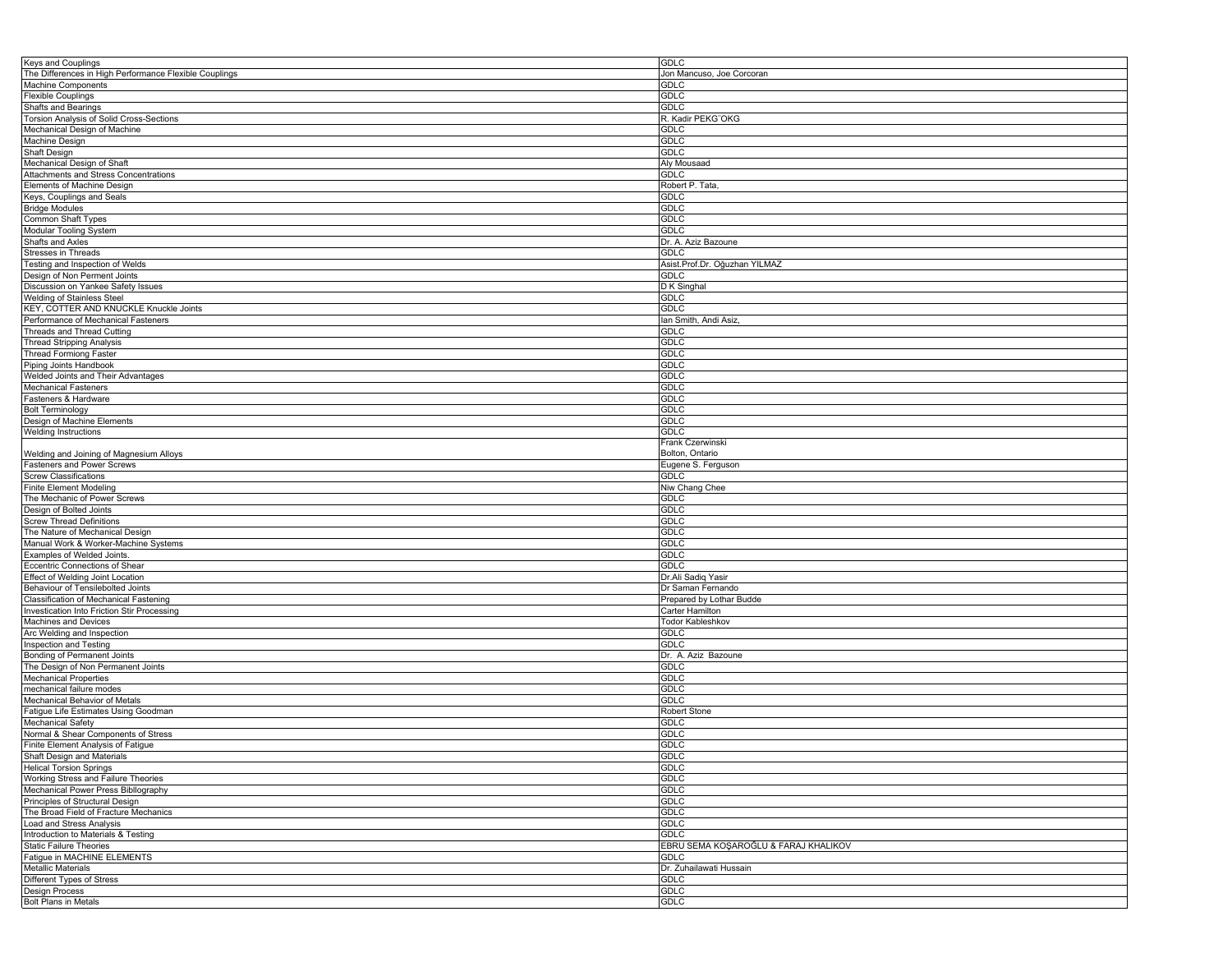| <b>Keys and Couplings</b>                                        | <b>GDLC</b>                          |
|------------------------------------------------------------------|--------------------------------------|
| The Differences in High Performance Flexible Couplings           | Jon Mancuso, Joe Corcoran            |
| Machine Components                                               | GDLC                                 |
| <b>Flexible Couplings</b>                                        | <b>GDLC</b>                          |
| <b>Shafts and Bearings</b>                                       | <b>GDLC</b>                          |
| Torsion Analysis of Solid Cross-Sections                         | R. Kadir PEKG"OKG                    |
| Mechanical Design of Machine                                     | <b>GDLC</b>                          |
| Machine Design                                                   | <b>GDLC</b>                          |
| Shaft Design                                                     | <b>GDLC</b>                          |
|                                                                  |                                      |
| Mechanical Design of Shaft                                       | Aly Mousaad                          |
| Attachments and Stress Concentrations                            | <b>GDLC</b>                          |
| Elements of Machine Design                                       | Robert P. Tata,                      |
| Keys, Couplings and Seals                                        | GDLC                                 |
| <b>Bridge Modules</b>                                            | <b>GDLC</b>                          |
| Common Shaft Types                                               | <b>GDLC</b>                          |
| Modular Tooling System                                           | <b>GDLC</b>                          |
| Shafts and Axles                                                 | Dr. A. Aziz Bazoune                  |
| Stresses in Threads                                              | <b>GDLC</b>                          |
| Testing and Inspection of Welds                                  | Asist.Prof.Dr. Oğuzhan YILMAZ        |
| Design of Non Perment Joints                                     | <b>GDLC</b>                          |
| Discussion on Yankee Safety Issues                               | D K Singhal                          |
| <b>Welding of Stainless Steel</b>                                | <b>GDLC</b>                          |
| KEY, COTTER AND KNUCKLE Knuckle Joints                           | <b>GDLC</b>                          |
| Performance of Mechanical Fasteners                              | lan Smith, Andi Asiz,                |
|                                                                  |                                      |
| Threads and Thread Cutting                                       | <b>GDLC</b>                          |
| <b>Thread Stripping Analysis</b>                                 | <b>GDLC</b>                          |
| <b>Thread Formiong Faster</b>                                    | <b>GDLC</b>                          |
| Piping Joints Handbook                                           | GDLC                                 |
| Welded Joints and Their Advantages                               | <b>GDLC</b>                          |
| <b>Mechanical Fasteners</b>                                      | <b>GDLC</b>                          |
| Fasteners & Hardware                                             | <b>GDLC</b>                          |
| <b>Bolt Terminology</b>                                          | <b>GDLC</b>                          |
| Design of Machine Elements                                       | <b>GDLC</b>                          |
| <b>Welding Instructions</b>                                      | <b>GDLC</b>                          |
|                                                                  | Frank Czerwinski                     |
| Welding and Joining of Magnesium Alloys                          | Bolton, Ontario                      |
| Fasteners and Power Screws                                       | Eugene S. Ferguson                   |
| <b>Screw Classifications</b>                                     | GDLC                                 |
|                                                                  |                                      |
|                                                                  |                                      |
| <b>Finite Element Modeling</b>                                   | Niw Chang Chee                       |
| The Mechanic of Power Screws                                     | <b>GDLC</b>                          |
| Design of Bolted Joints                                          | <b>GDLC</b>                          |
| <b>Screw Thread Definitions</b>                                  | <b>GDLC</b>                          |
| The Nature of Mechanical Design                                  | <b>GDLC</b>                          |
| Manual Work & Worker-Machine Systems                             | <b>GDLC</b>                          |
| Examples of Welded Joints.                                       | <b>GDLC</b>                          |
| Eccentric Connections of Shear                                   | <b>GDLC</b>                          |
| Effect of Welding Joint Location                                 | Dr.Ali Sadiq Yasir                   |
| Behaviour of Tensilebolted Joints                                | Dr Saman Fernando                    |
|                                                                  |                                      |
| Classification of Mechanical Fastening                           | Prepared by Lothar Budde             |
| Investication Into Friction Stir Processing                      | Carter Hamilton                      |
| Machines and Devices                                             | Todor Kableshkov                     |
| Arc Welding and Inspection                                       | <b>GDLC</b>                          |
| Inspection and Testing                                           | GDLC                                 |
| <b>Bonding of Permanent Joints</b>                               | Dr. A. Aziz Bazoune                  |
| The Design of Non Permanent Joints                               | <b>GDLC</b>                          |
| <b>Mechanical Properties</b>                                     | GDLC                                 |
| mechanical failure modes                                         | <b>GDLC</b>                          |
| Mechanical Behavior of Metals                                    | <b>GDLC</b>                          |
| Fatigue Life Estimates Using Goodman                             | Robert Stone                         |
| Mechanical Safety                                                | <b>GDLC</b>                          |
| Normal & Shear Components of Stress                              | <b>GDLC</b>                          |
|                                                                  | <b>GDLC</b>                          |
| Finite Element Analysis of Fatigue<br>Shaft Design and Materials | <b>GDLC</b>                          |
|                                                                  | <b>GDLC</b>                          |
|                                                                  |                                      |
| Working Stress and Failure Theories                              | <b>GDLC</b>                          |
| Mechanical Power Press Bibllography                              | <b>GDLC</b>                          |
| Principles of Structural Design                                  | <b>GDLC</b>                          |
| The Broad Field of Fracture Mechanics                            | <b>GDLC</b>                          |
| Load and Stress Analysis                                         | <b>GDLC</b>                          |
| Introduction to Materials & Testing                              | <b>GDLC</b>                          |
| <b>Static Failure Theories</b>                                   | EBRU SEMA KOŞAROĞLU & FARAJ KHALIKOV |
| Fatigue in MACHINE ELEMENTS                                      | <b>GDLC</b>                          |
| <b>Metallic Materials</b>                                        | Dr. Zuhailawati Hussain              |
| <b>Helical Torsion Springs</b><br>Different Types of Stress      | <b>GDLC</b>                          |
| Design Process<br><b>Bolt Plans in Metals</b>                    | <b>GDLC</b><br><b>GDLC</b>           |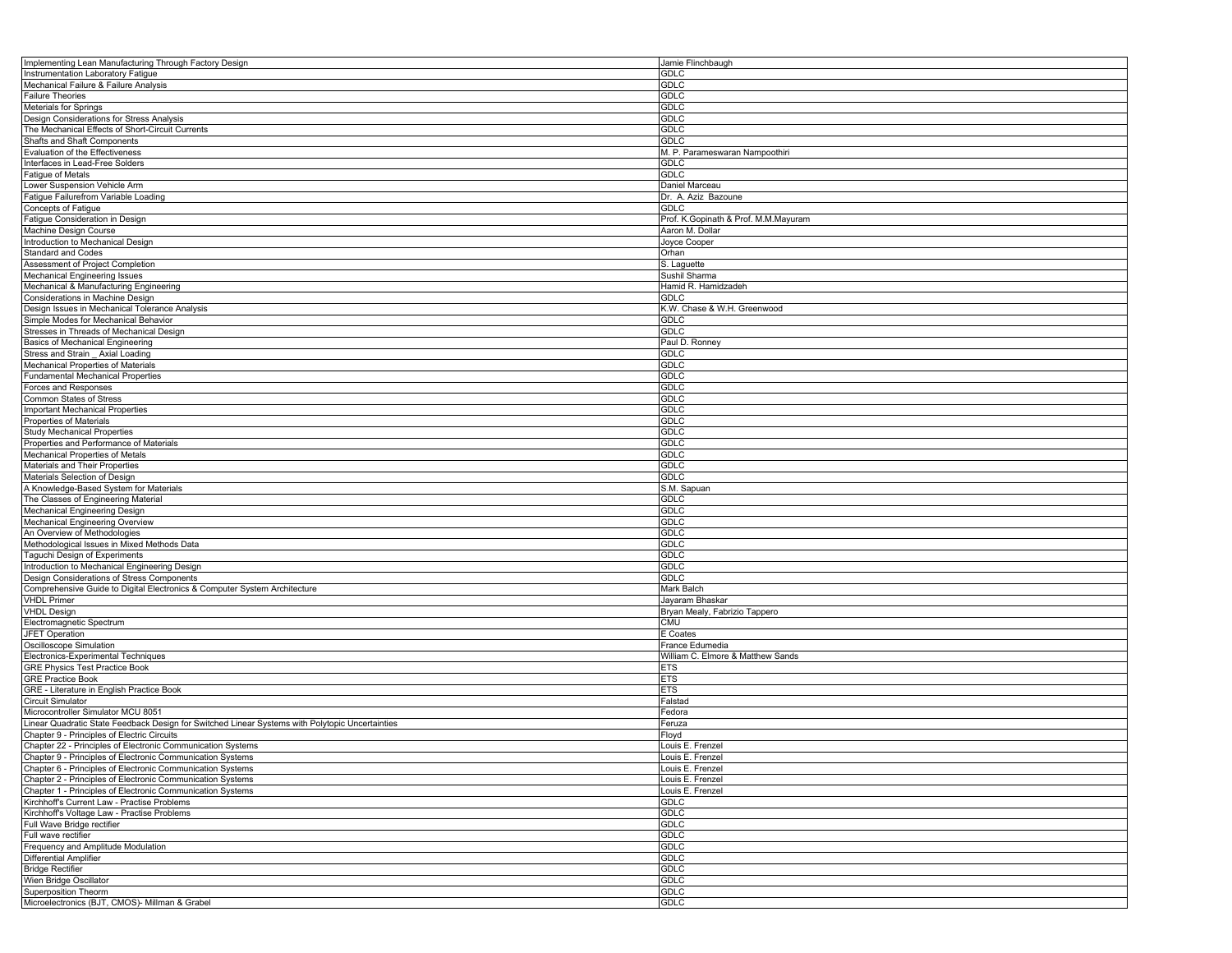| Implementing Lean Manufacturing Through Factory Design                                                                   | Jamie Flinchbaugh                    |
|--------------------------------------------------------------------------------------------------------------------------|--------------------------------------|
| Instrumentation Laboratory Fatigue                                                                                       | <b>GDLC</b>                          |
| Mechanical Failure & Failure Analysis                                                                                    | GDLC                                 |
| <b>Failure Theories</b>                                                                                                  | GDLC                                 |
| Meterials for Springs                                                                                                    | <b>GDLC</b>                          |
| Design Considerations for Stress Analysis                                                                                | <b>GDLC</b>                          |
| The Mechanical Effects of Short-Circuit Currents                                                                         | <b>GDLC</b>                          |
| Shafts and Shaft Components                                                                                              | GDLC                                 |
| Evaluation of the Effectiveness                                                                                          | M. P. Parameswaran Nampoothiri       |
| Interfaces in Lead-Free Solders<br>Fatigue of Metals                                                                     | <b>GDLC</b>                          |
|                                                                                                                          | <b>GDLC</b><br>Daniel Marceau        |
| Lower Suspension Vehicle Arm<br>Fatigue Failurefrom Variable Loading                                                     | Dr. A. Aziz Bazoune                  |
| Concepts of Fatigue                                                                                                      | <b>GDLC</b>                          |
| Fatigue Consideration in Design                                                                                          | Prof. K.Gopinath & Prof. M.M.Mayuram |
| Machine Design Course                                                                                                    | Aaron M. Dollar                      |
| Introduction to Mechanical Design                                                                                        | Joyce Cooper                         |
| <b>Standard and Codes</b>                                                                                                | Orhan                                |
| Assessment of Project Completion                                                                                         | S. Laguette                          |
| Mechanical Engineering Issues                                                                                            | Sushil Sharma                        |
| Mechanical & Manufacturing Engineering                                                                                   | Hamid R. Hamidzadeh                  |
| Considerations in Machine Design                                                                                         | GDLC                                 |
| Design Issues in Mechanical Tolerance Analysis                                                                           | K.W. Chase & W.H. Greenwood          |
| Simple Modes for Mechanical Behavior                                                                                     | GDLC                                 |
| Stresses in Threads of Mechanical Design                                                                                 | <b>GDLC</b>                          |
| Basics of Mechanical Engineering                                                                                         | Paul D. Ronney                       |
| Stress and Strain Axial Loading                                                                                          | <b>GDLC</b>                          |
| Mechanical Properties of Materials                                                                                       | GDLC                                 |
| <b>Fundamental Mechanical Properties</b>                                                                                 | <b>GDLC</b>                          |
| Forces and Responses                                                                                                     | <b>GDLC</b>                          |
| Common States of Stress                                                                                                  | <b>GDLC</b>                          |
| <b>Important Mechanical Properties</b>                                                                                   | <b>GDLC</b>                          |
| Properties of Materials<br><b>Study Mechanical Properties</b>                                                            | GDLC<br><b>GDLC</b>                  |
| Properties and Performance of Materials                                                                                  | <b>GDLC</b>                          |
| Mechanical Properties of Metals                                                                                          | <b>GDLC</b>                          |
| Materials and Their Properties                                                                                           | <b>GDLC</b>                          |
| Materials Selection of Design                                                                                            | GDLC                                 |
| A Knowledge-Based System for Materials                                                                                   | S.M. Sapuan                          |
| The Classes of Engineering Material                                                                                      | <b>GDLC</b>                          |
| Mechanical Engineering Design                                                                                            | <b>GDLC</b>                          |
| Mechanical Engineering Overview                                                                                          | <b>GDLC</b>                          |
| An Overview of Methodologies                                                                                             | GDLC                                 |
| Methodological Issues in Mixed Methods Data                                                                              | GDLC                                 |
| Taguchi Design of Experiments                                                                                            | <b>GDLC</b>                          |
| Introduction to Mechanical Engineering Design                                                                            | <b>GDLC</b>                          |
| Design Considerations of Stress Components                                                                               | <b>GDLC</b>                          |
| Comprehensive Guide to Digital Electronics & Computer System Architecture<br><b>VHDL Primer</b>                          | Mark Balch<br>Jayaram Bhaskar        |
| <b>VHDL Design</b>                                                                                                       | Bryan Mealy, Fabrizio Tappero        |
| Electromagnetic Spectrum                                                                                                 | <b>CMU</b>                           |
| <b>JFET Operation</b>                                                                                                    | E Coates                             |
| Oscilloscope Simulation                                                                                                  | France Edumedia                      |
| Electronics-Experimental Techniques                                                                                      | William C. Elmore & Matthew Sands    |
| <b>GRE Physics Test Practice Book</b>                                                                                    | <b>ETS</b>                           |
| <b>GRE Practice Book</b>                                                                                                 | <b>ETS</b>                           |
| GRE - Literature in English Practice Book                                                                                | <b>ETS</b>                           |
| Circuit Simulator                                                                                                        | Falstad                              |
| Microcontroller Simulator MCU 8051                                                                                       | Fedora                               |
| Linear Quadratic State Feedback Design for Switched Linear Systems with Polytopic Uncertainties                          | Feruza                               |
| Chapter 9 - Principles of Electric Circuits                                                                              | Floyd                                |
| Chapter 22 - Principles of Electronic Communication Systems                                                              | Louis E. Frenzel                     |
| Chapter 9 - Principles of Electronic Communication Systems                                                               | Louis E. Frenzel                     |
| Chapter 6 - Principles of Electronic Communication Systems<br>Chapter 2 - Principles of Electronic Communication Systems | Louis E. Frenzel                     |
| Chapter 1 - Principles of Electronic Communication Systems                                                               | Louis E. Frenzel                     |
| Kirchhoff's Current Law - Practise Problems                                                                              | Louis E. Frenzel<br>GDLC             |
| Kirchhoff's Voltage Law - Practise Problems                                                                              | <b>GDLC</b>                          |
| Full Wave Bridge rectifier                                                                                               | <b>GDLC</b>                          |
| Full wave rectifier                                                                                                      | <b>GDLC</b>                          |
| Frequency and Amplitude Modulation                                                                                       | <b>GDLC</b>                          |
| Differential Amplifier                                                                                                   | <b>GDLC</b>                          |
| <b>Bridge Rectifier</b>                                                                                                  | <b>GDLC</b>                          |
| Wien Bridge Oscillator                                                                                                   | <b>GDLC</b>                          |
| Superposition Theorm                                                                                                     | <b>GDLC</b>                          |
| Microelectronics (BJT, CMOS)- Millman & Grabel                                                                           | <b>GDLC</b>                          |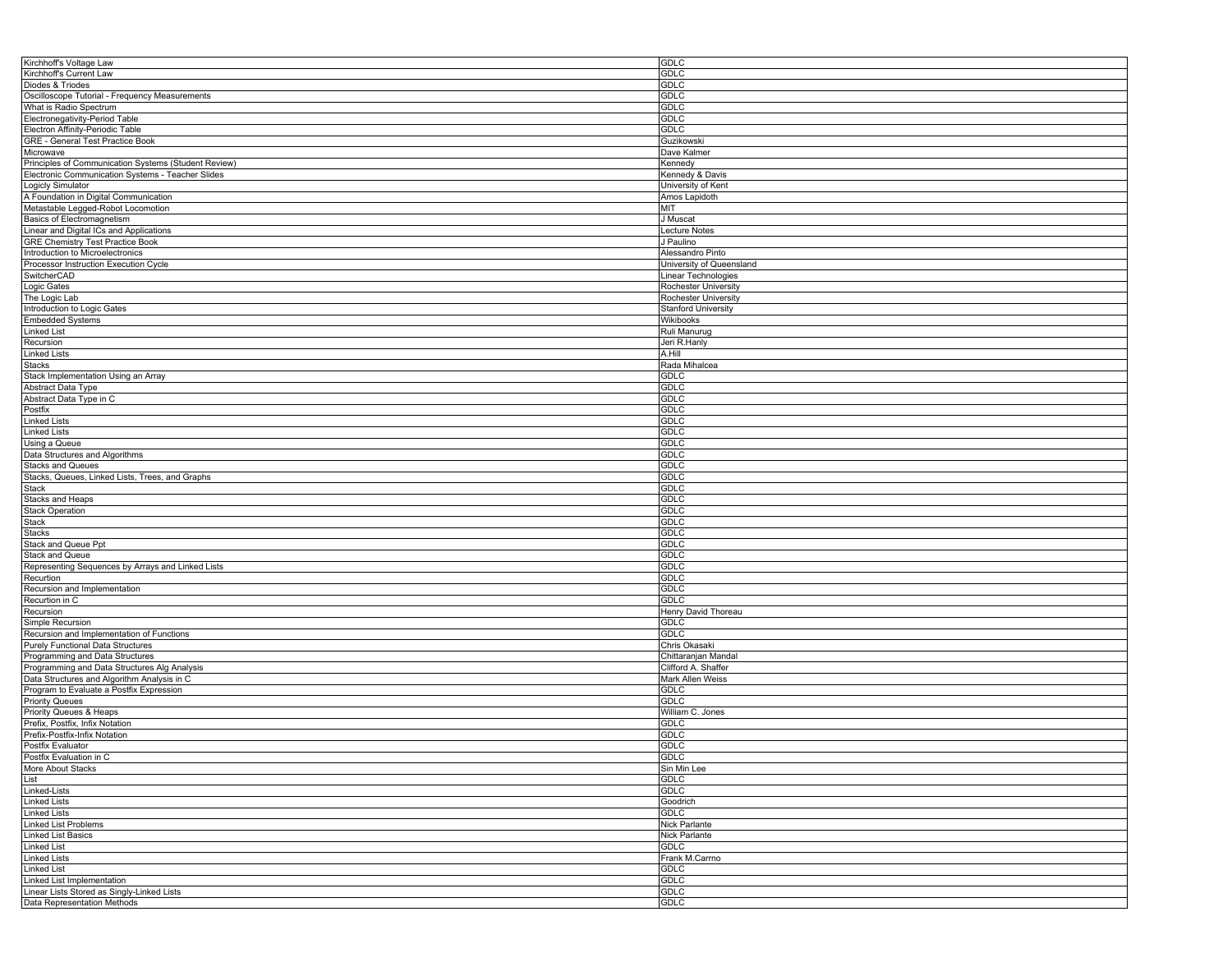| Kirchhoff's Voltage Law                              | GDLC                       |
|------------------------------------------------------|----------------------------|
| Kirchhoff's Current Law                              | GDLC                       |
| Diodes & Triodes                                     | GDLC                       |
| Oscilloscope Tutorial - Frequency Measurements       | <b>GDLC</b>                |
| What is Radio Spectrum                               | <b>GDLC</b>                |
| Electronegativity-Period Table                       | GDLC                       |
| Electron Affinity-Periodic Table                     | GDLC                       |
| GRE - General Test Practice Book                     | Guzikowski                 |
| Microwave                                            | Dave Kalmer                |
| Principles of Communication Systems (Student Review) | Kennedy                    |
|                                                      |                            |
| Electronic Communication Systems - Teacher Slides    | Kennedy & Davis            |
| Logicly Simulator                                    | University of Kent         |
| A Foundation in Digital Communication                | Amos Lapidoth              |
| Metastable Legged-Robot Locomotion                   | MIT                        |
| <b>Basics of Electromagnetism</b>                    | J Muscat                   |
| Linear and Digital ICs and Applications              | Lecture Notes              |
| <b>GRE Chemistry Test Practice Book</b>              | J Paulino                  |
| Introduction to Microelectronics                     | Alessandro Pinto           |
| Processor Instruction Execution Cycle                | University of Queensland   |
| SwitcherCAD                                          | Linear Technologies        |
| Logic Gates                                          | Rochester University       |
| The Logic Lab                                        | Rochester University       |
| Introduction to Logic Gates                          | <b>Stanford University</b> |
| <b>Embedded Systems</b>                              | Wikibooks                  |
| <b>Linked List</b>                                   | Ruli Manurug               |
| Recursion                                            | Jeri R.Hanly               |
| <b>Linked Lists</b>                                  | A.Hill                     |
| Stacks                                               | Rada Mihalcea              |
| Stack Implementation Using an Array                  | GDLC                       |
| Abstract Data Type                                   | <b>GDLC</b>                |
| Abstract Data Type in C                              | GDLC                       |
|                                                      | GDLC                       |
| Postfix                                              |                            |
| <b>Linked Lists</b>                                  | GDLC                       |
| <b>Linked Lists</b>                                  | <b>GDLC</b>                |
| Using a Queue                                        | <b>GDLC</b>                |
| Data Structures and Algorithms                       | GDLC                       |
| <b>Stacks and Queues</b>                             | GDLC                       |
| Stacks, Queues, Linked Lists, Trees, and Graphs      | GDLC                       |
| Stack                                                | <b>GDLC</b>                |
| <b>Stacks and Heaps</b>                              | <b>GDLC</b>                |
| <b>Stack Operation</b>                               | GDLC                       |
| Stack                                                | GDLC                       |
| Stacks                                               | GDLC                       |
| Stack and Queue Ppt                                  | <b>GDLC</b>                |
| Stack and Queue                                      | <b>GDLC</b>                |
| Representing Sequences by Arrays and Linked Lists    | GDLC                       |
| Recurtion                                            | GDLC                       |
| Recursion and Implementation                         | GDLC                       |
| Recurtion in C                                       | <b>GDLC</b>                |
| Recursion                                            | Henry David Thoreau        |
| Simple Recursion                                     | GDLC                       |
| Recursion and Implementation of Functions            | GDLC                       |
| <b>Purely Functional Data Structures</b>             | Chris Okasaki              |
| Programming and Data Structures                      | Chittaranjan Mandal        |
| Programming and Data Structures Alg Analysis         | Clifford A. Shaffer        |
| Data Structures and Algorithm Analysis in C          | Mark Allen Weiss           |
|                                                      | GDLC                       |
| Program to Evaluate a Postfix Expression             |                            |
| <b>Priority Queues</b>                               | GDLC                       |
| Priority Queues & Heaps                              | William C. Jones           |
| Prefix, Postfix, Infix Notation                      | GDLC                       |
| Prefix-Postfix-Infix Notation                        | GDLC                       |
| Postfix Evaluator                                    | GDLC                       |
| Postfix Evaluation in C                              | <b>GDLC</b>                |
| More About Stacks                                    | Sin Min Lee                |
| List                                                 | <b>GDLC</b>                |
| Linked-Lists                                         | GDLC                       |
| <b>Linked Lists</b>                                  | Goodrich                   |
| <b>Linked Lists</b>                                  | <b>GDLC</b>                |
| <b>Linked List Problems</b>                          | Nick Parlante              |
| <b>Linked List Basics</b>                            | Nick Parlante              |
| <b>Linked List</b>                                   | <b>GDLC</b>                |
| <b>Linked Lists</b>                                  | Frank M.Carrno             |
| Linked List                                          | GDLC                       |
| Linked List Implementation                           | <b>GDLC</b>                |
| Linear Lists Stored as Singly-Linked Lists           | <b>GDLC</b>                |
| Data Representation Methods                          | GDLC                       |
|                                                      |                            |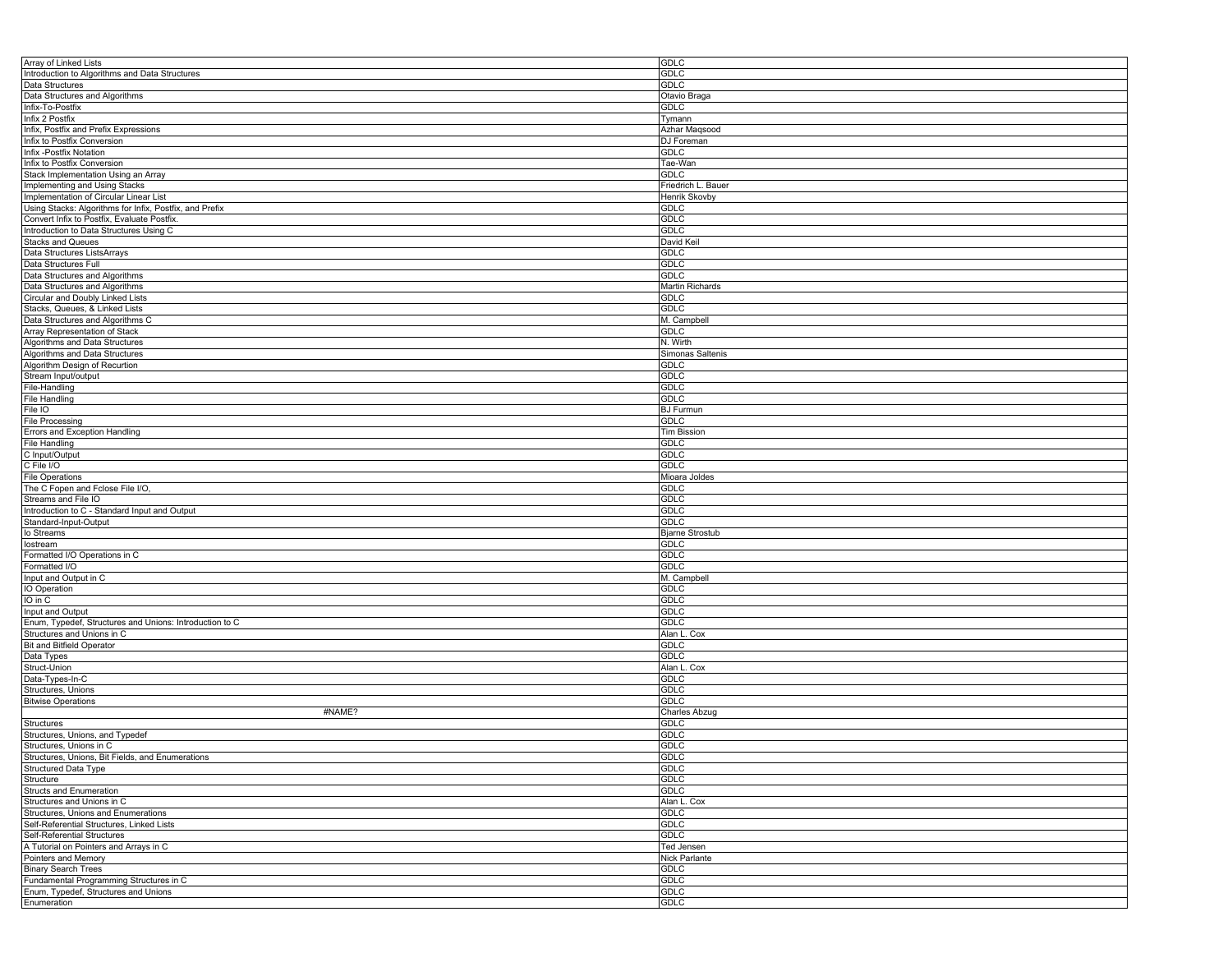| Array of Linked Lists                                   | <b>GDLC</b>                |
|---------------------------------------------------------|----------------------------|
| Introduction to Algorithms and Data Structures          | <b>GDLC</b>                |
| Data Structures                                         | <b>GDLC</b>                |
| Data Structures and Algorithms                          | Otavio Braga               |
| Infix-To-Postfix                                        | GDLC                       |
| Infix 2 Postfix                                         | Tymann                     |
| Infix, Postfix and Prefix Expressions                   | Azhar Maqsood              |
| Infix to Postfix Conversion                             | DJ Foreman                 |
| Infix - Postfix Notation                                | <b>GDLC</b>                |
| Infix to Postfix Conversion                             | Tae-Wan                    |
| Stack Implementation Using an Array                     | <b>GDLC</b>                |
| Implementing and Using Stacks                           | Friedrich L. Bauer         |
| Implementation of Circular Linear List                  | Henrik Skovby              |
| Using Stacks: Algorithms for Infix, Postfix, and Prefix | <b>GDLC</b>                |
| Convert Infix to Postfix, Evaluate Postfix.             | <b>GDLC</b>                |
| Introduction to Data Structures Using C                 | GDLC                       |
| <b>Stacks and Queues</b>                                | David Keil                 |
| Data Structures ListsArrays                             | <b>GDLC</b>                |
| Data Structures Full                                    | <b>GDLC</b>                |
| Data Structures and Algorithms                          | <b>GDLC</b>                |
| Data Structures and Algorithms                          | Martin Richards            |
| Circular and Doubly Linked Lists                        | <b>GDLC</b>                |
| Stacks, Queues, & Linked Lists                          | <b>GDLC</b>                |
| Data Structures and Algorithms C                        | M. Campbell                |
| Array Representation of Stack                           | <b>GDLC</b>                |
| Algorithms and Data Structures                          | $\overline{N}$ . Wirth     |
| Algorithms and Data Structures                          | Simonas Saltenis           |
| Algorithm Design of Recurtion                           | <b>GDLC</b>                |
| Stream Input/output                                     | <b>GDLC</b>                |
| File-Handling                                           | <b>GDLC</b>                |
| <b>File Handling</b>                                    | GDLC                       |
| File IO                                                 | <b>BJ Furmun</b>           |
| <b>File Processing</b>                                  | <b>GDLC</b>                |
| Errors and Exception Handling                           | <b>Tim Bission</b>         |
| <b>File Handling</b>                                    | <b>GDLC</b>                |
| C Input/Output                                          | GDLC                       |
| C File I/O                                              | <b>GDLC</b>                |
| <b>File Operations</b>                                  | Mioara Joldes              |
| The C Fopen and Fclose File I/O,                        | <b>GDLC</b>                |
| Streams and File IO                                     | <b>GDLC</b>                |
| Introduction to C - Standard Input and Output           | GDLC                       |
|                                                         | <b>GDLC</b>                |
| Standard-Input-Output                                   |                            |
| lo Streams                                              | <b>Bjarne Strostub</b>     |
| lostream<br>Formatted I/O Operations in C               | <b>GDLC</b><br><b>GDLC</b> |
|                                                         |                            |
| Formatted I/O                                           | GDLC                       |
| Input and Output in C                                   | M. Campbell                |
| IO Operation                                            | <b>GDLC</b>                |
| IO in C                                                 | <b>GDLC</b>                |
| Input and Output                                        | <b>GDLC</b>                |
| Enum, Typedef, Structures and Unions: Introduction to C | GDLC                       |
| Structures and Unions in C                              | Alan L. Cox                |
| <b>Bit and Bitfield Operator</b>                        | <b>GDLC</b>                |
| Data Types                                              | <b>GDLC</b>                |
| Struct-Union                                            | Alan L. Cox                |
| Data-Types-In-C                                         | GDLC                       |
| Structures, Unions                                      | <b>GDLC</b>                |
| <b>Bitwise Operations</b>                               | <b>GDLC</b>                |
| #NAME?                                                  | Charles Abzug              |
| Structures                                              | GDLC                       |
| Structures, Unions, and Typedef                         | GDLC                       |
| Structures, Unions in C                                 | <b>GDLC</b>                |
| Structures, Unions, Bit Fields, and Enumerations        | <b>GDLC</b>                |
| <b>Structured Data Type</b>                             | GDLC                       |
| Structure                                               | <b>GDLC</b>                |
| Structs and Enumeration                                 | <b>GDLC</b>                |
| Structures and Unions in C                              | Alan L. Cox                |
| Structures, Unions and Enumerations                     | <b>GDLC</b>                |
| Self-Referential Structures, Linked Lists               | <b>GDLC</b>                |
| Self-Referential Structures                             | <b>GDLC</b>                |
| A Tutorial on Pointers and Arrays in C                  | <b>Ted Jensen</b>          |
| Pointers and Memory                                     | Nick Parlante              |
| <b>Binary Search Trees</b>                              | GDLC                       |
| Fundamental Programming Structures in C                 | <b>GDLC</b>                |
| Enum, Typedef, Structures and Unions                    | <b>GDLC</b>                |
| Enumeration                                             | <b>GDLC</b>                |
|                                                         |                            |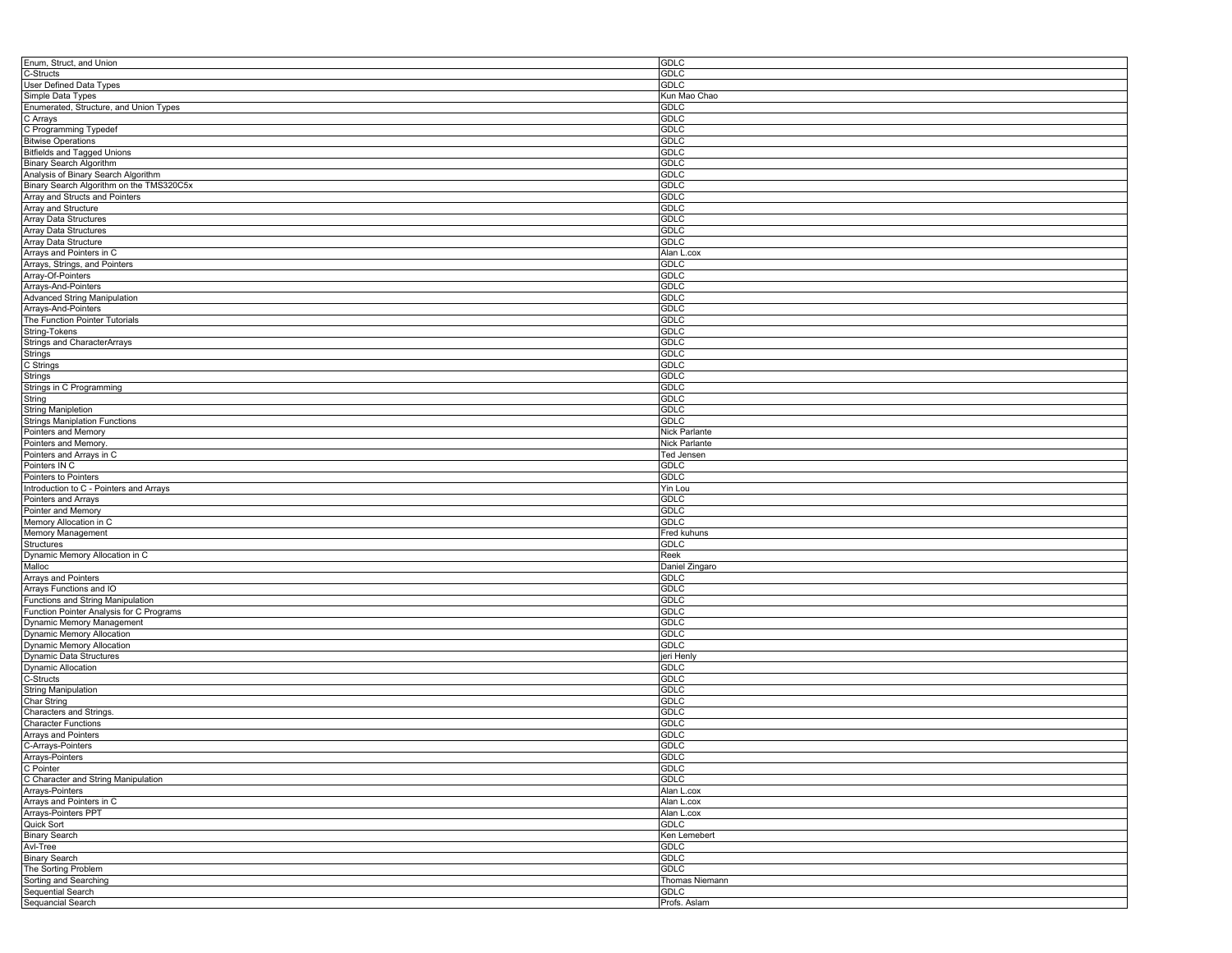| Enum, Struct, and Union                  | <b>GDLC</b>          |
|------------------------------------------|----------------------|
| C-Structs                                | <b>GDLC</b>          |
| User Defined Data Types                  | <b>GDLC</b>          |
| Simple Data Types                        | Kun Mao Chao         |
| Enumerated, Structure, and Union Types   | <b>GDLC</b>          |
| C Arrays                                 | <b>GDLC</b>          |
|                                          | <b>GDLC</b>          |
| C Programming Typedef                    |                      |
| <b>Bitwise Operations</b>                | <b>GDLC</b>          |
| <b>Bitfields and Tagged Unions</b>       | <b>GDLC</b>          |
| Binary Search Algorithm                  | GDLC                 |
| Analysis of Binary Search Algorithm      | <b>GDLC</b>          |
| Binary Search Algorithm on the TMS320C5x | <b>GDLC</b>          |
| Array and Structs and Pointers           | <b>GDLC</b>          |
| Array and Structure                      | <b>GDLC</b>          |
| Array Data Structures                    | <b>GDLC</b>          |
| Array Data Structures                    | <b>GDLC</b>          |
| Array Data Structure                     | <b>GDLC</b>          |
| Arrays and Pointers in C                 | Alan L.cox           |
| Arrays, Strings, and Pointers            | <b>GDLC</b>          |
|                                          | <b>GDLC</b>          |
| Array-Of-Pointers                        |                      |
| Arrays-And-Pointers                      | <b>GDLC</b>          |
| <b>Advanced String Manipulation</b>      | <b>GDLC</b>          |
| Arrays-And-Pointers                      | <b>GDLC</b>          |
| The Function Pointer Tutorials           | <b>GDLC</b>          |
| String-Tokens                            | GDLC                 |
| Strings and CharacterArrays              | <b>GDLC</b>          |
| Strings                                  | <b>GDLC</b>          |
| C Strings                                | <b>GDLC</b>          |
| Strings                                  | <b>GDLC</b>          |
| Strings in C Programming                 | GDLC                 |
| String                                   | <b>GDLC</b>          |
|                                          | <b>GDLC</b>          |
| <b>String Manipletion</b>                |                      |
| <b>Strings Maniplation Functions</b>     | <b>GDLC</b>          |
| Pointers and Memory                      | Nick Parlante        |
| Pointers and Memory                      | Nick Parlante        |
| Pointers and Arrays in C                 | Ted Jensen           |
| Pointers IN C                            | <b>GDLC</b>          |
| Pointers to Pointers                     | <b>GDLC</b>          |
| Introduction to C - Pointers and Arrays  | Yin Lou              |
| Pointers and Arrays                      | <b>GDLC</b>          |
| Pointer and Memory                       | <b>GDLC</b>          |
| Memory Allocation in C                   | <b>GDLC</b>          |
| Memory Management                        | Fred kuhuns          |
| Structures                               | <b>GDLC</b>          |
| Dynamic Memory Allocation in C           | Reek                 |
|                                          |                      |
| Malloc                                   | Daniel Zingaro       |
| Arrays and Pointers                      | <b>GDLC</b>          |
| Arrays Functions and IO                  | <b>GDLC</b>          |
| Functions and String Manipulation        | <b>GDLC</b>          |
| Function Pointer Analysis for C Programs | GDLC                 |
| Dynamic Memory Management                | <b>GDLC</b>          |
| <b>Dynamic Memory Allocation</b>         | <b>GDLC</b>          |
| Dynamic Memory Allocation                | <b>GDLC</b>          |
| Dynamic Data Structures                  | jeri Henly           |
| <b>Dynamic Allocation</b>                | <b>GDLC</b>          |
| C-Structs                                | <b>GDLC</b>          |
| <b>String Manipulation</b>               | <b>GDLC</b>          |
|                                          | <b>GDLC</b>          |
| Char String                              |                      |
| Characters and Strings.                  | <b>GDLC</b>          |
| Character Functions                      | <b>GDLC</b>          |
| Arrays and Pointers                      | <b>GDLC</b>          |
| C-Arrays-Pointers                        | <b>GDLC</b>          |
| Arrays-Pointers                          | GDLC                 |
| C Pointer                                | GDLC                 |
| C Character and String Manipulation      | GDLC                 |
| Arrays-Pointers                          | Alan L.cox           |
| Arrays and Pointers in C                 | Alan L.cox           |
| Arrays-Pointers PPT                      | Alan L.cox           |
| Quick Sort                               | <b>GDLC</b>          |
| <b>Binary Search</b>                     | Ken Lemebert         |
|                                          |                      |
| Avl-Tree                                 | <b>GDLC</b>          |
| <b>Binary Search</b>                     | <b>GDLC</b>          |
| The Sorting Problem                      | <b>GDLC</b>          |
| Sorting and Searching                    | Thomas Niemann       |
|                                          |                      |
| Sequential Search<br>Sequancial Search   | GDLC<br>Profs. Aslam |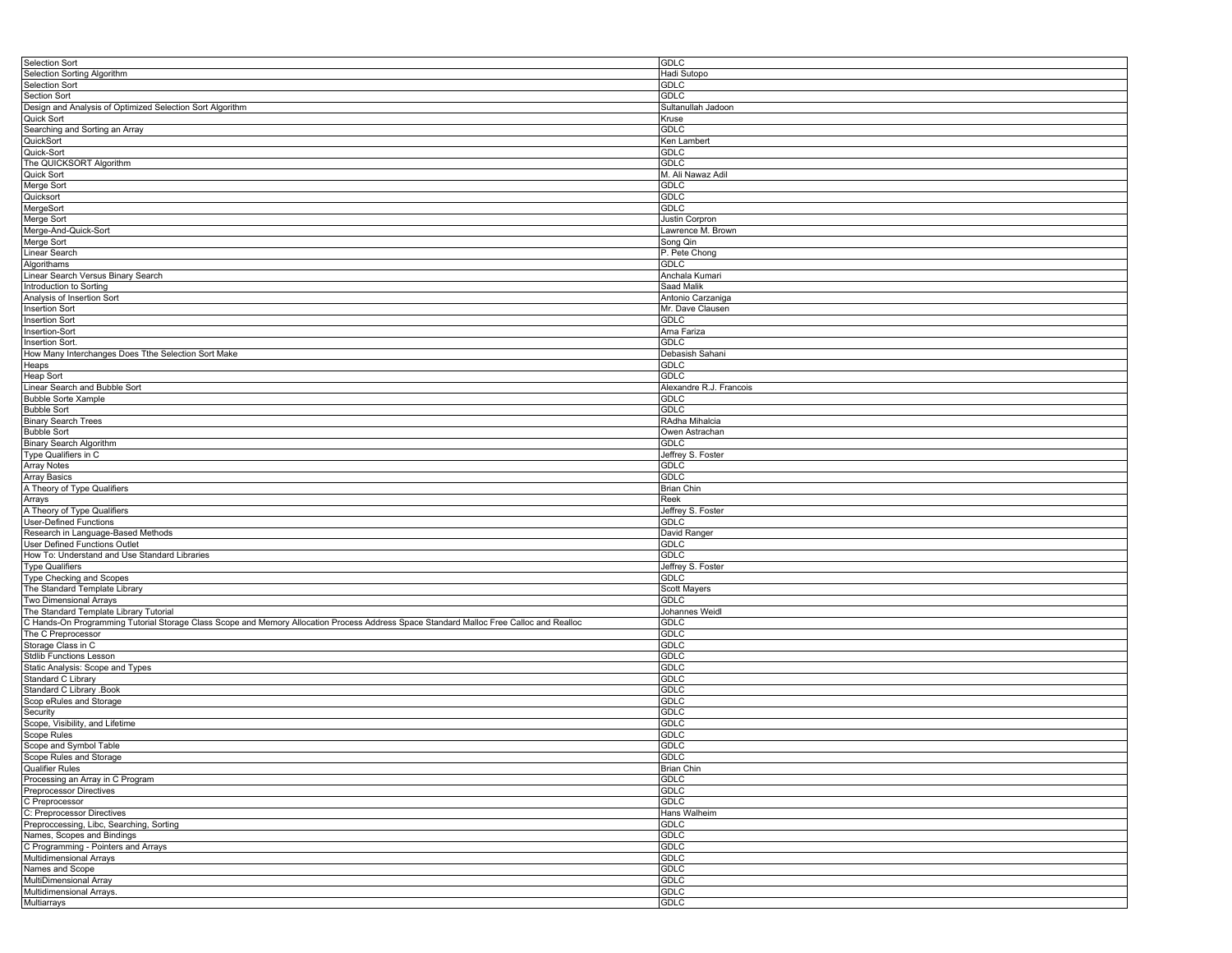| <b>GDLC</b><br>Hadi Sutopo<br><b>GDLC</b><br><b>GDLC</b><br>Sultanullah Jadoon<br>Kruse<br><b>GDLC</b><br>Ken Lambert<br><b>GDLC</b><br><b>GDLC</b><br>M. Ali Nawaz Adil<br><b>GDLC</b><br><b>GDLC</b><br><b>GDLC</b><br>Justin Corpron<br>Lawrence M. Brown<br>Song Qin<br>P. Pete Chong<br><b>GDLC</b><br>Anchala Kumari<br>Saad Malik<br>Antonio Carzaniga<br>Mr. Dave Clausen<br><b>GDLC</b><br>Arna Fariza<br><b>GDLC</b><br>Debasish Sahani<br><b>GDLC</b><br><b>GDLC</b><br>Alexandre R.J. Francois<br><b>GDLC</b> |
|---------------------------------------------------------------------------------------------------------------------------------------------------------------------------------------------------------------------------------------------------------------------------------------------------------------------------------------------------------------------------------------------------------------------------------------------------------------------------------------------------------------------------|
|                                                                                                                                                                                                                                                                                                                                                                                                                                                                                                                           |
|                                                                                                                                                                                                                                                                                                                                                                                                                                                                                                                           |
|                                                                                                                                                                                                                                                                                                                                                                                                                                                                                                                           |
|                                                                                                                                                                                                                                                                                                                                                                                                                                                                                                                           |
|                                                                                                                                                                                                                                                                                                                                                                                                                                                                                                                           |
|                                                                                                                                                                                                                                                                                                                                                                                                                                                                                                                           |
|                                                                                                                                                                                                                                                                                                                                                                                                                                                                                                                           |
|                                                                                                                                                                                                                                                                                                                                                                                                                                                                                                                           |
|                                                                                                                                                                                                                                                                                                                                                                                                                                                                                                                           |
|                                                                                                                                                                                                                                                                                                                                                                                                                                                                                                                           |
|                                                                                                                                                                                                                                                                                                                                                                                                                                                                                                                           |
|                                                                                                                                                                                                                                                                                                                                                                                                                                                                                                                           |
|                                                                                                                                                                                                                                                                                                                                                                                                                                                                                                                           |
|                                                                                                                                                                                                                                                                                                                                                                                                                                                                                                                           |
|                                                                                                                                                                                                                                                                                                                                                                                                                                                                                                                           |
|                                                                                                                                                                                                                                                                                                                                                                                                                                                                                                                           |
|                                                                                                                                                                                                                                                                                                                                                                                                                                                                                                                           |
|                                                                                                                                                                                                                                                                                                                                                                                                                                                                                                                           |
|                                                                                                                                                                                                                                                                                                                                                                                                                                                                                                                           |
|                                                                                                                                                                                                                                                                                                                                                                                                                                                                                                                           |
|                                                                                                                                                                                                                                                                                                                                                                                                                                                                                                                           |
|                                                                                                                                                                                                                                                                                                                                                                                                                                                                                                                           |
|                                                                                                                                                                                                                                                                                                                                                                                                                                                                                                                           |
|                                                                                                                                                                                                                                                                                                                                                                                                                                                                                                                           |
|                                                                                                                                                                                                                                                                                                                                                                                                                                                                                                                           |
|                                                                                                                                                                                                                                                                                                                                                                                                                                                                                                                           |
|                                                                                                                                                                                                                                                                                                                                                                                                                                                                                                                           |
|                                                                                                                                                                                                                                                                                                                                                                                                                                                                                                                           |
|                                                                                                                                                                                                                                                                                                                                                                                                                                                                                                                           |
|                                                                                                                                                                                                                                                                                                                                                                                                                                                                                                                           |
|                                                                                                                                                                                                                                                                                                                                                                                                                                                                                                                           |
|                                                                                                                                                                                                                                                                                                                                                                                                                                                                                                                           |
|                                                                                                                                                                                                                                                                                                                                                                                                                                                                                                                           |
|                                                                                                                                                                                                                                                                                                                                                                                                                                                                                                                           |
| <b>GDLC</b>                                                                                                                                                                                                                                                                                                                                                                                                                                                                                                               |
| RAdha Mihalcia                                                                                                                                                                                                                                                                                                                                                                                                                                                                                                            |
| Owen Astrachan                                                                                                                                                                                                                                                                                                                                                                                                                                                                                                            |
| <b>GDLC</b>                                                                                                                                                                                                                                                                                                                                                                                                                                                                                                               |
| Jeffrey S. Foster                                                                                                                                                                                                                                                                                                                                                                                                                                                                                                         |
| <b>GDLC</b>                                                                                                                                                                                                                                                                                                                                                                                                                                                                                                               |
| <b>GDLC</b>                                                                                                                                                                                                                                                                                                                                                                                                                                                                                                               |
| <b>Brian Chin</b>                                                                                                                                                                                                                                                                                                                                                                                                                                                                                                         |
|                                                                                                                                                                                                                                                                                                                                                                                                                                                                                                                           |
| Jeffrey S. Foster                                                                                                                                                                                                                                                                                                                                                                                                                                                                                                         |
|                                                                                                                                                                                                                                                                                                                                                                                                                                                                                                                           |
| David Ranger                                                                                                                                                                                                                                                                                                                                                                                                                                                                                                              |
|                                                                                                                                                                                                                                                                                                                                                                                                                                                                                                                           |
|                                                                                                                                                                                                                                                                                                                                                                                                                                                                                                                           |
|                                                                                                                                                                                                                                                                                                                                                                                                                                                                                                                           |
| Jeffrey S. Foster                                                                                                                                                                                                                                                                                                                                                                                                                                                                                                         |
|                                                                                                                                                                                                                                                                                                                                                                                                                                                                                                                           |
| Scott Mayers                                                                                                                                                                                                                                                                                                                                                                                                                                                                                                              |
|                                                                                                                                                                                                                                                                                                                                                                                                                                                                                                                           |
| Johannes Weidl                                                                                                                                                                                                                                                                                                                                                                                                                                                                                                            |
| GDLC                                                                                                                                                                                                                                                                                                                                                                                                                                                                                                                      |
|                                                                                                                                                                                                                                                                                                                                                                                                                                                                                                                           |
|                                                                                                                                                                                                                                                                                                                                                                                                                                                                                                                           |
|                                                                                                                                                                                                                                                                                                                                                                                                                                                                                                                           |
|                                                                                                                                                                                                                                                                                                                                                                                                                                                                                                                           |
|                                                                                                                                                                                                                                                                                                                                                                                                                                                                                                                           |
| <b>GDLC</b>                                                                                                                                                                                                                                                                                                                                                                                                                                                                                                               |
|                                                                                                                                                                                                                                                                                                                                                                                                                                                                                                                           |
| <b>GDLC</b>                                                                                                                                                                                                                                                                                                                                                                                                                                                                                                               |
|                                                                                                                                                                                                                                                                                                                                                                                                                                                                                                                           |
| <b>GDLC</b>                                                                                                                                                                                                                                                                                                                                                                                                                                                                                                               |
| <b>GDLC</b>                                                                                                                                                                                                                                                                                                                                                                                                                                                                                                               |
| <b>GDLC</b>                                                                                                                                                                                                                                                                                                                                                                                                                                                                                                               |
| <b>GDLC</b>                                                                                                                                                                                                                                                                                                                                                                                                                                                                                                               |
| <b>GDLC</b>                                                                                                                                                                                                                                                                                                                                                                                                                                                                                                               |
| <b>Brian Chin</b>                                                                                                                                                                                                                                                                                                                                                                                                                                                                                                         |
| <b>GDLC</b>                                                                                                                                                                                                                                                                                                                                                                                                                                                                                                               |
|                                                                                                                                                                                                                                                                                                                                                                                                                                                                                                                           |
| <b>GDLC</b>                                                                                                                                                                                                                                                                                                                                                                                                                                                                                                               |
| <b>GDLC</b>                                                                                                                                                                                                                                                                                                                                                                                                                                                                                                               |
| Hans Walheim                                                                                                                                                                                                                                                                                                                                                                                                                                                                                                              |
| <b>GDLC</b>                                                                                                                                                                                                                                                                                                                                                                                                                                                                                                               |
| <b>GDLC</b>                                                                                                                                                                                                                                                                                                                                                                                                                                                                                                               |
| <b>GDLC</b>                                                                                                                                                                                                                                                                                                                                                                                                                                                                                                               |
| <b>GDLC</b>                                                                                                                                                                                                                                                                                                                                                                                                                                                                                                               |
| <b>GDLC</b>                                                                                                                                                                                                                                                                                                                                                                                                                                                                                                               |
| <b>GDLC</b>                                                                                                                                                                                                                                                                                                                                                                                                                                                                                                               |
| <b>GDLC</b><br>GDLC                                                                                                                                                                                                                                                                                                                                                                                                                                                                                                       |
| Reek<br><b>GDLC</b><br><b>GDLC</b><br>GDLC<br>GDLC<br><b>GDLC</b><br><b>GDLC</b><br><b>GDLC</b><br><b>GDLC</b><br><b>GDLC</b><br><b>GDLC</b>                                                                                                                                                                                                                                                                                                                                                                              |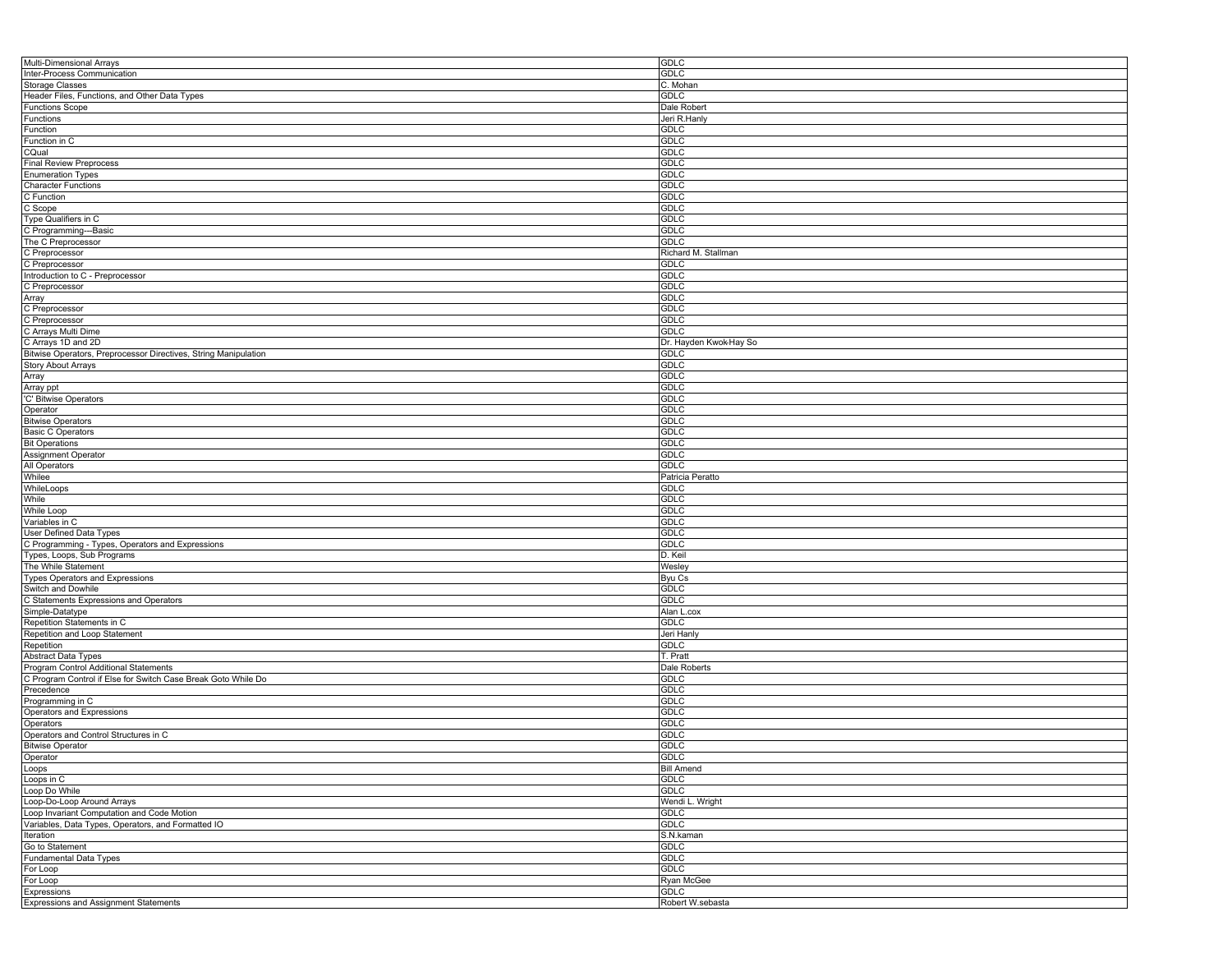| Multi-Dimensional Arrays                                        | <b>GDLC</b>            |
|-----------------------------------------------------------------|------------------------|
| Inter-Process Communication                                     | GDLC                   |
| Storage Classes                                                 | C. Mohan               |
| Header Files, Functions, and Other Data Types                   | <b>GDLC</b>            |
| <b>Functions Scope</b>                                          | Dale Robert            |
| Functions                                                       | Jeri R.Hanly           |
| Function                                                        | GDLC                   |
|                                                                 |                        |
| Function in C                                                   | <b>GDLC</b>            |
| CQual                                                           | <b>GDLC</b>            |
| <b>Final Review Preprocess</b>                                  | <b>GDLC</b>            |
| <b>Enumeration Types</b>                                        | <b>GDLC</b>            |
| <b>Character Functions</b>                                      | GDLC                   |
| C Function                                                      | <b>GDLC</b>            |
| C Scope                                                         | <b>GDLC</b>            |
| Type Qualifiers in C                                            | <b>GDLC</b>            |
| C Programming---Basic                                           | <b>GDLC</b>            |
| The C Preprocessor                                              | GDLC                   |
| C Preprocessor                                                  | Richard M. Stallman    |
| C Preprocessor                                                  | <b>GDLC</b>            |
|                                                                 | <b>GDLC</b>            |
| Introduction to C - Preprocessor                                |                        |
| C Preprocessor                                                  | <b>GDLC</b>            |
| Array                                                           | GDLC                   |
| C Preprocessor                                                  | <b>GDLC</b>            |
| C Preprocessor                                                  | <b>GDLC</b>            |
| C Arrays Multi Dime                                             | <b>GDLC</b>            |
| C Arrays 1D and 2D                                              | Dr. Hayden Kwok-Hay So |
| Bitwise Operators, Preprocessor Directives, String Manipulation | <b>GDLC</b>            |
| <b>Story About Arrays</b>                                       | <b>GDLC</b>            |
| Array                                                           | <b>GDLC</b>            |
| Array ppt                                                       | <b>GDLC</b>            |
| 'C' Bitwise Operators                                           | <b>GDLC</b>            |
|                                                                 | GDLC                   |
| Operator                                                        |                        |
| <b>Bitwise Operators</b>                                        | <b>GDLC</b>            |
| <b>Basic C Operators</b>                                        | <b>GDLC</b>            |
| <b>Bit Operations</b>                                           | <b>GDLC</b>            |
| Assignment Operator                                             | <b>GDLC</b>            |
| All Operators                                                   | GDLC                   |
| Whilee                                                          | Patricia Peratto       |
| WhileLoops                                                      | <b>GDLC</b>            |
| While                                                           | <b>GDLC</b>            |
| While Loop                                                      | <b>GDLC</b>            |
| Variables in C                                                  | GDLC                   |
| User Defined Data Types                                         | <b>GDLC</b>            |
|                                                                 |                        |
| C Programming - Types, Operators and Expressions                | <b>GDLC</b>            |
| Types, Loops, Sub Programs                                      | D. Keil                |
| The While Statement                                             | Wesley                 |
| Types Operators and Expressions                                 | Byu Cs                 |
| Switch and Dowhile                                              | GDLC                   |
| C Statements Expressions and Operators                          | <b>GDLC</b>            |
| Simple-Datatype                                                 | Alan L.cox             |
| Repetition Statements in C                                      | <b>GDLC</b>            |
| Repetition and Loop Statement                                   | Jeri Hanly             |
| Repetition                                                      | GDLC                   |
| Abstract Data Types                                             | T. Pratt               |
| Program Control Additional Statements                           | Dale Roberts           |
|                                                                 |                        |
| C Program Control if Else for Switch Case Break Goto While Do   | GDLC                   |
| Precedence                                                      | GDLC                   |
| Programming in C                                                | <b>GDLC</b>            |
| Operators and Expressions                                       | <b>GDLC</b>            |
| Operators                                                       | <b>GDLC</b>            |
| Operators and Control Structures in C                           | <b>GDLC</b>            |
| <b>Bitwise Operator</b>                                         | GDLC                   |
| Operator                                                        | <b>GDLC</b>            |
| Loops                                                           | <b>Bill Amend</b>      |
| Loops in C                                                      | <b>GDLC</b>            |
| Loop Do While                                                   | <b>GDLC</b>            |
| Loop-Do-Loop Around Arrays                                      | Wendi L. Wright        |
| Loop Invariant Computation and Code Motion                      | GDLC                   |
|                                                                 |                        |
| Variables, Data Types, Operators, and Formatted IO              | <b>GDLC</b>            |
| Iteration                                                       | S.N.kaman              |
| Go to Statement                                                 | <b>GDLC</b>            |
| <b>Fundamental Data Types</b>                                   | <b>GDLC</b>            |
| For Loop                                                        | <b>GDLC</b>            |
| For Loop                                                        | Ryan McGee             |
| Expressions                                                     | <b>GDLC</b>            |
| <b>Expressions and Assignment Statements</b>                    | Robert W.sebasta       |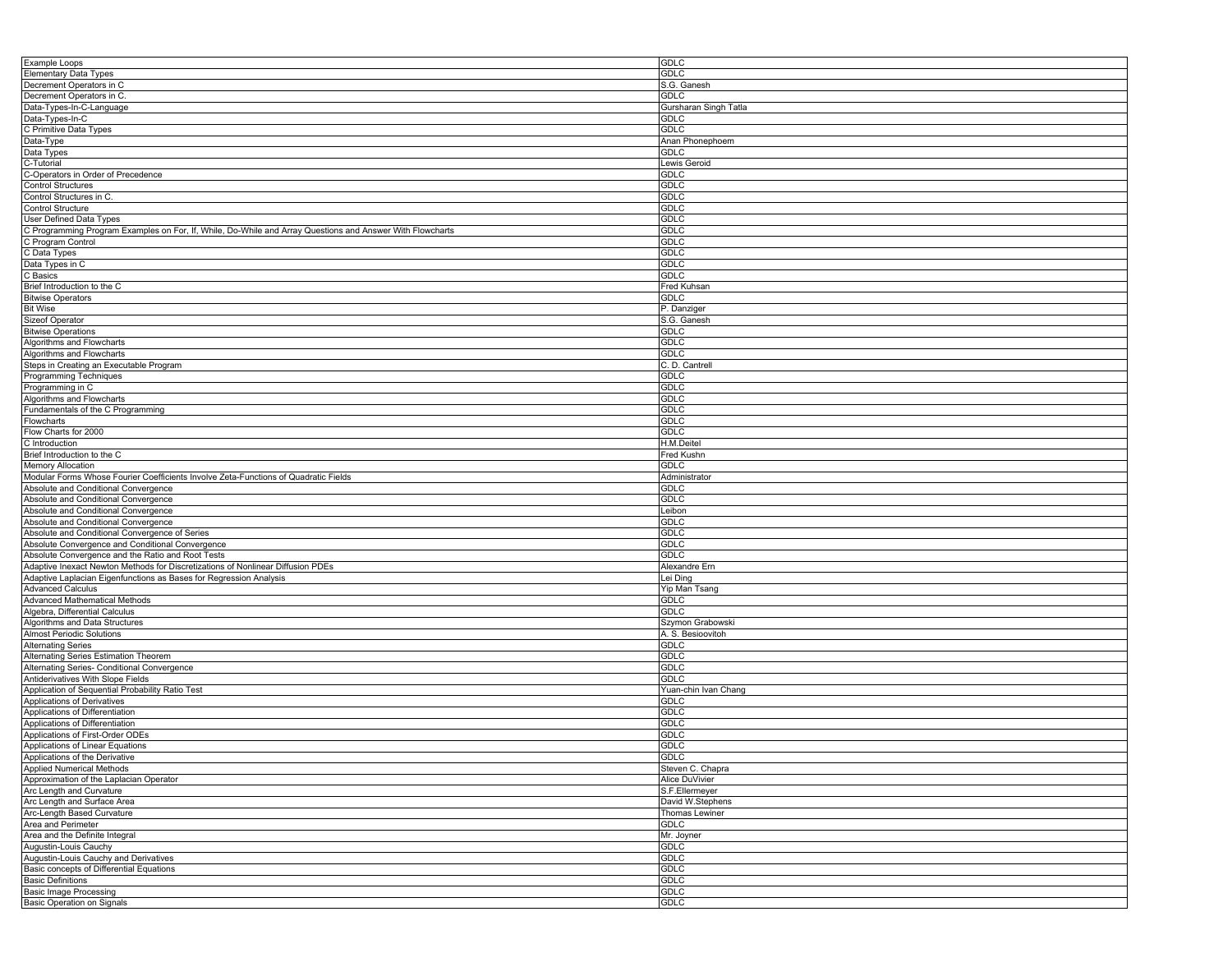| Example Loops                                                                                             | <b>GDLC</b>           |
|-----------------------------------------------------------------------------------------------------------|-----------------------|
| <b>Elementary Data Types</b>                                                                              | <b>GDLC</b>           |
| Decrement Operators in C                                                                                  | S.G. Ganesh           |
| Decrement Operators in C.                                                                                 | GDLC                  |
|                                                                                                           |                       |
| Data-Types-In-C-Language                                                                                  | Gursharan Singh Tatla |
| Data-Types-In-C                                                                                           | <b>GDLC</b>           |
| C Primitive Data Types                                                                                    | <b>GDLC</b>           |
| Data-Type                                                                                                 | Anan Phonephoem       |
| Data Types                                                                                                | <b>GDLC</b>           |
| C-Tutorial                                                                                                | Lewis Geroid          |
|                                                                                                           |                       |
| C-Operators in Order of Precedence                                                                        | GDLC                  |
| <b>Control Structures</b>                                                                                 | <b>GDLC</b>           |
| Control Structures in C.                                                                                  | <b>GDLC</b>           |
| Control Structure                                                                                         | <b>GDLC</b>           |
| <b>User Defined Data Types</b>                                                                            | <b>GDLC</b>           |
| C Programming Program Examples on For, If, While, Do-While and Array Questions and Answer With Flowcharts |                       |
|                                                                                                           | <b>GDLC</b>           |
| C Program Control                                                                                         | <b>GDLC</b>           |
| C Data Types                                                                                              | <b>GDLC</b>           |
| Data Types in C                                                                                           | <b>GDLC</b>           |
| C Basics                                                                                                  | GDLC                  |
| Brief Introduction to the C                                                                               | Fred Kuhsan           |
|                                                                                                           |                       |
| <b>Bitwise Operators</b>                                                                                  | <b>GDLC</b>           |
| <b>Bit Wise</b>                                                                                           | P. Danziger           |
| Sizeof Operator                                                                                           | S.G. Ganesh           |
| <b>Bitwise Operations</b>                                                                                 | GDLC                  |
| Algorithms and Flowcharts                                                                                 | <b>GDLC</b>           |
|                                                                                                           |                       |
| Algorithms and Flowcharts                                                                                 | <b>GDLC</b>           |
| Steps in Creating an Executable Program                                                                   | C. D. Cantrell        |
| <b>Programming Techniques</b>                                                                             | GDLC                  |
| Programming in C                                                                                          | GDLC                  |
| Algorithms and Flowcharts                                                                                 | <b>GDLC</b>           |
| Fundamentals of the C Programming                                                                         | <b>GDLC</b>           |
|                                                                                                           |                       |
| Flowcharts                                                                                                | <b>GDLC</b>           |
| Flow Charts for 2000                                                                                      | <b>GDLC</b>           |
| C Introduction                                                                                            | H.M.Deitel            |
| Brief Introduction to the C                                                                               | Fred Kushn            |
| <b>Memory Allocation</b>                                                                                  | <b>GDLC</b>           |
|                                                                                                           |                       |
| Modular Forms Whose Fourier Coefficients Involve Zeta-Functions of Quadratic Fields                       | Administrator         |
| Absolute and Conditional Convergence                                                                      | GDLC                  |
| Absolute and Conditional Convergence                                                                      | GDLC                  |
| Absolute and Conditional Convergence                                                                      | Leibon                |
| Absolute and Conditional Convergence                                                                      | GDLC                  |
|                                                                                                           | <b>GDLC</b>           |
| Absolute and Conditional Convergence of Series                                                            |                       |
| Absolute Convergence and Conditional Convergence                                                          | <b>GDLC</b>           |
| Absolute Convergence and the Ratio and Root Tests                                                         | GDLC                  |
| Adaptive Inexact Newton Methods for Discretizations of Nonlinear Diffusion PDEs                           | Alexandre Ern         |
| Adaptive Laplacian Eigenfunctions as Bases for Regression Analysis                                        | Lei Ding              |
| <b>Advanced Calculus</b>                                                                                  | Yip Man Tsang         |
|                                                                                                           |                       |
| Advanced Mathematical Methods                                                                             | <b>GDLC</b>           |
| Algebra, Differential Calculus                                                                            | <b>GDLC</b>           |
| Algorithms and Data Structures                                                                            | Szymon Grabowski      |
| Almost Periodic Solutions                                                                                 | A. S. Besioovitoh     |
| <b>Alternating Series</b>                                                                                 | <b>GDLC</b>           |
| Alternating Series Estimation Theorem                                                                     | <b>GDLC</b>           |
|                                                                                                           |                       |
| Alternating Series- Conditional Convergence                                                               | <b>GDLC</b>           |
| Antiderivatives With Slope Fields                                                                         | <b>GDLC</b>           |
| Application of Sequential Probability Ratio Test                                                          | Yuan-chin Ivan Chang  |
| Applications of Derivatives                                                                               | <b>GDLC</b>           |
| Applications of Differentiation                                                                           | <b>GDLC</b>           |
| Applications of Differentiation                                                                           | GDLC                  |
|                                                                                                           |                       |
| Applications of First-Order ODEs                                                                          | GDLC                  |
| Applications of Linear Equations                                                                          | <b>GDLC</b>           |
| Applications of the Derivative                                                                            | <b>GDLC</b>           |
| <b>Applied Numerical Methods</b>                                                                          | Steven C. Chapra      |
| Approximation of the Laplacian Operator                                                                   | <b>Alice DuVivier</b> |
| Arc Length and Curvature                                                                                  | S.F.Ellermeyer        |
|                                                                                                           |                       |
| Arc Length and Surface Area                                                                               | David W.Stephens      |
| Arc-Length Based Curvature                                                                                | Thomas Lewiner        |
| Area and Perimeter                                                                                        | <b>GDLC</b>           |
| Area and the Definite Integral                                                                            | Mr. Joyner            |
| Augustin-Louis Cauchy                                                                                     | GDLC                  |
|                                                                                                           |                       |
| Augustin-Louis Cauchy and Derivatives                                                                     | <b>GDLC</b>           |
| Basic concepts of Differential Equations                                                                  | <b>GDLC</b>           |
| <b>Basic Definitions</b>                                                                                  | <b>GDLC</b>           |
| <b>Basic Image Processing</b>                                                                             | <b>GDLC</b>           |
| Basic Operation on Signals                                                                                | <b>GDLC</b>           |
|                                                                                                           |                       |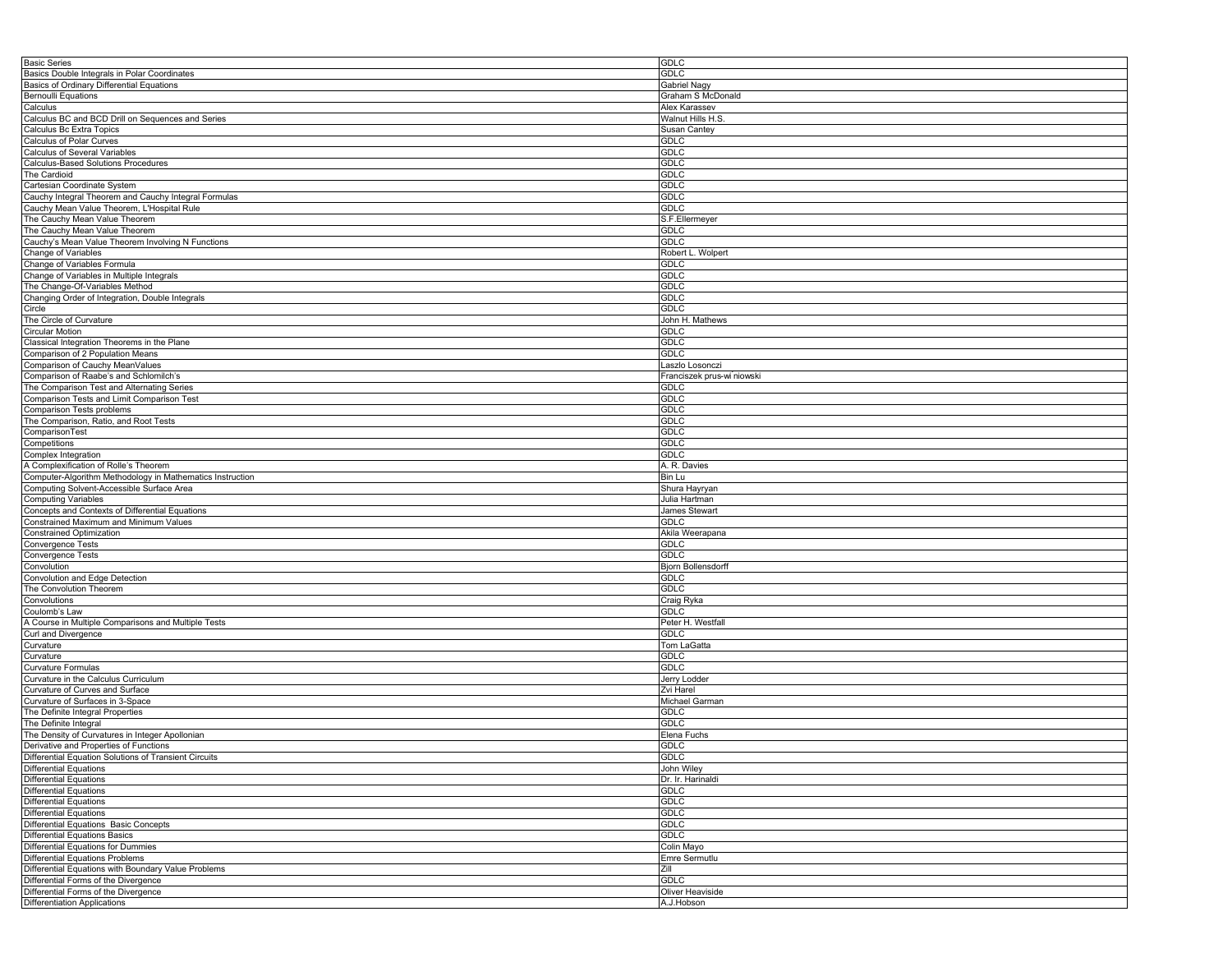| <b>GDLC</b>                    |
|--------------------------------|
| <b>GDLC</b>                    |
| Gabriel Nagy                   |
|                                |
| Graham S McDonald              |
| Alex Karassev                  |
| Walnut Hills H.S               |
| <b>Susan Cantey</b>            |
| <b>GDLC</b>                    |
| <b>GDLC</b>                    |
| <b>GDLC</b>                    |
|                                |
| <b>GDLC</b>                    |
| <b>GDLC</b>                    |
| <b>GDLC</b>                    |
| <b>GDLC</b>                    |
| S.F.Ellermeyer                 |
|                                |
| <b>GDLC</b>                    |
| <b>GDLC</b>                    |
| Robert L. Wolpert              |
| <b>GDLC</b>                    |
| GDLC                           |
| <b>GDLC</b>                    |
| <b>GDLC</b>                    |
|                                |
| <b>GDLC</b>                    |
| John H. Mathews                |
| <b>GDLC</b>                    |
| <b>GDLC</b>                    |
| <b>GDLC</b>                    |
| Laszlo Losonczi                |
|                                |
| Franciszek prus-wi niowski     |
| GDLC                           |
| <b>GDLC</b>                    |
| <b>GDLC</b>                    |
| <b>GDLC</b>                    |
| <b>GDLC</b>                    |
|                                |
| <b>GDLC</b>                    |
| <b>GDLC</b>                    |
| A. R. Davies                   |
| Bin Lu                         |
|                                |
|                                |
| Shura Hayryan                  |
| Julia Hartman                  |
| James Stewart                  |
| <b>GDLC</b>                    |
| Akila Weerapana                |
| <b>GDLC</b>                    |
|                                |
| GDLC                           |
| <b>Bjorn Bollensdorff</b>      |
| <b>GDLC</b>                    |
| <b>GDLC</b>                    |
| Craig Ryka                     |
| <b>GDLC</b>                    |
|                                |
| Peter H. Westfall              |
| <b>GDLC</b>                    |
| Tom LaGatta                    |
| <b>GDLC</b>                    |
| <b>GDLC</b>                    |
| Jerry Lodder                   |
| Zvi Harel                      |
|                                |
| Michael Garman                 |
| <b>GDLC</b>                    |
| <b>GDLC</b>                    |
| Elena Fuchs                    |
| <b>GDLC</b>                    |
| <b>GDLC</b>                    |
|                                |
| John Wiley                     |
| Dr. Ir. Harinaldi              |
| <b>GDLC</b>                    |
| <b>GDLC</b>                    |
| <b>GDLC</b>                    |
| <b>GDLC</b>                    |
| <b>GDLC</b>                    |
|                                |
| Colin Mayo                     |
| Emre Sermutlu                  |
| Zill                           |
| <b>GDLC</b>                    |
| Oliver Heaviside<br>A.J.Hobson |
|                                |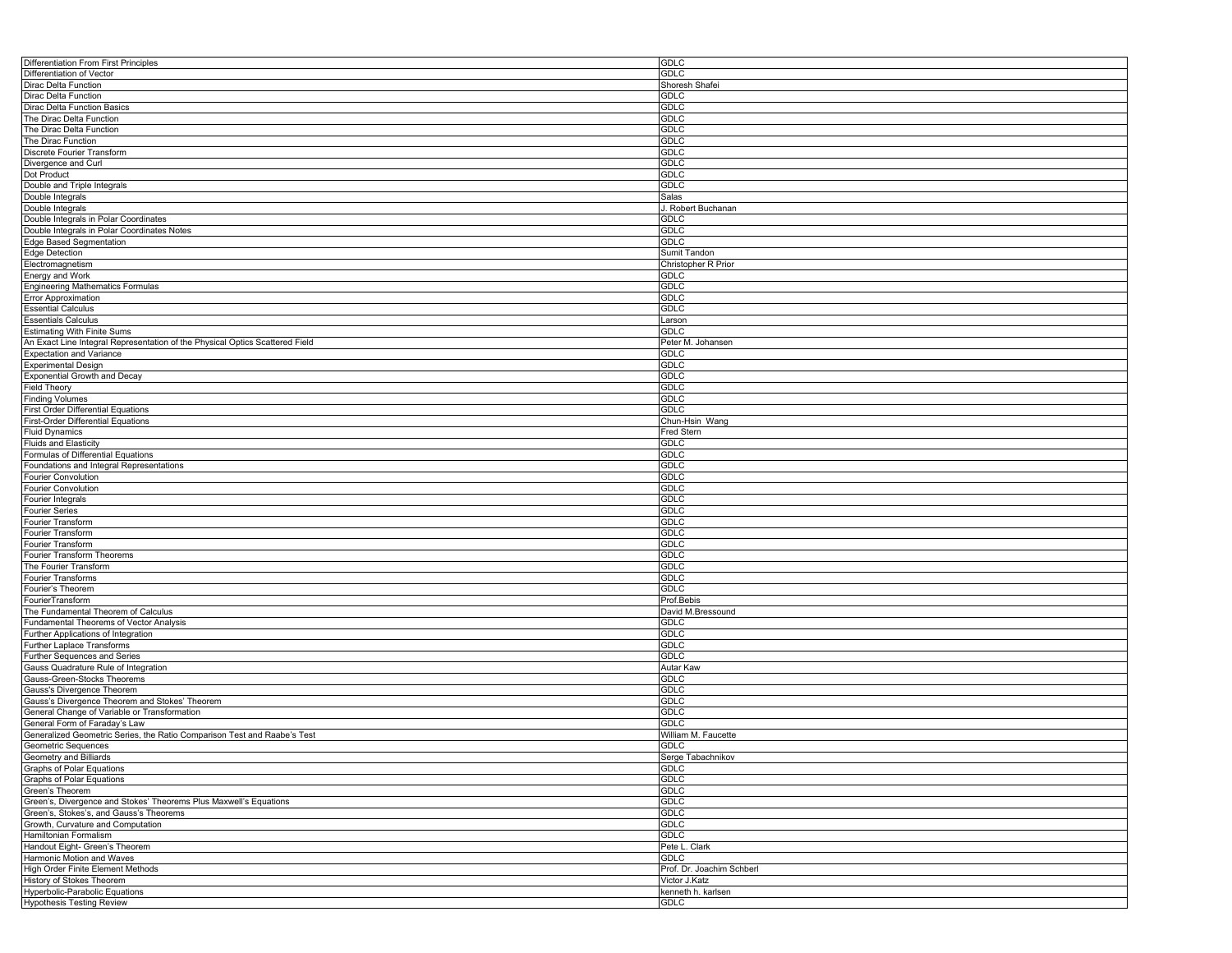| Differentiation From First Principles                                        | <b>GDLC</b>               |
|------------------------------------------------------------------------------|---------------------------|
| Differentiation of Vector                                                    | <b>GDLC</b>               |
| Dirac Delta Function                                                         | Shoresh Shafei            |
| Dirac Delta Function                                                         | <b>GDLC</b>               |
| Dirac Delta Function Basics                                                  | <b>GDLC</b>               |
| The Dirac Delta Function                                                     | <b>GDLC</b>               |
| The Dirac Delta Function                                                     | <b>GDLC</b>               |
| The Dirac Function                                                           | <b>GDLC</b>               |
|                                                                              |                           |
| Discrete Fourier Transform                                                   | <b>GDLC</b>               |
| Divergence and Curl                                                          | <b>GDLC</b>               |
| Dot Product                                                                  | GDLC                      |
| Double and Triple Integrals                                                  | <b>GDLC</b>               |
| Double Integrals                                                             | Salas                     |
| Double Integrals                                                             | J. Robert Buchanan        |
| Double Integrals in Polar Coordinates                                        | <b>GDLC</b>               |
| Double Integrals in Polar Coordinates Notes                                  | GDLC                      |
| Edge Based Segmentation                                                      | GDLC                      |
| Edge Detection                                                               | Sumit Tandon              |
| Electromagnetism                                                             | Christopher R Prior       |
| Energy and Work                                                              | <b>GDLC</b>               |
| Engineering Mathematics Formulas                                             | GDLC                      |
|                                                                              |                           |
| <b>Error Approximation</b>                                                   | <b>GDLC</b>               |
| <b>Essential Calculus</b>                                                    | <b>GDLC</b>               |
| <b>Essentials Calculus</b>                                                   | Larson                    |
| <b>Estimating With Finite Sums</b>                                           | <b>GDLC</b>               |
| An Exact Line Integral Representation of the Physical Optics Scattered Field | Peter M. Johansen         |
| <b>Expectation and Variance</b>                                              | GDLC                      |
| <b>Experimental Design</b>                                                   | <b>GDLC</b>               |
| Exponential Growth and Decay                                                 | <b>GDLC</b>               |
| <b>Field Theory</b>                                                          | <b>GDLC</b>               |
| <b>Finding Volumes</b>                                                       | GDLC                      |
| First Order Differential Equations                                           | GDLC                      |
| First-Order Differential Equations                                           | Chun-Hsin Wang            |
|                                                                              |                           |
| <b>Fluid Dynamics</b>                                                        | Fred Stern                |
| <b>Fluids and Elasticity</b>                                                 | <b>GDLC</b>               |
| Formulas of Differential Equations                                           | GDLC                      |
| Foundations and Integral Representations                                     | <b>GDLC</b>               |
| <b>Fourier Convolution</b>                                                   | <b>GDLC</b>               |
| <b>Fourier Convolution</b>                                                   | <b>GDLC</b>               |
| Fourier Integrals                                                            | <b>GDLC</b>               |
| <b>Fourier Series</b>                                                        | <b>GDLC</b>               |
| Fourier Transform                                                            | <b>GDLC</b>               |
| Fourier Transform                                                            | <b>GDLC</b>               |
| Fourier Transform                                                            | <b>GDLC</b>               |
| Fourier Transform Theorems                                                   | <b>GDLC</b>               |
| The Fourier Transform                                                        | <b>GDLC</b>               |
| Fourier Transforms                                                           | <b>GDLC</b>               |
|                                                                              | <b>GDLC</b>               |
| Fourier's Theorem                                                            |                           |
| FourierTransform                                                             | Prof.Bebis                |
| The Fundamental Theorem of Calculus                                          | David M.Bressound         |
| Fundamental Theorems of Vector Analysis                                      | GDLC                      |
| Further Applications of Integration                                          | <b>GDLC</b>               |
| Further Laplace Transforms                                                   | <b>GDLC</b>               |
| Further Sequences and Series                                                 | <b>GDLC</b>               |
| Gauss Quadrature Rule of Integration                                         | Autar Kaw                 |
| Gauss-Green-Stocks Theorems                                                  | <b>GDLC</b>               |
| Gauss's Divergence Theorem                                                   | <b>GDLC</b>               |
| Gauss's Divergence Theorem and Stokes' Theorem                               | <b>GDLC</b>               |
| General Change of Variable or Transformation                                 | <b>GDLC</b>               |
|                                                                              | <b>GDLC</b>               |
| General Form of Faraday's Law                                                |                           |
| Generalized Geometric Series, the Ratio Comparison Test and Raabe's Test     | William M. Faucette       |
| Geometric Sequences                                                          | <b>GDLC</b>               |
| Geometry and Billiards                                                       | Serge Tabachnikov         |
| <b>Graphs of Polar Equations</b>                                             | <b>GDLC</b>               |
| Graphs of Polar Equations                                                    | <b>GDLC</b>               |
| Green's Theorem                                                              | <b>GDLC</b>               |
| Green's, Divergence and Stokes' Theorems Plus Maxwell's Equations            | <b>GDLC</b>               |
| Green's, Stokes's, and Gauss's Theorems                                      | <b>GDLC</b>               |
| Growth, Curvature and Computation                                            | <b>GDLC</b>               |
| Hamiltonian Formalism                                                        | <b>GDLC</b>               |
| Handout Eight- Green's Theorem                                               | Pete L. Clark             |
|                                                                              |                           |
| Harmonic Motion and Waves                                                    | GDLC                      |
| High Order Finite Element Methods                                            | Prof. Dr. Joachim Schberl |
| History of Stokes Theorem                                                    | Victor J.Katz             |
| Hyperbolic-Parabolic Equations                                               | kenneth h. karlsen        |
| <b>Hypothesis Testing Review</b>                                             | GDLC                      |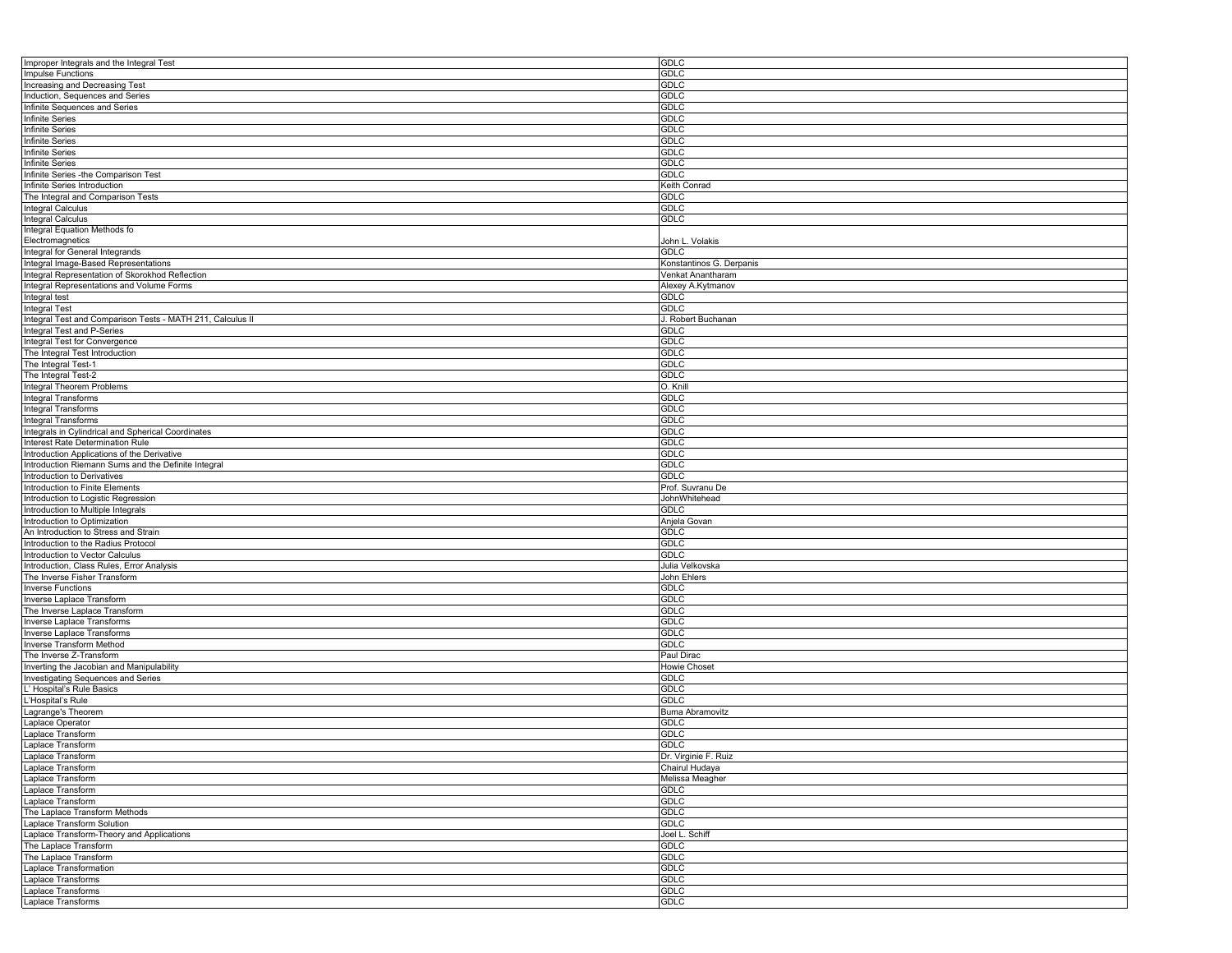| Improper Integrals and the Integral Test                   | <b>GDLC</b>              |
|------------------------------------------------------------|--------------------------|
| <b>Impulse Functions</b>                                   | <b>GDLC</b>              |
| Increasing and Decreasing Test                             | GDLC                     |
| Induction, Sequences and Series                            | <b>GDLC</b>              |
| Infinite Sequences and Series                              | <b>GDLC</b>              |
| Infinite Series                                            | <b>GDLC</b>              |
| Infinite Series                                            | <b>GDLC</b>              |
| <b>Infinite Series</b>                                     | <b>GDLC</b>              |
| Infinite Series                                            | <b>GDLC</b>              |
| <b>Infinite Series</b>                                     | <b>GDLC</b>              |
|                                                            | <b>GDLC</b>              |
| Infinite Series -the Comparison Test                       |                          |
| Infinite Series Introduction                               | Keith Conrad             |
| The Integral and Comparison Tests                          | GDLC                     |
| Integral Calculus                                          | <b>GDLC</b>              |
| Integral Calculus                                          | <b>GDLC</b>              |
| Integral Equation Methods fo                               |                          |
| Electromagnetics                                           | John L. Volakis          |
| Integral for General Integrands                            | <b>GDLC</b>              |
| Integral Image-Based Representations                       | Konstantinos G. Derpanis |
| Integral Representation of Skorokhod Reflection            | Venkat Anantharam        |
| Integral Representations and Volume Forms                  | Alexey A.Kytmanov        |
| Integral test                                              | <b>GDLC</b>              |
| <b>Integral Test</b>                                       | <b>GDLC</b>              |
| Integral Test and Comparison Tests - MATH 211, Calculus II | J. Robert Buchanan       |
| Integral Test and P-Series                                 | <b>GDLC</b>              |
| Integral Test for Convergence                              | <b>GDLC</b>              |
| The Integral Test Introduction                             | <b>GDLC</b>              |
| The Integral Test-1                                        | <b>GDLC</b>              |
| The Integral Test-2                                        | <b>GDLC</b>              |
| Integral Theorem Problems                                  | O. Knill                 |
| Integral Transforms                                        | <b>GDLC</b>              |
|                                                            |                          |
| Integral Transforms                                        | <b>GDLC</b>              |
| Integral Transforms                                        | <b>GDLC</b>              |
| Integrals in Cylindrical and Spherical Coordinates         | <b>GDLC</b>              |
| Interest Rate Determination Rule                           | <b>GDLC</b>              |
| Introduction Applications of the Derivative                | <b>GDLC</b>              |
| Introduction Riemann Sums and the Definite Integral        | <b>GDLC</b>              |
| Introduction to Derivatives                                | <b>GDLC</b>              |
| Introduction to Finite Elements                            | Prof. Suvranu De         |
| Introduction to Logistic Regression                        | JohnWhitehead            |
| Introduction to Multiple Integrals                         | <b>GDLC</b>              |
| Introduction to Optimization                               | Anjela Govan             |
| An Introduction to Stress and Strain                       | <b>GDLC</b>              |
| Introduction to the Radius Protocol                        | <b>GDLC</b>              |
| Introduction to Vector Calculus                            | <b>GDLC</b>              |
| Introduction, Class Rules, Error Analysis                  | Julia Velkovska          |
| The Inverse Fisher Transform                               | John Ehlers              |
| <b>Inverse Functions</b>                                   | <b>GDLC</b>              |
| Inverse Laplace Transform                                  | <b>GDLC</b>              |
| The Inverse Laplace Transform                              | <b>GDLC</b>              |
| Inverse Laplace Transforms                                 | <b>GDLC</b>              |
| Inverse Laplace Transforms                                 | <b>GDLC</b>              |
|                                                            | <b>GDLC</b>              |
| Inverse Transform Method<br>The Inverse Z-Transform        | Paul Dirac               |
|                                                            |                          |
| Inverting the Jacobian and Manipulability                  | Howie Choset             |
| Investigating Sequences and Series                         | <b>GDLC</b>              |
| L' Hospital's Rule Basics                                  | <b>GDLC</b>              |
| L'Hospital's Rule                                          | <b>GDLC</b>              |
| Lagrange's Theorem                                         | Buma Abramovitz          |
| Laplace Operator                                           | <b>GDLC</b>              |
| Laplace Transform                                          | <b>GDLC</b>              |
| Laplace Transform                                          | <b>GDLC</b>              |
| Laplace Transform                                          | Dr. Virginie F. Ruiz     |
| Laplace Transform                                          | Chairul Hudaya           |
| Laplace Transform                                          | Melissa Meagher          |
| Laplace Transform                                          | <b>GDLC</b>              |
| Laplace Transform                                          | <b>GDLC</b>              |
| The Laplace Transform Methods                              | <b>GDLC</b>              |
| Laplace Transform Solution                                 | <b>GDLC</b>              |
| Laplace Transform-Theory and Applications                  | Joel L. Schiff           |
| The Laplace Transform                                      | <b>GDLC</b>              |
| The Laplace Transform                                      | <b>GDLC</b>              |
| Laplace Transformation                                     | <b>GDLC</b>              |
| Laplace Transforms                                         | <b>GDLC</b>              |
| Laplace Transforms                                         | <b>GDLC</b>              |
|                                                            | <b>GDLC</b>              |
| Laplace Transforms                                         |                          |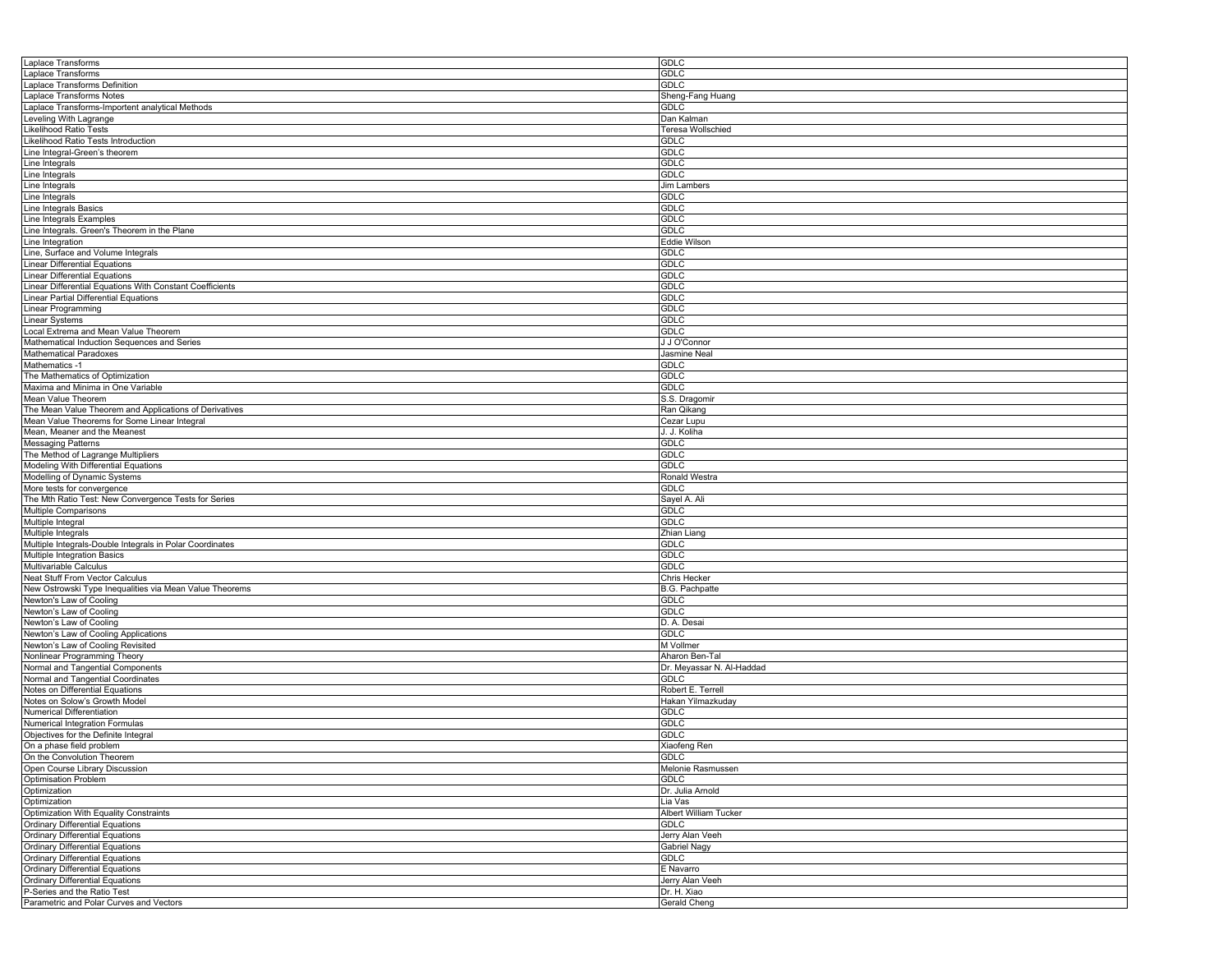| Laplace Transforms                                                     | GDLC                        |
|------------------------------------------------------------------------|-----------------------------|
| Laplace Transforms                                                     | GDLC                        |
|                                                                        | <b>GDLC</b>                 |
| Laplace Transforms Definition                                          |                             |
| Laplace Transforms Notes                                               | Sheng-Fang Huang            |
| Laplace Transforms-Importent analytical Methods                        | <b>GDLC</b>                 |
| Leveling With Lagrange                                                 | Dan Kalman                  |
|                                                                        |                             |
| Likelihood Ratio Tests                                                 | Teresa Wollschied           |
| Likelihood Ratio Tests Introduction                                    | <b>GDLC</b>                 |
| Line Integral-Green's theorem                                          | <b>GDLC</b>                 |
|                                                                        |                             |
| Line Integrals                                                         | <b>GDLC</b>                 |
| Line Integrals                                                         | <b>GDLC</b>                 |
| Line Integrals                                                         | Jim Lambers                 |
|                                                                        |                             |
| Line Integrals                                                         | <b>GDLC</b>                 |
| Line Integrals Basics                                                  | <b>GDLC</b>                 |
| Line Integrals Examples                                                | <b>GDLC</b>                 |
|                                                                        |                             |
| Line Integrals. Green's Theorem in the Plane                           | <b>GDLC</b>                 |
| Line Integration                                                       | Eddie Wilson                |
| Line, Surface and Volume Integrals                                     | <b>GDLC</b>                 |
| <b>Linear Differential Equations</b>                                   | <b>GDLC</b>                 |
|                                                                        |                             |
| <b>Linear Differential Equations</b>                                   | <b>GDLC</b>                 |
| Linear Differential Equations With Constant Coefficients               | <b>GDLC</b>                 |
| Linear Partial Differential Equations                                  | <b>GDLC</b>                 |
|                                                                        |                             |
| Linear Programming                                                     | <b>GDLC</b>                 |
| <b>Linear Systems</b>                                                  | <b>GDLC</b>                 |
| Local Extrema and Mean Value Theorem                                   | <b>GDLC</b>                 |
|                                                                        |                             |
| Mathematical Induction Sequences and Series                            | J J O'Connor                |
| <b>Mathematical Paradoxes</b>                                          | Jasmine Neal                |
| Mathematics -1                                                         | <b>GDLC</b>                 |
|                                                                        |                             |
| The Mathematics of Optimization                                        | <b>GDLC</b>                 |
| Maxima and Minima in One Variable                                      | <b>GDLC</b>                 |
| Mean Value Theorem                                                     | S.S. Dragomir               |
|                                                                        |                             |
| The Mean Value Theorem and Applications of Derivatives                 | Ran Qikang                  |
| Mean Value Theorems for Some Linear Integral                           | Cezar Lupu                  |
| Mean, Meaner and the Meanest                                           | J. J. Koliha                |
|                                                                        |                             |
| <b>Messaging Patterns</b>                                              | <b>GDLC</b>                 |
| The Method of Lagrange Multipliers                                     | <b>GDLC</b>                 |
| Modeling With Differential Equations                                   | <b>GDLC</b>                 |
|                                                                        |                             |
| Modelling of Dynamic Systems                                           | Ronald Westra               |
| More tests for convergence                                             | <b>GDLC</b>                 |
| The Mth Ratio Test: New Convergence Tests for Series                   | Sayel A. Ali                |
|                                                                        |                             |
| Multiple Comparisons                                                   | <b>GDLC</b>                 |
| Multiple Integral                                                      | <b>GDLC</b>                 |
| Multiple Integrals                                                     | Zhian Liang                 |
|                                                                        |                             |
| Multiple Integrals-Double Integrals in Polar Coordinates               | <b>GDLC</b>                 |
| Multiple Integration Basics                                            | GDLC                        |
| Multivariable Calculus                                                 | <b>GDLC</b>                 |
|                                                                        |                             |
| Neat Stuff From Vector Calculus                                        |                             |
| New Ostrowski Type Inequalities via Mean Value Theorems                | Chris Hecker                |
|                                                                        | B.G. Pachpatte              |
|                                                                        |                             |
| Newton's Law of Cooling                                                | <b>GDLC</b>                 |
| Newton's Law of Cooling                                                | GDLC                        |
| Newton's Law of Cooling                                                | D. A. Desai                 |
|                                                                        |                             |
| Newton's Law of Cooling Applications                                   | <b>GDLC</b>                 |
| Newton's Law of Cooling Revisited                                      | M Vollmer                   |
| Nonlinear Programming Theory                                           | Aharon Ben-Tal              |
|                                                                        |                             |
| Normal and Tangential Components                                       | Dr. Meyassar N. Al-Haddad   |
| Normal and Tangential Coordinates                                      | GDLC                        |
| Notes on Differential Equations                                        | Robert E. Terrell           |
|                                                                        |                             |
| Notes on Solow's Growth Model                                          | Hakan Yilmazkuday           |
| Numerical Differentiation                                              | GDLC                        |
| Numerical Integration Formulas                                         | <b>GDLC</b>                 |
|                                                                        |                             |
| Objectives for the Definite Integral                                   | <b>GDLC</b>                 |
| On a phase field problem                                               | Xiaofeng Ren                |
|                                                                        | <b>GDLC</b>                 |
|                                                                        |                             |
| On the Convolution Theorem<br>Open Course Library Discussion           | Melonie Rasmussen           |
| <b>Optimisation Problem</b>                                            | <b>GDLC</b>                 |
| Optimization                                                           | Dr. Julia Arnold            |
|                                                                        |                             |
| Optimization                                                           | Lia Vas                     |
| Optimization With Equality Constraints                                 | Albert William Tucker       |
| <b>Ordinary Differential Equations</b>                                 | GDLC                        |
|                                                                        |                             |
| <b>Ordinary Differential Equations</b>                                 | Jerry Alan Veeh             |
| <b>Ordinary Differential Equations</b>                                 | Gabriel Nagy                |
| <b>Ordinary Differential Equations</b>                                 | <b>GDLC</b>                 |
|                                                                        |                             |
| <b>Ordinary Differential Equations</b>                                 | E Navarro                   |
| <b>Ordinary Differential Equations</b>                                 | Jerry Alan Veeh             |
| P-Series and the Ratio Test<br>Parametric and Polar Curves and Vectors | Dr. H. Xiao<br>Gerald Cheng |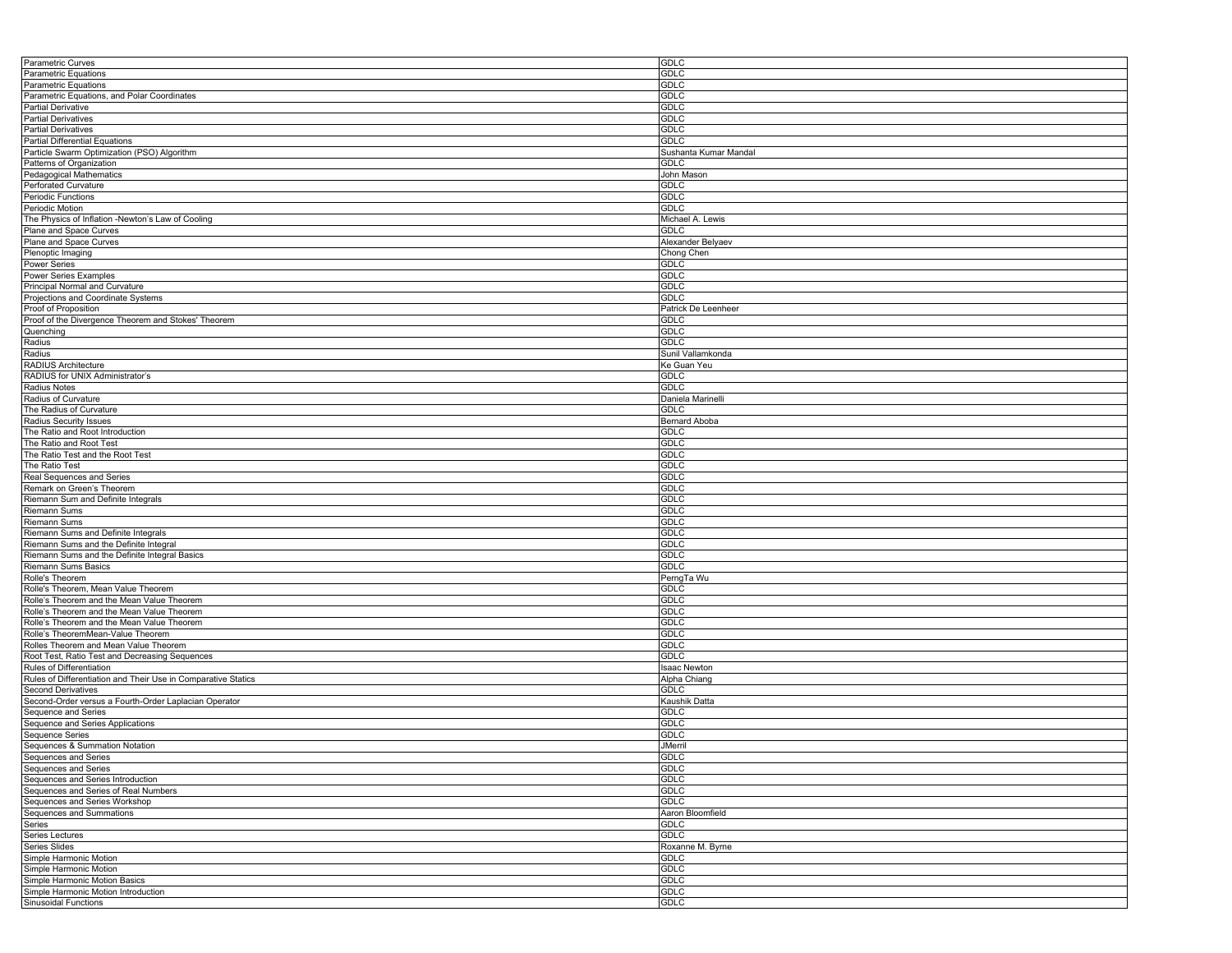| <b>Parametric Curves</b>                                      | <b>GDLC</b>           |
|---------------------------------------------------------------|-----------------------|
| Parametric Equations                                          | <b>GDLC</b>           |
| Parametric Equations                                          | <b>GDLC</b>           |
| Parametric Equations, and Polar Coordinates                   | <b>GDLC</b>           |
| <b>Partial Derivative</b>                                     | <b>GDLC</b>           |
| <b>Partial Derivatives</b>                                    | <b>GDLC</b>           |
|                                                               |                       |
| <b>Partial Derivatives</b>                                    | <b>GDLC</b>           |
| Partial Differential Equations                                | <b>GDLC</b>           |
| Particle Swarm Optimization (PSO) Algorithm                   | Sushanta Kumar Mandal |
| Patterns of Organization                                      | <b>GDLC</b>           |
| Pedagogical Mathematics                                       | John Mason            |
| Perforated Curvature                                          | GDLC                  |
| Periodic Functions                                            | GDLC                  |
| Periodic Motion                                               | <b>GDLC</b>           |
| The Physics of Inflation -Newton's Law of Cooling             | Michael A. Lewis      |
| Plane and Space Curves                                        | <b>GDLC</b>           |
|                                                               |                       |
| Plane and Space Curves                                        | Alexander Belyaev     |
| Plenoptic Imaging                                             | Chong Chen            |
| <b>Power Series</b>                                           | <b>GDLC</b>           |
| Power Series Examples                                         | <b>GDLC</b>           |
| Principal Normal and Curvature                                | GDLC                  |
| Projections and Coordinate Systems                            | GDLC                  |
| Proof of Proposition                                          | Patrick De Leenheer   |
| Proof of the Divergence Theorem and Stokes' Theorem           | <b>GDLC</b>           |
| Quenching                                                     | <b>GDLC</b>           |
|                                                               |                       |
| Radius                                                        | GDLC                  |
| Radius                                                        | Sunil Vallamkonda     |
| RADIUS Architecture                                           | Ke Guan Yeu           |
| RADIUS for UNIX Administrator's                               | <b>GDLC</b>           |
| Radius Notes                                                  | <b>GDLC</b>           |
| Radius of Curvature                                           | Daniela Marinelli     |
| The Radius of Curvature                                       | <b>GDLC</b>           |
| Radius Security Issues                                        | <b>Bernard Aboba</b>  |
| The Ratio and Root Introduction                               | <b>GDLC</b>           |
|                                                               |                       |
| The Ratio and Root Test                                       | <b>GDLC</b>           |
| The Ratio Test and the Root Test                              | <b>GDLC</b>           |
| The Ratio Test                                                | <b>GDLC</b>           |
| Real Sequences and Series                                     | <b>GDLC</b>           |
| Remark on Green's Theorem                                     | <b>GDLC</b>           |
| Riemann Sum and Definite Integrals                            | <b>GDLC</b>           |
| Riemann Sums                                                  | <b>GDLC</b>           |
| <b>Riemann Sums</b>                                           | <b>GDLC</b>           |
| Riemann Sums and Definite Integrals                           | <b>GDLC</b>           |
|                                                               |                       |
| Riemann Sums and the Definite Integral                        | <b>GDLC</b>           |
| Riemann Sums and the Definite Integral Basics                 | <b>GDLC</b>           |
| Riemann Sums Basics                                           | GDLC                  |
| Rolle's Theorem                                               | PerngTa Wu            |
| Rolle's Theorem, Mean Value Theorem                           | GDLC                  |
| Rolle's Theorem and the Mean Value Theorem                    | <b>GDLC</b>           |
| Rolle's Theorem and the Mean Value Theorem                    | <b>GDLC</b>           |
| Rolle's Theorem and the Mean Value Theorem                    | <b>GDLC</b>           |
| Rolle's TheoremMean-Value Theorem                             | <b>GDLC</b>           |
|                                                               |                       |
| Rolles Theorem and Mean Value Theorem                         | <b>GDLC</b>           |
| Root Test, Ratio Test and Decreasing Sequences                | <b>GDLC</b>           |
| Rules of Differentiation                                      | <b>Isaac Newton</b>   |
| Rules of Differentiation and Their Use in Comparative Statics | Alpha Chiang          |
| <b>Second Derivatives</b>                                     | <b>GDLC</b>           |
| Second-Order versus a Fourth-Order Laplacian Operator         | Kaushik Datta         |
| Sequence and Series                                           | GDLC                  |
| Sequence and Series Applications                              | <b>GDLC</b>           |
|                                                               |                       |
| Sequence Series                                               | GDLC                  |
| Sequences & Summation Notation                                | <b>JMerril</b>        |
| Sequences and Series                                          | <b>GDLC</b>           |
| Sequences and Series                                          | GDLC                  |
| Sequences and Series Introduction                             | <b>GDLC</b>           |
| Sequences and Series of Real Numbers                          | GDLC                  |
|                                                               | GDLC                  |
| Sequences and Series Workshop<br>Sequences and Summations     | Aaron Bloomfield      |
| Series                                                        | <b>GDLC</b>           |
|                                                               |                       |
| Series Lectures                                               | <b>GDLC</b>           |
| Series Slides                                                 | Roxanne M. Byrne      |
| Simple Harmonic Motion                                        | <b>GDLC</b>           |
| Simple Harmonic Motion                                        | <b>GDLC</b>           |
| Simple Harmonic Motion Basics                                 | <b>GDLC</b>           |
| Simple Harmonic Motion Introduction                           | <b>GDLC</b>           |
| Sinusoidal Functions                                          | GDLC                  |
|                                                               |                       |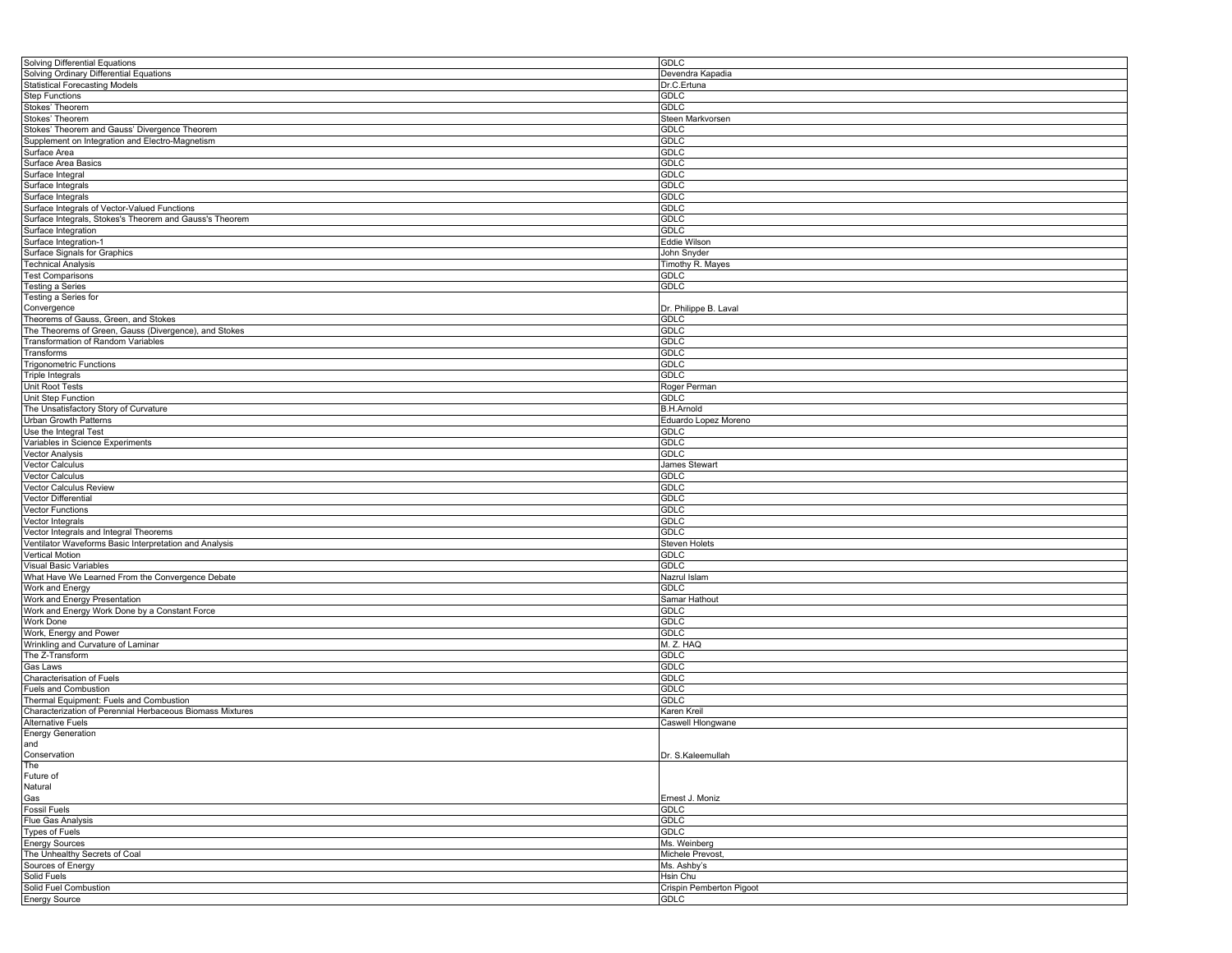| <b>Solving Differential Equations</b>                     | <b>GDLC</b>              |
|-----------------------------------------------------------|--------------------------|
| Solving Ordinary Differential Equations                   | Devendra Kapadia         |
| <b>Statistical Forecasting Models</b>                     | Dr.C.Ertuna              |
| <b>Step Functions</b>                                     | <b>GDLC</b>              |
| Stokes' Theorem                                           | <b>GDLC</b>              |
| Stokes' Theorem                                           | Steen Markvorsen         |
|                                                           |                          |
| Stokes' Theorem and Gauss' Divergence Theorem             | <b>GDLC</b>              |
| Supplement on Integration and Electro-Magnetism           | <b>GDLC</b>              |
| Surface Area                                              | <b>GDLC</b>              |
| Surface Area Basics                                       | GDLC                     |
| Surface Integral                                          | <b>GDLC</b>              |
| Surface Integrals                                         | <b>GDLC</b>              |
| Surface Integrals                                         | <b>GDLC</b>              |
| Surface Integrals of Vector-Valued Functions              | <b>GDLC</b>              |
| Surface Integrals, Stokes's Theorem and Gauss's Theorem   | <b>GDLC</b>              |
|                                                           | <b>GDLC</b>              |
| Surface Integration                                       |                          |
| Surface Integration-1                                     | Eddie Wilson             |
| Surface Signals for Graphics                              | John Snyder              |
| <b>Technical Analysis</b>                                 | Timothy R. Mayes         |
| <b>Test Comparisons</b>                                   | <b>GDLC</b>              |
| <b>Testing a Series</b>                                   | <b>GDLC</b>              |
| Testing a Series for                                      |                          |
| Convergence                                               | Dr. Philippe B. Laval    |
| Theorems of Gauss, Green, and Stokes                      | <b>GDLC</b>              |
| The Theorems of Green, Gauss (Divergence), and Stokes     | <b>GDLC</b>              |
| Transformation of Random Variables                        | <b>GDLC</b>              |
|                                                           |                          |
| Transforms                                                | <b>GDLC</b>              |
| <b>Trigonometric Functions</b>                            | GDLC                     |
| <b>Triple Integrals</b>                                   | <b>GDLC</b>              |
| Unit Root Tests                                           | Roger Perman             |
| Unit Step Function                                        | <b>GDLC</b>              |
| The Unsatisfactory Story of Curvature                     | <b>B.H.Arnold</b>        |
| Urban Growth Patterns                                     | Eduardo Lopez Moreno     |
| Use the Integral Test                                     | <b>GDLC</b>              |
|                                                           |                          |
| Variables in Science Experiments                          | <b>GDLC</b>              |
| <b>Vector Analysis</b>                                    | <b>GDLC</b>              |
| <b>Vector Calculus</b>                                    | James Stewart            |
| <b>Vector Calculus</b>                                    | GDLC                     |
| Vector Calculus Review                                    | <b>GDLC</b>              |
| Vector Differential                                       | <b>GDLC</b>              |
| <b>Vector Functions</b>                                   | <b>GDLC</b>              |
| Vector Integrals                                          | <b>GDLC</b>              |
|                                                           |                          |
| Vector Integrals and Integral Theorems                    | GDLC                     |
| Ventilator Waveforms Basic Interpretation and Analysis    | <b>Steven Holets</b>     |
| <b>Vertical Motion</b>                                    | <b>GDLC</b>              |
| Visual Basic Variables                                    | <b>GDLC</b>              |
| What Have We Learned From the Convergence Debate          | Nazrul Islam             |
| Work and Energy                                           | GDLC                     |
| Work and Energy Presentation                              | Samar Hathout            |
| Work and Energy Work Done by a Constant Force             | <b>GDLC</b>              |
| Work Done                                                 | <b>GDLC</b>              |
|                                                           |                          |
| Work, Energy and Power                                    | <b>GDLC</b>              |
| Wrinkling and Curvature of Laminar                        | M. Z. HAQ                |
| The Z-Transform                                           | <b>GDLC</b>              |
| Gas Laws                                                  | <b>GDLC</b>              |
| Characterisation of Fuels                                 | <b>GDLC</b>              |
| Fuels and Combustion                                      | <b>GDLC</b>              |
| Thermal Equipment: Fuels and Combustion                   | GDLC                     |
| Characterization of Perennial Herbaceous Biomass Mixtures | Karen Kreil              |
|                                                           |                          |
| <b>Alternative Fuels</b>                                  | Caswell Hlongwane        |
| <b>Energy Generation</b>                                  |                          |
| and                                                       |                          |
| Conservation                                              | Dr. S.Kaleemullah        |
| The                                                       |                          |
| Future of                                                 |                          |
| Natural                                                   |                          |
| Gas                                                       | Ernest J. Moniz          |
| <b>Fossil Fuels</b>                                       | <b>GDLC</b>              |
| <b>Flue Gas Analysis</b>                                  | <b>GDLC</b>              |
|                                                           | <b>GDLC</b>              |
| <b>Types of Fuels</b>                                     |                          |
| <b>Energy Sources</b>                                     | Ms. Weinberg             |
| The Unhealthy Secrets of Coal                             | Michele Prevost,         |
| Sources of Energy                                         | Ms. Ashby's              |
| Solid Fuels                                               | Hsin Chu                 |
| Solid Fuel Combustion                                     | Crispin Pemberton Pigoot |
| <b>Energy Source</b>                                      | <b>GDLC</b>              |
|                                                           |                          |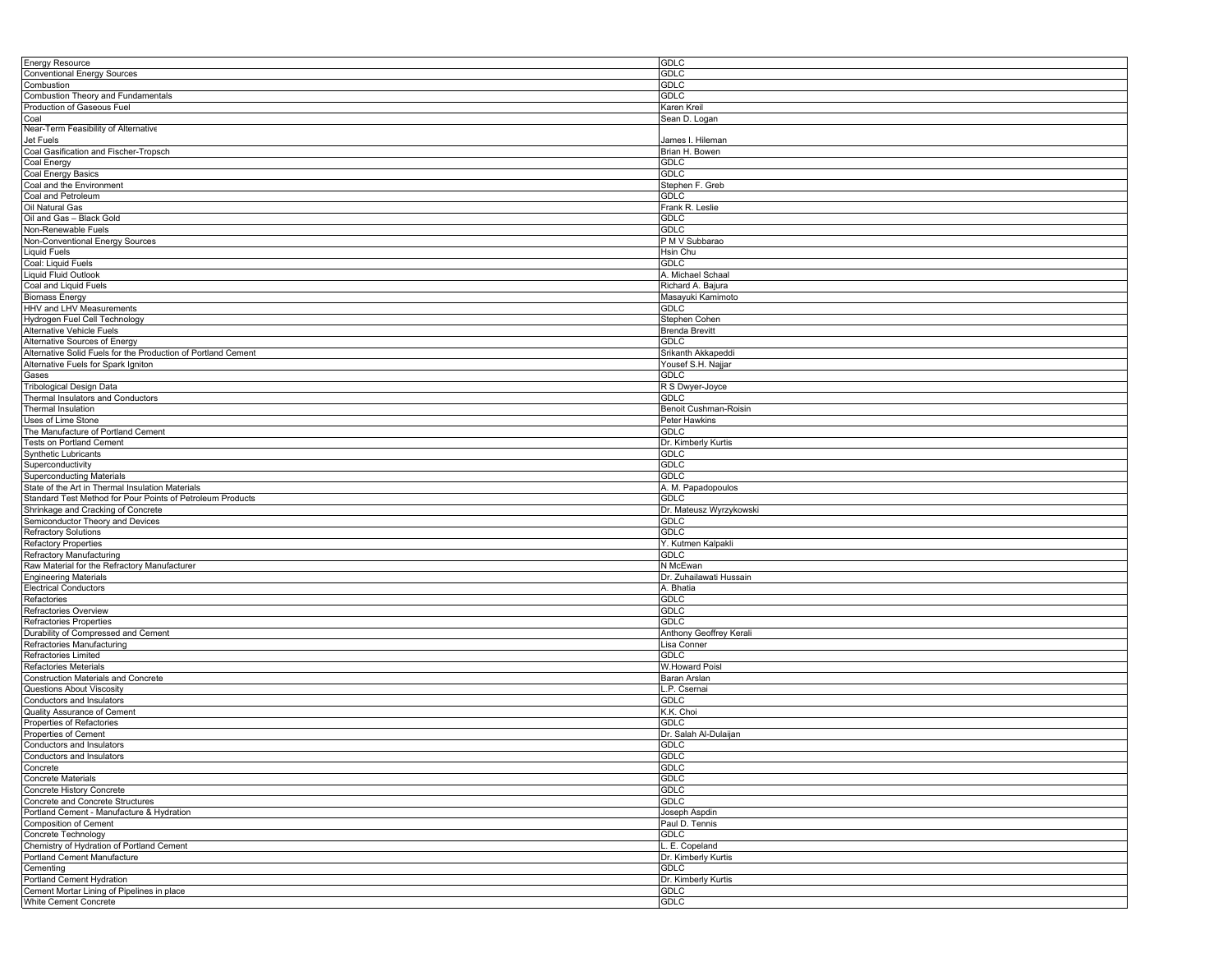| Energy Resource                                                                                  | <b>GDLC</b>                |
|--------------------------------------------------------------------------------------------------|----------------------------|
| <b>Conventional Energy Sources</b>                                                               | <b>GDLC</b>                |
| Combustion                                                                                       | <b>GDLC</b>                |
| Combustion Theory and Fundamentals                                                               | <b>GDLC</b>                |
| Production of Gaseous Fuel                                                                       | Karen Kreil                |
|                                                                                                  |                            |
| Coal                                                                                             | Sean D. Logan              |
| Near-Term Feasibility of Alternative                                                             |                            |
| Jet Fuels                                                                                        | James I. Hileman           |
| Coal Gasification and Fischer-Tropsch                                                            | Brian H. Bowen             |
| Coal Energy                                                                                      | GDLC                       |
| Coal Energy Basics                                                                               | <b>GDLC</b>                |
| Coal and the Environment                                                                         | Stephen F. Greb            |
| Coal and Petroleum                                                                               | GDLC                       |
| Oil Natural Gas                                                                                  | Frank R. Leslie            |
| Oil and Gas - Black Gold                                                                         |                            |
|                                                                                                  | <b>GDLC</b>                |
| Non-Renewable Fuels                                                                              | <b>GDLC</b>                |
| Non-Conventional Energy Sources                                                                  | PM V Subbarao              |
| <b>Liquid Fuels</b>                                                                              | Hsin Chu                   |
| Coal: Liquid Fuels                                                                               | <b>GDLC</b>                |
| <b>Liquid Fluid Outlook</b>                                                                      | A. Michael Schaal          |
| Coal and Liquid Fuels                                                                            | Richard A. Bajura          |
| <b>Biomass Energy</b>                                                                            | Masayuki Kamimoto          |
| HHV and LHV Measurements                                                                         | GDLC                       |
|                                                                                                  |                            |
| Hydrogen Fuel Cell Technology                                                                    | Stephen Cohen              |
| Alternative Vehicle Fuels                                                                        | <b>Brenda Brevitt</b>      |
| Alternative Sources of Energy                                                                    | GDLC                       |
| Alternative Solid Fuels for the Production of Portland Cement                                    | Srikanth Akkapeddi         |
| Alternative Fuels for Spark Igniton                                                              | Yousef S.H. Najjar         |
| Gases                                                                                            | GDLC                       |
| <b>Tribological Design Data</b>                                                                  | R S Dwyer-Joyce            |
| Thermal Insulators and Conductors                                                                | GDLC                       |
|                                                                                                  |                            |
| <b>Thermal Insulation</b>                                                                        | Benoit Cushman-Roisin      |
| Uses of Lime Stone                                                                               | Peter Hawkins              |
| The Manufacture of Portland Cement                                                               | <b>GDLC</b>                |
| Tests on Portland Cement                                                                         | Dr. Kimberly Kurtis        |
| Synthetic Lubricants                                                                             | GDLC                       |
| Superconductivity                                                                                | <b>GDLC</b>                |
| <b>Superconducting Materials</b>                                                                 | GDLC                       |
|                                                                                                  |                            |
|                                                                                                  |                            |
| State of the Art in Thermal Insulation Materials                                                 | A. M. Papadopoulos         |
| Standard Test Method for Pour Points of Petroleum Products                                       | <b>GDLC</b>                |
| Shrinkage and Cracking of Concrete                                                               | Dr. Mateusz Wyrzykowski    |
| Semiconductor Theory and Devices                                                                 | <b>GDLC</b>                |
| <b>Refractory Solutions</b>                                                                      | GDLC                       |
| <b>Refactory Properties</b>                                                                      | Y. Kutmen Kalpakli         |
| Refractory Manufacturing                                                                         | <b>GDLC</b>                |
| Raw Material for the Refractory Manufacturer                                                     | N McEwan                   |
|                                                                                                  | Dr. Zuhailawati Hussain    |
| <b>Engineering Materials</b>                                                                     |                            |
| <b>Electrical Conductors</b>                                                                     | A. Bhatia                  |
| Refactories                                                                                      | GDLC                       |
| Refractories Overview                                                                            | <b>GDLC</b>                |
| Refractories Properties                                                                          | <b>GDLC</b>                |
| Durability of Compressed and Cement                                                              | Anthony Geoffrey Kerali    |
| Refractories Manufacturing                                                                       | Lisa Conner                |
| Refractories Limited                                                                             | <b>GDLC</b>                |
| Refactories Meterials                                                                            | W.Howard Poisl             |
| Construction Materials and Concrete                                                              | Baran Arslan               |
| <b>Questions About Viscosity</b>                                                                 | L.P. Csernai               |
|                                                                                                  |                            |
| Conductors and Insulators                                                                        | GDLC                       |
| Quality Assurance of Cement                                                                      | K.K. Choi                  |
| Properties of Refactories                                                                        | <b>GDLC</b>                |
| Properties of Cement                                                                             | Dr. Salah Al-Dulaijan      |
| Conductors and Insulators                                                                        | <b>GDLC</b>                |
| Conductors and Insulators                                                                        | <b>GDLC</b>                |
| Concrete                                                                                         | GDLC                       |
| <b>Concrete Materials</b>                                                                        | GDLC                       |
| Concrete History Concrete                                                                        | <b>GDLC</b>                |
| Concrete and Concrete Structures                                                                 | GDLC                       |
|                                                                                                  |                            |
| Portland Cement - Manufacture & Hydration                                                        | Joseph Aspdin              |
|                                                                                                  | Paul D. Tennis             |
|                                                                                                  | <b>GDLC</b>                |
| <b>Composition of Cement</b><br>Concrete Technology<br>Chemistry of Hydration of Portland Cement | L. E. Copeland             |
| Portland Cement Manufacture                                                                      | Dr. Kimberly Kurtis        |
| Cementing                                                                                        | <b>GDLC</b>                |
|                                                                                                  | Dr. Kimberly Kurtis        |
| Portland Cement Hydration<br>Cement Mortar Lining of Pipelines in place<br>White Cement Concrete | <b>GDLC</b><br><b>GDLC</b> |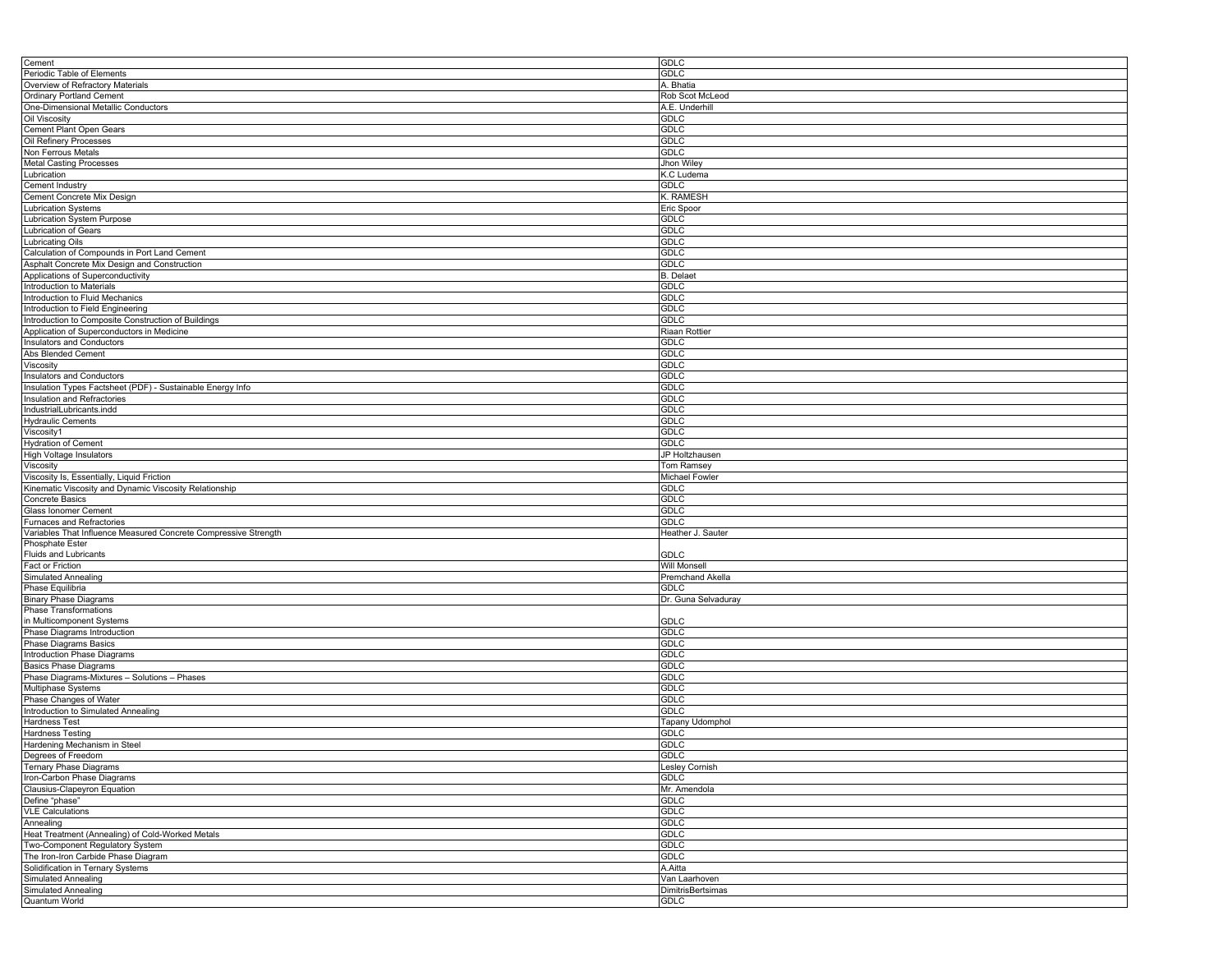| Cement                                                          | GDLC                     |
|-----------------------------------------------------------------|--------------------------|
| Periodic Table of Elements                                      | GDLC                     |
| Overview of Refractory Materials                                | A. Bhatia                |
|                                                                 |                          |
| <b>Ordinary Portland Cement</b>                                 | Rob Scot McLeod          |
| One-Dimensional Metallic Conductors                             | A.E. Underhill           |
| Oil Viscosity                                                   | GDLC                     |
| Cement Plant Open Gears                                         | <b>GDLC</b>              |
| Oil Refinery Processes                                          | <b>GDLC</b>              |
| Non Ferrous Metals                                              | <b>GDLC</b>              |
| <b>Metal Casting Processes</b>                                  | Jhon Wiley               |
|                                                                 |                          |
| Lubrication                                                     | K.C Ludema               |
| Cement Industry                                                 | <b>GDLC</b>              |
| Cement Concrete Mix Design                                      | K. RAMESH                |
| <b>Lubrication Systems</b>                                      | Eric Spoor               |
| <b>Lubrication System Purpose</b>                               | GDLC                     |
| Lubrication of Gears                                            | GDLC                     |
|                                                                 | <b>GDLC</b>              |
| <b>Lubricating Oils</b>                                         |                          |
| Calculation of Compounds in Port Land Cement                    | <b>GDLC</b>              |
| Asphalt Concrete Mix Design and Construction                    | <b>GDLC</b>              |
| Applications of Superconductivity                               | <b>B.</b> Delaet         |
| Introduction to Materials                                       | GDLC                     |
| Introduction to Fluid Mechanics                                 | <b>GDLC</b>              |
| Introduction to Field Engineering                               | <b>GDLC</b>              |
|                                                                 |                          |
| Introduction to Composite Construction of Buildings             | <b>GDLC</b>              |
| Application of Superconductors in Medicine                      | Riaan Rottier            |
| Insulators and Conductors                                       | GDLC                     |
| Abs Blended Cement                                              | <b>GDLC</b>              |
| Viscosity                                                       | <b>GDLC</b>              |
| Insulators and Conductors                                       | <b>GDLC</b>              |
|                                                                 |                          |
| Insulation Types Factsheet (PDF) - Sustainable Energy Info      | <b>GDLC</b>              |
| Insulation and Refractories                                     | GDLC                     |
| IndustrialLubricants.indd                                       | GDLC                     |
| <b>Hydraulic Cements</b>                                        | <b>GDLC</b>              |
| Viscosity1                                                      | <b>GDLC</b>              |
| <b>Hydration of Cement</b>                                      | <b>GDLC</b>              |
|                                                                 | JP Holtzhausen           |
| High Voltage Insulators                                         |                          |
| Viscosity                                                       | Tom Ramsey               |
| Viscosity Is, Essentially, Liquid Friction                      | Michael Fowler           |
| Kinematic Viscosity and Dynamic Viscosity Relationship          | GDLC                     |
| Concrete Basics                                                 | GDLC                     |
| Glass Ionomer Cement                                            | GDLC                     |
|                                                                 | GDLC                     |
| Furnaces and Refractories                                       |                          |
| Variables That Influence Measured Concrete Compressive Strength | Heather J. Sauter        |
| <b>Phosphate Ester</b>                                          |                          |
| <b>Fluids and Lubricants</b>                                    | GDLC                     |
| Fact or Friction                                                | Will Monsell             |
| Simulated Annealing                                             | <b>Premchand Akella</b>  |
| Phase Equilibria                                                | GDLC                     |
| <b>Binary Phase Diagrams</b>                                    | Dr. Guna Selvaduray      |
| <b>Phase Transformations</b>                                    |                          |
|                                                                 |                          |
| in Multicomponent Systems                                       | GDLC                     |
| Phase Diagrams Introduction                                     | GDLC                     |
| Phase Diagrams Basics                                           | <b>GDLC</b>              |
| Introduction Phase Diagrams                                     | GDLC                     |
| <b>Basics Phase Diagrams</b>                                    | <b>GDLC</b>              |
| Phase Diagrams-Mixtures - Solutions - Phases                    | <b>GDLC</b>              |
|                                                                 | <b>GDLC</b>              |
| Multiphase Systems                                              |                          |
| Phase Changes of Water                                          | GDLC                     |
| Introduction to Simulated Annealing                             | GDLC                     |
| <b>Hardness Test</b>                                            | Tapany Udomphol          |
| <b>Hardness Testing</b>                                         | GDLC                     |
| Hardening Mechanism in Steel                                    | <b>GDLC</b>              |
| Degrees of Freedom                                              | GDLC                     |
|                                                                 |                          |
| Ternary Phase Diagrams                                          | Lesley Cornish           |
| Iron-Carbon Phase Diagrams                                      | <b>GDLC</b>              |
| Clausius-Clapeyron Equation                                     | Mr. Amendola             |
| Define "phase"                                                  | GDLC                     |
| <b>VLE Calculations</b>                                         | GDLC                     |
| Annealing                                                       | GDLC                     |
| Heat Treatment (Annealing) of Cold-Worked Metals                | <b>GDLC</b>              |
|                                                                 |                          |
| Two-Component Regulatory System                                 | GDLC                     |
| The Iron-Iron Carbide Phase Diagram                             | <b>GDLC</b>              |
| Solidification in Ternary Systems                               | A.Aitta                  |
| Simulated Annealing                                             | Van Laarhoven            |
| Simulated Annealing                                             | <b>DimitrisBertsimas</b> |
| Quantum World                                                   | GDLC                     |
|                                                                 |                          |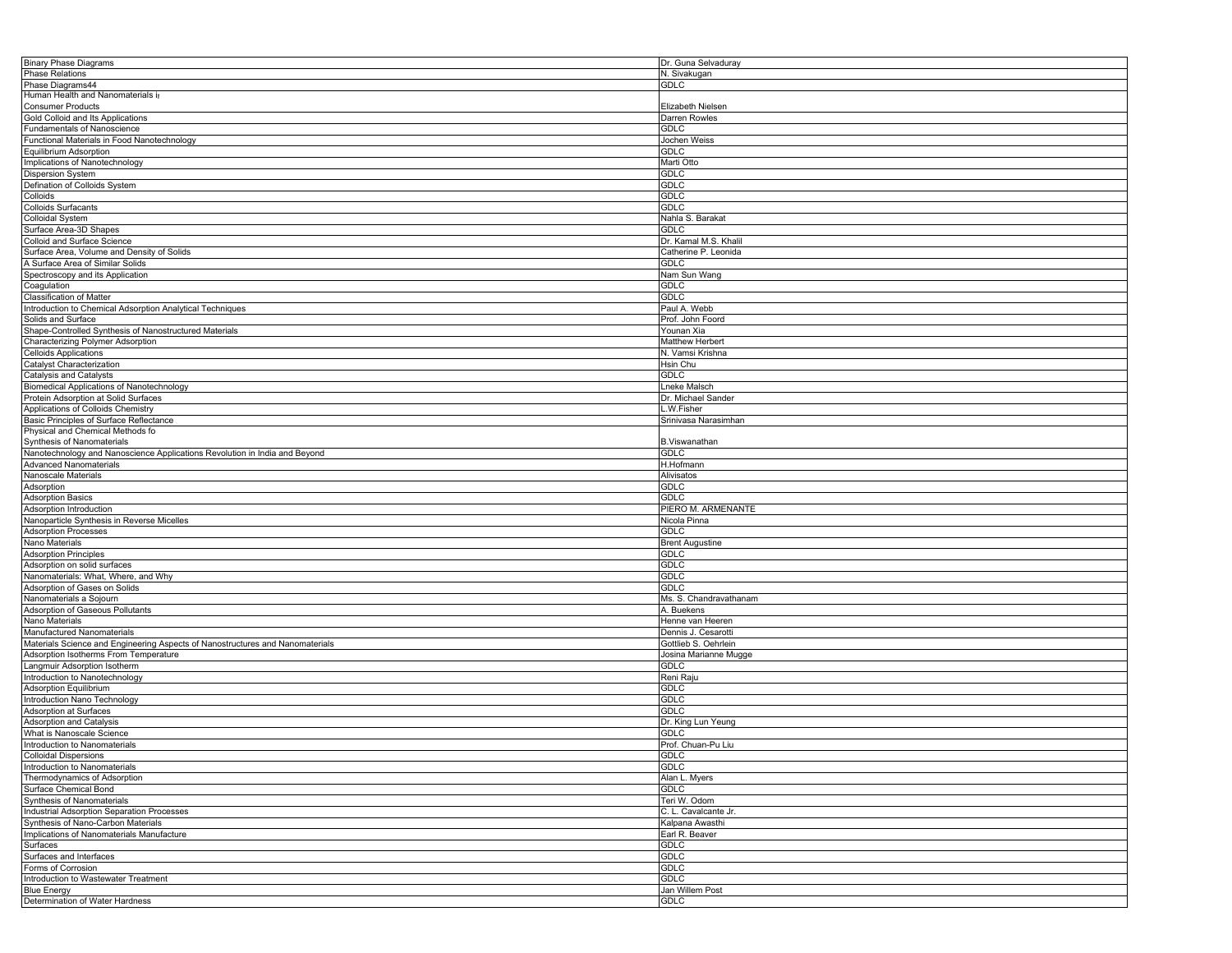| <b>Binary Phase Diagrams</b>                                                  | Dr. Guna Selvaduray     |
|-------------------------------------------------------------------------------|-------------------------|
| <b>Phase Relations</b>                                                        | N. Sivakugan            |
| Phase Diagrams44                                                              | GDLC                    |
| Human Health and Nanomaterials ir                                             |                         |
| <b>Consumer Products</b>                                                      | Elizabeth Nielsen       |
| Gold Colloid and Its Applications                                             | Darren Rowles           |
| <b>Fundamentals of Nanoscience</b>                                            | <b>GDLC</b>             |
| Functional Materials in Food Nanotechnology                                   | lochen Weiss            |
|                                                                               | GDLC                    |
| Equilibrium Adsorption                                                        |                         |
| Implications of Nanotechnology                                                | Marti Otto              |
| Dispersion System                                                             | GDLC                    |
| Defination of Colloids System                                                 | <b>GDLC</b>             |
| Colloids                                                                      | GDLC                    |
| <b>Colloids Surfacants</b>                                                    | <b>GDLC</b>             |
| Colloidal System                                                              | Nahla S. Barakat        |
| Surface Area-3D Shapes                                                        | <b>GDLC</b>             |
| Colloid and Surface Science                                                   | Dr. Kamal M.S. Khalil   |
| Surface Area, Volume and Density of Solids                                    | Catherine P. Leonida    |
| A Surface Area of Similar Solids                                              | <b>GDLC</b>             |
| Spectroscopy and its Application                                              |                         |
|                                                                               | Nam Sun Wang            |
| Coagulation                                                                   | GDLC                    |
| Classification of Matter                                                      | <b>GDLC</b>             |
| Introduction to Chemical Adsorption Analytical Techniques                     | Paul A. Webb            |
| Solids and Surface                                                            | Prof. John Foord        |
| Shape-Controlled Synthesis of Nanostructured Materials                        | Younan Xia              |
| Characterizing Polymer Adsorption                                             | Matthew Herbert         |
| <b>Celloids Applications</b>                                                  | N. Vamsi Krishna        |
| Catalyst Characterization                                                     | Hsin Chu                |
| Catalysis and Catalysts                                                       | <b>GDLC</b>             |
|                                                                               |                         |
| <b>Biomedical Applications of Nanotechnology</b>                              | Lneke Malsch            |
| Protein Adsorption at Solid Surfaces                                          | Dr. Michael Sander      |
| Applications of Colloids Chemistry                                            | .W.Fisher               |
| Basic Principles of Surface Reflectance                                       | Srinivasa Narasimhan    |
| Physical and Chemical Methods fo                                              |                         |
| Synthesis of Nanomaterials                                                    | <b>B.Viswanathan</b>    |
| Nanotechnology and Nanoscience Applications Revolution in India and Beyond    | GDLC                    |
| <b>Advanced Nanomaterials</b>                                                 | H.Hofmann               |
| Nanoscale Materials                                                           | Alivisatos              |
|                                                                               |                         |
|                                                                               |                         |
| Adsorption                                                                    | <b>GDLC</b>             |
| <b>Adsorption Basics</b>                                                      | GDLC                    |
| Adsorption Introduction                                                       | PIERO M. ARMENANTE      |
| Nanoparticle Synthesis in Reverse Micelles                                    | Nicola Pinna            |
| <b>Adsorption Processes</b>                                                   | <b>GDLC</b>             |
| Nano Materials                                                                | <b>Brent Augustine</b>  |
| <b>Adsorption Principles</b>                                                  | GDLC                    |
| Adsorption on solid surfaces                                                  | GDLC                    |
| Nanomaterials: What, Where, and Why                                           | <b>GDLC</b>             |
|                                                                               |                         |
| Adsorption of Gases on Solids                                                 | GDLC                    |
| Nanomaterials a Sojourn                                                       | Ms. S. Chandravathanam  |
| Adsorption of Gaseous Pollutants                                              | A. Buekens              |
| Nano Materials                                                                | Henne van Heeren        |
| Manufactured Nanomaterials                                                    | Dennis J. Cesarotti     |
| Materials Science and Engineering Aspects of Nanostructures and Nanomaterials | Gottlieb S. Oehrlein    |
| Adsorption Isotherms From Temperature                                         | Josina Marianne Mugge   |
| Langmuir Adsorption Isotherm                                                  | <b>GDLC</b>             |
| Introduction to Nanotechnology                                                | Reni Raju               |
| Adsorption Equilibrium                                                        | GDLC                    |
|                                                                               |                         |
| Introduction Nano Technology                                                  | GDLC                    |
| Adsorption at Surfaces                                                        | GDLC                    |
| <b>Adsorption and Catalysis</b>                                               | Dr. King Lun Yeung      |
| What is Nanoscale Science                                                     | <b>GDLC</b>             |
| Introduction to Nanomaterials                                                 | Prof. Chuan-Pu Liu      |
| <b>Colloidal Dispersions</b>                                                  | GDLC                    |
| Introduction to Nanomaterials                                                 | <b>GDLC</b>             |
| Thermodynamics of Adsorption                                                  | Alan L. Myers           |
| Surface Chemical Bond                                                         | GDLC                    |
| <b>Synthesis of Nanomaterials</b>                                             | Teri W. Odom            |
| Industrial Adsorption Separation Processes                                    | C. L. Cavalcante Jr.    |
|                                                                               |                         |
| Synthesis of Nano-Carbon Materials                                            | Kalpana Awasthi         |
| Implications of Nanomaterials Manufacture                                     | Earl R. Beaver          |
| Surfaces                                                                      | GDLC                    |
| Surfaces and Interfaces                                                       | <b>GDLC</b>             |
| Forms of Corrosion                                                            | <b>GDLC</b>             |
| Introduction to Wastewater Treatment                                          | <b>GDLC</b>             |
| <b>Blue Energy</b><br>Determination of Water Hardness                         | Jan Willem Post<br>GDLC |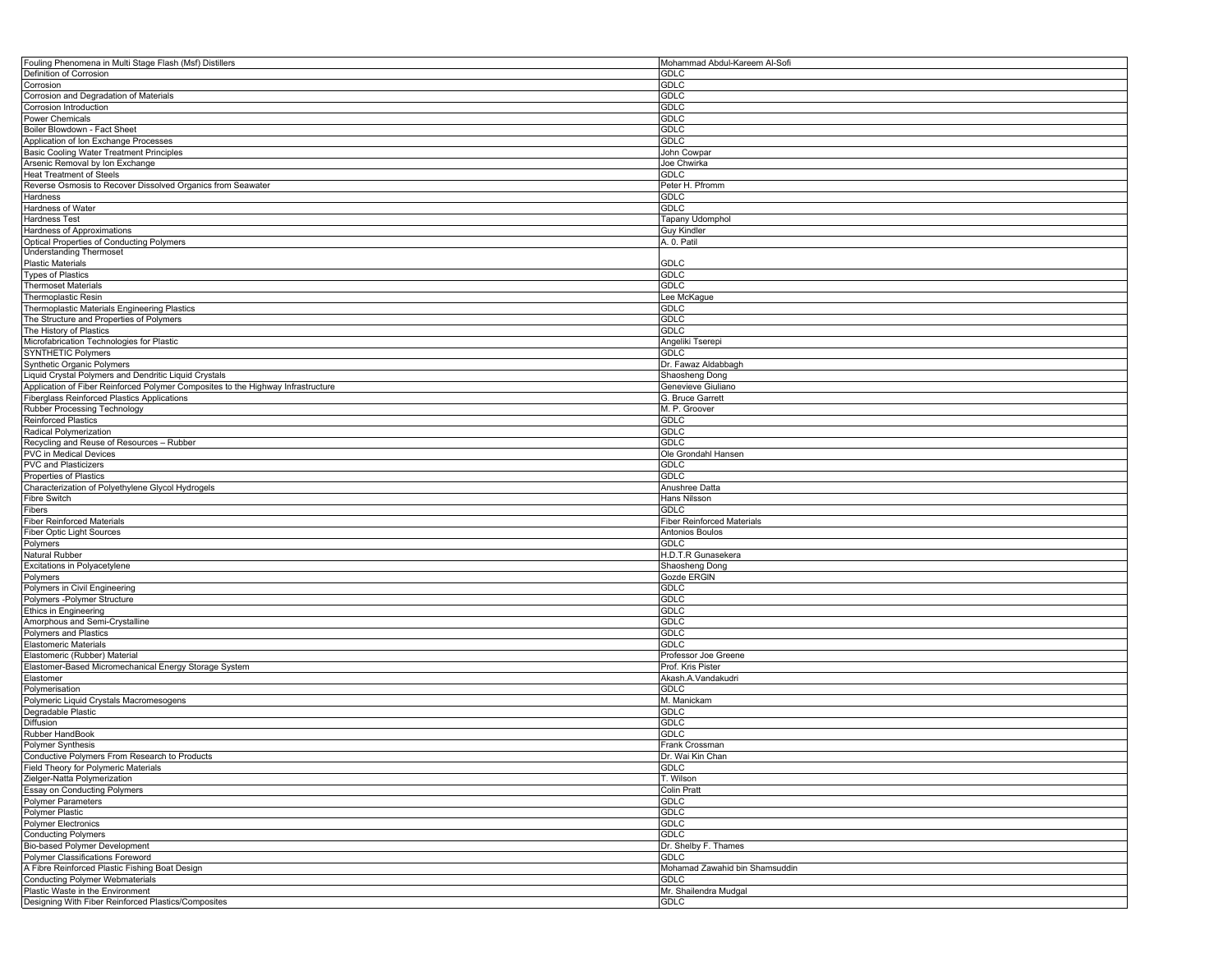| Fouling Phenomena in Multi Stage Flash (Msf) Distillers                                 | Mohammad Abdul-Kareem Al-Sofi        |
|-----------------------------------------------------------------------------------------|--------------------------------------|
| Definition of Corrosion                                                                 | GDLC                                 |
| Corrosion                                                                               | <b>GDLC</b>                          |
| Corrosion and Degradation of Materials                                                  | <b>GDLC</b>                          |
| Corrosion Introduction                                                                  | <b>GDLC</b>                          |
| Power Chemicals                                                                         | GDLC                                 |
| Boiler Blowdown - Fact Sheet                                                            | <b>GDLC</b>                          |
| Application of Ion Exchange Processes                                                   | GDLC                                 |
| Basic Cooling Water Treatment Principles                                                | John Cowpar                          |
| Arsenic Removal by Ion Exchange                                                         | Joe Chwirka                          |
|                                                                                         |                                      |
| <b>Heat Treatment of Steels</b>                                                         | GDLC                                 |
| Reverse Osmosis to Recover Dissolved Organics from Seawater                             | Peter H. Pfromm                      |
| Hardness                                                                                | GDLC                                 |
| Hardness of Water                                                                       | <b>GDLC</b>                          |
| <b>Hardness Test</b>                                                                    | Tapany Udomphol                      |
| Hardness of Approximations                                                              | Guy Kindler                          |
| <b>Optical Properties of Conducting Polymers</b>                                        | A. 0. Patil                          |
| <b>Understanding Thermoset</b>                                                          |                                      |
| <b>Plastic Materials</b>                                                                | GDLC                                 |
| <b>Types of Plastics</b>                                                                | <b>GDLC</b>                          |
| Thermoset Materials                                                                     | <b>GDLC</b>                          |
| Thermoplastic Resin                                                                     | Lee McKague                          |
| Thermoplastic Materials Engineering Plastics                                            | GDLC                                 |
| The Structure and Properties of Polymers                                                | GDLC                                 |
|                                                                                         |                                      |
| The History of Plastics                                                                 | <b>GDLC</b>                          |
| Microfabrication Technologies for Plastic                                               | Angeliki Tserepi                     |
| <b>SYNTHETIC Polymers</b>                                                               | GDLC                                 |
| Synthetic Organic Polymers                                                              | Dr. Fawaz Aldabbagh                  |
| Liquid Crystal Polymers and Dendritic Liquid Crystals                                   | Shaosheng Dong                       |
| Application of Fiber Reinforced Polymer Composites to the Highway Infrastructure        | Genevieve Giuliano                   |
| Fiberglass Reinforced Plastics Applications                                             | G. Bruce Garrett                     |
| Rubber Processing Technology                                                            | M. P. Groover                        |
| <b>Reinforced Plastics</b>                                                              | GDLC                                 |
| Radical Polymerization                                                                  | GDLC                                 |
| Recycling and Reuse of Resources - Rubber                                               | <b>GDLC</b>                          |
| <b>PVC in Medical Devices</b>                                                           | Ole Grondahl Hansen                  |
| <b>PVC and Plasticizers</b>                                                             | <b>GDLC</b>                          |
| Properties of Plastics                                                                  | GDLC                                 |
|                                                                                         |                                      |
| Characterization of Polyethylene Glycol Hydrogels                                       | Anushree Datta                       |
| Fibre Switch                                                                            | Hans Nilsson                         |
| Fibers                                                                                  | GDLC                                 |
| <b>Fiber Reinforced Materials</b>                                                       | <b>Fiber Reinforced Materials</b>    |
| <b>Fiber Optic Light Sources</b>                                                        | Antonios Boulos                      |
| Polymers                                                                                | GDLC                                 |
| Natural Rubber                                                                          | H.D.T.R Gunasekera                   |
| Excitations in Polyacetylene                                                            | Shaosheng Dong                       |
|                                                                                         |                                      |
|                                                                                         |                                      |
| Polymers                                                                                | Gozde ERGIN                          |
| Polymers in Civil Engineering                                                           | GDLC                                 |
| Polymers - Polymer Structure                                                            | GDLC                                 |
| Ethics in Engineering                                                                   | <b>GDLC</b>                          |
| Amorphous and Semi-Crystalline                                                          | <b>GDLC</b>                          |
| <b>Polymers and Plastics</b>                                                            | <b>GDLC</b>                          |
| <b>Elastomeric Materials</b>                                                            | GDLC                                 |
| Elastomeric (Rubber) Material                                                           | Professor Joe Greene                 |
| Elastomer-Based Micromechanical Energy Storage System                                   | Prof. Kris Pister                    |
| Elastomer                                                                               | Akash.A.Vandakudri                   |
| Polymerisation                                                                          | GDLC                                 |
| Polymeric Liquid Crystals Macromesogens                                                 | M. Manickam                          |
| Degradable Plastic                                                                      | GDLC                                 |
|                                                                                         | <b>GDLC</b>                          |
| Diffusion                                                                               |                                      |
| Rubber HandBook                                                                         | <b>GDLC</b>                          |
| Polymer Synthesis                                                                       | Frank Crossman                       |
| Conductive Polymers From Research to Products                                           | Dr. Wai Kin Chan                     |
| Field Theory for Polymeric Materials                                                    | <b>GDLC</b>                          |
| Zielger-Natta Polymerization                                                            | T. Wilson                            |
| <b>Essay on Conducting Polymers</b>                                                     | <b>Colin Pratt</b>                   |
| <b>Polymer Parameters</b>                                                               | <b>GDLC</b>                          |
| Polymer Plastic                                                                         | GDLC                                 |
| Polymer Electronics                                                                     | <b>GDLC</b>                          |
| <b>Conducting Polymers</b>                                                              | <b>GDLC</b>                          |
| Bio-based Polymer Development                                                           | Dr. Shelby F. Thames                 |
| Polymer Classifications Foreword                                                        | GDLC                                 |
| A Fibre Reinforced Plastic Fishing Boat Design                                          | Mohamad Zawahid bin Shamsuddin       |
| <b>Conducting Polymer Webmaterials</b>                                                  | <b>GDLC</b>                          |
|                                                                                         |                                      |
| Plastic Waste in the Environment<br>Designing With Fiber Reinforced Plastics/Composites | Mr. Shailendra Mudgal<br><b>GDLC</b> |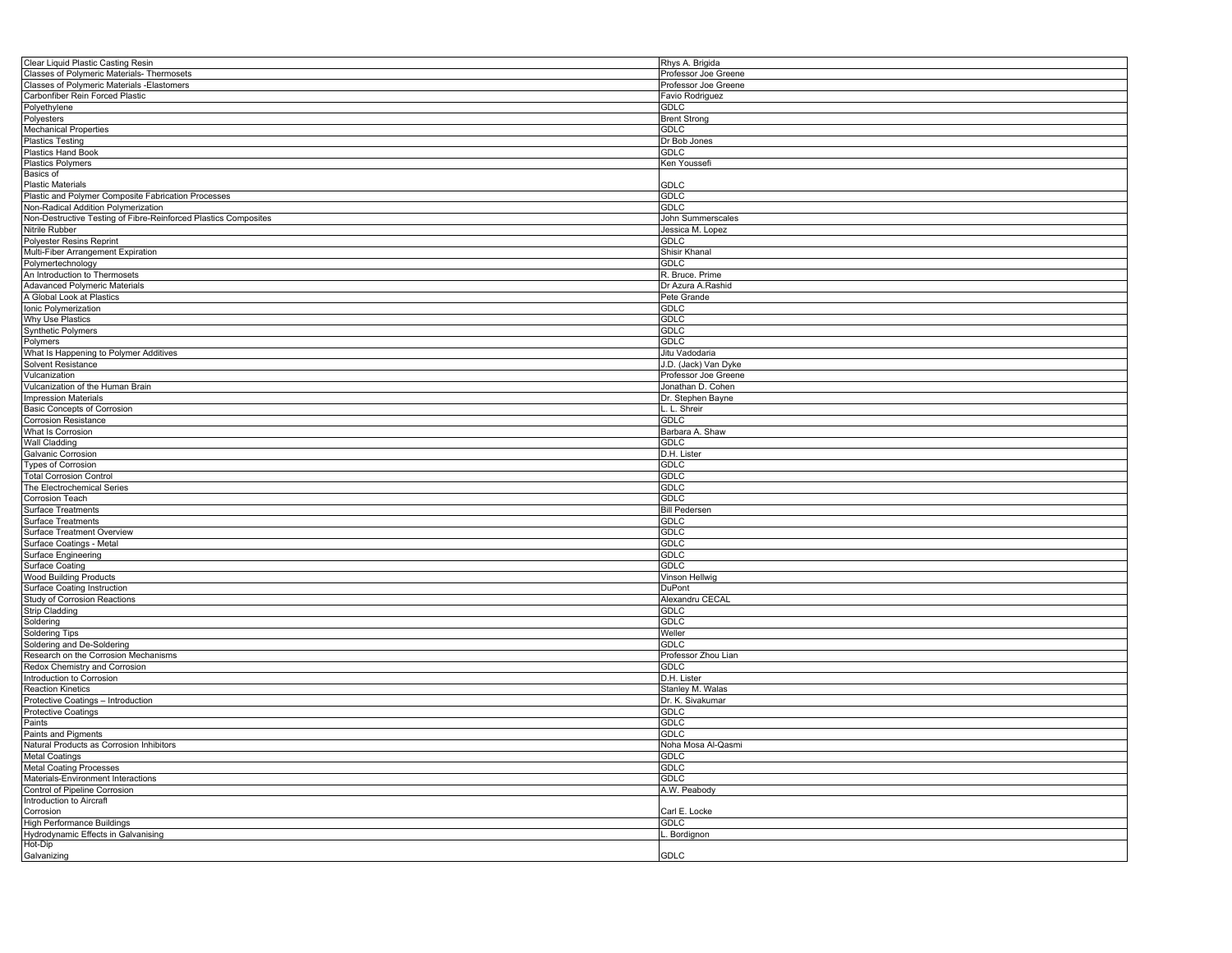| Clear Liquid Plastic Casting Resin                              | Rhys A. Brigida      |
|-----------------------------------------------------------------|----------------------|
| Classes of Polymeric Materials- Thermosets                      | Professor Joe Greene |
| Classes of Polymeric Materials -Elastomers                      | Professor Joe Greene |
| Carbonfiber Rein Forced Plastic                                 | Favio Rodriguez      |
| Polyethylene                                                    | <b>GDLC</b>          |
|                                                                 |                      |
| Polyesters                                                      | <b>Brent Strong</b>  |
| <b>Mechanical Properties</b>                                    | <b>GDLC</b>          |
| <b>Plastics Testing</b>                                         | Dr Bob Jones         |
| <b>Plastics Hand Book</b>                                       | GDLC                 |
| <b>Plastics Polymers</b>                                        | Ken Youssefi         |
| Basics of                                                       |                      |
| <b>Plastic Materials</b>                                        | GDLC                 |
|                                                                 | <b>GDLC</b>          |
| Plastic and Polymer Composite Fabrication Processes             |                      |
| Non-Radical Addition Polymerization                             | GDLC                 |
| Non-Destructive Testing of Fibre-Reinforced Plastics Composites | John Summerscales    |
| Nitrile Rubber                                                  | Jessica M. Lopez     |
| Polyester Resins Reprint                                        | GDLC                 |
| Multi-Fiber Arrangement Expiration                              | Shisir Khanal        |
| Polymertechnology                                               | <b>GDLC</b>          |
| An Introduction to Thermosets                                   |                      |
|                                                                 | R. Bruce. Prime      |
| <b>Adavanced Polymeric Materials</b>                            | Dr Azura A.Rashid    |
| A Global Look at Plastics                                       | Pete Grande          |
| Ionic Polymerization                                            | <b>GDLC</b>          |
| Why Use Plastics                                                | <b>GDLC</b>          |
| <b>Synthetic Polymers</b>                                       | <b>GDLC</b>          |
| Polymers                                                        | <b>GDLC</b>          |
|                                                                 |                      |
| What Is Happening to Polymer Additives                          | Jitu Vadodaria       |
| Solvent Resistance                                              | J.D. (Jack) Van Dyke |
| Vulcanization                                                   | Professor Joe Greene |
| Vulcanization of the Human Brain                                | Jonathan D. Cohen    |
| <b>Impression Materials</b>                                     | Dr. Stephen Bayne    |
| <b>Basic Concepts of Corrosion</b>                              | L. Shreir            |
|                                                                 | <b>GDLC</b>          |
| <b>Corrosion Resistance</b>                                     |                      |
| What Is Corrosion                                               | Barbara A. Shaw      |
| <b>Wall Cladding</b>                                            | <b>GDLC</b>          |
| Galvanic Corrosion                                              | D.H. Lister          |
| <b>Types of Corrosion</b>                                       | <b>GDLC</b>          |
| <b>Total Corrosion Control</b>                                  | <b>GDLC</b>          |
| The Electrochemical Series                                      | <b>GDLC</b>          |
|                                                                 | <b>GDLC</b>          |
| Corrosion Teach                                                 |                      |
| Surface Treatments                                              | <b>Bill Pedersen</b> |
| Surface Treatments                                              | <b>GDLC</b>          |
| Surface Treatment Overview                                      | <b>GDLC</b>          |
| Surface Coatings - Metal                                        | <b>GDLC</b>          |
| Surface Engineering                                             | GDLC                 |
| Surface Coating                                                 | GDLC                 |
|                                                                 |                      |
| <b>Wood Building Products</b>                                   | Vinson Hellwig       |
| Surface Coating Instruction                                     | DuPont               |
| Study of Corrosion Reactions                                    | Alexandru CECAL      |
| <b>Strip Cladding</b>                                           | <b>GDLC</b>          |
| Soldering                                                       | <b>GDLC</b>          |
| <b>Soldering Tips</b>                                           | Weller               |
| Soldering and De-Soldering                                      | GDLC                 |
|                                                                 |                      |
| Research on the Corrosion Mechanisms                            | Professor Zhou Lian  |
| Redox Chemistry and Corrosion                                   | GDLC                 |
| Introduction to Corrosion                                       | D.H. Lister          |
| <b>Reaction Kinetics</b>                                        | Stanley M. Walas     |
| Protective Coatings - Introduction                              | Dr. K. Sivakumar     |
| Protective Coatings                                             | GDLC                 |
| Paints                                                          | <b>GDLC</b>          |
|                                                                 |                      |
| Paints and Pigments                                             | <b>GDLC</b>          |
| Natural Products as Corrosion Inhibitors                        | Noha Mosa Al-Qasmi   |
| <b>Metal Coatings</b>                                           | <b>GDLC</b>          |
| <b>Metal Coating Processes</b>                                  | <b>GDLC</b>          |
| Materials-Environment Interactions                              | GDLC                 |
| Control of Pipeline Corrosion                                   | A.W. Peabody         |
| Introduction to Aircraft                                        |                      |
|                                                                 |                      |
| Corrosion                                                       | Carl E. Locke        |
| <b>High Performance Buildings</b>                               | GDLC                 |
| Hydrodynamic Effects in Galvanising                             | Bordignon            |
| Hot-Dip                                                         |                      |
| Galvanizing                                                     | GDLC                 |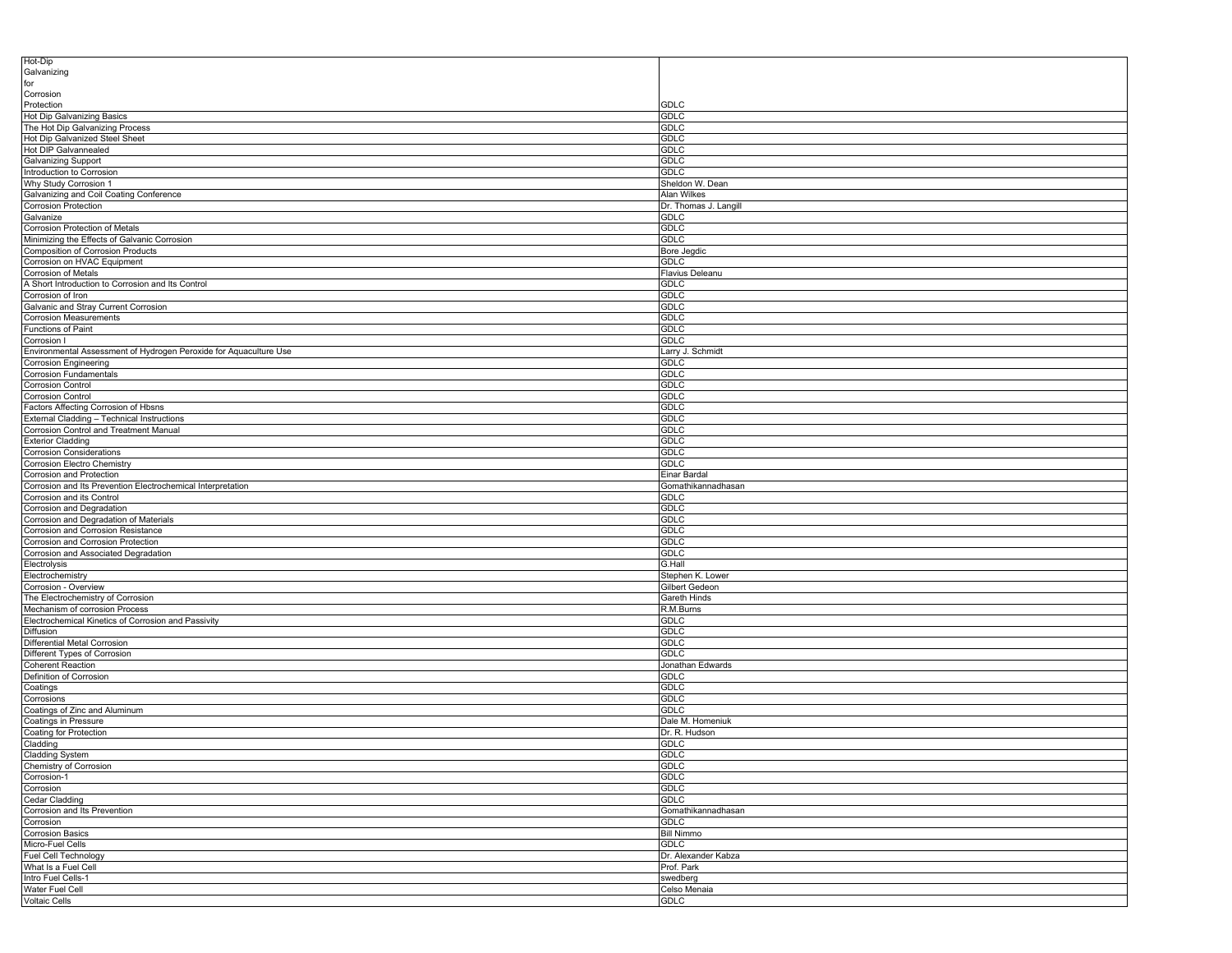| Hot-Dip<br>Galvanizing                                                            |                                    |
|-----------------------------------------------------------------------------------|------------------------------------|
| for                                                                               |                                    |
| Corrosion                                                                         |                                    |
| Protection                                                                        | <b>GDLC</b>                        |
| Hot Dip Galvanizing Basics<br>The Hot Dip Galvanizing Process                     | <b>GDLC</b><br>GDLC                |
| Hot Dip Galvanized Steel Sheet                                                    | <b>GDLC</b>                        |
| Hot DIP Galvannealed                                                              | <b>GDLC</b>                        |
| Galvanizing Support                                                               | <b>GDLC</b>                        |
| Introduction to Corrosion                                                         | <b>GDLC</b><br>Sheldon W. Dean     |
| Why Study Corrosion 1<br>Galvanizing and Coil Coating Conference                  | <b>Alan Wilkes</b>                 |
| <b>Corrosion Protection</b>                                                       | Dr. Thomas J. Langill              |
| Galvanize                                                                         | <b>GDLC</b>                        |
| Corrosion Protection of Metals                                                    | <b>GDLC</b>                        |
| Minimizing the Effects of Galvanic Corrosion<br>Composition of Corrosion Products | <b>GDLC</b><br>Bore Jegdic         |
| Corrosion on HVAC Equipment                                                       | <b>GDLC</b>                        |
| Corrosion of Metals                                                               | Flavius Deleanu                    |
| A Short Introduction to Corrosion and Its Control                                 | <b>GDLC</b>                        |
| Corrosion of Iron                                                                 | <b>GDLC</b>                        |
| Galvanic and Stray Current Corrosion<br>Corrosion Measurements                    | <b>GDLC</b><br><b>GDLC</b>         |
| Functions of Paint                                                                | <b>GDLC</b>                        |
| Corrosion I                                                                       | <b>GDLC</b>                        |
| Environmental Assessment of Hydrogen Peroxide for Aquaculture Use                 | Larry J. Schmidt                   |
| Corrosion Engineering                                                             | <b>GDLC</b>                        |
| <b>Corrosion Fundamentals</b><br><b>Corrosion Control</b>                         | <b>GDLC</b><br><b>GDLC</b>         |
| <b>Corrosion Control</b>                                                          | <b>GDLC</b>                        |
| Factors Affecting Corrosion of Hbsns                                              | <b>GDLC</b>                        |
| External Cladding - Technical Instructions                                        | <b>GDLC</b>                        |
| Corrosion Control and Treatment Manual                                            | <b>GDLC</b>                        |
| <b>Exterior Cladding</b>                                                          | <b>GDLC</b><br><b>GDLC</b>         |
| <b>Corrosion Considerations</b><br>Corrosion Electro Chemistry                    | <b>GDLC</b>                        |
| Corrosion and Protection                                                          | Einar Bardal                       |
| Corrosion and Its Prevention Electrochemical Interpretation                       | Gomathikannadhasan                 |
| Corrosion and its Control                                                         | <b>GDLC</b>                        |
| Corrosion and Degradation<br>Corrosion and Degradation of Materials               | <b>GDLC</b><br><b>GDLC</b>         |
| Corrosion and Corrosion Resistance                                                | <b>GDLC</b>                        |
| Corrosion and Corrosion Protection                                                | <b>GDLC</b>                        |
| Corrosion and Associated Degradation                                              | <b>GDLC</b>                        |
| Electrolysis                                                                      | G.Hall                             |
| Electrochemistry<br>Corrosion - Overview                                          | Stephen K. Lower<br>Gilbert Gedeon |
| The Electrochemistry of Corrosion                                                 | Gareth Hinds                       |
| Mechanism of corrosion Process                                                    | R.M.Burns                          |
| Electrochemical Kinetics of Corrosion and Passivity                               | <b>GDLC</b>                        |
| Diffusion                                                                         | <b>GDLC</b>                        |
| Differential Metal Corrosion<br>Different Types of Corrosion                      | <b>GDLC</b><br><b>GDLC</b>         |
| Coherent Reaction                                                                 | Jonathan Edwards                   |
| Definition of Corrosion                                                           | <b>GDLC</b>                        |
| Coatings                                                                          | GDLC                               |
| Corrosions<br>Coatings of Zinc and Aluminum                                       | <b>GDLC</b>                        |
| Coatings in Pressure                                                              | <b>GDLC</b><br>Dale M. Homeniuk    |
| Coating for Protection                                                            | Dr. R. Hudson                      |
| Cladding                                                                          | <b>GDLC</b>                        |
| Cladding System                                                                   | GDLC                               |
| Chemistry of Corrosion                                                            | <b>GDLC</b>                        |
| Corrosion-1<br>Corrosion                                                          | <b>GDLC</b><br>GDLC                |
| Cedar Cladding                                                                    | <b>GDLC</b>                        |
| Corrosion and Its Prevention                                                      | Gomathikannadhasan                 |
| Corrosion                                                                         | <b>GDLC</b>                        |
| <b>Corrosion Basics</b>                                                           | <b>Bill Nimmo</b>                  |
| Micro-Fuel Cells<br>Fuel Cell Technology                                          | <b>GDLC</b><br>Dr. Alexander Kabza |
| What Is a Fuel Cell                                                               | Prof. Park                         |
| Intro Fuel Cells-1                                                                | swedberg                           |
| Water Fuel Cell                                                                   | Celso Menaia                       |
| Voltaic Cells                                                                     | <b>GDLC</b>                        |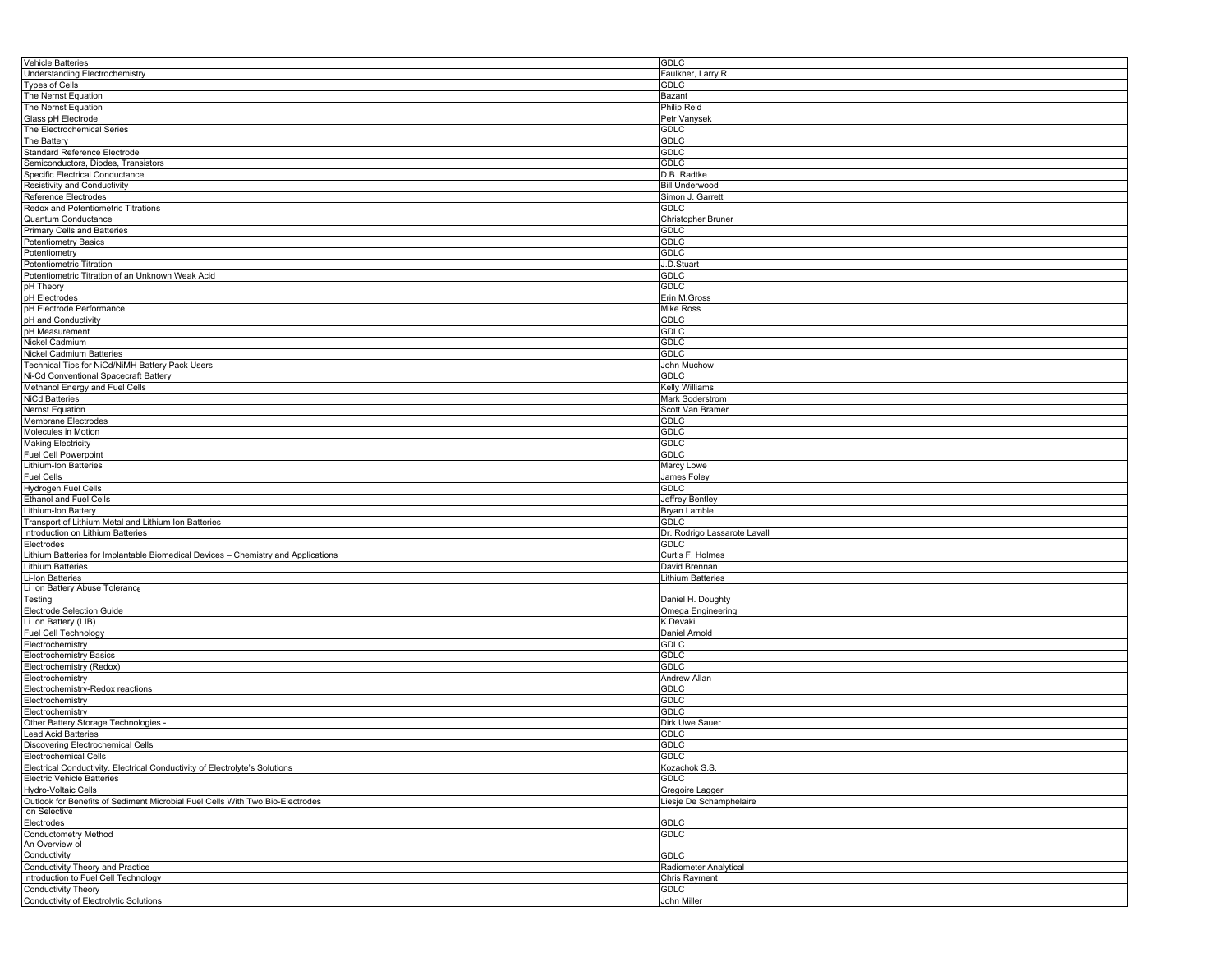| GDLC                         |
|------------------------------|
| Faulkner, Larry R.           |
| GDLC                         |
|                              |
| Bazant                       |
| <b>Philip Reid</b>           |
| Petr Vanysek                 |
| <b>GDLC</b>                  |
| <b>GDLC</b>                  |
| <b>GDLC</b>                  |
| <b>GDLC</b>                  |
|                              |
| D.B. Radtke                  |
| <b>Bill Underwood</b>        |
| Simon J. Garrett             |
| <b>GDLC</b>                  |
| Christopher Bruner           |
| GDLC                         |
| <b>GDLC</b>                  |
|                              |
| <b>GDLC</b>                  |
| J.D.Stuart                   |
| GDLC                         |
| GDLC                         |
| Erin M.Gross                 |
| <b>Mike Ross</b>             |
|                              |
| GDLC                         |
| GDLC                         |
| <b>GDLC</b>                  |
| <b>GDLC</b>                  |
| John Muchow                  |
| GDLC                         |
|                              |
| Kelly Williams               |
| Mark Soderstrom              |
| Scott Van Bramer             |
| <b>GDLC</b>                  |
| <b>GDLC</b>                  |
| <b>GDLC</b>                  |
|                              |
| <b>GDLC</b>                  |
| Marcy Lowe                   |
|                              |
| James Foley                  |
| GDLC                         |
|                              |
| Jeffrey Bentley              |
| Bryan Lamble                 |
| <b>GDLC</b>                  |
| Dr. Rodrigo Lassarote Lavall |
| <b>GDLC</b>                  |
| Curtis F. Holmes             |
|                              |
| David Brennan                |
| Lithium Batteries            |
|                              |
| Daniel H. Doughty            |
| Omega Engineering            |
| K.Devaki                     |
| Daniel Arnold                |
| GDLC                         |
| GDLC                         |
|                              |
| <b>GDLC</b>                  |
| Andrew Allan                 |
| GDLC                         |
| GDLC                         |
| <b>GDLC</b>                  |
| Dirk Uwe Sauer               |
| <b>GDLC</b>                  |
|                              |
| <b>GDLC</b>                  |
| <b>GDLC</b>                  |
| Kozachok S.S.                |
| <b>GDLC</b>                  |
| Gregoire Lagger              |
| Liesje De Schamphelaire      |
|                              |
|                              |
| GDLC                         |
| <b>GDLC</b>                  |
|                              |
| GDLC                         |
| Radiometer Analytical        |
| <b>Chris Rayment</b>         |
| <b>GDLC</b>                  |
|                              |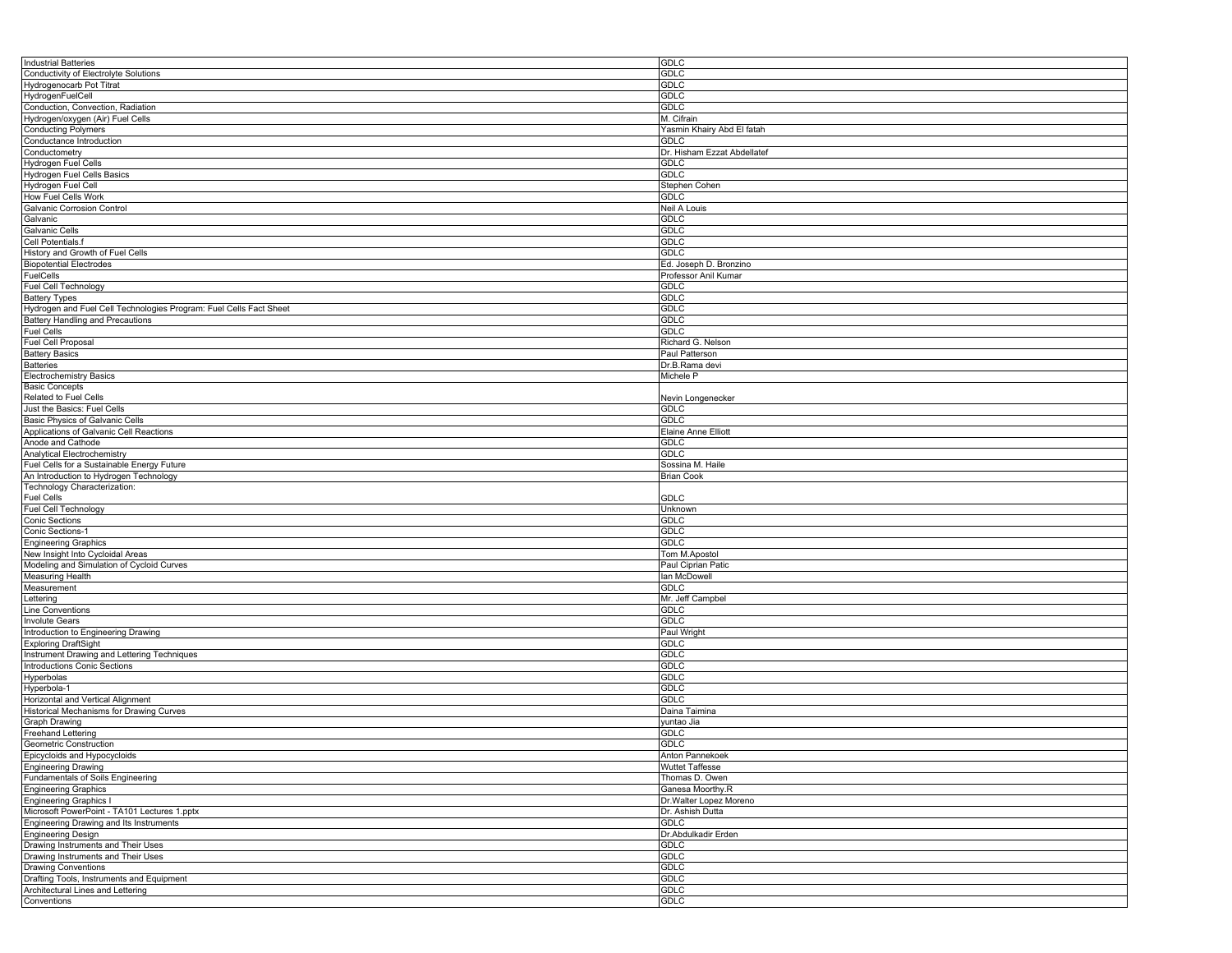| <b>Industrial Batteries</b>                                        | GDLC                        |
|--------------------------------------------------------------------|-----------------------------|
| Conductivity of Electrolyte Solutions                              | <b>GDLC</b>                 |
| Hydrogenocarb Pot Titrat                                           | GDLC                        |
| HydrogenFuelCell                                                   | <b>GDLC</b>                 |
| Conduction, Convection, Radiation                                  | <b>GDLC</b>                 |
| Hydrogen/oxygen (Air) Fuel Cells                                   | M. Cifrain                  |
| <b>Conducting Polymers</b>                                         | Yasmin Khairy Abd El fatah  |
| Conductance Introduction                                           |                             |
|                                                                    | GDLC                        |
| Conductometry                                                      | Dr. Hisham Ezzat Abdellatef |
| Hydrogen Fuel Cells                                                | <b>GDLC</b>                 |
| <b>Hydrogen Fuel Cells Basics</b>                                  | GDLC                        |
| Hydrogen Fuel Cell                                                 | Stephen Cohen               |
| How Fuel Cells Work                                                | GDLC                        |
| Galvanic Corrosion Control                                         | Neil A Louis                |
| Galvanic                                                           | <b>GDLC</b>                 |
| Galvanic Cells                                                     | GDLC                        |
| Cell Potentials.f                                                  | <b>GDLC</b>                 |
| History and Growth of Fuel Cells                                   | GDLC                        |
| <b>Biopotential Electrodes</b>                                     | Ed. Joseph D. Bronzino      |
| <b>FuelCells</b>                                                   | Professor Anil Kumar        |
|                                                                    |                             |
| Fuel Cell Technology                                               | GDLC                        |
| <b>Battery Types</b>                                               | <b>GDLC</b>                 |
| Hydrogen and Fuel Cell Technologies Program: Fuel Cells Fact Sheet | <b>GDLC</b>                 |
| Battery Handling and Precautions                                   | <b>GDLC</b>                 |
| <b>Fuel Cells</b>                                                  | <b>GDLC</b>                 |
| Fuel Cell Proposal                                                 | Richard G. Nelson           |
| <b>Battery Basics</b>                                              | Paul Patterson              |
| <b>Batteries</b>                                                   | Dr.B.Rama devi              |
| <b>Electrochemistry Basics</b>                                     | Michele P                   |
| <b>Basic Concepts</b>                                              |                             |
| <b>Related to Fuel Cells</b>                                       | Nevin Longenecker           |
| Just the Basics: Fuel Cells                                        | GDLC                        |
| Basic Physics of Galvanic Cells                                    | <b>GDLC</b>                 |
|                                                                    |                             |
| Applications of Galvanic Cell Reactions                            | Elaine Anne Elliott         |
| Anode and Cathode                                                  | <b>GDLC</b>                 |
| Analytical Electrochemistry                                        | <b>GDLC</b>                 |
| Fuel Cells for a Sustainable Energy Future                         | Sossina M. Haile            |
| An Introduction to Hydrogen Technology                             | <b>Brian Cook</b>           |
| Technology Characterization:                                       |                             |
| <b>Fuel Cells</b>                                                  | <b>GDLC</b>                 |
| Fuel Cell Technology                                               | Unknown                     |
| <b>Conic Sections</b>                                              | <b>GDLC</b>                 |
| Conic Sections-1                                                   | <b>GDLC</b>                 |
| <b>Engineering Graphics</b>                                        | GDLC                        |
| New Insight Into Cycloidal Areas                                   | Tom M.Apostol               |
| Modeling and Simulation of Cycloid Curves                          | Paul Ciprian Patic          |
|                                                                    |                             |
| Measuring Health                                                   | lan McDowell                |
| Measurement                                                        | <b>GDLC</b>                 |
| Lettering                                                          | Mr. Jeff Campbel            |
| ine Conventions                                                    | <b>GDLC</b>                 |
| <b>Involute Gears</b>                                              | <b>GDLC</b>                 |
| Introduction to Engineering Drawing                                | Paul Wright                 |
| <b>Exploring DraftSight</b>                                        | <b>GDLC</b>                 |
| Instrument Drawing and Lettering Techniques                        | <b>GDLC</b>                 |
| Introductions Conic Sections                                       | <b>GDLC</b>                 |
| Hyperbolas                                                         | <b>GDLC</b>                 |
| Hyperbola-1                                                        | <b>GDLC</b>                 |
| Horizontal and Vertical Alignment                                  | <b>GDLC</b>                 |
| <b>Historical Mechanisms for Drawing Curves</b>                    | Daina Taimina               |
|                                                                    |                             |
| Graph Drawing                                                      | yuntao Jia                  |
| <b>Freehand Lettering</b>                                          | <b>GDLC</b>                 |
| <b>Geometric Construction</b>                                      | <b>GDLC</b>                 |
| Epicycloids and Hypocycloids                                       | Anton Pannekoek             |
| <b>Engineering Drawing</b>                                         | Wuttet Taffesse             |
| Fundamentals of Soils Engineering                                  | Thomas D. Owen              |
| <b>Engineering Graphics</b>                                        | Ganesa Moorthy.R            |
| <b>Engineering Graphics I</b>                                      | Dr. Walter Lopez Moreno     |
| Microsoft PowerPoint - TA101 Lectures 1.pptx                       | Dr. Ashish Dutta            |
| Engineering Drawing and Its Instruments                            | <b>GDLC</b>                 |
| Engineering Design                                                 | Dr.Abdulkadir Erden         |
| Drawing Instruments and Their Uses                                 | <b>GDLC</b>                 |
| Drawing Instruments and Their Uses                                 |                             |
|                                                                    |                             |
|                                                                    | <b>GDLC</b>                 |
| Drawing Conventions                                                | <b>GDLC</b>                 |
| Drafting Tools, Instruments and Equipment                          | <b>GDLC</b>                 |
| Architectural Lines and Lettering<br>Conventions                   | <b>GDLC</b><br><b>GDLC</b>  |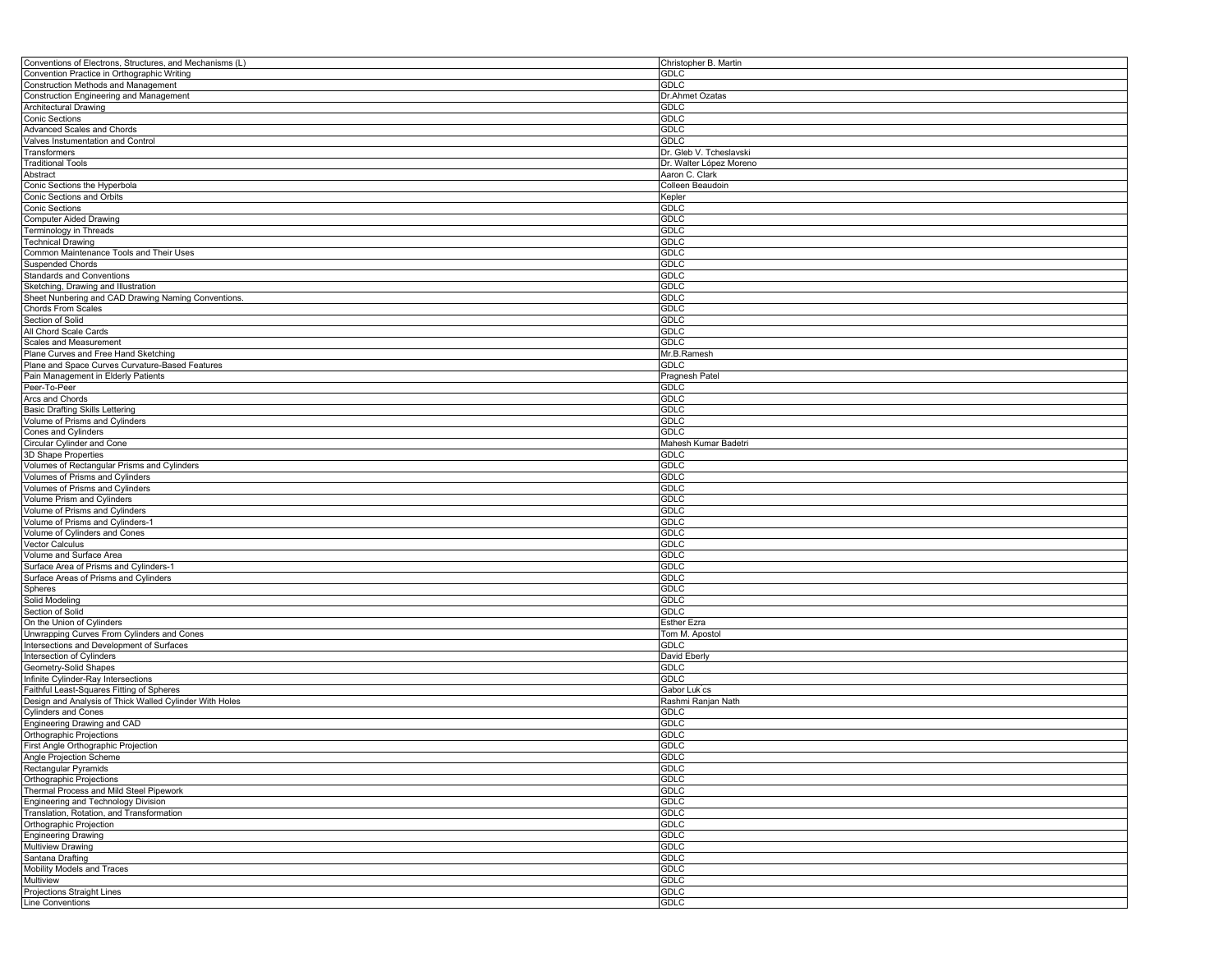| Conventions of Electrons, Structures, and Mechanisms (L) | Christopher B. Martin   |
|----------------------------------------------------------|-------------------------|
| Convention Practice in Orthographic Writing              | <b>GDLC</b>             |
| Construction Methods and Management                      | <b>GDLC</b>             |
| Construction Engineering and Management                  | Dr.Ahmet Ozatas         |
| Architectural Drawing                                    | <b>GDLC</b>             |
| Conic Sections                                           | <b>GDLC</b>             |
| Advanced Scales and Chords                               | <b>GDLC</b>             |
| Valves Instumentation and Control                        | <b>GDLC</b>             |
|                                                          |                         |
| Transformers                                             | Dr. Gleb V. Tcheslavski |
| <b>Traditional Tools</b>                                 | Dr. Walter López Moreno |
| Abstract                                                 | Aaron C. Clark          |
| Conic Sections the Hyperbola                             | Colleen Beaudoin        |
| Conic Sections and Orbits                                | Kepler                  |
| <b>Conic Sections</b>                                    | <b>GDLC</b>             |
| <b>Computer Aided Drawing</b>                            | <b>GDLC</b>             |
| Terminology in Threads                                   | <b>GDLC</b>             |
| <b>Technical Drawing</b>                                 | <b>GDLC</b>             |
| Common Maintenance Tools and Their Uses                  | <b>GDLC</b>             |
| <b>Suspended Chords</b>                                  | <b>GDLC</b>             |
| Standards and Conventions                                | <b>GDLC</b>             |
| Sketching, Drawing and Illustration                      | <b>GDLC</b>             |
|                                                          |                         |
| Sheet Nunbering and CAD Drawing Naming Conventions       | <b>GDLC</b>             |
| Chords From Scales                                       | <b>GDLC</b>             |
| Section of Solid                                         | <b>GDLC</b>             |
| All Chord Scale Cards                                    | <b>GDLC</b>             |
| Scales and Measurement                                   | <b>GDLC</b>             |
| Plane Curves and Free Hand Sketching                     | Mr.B.Ramesh             |
| Plane and Space Curves Curvature-Based Features          | <b>GDLC</b>             |
| Pain Management in Elderly Patients                      | Pragnesh Patel          |
| Peer-To-Peer                                             | <b>GDLC</b>             |
| Arcs and Chords                                          | <b>GDLC</b>             |
| <b>Basic Drafting Skills Lettering</b>                   | <b>GDLC</b>             |
| Volume of Prisms and Cylinders                           | <b>GDLC</b>             |
|                                                          | <b>GDLC</b>             |
| Cones and Cylinders                                      |                         |
| Circular Cylinder and Cone                               | Mahesh Kumar Badetri    |
| 3D Shape Properties                                      | <b>GDLC</b>             |
| Volumes of Rectangular Prisms and Cylinders              | <b>GDLC</b>             |
| Volumes of Prisms and Cylinders                          | <b>GDLC</b>             |
| Volumes of Prisms and Cylinders                          | <b>GDLC</b>             |
| Volume Prism and Cylinders                               | <b>GDLC</b>             |
| Volume of Prisms and Cylinders                           | <b>GDLC</b>             |
| Volume of Prisms and Cylinders-1                         | <b>GDLC</b>             |
| Volume of Cylinders and Cones                            | <b>GDLC</b>             |
| <b>Vector Calculus</b>                                   | <b>GDLC</b>             |
| Volume and Surface Area                                  | <b>GDLC</b>             |
| Surface Area of Prisms and Cylinders-1                   | <b>GDLC</b>             |
|                                                          |                         |
| Surface Areas of Prisms and Cylinders                    | <b>GDLC</b>             |
| Spheres                                                  | <b>GDLC</b>             |
| Solid Modeling                                           | <b>GDLC</b>             |
| Section of Solid                                         | <b>GDLC</b>             |
| On the Union of Cylinders                                | <b>Esther Ezra</b>      |
| Unwrapping Curves From Cylinders and Cones               | Tom M. Apostol          |
| Intersections and Development of Surfaces                | <b>GDLC</b>             |
| Intersection of Cylinders                                | David Eberly            |
| Geometry-Solid Shapes                                    | <b>GDLC</b>             |
| Infinite Cylinder-Ray Intersections                      | <b>GDLC</b>             |
| Faithful Least-Squares Fitting of Spheres                | Gabor Luk <sup>cs</sup> |
| Design and Analysis of Thick Walled Cylinder With Holes  | Rashmi Ranjan Nath      |
| <b>Cylinders and Cones</b>                               | <b>GDLC</b>             |
| Engineering Drawing and CAD                              | <b>GDLC</b>             |
|                                                          | <b>GDLC</b>             |
| Orthographic Projections                                 |                         |
| First Angle Orthographic Projection                      | <b>GDLC</b>             |
| Angle Projection Scheme                                  | <b>GDLC</b>             |
| Rectangular Pyramids                                     | <b>GDLC</b>             |
| Orthographic Projections                                 | <b>GDLC</b>             |
| Thermal Process and Mild Steel Pipework                  | <b>GDLC</b>             |
| Engineering and Technology Division                      | <b>GDLC</b>             |
| Translation, Rotation, and Transformation                | <b>GDLC</b>             |
| Orthographic Projection                                  | <b>GDLC</b>             |
| <b>Engineering Drawing</b>                               | <b>GDLC</b>             |
| Multiview Drawing                                        | <b>GDLC</b>             |
| Santana Drafting                                         | <b>GDLC</b>             |
| Mobility Models and Traces                               | <b>GDLC</b>             |
| Multiview                                                | <b>GDLC</b>             |
|                                                          |                         |
| Projections Straight Lines                               | <b>GDLC</b>             |
| Line Conventions                                         | <b>GDLC</b>             |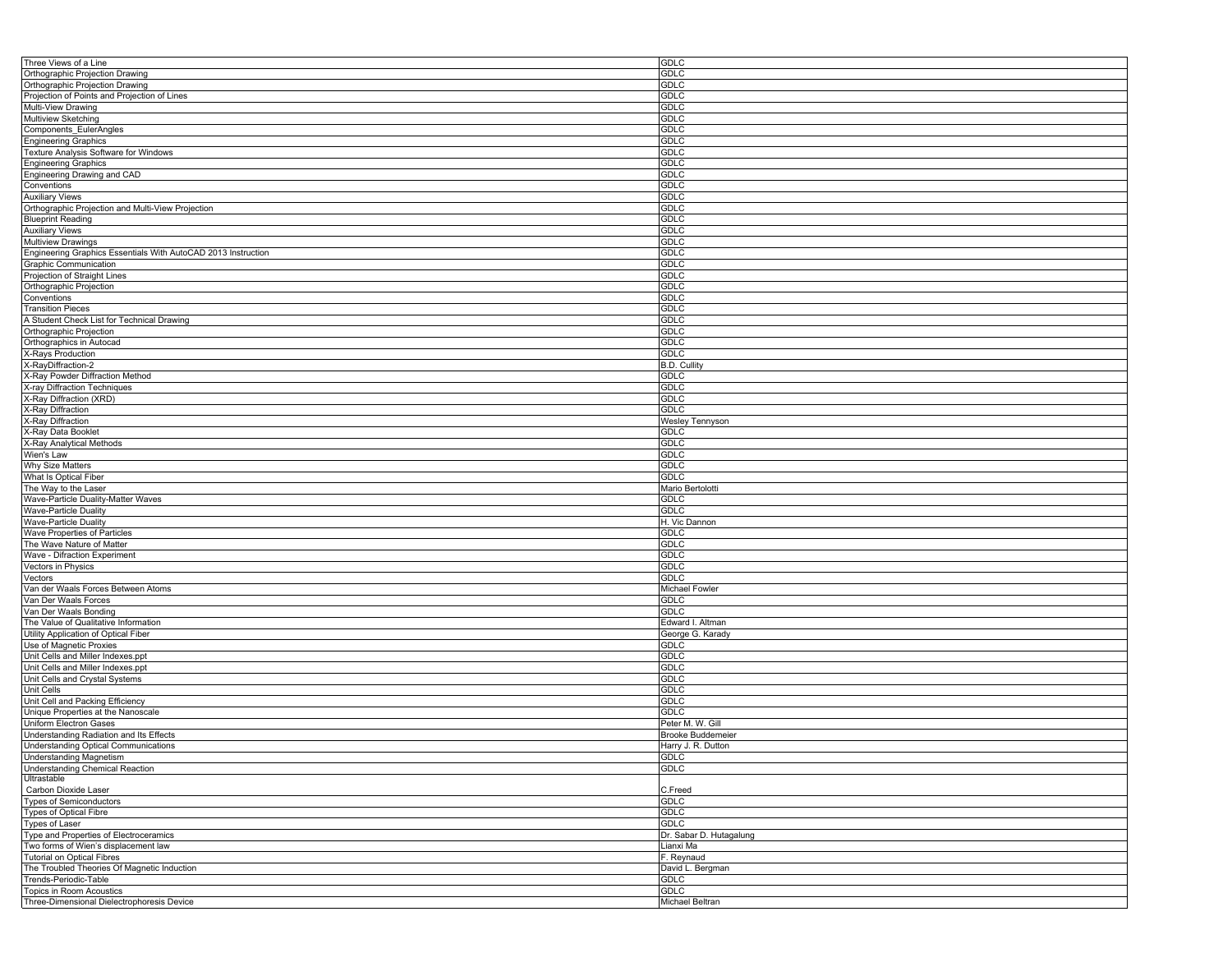| Three Views of a Line                                                  | <b>GDLC</b>                    |
|------------------------------------------------------------------------|--------------------------------|
| Orthographic Projection Drawing                                        | <b>GDLC</b>                    |
| Orthographic Projection Drawing                                        | <b>GDLC</b>                    |
| Projection of Points and Projection of Lines                           | <b>GDLC</b>                    |
| Multi-View Drawing                                                     | <b>GDLC</b>                    |
| Multiview Sketching                                                    | <b>GDLC</b>                    |
| Components EulerAngles                                                 | <b>GDLC</b>                    |
|                                                                        |                                |
| <b>Engineering Graphics</b>                                            | <b>GDLC</b>                    |
| Texture Analysis Software for Windows                                  | <b>GDLC</b>                    |
| <b>Engineering Graphics</b>                                            | <b>GDLC</b>                    |
| Engineering Drawing and CAD                                            | <b>GDLC</b>                    |
| Conventions                                                            | <b>GDLC</b>                    |
| <b>Auxiliary Views</b>                                                 | <b>GDLC</b>                    |
| Orthographic Projection and Multi-View Projection                      | <b>GDLC</b>                    |
| <b>Blueprint Reading</b>                                               | <b>GDLC</b>                    |
| <b>Auxiliary Views</b>                                                 | <b>GDLC</b>                    |
| <b>Multiview Drawings</b>                                              | <b>GDLC</b>                    |
| Engineering Graphics Essentials With AutoCAD 2013 Instruction          | <b>GDLC</b>                    |
| Graphic Communication                                                  | <b>GDLC</b>                    |
| Projection of Straight Lines                                           | <b>GDLC</b>                    |
|                                                                        |                                |
| Orthographic Projection                                                | <b>GDLC</b>                    |
| Conventions                                                            | <b>GDLC</b>                    |
| <b>Transition Pieces</b>                                               | <b>GDLC</b>                    |
| A Student Check List for Technical Drawing                             | <b>GDLC</b>                    |
| Orthographic Projection                                                | <b>GDLC</b>                    |
| Orthographics in Autocad                                               | <b>GDLC</b>                    |
| X-Rays Production                                                      | <b>GDLC</b>                    |
| X-RayDiffraction-2                                                     | <b>B.D. Cullity</b>            |
| X-Ray Powder Diffraction Method                                        | <b>GDLC</b>                    |
| X-ray Diffraction Techniques                                           | <b>GDLC</b>                    |
| X-Ray Diffraction (XRD)                                                | <b>GDLC</b>                    |
| X-Ray Diffraction                                                      | <b>GDLC</b>                    |
|                                                                        | <b>Wesley Tennyson</b>         |
| X-Ray Diffraction                                                      |                                |
| X-Ray Data Booklet                                                     | <b>GDLC</b>                    |
| X-Ray Analytical Methods                                               | <b>GDLC</b>                    |
| Wien's Law                                                             | <b>GDLC</b>                    |
| Why Size Matters                                                       | <b>GDLC</b>                    |
| What Is Optical Fiber                                                  | <b>GDLC</b>                    |
| The Way to the Laser                                                   | Mario Bertolotti               |
| Wave-Particle Duality-Matter Waves                                     | <b>GDLC</b>                    |
| <b>Wave-Particle Duality</b>                                           | <b>GDLC</b>                    |
| Wave-Particle Duality                                                  | H. Vic Dannon                  |
| Wave Properties of Particles                                           | GDLC                           |
| The Wave Nature of Matter                                              | <b>GDLC</b>                    |
| Wave - Difraction Experiment                                           | <b>GDLC</b>                    |
| Vectors in Physics                                                     | <b>GDLC</b>                    |
|                                                                        |                                |
| Vectors                                                                | <b>GDLC</b>                    |
| Van der Waals Forces Between Atoms                                     | Michael Fowler                 |
| Van Der Waals Forces                                                   | <b>GDLC</b>                    |
| Van Der Waals Bonding                                                  | <b>GDLC</b>                    |
| The Value of Qualitative Information                                   | Edward I. Altman               |
| Utility Application of Optical Fiber                                   | George G. Karady               |
| Use of Magnetic Proxies                                                | <b>GDLC</b>                    |
| Unit Cells and Miller Indexes.ppt                                      | <b>GDLC</b>                    |
| Unit Cells and Miller Indexes.ppt                                      | <b>GDLC</b>                    |
| Unit Cells and Crystal Systems                                         | <b>GDLC</b>                    |
| Unit Cells                                                             | <b>GDLC</b>                    |
| Unit Cell and Packing Efficiency                                       | <b>GDLC</b>                    |
| Unique Properties at the Nanoscale                                     | <b>GDLC</b>                    |
| Uniform Electron Gases                                                 |                                |
|                                                                        | Peter M. W. Gill               |
| Understanding Radiation and Its Effects                                | <b>Brooke Buddemeier</b>       |
| <b>Understanding Optical Communications</b>                            | Harry J. R. Dutton             |
| <b>Understanding Magnetism</b>                                         | <b>GDLC</b>                    |
| Understanding Chemical Reaction                                        | GDLC                           |
| Ultrastable                                                            |                                |
| Carbon Dioxide Laser                                                   | C.Freed                        |
| <b>Types of Semiconductors</b>                                         | <b>GDLC</b>                    |
| Types of Optical Fibre                                                 | <b>GDLC</b>                    |
| <b>Types of Laser</b>                                                  | <b>GDLC</b>                    |
| Type and Properties of Electroceramics                                 | Dr. Sabar D. Hutagalung        |
| Two forms of Wien's displacement law                                   |                                |
|                                                                        |                                |
|                                                                        | Lianxi Ma                      |
| <b>Tutorial on Optical Fibres</b>                                      | F. Reynaud                     |
| The Troubled Theories Of Magnetic Induction                            | David L. Bergman               |
| Trends-Periodic-Table                                                  | <b>GDLC</b>                    |
| Topics in Room Acoustics<br>Three-Dimensional Dielectrophoresis Device | <b>GDLC</b><br>Michael Beltran |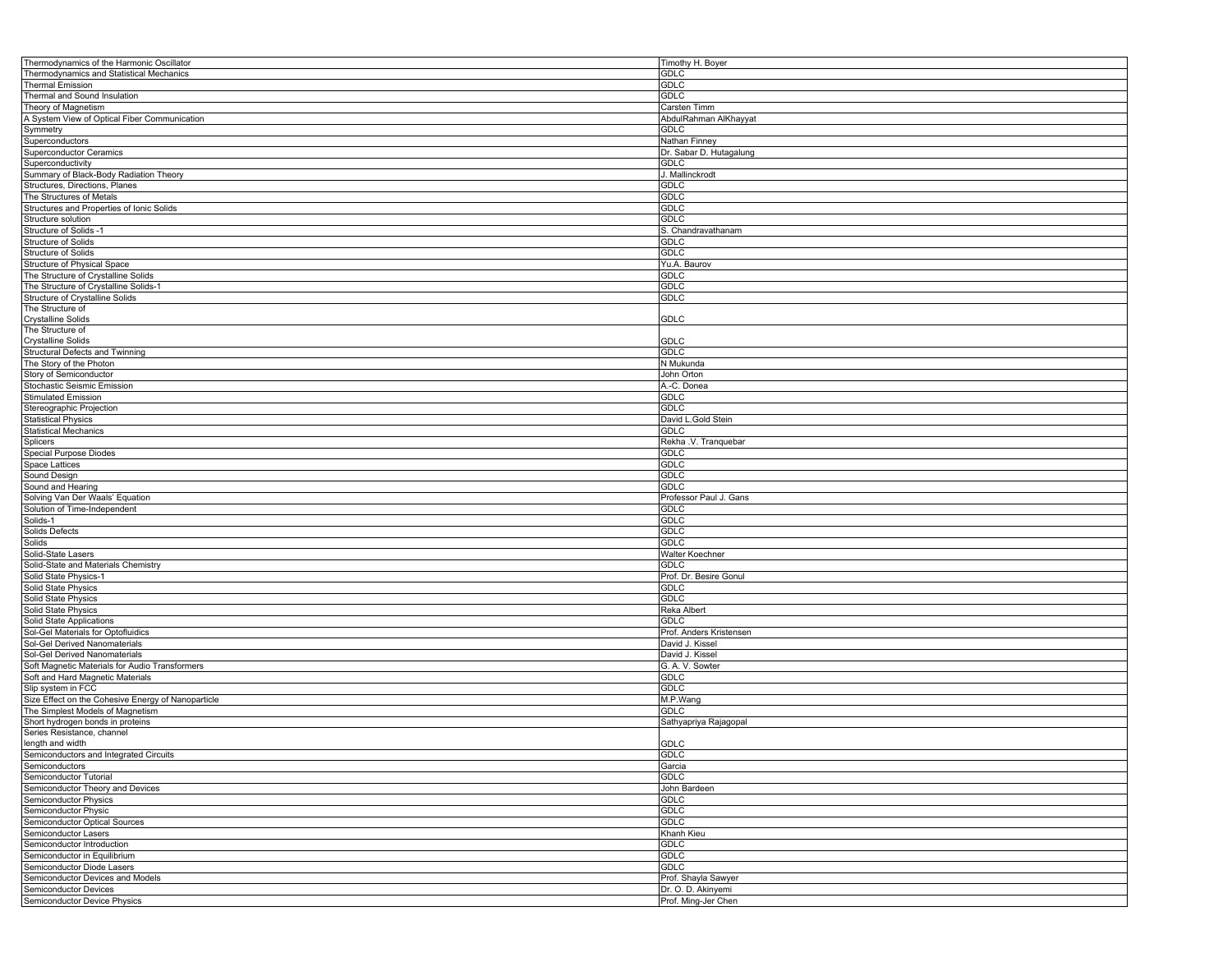| Thermodynamics of the Harmonic Oscillator          | Timothy H. Boyer        |
|----------------------------------------------------|-------------------------|
| Thermodynamics and Statistical Mechanics           | <b>GDLC</b>             |
| <b>Thermal Emission</b>                            | <b>GDLC</b>             |
| Thermal and Sound Insulation                       | <b>GDLC</b>             |
| Theory of Magnetism                                | Carsten Timm            |
|                                                    |                         |
| A System View of Optical Fiber Communication       | AbdulRahman AlKhayyat   |
| Symmetry                                           | GDLC                    |
| Superconductors                                    | Nathan Finney           |
| <b>Superconductor Ceramics</b>                     | Dr. Sabar D. Hutagalung |
| Superconductivity                                  | <b>GDLC</b>             |
| Summary of Black-Body Radiation Theory             | J. Mallinckrodt         |
| Structures, Directions, Planes                     | <b>GDLC</b>             |
| The Structures of Metals                           | <b>GDLC</b>             |
|                                                    |                         |
| Structures and Properties of Ionic Solids          | <b>GDLC</b>             |
| Structure solution                                 | <b>GDLC</b>             |
| Structure of Solids -1                             | S. Chandravathanam      |
| Structure of Solids                                | <b>GDLC</b>             |
| Structure of Solids                                | <b>GDLC</b>             |
| Structure of Physical Space                        | Yu.A. Baurov            |
| The Structure of Crystalline Solids                | <b>GDLC</b>             |
| The Structure of Crystalline Solids-1              | <b>GDLC</b>             |
|                                                    | <b>GDLC</b>             |
| Structure of Crystalline Solids                    |                         |
| The Structure of                                   |                         |
| <b>Crystalline Solids</b>                          | <b>GDLC</b>             |
| The Structure of                                   |                         |
| <b>Crystalline Solids</b>                          | <b>GDLC</b>             |
| Structural Defects and Twinning                    | GDLC                    |
| The Story of the Photon                            | N Mukunda               |
| Story of Semiconductor                             | John Orton              |
| Stochastic Seismic Emission                        | A.-C. Donea             |
| <b>Stimulated Emission</b>                         | <b>GDLC</b>             |
|                                                    |                         |
| Stereographic Projection                           | GDLC                    |
| <b>Statistical Physics</b>                         | David L.Gold Stein      |
| <b>Statistical Mechanics</b>                       | <b>GDLC</b>             |
| Splicers                                           | Rekha .V. Tranquebar    |
| Special Purpose Diodes                             | <b>GDLC</b>             |
| <b>Space Lattices</b>                              | <b>GDLC</b>             |
| Sound Design                                       | <b>GDLC</b>             |
| Sound and Hearing                                  | <b>GDLC</b>             |
|                                                    |                         |
| Solving Van Der Waals' Equation                    | Professor Paul J. Gans  |
| Solution of Time-Independent                       | <b>GDLC</b>             |
| Solids-1                                           | GDLC                    |
| Solids Defects                                     | <b>GDLC</b>             |
| Solids                                             | <b>GDLC</b>             |
| Solid-State Lasers                                 | Walter Koechner         |
| Solid-State and Materials Chemistry                | <b>GDLC</b>             |
| Solid State Physics-1                              | Prof. Dr. Besire Gonul  |
|                                                    |                         |
| Solid State Physics                                | <b>GDLC</b>             |
| Solid State Physics                                | <b>GDLC</b>             |
| Solid State Physics                                | Reka Albert             |
| Solid State Applications                           | <b>GDLC</b>             |
| Sol-Gel Materials for Optofluidics                 | Prof. Anders Kristensen |
| Sol-Gel Derived Nanomaterials                      | David J. Kissel         |
| Sol-Gel Derived Nanomaterials                      | David J. Kissel         |
| Soft Magnetic Materials for Audio Transformers     | G. A. V. Sowter         |
|                                                    |                         |
| Soft and Hard Magnetic Materials                   | <b>GDLC</b>             |
| Slip system in FCC                                 | GDLC                    |
| Size Effect on the Cohesive Energy of Nanoparticle | M.P.Wang                |
| The Simplest Models of Magnetism                   | <b>GDLC</b>             |
| Short hydrogen bonds in proteins                   | Sathyapriya Rajagopal   |
| Series Resistance, channel                         |                         |
| length and width                                   | GDLC                    |
| Semiconductors and Integrated Circuits             | GDLC                    |
| Semiconductors                                     | Garcia                  |
| Semiconductor Tutorial                             | <b>GDLC</b>             |
| Semiconductor Theory and Devices                   | John Bardeen            |
|                                                    |                         |
| Semiconductor Physics                              | <b>GDLC</b>             |
| Semiconductor Physic                               | <b>GDLC</b>             |
| Semiconductor Optical Sources                      | <b>GDLC</b>             |
| Semiconductor Lasers                               | Khanh Kieu              |
| Semiconductor Introduction                         | <b>GDLC</b>             |
| Semiconductor in Equilibrium                       | GDLC                    |
| Semiconductor Diode Lasers                         | GDLC                    |
| Semiconductor Devices and Models                   | Prof. Shayla Sawyer     |
| Semiconductor Devices                              |                         |
|                                                    | Dr. O. D. Akinyemi      |
| Semiconductor Device Physics                       | Prof. Ming-Jer Chen     |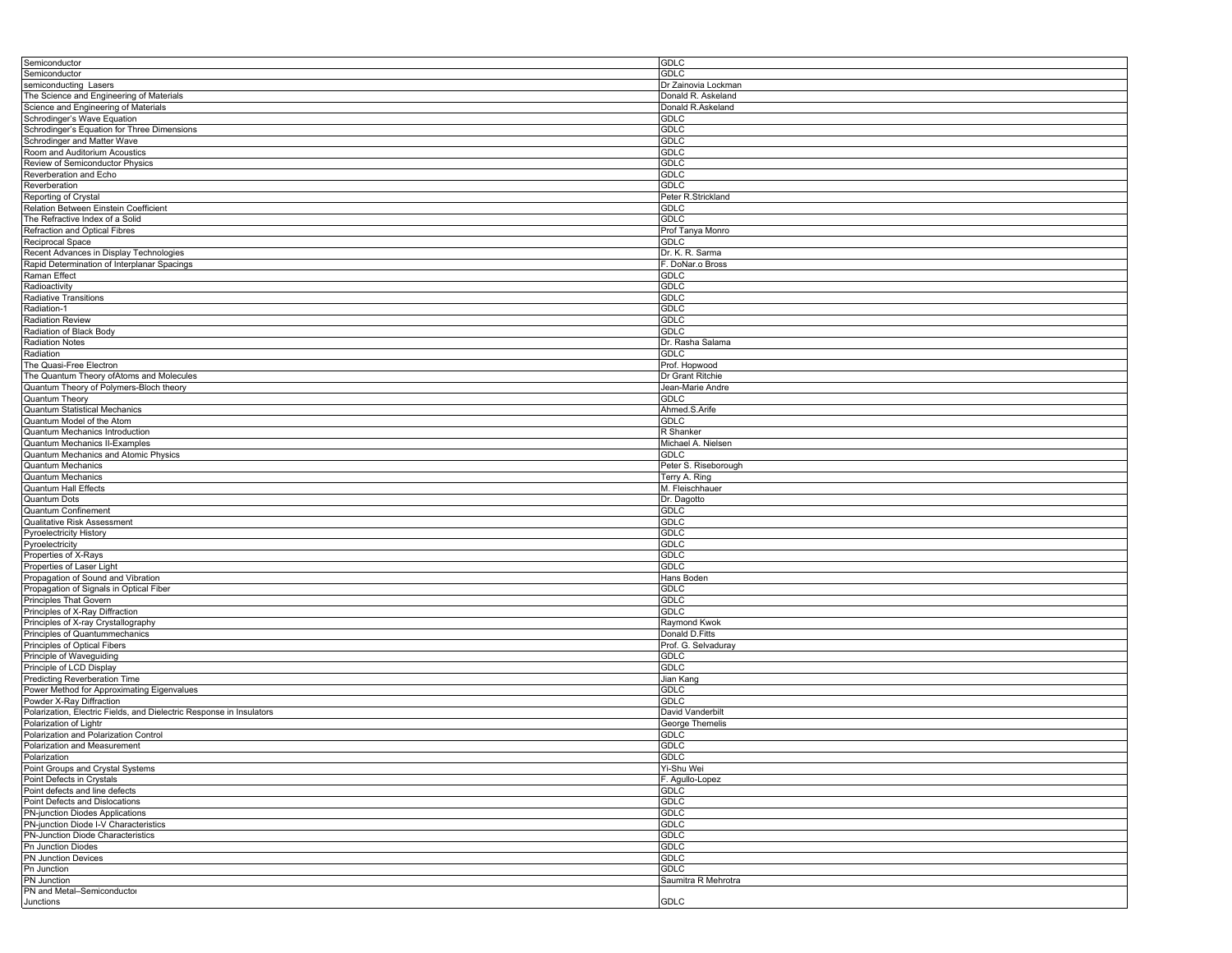| Semiconductor                                                        | <b>GDLC</b>          |
|----------------------------------------------------------------------|----------------------|
| Semiconductor                                                        | GDLC                 |
|                                                                      |                      |
| semiconducting Lasers                                                | Dr Zainovia Lockman  |
| The Science and Engineering of Materials                             | Donald R. Askeland   |
| Science and Engineering of Materials                                 | Donald R.Askeland    |
| Schrodinger's Wave Equation                                          | GDLC                 |
|                                                                      |                      |
| Schrodinger's Equation for Three Dimensions                          | GDLC                 |
| Schrodinger and Matter Wave                                          | <b>GDLC</b>          |
| Room and Auditorium Acoustics                                        | <b>GDLC</b>          |
| Review of Semiconductor Physics                                      | <b>GDLC</b>          |
|                                                                      |                      |
| Reverberation and Echo                                               | <b>GDLC</b>          |
| Reverberation                                                        | <b>GDLC</b>          |
| Reporting of Crystal                                                 | Peter R.Strickland   |
| Relation Between Einstein Coefficient                                | <b>GDLC</b>          |
| The Refractive Index of a Solid                                      | <b>GDLC</b>          |
|                                                                      |                      |
| Refraction and Optical Fibres                                        | Prof Tanya Monro     |
| Reciprocal Space                                                     | <b>GDLC</b>          |
| Recent Advances in Display Technologies                              | Dr. K. R. Sarma      |
| Rapid Determination of Interplanar Spacings                          | F. DoNar.o Bross     |
| <b>Raman Effect</b>                                                  |                      |
|                                                                      | <b>GDLC</b>          |
| Radioactivity                                                        | <b>GDLC</b>          |
| Radiative Transitions                                                | GDLC                 |
| Radiation-1                                                          | <b>GDLC</b>          |
| <b>Radiation Review</b>                                              | <b>GDLC</b>          |
|                                                                      |                      |
| Radiation of Black Body                                              | <b>GDLC</b>          |
| Radiation Notes                                                      | Dr. Rasha Salama     |
| Radiation                                                            | <b>GDLC</b>          |
| The Quasi-Free Electron                                              | Prof. Hopwood        |
| The Quantum Theory ofAtoms and Molecules                             | Dr Grant Ritchie     |
|                                                                      |                      |
| Quantum Theory of Polymers-Bloch theory                              | Jean-Marie Andre     |
| Quantum Theory                                                       | GDLC                 |
| <b>Quantum Statistical Mechanics</b>                                 | Ahmed.S.Arife        |
| Quantum Model of the Atom                                            | <b>GDLC</b>          |
|                                                                      |                      |
| Quantum Mechanics Introduction                                       | R Shanker            |
| Quantum Mechanics II-Examples                                        | Michael A. Nielsen   |
| Quantum Mechanics and Atomic Physics                                 | <b>GDLC</b>          |
| <b>Quantum Mechanics</b>                                             | Peter S. Riseborough |
| <b>Quantum Mechanics</b>                                             | Terry A. Ring        |
| <b>Quantum Hall Effects</b>                                          | M. Fleischhauer      |
|                                                                      |                      |
| <b>Quantum Dots</b>                                                  | Dr. Dagotto          |
| Quantum Confinement                                                  | <b>GDLC</b>          |
| Qualitative Risk Assessment                                          | GDLC                 |
| Pyroelectricity History                                              | <b>GDLC</b>          |
| Pyroelectricity                                                      | <b>GDLC</b>          |
| Properties of X-Rays                                                 | <b>GDLC</b>          |
|                                                                      |                      |
| Properties of Laser Light                                            | <b>GDLC</b>          |
| Propagation of Sound and Vibration                                   | Hans Boden           |
| Propagation of Signals in Optical Fiber                              | <b>GDLC</b>          |
| Principles That Govern                                               | <b>GDLC</b>          |
| Principles of X-Ray Diffraction                                      | <b>GDLC</b>          |
|                                                                      |                      |
| Principles of X-ray Crystallography                                  | Raymond Kwok         |
| Principles of Quantummechanics                                       | Donald D.Fitts       |
| Principles of Optical Fibers                                         | Prof. G. Selvaduray  |
| Principle of Waveguiding                                             | <b>GDLC</b>          |
| Principle of LCD Display                                             | <b>GDLC</b>          |
|                                                                      |                      |
| <b>Predicting Reverberation Time</b>                                 | Jian Kang            |
| Power Method for Approximating Eigenvalues                           | <b>GDLC</b>          |
| Powder X-Ray Diffraction                                             | <b>GDLC</b>          |
| Polarization, Electric Fields, and Dielectric Response in Insulators | David Vanderbilt     |
| Polarization of Lightr                                               | George Themelis      |
| Polarization and Polarization Control                                | <b>GDLC</b>          |
|                                                                      |                      |
| Polarization and Measurement                                         | <b>GDLC</b>          |
| Polarization                                                         | <b>GDLC</b>          |
| Point Groups and Crystal Systems                                     | Yi-Shu Wei           |
| Point Defects in Crystals                                            | F. Agullo-Lopez      |
| Point defects and line defects                                       | <b>GDLC</b>          |
| Point Defects and Dislocations                                       | <b>GDLC</b>          |
|                                                                      |                      |
| PN-junction Diodes Applications                                      | <b>GDLC</b>          |
| PN-junction Diode I-V Characteristics                                | <b>GDLC</b>          |
| PN-Junction Diode Characteristics                                    | <b>GDLC</b>          |
| <b>Pn Junction Diodes</b>                                            | <b>GDLC</b>          |
| PN Junction Devices                                                  | <b>GDLC</b>          |
| Pn Junction                                                          | <b>GDLC</b>          |
|                                                                      |                      |
| <b>PN</b> Junction                                                   | Saumitra R Mehrotra  |
| PN and Metal-Semiconductor                                           |                      |
| Junctions                                                            | GDLC                 |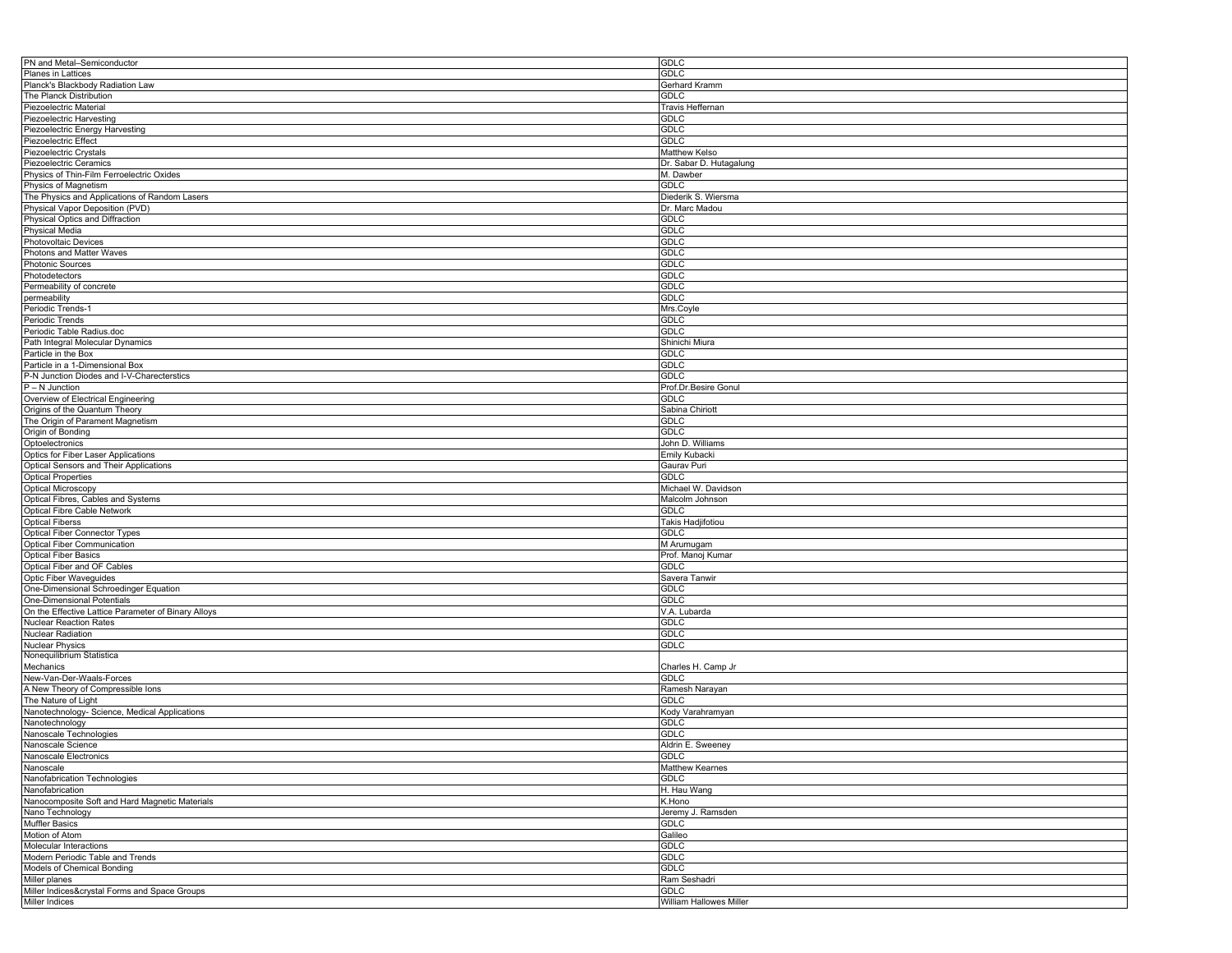| <b>GDLC</b>             |
|-------------------------|
| <b>GDLC</b>             |
| Gerhard Kramm           |
| <b>GDLC</b>             |
| Travis Heffernan        |
| <b>GDLC</b>             |
| <b>GDLC</b>             |
| GDLC                    |
|                         |
| Matthew Kelso           |
| Dr. Sabar D. Hutagalung |
| M. Dawber               |
| <b>GDLC</b>             |
| Diederik S. Wiersma     |
| Dr. Marc Madou          |
| <b>GDLC</b>             |
| <b>GDLC</b>             |
| <b>GDLC</b>             |
| <b>GDLC</b>             |
| <b>GDLC</b>             |
| <b>GDLC</b>             |
| <b>GDLC</b>             |
| <b>GDLC</b>             |
|                         |
| Mrs.Coyle               |
| GDLC                    |
| GDLC                    |
| Shinichi Miura          |
| <b>GDLC</b>             |
| <b>GDLC</b>             |
| <b>GDLC</b>             |
| Prof.Dr.Besire Gonul    |
| <b>GDLC</b>             |
| Sabina Chiriott         |
| <b>GDLC</b>             |
| <b>GDLC</b>             |
| John D. Williams        |
| Emily Kubacki           |
|                         |
| Gaurav Puri             |
| <b>GDLC</b>             |
| Michael W. Davidson     |
| Malcolm Johnson         |
| <b>GDLC</b>             |
| Takis Hadjifotiou       |
| <b>GDLC</b>             |
| M Arumugam              |
| Prof. Manoj Kumar       |
| <b>GDLC</b>             |
| Savera Tanwir           |
| <b>GDLC</b>             |
| <b>GDLC</b>             |
| V.A. Lubarda            |
| GDLC                    |
| <b>GDLC</b>             |
|                         |
| <b>GDLC</b>             |
|                         |
| Charles H. Camp Jr      |
| <b>GDLC</b>             |
| Ramesh Narayan          |
| <b>GDLC</b>             |
| Kody Varahramyan        |
| <b>GDLC</b>             |
| <b>GDLC</b>             |
| Aldrin E. Sweeney       |
| <b>GDLC</b>             |
| Matthew Kearnes         |
| <b>GDLC</b>             |
| H. Hau Wang             |
| K.Hono                  |
| Jeremy J. Ramsden       |
|                         |
| <b>GDLC</b>             |
| Galileo                 |
| <b>GDLC</b>             |
| <b>GDLC</b>             |
| <b>GDLC</b>             |
|                         |
| Ram Seshadri            |
| <b>GDLC</b>             |
|                         |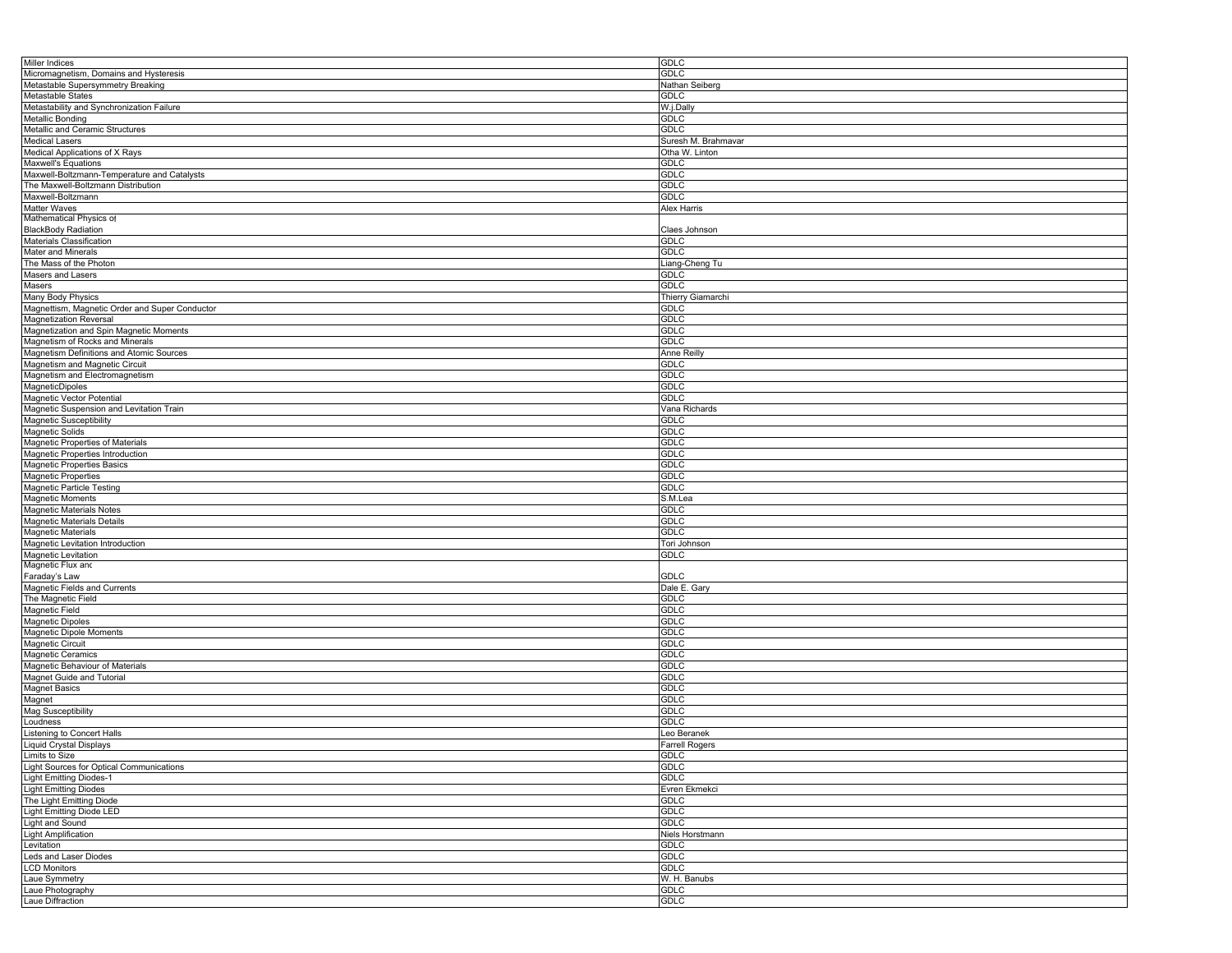| Miller Indices                                 | <b>GDLC</b>           |
|------------------------------------------------|-----------------------|
| Micromagnetism, Domains and Hysteresis         | <b>GDLC</b>           |
| Metastable Supersymmetry Breaking              | Nathan Seiberg        |
| Metastable States                              | <b>GDLC</b>           |
|                                                |                       |
| Metastability and Synchronization Failure      | W.j.Dally             |
| Metallic Bonding                               | <b>GDLC</b>           |
| Metallic and Ceramic Structures                | <b>GDLC</b>           |
| <b>Medical Lasers</b>                          | Suresh M. Brahmavar   |
| Medical Applications of X Rays                 | Otha W. Linton        |
| Maxwell's Equations                            | GDLC                  |
| Maxwell-Boltzmann-Temperature and Catalysts    | GDLC                  |
|                                                |                       |
| The Maxwell-Boltzmann Distribution             | <b>GDLC</b>           |
| Maxwell-Boltzmann                              | <b>GDLC</b>           |
| Matter Waves                                   | Alex Harris           |
| Mathematical Physics of                        |                       |
| <b>BlackBody Radiation</b>                     | Claes Johnson         |
| Materials Classification                       | GDLC                  |
| Mater and Minerals                             | <b>GDLC</b>           |
| The Mass of the Photon                         | Liang-Cheng Tu        |
|                                                |                       |
| Masers and Lasers                              | <b>GDLC</b>           |
| Masers                                         | <b>GDLC</b>           |
| Many Body Physics                              | Thierry Giamarchi     |
| Magnettism, Magnetic Order and Super Conductor | <b>GDLC</b>           |
| <b>Magnetization Reversal</b>                  | <b>GDLC</b>           |
| Magnetization and Spin Magnetic Moments        | <b>GDLC</b>           |
| Magnetism of Rocks and Minerals                | <b>GDLC</b>           |
| Magnetism Definitions and Atomic Sources       | <b>Anne Reilly</b>    |
|                                                |                       |
| Magnetism and Magnetic Circuit                 | GDLC                  |
| Magnetism and Electromagnetism                 | <b>GDLC</b>           |
| MagneticDipoles                                | <b>GDLC</b>           |
| Magnetic Vector Potential                      | <b>GDLC</b>           |
| Magnetic Suspension and Levitation Train       | Vana Richards         |
| <b>Magnetic Susceptibility</b>                 | GDLC                  |
| <b>Magnetic Solids</b>                         | <b>GDLC</b>           |
|                                                |                       |
| Magnetic Properties of Materials               | <b>GDLC</b>           |
| Magnetic Properties Introduction               | <b>GDLC</b>           |
| Magnetic Properties Basics                     | <b>GDLC</b>           |
| <b>Magnetic Properties</b>                     | <b>GDLC</b>           |
| Magnetic Particle Testing                      | <b>GDLC</b>           |
| <b>Magnetic Moments</b>                        | S.M.Lea               |
| Magnetic Materials Notes                       | GDLC                  |
|                                                |                       |
| Magnetic Materials Details                     | <b>GDLC</b>           |
| Magnetic Materials                             | <b>GDLC</b>           |
| Magnetic Levitation Introduction               | Tori Johnson          |
| Magnetic Levitation                            | <b>GDLC</b>           |
| Magnetic Flux and                              |                       |
| Faraday's Law                                  | GDLC                  |
| Magnetic Fields and Currents                   | Dale E. Gary          |
| The Magnetic Field                             | <b>GDLC</b>           |
| Magnetic Field                                 | <b>GDLC</b>           |
|                                                | <b>GDLC</b>           |
| <b>Magnetic Dipoles</b>                        |                       |
| Magnetic Dipole Moments                        | <b>GDLC</b>           |
| Magnetic Circuit                               | <b>GDLC</b>           |
| Magnetic Ceramics                              | <b>GDLC</b>           |
| Magnetic Behaviour of Materials                | <b>GDLC</b>           |
| Magnet Guide and Tutorial                      | <b>GDLC</b>           |
| <b>Magnet Basics</b>                           | <b>GDLC</b>           |
| Magnet                                         | <b>GDLC</b>           |
| Mag Susceptibility                             | <b>GDLC</b>           |
|                                                |                       |
| Loudness                                       | <b>GDLC</b>           |
| Listening to Concert Halls                     | Leo Beranek           |
| <b>Liquid Crystal Displays</b>                 | <b>Farrell Rogers</b> |
| Limits to Size                                 | GDLC                  |
| Light Sources for Optical Communications       | <b>GDLC</b>           |
| <b>Light Emitting Diodes-1</b>                 | <b>GDLC</b>           |
| <b>Light Emitting Diodes</b>                   | Evren Ekmekci         |
| The Light Emitting Diode                       | <b>GDLC</b>           |
|                                                |                       |
| <b>Light Emitting Diode LED</b>                | GDLC                  |
| Light and Sound                                | <b>GDLC</b>           |
| <b>Light Amplification</b>                     | Niels Horstmann       |
| Levitation                                     | <b>GDLC</b>           |
| Leds and Laser Diodes                          | <b>GDLC</b>           |
| <b>LCD Monitors</b>                            | <b>GDLC</b>           |
| Laue Symmetry                                  | W. H. Banubs          |
| Laue Photography                               | GDLC                  |
| Laue Diffraction                               | <b>GDLC</b>           |
|                                                |                       |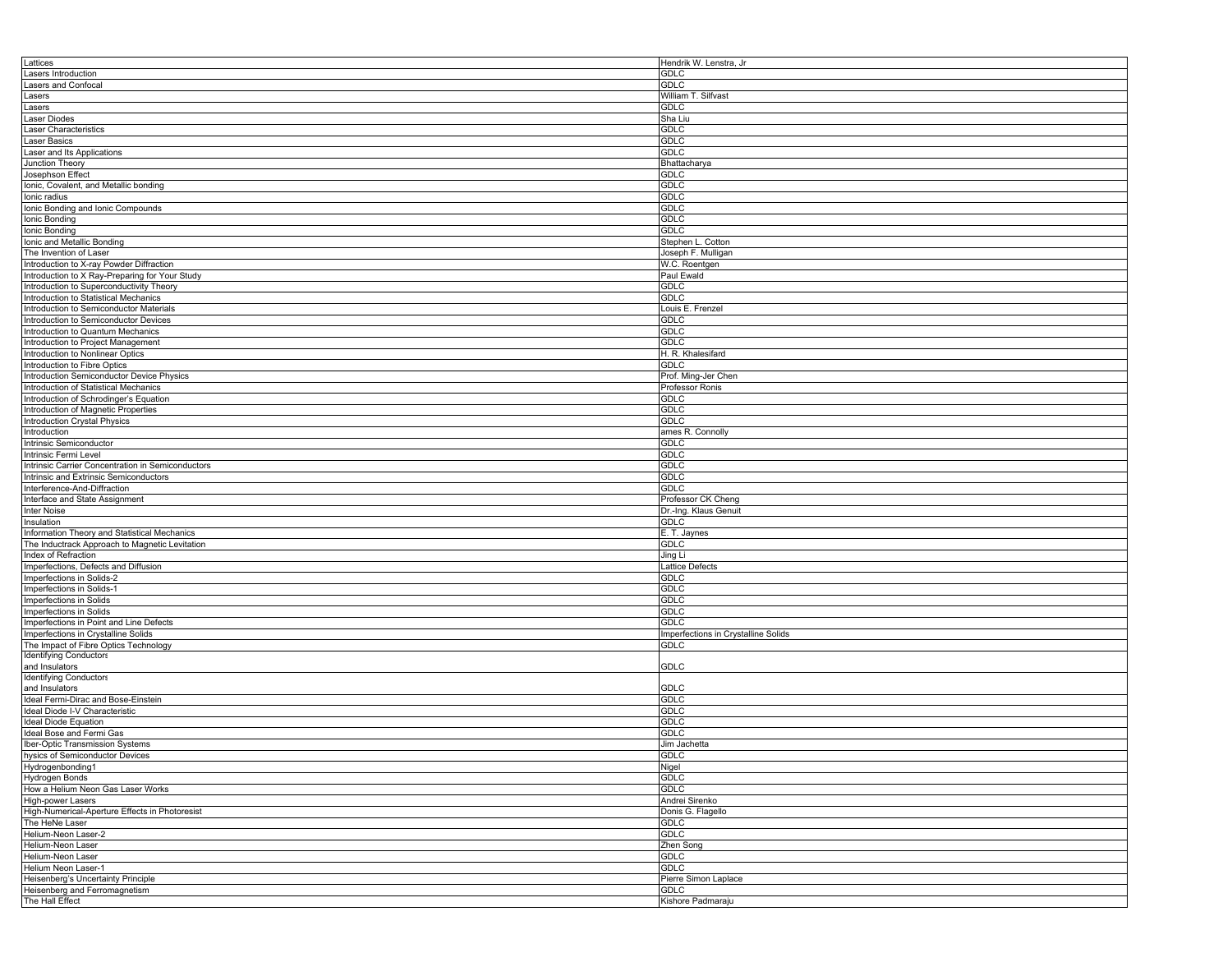| Lattices                                          | Hendrik W. Lenstra, Jr              |
|---------------------------------------------------|-------------------------------------|
| Lasers Introduction                               | <b>GDLC</b>                         |
| Lasers and Confocal                               | GDLC                                |
| Lasers                                            | William T. Silfvast                 |
|                                                   |                                     |
| Lasers                                            | <b>GDLC</b>                         |
| Laser Diodes                                      | Sha Liu                             |
| Laser Characteristics                             | <b>GDLC</b>                         |
| Laser Basics                                      | GDLC                                |
| Laser and Its Applications                        | <b>GDLC</b>                         |
| Junction Theory                                   | Bhattacharya                        |
|                                                   |                                     |
| Josephson Effect                                  | GDLC                                |
| Ionic, Covalent, and Metallic bonding             | <b>GDLC</b>                         |
| Ionic radius                                      | <b>GDLC</b>                         |
| Ionic Bonding and Ionic Compounds                 | <b>GDLC</b>                         |
| Ionic Bonding                                     | <b>GDLC</b>                         |
| Ionic Bonding                                     | <b>GDLC</b>                         |
|                                                   |                                     |
| Ionic and Metallic Bonding                        | Stephen L. Cotton                   |
| The Invention of Laser                            | Joseph F. Mulligan                  |
| Introduction to X-ray Powder Diffraction          | W.C. Roentgen                       |
| Introduction to X Ray-Preparing for Your Study    | Paul Ewald                          |
| Introduction to Superconductivity Theory          | GDLC                                |
|                                                   |                                     |
| Introduction to Statistical Mechanics             | <b>GDLC</b>                         |
| Introduction to Semiconductor Materials           | Louis E. Frenzel                    |
| Introduction to Semiconductor Devices             | GDLC                                |
| Introduction to Quantum Mechanics                 | GDLC                                |
| Introduction to Project Management                | GDLC                                |
| Introduction to Nonlinear Optics                  | H. R. Khalesifard                   |
|                                                   |                                     |
| Introduction to Fibre Optics                      | <b>GDLC</b>                         |
| Introduction Semiconductor Device Physics         | Prof. Ming-Jer Chen                 |
| Introduction of Statistical Mechanics             | Professor Ronis                     |
| Introduction of Schrodinger's Equation            | GDLC                                |
| Introduction of Magnetic Properties               | <b>GDLC</b>                         |
|                                                   |                                     |
| Introduction Crystal Physics                      | <b>GDLC</b>                         |
| Introduction                                      | ames R. Connolly                    |
| Intrinsic Semiconductor                           | GDLC                                |
| Intrinsic Fermi Level                             | <b>GDLC</b>                         |
| Intrinsic Carrier Concentration in Semiconductors | <b>GDLC</b>                         |
| Intrinsic and Extrinsic Semiconductors            | <b>GDLC</b>                         |
|                                                   |                                     |
| Interference-And-Diffraction                      | <b>GDLC</b>                         |
| Interface and State Assignment                    | Professor CK Cheng                  |
| Inter Noise                                       | Dr.-Ing. Klaus Genuit               |
| Insulation                                        | <b>GDLC</b>                         |
| Information Theory and Statistical Mechanics      | E. T. Jaynes                        |
|                                                   |                                     |
| The Inductrack Approach to Magnetic Levitation    | GDLC                                |
| Index of Refraction                               | Jing Li                             |
| Imperfections, Defects and Diffusion              | Lattice Defects                     |
| Imperfections in Solids-2                         | GDLC                                |
| Imperfections in Solids-1                         | <b>GDLC</b>                         |
| Imperfections in Solids                           | <b>GDLC</b>                         |
|                                                   |                                     |
| Imperfections in Solids                           | <b>GDLC</b>                         |
| Imperfections in Point and Line Defects           | <b>GDLC</b>                         |
| Imperfections in Crystalline Solids               | Imperfections in Crystalline Solids |
| The Impact of Fibre Optics Technology             | <b>GDLC</b>                         |
| <b>Identifying Conductors</b>                     |                                     |
| and Insulators                                    | GDLC                                |
| <b>Identifying Conductors</b>                     |                                     |
|                                                   |                                     |
| and Insulators                                    | GDLC                                |
| Ideal Fermi-Dirac and Bose-Einstein               | <b>GDLC</b>                         |
| Ideal Diode I-V Characteristic                    | <b>GDLC</b>                         |
| <b>Ideal Diode Equation</b>                       | <b>GDLC</b>                         |
| Ideal Bose and Fermi Gas                          | GDLC                                |
| Iber-Optic Transmission Systems                   | Jim Jachetta                        |
| hysics of Semiconductor Devices                   |                                     |
|                                                   | <b>GDLC</b>                         |
| Hydrogenbonding1                                  | Nigel                               |
| Hydrogen Bonds                                    | <b>GDLC</b>                         |
| How a Helium Neon Gas Laser Works                 | GDLC                                |
| High-power Lasers                                 | Andrei Sirenko                      |
| High-Numerical-Aperture Effects in Photoresist    | Donis G. Flagello                   |
| The HeNe Laser                                    |                                     |
|                                                   | <b>GDLC</b>                         |
| Helium-Neon Laser-2                               | <b>GDLC</b>                         |
| Helium-Neon Laser                                 | Zhen Song                           |
| Helium-Neon Laser                                 | <b>GDLC</b>                         |
| Helium Neon Laser-1                               |                                     |
|                                                   |                                     |
|                                                   | GDLC                                |
| Heisenberg's Uncertainty Principle                | Pierre Simon Laplace                |
| Heisenberg and Ferromagnetism<br>The Hall Effect  | <b>GDLC</b><br>Kishore Padmaraju    |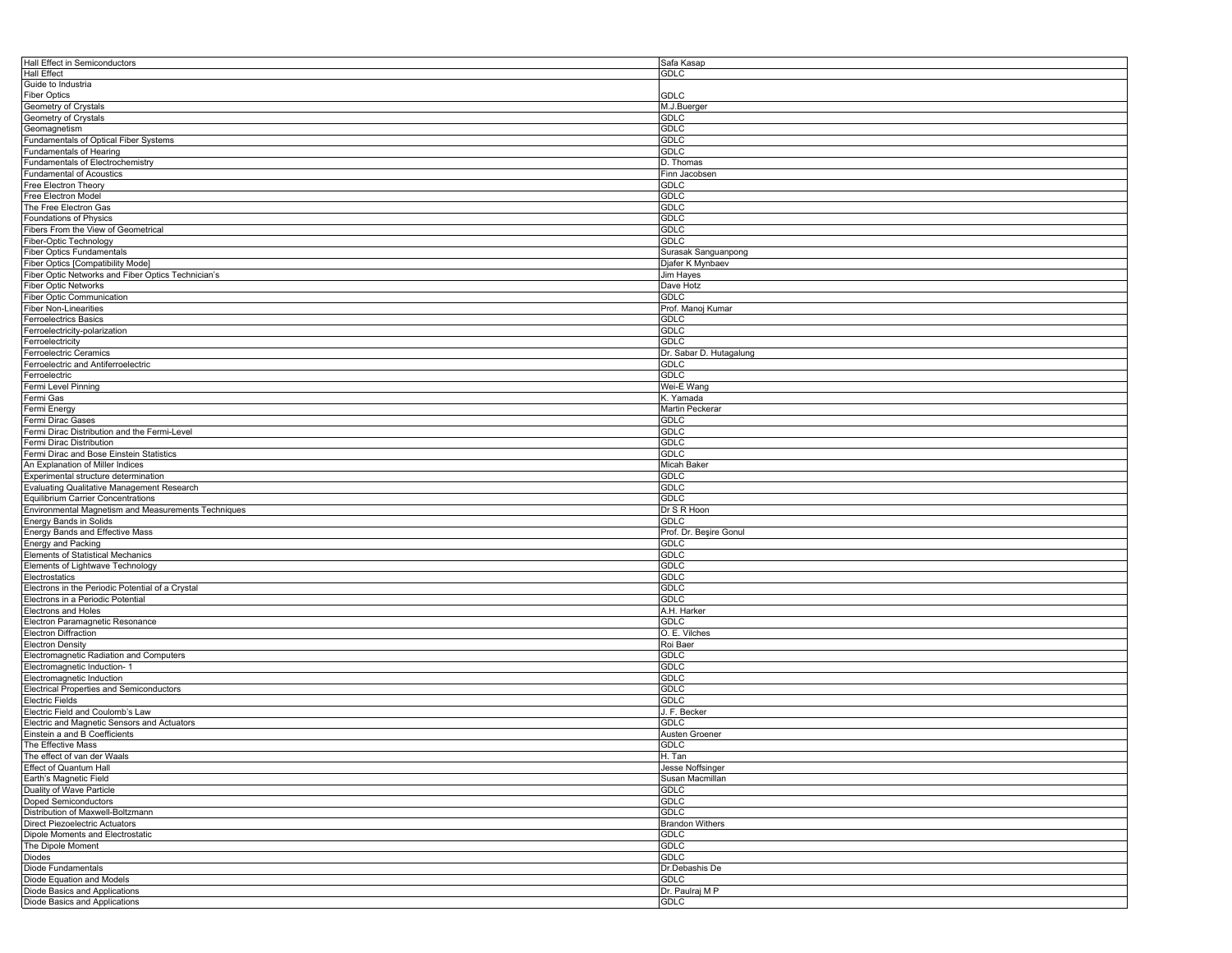| Hall Effect in Semiconductors                       | Safa Kasap              |
|-----------------------------------------------------|-------------------------|
| Hall Effect                                         | <b>GDLC</b>             |
| Guide to Industria                                  |                         |
| <b>Fiber Optics</b>                                 | GDLC                    |
| Geometry of Crystals                                | M.J.Buerger             |
|                                                     | GDLC                    |
| Geometry of Crystals                                |                         |
| Geomagnetism                                        | <b>GDLC</b>             |
| Fundamentals of Optical Fiber Systems               | <b>GDLC</b>             |
| Fundamentals of Hearing                             | <b>GDLC</b>             |
| Fundamentals of Electrochemistry                    | D. Thomas               |
| <b>Fundamental of Acoustics</b>                     | Finn Jacobsen           |
| Free Electron Theory                                | GDLC                    |
| Free Electron Model                                 | GDLC                    |
| The Free Electron Gas                               | <b>GDLC</b>             |
| Foundations of Physics                              | GDLC                    |
| Fibers From the View of Geometrical                 | <b>GDLC</b>             |
| Fiber-Optic Technology                              | GDLC                    |
|                                                     |                         |
| <b>Fiber Optics Fundamentals</b>                    | Surasak Sanguanpong     |
| Fiber Optics [Compatibility Mode]                   | Djafer K Mynbaev        |
| Fiber Optic Networks and Fiber Optics Technician's  | Jim Hayes               |
| <b>Fiber Optic Networks</b>                         | Dave Hotz               |
| <b>Fiber Optic Communication</b>                    | <b>GDLC</b>             |
| <b>Fiber Non-Linearities</b>                        | Prof. Manoj Kumar       |
| <b>Ferroelectrics Basics</b>                        | <b>GDLC</b>             |
| Ferroelectricity-polarization                       | <b>GDLC</b>             |
| Ferroelectricity                                    | GDLC                    |
| Ferroelectric Ceramics                              | Dr. Sabar D. Hutagalung |
| Ferroelectric and Antiferroelectric                 | <b>GDLC</b>             |
| Ferroelectric                                       | <b>GDLC</b>             |
|                                                     |                         |
| Fermi Level Pinning                                 | Wei-E Wang              |
| Fermi Gas                                           | K. Yamada               |
| Fermi Energy                                        | Martin Peckerar         |
| Fermi Dirac Gases                                   | GDLC                    |
| Fermi Dirac Distribution and the Fermi-Level        | <b>GDLC</b>             |
| Fermi Dirac Distribution                            | <b>GDLC</b>             |
| Fermi Dirac and Bose Einstein Statistics            | <b>GDLC</b>             |
| An Explanation of Miller Indices                    | Micah Baker             |
| Experimental structure determination                | GDLC                    |
| Evaluating Qualitative Management Research          | GDLC                    |
| <b>Equilibrium Carrier Concentrations</b>           | <b>GDLC</b>             |
|                                                     |                         |
| Environmental Magnetism and Measurements Techniques | Dr S R Hoon             |
| Energy Bands in Solids                              | <b>GDLC</b>             |
| Energy Bands and Effective Mass                     | Prof. Dr. Beşire Gonul  |
| Energy and Packing                                  | <b>GDLC</b>             |
| Elements of Statistical Mechanics                   | GDLC                    |
| Elements of Lightwave Technology                    | <b>GDLC</b>             |
| Electrostatics                                      | <b>GDLC</b>             |
| Electrons in the Periodic Potential of a Crystal    | <b>GDLC</b>             |
| Electrons in a Periodic Potential                   | GDLC                    |
| Electrons and Holes                                 | A.H. Harker             |
| Electron Paramagnetic Resonance                     | GDLC                    |
| <b>Electron Diffraction</b>                         | O. E. Vilches           |
| <b>Electron Density</b>                             |                         |
|                                                     | Roi Baer                |
| Electromagnetic Radiation and Computers             | <b>GDLC</b>             |
| Electromagnetic Induction-                          | <b>GDLC</b>             |
| Electromagnetic Induction                           | <b>GDLC</b>             |
| <b>Electrical Properties and Semiconductors</b>     | <b>GDLC</b>             |
| Electric Fields                                     | GDLC                    |
| Electric Field and Coulomb's Law                    | J. F. Becker            |
| Electric and Magnetic Sensors and Actuators         | GDLC                    |
| Einstein a and B Coefficients                       | <b>Austen Groener</b>   |
| The Effective Mass                                  | GDLC                    |
| The effect of van der Waals                         | H. Tan                  |
| Effect of Quantum Hall                              | Jesse Noffsinger        |
|                                                     | Susan Macmillan         |
| Earth's Magnetic Field                              |                         |
| Duality of Wave Particle                            | <b>GDLC</b>             |
| Doped Semiconductors                                | GDLC                    |
| Distribution of Maxwell-Boltzmann                   | <b>GDLC</b>             |
| Direct Piezoelectric Actuators                      | <b>Brandon Withers</b>  |
| Dipole Moments and Electrostatic                    | <b>GDLC</b>             |
| The Dipole Moment                                   | GDLC                    |
| Diodes                                              | GDLC                    |
| Diode Fundamentals                                  | Dr.Debashis De          |
| Diode Equation and Models                           | GDLC                    |
| Diode Basics and Applications                       | Dr. Paulraj M P         |
|                                                     |                         |
| Diode Basics and Applications                       | <b>GDLC</b>             |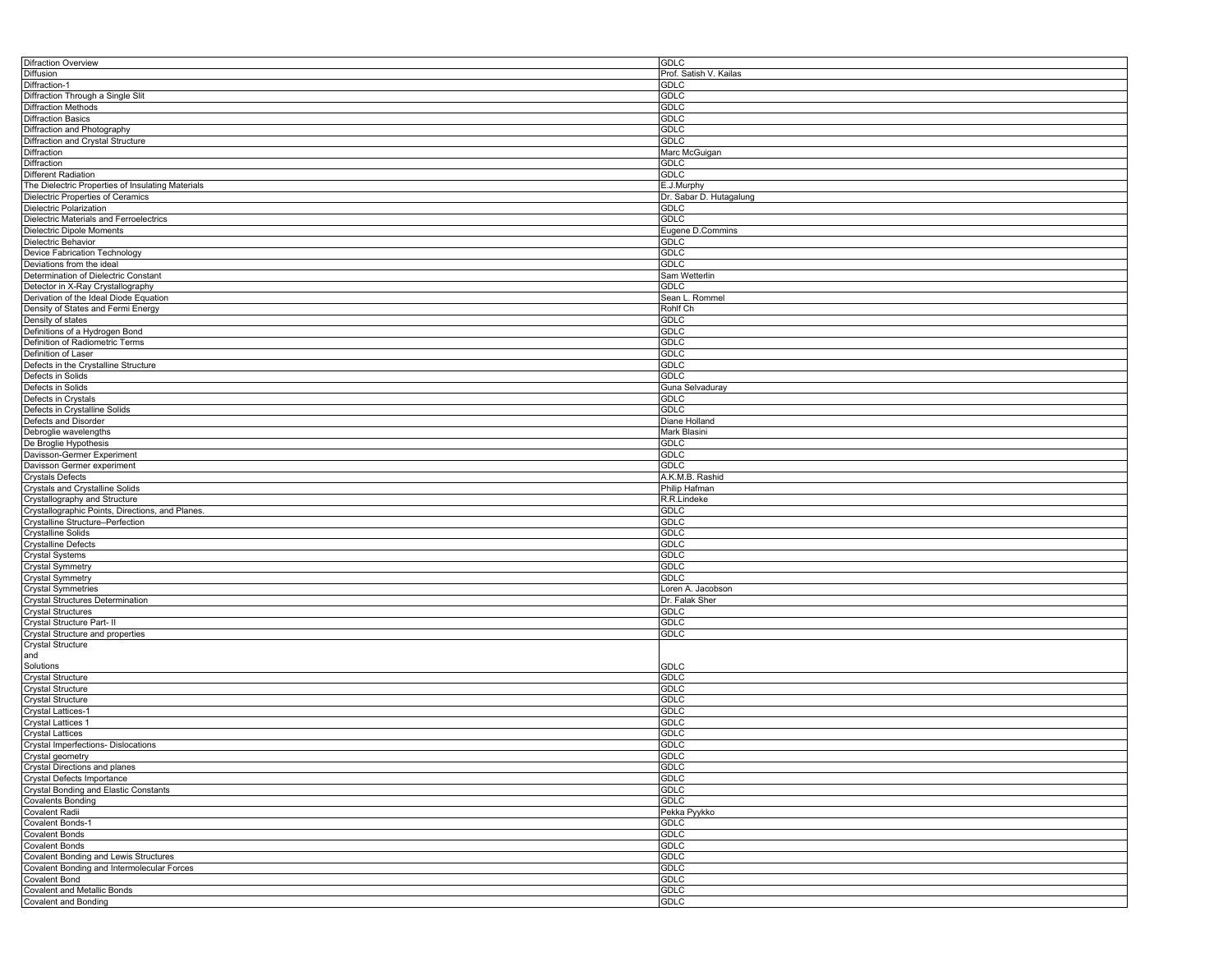| Difraction Overview                               | <b>GDLC</b>             |
|---------------------------------------------------|-------------------------|
| Diffusion                                         | Prof. Satish V. Kailas  |
| Diffraction-1                                     | GDLC                    |
| Diffraction Through a Single Slit                 | <b>GDLC</b>             |
| <b>Diffraction Methods</b>                        | <b>GDLC</b>             |
| <b>Diffraction Basics</b>                         | <b>GDLC</b>             |
|                                                   | <b>GDLC</b>             |
| Diffraction and Photography                       |                         |
| Diffraction and Crystal Structure                 | <b>GDLC</b>             |
| Diffraction                                       | Marc McGuigan           |
| <b>Diffraction</b>                                | <b>GDLC</b>             |
| Different Radiation                               | GDLC                    |
| The Dielectric Properties of Insulating Materials | E.J.Murphy              |
| Dielectric Properties of Ceramics                 | Dr. Sabar D. Hutagalung |
| Dielectric Polarization                           | <b>GDLC</b>             |
| Dielectric Materials and Ferroelectrics           | GDLC                    |
| Dielectric Dipole Moments                         | Eugene D.Commins        |
| Dielectric Behavior                               | <b>GDLC</b>             |
|                                                   | GDLC                    |
| Device Fabrication Technology                     |                         |
| Deviations from the ideal                         | <b>GDLC</b>             |
| Determination of Dielectric Constant              | Sam Wetterlin           |
| Detector in X-Ray Crystallography                 | <b>GDLC</b>             |
| Derivation of the Ideal Diode Equation            | Sean L. Rommel          |
| Density of States and Fermi Energy                | Rohlf Ch                |
| Density of states                                 | GDLC                    |
| Definitions of a Hydrogen Bond                    | GDLC                    |
| Definition of Radiometric Terms                   | <b>GDLC</b>             |
|                                                   |                         |
| Definition of Laser                               | <b>GDLC</b>             |
| Defects in the Crystalline Structure              | GDLC                    |
| Defects in Solids                                 | <b>GDLC</b>             |
| Defects in Solids                                 | Guna Selvaduray         |
| Defects in Crystals                               | <b>GDLC</b>             |
| Defects in Crystalline Solids                     | <b>GDLC</b>             |
| Defects and Disorder                              | Diane Holland           |
| Debroglie wavelengths                             | Mark Blasini            |
| De Broglie Hypothesis                             | <b>GDLC</b>             |
|                                                   | <b>GDLC</b>             |
| Davisson-Germer Experiment                        |                         |
| Davisson Germer experiment                        | <b>GDLC</b>             |
| <b>Crystals Defects</b>                           | A.K.M.B. Rashid         |
| Crystals and Crystalline Solids                   | Philip Hafman           |
| Crystallography and Structure                     | R.R.Lindeke             |
| Crystallographic Points, Directions, and Planes.  | GDLC                    |
| Crystalline Structure-Perfection                  | <b>GDLC</b>             |
| <b>Crystalline Solids</b>                         | <b>GDLC</b>             |
| <b>Crystalline Defects</b>                        | <b>GDLC</b>             |
| <b>Crystal Systems</b>                            | <b>GDLC</b>             |
|                                                   | <b>GDLC</b>             |
| <b>Crystal Symmetry</b>                           |                         |
| <b>Crystal Symmetry</b>                           | <b>GDLC</b>             |
| <b>Crystal Symmetries</b>                         | Loren A. Jacobson       |
| <b>Crystal Structures Determination</b>           | Dr. Falak Sher          |
| <b>Crystal Structures</b>                         | GDLC                    |
| Crystal Structure Part- II                        | <b>GDLC</b>             |
| Crystal Structure and properties                  | <b>GDLC</b>             |
| Crystal Structure                                 |                         |
| and                                               |                         |
| Solutions                                         | GDLC                    |
| <b>Crystal Structure</b>                          | GDLC                    |
|                                                   | <b>GDLC</b>             |
| <b>Crystal Structure</b>                          |                         |
| <b>Crystal Structure</b>                          | <b>GDLC</b>             |
| Crystal Lattices-1                                | GDLC                    |
| <b>Crystal Lattices 1</b>                         | <b>GDLC</b>             |
| <b>Crystal Lattices</b>                           | GDLC                    |
| Crystal Imperfections- Dislocations               | GDLC                    |
| Crystal geometry                                  | GDLC                    |
| Crystal Directions and planes                     | GDLC                    |
| Crystal Defects Importance                        | GDLC                    |
| Crystal Bonding and Elastic Constants             | GDLC                    |
|                                                   |                         |
| <b>Covalents Bonding</b>                          | GDLC                    |
| <b>Covalent Radii</b>                             | Pekka Pyykko            |
| <b>Covalent Bonds-1</b>                           | GDLC                    |
| <b>Covalent Bonds</b>                             | GDLC                    |
| <b>Covalent Bonds</b>                             | GDLC                    |
| Covalent Bonding and Lewis Structures             | GDLC                    |
| Covalent Bonding and Intermolecular Forces        | GDLC                    |
| <b>Covalent Bond</b>                              | GDLC                    |
|                                                   |                         |
| <b>Covalent and Metallic Bonds</b>                | GDLC                    |
| Covalent and Bonding                              | <b>GDLC</b>             |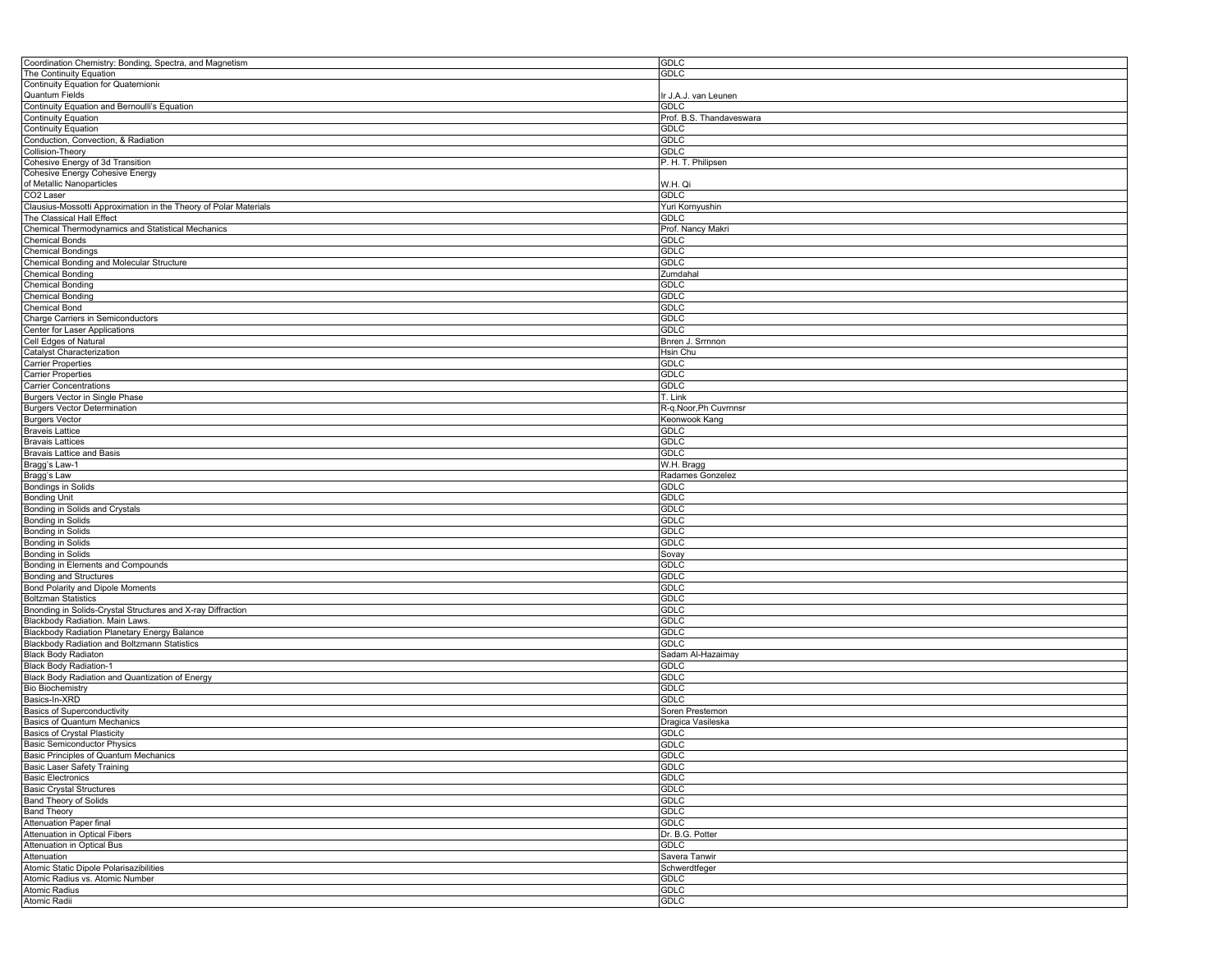| Coordination Chemistry: Bonding, Spectra, and Magnetism          | GDLC                     |
|------------------------------------------------------------------|--------------------------|
| The Continuity Equation                                          | GDLC                     |
| Continuity Equation for Quaternionio                             |                          |
| Quantum Fields                                                   | Ir J.A.J. van Leunen     |
| Continuity Equation and Bernoulli's Equation                     | <b>GDLC</b>              |
| Continuity Equation                                              | Prof. B.S. Thandaveswara |
| <b>Continuity Equation</b>                                       | <b>GDLC</b>              |
|                                                                  | <b>GDLC</b>              |
| Conduction, Convection, & Radiation                              |                          |
| Collision-Theory                                                 | <b>GDLC</b>              |
| Cohesive Energy of 3d Transition                                 | P. H. T. Philipsen       |
| Cohesive Energy Cohesive Energy                                  |                          |
| of Metallic Nanoparticles                                        | W.H. Qi                  |
| CO2 Laser                                                        | <b>GDLC</b>              |
| Clausius-Mossotti Approximation in the Theory of Polar Materials | Yuri Kornyushin          |
| The Classical Hall Effect                                        | <b>GDLC</b>              |
| Chemical Thermodynamics and Statistical Mechanics                | Prof. Nancy Makri        |
| <b>Chemical Bonds</b>                                            | GDLC                     |
| <b>Chemical Bondings</b>                                         | <b>GDLC</b>              |
| Chemical Bonding and Molecular Structure                         |                          |
|                                                                  | <b>GDLC</b>              |
| <b>Chemical Bonding</b>                                          | Zumdahal                 |
| <b>Chemical Bonding</b>                                          | <b>GDLC</b>              |
| <b>Chemical Bonding</b>                                          | <b>GDLC</b>              |
| Chemical Bond                                                    | <b>GDLC</b>              |
| Charge Carriers in Semiconductors                                | <b>GDLC</b>              |
| Center for Laser Applications                                    | <b>GDLC</b>              |
| Cell Edges of Natural                                            | Bnren J. Srrnnon         |
| Catalyst Characterization                                        | Hsin Chu                 |
|                                                                  |                          |
| <b>Carrier Properties</b>                                        | <b>GDLC</b>              |
| <b>Carrier Properties</b>                                        | <b>GDLC</b>              |
| Carrier Concentrations                                           | <b>GDLC</b>              |
| <b>Burgers Vector in Single Phase</b>                            | T. Link                  |
| <b>Burgers Vector Determination</b>                              | R-q.Noor, Ph Cuvrnnsr    |
| <b>Burgers Vector</b>                                            | Keonwook Kang            |
| <b>Braveis Lattice</b>                                           | GDLC                     |
| <b>Bravais Lattices</b>                                          | <b>GDLC</b>              |
|                                                                  | <b>GDLC</b>              |
| Bravais Lattice and Basis                                        |                          |
| Bragg's Law-1                                                    | W.H. Bragg               |
| Bragg's Law                                                      | Radames Gonzelez         |
| <b>Bondings in Solids</b>                                        | GDLC                     |
| <b>Bonding Unit</b>                                              | <b>GDLC</b>              |
| Bonding in Solids and Crystals                                   | <b>GDLC</b>              |
| Bonding in Solids                                                | <b>GDLC</b>              |
| Bonding in Solids                                                | GDLC                     |
| <b>Bonding in Solids</b>                                         | <b>GDLC</b>              |
|                                                                  |                          |
| Bonding in Solids                                                | Sovay                    |
| Bonding in Elements and Compounds                                | GDLC                     |
| <b>Bonding and Structures</b>                                    | <b>GDLC</b>              |
| Bond Polarity and Dipole Moments                                 | GDLC                     |
| <b>Boltzman Statistics</b>                                       | <b>GDLC</b>              |
| Bnonding in Solids-Crystal Structures and X-ray Diffraction      | <b>GDLC</b>              |
| Blackbody Radiation. Main Laws.                                  | <b>GDLC</b>              |
| Blackbody Radiation Planetary Energy Balance                     | <b>GDLC</b>              |
| Blackbody Radiation and Boltzmann Statistics                     | <b>GDLC</b>              |
|                                                                  |                          |
| <b>Black Body Radiaton</b>                                       | Sadam Al-Hazaimay        |
| Black Body Radiation-1                                           | <b>GDLC</b>              |
| Black Body Radiation and Quantization of Energy                  | <b>GDLC</b>              |
| <b>Bio Biochemistry</b>                                          | <b>GDLC</b>              |
| Basics-In-XRD                                                    | <b>GDLC</b>              |
| <b>Basics of Superconductivity</b>                               | Soren Prestemon          |
| <b>Basics of Quantum Mechanics</b>                               | Dragica Vasileska        |
| <b>Basics of Crystal Plasticity</b>                              | GDLC                     |
|                                                                  |                          |
| <b>Basic Semiconductor Physics</b>                               | <b>GDLC</b>              |
| Basic Principles of Quantum Mechanics                            | GDLC                     |
| Basic Laser Safety Training                                      | <b>GDLC</b>              |
| <b>Basic Electronics</b>                                         | <b>GDLC</b>              |
| <b>Basic Crystal Structures</b>                                  | <b>GDLC</b>              |
| <b>Band Theory of Solids</b>                                     | <b>GDLC</b>              |
| <b>Band Theory</b>                                               | <b>GDLC</b>              |
| <b>Attenuation Paper final</b>                                   | <b>GDLC</b>              |
| <b>Attenuation in Optical Fibers</b>                             | Dr. B.G. Potter          |
|                                                                  |                          |
| <b>Attenuation in Optical Bus</b>                                | <b>GDLC</b>              |
| Attenuation                                                      | Savera Tanwir            |
| Atomic Static Dipole Polarisazibilities                          | Schwerdtfeger            |
| Atomic Radius vs. Atomic Number                                  | <b>GDLC</b>              |
| Atomic Radius                                                    | <b>GDLC</b>              |
| Atomic Radii                                                     | <b>GDLC</b>              |
|                                                                  |                          |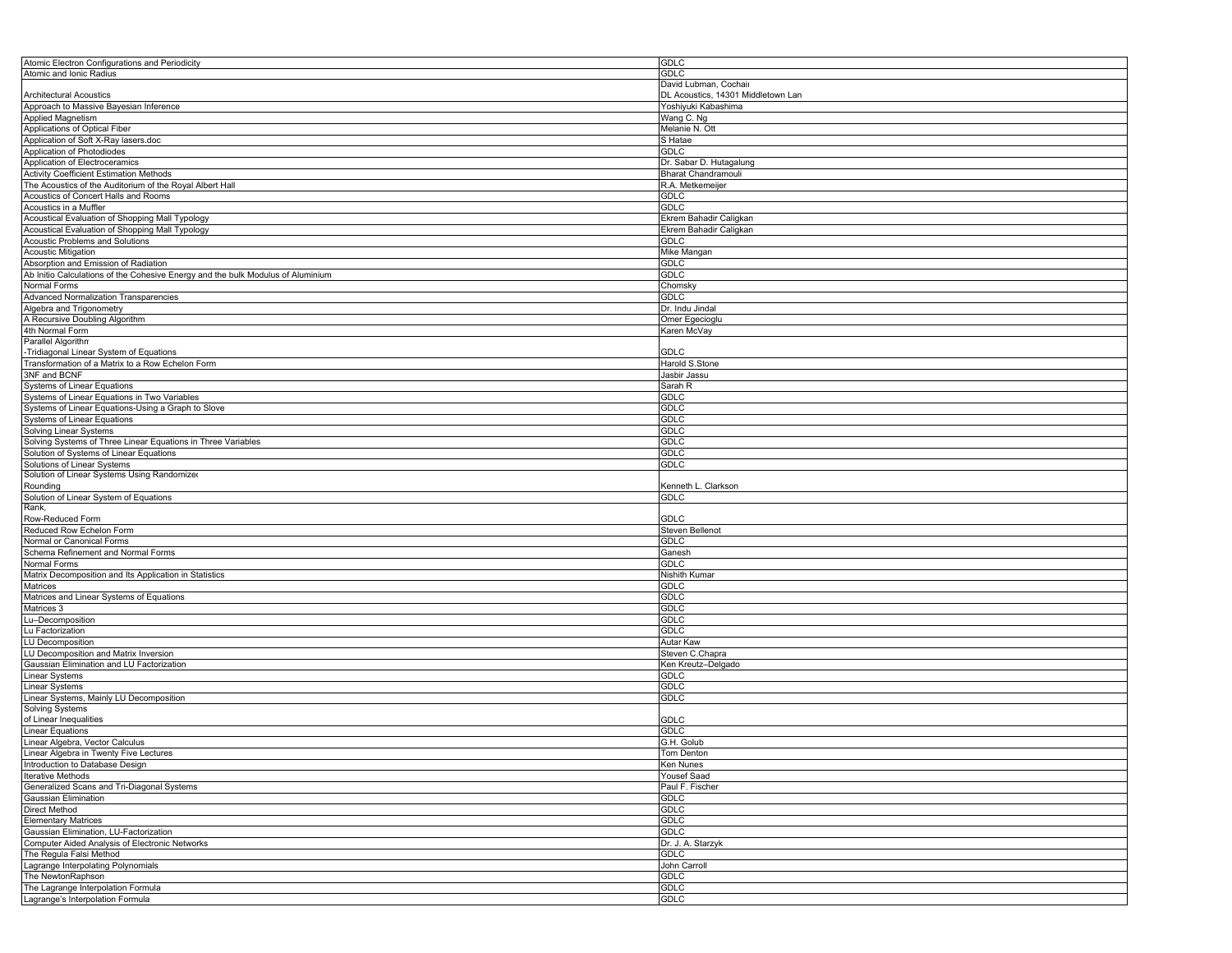| Atomic Electron Configurations and Periodicity                                  | <b>GDLC</b>                        |
|---------------------------------------------------------------------------------|------------------------------------|
| Atomic and Ionic Radius                                                         | <b>GDLC</b>                        |
|                                                                                 | David Lubman, Cochair              |
| <b>Architectural Acoustics</b>                                                  | DL Acoustics, 14301 Middletown Lan |
| Approach to Massive Bayesian Inference                                          | Yoshiyuki Kabashima                |
| Applied Magnetism                                                               | Wang C. Ng                         |
| Applications of Optical Fiber                                                   | Melanie N. Ott                     |
| Application of Soft X-Ray lasers.doc                                            | S Hatae                            |
|                                                                                 |                                    |
| Application of Photodiodes                                                      | GDLC                               |
| Application of Electroceramics                                                  | Dr. Sabar D. Hutagalung            |
| <b>Activity Coefficient Estimation Methods</b>                                  | Bharat Chandramouli                |
| The Acoustics of the Auditorium of the Royal Albert Hall                        | R.A. Metkemeijer                   |
| Acoustics of Concert Halls and Rooms                                            | <b>GDLC</b>                        |
| Acoustics in a Muffler                                                          | <b>GDLC</b>                        |
| Acoustical Evaluation of Shopping Mall Typology                                 | Ekrem Bahadir Caligkan             |
| Acoustical Evaluation of Shopping Mall Typology                                 | Ekrem Bahadir Caligkan             |
| <b>Acoustic Problems and Solutions</b>                                          | GDLC                               |
| <b>Acoustic Mitigation</b>                                                      | Mike Mangan                        |
| Absorption and Emission of Radiation                                            | <b>GDLC</b>                        |
| Ab Initio Calculations of the Cohesive Energy and the bulk Modulus of Aluminium | <b>GDLC</b>                        |
|                                                                                 |                                    |
| Normal Forms                                                                    | Chomsky                            |
| Advanced Normalization Transparencies                                           | <b>GDLC</b>                        |
| Algebra and Trigonometry                                                        | Dr. Indu Jindal                    |
| A Recursive Doubling Algorithm                                                  | Omer Egecioglu                     |
| 4th Normal Form                                                                 | Karen McVay                        |
| Parallel Algorithn                                                              |                                    |
| -Tridiagonal Linear System of Equations                                         | <b>GDLC</b>                        |
| Transformation of a Matrix to a Row Echelon Form                                | Harold S.Stone                     |
| 3NF and BCNF                                                                    | Jasbir Jassu                       |
| Systems of Linear Equations                                                     | Sarah R                            |
| Systems of Linear Equations in Two Variables                                    | GDLC                               |
| Systems of Linear Equations-Using a Graph to Slove                              | <b>GDLC</b>                        |
| <b>Systems of Linear Equations</b>                                              | GDLC                               |
|                                                                                 |                                    |
| Solving Linear Systems                                                          | <b>GDLC</b>                        |
| Solving Systems of Three Linear Equations in Three Variables                    | <b>GDLC</b>                        |
| Solution of Systems of Linear Equations                                         | <b>GDLC</b>                        |
| Solutions of Linear Systems                                                     | <b>GDLC</b>                        |
| Solution of Linear Systems Using Randomized                                     |                                    |
| Rounding                                                                        | Kenneth L. Clarkson                |
| Solution of Linear System of Equations                                          | GDLC                               |
| Rank,                                                                           |                                    |
| Row-Reduced Form                                                                | <b>GDLC</b>                        |
| Reduced Row Echelon Form                                                        | Steven Bellenot                    |
| Normal or Canonical Forms                                                       | GDLC                               |
| Schema Refinement and Normal Forms                                              | Ganesh                             |
| Normal Forms                                                                    | <b>GDLC</b>                        |
| Matrix Decomposition and Its Application in Statistics                          |                                    |
|                                                                                 | Nishith Kumar                      |
| Matrices                                                                        | <b>GDLC</b>                        |
| Matrices and Linear Systems of Equations                                        | <b>GDLC</b>                        |
| Matrices 3                                                                      | <b>GDLC</b>                        |
| Lu-Decomposition                                                                | <b>GDLC</b>                        |
| Lu Factorization                                                                | <b>GDLC</b>                        |
| <b>LU Decomposition</b>                                                         | Autar Kaw                          |
| LU Decomposition and Matrix Inversion                                           | Steven C.Chapra                    |
| Gaussian Elimination and LU Factorization                                       | Ken Kreutz-Delgado                 |
| Linear Systems                                                                  | <b>GDLC</b>                        |
| Linear Systems                                                                  | GDLC                               |
| Linear Systems, Mainly LU Decomposition                                         | GDLC                               |
| Solving Systems                                                                 |                                    |
| of Linear Inequalities                                                          | GDLC                               |
| <b>Linear Equations</b>                                                         | GDLC                               |
|                                                                                 |                                    |
| Linear Algebra, Vector Calculus                                                 | G.H. Golub                         |
| inear Algebra in Twenty Five Lectures.                                          | Tom Denton                         |
| Introduction to Database Design                                                 | Ken Nunes                          |
| <b>Iterative Methods</b>                                                        | Yousef Saad                        |
| Generalized Scans and Tri-Diagonal Systems                                      | Paul F. Fischer                    |
| Gaussian Elimination                                                            | <b>GDLC</b>                        |
| Direct Method                                                                   | <b>GDLC</b>                        |
| <b>Elementary Matrices</b>                                                      | <b>GDLC</b>                        |
| Gaussian Elimination, LU-Factorization                                          | <b>GDLC</b>                        |
| Computer Aided Analysis of Electronic Networks                                  | Dr. J. A. Starzyk                  |
| The Regula Falsi Method                                                         | <b>GDLC</b>                        |
|                                                                                 |                                    |
| Lagrange Interpolating Polynomials                                              | John Carroll                       |
| The NewtonRaphson                                                               | GDLC                               |
| The Lagrange Interpolation Formula                                              | GDLC                               |
| Lagrange's Interpolation Formula                                                | <b>GDLC</b>                        |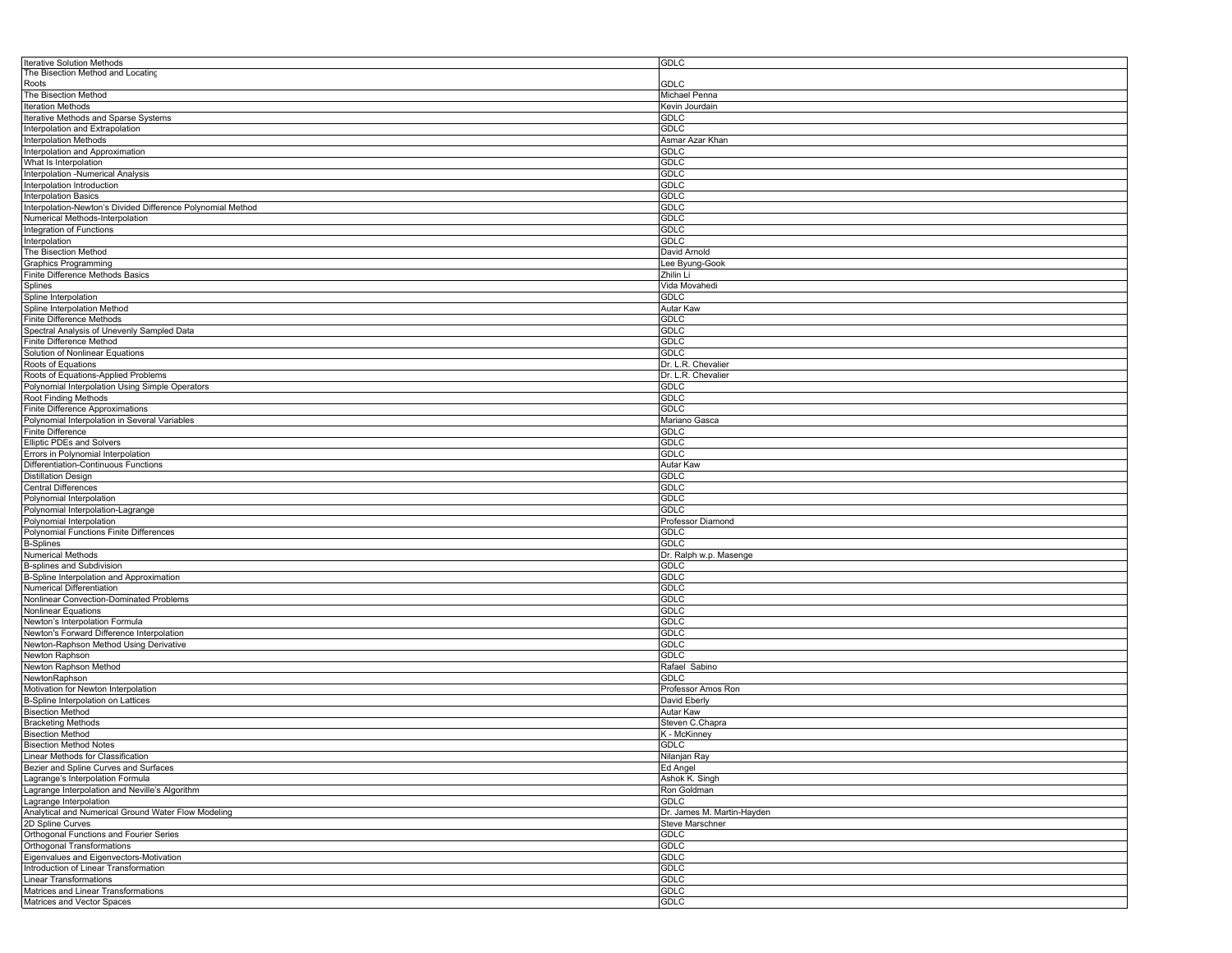| <b>Iterative Solution Methods</b>                           | GDLC                       |
|-------------------------------------------------------------|----------------------------|
| The Bisection Method and Locating                           |                            |
| Roots                                                       | <b>GDLC</b>                |
| The Bisection Method                                        | Michael Penna              |
| <b>Iteration Methods</b>                                    | Kevin Jourdain             |
| Iterative Methods and Sparse Systems                        | GDLC                       |
|                                                             |                            |
| Interpolation and Extrapolation                             | GDLC                       |
| <b>Interpolation Methods</b>                                | Asmar Azar Khan            |
| Interpolation and Approximation                             | GDLC                       |
| What Is Interpolation                                       | <b>GDLC</b>                |
| Interpolation -Numerical Analysis                           | <b>GDLC</b>                |
| Interpolation Introduction                                  | GDLC                       |
| <b>Interpolation Basics</b>                                 | GDLC                       |
| Interpolation-Newton's Divided Difference Polynomial Method | <b>GDLC</b>                |
| Numerical Methods-Interpolation                             |                            |
|                                                             | <b>GDLC</b>                |
| Integration of Functions                                    | GDLC                       |
| Interpolation                                               | GDLC                       |
| The Bisection Method                                        | David Arnold               |
| <b>Graphics Programming</b>                                 | Lee Byung-Gook             |
| Finite Difference Methods Basics                            | Zhilin Li                  |
| Splines                                                     | Vida Movahedi              |
| Spline Interpolation                                        | GDLC                       |
|                                                             |                            |
| Spline Interpolation Method                                 | Autar Kaw                  |
| Finite Difference Methods                                   | GDLC                       |
| Spectral Analysis of Unevenly Sampled Data                  | <b>GDLC</b>                |
| Finite Difference Method                                    | <b>GDLC</b>                |
| Solution of Nonlinear Equations                             | GDLC                       |
| Roots of Equations                                          | Dr. L.R. Chevalier         |
| Roots of Equations-Applied Problems                         | Dr. L.R. Chevalier         |
| Polynomial Interpolation Using Simple Operators             | <b>GDLC</b>                |
| Root Finding Methods                                        | <b>GDLC</b>                |
|                                                             |                            |
| Finite Difference Approximations                            | GDLC                       |
| Polynomial Interpolation in Several Variables               | Mariano Gasca              |
| <b>Finite Difference</b>                                    | GDLC                       |
| <b>Elliptic PDEs and Solvers</b>                            | <b>GDLC</b>                |
| Errors in Polynomial Interpolation                          | <b>GDLC</b>                |
| Differentiation-Continuous Functions                        | Autar Kaw                  |
| <b>Distillation Design</b>                                  | GDLC                       |
| <b>Central Differences</b>                                  | <b>GDLC</b>                |
| Polynomial Interpolation                                    | <b>GDLC</b>                |
| Polynomial Interpolation-Lagrange                           | GDLC                       |
| Polynomial Interpolation                                    |                            |
|                                                             | Professor Diamond          |
| Polynomial Functions Finite Differences                     | GDLC                       |
| <b>B-Splines</b>                                            | GDLC                       |
| <b>Numerical Methods</b>                                    | Dr. Ralph w.p. Masenge     |
| B-splines and Subdivision                                   | GDLC                       |
| B-Spline Interpolation and Approximation                    | GDLC                       |
| Numerical Differentiation                                   | GDLC                       |
| Nonlinear Convection-Dominated Problems                     | GDLC                       |
| Nonlinear Equations                                         | <b>GDLC</b>                |
| Newton's Interpolation Formula                              | GDLC                       |
|                                                             |                            |
| Newton's Forward Difference Interpolation                   | GDLC                       |
| Newton-Raphson Method Using Derivative                      | GDLC                       |
| Newton Raphson                                              | GDLC                       |
| Newton Raphson Method                                       | Rafael Sabino              |
| NewtonRaphson                                               | GDLC                       |
| Motivation for Newton Interpolation                         | Professor Amos Ron         |
| B-Spline Interpolation on Lattices                          | David Eberly               |
| <b>Bisection Method</b>                                     | Autar Kaw                  |
| <b>Bracketing Methods</b>                                   | Steven C.Chapra            |
| <b>Bisection Method</b>                                     | K - McKinney               |
| <b>Bisection Method Notes</b>                               | <b>GDLC</b>                |
|                                                             |                            |
| Linear Methods for Classification                           | Nilanjan Ray               |
| Bezier and Spline Curves and Surfaces                       | Ed Angel                   |
| Lagrange's Interpolation Formula                            | Ashok K. Singh             |
| Lagrange Interpolation and Neville's Algorithm              | Ron Goldman                |
| Lagrange Interpolation                                      | GDLC                       |
| Analytical and Numerical Ground Water Flow Modeling         | Dr. James M. Martin-Hayden |
| 2D Spline Curves                                            | Steve Marschner            |
| Orthogonal Functions and Fourier Series                     | <b>GDLC</b>                |
| Orthogonal Transformations                                  | <b>GDLC</b>                |
| Eigenvalues and Eigenvectors-Motivation                     | <b>GDLC</b>                |
| Introduction of Linear Transformation                       | GDLC                       |
|                                                             |                            |
| <b>Linear Transformations</b>                               | <b>GDLC</b>                |
| Matrices and Linear Transformations                         | <b>GDLC</b>                |
| Matrices and Vector Spaces                                  | <b>GDLC</b>                |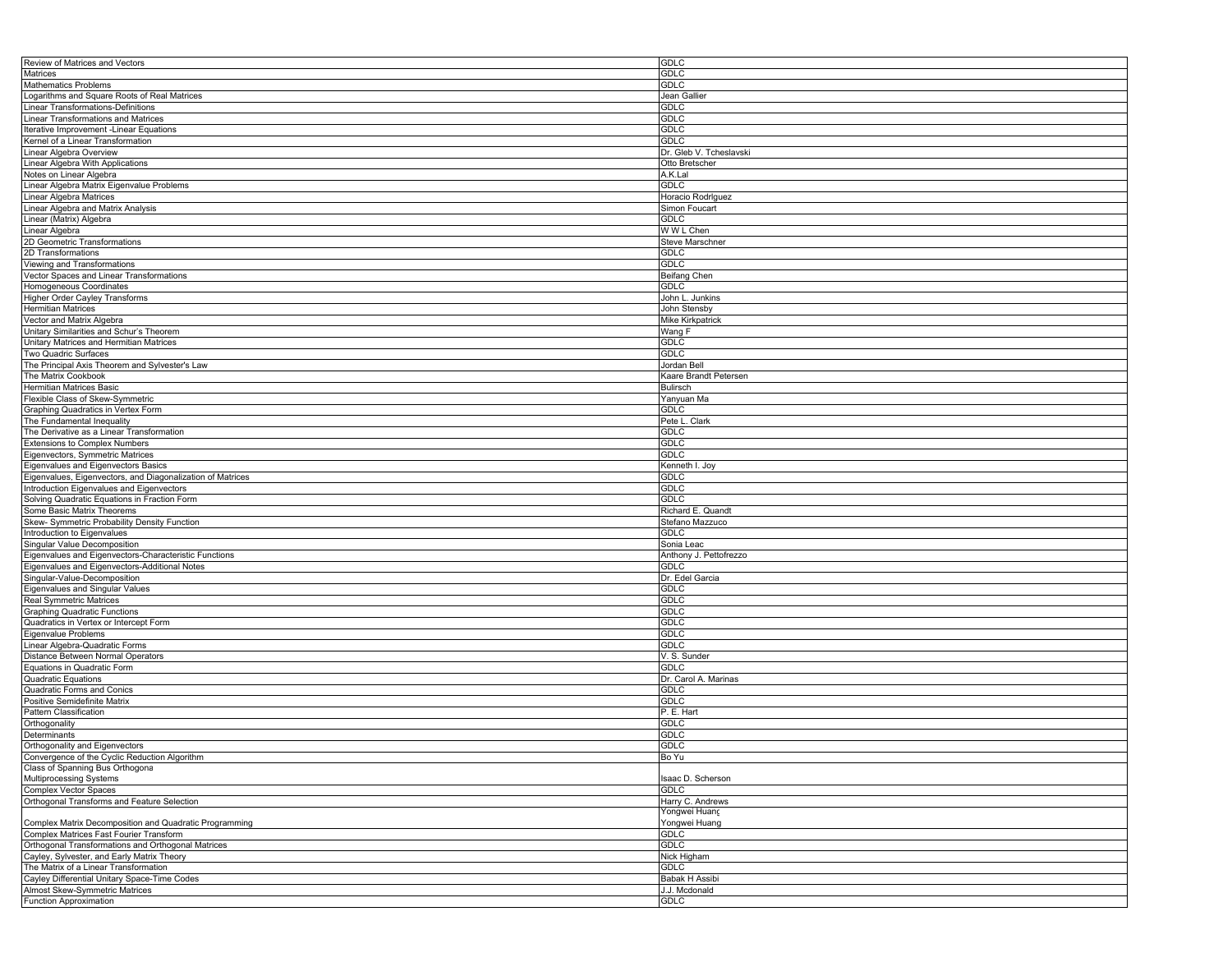| Review of Matrices and Vectors                                                   | <b>GDLC</b>             |
|----------------------------------------------------------------------------------|-------------------------|
| Matrices                                                                         | <b>GDLC</b>             |
| <b>Mathematics Problems</b>                                                      | GDLC                    |
| Logarithms and Square Roots of Real Matrices                                     | Jean Gallier            |
| <b>Linear Transformations-Definitions</b>                                        |                         |
|                                                                                  | GDLC                    |
| Linear Transformations and Matrices                                              | <b>GDLC</b>             |
| Iterative Improvement - Linear Equations                                         | <b>GDLC</b>             |
| Kernel of a Linear Transformation                                                | <b>GDLC</b>             |
| Linear Algebra Overview                                                          | Dr. Gleb V. Tcheslavski |
| Linear Algebra With Applications                                                 | Otto Bretscher          |
| Notes on Linear Algebra                                                          | A.K.Lal                 |
| Linear Algebra Matrix Eigenvalue Problems                                        | <b>GDLC</b>             |
| Linear Algebra Matrices                                                          | Horacio RodrIguez       |
| Linear Algebra and Matrix Analysis                                               | Simon Foucart           |
|                                                                                  |                         |
| Linear (Matrix) Algebra                                                          | GDLC                    |
| Linear Algebra                                                                   | W W L Chen              |
| 2D Geometric Transformations                                                     | Steve Marschner         |
| 2D Transformations                                                               | <b>GDLC</b>             |
| Viewing and Transformations                                                      | <b>GDLC</b>             |
| Vector Spaces and Linear Transformations                                         | Beifang Chen            |
| Homogeneous Coordinates                                                          | <b>GDLC</b>             |
| Higher Order Cayley Transforms                                                   | John L. Junkins         |
| <b>Hermitian Matrices</b>                                                        | John Stensby            |
|                                                                                  |                         |
| Vector and Matrix Algebra                                                        | <b>Mike Kirkpatrick</b> |
| Unitary Similarities and Schur's Theorem                                         | Wang F                  |
| Unitary Matrices and Hermitian Matrices                                          | GDLC                    |
| Two Quadric Surfaces                                                             | <b>GDLC</b>             |
| The Principal Axis Theorem and Sylvester's Law                                   | Jordan Bell             |
| The Matrix Cookbook                                                              | Kaare Brandt Petersen   |
| Hermitian Matrices Basic                                                         | Bulirsch                |
| Flexible Class of Skew-Symmetric                                                 | Yanyuan Ma              |
| Graphing Quadratics in Vertex Form                                               | <b>GDLC</b>             |
|                                                                                  |                         |
| The Fundamental Inequality                                                       | Pete L. Clark           |
| The Derivative as a Linear Transformation                                        | GDLC                    |
| <b>Extensions to Complex Numbers</b>                                             | GDLC                    |
| Eigenvectors, Symmetric Matrices                                                 | <b>GDLC</b>             |
| Eigenvalues and Eigenvectors Basics                                              | Kenneth I. Joy          |
| Eigenvalues, Eigenvectors, and Diagonalization of Matrices                       | <b>GDLC</b>             |
| Introduction Eigenvalues and Eigenvectors                                        | <b>GDLC</b>             |
| Solving Quadratic Equations in Fraction Form                                     | <b>GDLC</b>             |
|                                                                                  |                         |
| Some Basic Matrix Theorems                                                       | Richard E. Quandt       |
| Skew- Symmetric Probability Density Function                                     | Stefano Mazzuco         |
| Introduction to Eigenvalues                                                      | <b>GDLC</b>             |
| Singular Value Decomposition                                                     | Sonia Leac              |
| Eigenvalues and Eigenvectors-Characteristic Functions                            | Anthony J. Pettofrezzo  |
| Eigenvalues and Eigenvectors-Additional Notes                                    | <b>GDLC</b>             |
| Singular-Value-Decomposition                                                     | Dr. Edel Garcia         |
| Eigenvalues and Singular Values                                                  | <b>GDLC</b>             |
| <b>Real Symmetric Matrices</b>                                                   | <b>GDLC</b>             |
|                                                                                  |                         |
| <b>Graphing Quadratic Functions</b>                                              | <b>GDLC</b>             |
| Quadratics in Vertex or Intercept Form                                           | <b>GDLC</b>             |
| Eigenvalue Problems                                                              | <b>GDLC</b>             |
| Linear Algebra-Quadratic Forms                                                   | <b>GDLC</b>             |
| Distance Between Normal Operators                                                | V. S. Sunder            |
| Equations in Quadratic Form                                                      | <b>GDLC</b>             |
| Quadratic Equations                                                              | Dr. Carol A. Marinas    |
| Quadratic Forms and Conics                                                       | <b>GDLC</b>             |
| Positive Semidefinite Matrix                                                     | <b>GDLC</b>             |
| Pattern Classification                                                           |                         |
|                                                                                  | P. E. Hart              |
| Orthogonality                                                                    | GDLC                    |
| Determinants                                                                     | GDLC                    |
| Orthogonality and Eigenvectors                                                   | <b>GDLC</b>             |
|                                                                                  | Bo Yu                   |
| Convergence of the Cyclic Reduction Algorithm<br>Class of Spanning Bus Orthogona |                         |
| Multiprocessing Systems                                                          | Isaac D. Scherson       |
| <b>Complex Vector Spaces</b>                                                     | <b>GDLC</b>             |
| Orthogonal Transforms and Feature Selection                                      | Harry C. Andrews        |
|                                                                                  |                         |
|                                                                                  | Yongwei Huanç           |
| Complex Matrix Decomposition and Quadratic Programming                           | Yongwei Huang           |
| Complex Matrices Fast Fourier Transform                                          | <b>GDLC</b>             |
| Orthogonal Transformations and Orthogonal Matrices                               | <b>GDLC</b>             |
| Cayley, Sylvester, and Early Matrix Theory                                       | Nick Higham             |
| The Matrix of a Linear Transformation                                            | <b>GDLC</b>             |
| Cayley Differential Unitary Space-Time Codes                                     | Babak H Assibi          |
| Almost Skew-Symmetric Matrices                                                   | J.J. Mcdonald           |
| Function Approximation                                                           | GDLC                    |
|                                                                                  |                         |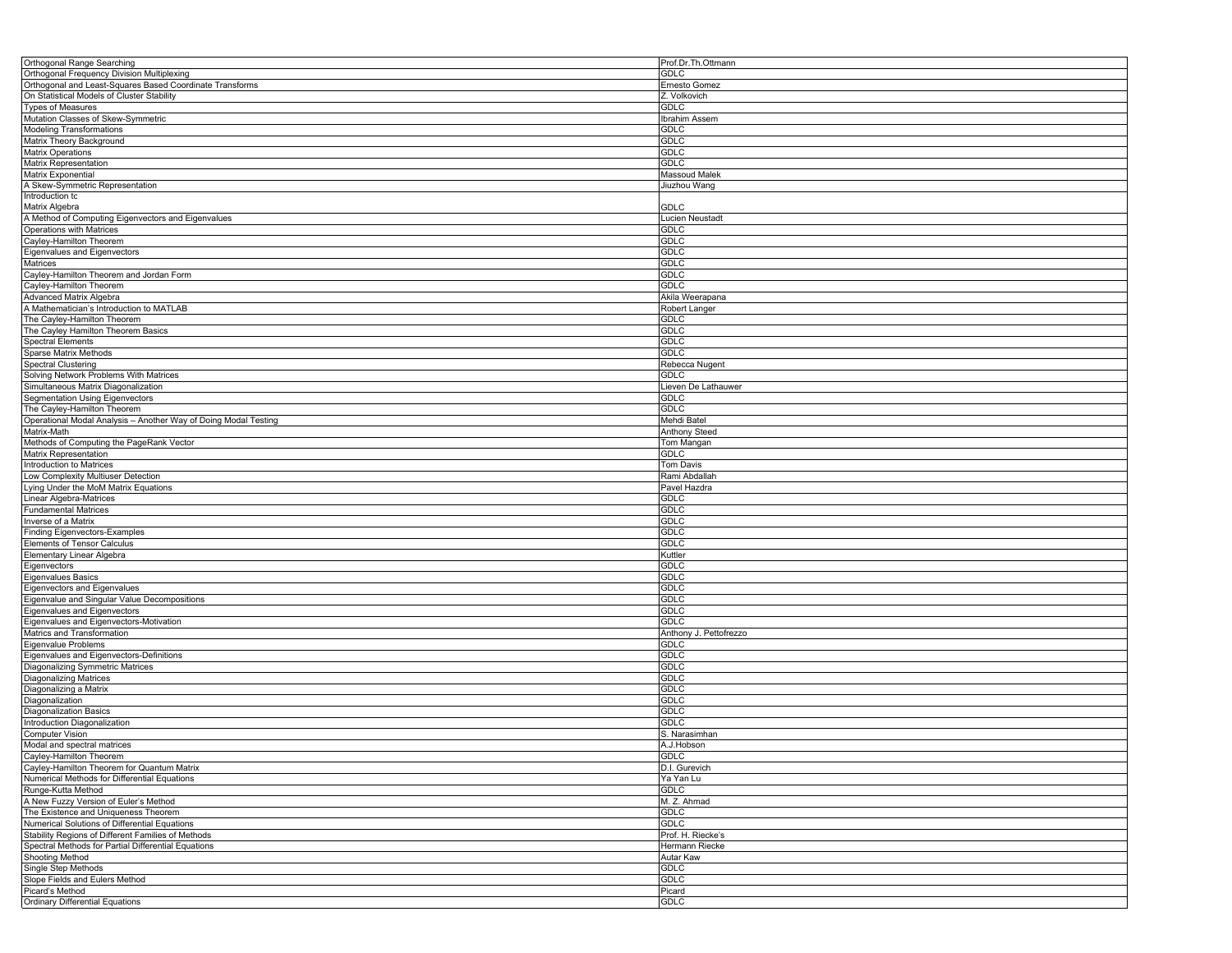| Orthogonal Range Searching                                      | Prof.Dr.Th.Ottmann     |
|-----------------------------------------------------------------|------------------------|
| Orthogonal Frequency Division Multiplexing                      | GDLC                   |
| Orthogonal and Least-Squares Based Coordinate Transforms        | Ernesto Gomez          |
| On Statistical Models of Cluster Stability                      | Z. Volkovich           |
| Types of Measures                                               | <b>GDLC</b>            |
| Mutation Classes of Skew-Symmetric                              | Ibrahim Assem          |
| Modeling Transformations                                        | GDLC                   |
| Matrix Theory Background                                        | <b>GDLC</b>            |
|                                                                 | <b>GDLC</b>            |
| Matrix Operations                                               | <b>GDLC</b>            |
| Matrix Representation                                           |                        |
| Matrix Exponential                                              | <b>Massoud Malek</b>   |
| A Skew-Symmetric Representation                                 | liuzhou Wang           |
| Introduction tc                                                 |                        |
| Matrix Algebra                                                  | GDLC                   |
| A Method of Computing Eigenvectors and Eigenvalues              | Lucien Neustadt        |
| Operations with Matrices                                        | GDLC                   |
| Cayley-Hamilton Theorem                                         | <b>GDLC</b>            |
| Eigenvalues and Eigenvectors                                    | <b>GDLC</b>            |
| Matrices                                                        | <b>GDLC</b>            |
| Cayley-Hamilton Theorem and Jordan Form                         | GDLC                   |
| Cayley-Hamilton Theorem                                         | GDLC                   |
| Advanced Matrix Algebra                                         | Akila Weerapana        |
| A Mathematician's Introduction to MATLAB                        | Robert Langer          |
| The Cayley-Hamilton Theorem                                     | <b>GDLC</b>            |
| The Cayley Hamilton Theorem Basics                              | GDLC                   |
| <b>Spectral Elements</b>                                        | <b>GDLC</b>            |
| Sparse Matrix Methods                                           | <b>GDLC</b>            |
| Spectral Clustering                                             | Rebecca Nugent         |
| Solving Network Problems With Matrices                          | <b>GDLC</b>            |
|                                                                 |                        |
| Simultaneous Matrix Diagonalization                             | ieven De Lathauwer.    |
| Segmentation Using Eigenvectors                                 | <b>GDLC</b>            |
| The Cayley-Hamilton Theorem                                     | <b>GDLC</b>            |
| Operational Modal Analysis - Another Way of Doing Modal Testing | Mehdi Batel            |
| Matrix-Math                                                     | <b>Anthony Steed</b>   |
| Methods of Computing the PageRank Vector                        | Tom Mangan             |
| Matrix Representation                                           | <b>GDLC</b>            |
| Introduction to Matrices                                        | <b>Tom Davis</b>       |
| Low Complexity Multiuser Detection                              | Rami Abdallah          |
| Lying Under the MoM Matrix Equations                            | Pavel Hazdra           |
| Linear Algebra-Matrices                                         | <b>GDLC</b>            |
| <b>Fundamental Matrices</b>                                     | <b>GDLC</b>            |
| Inverse of a Matrix                                             | <b>GDLC</b>            |
| <b>Finding Eigenvectors-Examples</b>                            | <b>GDLC</b>            |
| Elements of Tensor Calculus                                     | <b>GDLC</b>            |
| Elementary Linear Algebra                                       | Kuttler                |
| Eigenvectors                                                    | <b>GDLC</b>            |
| Eigenvalues Basics                                              | <b>GDLC</b>            |
| Eigenvectors and Eigenvalues                                    | <b>GDLC</b>            |
|                                                                 | <b>GDLC</b>            |
| Eigenvalue and Singular Value Decompositions                    | <b>GDLC</b>            |
| Eigenvalues and Eigenvectors                                    |                        |
| Eigenvalues and Eigenvectors-Motivation                         | GDLC                   |
| Matrics and Transformation                                      | Anthony J. Pettofrezzo |
| Eigenvalue Problems                                             | GDLC                   |
| Eigenvalues and Eigenvectors-Definitions                        | <b>GDLC</b>            |
| <b>Diagonalizing Symmetric Matrices</b>                         | GDLC                   |
| <b>Diagonalizing Matrices</b>                                   | <b>GDLC</b>            |
| Diagonalizing a Matrix                                          | <b>GDLC</b>            |
| Diagonalization                                                 | <b>GDLC</b>            |
| <b>Diagonalization Basics</b>                                   | <b>GDLC</b>            |
| Introduction Diagonalization                                    | GDLC                   |
| <b>Computer Vision</b>                                          | S. Narasimhan          |
| Modal and spectral matrices                                     | A.J.Hobson             |
| Cayley-Hamilton Theorem                                         | <b>GDLC</b>            |
| Cayley-Hamilton Theorem for Quantum Matrix                      | D.I. Gurevich          |
| Numerical Methods for Differential Equations                    | Ya Yan Lu              |
| Runge-Kutta Method                                              | <b>GDLC</b>            |
| A New Fuzzy Version of Euler's Method                           | M. Z. Ahmad            |
| The Existence and Uniqueness Theorem                            | <b>GDLC</b>            |
| Numerical Solutions of Differential Equations                   | <b>GDLC</b>            |
| Stability Regions of Different Families of Methods              | Prof. H. Riecke's      |
|                                                                 |                        |
| Spectral Methods for Partial Differential Equations             | Hermann Riecke         |
| Shooting Method                                                 | Autar Kaw              |
| Single Step Methods                                             | <b>GDLC</b>            |
| Slope Fields and Eulers Method                                  | <b>GDLC</b>            |
| Picard's Method                                                 | Picard                 |
| <b>Ordinary Differential Equations</b>                          | <b>GDLC</b>            |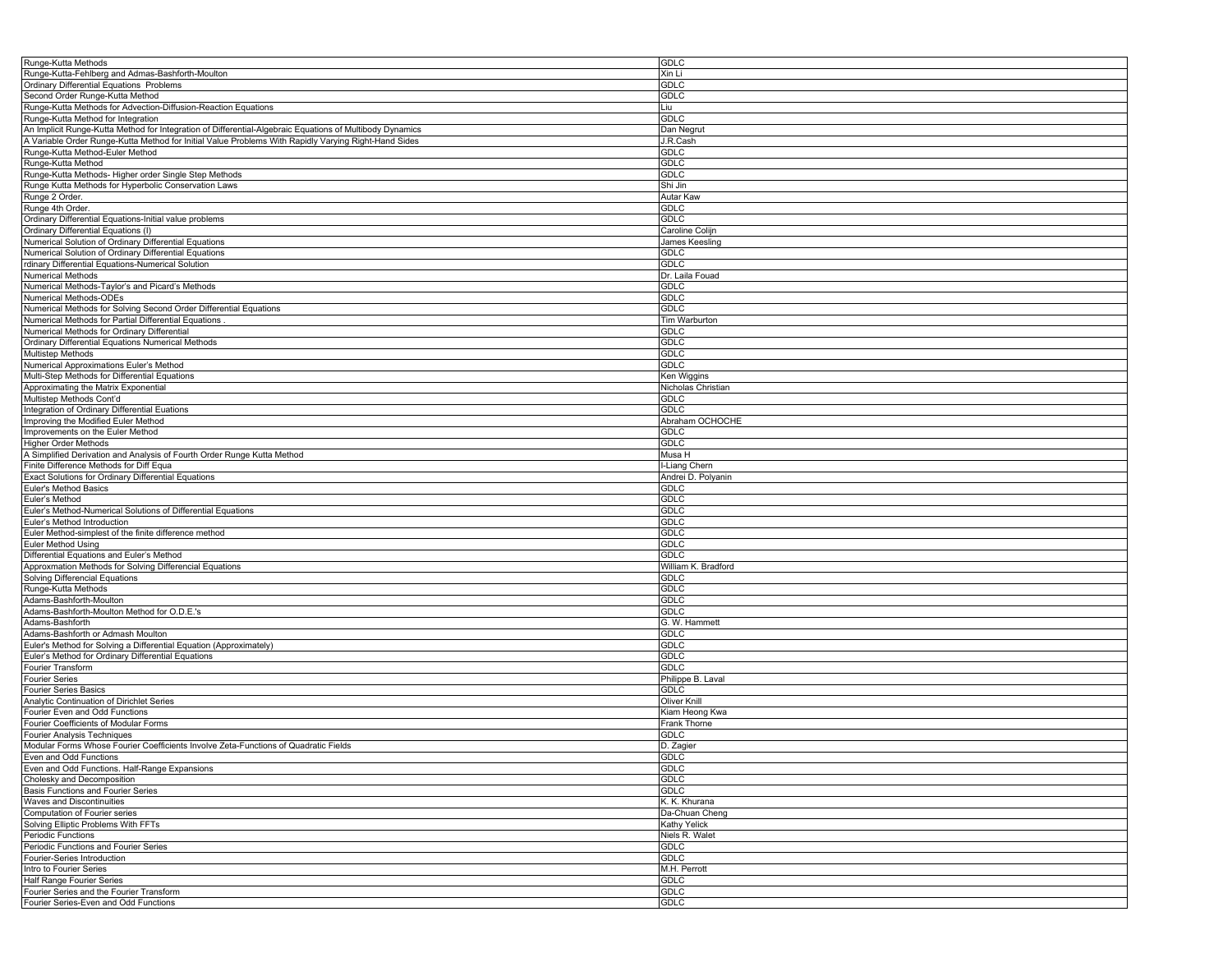| Runge-Kutta Methods                                                                                      | <b>GDLC</b>         |
|----------------------------------------------------------------------------------------------------------|---------------------|
| Runge-Kutta-Fehlberg and Admas-Bashforth-Moulton                                                         | Xin Li              |
| Ordinary Differential Equations Problems                                                                 |                     |
|                                                                                                          | <b>GDLC</b>         |
| Second Order Runge-Kutta Method                                                                          | GDLC                |
| Runge-Kutta Methods for Advection-Diffusion-Reaction Equations                                           | Liu                 |
| Runge-Kutta Method for Integration                                                                       | GDLC                |
|                                                                                                          |                     |
| An Implicit Runge-Kutta Method for Integration of Differential-Algebraic Equations of Multibody Dynamics | Dan Negrut          |
| A Variable Order Runge-Kutta Method for Initial Value Problems With Rapidly Varying Right-Hand Sides     | J.R.Cash            |
| Runge-Kutta Method-Euler Method                                                                          | GDLC                |
|                                                                                                          |                     |
| Runge-Kutta Method                                                                                       | <b>GDLC</b>         |
| Runge-Kutta Methods- Higher order Single Step Methods                                                    | GDLC                |
| Runge Kutta Methods for Hyperbolic Conservation Laws                                                     | Shi Jin             |
|                                                                                                          |                     |
| Runge 2 Order.                                                                                           | Autar Kaw           |
| Runge 4th Order                                                                                          | GDLC                |
| Ordinary Differential Equations-Initial value problems                                                   | GDLC                |
|                                                                                                          |                     |
| Ordinary Differential Equations (I)                                                                      | Caroline Colijn     |
| Numerical Solution of Ordinary Differential Equations                                                    | James Keesling      |
| Numerical Solution of Ordinary Differential Equations                                                    | <b>GDLC</b>         |
| rdinary Differential Equations-Numerical Solution                                                        | GDLC                |
|                                                                                                          |                     |
| <b>Numerical Methods</b>                                                                                 | Dr. Laila Fouad     |
| Numerical Methods-Taylor's and Picard's Methods                                                          | GDLC                |
| Numerical Methods-ODEs                                                                                   | <b>GDLC</b>         |
|                                                                                                          |                     |
| Numerical Methods for Solving Second Order Differential Equations                                        | <b>GDLC</b>         |
| Numerical Methods for Partial Differential Equations                                                     | Tim Warburton       |
| Numerical Methods for Ordinary Differential                                                              | <b>GDLC</b>         |
|                                                                                                          |                     |
| Ordinary Differential Equations Numerical Methods                                                        | <b>GDLC</b>         |
| <b>Multistep Methods</b>                                                                                 | <b>GDLC</b>         |
| Numerical Approximations Euler's Method                                                                  | GDLC                |
|                                                                                                          |                     |
| Multi-Step Methods for Differential Equations                                                            | Ken Wiggins         |
| Approximating the Matrix Exponential                                                                     | Nicholas Christian  |
| Multistep Methods Cont'd                                                                                 | GDLC                |
|                                                                                                          |                     |
| Integration of Ordinary Differential Euations                                                            | GDLC                |
| Improving the Modified Euler Method                                                                      | Abraham OCHOCHE     |
| Improvements on the Euler Method                                                                         | GDLC                |
|                                                                                                          |                     |
| <b>Higher Order Methods</b>                                                                              | <b>GDLC</b>         |
| A Simplified Derivation and Analysis of Fourth Order Runge Kutta Method                                  | Musa H              |
| Finite Difference Methods for Diff Equa                                                                  | I-Liang Chern       |
|                                                                                                          |                     |
| Exact Solutions for Ordinary Differential Equations                                                      | Andrei D. Polyanin  |
|                                                                                                          |                     |
|                                                                                                          | GDLC                |
| Euler's Method Basics                                                                                    |                     |
| Euler's Method                                                                                           | <b>GDLC</b>         |
| Euler's Method-Numerical Solutions of Differential Equations                                             | <b>GDLC</b>         |
|                                                                                                          |                     |
| Euler's Method Introduction                                                                              | <b>GDLC</b>         |
| Euler Method-simplest of the finite difference method                                                    | <b>GDLC</b>         |
| <b>Euler Method Using</b>                                                                                | <b>GDLC</b>         |
| Differential Equations and Euler's Method                                                                | <b>GDLC</b>         |
|                                                                                                          |                     |
| Approxmation Methods for Solving Differencial Equations                                                  | William K. Bradford |
| Solving Differencial Equations                                                                           | <b>GDLC</b>         |
|                                                                                                          | <b>GDLC</b>         |
| Runge-Kutta Methods                                                                                      |                     |
| Adams-Bashforth-Moulton                                                                                  | <b>GDLC</b>         |
| Adams-Bashforth-Moulton Method for O.D.E.'s                                                              | GDLC                |
| Adams-Bashforth                                                                                          | G. W. Hammett       |
|                                                                                                          |                     |
| Adams-Bashforth or Admash Moulton                                                                        | <b>GDLC</b>         |
| Euler's Method for Solving a Differential Equation (Approximately)                                       | <b>GDLC</b>         |
| Euler's Method for Ordinary Differential Equations                                                       | <b>GDLC</b>         |
|                                                                                                          |                     |
| Fourier Transform                                                                                        | <b>GDLC</b>         |
| <b>Fourier Series</b>                                                                                    | Philippe B. Laval   |
| Fourier Series Basics                                                                                    | <b>GDLC</b>         |
|                                                                                                          |                     |
| Analytic Continuation of Dirichlet Series                                                                | Oliver Knill        |
| Fourier Even and Odd Functions                                                                           | Kiam Heong Kwa      |
| Fourier Coefficients of Modular Forms                                                                    | Frank Thorne        |
| Fourier Analysis Techniques                                                                              | GDLC                |
|                                                                                                          |                     |
| Modular Forms Whose Fourier Coefficients Involve Zeta-Functions of Quadratic Fields                      | D. Zagier           |
| Even and Odd Functions                                                                                   | <b>GDLC</b>         |
| Even and Odd Functions. Half-Range Expansions                                                            | <b>GDLC</b>         |
|                                                                                                          |                     |
| Cholesky and Decomposition                                                                               | <b>GDLC</b>         |
| <b>Basis Functions and Fourier Series</b>                                                                | <b>GDLC</b>         |
|                                                                                                          |                     |
| Waves and Discontinuities                                                                                | K. K. Khurana       |
| Computation of Fourier series                                                                            | Da-Chuan Cheng      |
| Solving Elliptic Problems With FFTs                                                                      | <b>Kathy Yelick</b> |
| Periodic Functions                                                                                       | Niels R. Walet      |
|                                                                                                          |                     |
| Periodic Functions and Fourier Series                                                                    | <b>GDLC</b>         |
| Fourier-Series Introduction                                                                              | <b>GDLC</b>         |
| Intro to Fourier Series                                                                                  | M.H. Perrott        |
|                                                                                                          |                     |
| <b>Half Range Fourier Series</b>                                                                         | <b>GDLC</b>         |
| Fourier Series and the Fourier Transform<br>Fourier Series-Even and Odd Functions                        | GDLC<br>GDLC        |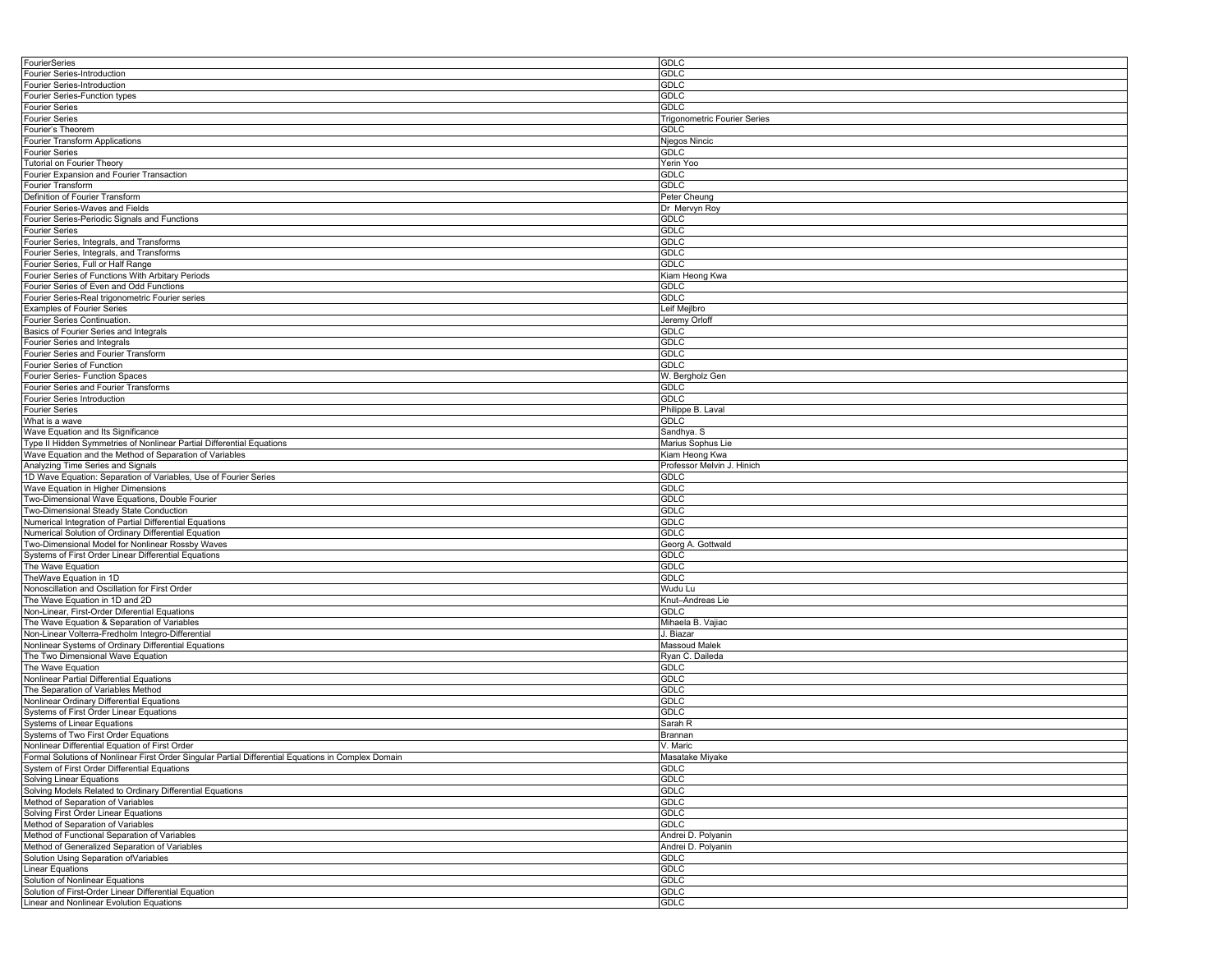| FourierSeries                                                                                       | <b>GDLC</b>                         |
|-----------------------------------------------------------------------------------------------------|-------------------------------------|
| Fourier Series-Introduction                                                                         | <b>GDLC</b>                         |
| <b>Fourier Series-Introduction</b>                                                                  | <b>GDLC</b>                         |
| Fourier Series-Function types                                                                       | <b>GDLC</b>                         |
|                                                                                                     |                                     |
| <b>Fourier Series</b>                                                                               | GDLC                                |
| <b>Fourier Series</b>                                                                               | <b>Trigonometric Fourier Series</b> |
| Fourier's Theorem                                                                                   | <b>GDLC</b>                         |
| Fourier Transform Applications                                                                      | Njegos Nincic                       |
| <b>Fourier Series</b>                                                                               | <b>GDLC</b>                         |
| <b>Tutorial on Fourier Theory</b>                                                                   | Yerin Yoo                           |
| Fourier Expansion and Fourier Transaction                                                           | <b>GDLC</b>                         |
| Fourier Transform                                                                                   | <b>GDLC</b>                         |
| Definition of Fourier Transform                                                                     | Peter Cheung                        |
| Fourier Series-Waves and Fields                                                                     | Dr Mervyn Roy                       |
| Fourier Series-Periodic Signals and Functions                                                       | GDLC                                |
| <b>Fourier Series</b>                                                                               | <b>GDLC</b>                         |
| Fourier Series, Integrals, and Transforms                                                           | <b>GDLC</b>                         |
|                                                                                                     | <b>GDLC</b>                         |
| Fourier Series, Integrals, and Transforms                                                           |                                     |
| Fourier Series, Full or Half Range                                                                  | GDLC                                |
| Fourier Series of Functions With Arbitary Periods                                                   | Kiam Heong Kwa                      |
| Fourier Series of Even and Odd Functions                                                            | <b>GDLC</b>                         |
| Fourier Series-Real trigonometric Fourier series                                                    | GDLC                                |
| <b>Examples of Fourier Series</b>                                                                   | Leif Mejlbro                        |
| <b>Fourier Series Continuation</b>                                                                  | Jeremy Orloff                       |
| Basics of Fourier Series and Integrals                                                              | GDLC                                |
| Fourier Series and Integrals                                                                        | <b>GDLC</b>                         |
| Fourier Series and Fourier Transform                                                                | <b>GDLC</b>                         |
| Fourier Series of Function                                                                          | <b>GDLC</b>                         |
|                                                                                                     |                                     |
| Fourier Series- Function Spaces                                                                     | W. Bergholz Gen                     |
| Fourier Series and Fourier Transforms                                                               | <b>GDLC</b>                         |
| Fourier Series Introduction                                                                         | <b>GDLC</b>                         |
| <b>Fourier Series</b>                                                                               | Philippe B. Laval                   |
| What is a wave                                                                                      | <b>GDLC</b>                         |
| Wave Equation and Its Significance                                                                  | Sandhya. S                          |
| Type II Hidden Symmetries of Nonlinear Partial Differential Equations                               | Marius Sophus Lie                   |
| Wave Equation and the Method of Separation of Variables                                             | Kiam Heong Kwa                      |
| Analyzing Time Series and Signals                                                                   | Professor Melvin J. Hinich          |
| 1D Wave Equation: Separation of Variables, Use of Fourier Series                                    | GDLC                                |
| Wave Equation in Higher Dimensions                                                                  | <b>GDLC</b>                         |
| Two-Dimensional Wave Equations, Double Fourier                                                      | GDLC                                |
| Two-Dimensional Steady State Conduction                                                             | <b>GDLC</b>                         |
|                                                                                                     |                                     |
| Numerical Integration of Partial Differential Equations                                             | <b>GDLC</b>                         |
| Numerical Solution of Ordinary Differential Equation                                                | GDLC                                |
| Two-Dimensional Model for Nonlinear Rossby Waves                                                    | Georg A. Gottwald                   |
| Systems of First Order Linear Differential Equations                                                | <b>GDLC</b>                         |
| The Wave Equation                                                                                   | <b>GDLC</b>                         |
| TheWave Equation in 1D                                                                              | <b>GDLC</b>                         |
| Nonoscillation and Oscillation for First Order                                                      | Wudu Lu                             |
| The Wave Equation in 1D and 2D                                                                      | Knut-Andreas Lie                    |
| Non-Linear, First-Order Diferential Equations                                                       | <b>GDLC</b>                         |
| The Wave Equation & Separation of Variables                                                         | Mihaela B. Vajiac                   |
| Non-Linear Volterra-Fredholm Integro-Differential                                                   | J. Biazar                           |
| Nonlinear Systems of Ordinary Differential Equations                                                | Massoud Malek                       |
| The Two Dimensional Wave Equation                                                                   | Ryan C. Daileda                     |
| The Wave Equation                                                                                   | <b>GDLC</b>                         |
|                                                                                                     |                                     |
| Nonlinear Partial Differential Equations                                                            | <b>GDLC</b>                         |
| The Separation of Variables Method                                                                  | <b>GDLC</b>                         |
| Nonlinear Ordinary Differential Equations                                                           | <b>GDLC</b>                         |
| Systems of First Order Linear Equations                                                             | GDLC                                |
| <b>Systems of Linear Equations</b>                                                                  | Sarah R                             |
| Systems of Two First Order Equations                                                                | Brannan                             |
| Nonlinear Differential Equation of First Order                                                      | V. Maric                            |
| Formal Solutions of Nonlinear First Order Singular Partial Differential Equations in Complex Domain | Masatake Miyake                     |
| System of First Order Differential Equations                                                        | <b>GDLC</b>                         |
| Solving Linear Equations                                                                            | <b>GDLC</b>                         |
| Solving Models Related to Ordinary Differential Equations                                           | <b>GDLC</b>                         |
| Method of Separation of Variables                                                                   | <b>GDLC</b>                         |
| Solving First Order Linear Equations                                                                | <b>GDLC</b>                         |
|                                                                                                     |                                     |
| Method of Separation of Variables                                                                   | <b>GDLC</b>                         |
| Method of Functional Separation of Variables                                                        | Andrei D. Polyanin                  |
| Method of Generalized Separation of Variables                                                       | Andrei D. Polyanin                  |
| Solution Using Separation of Variables                                                              | <b>GDLC</b>                         |
| Linear Equations                                                                                    | <b>GDLC</b>                         |
| Solution of Nonlinear Equations                                                                     | <b>GDLC</b>                         |
| Solution of First-Order Linear Differential Equation                                                | <b>GDLC</b>                         |
| Linear and Nonlinear Evolution Equations                                                            | <b>GDLC</b>                         |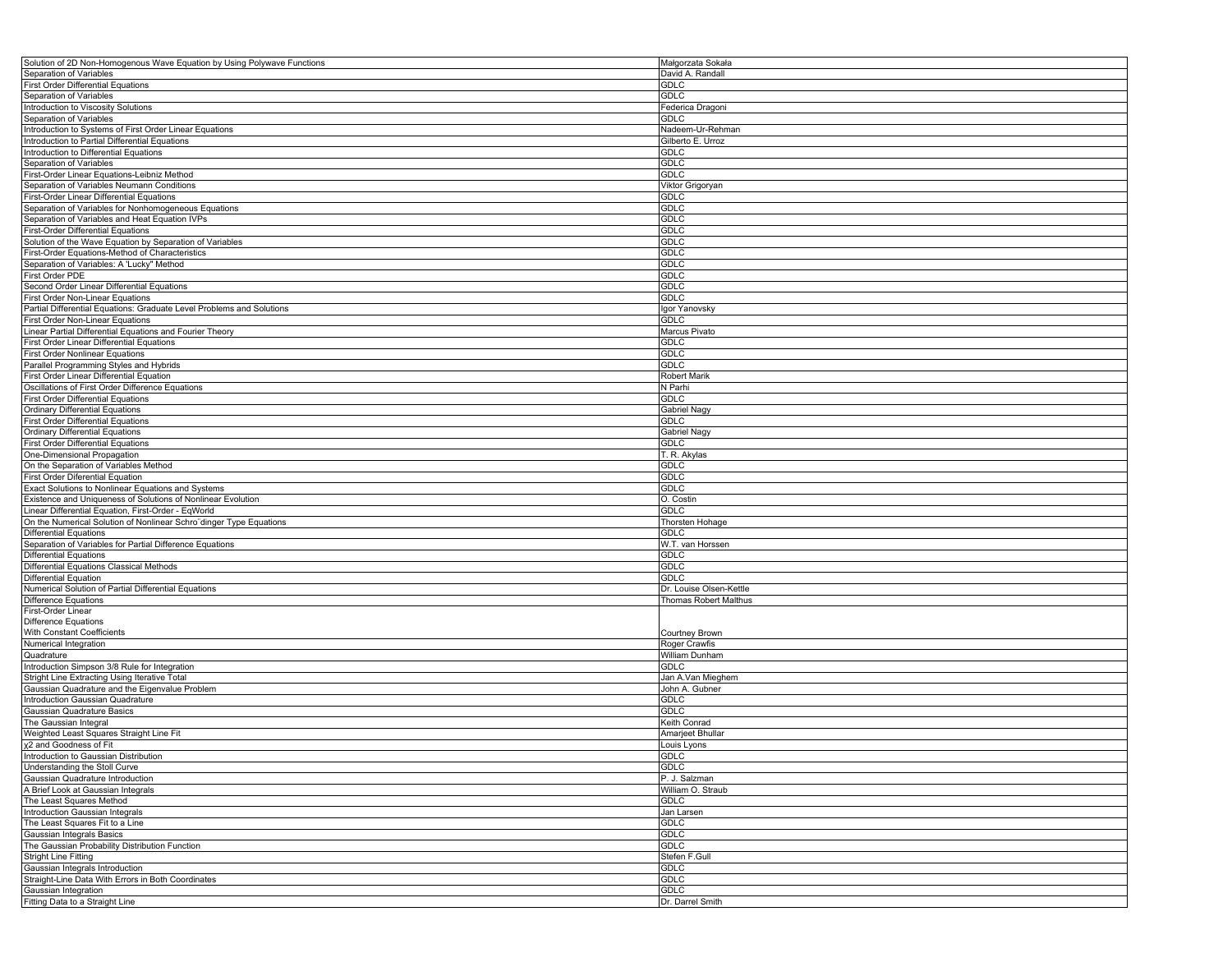| Solution of 2D Non-Homogenous Wave Equation by Using Polywave Functions | Małgorzata Sokała       |
|-------------------------------------------------------------------------|-------------------------|
| Separation of Variables                                                 | David A. Randall        |
| <b>First Order Differential Equations</b>                               | <b>GDLC</b>             |
| Separation of Variables                                                 | <b>GDLC</b>             |
| Introduction to Viscosity Solutions                                     | Federica Dragoni        |
| Separation of Variables                                                 | GDLC                    |
|                                                                         |                         |
| Introduction to Systems of First Order Linear Equations                 | Nadeem-Ur-Rehman        |
| Introduction to Partial Differential Equations                          | Gilberto E. Urroz       |
| Introduction to Differential Equations                                  | <b>GDLC</b>             |
| Separation of Variables                                                 | <b>GDLC</b>             |
| First-Order Linear Equations-Leibniz Method                             | <b>GDLC</b>             |
| Separation of Variables Neumann Conditions                              | Viktor Grigoryan        |
| First-Order Linear Differential Equations                               | GDLC                    |
| Separation of Variables for Nonhomogeneous Equations                    | <b>GDLC</b>             |
|                                                                         |                         |
| Separation of Variables and Heat Equation IVPs                          | <b>GDLC</b>             |
| <b>First-Order Differential Equations</b>                               | <b>GDLC</b>             |
| Solution of the Wave Equation by Separation of Variables                | <b>GDLC</b>             |
| First-Order Equations-Method of Characteristics                         | <b>GDLC</b>             |
| Separation of Variables: A 'Lucky" Method                               | <b>GDLC</b>             |
| First Order PDE                                                         | <b>GDLC</b>             |
| Second Order Linear Differential Equations                              | <b>GDLC</b>             |
|                                                                         | <b>GDLC</b>             |
| First Order Non-Linear Equations                                        |                         |
| Partial Differential Equations: Graduate Level Problems and Solutions   | Igor Yanovsky           |
| First Order Non-Linear Equations                                        | <b>GDLC</b>             |
| Linear Partial Differential Equations and Fourier Theory                | Marcus Pivato           |
| First Order Linear Differential Equations                               | <b>GDLC</b>             |
| <b>First Order Nonlinear Equations</b>                                  | GDLC                    |
| Parallel Programming Styles and Hybrids                                 | <b>GDLC</b>             |
| First Order Linear Differential Equation                                | <b>Robert Marik</b>     |
| Oscillations of First Order Difference Equations                        | N Parhi                 |
|                                                                         |                         |
| <b>First Order Differential Equations</b>                               | <b>GDLC</b>             |
| <b>Ordinary Differential Equations</b>                                  | Gabriel Nagy            |
| <b>First Order Differential Equations</b>                               | <b>GDLC</b>             |
| <b>Ordinary Differential Equations</b>                                  | Gabriel Nagy            |
| <b>First Order Differential Equations</b>                               | <b>GDLC</b>             |
| One-Dimensional Propagation                                             | T. R. Akylas            |
| On the Separation of Variables Method                                   | <b>GDLC</b>             |
| First Order Diferential Equation                                        | <b>GDLC</b>             |
| Exact Solutions to Nonlinear Equations and Systems                      | GDLC                    |
| Existence and Uniqueness of Solutions of Nonlinear Evolution            | O. Costin               |
| Linear Differential Equation, First-Order - EqWorld                     | <b>GDLC</b>             |
| On the Numerical Solution of Nonlinear Schro"dinger Type Equations      |                         |
|                                                                         | Thorsten Hohage         |
| <b>Differential Equations</b>                                           | <b>GDLC</b>             |
| Separation of Variables for Partial Difference Equations                | W.T. van Horssen        |
| <b>Differential Equations</b>                                           | <b>GDLC</b>             |
| Differential Equations Classical Methods                                | <b>GDLC</b>             |
| <b>Differential Equation</b>                                            | <b>GDLC</b>             |
| Numerical Solution of Partial Differential Equations                    | Dr. Louise Olsen-Kettle |
| Difference Equations                                                    | Thomas Robert Malthus   |
| First-Order Linear                                                      |                         |
| <b>Difference Equations</b>                                             |                         |
| With Constant Coefficients                                              | <b>Courtney Brown</b>   |
| Numerical Integration                                                   | Roger Crawfis           |
|                                                                         |                         |
| Quadrature                                                              | William Dunham          |
| Introduction Simpson 3/8 Rule for Integration                           | <b>GDLC</b>             |
| Stright Line Extracting Using Iterative Total                           | Jan A.Van Mieghem       |
| Gaussian Quadrature and the Eigenvalue Problem                          | John A. Gubner          |
| Introduction Gaussian Quadrature                                        | <b>GDLC</b>             |
| Gaussian Quadrature Basics                                              | GDLC                    |
| The Gaussian Integral                                                   | Keith Conrad            |
| Weighted Least Squares Straight Line Fit                                | Amarjeet Bhullar        |
| χ2 and Goodness of Fit                                                  | Louis Lyons             |
| Introduction to Gaussian Distribution                                   | GDLC                    |
| Understanding the Stoll Curve                                           | <b>GDLC</b>             |
|                                                                         |                         |
| Gaussian Quadrature Introduction                                        | P. J. Salzman           |
| A Brief Look at Gaussian Integrals                                      | William O. Straub       |
| The Least Squares Method                                                | GDLC                    |
| Introduction Gaussian Integrals                                         | Jan Larsen              |
| The Least Squares Fit to a Line                                         | <b>GDLC</b>             |
| Gaussian Integrals Basics                                               | <b>GDLC</b>             |
| The Gaussian Probability Distribution Function                          | <b>GDLC</b>             |
| <b>Stright Line Fitting</b>                                             | Stefen F.Gull           |
| Gaussian Integrals Introduction                                         | <b>GDLC</b>             |
| Straight-Line Data With Errors in Both Coordinates                      | <b>GDLC</b>             |
| Gaussian Integration                                                    | <b>GDLC</b>             |
| Fitting Data to a Straight Line                                         |                         |
|                                                                         | Dr. Darrel Smith        |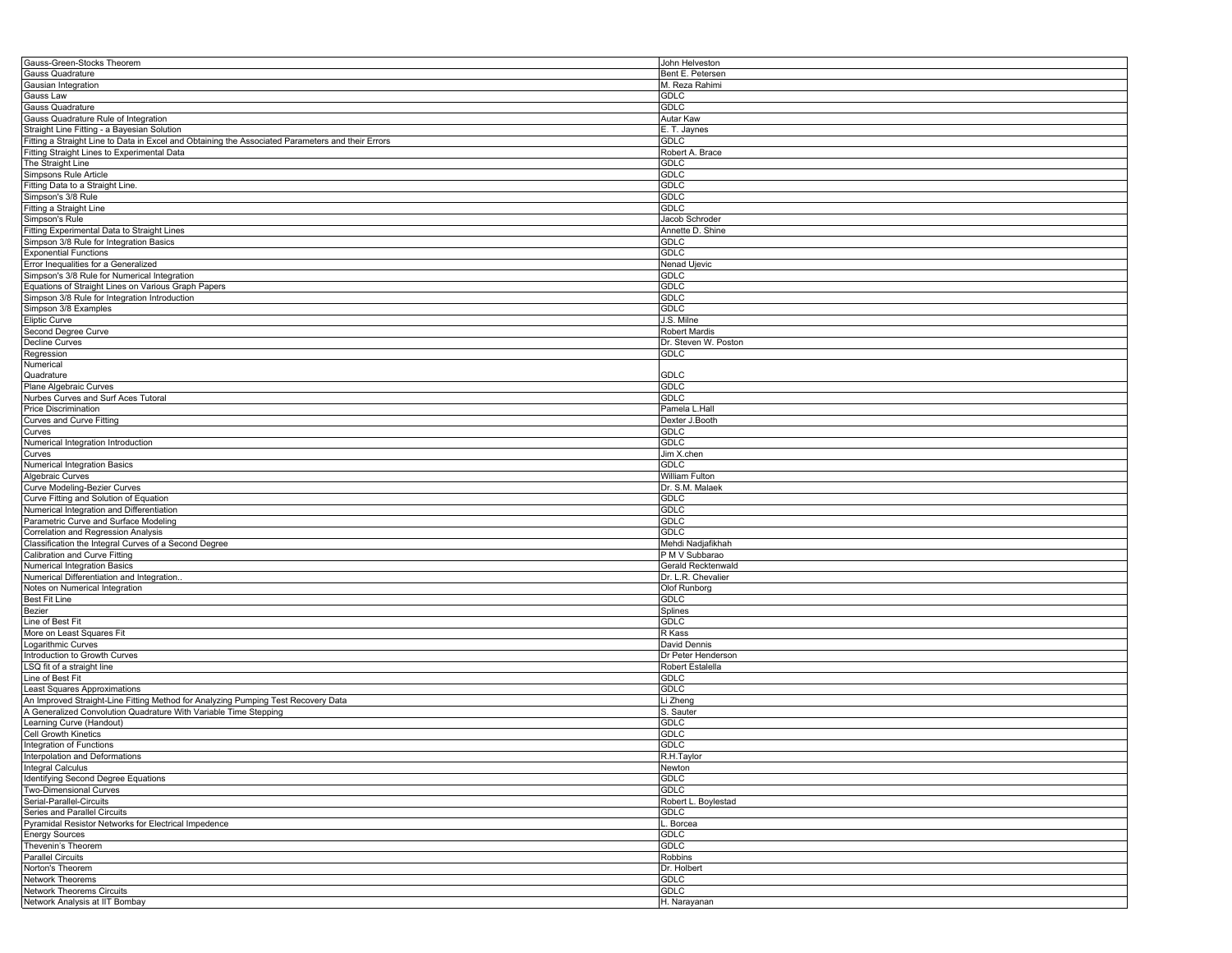| Gauss-Green-Stocks Theorem                                                                        | John Helveston       |
|---------------------------------------------------------------------------------------------------|----------------------|
| Gauss Quadrature                                                                                  | Bent E. Petersen     |
| Gausian Integration                                                                               | M. Reza Rahimi       |
| Gauss Law                                                                                         | <b>GDLC</b>          |
|                                                                                                   |                      |
| Gauss Quadrature                                                                                  | <b>GDLC</b>          |
| Gauss Quadrature Rule of Integration                                                              | Autar Kaw            |
| Straight Line Fitting - a Bayesian Solution                                                       | E. T. Jaynes         |
| Fitting a Straight Line to Data in Excel and Obtaining the Associated Parameters and their Errors | GDLC                 |
| Fitting Straight Lines to Experimental Data                                                       | Robert A. Brace      |
| The Straight Line                                                                                 | <b>GDLC</b>          |
| Simpsons Rule Article                                                                             | GDLC                 |
| Fitting Data to a Straight Line.                                                                  | <b>GDLC</b>          |
| Simpson's 3/8 Rule                                                                                | <b>GDLC</b>          |
| Fitting a Straight Line                                                                           | <b>GDLC</b>          |
|                                                                                                   |                      |
| Simpson's Rule                                                                                    | Jacob Schroder       |
| Fitting Experimental Data to Straight Lines                                                       | Annette D. Shine     |
| Simpson 3/8 Rule for Integration Basics                                                           | <b>GDLC</b>          |
| <b>Exponential Functions</b>                                                                      | <b>GDLC</b>          |
| Error Inequalities for a Generalized                                                              | Nenad Ujevic         |
| Simpson's 3/8 Rule for Numerical Integration                                                      | <b>GDLC</b>          |
| Equations of Straight Lines on Various Graph Papers                                               | GDLC                 |
| Simpson 3/8 Rule for Integration Introduction                                                     | <b>GDLC</b>          |
| Simpson 3/8 Examples                                                                              | GDLC                 |
|                                                                                                   |                      |
| <b>Eliptic Curve</b>                                                                              | J.S. Milne           |
| Second Degree Curve                                                                               | Robert Mardis        |
| <b>Decline Curves</b>                                                                             | Dr. Steven W. Poston |
| Regression                                                                                        | <b>GDLC</b>          |
| Numerical                                                                                         |                      |
| Quadrature                                                                                        | <b>GDLC</b>          |
| Plane Algebraic Curves                                                                            | <b>GDLC</b>          |
| Nurbes Curves and Surf Aces Tutoral                                                               | <b>GDLC</b>          |
| <b>Price Discrimination</b>                                                                       | Pamela L.Hall        |
|                                                                                                   |                      |
| Curves and Curve Fitting                                                                          | Dexter J.Booth       |
| Curves                                                                                            | <b>GDLC</b>          |
| Numerical Integration Introduction                                                                | <b>GDLC</b>          |
| Curves                                                                                            | Jim X.chen           |
| Numerical Integration Basics                                                                      | <b>GDLC</b>          |
| Algebraic Curves                                                                                  | William Fulton       |
| Curve Modeling-Bezier Curves                                                                      | Dr. S.M. Malaek      |
| Curve Fitting and Solution of Equation                                                            | <b>GDLC</b>          |
| Numerical Integration and Differentiation                                                         | <b>GDLC</b>          |
| Parametric Curve and Surface Modeling                                                             |                      |
|                                                                                                   | <b>GDLC</b>          |
| Correlation and Regression Analysis                                                               | GDLC                 |
| Classification the Integral Curves of a Second Degree                                             | Mehdi Nadjafikhah    |
| Calibration and Curve Fitting                                                                     | P M V Subbarao       |
| Numerical Integration Basics                                                                      | Gerald Recktenwald   |
| Numerical Differentiation and Integration.                                                        | Dr. L.R. Chevalier   |
| Notes on Numerical Integration                                                                    | Olof Runborg         |
| <b>Best Fit Line</b>                                                                              | <b>GDLC</b>          |
| Bezier                                                                                            | Splines              |
|                                                                                                   |                      |
| Line of Best Fit                                                                                  | <b>GDLC</b>          |
| More on Least Squares Fit                                                                         | R Kass               |
| Logarithmic Curves                                                                                | David Dennis         |
| Introduction to Growth Curves                                                                     | Dr Peter Henderson   |
| LSQ fit of a straight line                                                                        | Robert Estalella     |
| Line of Best Fit                                                                                  | <b>GDLC</b>          |
| Least Squares Approximations                                                                      | <b>GDLC</b>          |
| An Improved Straight-Line Fitting Method for Analyzing Pumping Test Recovery Data                 | i Zheng              |
| A Generalized Convolution Quadrature With Variable Time Stepping                                  | S. Sauter            |
|                                                                                                   |                      |
| Learning Curve (Handout)                                                                          | <b>GDLC</b>          |
| Cell Growth Kinetics                                                                              | <b>GDLC</b>          |
| Integration of Functions                                                                          | <b>GDLC</b>          |
| Interpolation and Deformations                                                                    | R.H.Taylor           |
| Integral Calculus                                                                                 | Newton               |
| <b>Identifying Second Degree Equations</b>                                                        | <b>GDLC</b>          |
| <b>Two-Dimensional Curves</b>                                                                     | <b>GDLC</b>          |
| Serial-Parallel-Circuits                                                                          | Robert L. Boylestad  |
|                                                                                                   |                      |
| Series and Parallel Circuits                                                                      | GDLC                 |
| Pyramidal Resistor Networks for Electrical Impedence                                              | Borcea               |
| <b>Energy Sources</b>                                                                             | <b>GDLC</b>          |
| Thevenin's Theorem                                                                                | <b>GDLC</b>          |
| <b>Parallel Circuits</b>                                                                          | Robbins              |
| Norton's Theorem                                                                                  | Dr. Holbert          |
| <b>Network Theorems</b>                                                                           | <b>GDLC</b>          |
| <b>Network Theorems Circuits</b>                                                                  | <b>GDLC</b>          |
| Network Analysis at IIT Bombay                                                                    | H. Narayanan         |
|                                                                                                   |                      |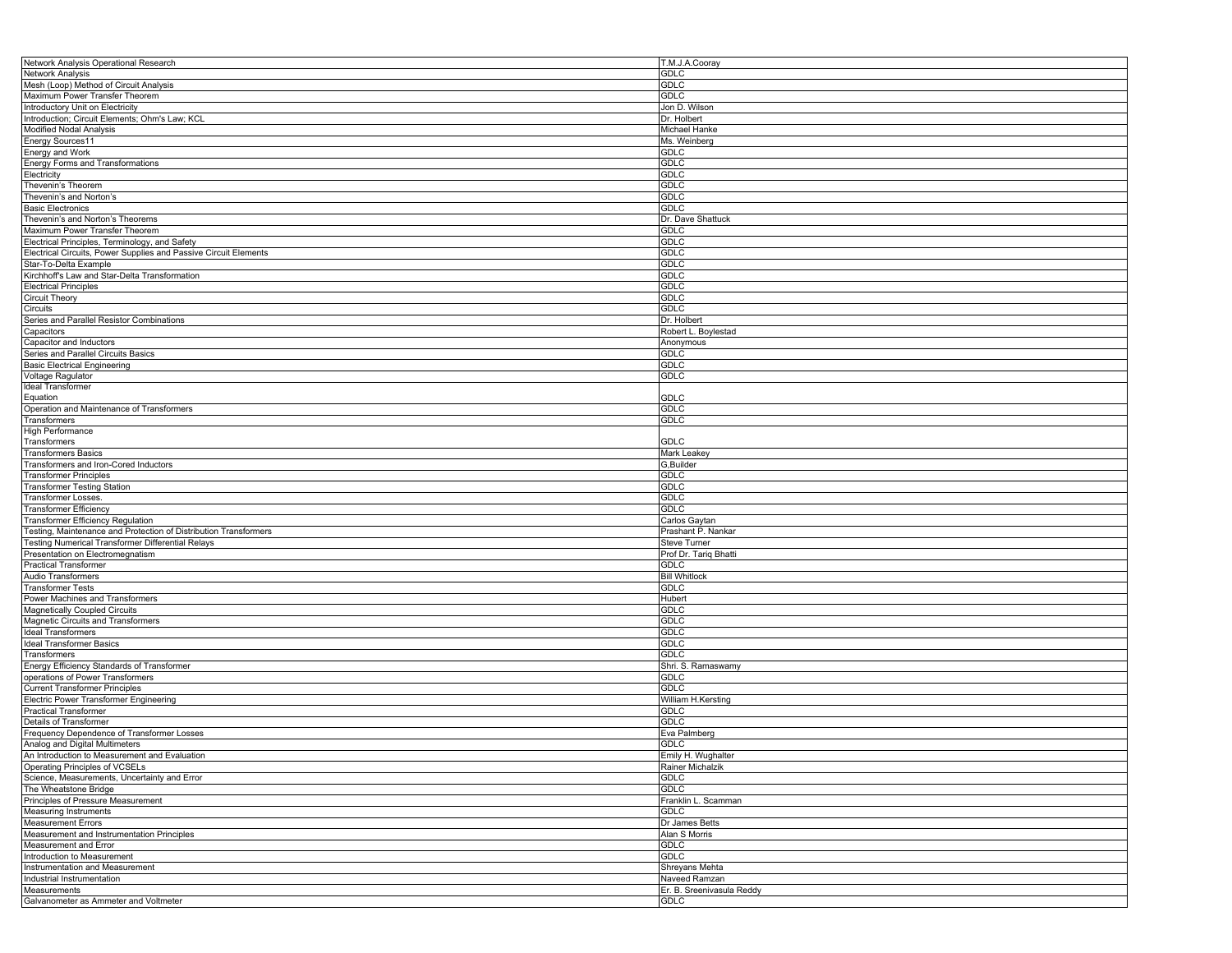| Network Analysis Operational Research                            | T.M.J.A.Cooray            |
|------------------------------------------------------------------|---------------------------|
| Network Analysis                                                 | GDLC                      |
| Mesh (Loop) Method of Circuit Analysis                           | GDLC                      |
| Maximum Power Transfer Theorem                                   | <b>GDLC</b>               |
| Introductory Unit on Electricity                                 | Jon D. Wilson             |
| Introduction; Circuit Elements; Ohm's Law; KCL                   | Dr. Holbert               |
| <b>Modified Nodal Analysis</b>                                   | Michael Hanke             |
| Energy Sources11                                                 | Ms. Weinberg              |
| <b>Energy and Work</b>                                           | <b>GDLC</b>               |
| Energy Forms and Transformations                                 | GDLC                      |
| Electricity                                                      | GDLC                      |
| Thevenin's Theorem                                               | <b>GDLC</b>               |
| Thevenin's and Norton's                                          | <b>GDLC</b>               |
| <b>Basic Electronics</b>                                         | <b>GDLC</b>               |
| Thevenin's and Norton's Theorems                                 | Dr. Dave Shattuck         |
| Maximum Power Transfer Theorem                                   | <b>GDLC</b>               |
| Electrical Principles, Terminology, and Safety                   | <b>GDLC</b>               |
| Electrical Circuits, Power Supplies and Passive Circuit Elements | <b>GDLC</b>               |
| Star-To-Delta Example                                            | <b>GDLC</b>               |
| Kirchhoff's Law and Star-Delta Transformation                    | <b>GDLC</b>               |
| <b>Electrical Principles</b>                                     | GDLC                      |
| Circuit Theory                                                   | <b>GDLC</b>               |
| Circuits                                                         | <b>GDLC</b>               |
| Series and Parallel Resistor Combinations                        | Dr. Holbert               |
| Capacitors                                                       | Robert L. Boylestad       |
| Capacitor and Inductors                                          | Anonymous                 |
| Series and Parallel Circuits Basics                              | GDLC                      |
| <b>Basic Electrical Engineering</b>                              | <b>GDLC</b>               |
| Voltage Ragulator                                                | <b>GDLC</b>               |
| <b>Ideal Transformer</b>                                         |                           |
| Equation                                                         | GDLC                      |
| Operation and Maintenance of Transformers                        | <b>GDLC</b>               |
| Transformers                                                     | GDLC                      |
| High Performance                                                 |                           |
| Transformers                                                     | <b>GDLC</b>               |
| <b>Transformers Basics</b>                                       | Mark Leakey               |
| Transformers and Iron-Cored Inductors                            | G,Builder                 |
| <b>Transformer Principles</b>                                    | GDLC                      |
| <b>Transformer Testing Station</b>                               | GDLC                      |
| <b>Transformer Losses.</b>                                       | <b>GDLC</b>               |
| <b>Transformer Efficiency</b>                                    | <b>GDLC</b>               |
| Transformer Efficiency Regulation                                | Carlos Gaytan             |
| Testing, Maintenance and Protection of Distribution Transformers | Prashant P. Nankar        |
| <b>Testing Numerical Transformer Differential Relays</b>         | Steve Turner              |
| Presentation on Electromegnatism                                 | Prof Dr. Tariq Bhatti     |
| <b>Practical Transformer</b>                                     | <b>GDLC</b>               |
| Audio Transformers                                               | <b>Bill Whitlock</b>      |
| <b>Transformer Tests</b>                                         | GDLC                      |
| Power Machines and Transformers                                  | Hubert                    |
| Magnetically Coupled Circuits                                    | <b>GDLC</b>               |
| Magnetic Circuits and Transformers                               | <b>GDLC</b>               |
| <b>Ideal Transformers</b>                                        | GDLC                      |
| Ideal Transformer Basics                                         | <b>GDLC</b>               |
| Transformers                                                     | GDLC                      |
| Energy Efficiency Standards of Transformer                       | Shri. S. Ramaswamy        |
| operations of Power Transformers                                 | <b>GDLC</b>               |
| <b>Current Transformer Principles</b>                            | GDLC                      |
| <b>Electric Power Transformer Engineering</b>                    | William H.Kersting        |
| <b>Practical Transformer</b>                                     | GDLC                      |
| Details of Transformer                                           | GDLC                      |
| Frequency Dependence of Transformer Losses                       | Eva Palmberg              |
| Analog and Digital Multimeters                                   | <b>GDLC</b>               |
| An Introduction to Measurement and Evaluation                    | Emily H. Wughalter        |
| Operating Principles of VCSELs                                   | Rainer Michalzik          |
| Science, Measurements, Uncertainty and Error                     | <b>GDLC</b>               |
| The Wheatstone Bridge                                            | <b>GDLC</b>               |
| Principles of Pressure Measurement                               | Franklin L. Scamman       |
| <b>Measuring Instruments</b>                                     | GDLC                      |
| <b>Measurement Errors</b>                                        | Dr James Betts            |
| Measurement and Instrumentation Principles                       | Alan S Morris             |
| Measurement and Error                                            | <b>GDLC</b>               |
| Introduction to Measurement                                      | GDLC                      |
| Instrumentation and Measurement                                  | Shreyans Mehta            |
| Industrial Instrumentation                                       | Naveed Ramzan             |
| Measurements                                                     | Er. B. Sreenivasula Reddy |
| Galvanometer as Ammeter and Voltmeter                            | <b>GDLC</b>               |
|                                                                  |                           |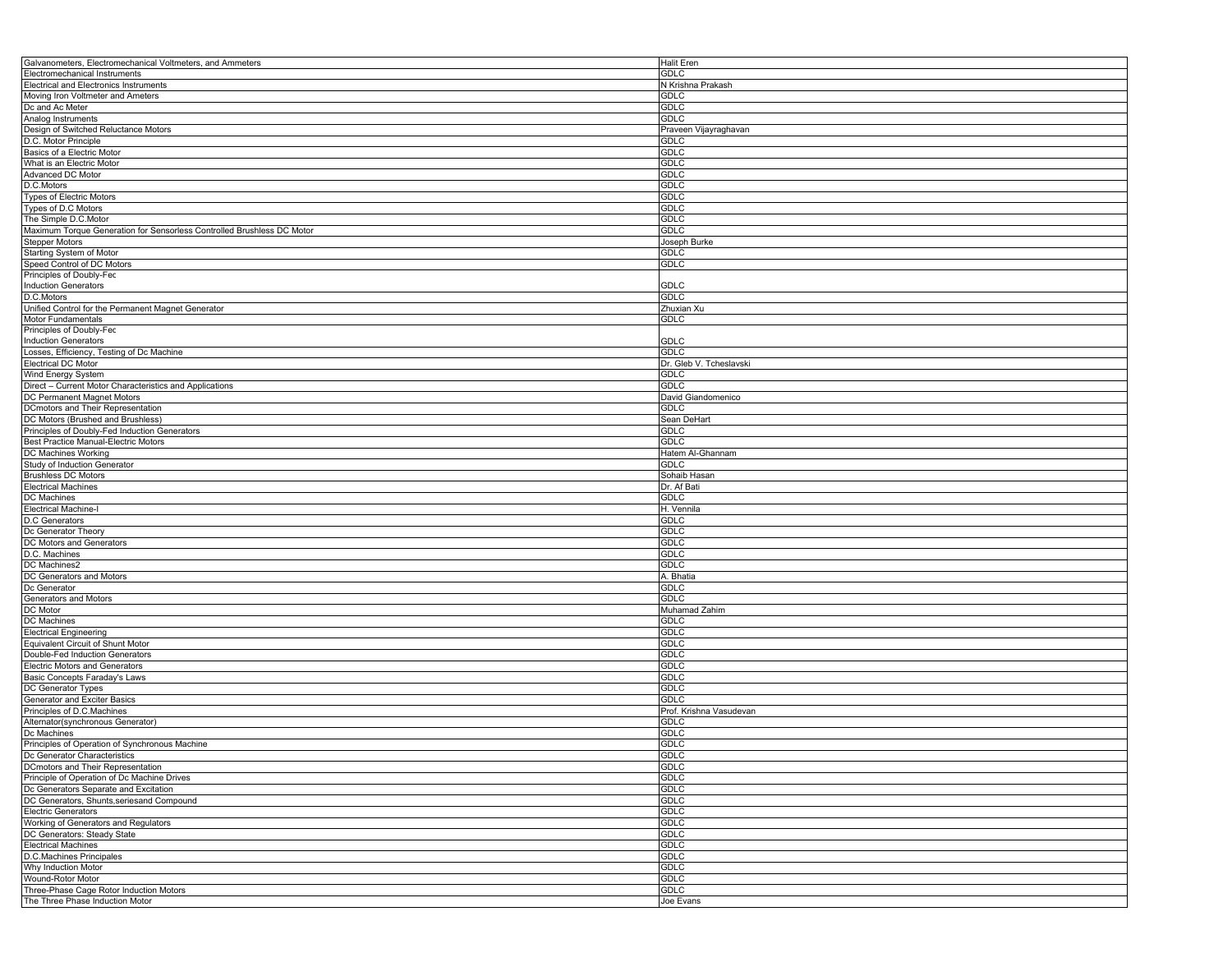| Galvanometers, Electromechanical Voltmeters, and Ammeters                  | Halit Eren               |
|----------------------------------------------------------------------------|--------------------------|
| Electromechanical Instruments                                              | <b>GDLC</b>              |
| Electrical and Electronics Instruments                                     | N Krishna Prakash        |
| Moving Iron Voltmeter and Ameters                                          | GDLC                     |
| Dc and Ac Meter                                                            | GDLC                     |
| Analog Instruments                                                         | <b>GDLC</b>              |
| Design of Switched Reluctance Motors                                       | Praveen Vijayraghavan    |
|                                                                            | GDLC                     |
| D.C. Motor Principle                                                       |                          |
| Basics of a Electric Motor                                                 | <b>GDLC</b>              |
| What is an Electric Motor                                                  | <b>GDLC</b>              |
| Advanced DC Motor                                                          | GDLC                     |
| D.C.Motors                                                                 | <b>GDLC</b>              |
| Types of Electric Motors                                                   | GDLC                     |
| Types of D.C Motors                                                        | <b>GDLC</b>              |
| The Simple D.C.Motor                                                       | <b>GDLC</b>              |
| Maximum Torque Generation for Sensorless Controlled Brushless DC Motor     | GDLC                     |
| <b>Stepper Motors</b>                                                      | Joseph Burke             |
| Starting System of Motor                                                   | GDLC                     |
| Speed Control of DC Motors                                                 | <b>GDLC</b>              |
| Principles of Doubly-Fed                                                   |                          |
| <b>Induction Generators</b>                                                | <b>GDLC</b>              |
|                                                                            |                          |
| D.C.Motors                                                                 | GDLC                     |
| Unified Control for the Permanent Magnet Generator                         | Zhuxian Xu               |
| Motor Fundamentals                                                         | GDLC                     |
| Principles of Doubly-Fed                                                   |                          |
| <b>Induction Generators</b>                                                | <b>GDLC</b>              |
| Losses, Efficiency, Testing of Dc Machine                                  | GDLC                     |
| Electrical DC Motor                                                        | Dr. Gleb V. Tcheslavski  |
| Wind Energy System                                                         | GDLC                     |
| Direct - Current Motor Characteristics and Applications                    | <b>GDLC</b>              |
| DC Permanent Magnet Motors                                                 | David Giandomenico       |
| DCmotors and Their Representation                                          | GDLC                     |
| DC Motors (Brushed and Brushless)                                          | Sean DeHart              |
|                                                                            |                          |
| Principles of Doubly-Fed Induction Generators                              | GDLC                     |
| Best Practice Manual-Electric Motors                                       | GDLC                     |
| DC Machines Working                                                        | Hatem Al-Ghannam         |
| Study of Induction Generator                                               | GDLC                     |
| <b>Brushless DC Motors</b>                                                 | Sohaib Hasan             |
| Electrical Machines                                                        | Dr. Af Bati              |
| DC Machines                                                                | <b>GDLC</b>              |
| Electrical Machine-I                                                       | H. Vennila               |
| D.C Generators                                                             | GDLC                     |
| Dc Generator Theory                                                        | GDLC                     |
| DC Motors and Generators                                                   | <b>GDLC</b>              |
| D.C. Machines                                                              | <b>GDLC</b>              |
|                                                                            | GDLC                     |
| DC Machines2                                                               |                          |
| DC Generators and Motors                                                   | A. Bhatia                |
| Dc Generator                                                               | <b>GDLC</b>              |
| Generators and Motors                                                      | <b>GDLC</b>              |
| DC Motor                                                                   | Muhamad Zahim            |
| DC Machines                                                                | GDLC                     |
| <b>Electrical Engineering</b>                                              | GDLC                     |
| Equivalent Circuit of Shunt Motor                                          | GDLC                     |
| Double-Fed Induction Generators                                            | GDLC                     |
| <b>Electric Motors and Generators</b>                                      | <b>GDLC</b>              |
| Basic Concepts Faraday's Laws                                              | GDLC                     |
| DC Generator Types                                                         | <b>GDLC</b>              |
| Generator and Exciter Basics                                               | GDLC                     |
|                                                                            |                          |
| Principles of D.C.Machines                                                 | Prof. Krishna Vasudevan  |
| Alternator(synchronous Generator)                                          | <b>GDLC</b>              |
| Dc Machines                                                                | GDLC                     |
| Principles of Operation of Synchronous Machine                             | <b>GDLC</b>              |
| Dc Generator Characteristics                                               | GDLC                     |
| DCmotors and Their Representation                                          | <b>GDLC</b>              |
| Principle of Operation of Dc Machine Drives                                | <b>GDLC</b>              |
| Dc Generators Separate and Excitation                                      | GDLC                     |
| DC Generators, Shunts, seriesand Compound                                  |                          |
|                                                                            |                          |
|                                                                            | <b>GDLC</b>              |
| <b>Electric Generators</b>                                                 | GDLC                     |
| Working of Generators and Regulators                                       | GDLC                     |
| DC Generators: Steady State                                                | <b>GDLC</b>              |
| <b>Electrical Machines</b>                                                 | GDLC                     |
| D.C.Machines Principales                                                   | <b>GDLC</b>              |
|                                                                            | GDLC                     |
| Why Induction Motor<br>Wound-Rotor Motor                                   | GDLC                     |
| Three-Phase Cage Rotor Induction Motors<br>The Three Phase Induction Motor | <b>GDLC</b><br>Joe Evans |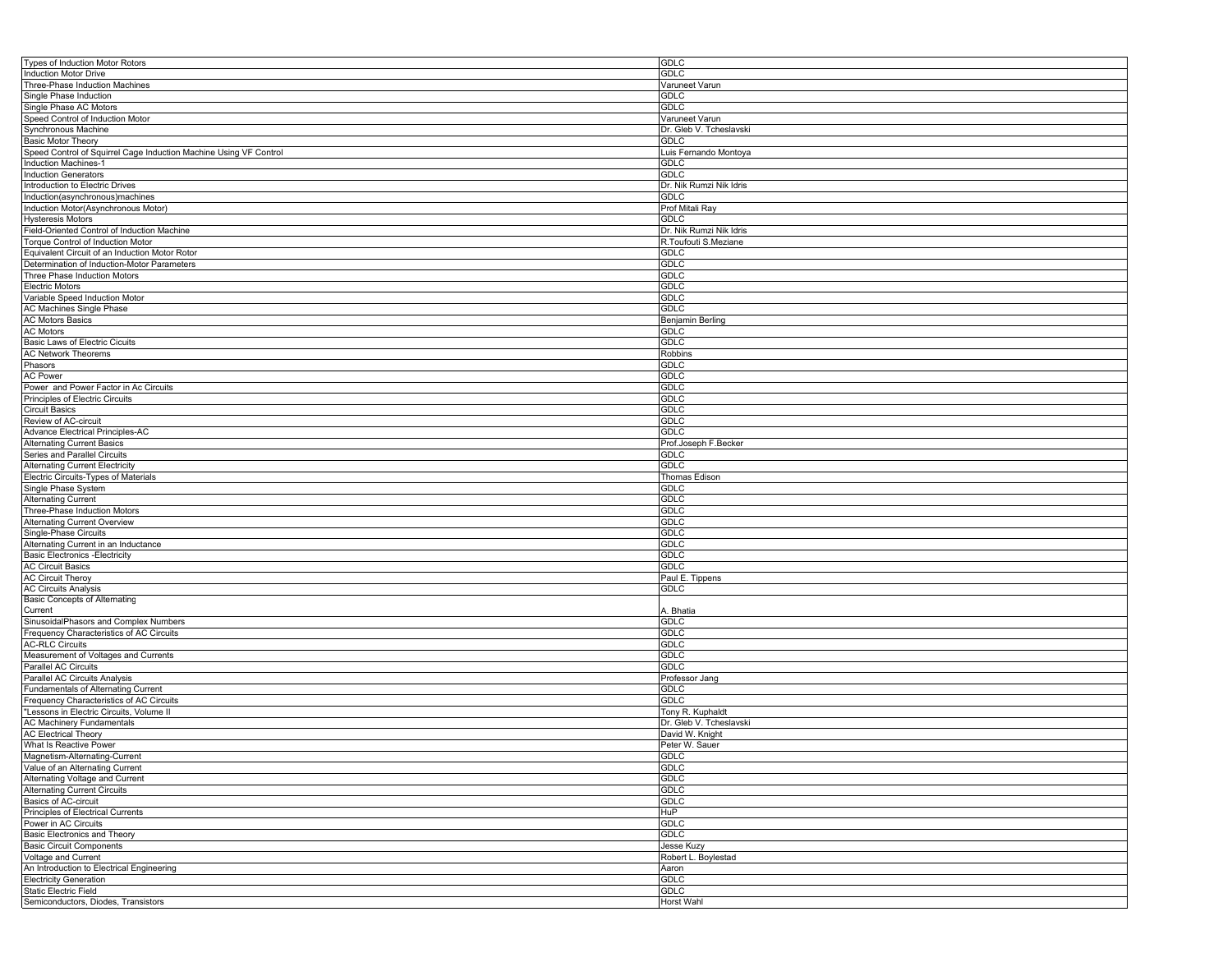| Types of Induction Motor Rotors                                   | GDLC                    |
|-------------------------------------------------------------------|-------------------------|
| <b>Induction Motor Drive</b>                                      | <b>GDLC</b>             |
| Three-Phase Induction Machines                                    | Varuneet Varun          |
| Single Phase Induction                                            | GDLC                    |
| Single Phase AC Motors                                            | <b>GDLC</b>             |
| Speed Control of Induction Motor                                  | Varuneet Varun          |
| Synchronous Machine                                               | Dr. Gleb V. Tcheslavski |
| <b>Basic Motor Theory</b>                                         | <b>GDLC</b>             |
| Speed Control of Squirrel Cage Induction Machine Using VF Control | Luis Fernando Montoya   |
| <b>Induction Machines-1</b>                                       | <b>GDLC</b>             |
| <b>Induction Generators</b>                                       | <b>GDLC</b>             |
|                                                                   |                         |
| Introduction to Electric Drives                                   | Dr. Nik Rumzi Nik Idris |
| Induction(asynchronous)machines                                   | <b>GDLC</b>             |
| Induction Motor(Asynchronous Motor)                               | Prof Mitali Ray         |
| <b>Hysteresis Motors</b>                                          | <b>GDLC</b>             |
| Field-Oriented Control of Induction Machine                       | Dr. Nik Rumzi Nik Idris |
| Torque Control of Induction Motor                                 | R.Toufouti S.Meziane    |
| Equivalent Circuit of an Induction Motor Rotor                    | <b>GDLC</b>             |
| Determination of Induction-Motor Parameters                       | <b>GDLC</b>             |
| Three Phase Induction Motors                                      | <b>GDLC</b>             |
| <b>Electric Motors</b>                                            | <b>GDLC</b>             |
| Variable Speed Induction Motor                                    | <b>GDLC</b>             |
| AC Machines Single Phase                                          | <b>GDLC</b>             |
| <b>AC Motors Basics</b>                                           | Benjamin Berling        |
| <b>AC Motors</b>                                                  | GDLC                    |
| Basic Laws of Electric Cicuits                                    | <b>GDLC</b>             |
| <b>AC Network Theorems</b>                                        | Robbins                 |
| Phasors                                                           | <b>GDLC</b>             |
| <b>AC Power</b>                                                   | GDLC                    |
| Power and Power Factor in Ac Circuits                             | GDLC                    |
| Principles of Electric Circuits                                   | GDLC                    |
|                                                                   | GDLC                    |
| <b>Circuit Basics</b><br>Review of AC-circuit                     |                         |
|                                                                   | <b>GDLC</b>             |
| Advance Electrical Principles-AC                                  | GDLC                    |
| <b>Alternating Current Basics</b>                                 | Prof.Joseph F.Becker    |
| Series and Parallel Circuits                                      | <b>GDLC</b>             |
| Alternating Current Electricity                                   | <b>GDLC</b>             |
| Electric Circuits-Types of Materials                              | Thomas Edison           |
| Single Phase System                                               | GDLC                    |
| <b>Alternating Current</b>                                        | GDLC                    |
| Three-Phase Induction Motors                                      | <b>GDLC</b>             |
| <b>Alternating Current Overview</b>                               | <b>GDLC</b>             |
| Single-Phase Circuits                                             | <b>GDLC</b>             |
| Alternating Current in an Inductance                              | <b>GDLC</b>             |
| <b>Basic Electronics - Electricity</b>                            | GDLC                    |
| <b>AC Circuit Basics</b>                                          | <b>GDLC</b>             |
| <b>AC Circuit Theroy</b>                                          | Paul E. Tippens         |
| <b>AC Circuits Analysis</b>                                       | GDLC                    |
| <b>Basic Concepts of Alternating</b>                              |                         |
| Current                                                           | A. Bhatia               |
| SinusoidalPhasors and Complex Numbers                             | <b>GDLC</b>             |
| Frequency Characteristics of AC Circuits                          | <b>GDLC</b>             |
| <b>AC-RLC Circuits</b>                                            | <b>GDLC</b>             |
| Measurement of Voltages and Currents                              | <b>GDLC</b>             |
| Parallel AC Circuits                                              | <b>GDLC</b>             |
| Parallel AC Circuits Analysis                                     | Professor Jang          |
| Fundamentals of Alternating Current                               | <b>GDLC</b>             |
| Frequency Characteristics of AC Circuits                          | <b>GDLC</b>             |
|                                                                   |                         |
| "Lessons in Electric Circuits, Volume II                          | Tony R. Kuphaldt        |
| <b>AC Machinery Fundamentals</b>                                  | Dr. Gleb V. Tcheslavski |
| <b>AC Electrical Theory</b>                                       | David W. Knight         |
| What Is Reactive Power                                            | Peter W. Sauer          |
| Magnetism-Alternating-Current                                     | <b>GDLC</b>             |
| Value of an Alternating Current                                   | <b>GDLC</b>             |
| Alternating Voltage and Current                                   | <b>GDLC</b>             |
| <b>Alternating Current Circuits</b>                               | <b>GDLC</b>             |
| Basics of AC-circuit                                              | <b>GDLC</b>             |
| Principles of Electrical Currents                                 | HuP                     |
| Power in AC Circuits                                              | GDLC                    |
| Basic Electronics and Theory                                      | <b>GDLC</b>             |
| <b>Basic Circuit Components</b>                                   | Jesse Kuzy              |
| Voltage and Current                                               | Robert L. Boylestad     |
| An Introduction to Electrical Engineering                         | Aaron                   |
| <b>Electricity Generation</b>                                     | <b>GDLC</b>             |
| <b>Static Electric Field</b>                                      | <b>GDLC</b>             |
| Semiconductors, Diodes, Transistors                               | Horst Wahl              |
|                                                                   |                         |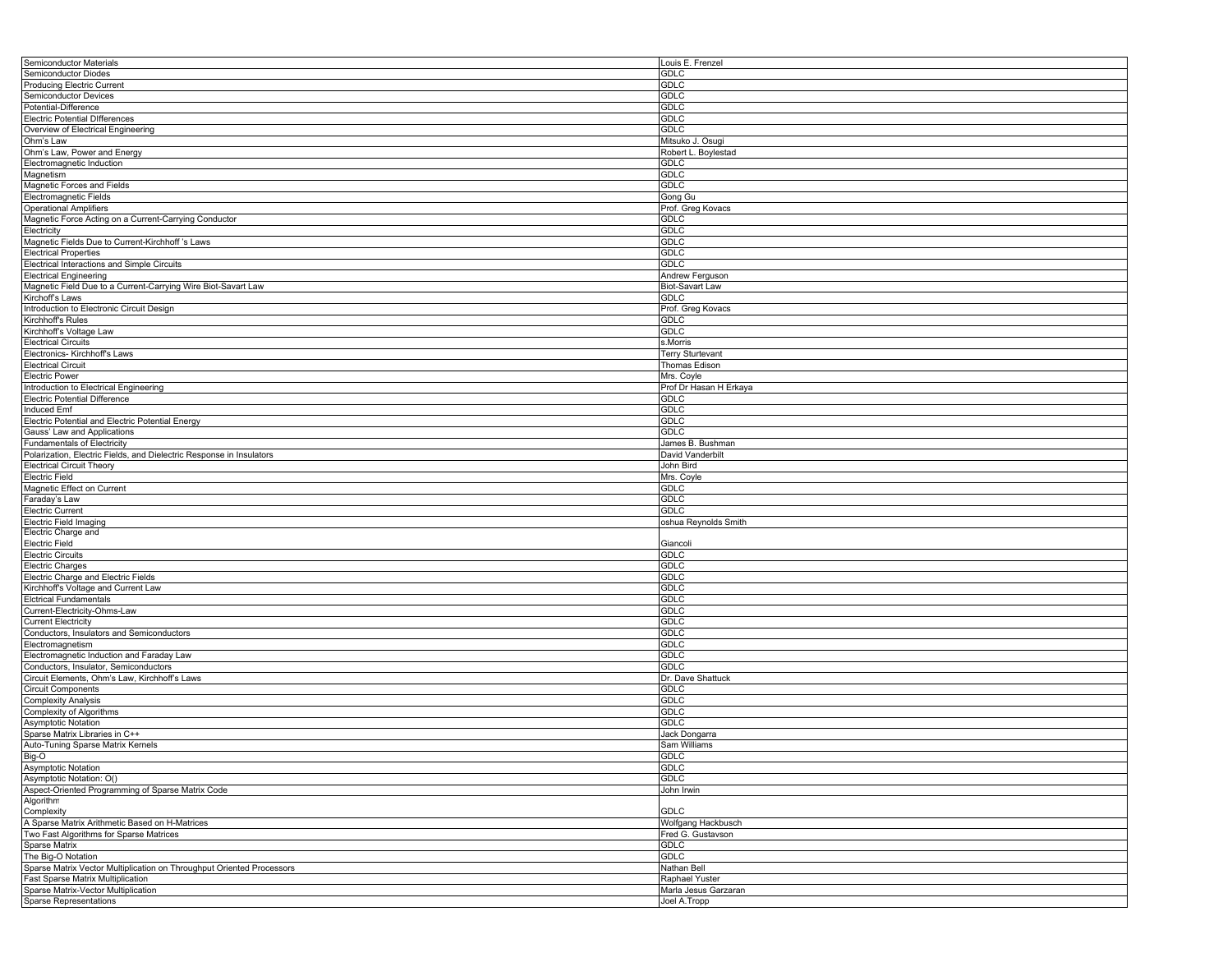| Semiconductor Materials                                               | Louis E. Frenzel                     |
|-----------------------------------------------------------------------|--------------------------------------|
| Semiconductor Diodes                                                  | GDLC                                 |
| <b>Producing Electric Current</b>                                     | <b>GDLC</b>                          |
| Semiconductor Devices                                                 | <b>GDLC</b>                          |
| Potential-Difference                                                  | <b>GDLC</b>                          |
| <b>Electric Potential Differences</b>                                 | GDLC                                 |
| Overview of Electrical Engineering                                    | GDLC                                 |
|                                                                       |                                      |
| Ohm's Law                                                             | Mitsuko J. Osugi                     |
| Ohm's Law, Power and Energy                                           | Robert L. Boylestad                  |
| Electromagnetic Induction                                             | <b>GDLC</b>                          |
| Magnetism                                                             | GDLC                                 |
| Magnetic Forces and Fields                                            | GDLC                                 |
| Electromagnetic Fields                                                | Gong Gu                              |
| <b>Operational Amplifiers</b>                                         | Prof. Greg Kovacs                    |
| Magnetic Force Acting on a Current-Carrying Conductor                 | GDLC                                 |
| Electricity                                                           | GDLC                                 |
| Magnetic Fields Due to Current-Kirchhoff 's Laws                      | GDLC                                 |
| <b>Electrical Properties</b>                                          | <b>GDLC</b>                          |
| Electrical Interactions and Simple Circuits                           | <b>GDLC</b>                          |
| <b>Electrical Engineering</b>                                         | Andrew Ferguson                      |
|                                                                       |                                      |
| Magnetic Field Due to a Current-Carrying Wire Biot-Savart Law         | Biot-Savart Law                      |
| Kirchoff's Laws                                                       | GDLC                                 |
| Introduction to Electronic Circuit Design                             | Prof. Greg Kovacs                    |
| Kirchhoff's Rules                                                     | <b>GDLC</b>                          |
| Kirchhoff's Voltage Law                                               | <b>GDLC</b>                          |
| <b>Electrical Circuits</b>                                            | s.Morris                             |
| Electronics- Kirchhoff's Laws                                         | <b>Terry Sturtevant</b>              |
| <b>Electrical Circuit</b>                                             | Thomas Edison                        |
| <b>Electric Power</b>                                                 | Mrs. Coyle                           |
| Introduction to Electrical Engineering                                | Prof Dr Hasan H Erkaya               |
| <b>Electric Potential Difference</b>                                  | <b>GDLC</b>                          |
|                                                                       |                                      |
| Induced Emf                                                           | GDLC                                 |
| Electric Potential and Electric Potential Energy                      | <b>GDLC</b>                          |
| Gauss' Law and Applications                                           | <b>GDLC</b>                          |
| <b>Fundamentals of Electricity</b>                                    | James B. Bushman                     |
| Polarization, Electric Fields, and Dielectric Response in Insulators  | David Vanderbilt                     |
| <b>Electrical Circuit Theory</b>                                      | John Bird                            |
| Electric Field                                                        | Mrs. Coyle                           |
| Magnetic Effect on Current                                            | <b>GDLC</b>                          |
| Faraday's Law                                                         | <b>GDLC</b>                          |
| <b>Electric Current</b>                                               | GDLC                                 |
| Electric Field Imaging                                                | oshua Reynolds Smith                 |
| Electric Charge and                                                   |                                      |
| <b>Electric Field</b>                                                 | Giancoli                             |
| <b>Electric Circuits</b>                                              | GDLC                                 |
|                                                                       |                                      |
| <b>Electric Charges</b>                                               | GDLC                                 |
| Electric Charge and Electric Fields                                   | <b>GDLC</b>                          |
| Kirchhoff's Voltage and Current Law                                   | <b>GDLC</b>                          |
| <b>Elctrical Fundamentals</b>                                         | GDLC                                 |
| Current-Electricity-Ohms-Law                                          | <b>GDLC</b>                          |
| <b>Current Electricity</b>                                            | GDLC                                 |
| Conductors, Insulators and Semiconductors                             | <b>GDLC</b>                          |
| Electromagnetism                                                      |                                      |
|                                                                       | <b>GDLC</b>                          |
|                                                                       |                                      |
| Electromagnetic Induction and Faraday Law                             | GDLC                                 |
| Conductors, Insulator, Semiconductors                                 | GDLC                                 |
| Circuit Elements, Ohm's Law, Kirchhoff's Laws                         | Dr. Dave Shattuck                    |
| <b>Circuit Components</b>                                             | GDLC                                 |
| <b>Complexity Analysis</b>                                            | <b>GDLC</b>                          |
| Complexity of Algorithms                                              | GDLC                                 |
| <b>Asymptotic Notation</b>                                            | GDLC                                 |
| Sparse Matrix Libraries in C++                                        | Jack Dongarra                        |
| Auto-Tuning Sparse Matrix Kernels                                     | Sam Williams                         |
| Big-O                                                                 | GDLC                                 |
| <b>Asymptotic Notation</b>                                            | <b>GDLC</b>                          |
| Asymptotic Notation: O()                                              | GDLC                                 |
| Aspect-Oriented Programming of Sparse Matrix Code                     | John Irwin                           |
|                                                                       |                                      |
| Algorithm                                                             |                                      |
| Complexity                                                            | GDLC                                 |
| A Sparse Matrix Arithmetic Based on H-Matrices                        | Wolfgang Hackbusch                   |
| Two Fast Algorithms for Sparse Matrices                               | Fred G. Gustavson                    |
| Sparse Matrix                                                         | <b>GDLC</b>                          |
| The Big-O Notation                                                    | GDLC                                 |
| Sparse Matrix Vector Multiplication on Throughput Oriented Processors | Nathan Bell                          |
| Fast Sparse Matrix Multiplication                                     | Raphael Yuster                       |
| Sparse Matrix-Vector Multiplication<br>Sparse Representations         | Marla Jesus Garzaran<br>Joel A.Tropp |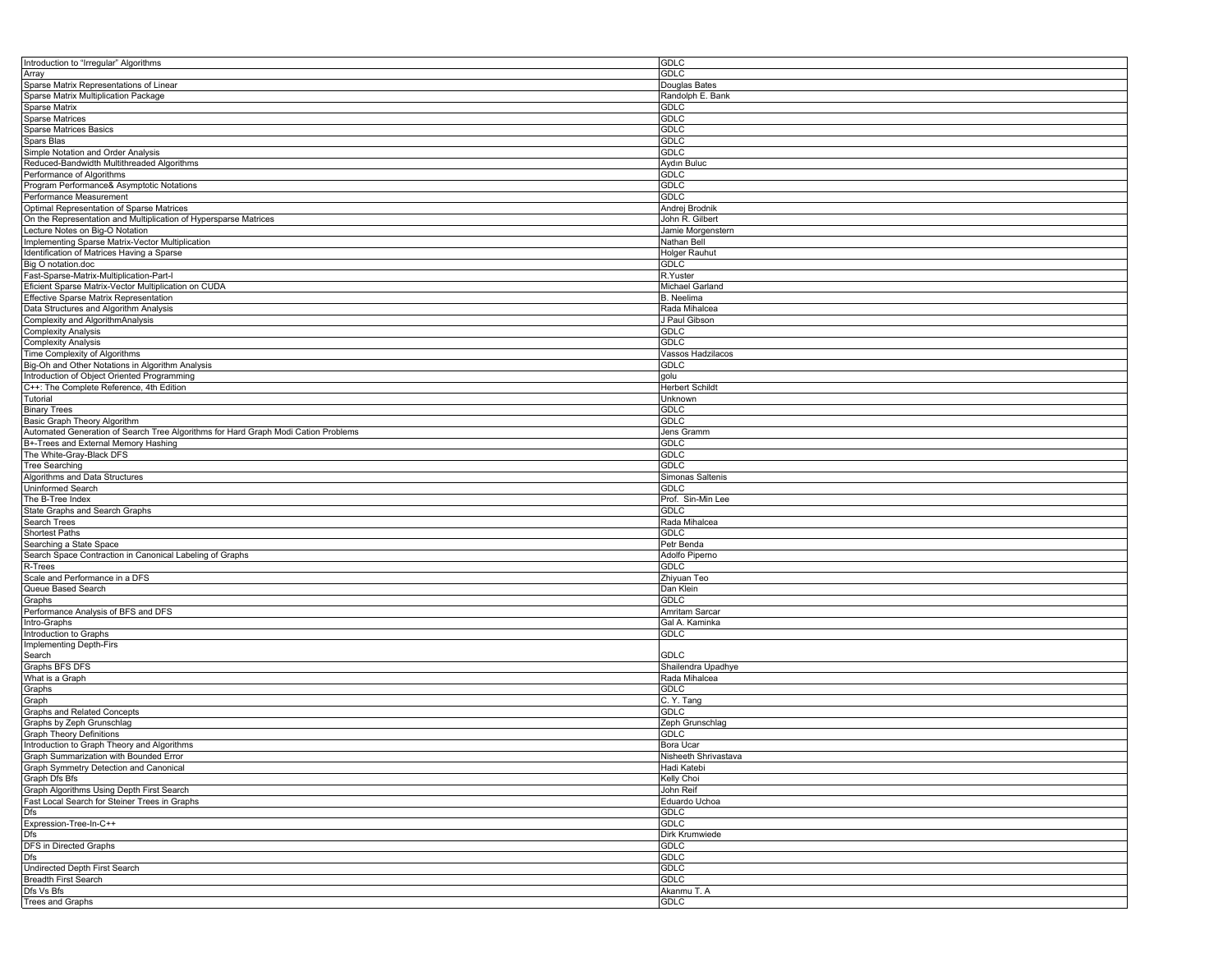| Introduction to "Irregular" Algorithms                                             | <b>GDLC</b>          |
|------------------------------------------------------------------------------------|----------------------|
| Array                                                                              | <b>GDLC</b>          |
| Sparse Matrix Representations of Linear                                            | Douglas Bates        |
| Sparse Matrix Multiplication Package                                               | Randolph E. Bank     |
| Sparse Matrix                                                                      | GDLC                 |
| <b>Sparse Matrices</b>                                                             | <b>GDLC</b>          |
| <b>Sparse Matrices Basics</b>                                                      | <b>GDLC</b>          |
|                                                                                    |                      |
| Spars Blas                                                                         | <b>GDLC</b>          |
| Simple Notation and Order Analysis                                                 | <b>GDLC</b>          |
| Reduced-Bandwidth Multithreaded Algorithms                                         | Aydın Buluc          |
| Performance of Algorithms                                                          | GDLC                 |
| Program Performance& Asymptotic Notations                                          | <b>GDLC</b>          |
| Performance Measurement                                                            | <b>GDLC</b>          |
| Optimal Representation of Sparse Matrices                                          | Andrej Brodnik       |
| On the Representation and Multiplication of Hypersparse Matrices                   | John R. Gilbert      |
| Lecture Notes on Big-O Notation                                                    | Jamie Morgenstern    |
| Implementing Sparse Matrix-Vector Multiplication                                   | Nathan Bell          |
|                                                                                    |                      |
| Identification of Matrices Having a Sparse                                         | Holger Rauhut        |
| Big O notation.doc                                                                 | <b>GDLC</b>          |
| Fast-Sparse-Matrix-Multiplication-Part-I                                           | R.Yuster             |
| Eficient Sparse Matrix-Vector Multiplication on CUDA                               | Michael Garland      |
| Effective Sparse Matrix Representation                                             | <b>B.</b> Neelima    |
| Data Structures and Algorithm Analysis                                             | Rada Mihalcea        |
| Complexity and AlgorithmAnalysis                                                   | J Paul Gibson        |
| <b>Complexity Analysis</b>                                                         | <b>GDLC</b>          |
| <b>Complexity Analysis</b>                                                         | <b>GDLC</b>          |
|                                                                                    |                      |
| Time Complexity of Algorithms                                                      | Vassos Hadzilacos    |
| Big-Oh and Other Notations in Algorithm Analysis                                   | <b>GDLC</b>          |
| Introduction of Object Oriented Programming                                        | golu                 |
| C++: The Complete Reference, 4th Edition                                           | Herbert Schildt      |
| Tutorial                                                                           | Unknown              |
| <b>Binary Trees</b>                                                                | GDLC                 |
| Basic Graph Theory Algorithm                                                       | <b>GDLC</b>          |
| Automated Generation of Search Tree Algorithms for Hard Graph Modi Cation Problems | Jens Gramm           |
| B+-Trees and External Memory Hashing                                               | <b>GDLC</b>          |
| The White-Gray-Black DFS                                                           | <b>GDLC</b>          |
|                                                                                    |                      |
| Tree Searching                                                                     | GDLC                 |
| Algorithms and Data Structures                                                     | Simonas Saltenis     |
| Uninformed Search                                                                  | GDLC                 |
| The B-Tree Index                                                                   | Prof. Sin-Min Lee    |
| State Graphs and Search Graphs                                                     | <b>GDLC</b>          |
| Search Trees                                                                       | Rada Mihalcea        |
| Shortest Paths                                                                     | <b>GDLC</b>          |
| Searching a State Space                                                            | Petr Benda           |
| Search Space Contraction in Canonical Labeling of Graphs                           | Adolfo Piperno       |
|                                                                                    | GDLC                 |
| R-Trees                                                                            |                      |
| Scale and Performance in a DFS                                                     | Zhiyuan Teo          |
| Queue Based Search                                                                 | Dan Klein            |
| Graphs                                                                             | <b>GDLC</b>          |
| Performance Analysis of BFS and DFS                                                | Amritam Sarcar       |
| Intro-Graphs                                                                       | Gal A. Kaminka       |
| Introduction to Graphs                                                             | <b>GDLC</b>          |
| Implementing Depth-Firs                                                            |                      |
| Search                                                                             |                      |
| Graphs BFS DFS                                                                     |                      |
|                                                                                    | <b>GDLC</b>          |
|                                                                                    | Shailendra Upadhye   |
| What is a Graph                                                                    | Rada Mihalcea        |
| Graphs                                                                             | GDLC                 |
| Graph                                                                              | C.Y.Tang             |
| <b>Graphs and Related Concepts</b>                                                 | <b>GDLC</b>          |
| Graphs by Zeph Grunschlag                                                          | Zeph Grunschlag      |
| <b>Graph Theory Definitions</b>                                                    | GDLC                 |
|                                                                                    | <b>Bora Ucar</b>     |
| Introduction to Graph Theory and Algorithms                                        |                      |
| Graph Summarization with Bounded Error                                             | Nisheeth Shrivastava |
| Graph Symmetry Detection and Canonical                                             | Hadi Katebi          |
| Graph Dfs Bfs                                                                      | Kelly Choi           |
| Graph Algorithms Using Depth First Search                                          | John Reif            |
| Fast Local Search for Steiner Trees in Graphs                                      | Eduardo Uchoa        |
| Dfs                                                                                | GDLC                 |
| Expression-Tree-In-C++                                                             | GDLC                 |
| Dfs                                                                                | Dirk Krumwiede       |
|                                                                                    | <b>GDLC</b>          |
|                                                                                    |                      |
| Dfs                                                                                | <b>GDLC</b>          |
| <b>Undirected Depth First Search</b>                                               | GDLC                 |
| Breadth First Search                                                               | GDLC                 |
| DFS in Directed Graphs<br>Dfs Vs Bfs<br><b>Trees and Graphs</b>                    | Akanmu T. A<br>GDLC  |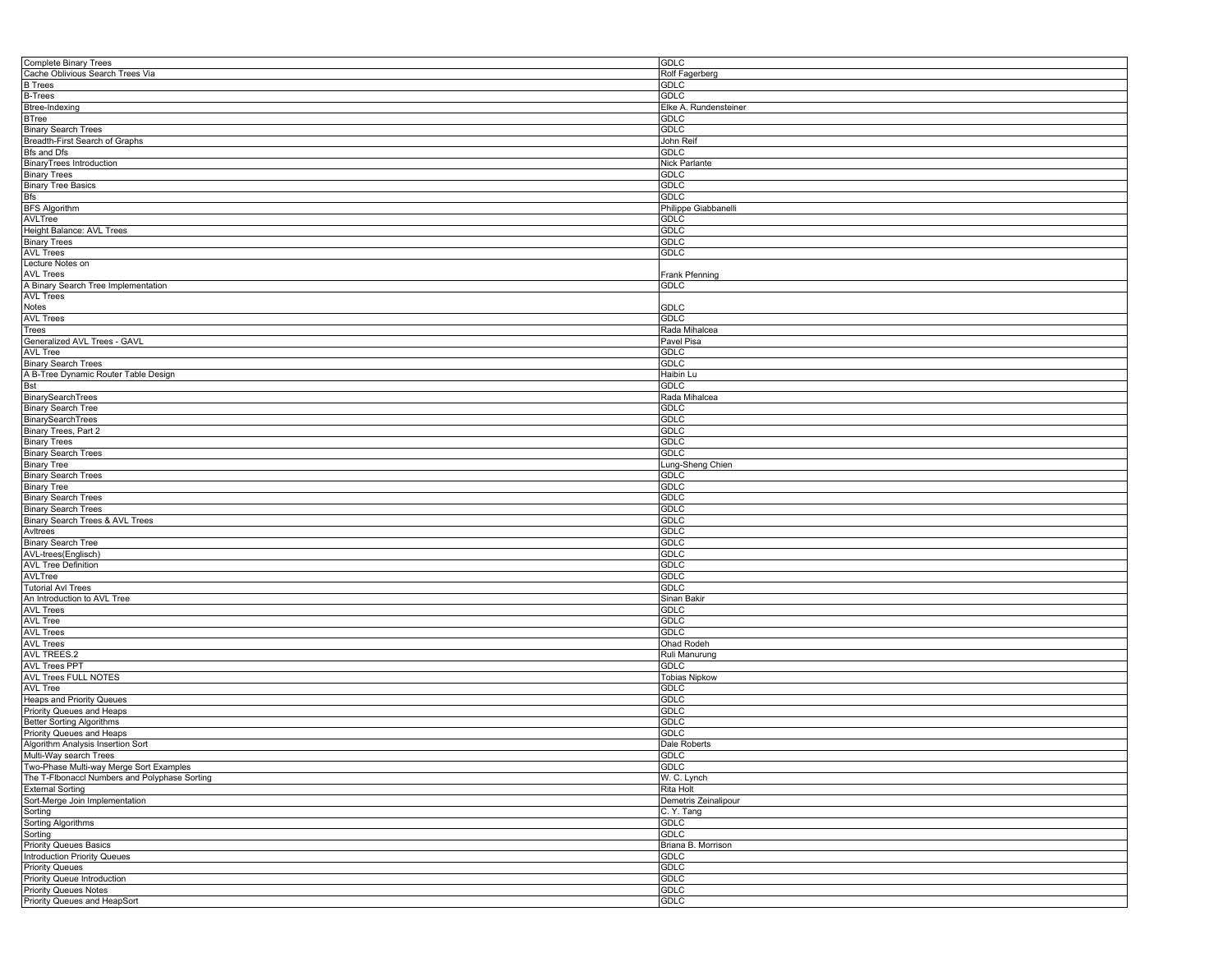| <b>Complete Binary Trees</b>                  | <b>GDLC</b>           |
|-----------------------------------------------|-----------------------|
| Cache Oblivious Search Trees Via              | Rolf Fagerberg        |
| <b>B</b> Trees                                | GDLC                  |
| <b>B-Trees</b>                                | GDLC                  |
| Btree-Indexing                                | Elke A. Rundensteiner |
| <b>BTree</b>                                  | <b>GDLC</b>           |
|                                               |                       |
| <b>Binary Search Trees</b>                    | GDLC                  |
| Breadth-First Search of Graphs                | John Reif             |
| Bfs and Dfs                                   | <b>GDLC</b>           |
| BinaryTrees Introduction                      | Nick Parlante         |
| <b>Binary Trees</b>                           | GDLC                  |
| <b>Binary Tree Basics</b>                     | GDLC                  |
| Bfs                                           | GDLC                  |
| <b>BFS Algorithm</b>                          | Philippe Giabbanelli  |
| AVLTree                                       | GDLC                  |
| Height Balance: AVL Trees                     | GDLC                  |
| <b>Binary Trees</b>                           | GDLC                  |
| <b>AVL Trees</b>                              | GDLC                  |
| Lecture Notes on                              |                       |
|                                               |                       |
| AVL Trees                                     | Frank Pfenning        |
| A Binary Search Tree Implementation           | GDLC                  |
| <b>AVL Trees</b>                              |                       |
| Notes                                         | GDLC                  |
| <b>AVL Trees</b>                              | <b>GDLC</b>           |
| Trees                                         | Rada Mihalcea         |
| Generalized AVL Trees - GAVL                  | Pavel Pisa            |
| AVL Tree                                      | GDLC                  |
| <b>Binary Search Trees</b>                    | GDLC                  |
| A B-Tree Dynamic Router Table Design          | Haibin Lu             |
|                                               | <b>GDLC</b>           |
| Bst                                           |                       |
| BinarySearchTrees                             | Rada Mihalcea         |
| <b>Binary Search Tree</b>                     | GDLC                  |
| <b>BinarySearchTrees</b>                      | GDLC                  |
| Binary Trees, Part 2                          | GDLC                  |
| <b>Binary Trees</b>                           | GDLC                  |
| <b>Binary Search Trees</b>                    | GDLC                  |
| <b>Binary Tree</b>                            | Lung-Sheng Chien      |
| <b>Binary Search Trees</b>                    | <b>GDLC</b>           |
| <b>Binary Tree</b>                            | GDLC                  |
| <b>Binary Search Trees</b>                    | GDLC                  |
|                                               | GDLC                  |
| <b>Binary Search Trees</b>                    |                       |
| Binary Search Trees & AVL Trees               | <b>GDLC</b>           |
| Avitrees                                      | GDLC                  |
| <b>Binary Search Tree</b>                     | GDLC                  |
| AVL-trees(Englisch)                           | GDLC                  |
| <b>AVL Tree Definition</b>                    | GDLC                  |
| AVLTree                                       | <b>GDLC</b>           |
| <b>Tutorial AvI Trees</b>                     | GDLC                  |
| An Introduction to AVL Tree                   | Sinan Bakir           |
| <b>AVL Trees</b>                              | GDLC                  |
| <b>AVL Tree</b>                               | GDLC                  |
|                                               |                       |
| <b>AVL Trees</b>                              | <b>GDLC</b>           |
| <b>AVL Trees</b>                              | Ohad Rodeh            |
| <b>AVL TREES.2</b>                            | Ruli Manurung         |
| <b>AVL Trees PPT</b>                          | <b>GDLC</b>           |
| AVL Trees FULL NOTES                          | <b>Tobias Nipkow</b>  |
| AVL Tree                                      | GDLC                  |
| Heaps and Priority Queues                     | GDLC                  |
| Priority Queues and Heaps                     | GDLC                  |
| <b>Better Sorting Algorithms</b>              | <b>GDLC</b>           |
| Priority Queues and Heaps                     | GDLC                  |
|                                               |                       |
| Algorithm Analysis Insertion Sort             | <b>Dale Roberts</b>   |
| Multi-Way search Trees                        | GDLC                  |
| Two-Phase Multi-way Merge Sort Examples       | GDLC                  |
| The T-Flbonaccl Numbers and Polyphase Sorting | W. C. Lynch           |
| <b>External Sorting</b>                       | Rita Holt             |
| Sort-Merge Join Implementation                | Demetris Zeinalipour  |
| Sorting                                       | C.Y.Tang              |
| Sorting Algorithms                            | GDLC                  |
| Sorting                                       | <b>GDLC</b>           |
| <b>Priority Queues Basics</b>                 | Briana B. Morrison    |
| <b>Introduction Priority Queues</b>           |                       |
|                                               | <b>GDLC</b>           |
| <b>Priority Queues</b>                        | GDLC                  |
| <b>Priority Queue Introduction</b>            | GDLC                  |
| <b>Priority Queues Notes</b>                  | GDLC                  |
| Priority Queues and HeapSort                  | GDLC                  |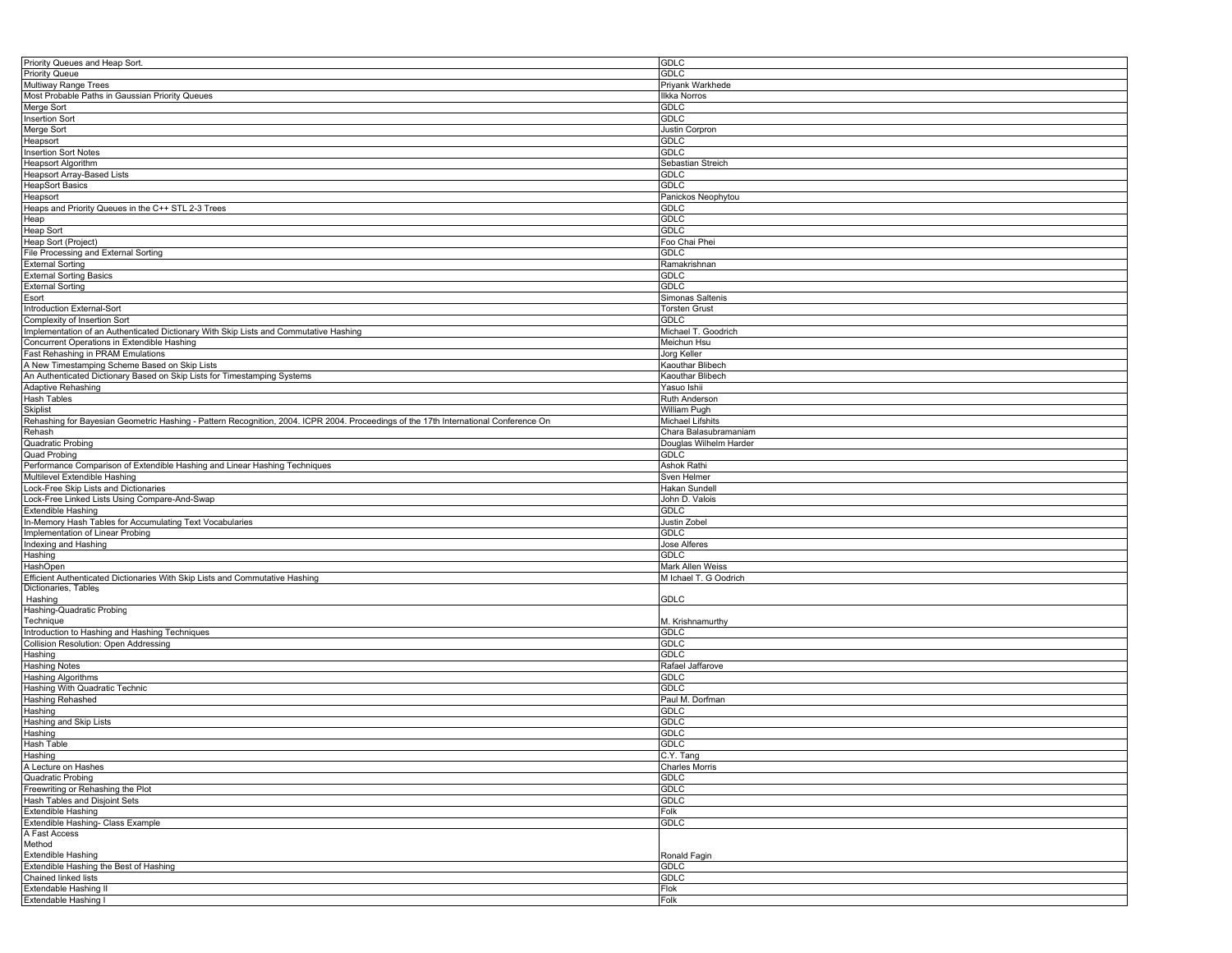| Priority Queues and Heap Sort.                                                                                                       | <b>GDLC</b>            |
|--------------------------------------------------------------------------------------------------------------------------------------|------------------------|
| <b>Priority Queue</b>                                                                                                                | <b>GDLC</b>            |
| Multiway Range Trees                                                                                                                 | Priyank Warkhede       |
| Most Probable Paths in Gaussian Priority Queues                                                                                      | <b>Ilkka Norros</b>    |
|                                                                                                                                      | GDLC                   |
| Merge Sort                                                                                                                           |                        |
| <b>Insertion Sort</b>                                                                                                                | GDLC                   |
| Merge Sort                                                                                                                           | Justin Corpron         |
| Heapsort                                                                                                                             | <b>GDLC</b>            |
| <b>Insertion Sort Notes</b>                                                                                                          | <b>GDLC</b>            |
| <b>Heapsort Algorithm</b>                                                                                                            | Sebastian Streich      |
| Heapsort Array-Based Lists                                                                                                           | GDLC                   |
|                                                                                                                                      | <b>GDLC</b>            |
| <b>HeapSort Basics</b>                                                                                                               |                        |
| Heapsort                                                                                                                             | Panickos Neophytou     |
| Heaps and Priority Queues in the C++ STL 2-3 Trees                                                                                   | <b>GDLC</b>            |
| Heap                                                                                                                                 | GDLC                   |
| <b>Heap Sort</b>                                                                                                                     | GDLC                   |
| Heap Sort (Project)                                                                                                                  | Foo Chai Phei          |
| File Processing and External Sorting                                                                                                 | <b>GDLC</b>            |
| <b>External Sorting</b>                                                                                                              | Ramakrishnan           |
| <b>External Sorting Basics</b>                                                                                                       | GDLC                   |
|                                                                                                                                      |                        |
| <b>External Sorting</b>                                                                                                              | GDLC                   |
| Esort                                                                                                                                | Simonas Saltenis       |
| Introduction External-Sort                                                                                                           | <b>Torsten Grust</b>   |
| Complexity of Insertion Sort                                                                                                         | <b>GDLC</b>            |
| Implementation of an Authenticated Dictionary With Skip Lists and Commutative Hashing                                                | Michael T. Goodrich    |
| Concurrent Operations in Extendible Hashing                                                                                          | Meichun Hsu            |
| Fast Rehashing in PRAM Emulations                                                                                                    | Jorg Keller            |
| A New Timestamping Scheme Based on Skip Lists                                                                                        | Kaouthar Blibech       |
|                                                                                                                                      |                        |
| An Authenticated Dictionary Based on Skip Lists for Timestamping Systems                                                             | Kaouthar Blibech       |
| <b>Adaptive Rehashing</b>                                                                                                            | Yasuo Ishii            |
| Hash Tables                                                                                                                          | Ruth Anderson          |
| <b>Skiplist</b>                                                                                                                      | William Pugh           |
| Rehashing for Bayesian Geometric Hashing - Pattern Recognition, 2004. ICPR 2004. Proceedings of the 17th International Conference On | Michael Lifshits       |
| Rehash                                                                                                                               | Chara Balasubramaniam  |
| Quadratic Probing                                                                                                                    | Douglas Wilhelm Harder |
| <b>Quad Probing</b>                                                                                                                  | GDLC                   |
| Performance Comparison of Extendible Hashing and Linear Hashing Techniques                                                           | Ashok Rathi            |
| Multilevel Extendible Hashing                                                                                                        | Sven Helmer            |
| Lock-Free Skip Lists and Dictionaries                                                                                                | Hakan Sundell          |
|                                                                                                                                      |                        |
|                                                                                                                                      |                        |
| Lock-Free Linked Lists Using Compare-And-Swap                                                                                        | John D. Valois         |
| <b>Extendible Hashing</b>                                                                                                            | GDLC                   |
| In-Memory Hash Tables for Accumulating Text Vocabularies                                                                             | Justin Zobel           |
| Implementation of Linear Probing                                                                                                     | <b>GDLC</b>            |
| Indexing and Hashing                                                                                                                 | Jose Alferes           |
| Hashing                                                                                                                              | GDLC                   |
|                                                                                                                                      |                        |
| HashOpen                                                                                                                             | Mark Allen Weiss       |
| Efficient Authenticated Dictionaries With Skip Lists and Commutative Hashing                                                         | M Ichael T. G Oodrich  |
| Dictionaries, Tables                                                                                                                 |                        |
| Hashing                                                                                                                              | <b>GDLC</b>            |
| Hashing-Quadratic Probing                                                                                                            |                        |
| Technique                                                                                                                            | M. Krishnamurthy       |
| Introduction to Hashing and Hashing Techniques                                                                                       | <b>GDLC</b>            |
| Collision Resolution: Open Addressing                                                                                                | <b>GDLC</b>            |
| Hashing                                                                                                                              | <b>GDLC</b>            |
| <b>Hashing Notes</b>                                                                                                                 | Rafael Jaffarove       |
|                                                                                                                                      | <b>GDLC</b>            |
| Hashing Algorithms                                                                                                                   |                        |
| Hashing With Quadratic Technic                                                                                                       | <b>GDLC</b>            |
| Hashing Rehashed                                                                                                                     | Paul M. Dorfman        |
| Hashing                                                                                                                              | <b>GDLC</b>            |
| Hashing and Skip Lists                                                                                                               | <b>GDLC</b>            |
| Hashing                                                                                                                              | <b>GDLC</b>            |
| <b>Hash Table</b>                                                                                                                    | <b>GDLC</b>            |
| Hashing                                                                                                                              | C.Y. Tang              |
| A Lecture on Hashes                                                                                                                  | Charles Morris         |
| Quadratic Probing                                                                                                                    | <b>GDLC</b>            |
| Freewriting or Rehashing the Plot                                                                                                    | <b>GDLC</b>            |
| Hash Tables and Disjoint Sets                                                                                                        | <b>GDLC</b>            |
|                                                                                                                                      |                        |
|                                                                                                                                      | Folk                   |
| <b>Extendible Hashing</b><br>Extendible Hashing- Class Example                                                                       | <b>GDLC</b>            |
|                                                                                                                                      |                        |
| A Fast Access<br>Method                                                                                                              |                        |
| <b>Extendible Hashing</b>                                                                                                            | Ronald Fagin           |
| Extendible Hashing the Best of Hashing                                                                                               | <b>GDLC</b>            |
| Chained linked lists                                                                                                                 | <b>GDLC</b>            |
| Extendable Hashing II<br>Extendable Hashing I                                                                                        | Flok<br>Folk           |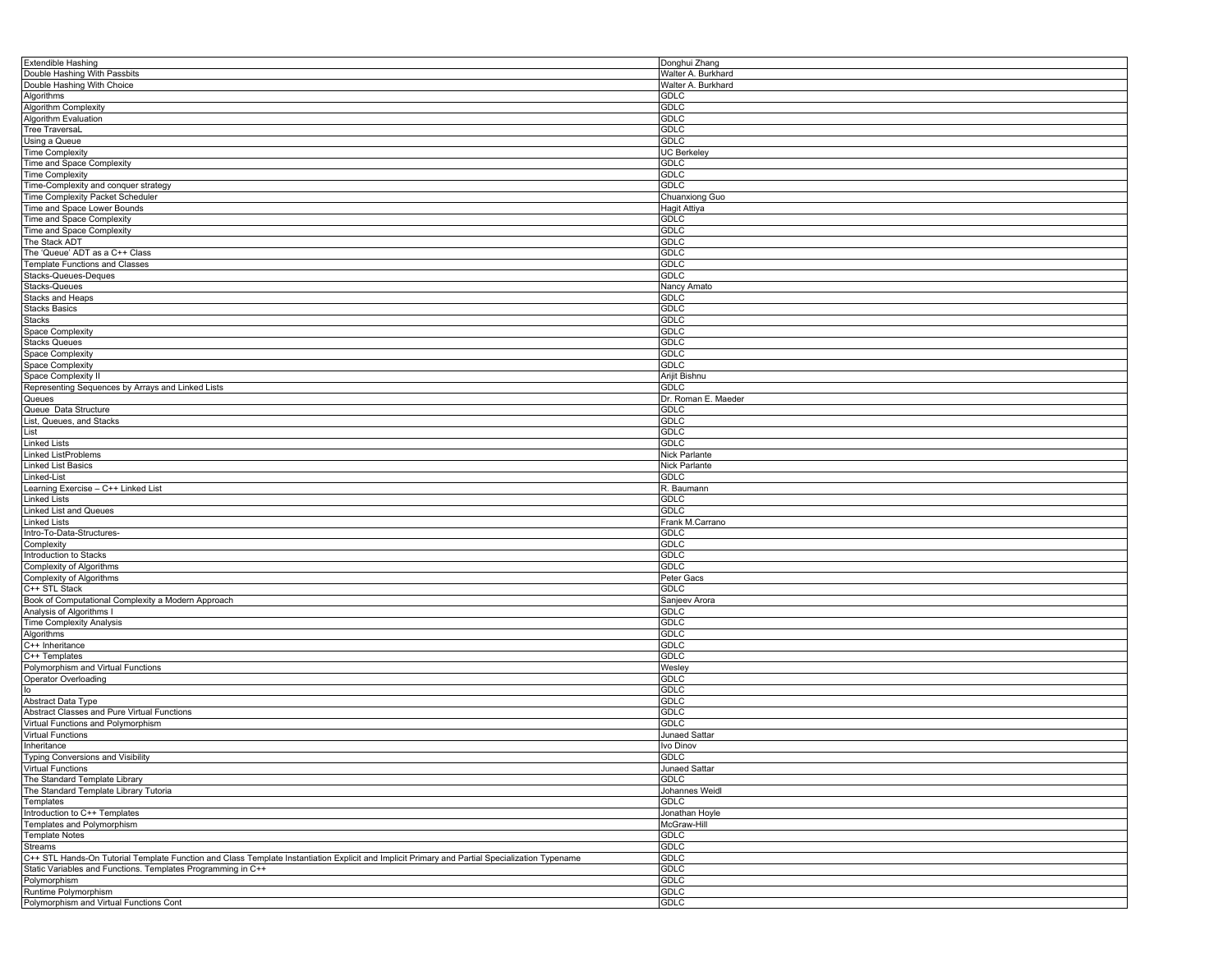| <b>Extendible Hashing</b>                                                                                                                      | Donghui Zhang              |
|------------------------------------------------------------------------------------------------------------------------------------------------|----------------------------|
| Double Hashing With Passbits                                                                                                                   | Walter A. Burkhard         |
| Double Hashing With Choice                                                                                                                     |                            |
|                                                                                                                                                | Walter A. Burkhard         |
| Algorithms                                                                                                                                     | <b>GDLC</b>                |
| Algorithm Complexity                                                                                                                           | GDLC                       |
| Algorithm Evaluation                                                                                                                           | <b>GDLC</b>                |
| <b>Tree TraversaL</b>                                                                                                                          | <b>GDLC</b>                |
|                                                                                                                                                |                            |
| Using a Queue                                                                                                                                  | <b>GDLC</b>                |
| Time Complexity                                                                                                                                | <b>UC Berkeley</b>         |
| Time and Space Complexity                                                                                                                      | GDLC                       |
| <b>Time Complexity</b>                                                                                                                         | <b>GDLC</b>                |
|                                                                                                                                                |                            |
| Time-Complexity and conquer strategy                                                                                                           | <b>GDLC</b>                |
| Time Complexity Packet Scheduler                                                                                                               | Chuanxiong Guo             |
| Time and Space Lower Bounds                                                                                                                    | Hagit Attiya               |
| Time and Space Complexity                                                                                                                      | <b>GDLC</b>                |
|                                                                                                                                                |                            |
| Time and Space Complexity                                                                                                                      | <b>GDLC</b>                |
| The Stack ADT                                                                                                                                  | <b>GDLC</b>                |
| The 'Queue' ADT as a C++ Class                                                                                                                 | <b>GDLC</b>                |
| <b>Template Functions and Classes</b>                                                                                                          | <b>GDLC</b>                |
| Stacks-Queues-Deques                                                                                                                           | <b>GDLC</b>                |
|                                                                                                                                                |                            |
| <b>Stacks-Queues</b>                                                                                                                           | Nancy Amato                |
| <b>Stacks and Heaps</b>                                                                                                                        | <b>GDLC</b>                |
| <b>Stacks Basics</b>                                                                                                                           | <b>GDLC</b>                |
| Stacks                                                                                                                                         | <b>GDLC</b>                |
|                                                                                                                                                |                            |
| Space Complexity                                                                                                                               | <b>GDLC</b>                |
| <b>Stacks Queues</b>                                                                                                                           | <b>GDLC</b>                |
| Space Complexity                                                                                                                               | <b>GDLC</b>                |
| Space Complexity                                                                                                                               | <b>GDLC</b>                |
|                                                                                                                                                |                            |
| Space Complexity II                                                                                                                            | Arijit Bishnu              |
| Representing Sequences by Arrays and Linked Lists                                                                                              | <b>GDLC</b>                |
| Queues                                                                                                                                         | Dr. Roman E. Maeder        |
| Queue Data Structure                                                                                                                           | <b>GDLC</b>                |
|                                                                                                                                                |                            |
| List, Queues, and Stacks                                                                                                                       | <b>GDLC</b>                |
| List                                                                                                                                           | <b>GDLC</b>                |
| <b>Linked Lists</b>                                                                                                                            | <b>GDLC</b>                |
| <b>Linked ListProblems</b>                                                                                                                     | Nick Parlante              |
|                                                                                                                                                |                            |
| <b>Linked List Basics</b>                                                                                                                      | <b>Nick Parlante</b>       |
| Linked-List                                                                                                                                    | <b>GDLC</b>                |
| Learning Exercise - C++ Linked List                                                                                                            | R. Baumann                 |
| Linked Lists                                                                                                                                   | <b>GDLC</b>                |
|                                                                                                                                                |                            |
| Linked List and Queues                                                                                                                         | <b>GDLC</b>                |
| <b>Linked Lists</b>                                                                                                                            | Frank M.Carrano            |
| Intro-To-Data-Structures-                                                                                                                      | <b>GDLC</b>                |
| Complexity                                                                                                                                     | GDLC                       |
|                                                                                                                                                | <b>GDLC</b>                |
| Introduction to Stacks                                                                                                                         |                            |
| Complexity of Algorithms                                                                                                                       | <b>GDLC</b>                |
| Complexity of Algorithms                                                                                                                       | Peter Gacs                 |
| C++ STL Stack                                                                                                                                  | <b>GDLC</b>                |
| Book of Computational Complexity a Modern Approach                                                                                             | Sanjeev Arora              |
|                                                                                                                                                |                            |
| Analysis of Algorithms I                                                                                                                       | <b>GDLC</b>                |
| <b>Time Complexity Analysis</b>                                                                                                                | <b>GDLC</b>                |
| Algorithms                                                                                                                                     | <b>GDLC</b>                |
| C++ Inheritance                                                                                                                                | <b>GDLC</b>                |
| C++ Templates                                                                                                                                  | <b>GDLC</b>                |
|                                                                                                                                                |                            |
| Polymorphism and Virtual Functions                                                                                                             | Wesley                     |
| Operator Overloading                                                                                                                           | <b>GDLC</b>                |
| $I^{\circ}$                                                                                                                                    | <b>GDLC</b>                |
| Abstract Data Type                                                                                                                             | <b>GDLC</b>                |
| Abstract Classes and Pure Virtual Functions                                                                                                    |                            |
|                                                                                                                                                | <b>GDLC</b>                |
| Virtual Functions and Polymorphism                                                                                                             | <b>GDLC</b>                |
| <b>Virtual Functions</b>                                                                                                                       | Junaed Sattar              |
| Inheritance                                                                                                                                    | Ivo Dinov                  |
|                                                                                                                                                | <b>GDLC</b>                |
| Typing Conversions and Visibility                                                                                                              |                            |
| Virtual Functions                                                                                                                              | <b>Junaed Sattar</b>       |
| The Standard Template Library                                                                                                                  | <b>GDLC</b>                |
| The Standard Template Library Tutoria                                                                                                          | Johannes Weidl             |
| Templates                                                                                                                                      | <b>GDLC</b>                |
|                                                                                                                                                |                            |
| Introduction to C++ Templates                                                                                                                  | Jonathan Hoyle             |
| Templates and Polymorphism                                                                                                                     | McGraw-Hill                |
| <b>Template Notes</b>                                                                                                                          | <b>GDLC</b>                |
| Streams                                                                                                                                        | <b>GDLC</b>                |
| C++ STL Hands-On Tutorial Template Function and Class Template Instantiation Explicit and Implicit Primary and Partial Specialization Typename | <b>GDLC</b>                |
| Static Variables and Functions. Templates Programming in C++                                                                                   |                            |
|                                                                                                                                                |                            |
|                                                                                                                                                | <b>GDLC</b>                |
|                                                                                                                                                | <b>GDLC</b>                |
| <b>Polymorphism</b>                                                                                                                            |                            |
| Runtime Polymorphism<br>Polymorphism and Virtual Functions Cont                                                                                | <b>GDLC</b><br><b>GDLC</b> |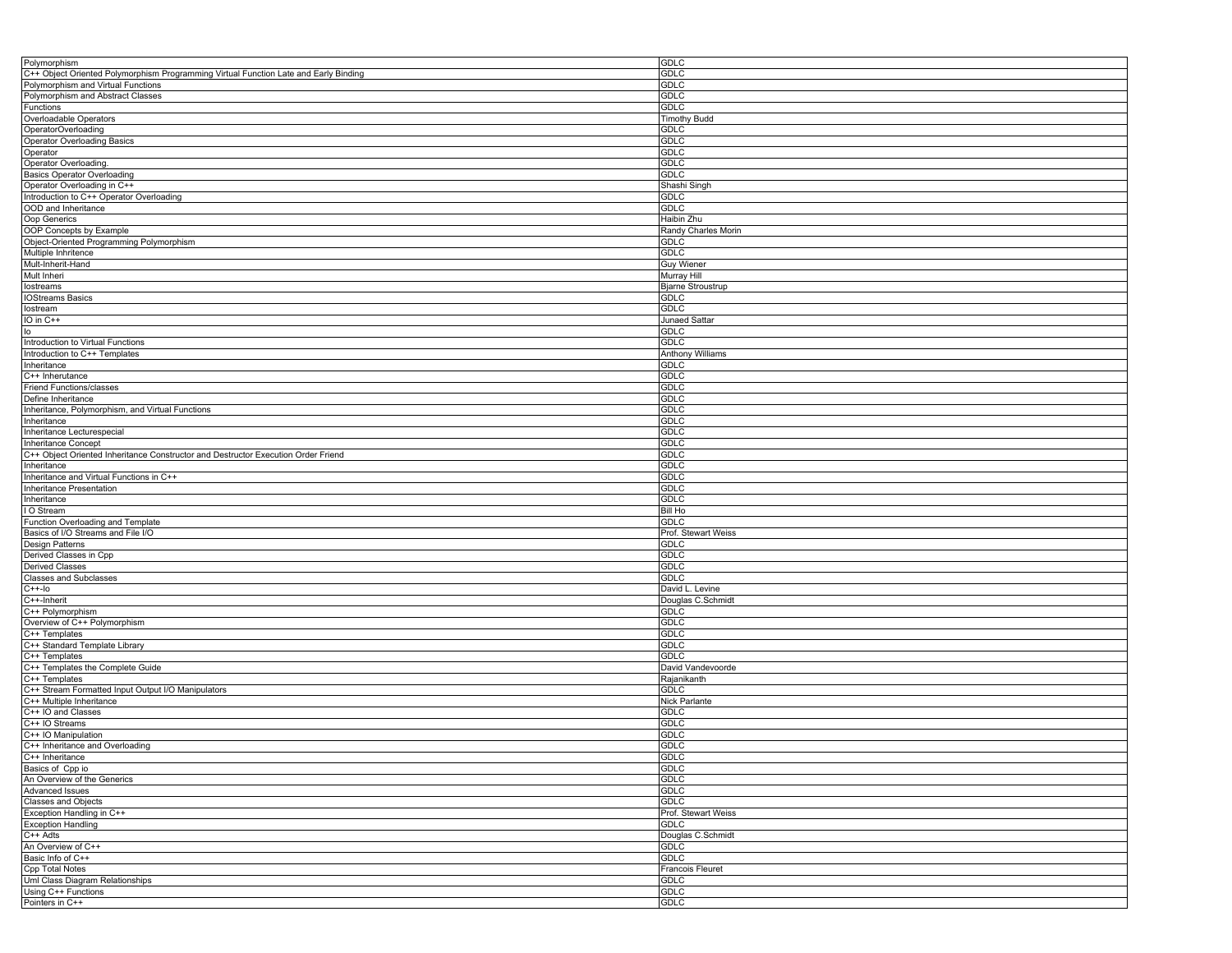| Polymorphism                                                                         | <b>GDLC</b>              |
|--------------------------------------------------------------------------------------|--------------------------|
| C++ Object Oriented Polymorphism Programming Virtual Function Late and Early Binding | GDLC                     |
| Polymorphism and Virtual Functions                                                   | <b>GDLC</b>              |
| Polymorphism and Abstract Classes                                                    | <b>GDLC</b>              |
|                                                                                      | <b>GDLC</b>              |
| Functions                                                                            |                          |
| Overloadable Operators                                                               | <b>Timothy Budd</b>      |
| OperatorOverloading                                                                  | GDLC                     |
| Operator Overloading Basics                                                          | <b>GDLC</b>              |
| Operator                                                                             | <b>GDLC</b>              |
| Operator Overloading.                                                                | <b>GDLC</b>              |
|                                                                                      | <b>GDLC</b>              |
| <b>Basics Operator Overloading</b>                                                   |                          |
| Operator Overloading in C++                                                          | Shashi Singh             |
| Introduction to C++ Operator Overloading                                             | <b>GDLC</b>              |
| OOD and Inheritance                                                                  | GDLC                     |
| Oop Generics                                                                         | Haibin Zhu               |
| OOP Concepts by Example                                                              | Randy Charles Morin      |
| Object-Oriented Programming Polymorphism                                             | GDLC                     |
|                                                                                      |                          |
| Multiple Inhritence                                                                  | <b>GDLC</b>              |
| Mult-Inherit-Hand                                                                    | <b>Guy Wiener</b>        |
| Mult Inheri                                                                          | Murray Hill              |
| lostreams                                                                            | <b>Bjarne Stroustrup</b> |
| <b>IOStreams Basics</b>                                                              | <b>GDLC</b>              |
| lostream                                                                             | <b>GDLC</b>              |
|                                                                                      |                          |
| IO in C++                                                                            | Junaed Sattar            |
| lo                                                                                   | GDLC                     |
| Introduction to Virtual Functions                                                    | <b>GDLC</b>              |
| Introduction to C++ Templates                                                        | Anthony Williams         |
| Inheritance                                                                          | <b>GDLC</b>              |
| C++ Inherutance                                                                      | <b>GDLC</b>              |
| Friend Functions/classes                                                             | <b>GDLC</b>              |
|                                                                                      |                          |
| Define Inheritance                                                                   | <b>GDLC</b>              |
| Inheritance, Polymorphism, and Virtual Functions                                     | GDLC                     |
| Inheritance                                                                          | <b>GDLC</b>              |
| Inheritance Lecturespecial                                                           | <b>GDLC</b>              |
| Inheritance Concept                                                                  | <b>GDLC</b>              |
| C++ Object Oriented Inheritance Constructor and Destructor Execution Order Friend    | <b>GDLC</b>              |
|                                                                                      |                          |
| Inheritance                                                                          | GDLC                     |
| Inheritance and Virtual Functions in C++                                             | <b>GDLC</b>              |
| Inheritance Presentation                                                             | <b>GDLC</b>              |
| Inheritance                                                                          | GDLC                     |
| I O Stream                                                                           | Bill Ho                  |
| Function Overloading and Template                                                    | GDLC                     |
|                                                                                      |                          |
| Basics of I/O Streams and File I/O                                                   | Prof. Stewart Weiss      |
| Design Patterns                                                                      | <b>GDLC</b>              |
| Derived Classes in Cpp                                                               | <b>GDLC</b>              |
| <b>Derived Classes</b>                                                               | <b>GDLC</b>              |
| <b>Classes and Subclasses</b>                                                        | GDLC                     |
| $C++-IO$                                                                             | David L. Levine          |
| C++-Inherit                                                                          | Douglas C.Schmidt        |
|                                                                                      |                          |
| C++ Polymorphism                                                                     | <b>GDLC</b>              |
| Overview of C++ Polymorphism                                                         | <b>GDLC</b>              |
| C++ Templates                                                                        | GDLC                     |
| C++ Standard Template Library                                                        | <b>GDLC</b>              |
| C++ Templates                                                                        | <b>GDLC</b>              |
| C++ Templates the Complete Guide                                                     | David Vandevoorde        |
| C++ Templates                                                                        | Rajanikanth              |
|                                                                                      |                          |
| C++ Stream Formatted Input Output I/O Manipulators                                   | <b>GDLC</b>              |
| C++ Multiple Inheritance                                                             | Nick Parlante            |
| C++ IO and Classes                                                                   | <b>GDLC</b>              |
| C++ IO Streams                                                                       | <b>GDLC</b>              |
| C++ IO Manipulation                                                                  | <b>GDLC</b>              |
| C++ Inheritance and Overloading                                                      | GDLC                     |
| C++ Inheritance                                                                      | <b>GDLC</b>              |
|                                                                                      |                          |
| Basics of Cpp io                                                                     | <b>GDLC</b>              |
| An Overview of the Generics                                                          | <b>GDLC</b>              |
| Advanced Issues                                                                      | <b>GDLC</b>              |
| <b>Classes and Objects</b>                                                           | GDLC                     |
| Exception Handling in C++                                                            | Prof. Stewart Weiss      |
| <b>Exception Handling</b>                                                            | <b>GDLC</b>              |
| C++ Adts                                                                             |                          |
|                                                                                      | Douglas C.Schmidt        |
| An Overview of C++                                                                   | <b>GDLC</b>              |
| Basic Info of C++                                                                    | GDLC                     |
| <b>Cpp Total Notes</b>                                                               | Francois Fleuret         |
| Uml Class Diagram Relationships                                                      | <b>GDLC</b>              |
| Using C++ Functions                                                                  | <b>GDLC</b>              |
| Pointers in C++                                                                      | <b>GDLC</b>              |
|                                                                                      |                          |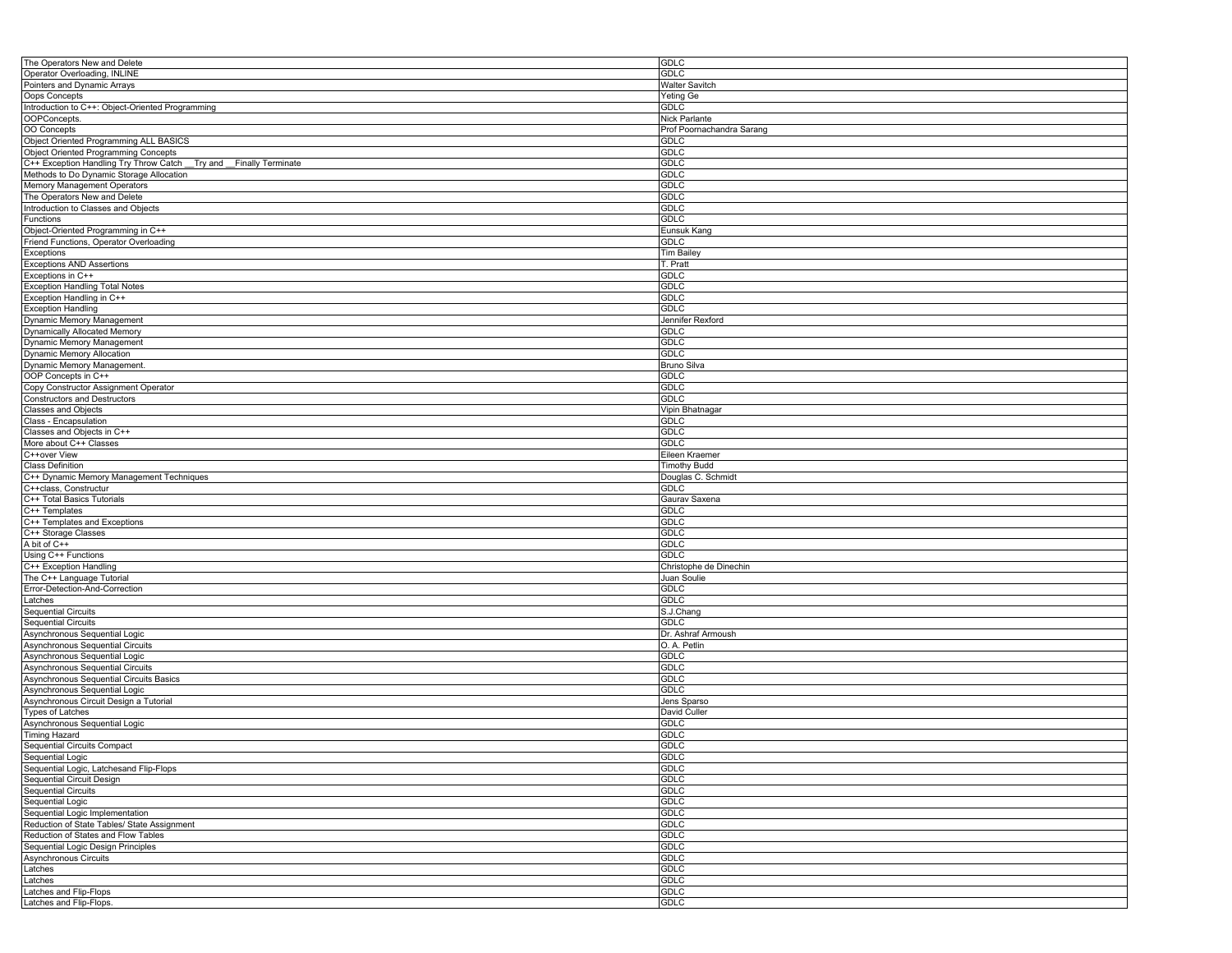| The Operators New and Delete                                        | <b>GDLC</b>               |
|---------------------------------------------------------------------|---------------------------|
| Operator Overloading, INLINE                                        | <b>GDLC</b>               |
| Pointers and Dynamic Arrays                                         | Walter Savitch            |
| Oops Concepts                                                       | Yeting Ge                 |
| Introduction to C++: Object-Oriented Programming                    | GDLC                      |
| OOPConcepts.                                                        | Nick Parlante             |
| OO Concepts                                                         | Prof Poornachandra Sarang |
| Object Oriented Programming ALL BASICS                              |                           |
|                                                                     | <b>GDLC</b>               |
| <b>Object Oriented Programming Concepts</b>                         | <b>GDLC</b>               |
| C++ Exception Handling Try Throw Catch<br>Try and Finally Terminate | <b>GDLC</b>               |
| Methods to Do Dynamic Storage Allocation                            | <b>GDLC</b>               |
| Memory Management Operators                                         | <b>GDLC</b>               |
| The Operators New and Delete                                        | <b>GDLC</b>               |
| Introduction to Classes and Objects                                 | <b>GDLC</b>               |
| Functions                                                           | <b>GDLC</b>               |
| Object-Oriented Programming in C++                                  | Eunsuk Kang               |
| Friend Functions, Operator Overloading                              | <b>GDLC</b>               |
| Exceptions                                                          | Tim Bailey                |
| <b>Exceptions AND Assertions</b>                                    | T. Pratt                  |
| Exceptions in C++                                                   | GDLC                      |
|                                                                     |                           |
| <b>Exception Handling Total Notes</b>                               | <b>GDLC</b>               |
| Exception Handling in C++                                           | <b>GDLC</b>               |
| <b>Exception Handling</b>                                           | <b>GDLC</b>               |
| Dynamic Memory Management                                           | Jennifer Rexford          |
| Dynamically Allocated Memory                                        | <b>GDLC</b>               |
| Dynamic Memory Management                                           | <b>GDLC</b>               |
| Dynamic Memory Allocation                                           | <b>GDLC</b>               |
| Dynamic Memory Management.                                          | Bruno Silva               |
| OOP Concepts in C++                                                 | <b>GDLC</b>               |
| Copy Constructor Assignment Operator                                | <b>GDLC</b>               |
| <b>Constructors and Destructors</b>                                 | <b>GDLC</b>               |
| <b>Classes and Objects</b>                                          | Vipin Bhatnagar           |
| Class - Encapsulation                                               | GDLC                      |
|                                                                     | <b>GDLC</b>               |
| Classes and Objects in C++                                          |                           |
| More about C++ Classes                                              | <b>GDLC</b>               |
| C++over View                                                        | Eileen Kraemer            |
| <b>Class Definition</b>                                             | <b>Timothy Budd</b>       |
| C++ Dynamic Memory Management Techniques                            | Douglas C. Schmidt        |
| C++class, Constructur                                               | <b>GDLC</b>               |
| C++ Total Basics Tutorials                                          | Gaurav Saxena             |
| C++ Templates                                                       | GDLC                      |
| C++ Templates and Exceptions                                        | <b>GDLC</b>               |
| C++ Storage Classes                                                 | <b>GDLC</b>               |
| A bit of C++                                                        | <b>GDLC</b>               |
| Using C++ Functions                                                 | GDLC                      |
| C++ Exception Handling                                              | Christophe de Dinechin    |
| The C++ Language Tutorial                                           | Juan Soulie               |
|                                                                     | <b>GDLC</b>               |
| Error-Detection-And-Correction                                      |                           |
| Latches                                                             | <b>GDLC</b>               |
| <b>Sequential Circuits</b>                                          | S.J.Chang                 |
| <b>Sequential Circuits</b>                                          | <b>GDLC</b>               |
| Asynchronous Sequential Logic                                       | Dr. Ashraf Armoush        |
| Asynchronous Sequential Circuits                                    | O. A. Petlin              |
| Asynchronous Sequential Logic                                       | GDLC                      |
| Asynchronous Sequential Circuits                                    | <b>GDLC</b>               |
| Asynchronous Sequential Circuits Basics                             | <b>GDLC</b>               |
| Asynchronous Sequential Logic                                       | <b>GDLC</b>               |
| Asynchronous Circuit Design a Tutorial                              | Jens Sparso               |
| <b>Types of Latches</b>                                             | David Culler              |
| Asynchronous Sequential Logic                                       | GDLC                      |
| <b>Timing Hazard</b>                                                | <b>GDLC</b>               |
| <b>Sequential Circuits Compact</b>                                  | <b>GDLC</b>               |
|                                                                     |                           |
| Sequential Logic                                                    | <b>GDLC</b>               |
| Sequential Logic, Latchesand Flip-Flops                             | GDLC                      |
| <b>Sequential Circuit Design</b>                                    | <b>GDLC</b>               |
| <b>Sequential Circuits</b>                                          | <b>GDLC</b>               |
| Sequential Logic                                                    | <b>GDLC</b>               |
| Sequential Logic Implementation                                     | <b>GDLC</b>               |
| Reduction of State Tables/ State Assignment                         | <b>GDLC</b>               |
| Reduction of States and Flow Tables                                 | <b>GDLC</b>               |
| Sequential Logic Design Principles                                  | <b>GDLC</b>               |
| Asynchronous Circuits                                               | GDLC                      |
| Latches                                                             | <b>GDLC</b>               |
| Latches                                                             | <b>GDLC</b>               |
| Latches and Flip-Flops                                              | <b>GDLC</b>               |
|                                                                     |                           |
| Latches and Flip-Flops.                                             | <b>GDLC</b>               |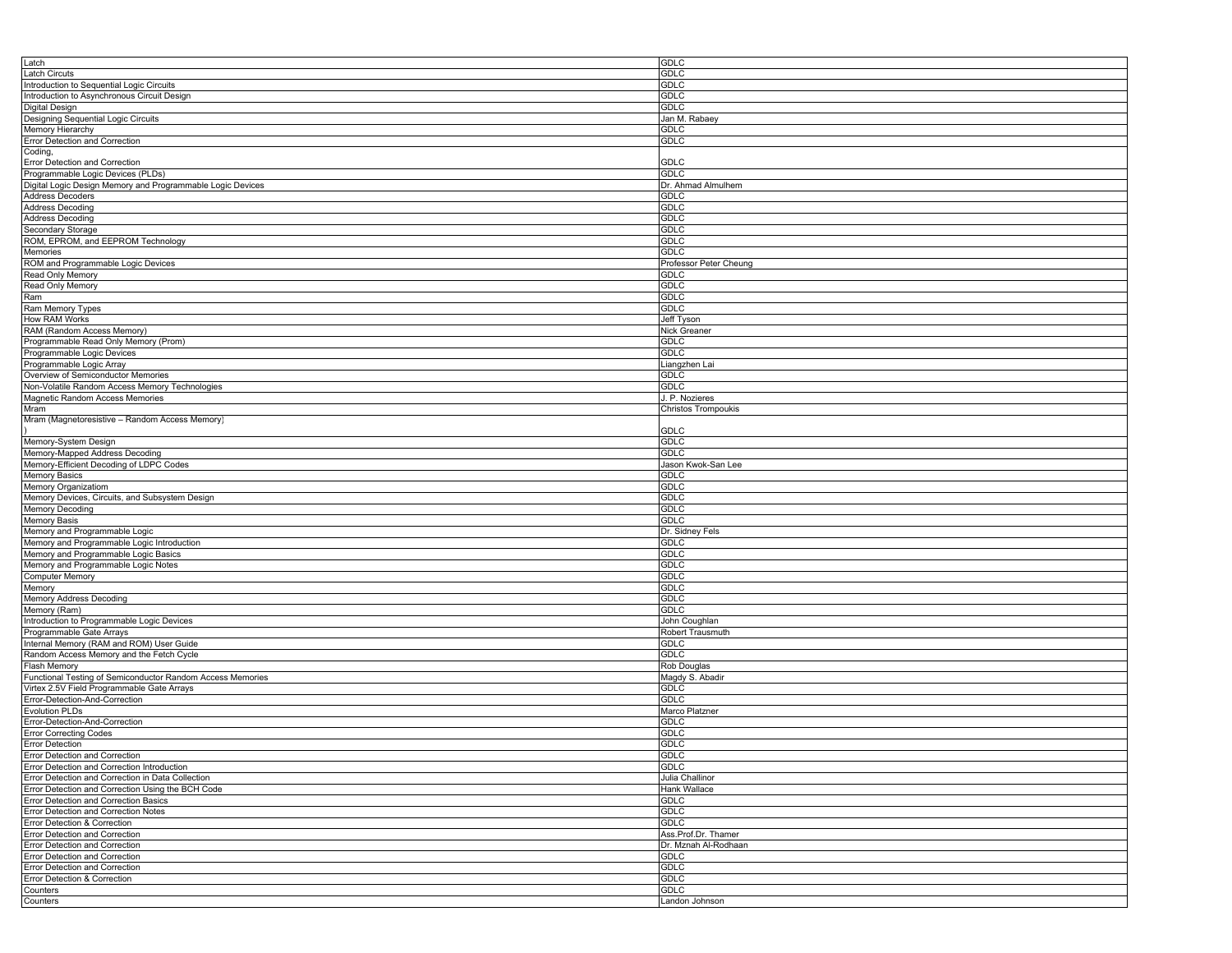| Latch                                                      | <b>GDLC</b>                |
|------------------------------------------------------------|----------------------------|
| Latch Circuts                                              | GDLC                       |
| Introduction to Sequential Logic Circuits                  | <b>GDLC</b>                |
|                                                            | <b>GDLC</b>                |
| Introduction to Asynchronous Circuit Design                |                            |
| Digital Design                                             | <b>GDLC</b>                |
| Designing Sequential Logic Circuits                        | Jan M. Rabaey              |
| Memory Hierarchy                                           | GDLC                       |
| Error Detection and Correction                             | GDLC                       |
| Coding,                                                    |                            |
| Error Detection and Correction                             | <b>GDLC</b>                |
|                                                            | <b>GDLC</b>                |
| Programmable Logic Devices (PLDs)                          |                            |
| Digital Logic Design Memory and Programmable Logic Devices | Dr. Ahmad Almulhem         |
| <b>Address Decoders</b>                                    | <b>GDLC</b>                |
| <b>Address Decoding</b>                                    | <b>GDLC</b>                |
| <b>Address Decoding</b>                                    | GDLC                       |
| Secondary Storage                                          | <b>GDLC</b>                |
| ROM, EPROM, and EEPROM Technology                          | <b>GDLC</b>                |
|                                                            |                            |
| Memories                                                   | <b>GDLC</b>                |
| ROM and Programmable Logic Devices                         | Professor Peter Cheung     |
| Read Only Memory                                           | GDLC                       |
| Read Only Memory                                           | <b>GDLC</b>                |
| Ram                                                        | <b>GDLC</b>                |
| Ram Memory Types                                           | <b>GDLC</b>                |
| How RAM Works                                              | Jeff Tyson                 |
|                                                            |                            |
| RAM (Random Access Memory)                                 | Nick Greaner               |
| Programmable Read Only Memory (Prom)                       | GDLC                       |
| Programmable Logic Devices                                 | <b>GDLC</b>                |
| Programmable Logic Array                                   | Liangzhen Lai              |
| Overview of Semiconductor Memories                         | GDLC                       |
|                                                            | GDLC                       |
| Non-Volatile Random Access Memory Technologies             |                            |
| Magnetic Random Access Memories                            | J. P. Nozieres             |
| Mram                                                       | <b>Christos Trompoukis</b> |
| Mram (Magnetoresistive - Random Access Memory)             |                            |
|                                                            | GDLC                       |
| Memory-System Design                                       | <b>GDLC</b>                |
| Memory-Mapped Address Decoding                             | <b>GDLC</b>                |
| Memory-Efficient Decoding of LDPC Codes                    |                            |
|                                                            | Jason Kwok-San Lee         |
| <b>Memory Basics</b>                                       | GDLC                       |
| Memory Organizatiom                                        | <b>GDLC</b>                |
| Memory Devices, Circuits, and Subsystem Design             | <b>GDLC</b>                |
| Memory Decoding                                            | <b>GDLC</b>                |
| Memory Basis                                               | <b>GDLC</b>                |
|                                                            |                            |
| Memory and Programmable Logic                              | Dr. Sidney Fels            |
| Memory and Programmable Logic Introduction                 | GDLC                       |
| Memory and Programmable Logic Basics                       | <b>GDLC</b>                |
| Memory and Programmable Logic Notes                        | <b>GDLC</b>                |
| <b>Computer Memory</b>                                     | <b>GDLC</b>                |
| Memory                                                     | <b>GDLC</b>                |
| Memory Address Decoding                                    | <b>GDLC</b>                |
|                                                            |                            |
| Memory (Ram)                                               | GDLC                       |
| Introduction to Programmable Logic Devices                 | John Coughlan              |
| Programmable Gate Arrays                                   | Robert Trausmuth           |
| Internal Memory (RAM and ROM) User Guide                   | <b>GDLC</b>                |
| Random Access Memory and the Fetch Cycle                   | <b>GDLC</b>                |
| <b>Flash Memory</b>                                        | Rob Douglas                |
|                                                            |                            |
| Functional Testing of Semiconductor Random Access Memories | Magdy S. Abadir            |
| Virtex 2.5V Field Programmable Gate Arrays                 | <b>GDLC</b>                |
| Error-Detection-And-Correction                             | GDLC                       |
| <b>Evolution PLDs</b>                                      | Marco Platzner             |
| Error-Detection-And-Correction                             | <b>GDLC</b>                |
| <b>Error Correcting Codes</b>                              | <b>GDLC</b>                |
| <b>Error Detection</b>                                     | <b>GDLC</b>                |
| Error Detection and Correction                             | <b>GDLC</b>                |
|                                                            |                            |
| Error Detection and Correction Introduction                | <b>GDLC</b>                |
| Error Detection and Correction in Data Collection          | Julia Challinor            |
| Error Detection and Correction Using the BCH Code          | Hank Wallace               |
| Error Detection and Correction Basics                      | <b>GDLC</b>                |
| Error Detection and Correction Notes                       | <b>GDLC</b>                |
| Error Detection & Correction                               |                            |
|                                                            | <b>GDLC</b>                |
| Error Detection and Correction                             | Ass.Prof.Dr. Thamer        |
| Error Detection and Correction                             | Dr. Mznah Al-Rodhaan       |
| Error Detection and Correction                             | <b>GDLC</b>                |
| Error Detection and Correction                             | <b>GDLC</b>                |
| Error Detection & Correction                               | <b>GDLC</b>                |
| Counters                                                   | <b>GDLC</b>                |
|                                                            |                            |
| Counters                                                   | Landon Johnson             |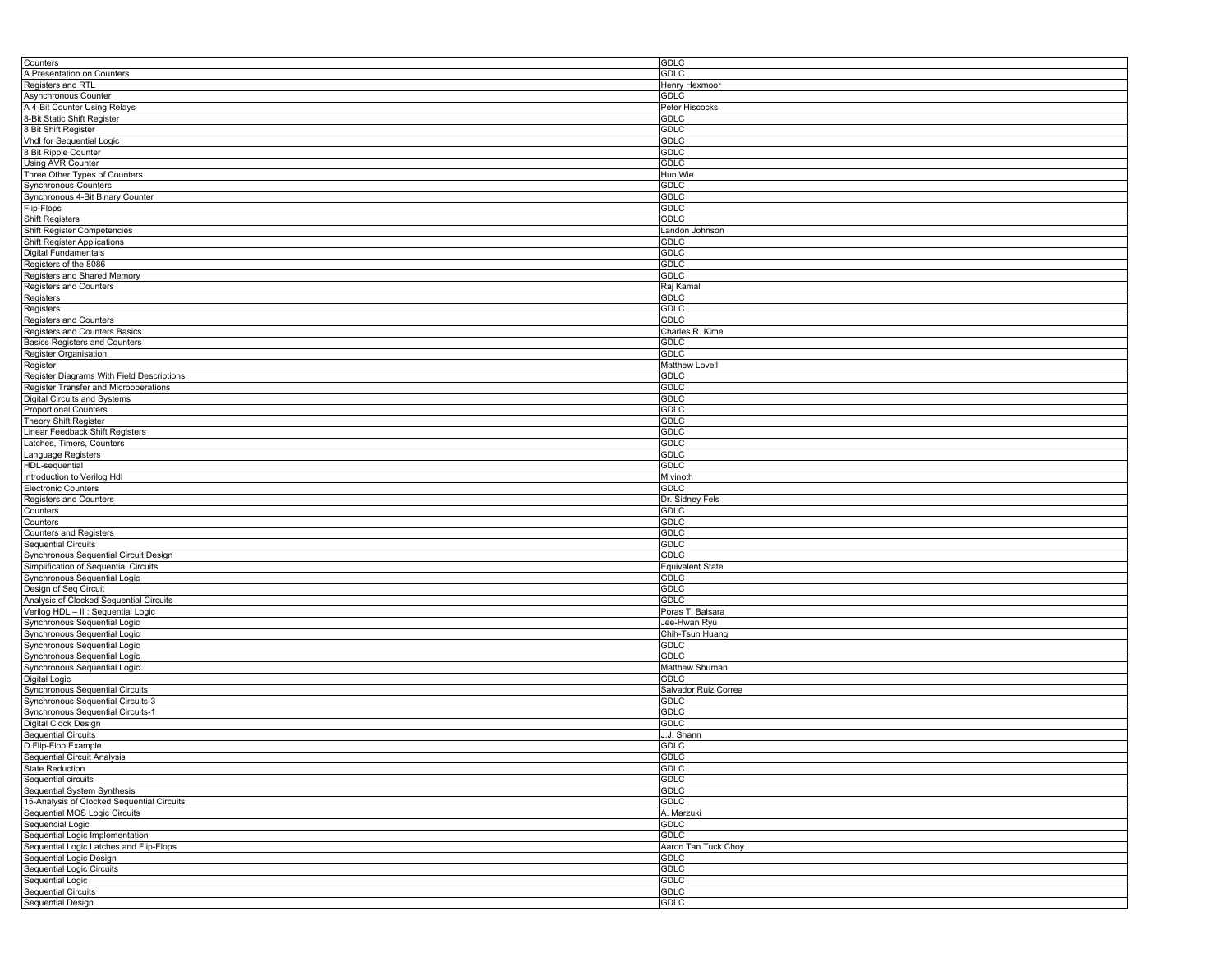| Counters                                   | <b>GDLC</b>             |
|--------------------------------------------|-------------------------|
| A Presentation on Counters                 | <b>GDLC</b>             |
| Registers and RTL                          | Henry Hexmoor           |
| Asynchronous Counter                       | <b>GDLC</b>             |
|                                            |                         |
| A 4-Bit Counter Using Relays               | Peter Hiscocks          |
| 8-Bit Static Shift Register                | GDLC                    |
| 8 Bit Shift Register                       | <b>GDLC</b>             |
| Vhdl for Sequential Logic                  | <b>GDLC</b>             |
| 8 Bit Ripple Counter                       | <b>GDLC</b>             |
| Using AVR Counter                          | <b>GDLC</b>             |
|                                            |                         |
| Three Other Types of Counters              | Hun Wie                 |
| Synchronous-Counters                       | <b>GDLC</b>             |
| Synchronous 4-Bit Binary Counter           | <b>GDLC</b>             |
| Flip-Flops                                 | <b>GDLC</b>             |
| <b>Shift Registers</b>                     | <b>GDLC</b>             |
| <b>Shift Register Competencies</b>         | Landon Johnson          |
| Shift Register Applications                | <b>GDLC</b>             |
|                                            | <b>GDLC</b>             |
| Digital Fundamentals                       |                         |
| Registers of the 8086                      | <b>GDLC</b>             |
| Registers and Shared Memory                | <b>GDLC</b>             |
| <b>Registers and Counters</b>              | Raj Kamal               |
| Registers                                  | <b>GDLC</b>             |
| Registers                                  | <b>GDLC</b>             |
| <b>Registers and Counters</b>              | <b>GDLC</b>             |
|                                            |                         |
| Registers and Counters Basics              | Charles R. Kime         |
| <b>Basics Registers and Counters</b>       | GDLC                    |
| Register Organisation                      | GDLC                    |
| Register                                   | Matthew Lovell          |
| Register Diagrams With Field Descriptions  | GDLC                    |
| Register Transfer and Microoperations      | <b>GDLC</b>             |
|                                            |                         |
| Digital Circuits and Systems               | <b>GDLC</b>             |
| <b>Proportional Counters</b>               | <b>GDLC</b>             |
| Theory Shift Register                      | <b>GDLC</b>             |
| Linear Feedback Shift Registers            | <b>GDLC</b>             |
| Latches, Timers, Counters                  | <b>GDLC</b>             |
| Language Registers                         | <b>GDLC</b>             |
|                                            |                         |
| HDL-sequential                             | <b>GDLC</b>             |
| Introduction to Verilog Hdl                | M.vinoth                |
| <b>Electronic Counters</b>                 | <b>GDLC</b>             |
| Registers and Counters                     | Dr. Sidney Fels         |
| Counters                                   | GDLC                    |
| Counters                                   | <b>GDLC</b>             |
|                                            | <b>GDLC</b>             |
| <b>Counters and Registers</b>              |                         |
| <b>Sequential Circuits</b>                 | <b>GDLC</b>             |
| Synchronous Sequential Circuit Design      | <b>GDLC</b>             |
| Simplification of Sequential Circuits      | <b>Equivalent State</b> |
| Synchronous Sequential Logic               | <b>GDLC</b>             |
| Design of Seq Circuit                      | <b>GDLC</b>             |
| Analysis of Clocked Sequential Circuits    | <b>GDLC</b>             |
|                                            |                         |
| Verilog HDL - II : Sequential Logic        | Poras T. Balsara        |
| Synchronous Sequential Logic               | Jee-Hwan Ryu            |
| Synchronous Sequential Logic               | Chih-Tsun Huang         |
| Synchronous Sequential Logic               | GDLC                    |
| Synchronous Sequential Logic               | <b>GDLC</b>             |
| Synchronous Sequential Logic               | Matthew Shuman          |
| Digital Logic                              | <b>GDLC</b>             |
|                                            |                         |
| Synchronous Sequential Circuits            | Salvador Ruiz Correa    |
| Synchronous Sequential Circuits-3          | <b>GDLC</b>             |
| Synchronous Sequential Circuits-1          | <b>GDLC</b>             |
| Digital Clock Design                       | <b>GDLC</b>             |
| <b>Sequential Circuits</b>                 | J.J. Shann              |
| D Flip-Flop Example                        | <b>GDLC</b>             |
|                                            |                         |
| <b>Sequential Circuit Analysis</b>         | <b>GDLC</b>             |
| <b>State Reduction</b>                     | <b>GDLC</b>             |
| Sequential circuits                        | <b>GDLC</b>             |
| Sequential System Synthesis                | GDLC                    |
| 15-Analysis of Clocked Sequential Circuits | <b>GDLC</b>             |
| Sequential MOS Logic Circuits              | A. Marzuki              |
| Sequencial Logic                           | <b>GDLC</b>             |
|                                            |                         |
| Sequential Logic Implementation            | <b>GDLC</b>             |
| Sequential Logic Latches and Flip-Flops    | Aaron Tan Tuck Choy     |
| Sequential Logic Design                    | <b>GDLC</b>             |
| <b>Sequential Logic Circuits</b>           | <b>GDLC</b>             |
| Sequential Logic                           | <b>GDLC</b>             |
| <b>Sequential Circuits</b>                 | <b>GDLC</b>             |
|                                            |                         |
| Sequential Design                          | <b>GDLC</b>             |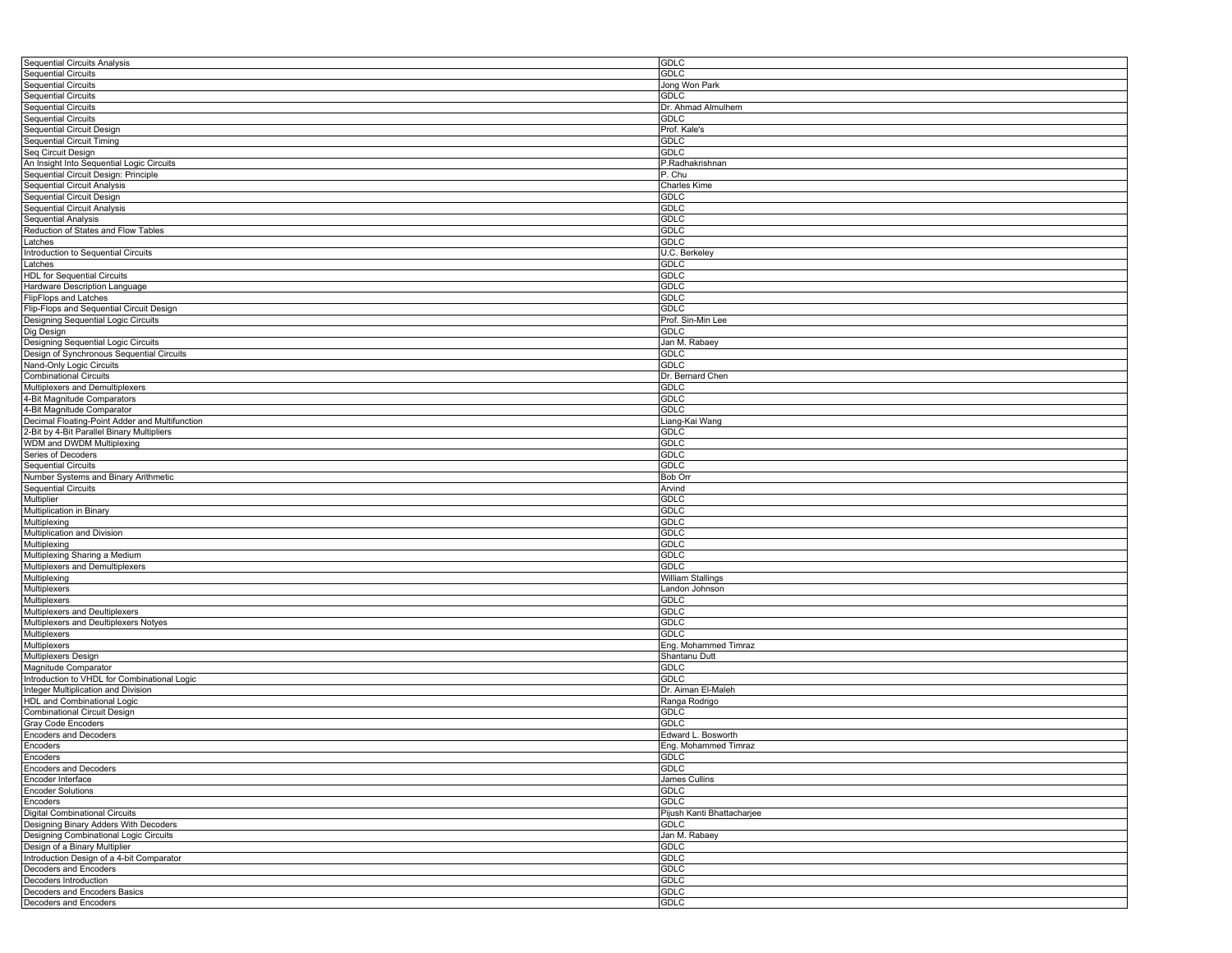| <b>Sequential Circuits Analysis</b>            | <b>GDLC</b>                |
|------------------------------------------------|----------------------------|
| Sequential Circuits                            | <b>GDLC</b>                |
| Sequential Circuits                            | Jong Won Park              |
| <b>Sequential Circuits</b>                     | <b>GDLC</b>                |
| <b>Sequential Circuits</b>                     | Dr. Ahmad Almulhem         |
|                                                |                            |
| <b>Sequential Circuits</b>                     | <b>GDLC</b>                |
| Sequential Circuit Design                      | Prof. Kale's               |
| <b>Sequential Circuit Timing</b>               | <b>GDLC</b>                |
| Seq Circuit Design                             | <b>GDLC</b>                |
| An Insight Into Sequential Logic Circuits      | P.Radhakrishnan            |
| Sequential Circuit Design: Principle           | P. Chu                     |
| <b>Sequential Circuit Analysis</b>             | Charles Kime               |
| Sequential Circuit Design                      | <b>GDLC</b>                |
| <b>Sequential Circuit Analysis</b>             | <b>GDLC</b>                |
| Sequential Analysis                            | <b>GDLC</b>                |
| Reduction of States and Flow Tables            | <b>GDLC</b>                |
|                                                | <b>GDLC</b>                |
| Latches                                        |                            |
| Introduction to Sequential Circuits            | U.C. Berkeley              |
| Latches                                        | GDLC                       |
| <b>HDL</b> for Sequential Circuits             | <b>GDLC</b>                |
| Hardware Description Language                  | <b>GDLC</b>                |
| FlipFlops and Latches                          | <b>GDLC</b>                |
| Flip-Flops and Sequential Circuit Design       | <b>GDLC</b>                |
| Designing Sequential Logic Circuits            | Prof. Sin-Min Lee          |
| Dig Design                                     | <b>GDLC</b>                |
| Designing Sequential Logic Circuits            | Jan M. Rabaey              |
|                                                | <b>GDLC</b>                |
| Design of Synchronous Sequential Circuits      |                            |
| Nand-Only Logic Circuits                       | <b>GDLC</b>                |
| <b>Combinational Circuits</b>                  | Dr. Bernard Chen           |
| Multiplexers and Demultiplexers                | <b>GDLC</b>                |
| 4-Bit Magnitude Comparators                    | <b>GDLC</b>                |
| 4-Bit Magnitude Comparator                     | GDLC                       |
| Decimal Floating-Point Adder and Multifunction | Liang-Kai Wang             |
| 2-Bit by 4-Bit Parallel Binary Multipliers     | GDLC                       |
| WDM and DWDM Multiplexing                      | <b>GDLC</b>                |
| Series of Decoders                             | <b>GDLC</b>                |
|                                                | <b>GDLC</b>                |
| <b>Sequential Circuits</b>                     |                            |
| Number Systems and Binary Arithmetic           | <b>Bob Orr</b>             |
| <b>Sequential Circuits</b>                     | Arvind                     |
| Multiplier                                     | <b>GDLC</b>                |
| Multiplication in Binary                       | <b>GDLC</b>                |
| Multiplexing                                   | <b>GDLC</b>                |
| Multiplication and Division                    | <b>GDLC</b>                |
| Multiplexing                                   | <b>GDLC</b>                |
| Multiplexing Sharing a Medium                  | <b>GDLC</b>                |
| Multiplexers and Demultiplexers                | GDLC                       |
| Multiplexing                                   | William Stallings          |
| Multiplexers                                   | Landon Johnson             |
|                                                |                            |
| Multiplexers                                   | <b>GDLC</b>                |
| Multiplexers and Deultiplexers                 | <b>GDLC</b>                |
| Multiplexers and Deultiplexers Notyes          | <b>GDLC</b>                |
| Multiplexers                                   | <b>GDLC</b>                |
| Multiplexers                                   | Eng. Mohammed Timraz       |
| Multiplexers Design                            | Shantanu Dutt              |
| Magnitude Comparator                           | <b>GDLC</b>                |
| Introduction to VHDL for Combinational Logic   | <b>GDLC</b>                |
| Integer Multiplication and Division            | Dr. Aiman El-Maleh         |
| <b>HDL</b> and Combinational Logic             | Ranga Rodrigo              |
| Combinational Circuit Design                   | <b>GDLC</b>                |
|                                                | <b>GDLC</b>                |
| Gray Code Encoders                             |                            |
| <b>Encoders and Decoders</b>                   | Edward L. Bosworth         |
| Encoders                                       | Eng. Mohammed Timraz       |
| Encoders                                       | <b>GDLC</b>                |
| <b>Encoders and Decoders</b>                   | <b>GDLC</b>                |
| Encoder Interface                              | James Cullins              |
| <b>Encoder Solutions</b>                       | GDLC                       |
| Encoders                                       | <b>GDLC</b>                |
| <b>Digital Combinational Circuits</b>          | Pijush Kanti Bhattacharjee |
| Designing Binary Adders With Decoders          | <b>GDLC</b>                |
|                                                |                            |
| Designing Combinational Logic Circuits         | Jan M. Rabaey              |
| Design of a Binary Multiplier                  | <b>GDLC</b>                |
| Introduction Design of a 4-bit Comparator      | <b>GDLC</b>                |
| Decoders and Encoders                          | <b>GDLC</b>                |
| Decoders Introduction                          | <b>GDLC</b>                |
| Decoders and Encoders Basics                   | <b>GDLC</b>                |
| Decoders and Encoders                          | GDLC                       |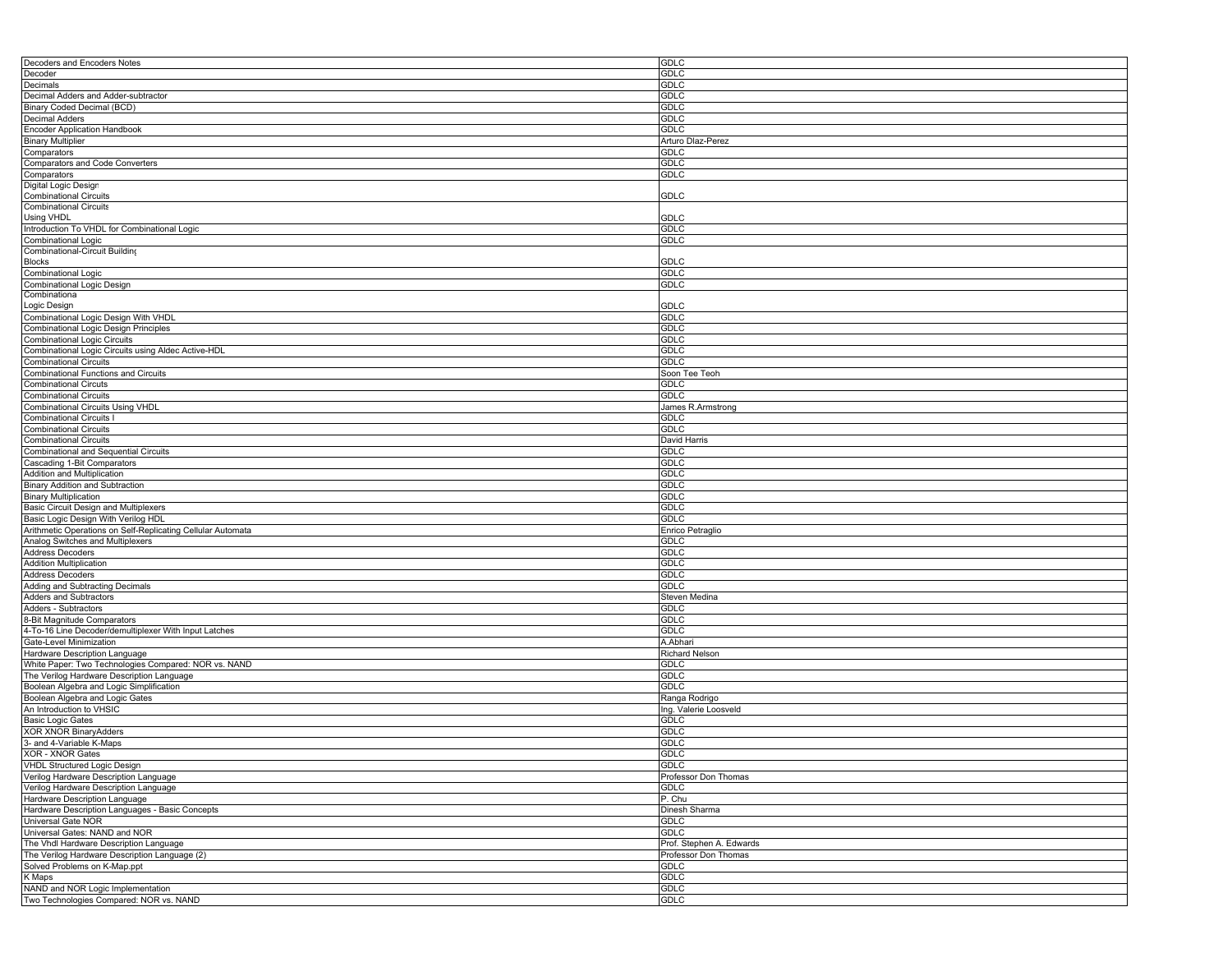| Decoders and Encoders Notes                                                           | GDLC                                   |
|---------------------------------------------------------------------------------------|----------------------------------------|
| Decoder                                                                               | GDLC                                   |
| Decimals                                                                              | GDLC                                   |
| Decimal Adders and Adder-subtractor                                                   | <b>GDLC</b>                            |
| Binary Coded Decimal (BCD)                                                            | <b>GDLC</b>                            |
| Decimal Adders                                                                        | GDLC                                   |
| <b>Encoder Application Handbook</b>                                                   | <b>GDLC</b>                            |
| <b>Binary Multiplier</b>                                                              | Arturo Dlaz-Perez                      |
| Comparators                                                                           | <b>GDLC</b>                            |
| Comparators and Code Converters                                                       | <b>GDLC</b>                            |
| Comparators                                                                           | GDLC                                   |
| Digital Logic Design                                                                  |                                        |
| <b>Combinational Circuits</b>                                                         | GDLC                                   |
| <b>Combinational Circuits</b>                                                         |                                        |
| Using VHDL                                                                            | GDLC                                   |
| Introduction To VHDL for Combinational Logic                                          | <b>GDLC</b>                            |
| Combinational Logic                                                                   | <b>GDLC</b>                            |
| Combinational-Circuit Building                                                        |                                        |
| Blocks                                                                                | GDLC                                   |
| Combinational Logic                                                                   | <b>GDLC</b>                            |
| Combinational Logic Design                                                            | GDLC                                   |
| Combinationa                                                                          |                                        |
| Logic Design                                                                          | GDLC                                   |
| Combinational Logic Design With VHDL                                                  | GDLC                                   |
| Combinational Logic Design Principles                                                 | <b>GDLC</b>                            |
| Combinational Logic Circuits                                                          | <b>GDLC</b>                            |
| Combinational Logic Circuits using Aldec Active-HDL                                   | <b>GDLC</b>                            |
| <b>Combinational Circuits</b>                                                         | <b>GDLC</b>                            |
| Combinational Functions and Circuits                                                  | Soon Tee Teoh                          |
| <b>Combinational Circuts</b>                                                          | <b>GDLC</b>                            |
| <b>Combinational Circuits</b>                                                         | GDLC                                   |
| Combinational Circuits Using VHDL                                                     | James R.Armstrong                      |
| <b>Combinational Circuits I</b>                                                       | GDLC                                   |
| <b>Combinational Circuits</b>                                                         | <b>GDLC</b>                            |
| <b>Combinational Circuits</b>                                                         | David Harris                           |
| Combinational and Sequential Circuits                                                 | <b>GDLC</b>                            |
| Cascading 1-Bit Comparators                                                           | GDLC                                   |
| Addition and Multiplication                                                           | <b>GDLC</b>                            |
|                                                                                       |                                        |
| Binary Addition and Subtraction                                                       | GDLC                                   |
| <b>Binary Multiplication</b>                                                          | <b>GDLC</b>                            |
| Basic Circuit Design and Multiplexers                                                 | <b>GDLC</b>                            |
| Basic Logic Design With Verilog HDL                                                   | GDLC                                   |
| Arithmetic Operations on Self-Replicating Cellular Automata                           | Enrico Petraglio                       |
| Analog Switches and Multiplexers                                                      | GDLC                                   |
| <b>Address Decoders</b>                                                               | <b>GDLC</b>                            |
| <b>Addition Multiplication</b>                                                        | <b>GDLC</b>                            |
| <b>Address Decoders</b>                                                               | GDLC                                   |
| Adding and Subtracting Decimals                                                       | GDLC                                   |
| <b>Adders and Subtractors</b>                                                         | Steven Medina                          |
| Adders - Subtractors                                                                  | <b>GDLC</b>                            |
| <b>B-Bit Magnitude Comparators</b>                                                    | <b>GDLC</b>                            |
| 4-To-16 Line Decoder/demultiplexer With Input Latches                                 | GDLC                                   |
| Gate-Level Minimization                                                               | A.Abhari                               |
| Hardware Description Language                                                         | <b>Richard Nelson</b>                  |
| White Paper: Two Technologies Compared: NOR vs. NAND                                  | <b>GDLC</b>                            |
|                                                                                       | <b>GDLC</b>                            |
| The Verilog Hardware Description Language<br>Boolean Algebra and Logic Simplification | GDLC                                   |
| Boolean Algebra and Logic Gates                                                       |                                        |
| An Introduction to VHSIC                                                              | Ranga Rodrigo<br>Ing. Valerie Loosveld |
| <b>Basic Logic Gates</b>                                                              | <b>GDLC</b>                            |
|                                                                                       |                                        |
| <b>XOR XNOR BinaryAdders</b><br>3- and 4-Variable K-Maps                              | <b>GDLC</b><br><b>GDLC</b>             |
| XOR - XNOR Gates                                                                      | GDLC                                   |
| <b>VHDL Structured Logic Design</b>                                                   | <b>GDLC</b>                            |
| Verilog Hardware Description Language                                                 | Professor Don Thomas                   |
| Verilog Hardware Description Language                                                 | <b>GDLC</b>                            |
| Hardware Description Language                                                         | P. Chu                                 |
| Hardware Description Languages - Basic Concepts                                       | Dinesh Sharma                          |
| Universal Gate NOR                                                                    | <b>GDLC</b>                            |
| Universal Gates: NAND and NOR                                                         | <b>GDLC</b>                            |
| The Vhdl Hardware Description Language                                                | Prof. Stephen A. Edwards               |
| The Verilog Hardware Description Language (2)                                         | Professor Don Thomas                   |
| Solved Problems on K-Map.ppt                                                          | <b>GDLC</b>                            |
| K Maps                                                                                | <b>GDLC</b>                            |
| NAND and NOR Logic Implementation                                                     | <b>GDLC</b>                            |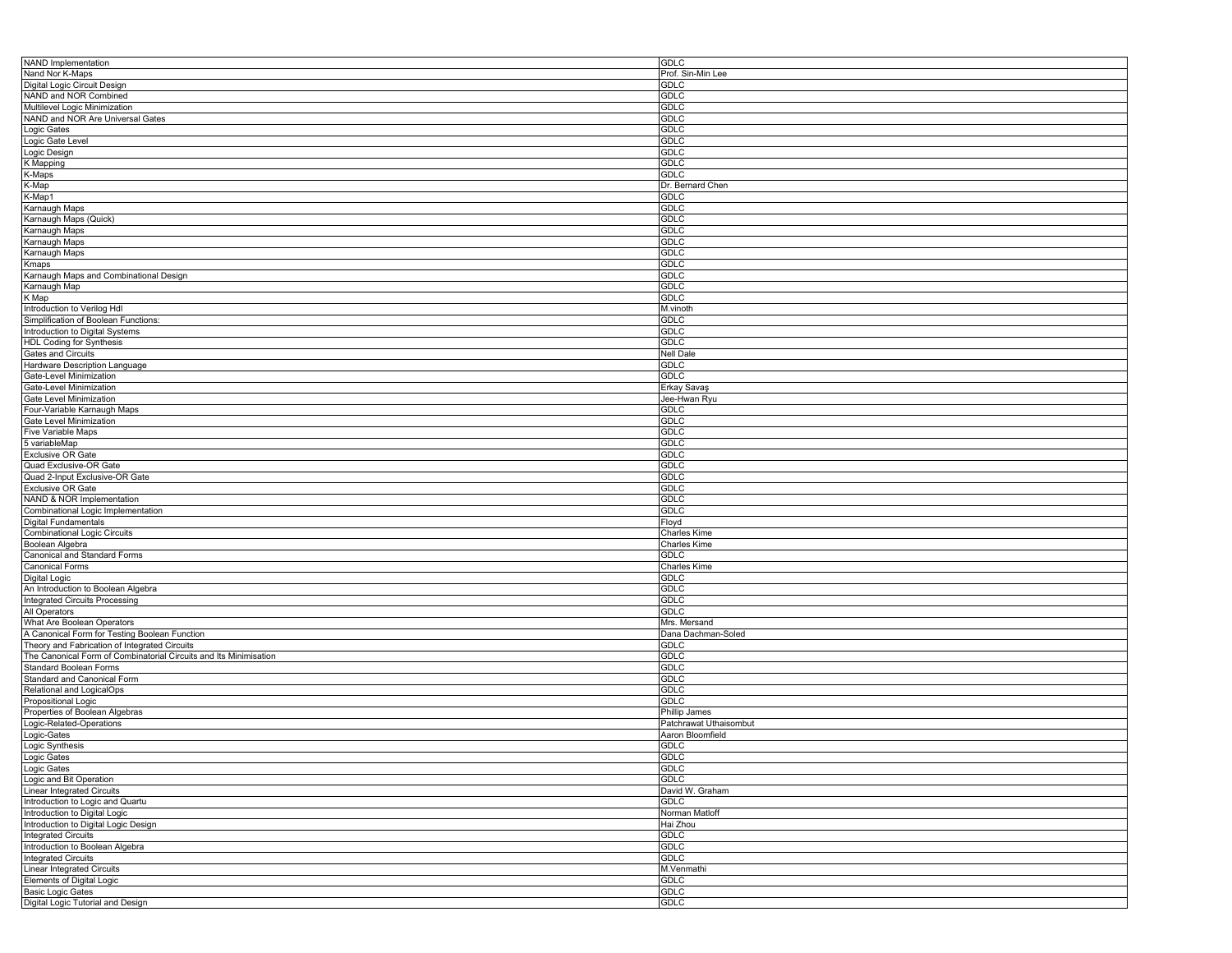| NAND Implementation                                               | <b>GDLC</b>            |
|-------------------------------------------------------------------|------------------------|
| Nand Nor K-Maps                                                   | Prof. Sin-Min Lee      |
| Digital Logic Circuit Design                                      | <b>GDLC</b>            |
| NAND and NOR Combined                                             | <b>GDLC</b>            |
| Multilevel Logic Minimization                                     | <b>GDLC</b>            |
| NAND and NOR Are Universal Gates                                  | <b>GDLC</b>            |
| Logic Gates                                                       | <b>GDLC</b>            |
| Logic Gate Level                                                  | <b>GDLC</b>            |
| Logic Design                                                      | <b>GDLC</b>            |
| K Mapping                                                         | <b>GDLC</b>            |
| K-Maps                                                            | GDLC                   |
| K-Map                                                             | Dr. Bernard Chen       |
| K-Map1                                                            | <b>GDLC</b>            |
| Karnaugh Maps                                                     | <b>GDLC</b>            |
| Karnaugh Maps (Quick)                                             | <b>GDLC</b>            |
|                                                                   | <b>GDLC</b>            |
| Karnaugh Maps                                                     | <b>GDLC</b>            |
| Karnaugh Maps                                                     | <b>GDLC</b>            |
| Karnaugh Maps                                                     |                        |
| Kmaps                                                             | <b>GDLC</b>            |
| Karnaugh Maps and Combinational Design                            | <b>GDLC</b>            |
| Karnaugh Map                                                      | <b>GDLC</b>            |
| K Map                                                             | <b>GDLC</b>            |
| Introduction to Verilog Hdl                                       | M.vinoth               |
| Simplification of Boolean Functions:                              | <b>GDLC</b>            |
| Introduction to Digital Systems                                   | <b>GDLC</b>            |
| HDL Coding for Synthesis                                          | <b>GDLC</b>            |
| Gates and Circuits                                                | <b>Nell Dale</b>       |
| Hardware Description Language                                     | <b>GDLC</b>            |
| Gate-Level Minimization                                           | <b>GDLC</b>            |
| Gate-Level Minimization                                           | Erkay Savaş            |
| Gate Level Minimization                                           | Jee-Hwan Ryu           |
| Four-Variable Karnaugh Maps                                       | <b>GDLC</b>            |
| Gate Level Minimization                                           | <b>GDLC</b>            |
| <b>Five Variable Maps</b>                                         | <b>GDLC</b>            |
| 5 variableMap                                                     | <b>GDLC</b>            |
| Exclusive OR Gate                                                 | <b>GDLC</b>            |
| Quad Exclusive-OR Gate                                            | <b>GDLC</b>            |
| Quad 2-Input Exclusive-OR Gate                                    | <b>GDLC</b>            |
| Exclusive OR Gate                                                 | <b>GDLC</b>            |
| NAND & NOR Implementation                                         | <b>GDLC</b>            |
| Combinational Logic Implementation                                | <b>GDLC</b>            |
| Digital Fundamentals                                              | Floyd                  |
| <b>Combinational Logic Circuits</b>                               | Charles Kime           |
| Boolean Algebra                                                   | Charles Kime           |
| Canonical and Standard Forms                                      | <b>GDLC</b>            |
| Canonical Forms                                                   | Charles Kime           |
| Digital Logic                                                     | <b>GDLC</b>            |
| An Introduction to Boolean Algebra                                | GDLC                   |
| <b>Integrated Circuits Processing</b>                             | <b>GDLC</b>            |
| All Operators                                                     | <b>GDLC</b>            |
| What Are Boolean Operators                                        | Mrs. Mersand           |
|                                                                   |                        |
| A Canonical Form for Testing Boolean Function                     | Dana Dachman-Soled     |
| Theory and Fabrication of Integrated Circuits                     | GDLC                   |
| The Canonical Form of Combinatorial Circuits and Its Minimisation | <b>GDLC</b>            |
| Standard Boolean Forms                                            | <b>GDLC</b>            |
| Standard and Canonical Form                                       | <b>GDLC</b>            |
| Relational and LogicalOps                                         | <b>GDLC</b>            |
| Propositional Logic                                               | <b>GDLC</b>            |
| Properties of Boolean Algebras                                    | Phillip James          |
| Logic-Related-Operations                                          | Patchrawat Uthaisombut |
| Logic-Gates                                                       | Aaron Bloomfield       |
| Logic Synthesis                                                   | <b>GDLC</b>            |
| Logic Gates                                                       | <b>GDLC</b>            |
| Logic Gates                                                       | <b>GDLC</b>            |
| Logic and Bit Operation                                           | <b>GDLC</b>            |
| <b>Linear Integrated Circuits</b>                                 | David W. Graham        |
| Introduction to Logic and Quartu                                  | GDLC                   |
| Introduction to Digital Logic                                     | Norman Matloff         |
| Introduction to Digital Logic Design                              | Hai Zhou               |
| <b>Integrated Circuits</b>                                        | <b>GDLC</b>            |
| Introduction to Boolean Algebra                                   | GDLC                   |
| <b>Integrated Circuits</b>                                        | <b>GDLC</b>            |
| <b>Linear Integrated Circuits</b>                                 | M.Venmathi             |
| Elements of Digital Logic                                         | <b>GDLC</b>            |
| <b>Basic Logic Gates</b>                                          | <b>GDLC</b>            |
| Digital Logic Tutorial and Design                                 | GDLC                   |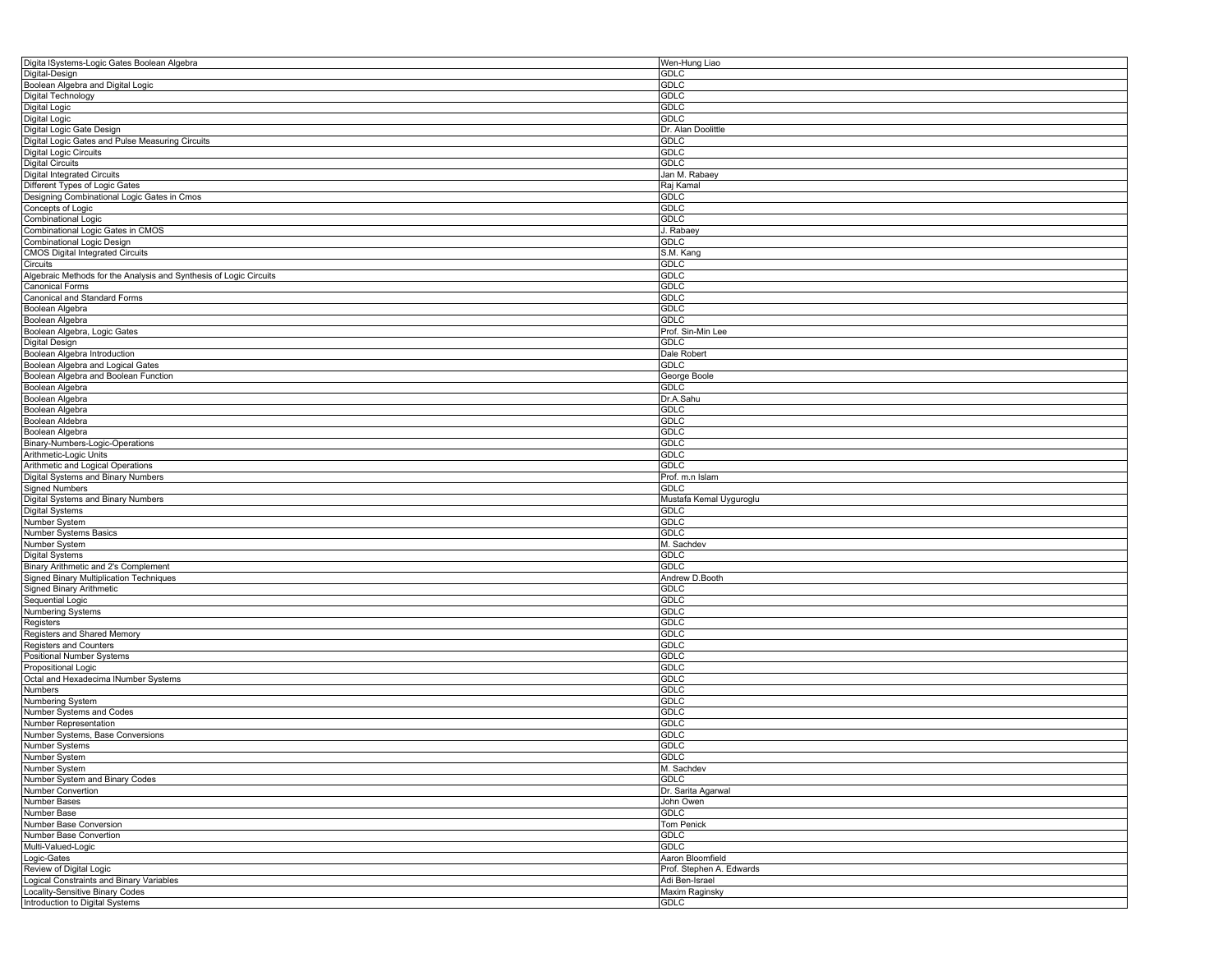| Digita lSystems-Logic Gates Boolean Algebra                                                                                                                                                                                                                                                                                                          | Wen-Hung Liao                                |
|------------------------------------------------------------------------------------------------------------------------------------------------------------------------------------------------------------------------------------------------------------------------------------------------------------------------------------------------------|----------------------------------------------|
| Digital-Design                                                                                                                                                                                                                                                                                                                                       | GDLC                                         |
| Boolean Algebra and Digital Logic                                                                                                                                                                                                                                                                                                                    | <b>GDLC</b>                                  |
| Digital Technology                                                                                                                                                                                                                                                                                                                                   | GDLC                                         |
| Digital Logic                                                                                                                                                                                                                                                                                                                                        | <b>GDLC</b>                                  |
| Digital Logic                                                                                                                                                                                                                                                                                                                                        | <b>GDLC</b>                                  |
| Digital Logic Gate Design                                                                                                                                                                                                                                                                                                                            | Dr. Alan Doolittle                           |
| Digital Logic Gates and Pulse Measuring Circuits                                                                                                                                                                                                                                                                                                     | <b>GDLC</b>                                  |
| Digital Logic Circuits                                                                                                                                                                                                                                                                                                                               | GDLC                                         |
| <b>Digital Circuits</b>                                                                                                                                                                                                                                                                                                                              | <b>GDLC</b>                                  |
| <b>Digital Integrated Circuits</b>                                                                                                                                                                                                                                                                                                                   | Jan M. Rabaey                                |
| Different Types of Logic Gates                                                                                                                                                                                                                                                                                                                       | Raj Kamal                                    |
| Designing Combinational Logic Gates in Cmos                                                                                                                                                                                                                                                                                                          | <b>GDLC</b>                                  |
| Concepts of Logic                                                                                                                                                                                                                                                                                                                                    | GDLC                                         |
| <b>Combinational Logic</b>                                                                                                                                                                                                                                                                                                                           | <b>GDLC</b>                                  |
| Combinational Logic Gates in CMOS                                                                                                                                                                                                                                                                                                                    | J. Rabaey                                    |
| Combinational Logic Design                                                                                                                                                                                                                                                                                                                           | GDLC                                         |
| <b>CMOS Digital Integrated Circuits</b>                                                                                                                                                                                                                                                                                                              | S.M. Kang                                    |
| Circuits                                                                                                                                                                                                                                                                                                                                             | <b>GDLC</b>                                  |
| Algebraic Methods for the Analysis and Synthesis of Logic Circuits                                                                                                                                                                                                                                                                                   | GDLC                                         |
| <b>Canonical Forms</b>                                                                                                                                                                                                                                                                                                                               | GDLC                                         |
| Canonical and Standard Forms                                                                                                                                                                                                                                                                                                                         | GDLC                                         |
| Boolean Algebra                                                                                                                                                                                                                                                                                                                                      | <b>GDLC</b>                                  |
| Boolean Algebra                                                                                                                                                                                                                                                                                                                                      | <b>GDLC</b>                                  |
| Boolean Algebra, Logic Gates                                                                                                                                                                                                                                                                                                                         | Prof. Sin-Min Lee                            |
| Digital Design                                                                                                                                                                                                                                                                                                                                       | <b>GDLC</b>                                  |
| Boolean Algebra Introduction                                                                                                                                                                                                                                                                                                                         | Dale Robert                                  |
| Boolean Algebra and Logical Gates                                                                                                                                                                                                                                                                                                                    | <b>GDLC</b>                                  |
| Boolean Algebra and Boolean Function                                                                                                                                                                                                                                                                                                                 | George Boole                                 |
| Boolean Algebra                                                                                                                                                                                                                                                                                                                                      | GDLC                                         |
| Boolean Algebra                                                                                                                                                                                                                                                                                                                                      | Dr.A.Sahu                                    |
| Boolean Algebra                                                                                                                                                                                                                                                                                                                                      | GDLC                                         |
| Boolean Aldebra                                                                                                                                                                                                                                                                                                                                      | GDLC                                         |
| Boolean Algebra                                                                                                                                                                                                                                                                                                                                      | GDLC                                         |
| Binary-Numbers-Logic-Operations                                                                                                                                                                                                                                                                                                                      | <b>GDLC</b>                                  |
| Arithmetic-Logic Units                                                                                                                                                                                                                                                                                                                               | GDLC                                         |
|                                                                                                                                                                                                                                                                                                                                                      | GDLC                                         |
| Arithmetic and Logical Operations                                                                                                                                                                                                                                                                                                                    |                                              |
| Digital Systems and Binary Numbers<br><b>Signed Numbers</b>                                                                                                                                                                                                                                                                                          | Prof. m.n Islam<br>GDLC                      |
|                                                                                                                                                                                                                                                                                                                                                      |                                              |
| Digital Systems and Binary Numbers                                                                                                                                                                                                                                                                                                                   | Mustafa Kemal Uyguroglu                      |
| Digital Systems                                                                                                                                                                                                                                                                                                                                      | GDLC                                         |
| Number System                                                                                                                                                                                                                                                                                                                                        | GDLC                                         |
| Number Systems Basics<br>Number System                                                                                                                                                                                                                                                                                                               | GDLC                                         |
|                                                                                                                                                                                                                                                                                                                                                      | M. Sachdev                                   |
|                                                                                                                                                                                                                                                                                                                                                      |                                              |
|                                                                                                                                                                                                                                                                                                                                                      | GDLC                                         |
|                                                                                                                                                                                                                                                                                                                                                      | GDLC                                         |
|                                                                                                                                                                                                                                                                                                                                                      | Andrew D.Booth                               |
|                                                                                                                                                                                                                                                                                                                                                      | GDLC                                         |
|                                                                                                                                                                                                                                                                                                                                                      | <b>GDLC</b>                                  |
|                                                                                                                                                                                                                                                                                                                                                      | <b>GDLC</b>                                  |
|                                                                                                                                                                                                                                                                                                                                                      | GDLC                                         |
|                                                                                                                                                                                                                                                                                                                                                      | <b>GDLC</b>                                  |
|                                                                                                                                                                                                                                                                                                                                                      | GDLC                                         |
|                                                                                                                                                                                                                                                                                                                                                      | <b>GDLC</b>                                  |
|                                                                                                                                                                                                                                                                                                                                                      | GDLC                                         |
|                                                                                                                                                                                                                                                                                                                                                      | GDLC                                         |
| Digital Systems<br>Binary Arithmetic and 2's Complement<br>Signed Binary Multiplication Techniques<br>Signed Binary Arithmetic<br>Sequential Logic<br>Numbering Systems<br>Registers<br>Registers and Shared Memory<br>Registers and Counters<br>Positional Number Systems<br>Propositional Logic<br>Octal and Hexadecima INumber Systems<br>Numbers | GDLC                                         |
| Numbering System                                                                                                                                                                                                                                                                                                                                     | GDLC                                         |
| Number Systems and Codes                                                                                                                                                                                                                                                                                                                             | GDLC                                         |
| Number Representation                                                                                                                                                                                                                                                                                                                                | GDLC                                         |
| Number Systems, Base Conversions                                                                                                                                                                                                                                                                                                                     | <b>GDLC</b>                                  |
| Number Systems                                                                                                                                                                                                                                                                                                                                       | GDLC                                         |
|                                                                                                                                                                                                                                                                                                                                                      | <b>GDLC</b>                                  |
| Number System<br>Number System                                                                                                                                                                                                                                                                                                                       | M. Sachdev                                   |
| Number System and Binary Codes                                                                                                                                                                                                                                                                                                                       | GDLC                                         |
| Number Convertion                                                                                                                                                                                                                                                                                                                                    | Dr. Sarita Agarwal                           |
| Number Bases                                                                                                                                                                                                                                                                                                                                         | John Owen                                    |
| Number Base                                                                                                                                                                                                                                                                                                                                          | <b>GDLC</b>                                  |
| Number Base Conversion                                                                                                                                                                                                                                                                                                                               |                                              |
| Number Base Convertion                                                                                                                                                                                                                                                                                                                               | Tom Penick<br>GDLC                           |
| Multi-Valued-Logic                                                                                                                                                                                                                                                                                                                                   | GDLC                                         |
|                                                                                                                                                                                                                                                                                                                                                      |                                              |
| Logic-Gates<br>Review of Digital Logic                                                                                                                                                                                                                                                                                                               | Aaron Bloomfield<br>Prof. Stephen A. Edwards |
|                                                                                                                                                                                                                                                                                                                                                      |                                              |
| Logical Constraints and Binary Variables                                                                                                                                                                                                                                                                                                             | Adi Ben-Israel                               |
| Locality-Sensitive Binary Codes<br>Introduction to Digital Systems                                                                                                                                                                                                                                                                                   | Maxim Raginsky<br><b>GDLC</b>                |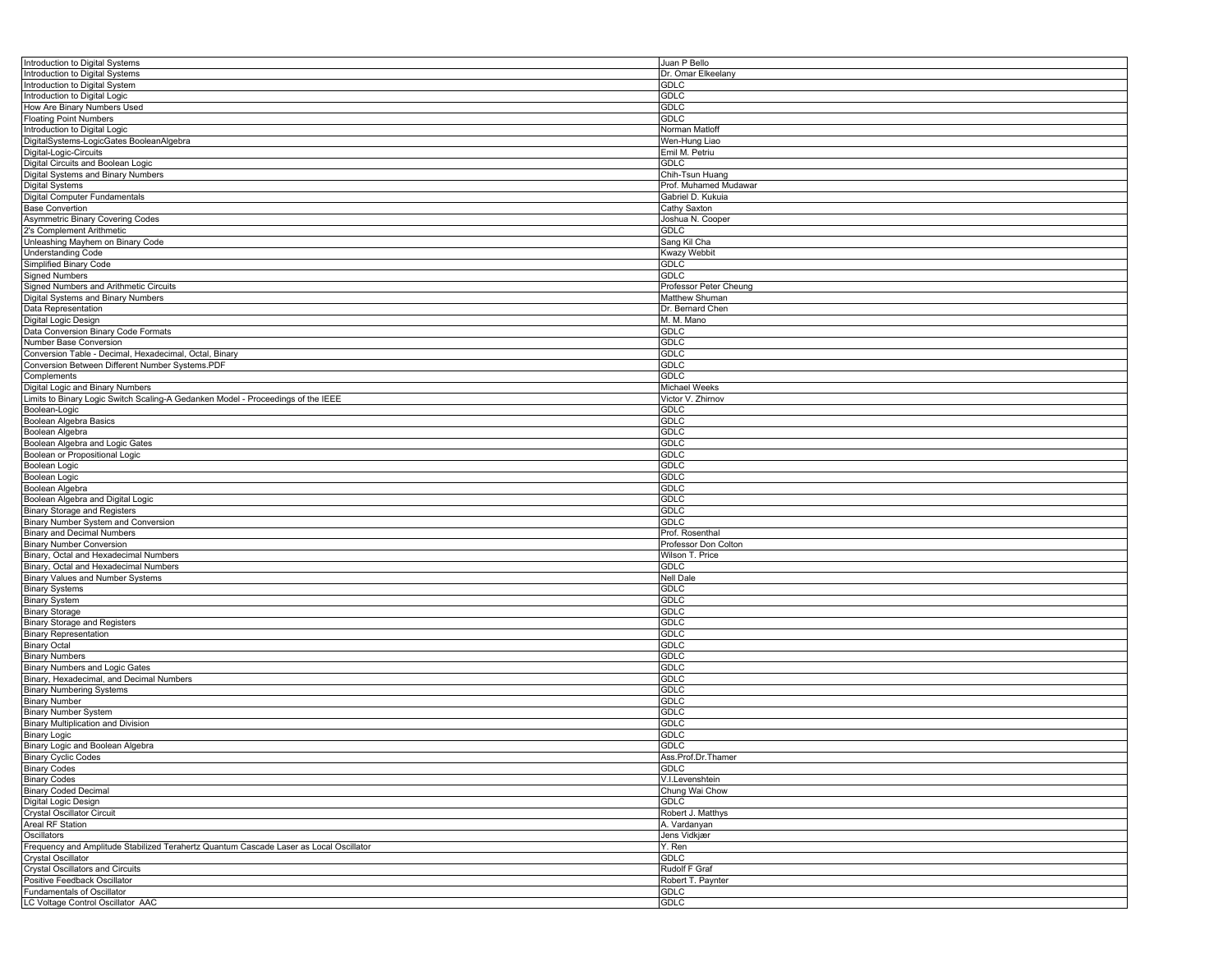| Introduction to Digital Systems                                                        | Juan P Bello           |
|----------------------------------------------------------------------------------------|------------------------|
| Introduction to Digital Systems                                                        | Dr. Omar Elkeelany     |
| Introduction to Digital System                                                         | <b>GDLC</b>            |
| Introduction to Digital Logic                                                          | <b>GDLC</b>            |
| How Are Binary Numbers Used                                                            | <b>GDLC</b>            |
| <b>Floating Point Numbers</b>                                                          | <b>GDLC</b>            |
| Introduction to Digital Logic                                                          | Norman Matloff         |
| DigitalSystems-LogicGates BooleanAlgebra                                               | Wen-Hung Liao          |
|                                                                                        |                        |
| Digital-Logic-Circuits                                                                 | Emil M. Petriu         |
| Digital Circuits and Boolean Logic                                                     | GDLC                   |
| Digital Systems and Binary Numbers                                                     | Chih-Tsun Huang        |
| Digital Systems                                                                        | Prof. Muhamed Mudawar  |
| Digital Computer Fundamentals                                                          | Gabriel D. Kukuia      |
| <b>Base Convertion</b>                                                                 | Cathy Saxton           |
| Asymmetric Binary Covering Codes                                                       | Joshua N. Cooper       |
| 2's Complement Arithmetic                                                              | GDLC                   |
| Unleashing Mayhem on Binary Code                                                       | Sang Kil Cha           |
| <b>Understanding Code</b>                                                              | Kwazy Webbit           |
| Simplified Binary Code                                                                 | GDLC                   |
| <b>Signed Numbers</b>                                                                  | GDLC                   |
| Signed Numbers and Arithmetic Circuits                                                 |                        |
|                                                                                        | Professor Peter Cheung |
| Digital Systems and Binary Numbers                                                     | Matthew Shuman         |
| Data Representation                                                                    | Dr. Bernard Chen       |
| Digital Logic Design                                                                   | M. M. Mano             |
| Data Conversion Binary Code Formats                                                    | <b>GDLC</b>            |
| Number Base Conversion                                                                 | GDLC                   |
| Conversion Table - Decimal, Hexadecimal, Octal, Binary                                 | GDLC                   |
| Conversion Between Different Number Systems.PDF                                        | <b>GDLC</b>            |
| Complements                                                                            | <b>GDLC</b>            |
| Digital Logic and Binary Numbers                                                       | Michael Weeks          |
| Limits to Binary Logic Switch Scaling-A Gedanken Model - Proceedings of the IEEE       | Victor V. Zhirnov      |
| Boolean-Logic                                                                          | GDLC                   |
|                                                                                        | <b>GDLC</b>            |
| Boolean Algebra Basics                                                                 |                        |
| Boolean Algebra                                                                        | <b>GDLC</b>            |
| Boolean Algebra and Logic Gates                                                        | <b>GDLC</b>            |
| Boolean or Propositional Logic                                                         | GDLC                   |
| Boolean Logic                                                                          | GDLC                   |
| Boolean Logic                                                                          | <b>GDLC</b>            |
| Boolean Algebra                                                                        | <b>GDLC</b>            |
| Boolean Algebra and Digital Logic                                                      | <b>GDLC</b>            |
| <b>Binary Storage and Registers</b>                                                    | GDLC                   |
| Binary Number System and Conversion                                                    | GDLC                   |
| <b>Binary and Decimal Numbers</b>                                                      | Prof. Rosenthal        |
| <b>Binary Number Conversion</b>                                                        | Professor Don Colton   |
| Binary, Octal and Hexadecimal Numbers                                                  | Wilson T. Price        |
|                                                                                        |                        |
| Binary, Octal and Hexadecimal Numbers                                                  | GDLC                   |
| Binary Values and Number Systems                                                       | <b>Nell Dale</b>       |
| <b>Binary Systems</b>                                                                  | GDLC                   |
| <b>Binary System</b>                                                                   | <b>GDLC</b>            |
| <b>Binary Storage</b>                                                                  | <b>GDLC</b>            |
| Binary Storage and Registers                                                           | GDLC                   |
| <b>Binary Representation</b>                                                           | GDLC                   |
| <b>Binary Octal</b>                                                                    | <b>GDLC</b>            |
| <b>Binary Numbers</b>                                                                  | <b>GDLC</b>            |
| Binary Numbers and Logic Gates                                                         | <b>GDLC</b>            |
| Binary, Hexadecimal, and Decimal Numbers                                               | GDLC                   |
| <b>Binary Numbering Systems</b>                                                        | GDLC                   |
|                                                                                        | GDLC                   |
| <b>Binary Number</b>                                                                   |                        |
| <b>Binary Number System</b>                                                            | <b>GDLC</b>            |
| <b>Binary Multiplication and Division</b>                                              | <b>GDLC</b>            |
| Binary Logic                                                                           | GDLC                   |
| Binary Logic and Boolean Algebra                                                       | <b>GDLC</b>            |
| <b>Binary Cyclic Codes</b>                                                             | Ass.Prof.Dr.Thamer     |
| <b>Binary Codes</b>                                                                    | <b>GDLC</b>            |
| <b>Binary Codes</b>                                                                    | V.I.Levenshtein        |
| <b>Binary Coded Decimal</b>                                                            | Chung Wai Chow         |
| Digital Logic Design                                                                   | GDLC                   |
| Crystal Oscillator Circuit                                                             | Robert J. Matthys      |
| <b>Areal RF Station</b>                                                                | A. Vardanyan           |
| Oscillators                                                                            | Jens Vidkjær           |
|                                                                                        |                        |
| Frequency and Amplitude Stabilized Terahertz Quantum Cascade Laser as Local Oscillator | Y. Ren                 |
| Crystal Oscillator                                                                     | GDLC                   |
| <b>Crystal Oscillators and Circuits</b>                                                | Rudolf F Graf          |
| Positive Feedback Oscillator                                                           | Robert T. Paynter      |
| <b>Fundamentals of Oscillator</b>                                                      | <b>GDLC</b>            |
| LC Voltage Control Oscillator AAC                                                      | <b>GDLC</b>            |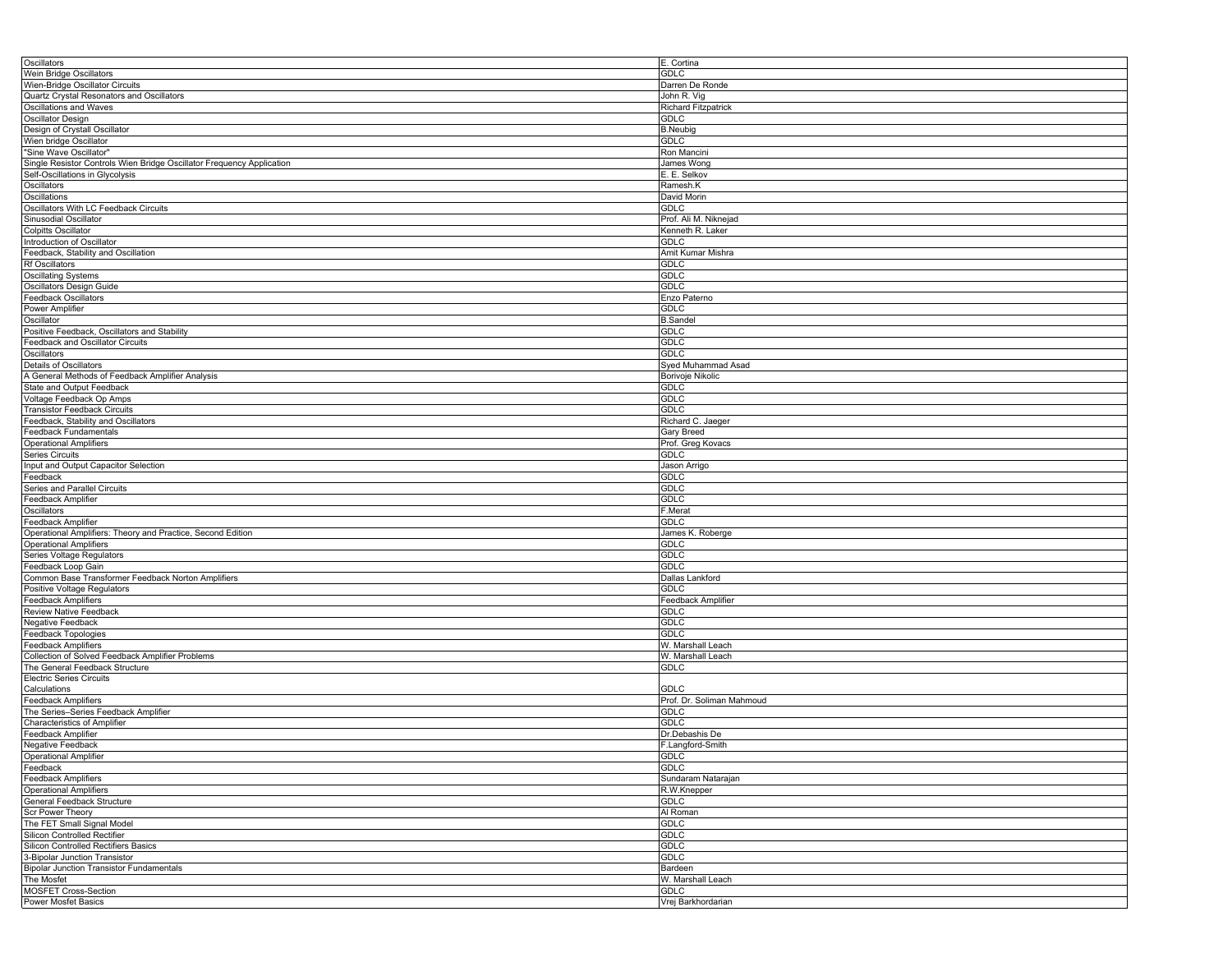| Oscillators                                                           | E. Cortina                 |
|-----------------------------------------------------------------------|----------------------------|
| Wein Bridge Oscillators                                               | <b>GDLC</b>                |
| Wien-Bridge Oscillator Circuits                                       | Darren De Ronde            |
| Quartz Crystal Resonators and Oscillators                             | John R. Vig                |
| Oscillations and Waves                                                | <b>Richard Fitzpatrick</b> |
| Oscillator Design                                                     | <b>GDLC</b>                |
| Design of Crystall Oscillator                                         |                            |
|                                                                       | <b>B.Neubig</b>            |
| Wien bridge Oscillator                                                | <b>GDLC</b>                |
| "Sine Wave Oscillator"                                                | Ron Mancini                |
| Single Resistor Controls Wien Bridge Oscillator Frequency Application | James Wong                 |
| Self-Oscillations in Glycolysis                                       | E. E. Selkov               |
| Oscillators                                                           | Ramesh.K                   |
| Oscillations                                                          | David Morin                |
| Oscillators With LC Feedback Circuits                                 | <b>GDLC</b>                |
| Sinusodial Oscillator                                                 | Prof. Ali M. Niknejad      |
| <b>Colpitts Oscillator</b>                                            | Kenneth R. Laker           |
| Introduction of Oscillator                                            | <b>GDLC</b>                |
| Feedback, Stability and Oscillation                                   | Amit Kumar Mishra          |
| Rf Oscillators                                                        | <b>GDLC</b>                |
|                                                                       |                            |
| Oscillating Systems                                                   | <b>GDLC</b>                |
| Oscillators Design Guide                                              | <b>GDLC</b>                |
| Feedback Oscillators                                                  | Enzo Paterno               |
| Power Amplifier                                                       | <b>GDLC</b>                |
| Oscillator                                                            | <b>B.Sandel</b>            |
| Positive Feedback, Oscillators and Stability                          | <b>GDLC</b>                |
| <b>Feedback and Oscillator Circuits</b>                               | <b>GDLC</b>                |
| Oscillators                                                           | <b>GDLC</b>                |
| Details of Oscillators                                                | Syed Muhammad Asad         |
| A General Methods of Feedback Amplifier Analysis                      | Borivoje Nikolic           |
| State and Output Feedback                                             | <b>GDLC</b>                |
|                                                                       |                            |
| Voltage Feedback Op Amps                                              | <b>GDLC</b>                |
| <b>Transistor Feedback Circuits</b>                                   | <b>GDLC</b>                |
| Feedback, Stability and Oscillators                                   | Richard C. Jaeger          |
| Feedback Fundamentals                                                 | <b>Gary Breed</b>          |
| Operational Amplifiers                                                | Prof. Greg Kovacs          |
| <b>Series Circuits</b>                                                | <b>GDLC</b>                |
| Input and Output Capacitor Selection                                  | Jason Arrigo               |
| Feedback                                                              | <b>GDLC</b>                |
| Series and Parallel Circuits                                          | <b>GDLC</b>                |
| Feedback Amplifier                                                    | <b>GDLC</b>                |
| Oscillators                                                           | F.Merat                    |
|                                                                       | <b>GDLC</b>                |
| Feedback Amplifier                                                    |                            |
| Operational Amplifiers: Theory and Practice, Second Edition           | James K. Roberge           |
| <b>Operational Amplifiers</b>                                         | <b>GDLC</b>                |
| Series Voltage Regulators                                             | <b>GDLC</b>                |
| Feedback Loop Gain                                                    | <b>GDLC</b>                |
| Common Base Transformer Feedback Norton Amplifiers                    | Dallas Lankford            |
| Positive Voltage Regulators                                           | <b>GDLC</b>                |
| <b>Feedback Amplifiers</b>                                            | Feedback Amplifier         |
| Review Native Feedback                                                | <b>GDLC</b>                |
| Negative Feedback                                                     | <b>GDLC</b>                |
| Feedback Topologies                                                   | <b>GDLC</b>                |
| Feedback Amplifiers                                                   | W. Marshall Leach          |
| Collection of Solved Feedback Amplifier Problems                      | W. Marshall Leach          |
|                                                                       |                            |
| The General Feedback Structure                                        | <b>GDLC</b>                |
| <b>Electric Series Circuits</b>                                       |                            |
| Calculations                                                          | <b>GDLC</b>                |
| Feedback Amplifiers                                                   | Prof. Dr. Soliman Mahmoud  |
| The Series-Series Feedback Amplifier                                  | <b>GDLC</b>                |
| Characteristics of Amplifier                                          | <b>GDLC</b>                |
| Feedback Amplifier                                                    | Dr.Debashis De             |
| Negative Feedback                                                     | F.Langford-Smith           |
| Operational Amplifier                                                 | GDLC                       |
| Feedback                                                              | <b>GDLC</b>                |
| <b>Feedback Amplifiers</b>                                            | Sundaram Natarajan         |
| <b>Operational Amplifiers</b>                                         | R.W.Knepper                |
| General Feedback Structure                                            | GDLC                       |
|                                                                       |                            |
| Scr Power Theory                                                      | Al Roman                   |
| The FET Small Signal Model                                            | <b>GDLC</b>                |
| Silicon Controlled Rectifier                                          | <b>GDLC</b>                |
| Silicon Controlled Rectifiers Basics                                  | GDLC                       |
| 3-Bipolar Junction Transistor                                         | GDLC                       |
| <b>Bipolar Junction Transistor Fundamentals</b>                       | Bardeen                    |
| The Mosfet                                                            | W. Marshall Leach          |
| MOSFET Cross-Section                                                  | <b>GDLC</b>                |
| Power Mosfet Basics                                                   | Vrej Barkhordarian         |
|                                                                       |                            |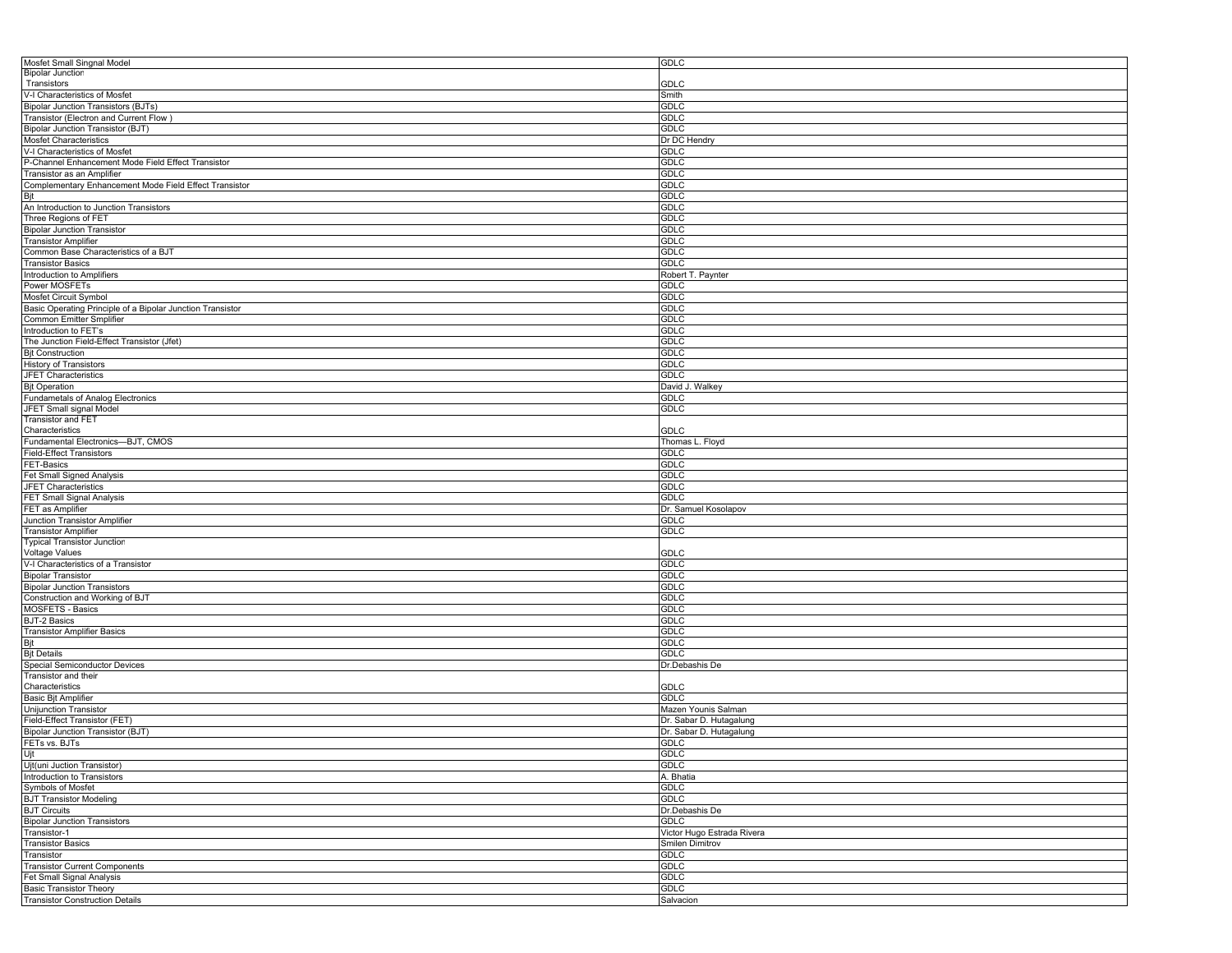| Mosfet Small Singnal Model                                                                            | GDLC                       |
|-------------------------------------------------------------------------------------------------------|----------------------------|
| <b>Bipolar Junction</b>                                                                               |                            |
| Transistors                                                                                           | GDLC                       |
| V-I Characteristics of Mosfet                                                                         | Smith                      |
| <b>Bipolar Junction Transistors (BJTs)</b>                                                            | GDLC                       |
| Transistor (Electron and Current Flow)                                                                | GDLC                       |
| <b>Bipolar Junction Transistor (BJT)</b>                                                              | GDLC                       |
| Mosfet Characteristics                                                                                | Dr DC Hendry               |
| V-I Characteristics of Mosfet                                                                         | GDLC                       |
| P-Channel Enhancement Mode Field Effect Transistor                                                    | GDLC                       |
| Transistor as an Amplifier                                                                            | GDLC                       |
| Complementary Enhancement Mode Field Effect Transistor                                                | <b>GDLC</b>                |
|                                                                                                       | <b>GDLC</b>                |
| Bjt<br>An Introduction to Junction Transistors                                                        | GDLC                       |
| Three Regions of FET                                                                                  | GDLC                       |
|                                                                                                       |                            |
| <b>Bipolar Junction Transistor</b>                                                                    | GDLC                       |
| <b>Transistor Amplifier</b>                                                                           | <b>GDLC</b>                |
| Common Base Characteristics of a BJT                                                                  | <b>GDLC</b>                |
| <b>Transistor Basics</b>                                                                              | GDLC                       |
| Introduction to Amplifiers                                                                            | Robert T. Paynter          |
| Power MOSFETs                                                                                         | GDLC                       |
| Mosfet Circuit Symbol                                                                                 | <b>GDLC</b>                |
| Basic Operating Principle of a Bipolar Junction Transistor                                            | <b>GDLC</b>                |
| Common Emitter Smplifier                                                                              | GDLC                       |
| Introduction to FET's                                                                                 | GDLC                       |
| The Junction Field-Effect Transistor (Jfet)                                                           | GDLC                       |
| <b>Bjt Construction</b>                                                                               | GDLC                       |
| <b>History of Transistors</b>                                                                         | <b>GDLC</b>                |
| JFET Characteristics                                                                                  | GDLC                       |
| <b>Bit Operation</b>                                                                                  | David J. Walkey            |
| Fundametals of Analog Electronics                                                                     | GDLC                       |
| JFET Small signal Model                                                                               | GDLC                       |
| <b>Transistor and FET</b>                                                                             |                            |
| Characteristics                                                                                       | GDLC                       |
| Fundamental Electronics-BJT, CMOS                                                                     | Thomas L. Floyd            |
| <b>Field-Effect Transistors</b>                                                                       | <b>GDLC</b>                |
| <b>FET-Basics</b>                                                                                     | <b>GDLC</b>                |
|                                                                                                       | <b>GDLC</b>                |
| Fet Small Signed Analysis                                                                             |                            |
| JFET Characteristics                                                                                  | GDLC                       |
| FET Small Signal Analysis                                                                             | <b>GDLC</b>                |
| FET as Amplifier                                                                                      | Dr. Samuel Kosolapov       |
| Junction Transistor Amplifier                                                                         | GDLC                       |
| <b>Transistor Amplifier</b>                                                                           | <b>GDLC</b>                |
| <b>Typical Transistor Junction</b>                                                                    |                            |
| Voltage Values                                                                                        | GDLC                       |
| V-I Characteristics of a Transistor                                                                   | GDLC                       |
| <b>Bipolar Transistor</b>                                                                             | GDLC                       |
| <b>Bipolar Junction Transistors</b>                                                                   | GDLC                       |
| Construction and Working of BJT                                                                       | <b>GDLC</b>                |
| <b>MOSFETS - Basics</b>                                                                               | <b>GDLC</b>                |
| <b>BJT-2 Basics</b>                                                                                   | <b>GDLC</b>                |
| <b>Transistor Amplifier Basics</b>                                                                    | <b>GDLC</b>                |
| Bit                                                                                                   | GDLC                       |
| <b>Bjt Details</b>                                                                                    | <b>GDLC</b>                |
| <b>Special Semiconductor Devices</b>                                                                  | Dr.Debashis De             |
| Transistor and their                                                                                  |                            |
| Characteristics                                                                                       | GDLC                       |
| <b>Basic Bit Amplifier</b>                                                                            | <b>GDLC</b>                |
| <b>Unijunction Transistor</b>                                                                         | Mazen Younis Salman        |
| Field-Effect Transistor (FET)                                                                         | Dr. Sabar D. Hutagalung    |
| Bipolar Junction Transistor (BJT)                                                                     | Dr. Sabar D. Hutagalung    |
| FETs vs. BJTs                                                                                         | <b>GDLC</b>                |
| Ujt                                                                                                   | GDLC                       |
| Ujt(uni Juction Transistor)                                                                           | GDLC                       |
| Introduction to Transistors                                                                           | A. Bhatia                  |
| Symbols of Mosfet                                                                                     | <b>GDLC</b>                |
|                                                                                                       | <b>GDLC</b>                |
| <b>BJT Transistor Modeling</b>                                                                        |                            |
| <b>BJT Circuits</b><br><b>Bipolar Junction Transistors</b>                                            |                            |
|                                                                                                       | Dr.Debashis De             |
|                                                                                                       | <b>GDLC</b>                |
| Transistor-1                                                                                          | Victor Hugo Estrada Rivera |
| <b>Transistor Basics</b>                                                                              | Smilen Dimitrov            |
| Transistor                                                                                            | <b>GDLC</b>                |
| <b>Transistor Current Components</b>                                                                  | GDLC                       |
|                                                                                                       | GDLC                       |
| Fet Small Signal Analysis<br><b>Basic Transistor Theory</b><br><b>Transistor Construction Details</b> | <b>GDLC</b><br>Salvacion   |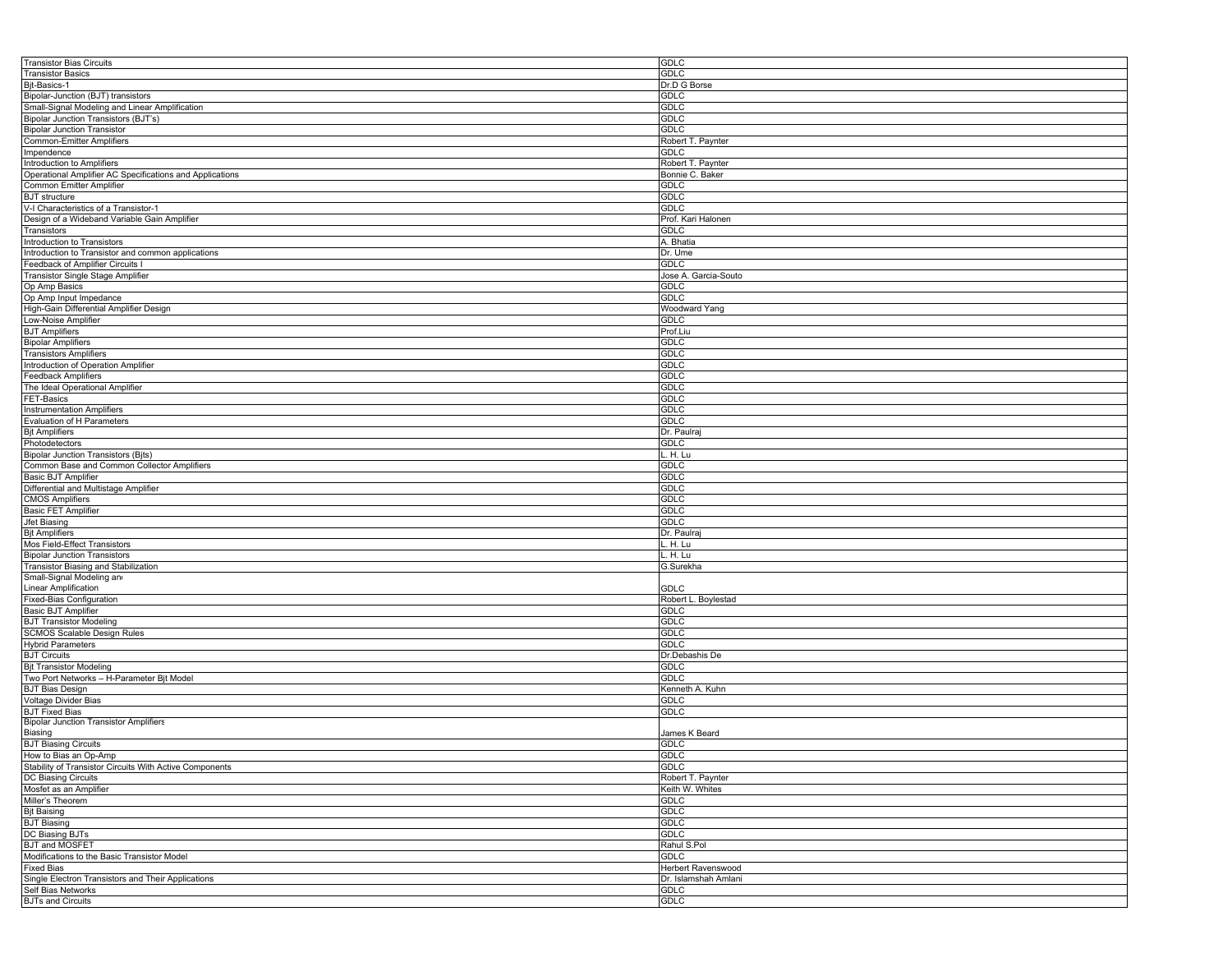| <b>Transistor Bias Circuits</b>                          | GDLC                 |
|----------------------------------------------------------|----------------------|
| <b>Transistor Basics</b>                                 | GDLC                 |
| Bjt-Basics-1                                             | Dr.D G Borse         |
| Bipolar-Junction (BJT) transistors                       | GDLC                 |
| Small-Signal Modeling and Linear Amplification           | <b>GDLC</b>          |
| Bipolar Junction Transistors (BJT's)                     | GDLC                 |
|                                                          |                      |
| <b>Bipolar Junction Transistor</b>                       | GDLC                 |
| <b>Common-Emitter Amplifiers</b>                         | Robert T. Paynter    |
| Impendence                                               | GDLC                 |
| Introduction to Amplifiers                               | Robert T. Paynter    |
| Operational Amplifier AC Specifications and Applications | Bonnie C. Baker      |
| Common Emitter Amplifier                                 | GDLC                 |
| <b>BJT</b> structure                                     | GDLC                 |
| V-I Characteristics of a Transistor-1                    | GDLC                 |
| Design of a Wideband Variable Gain Amplifier             | Prof. Kari Halonen   |
| Transistors                                              | GDLC                 |
|                                                          |                      |
| Introduction to Transistors                              | A. Bhatia            |
| Introduction to Transistor and common applications       | Dr. Ume              |
| Feedback of Amplifier Circuits I                         | <b>GDLC</b>          |
| Transistor Single Stage Amplifier                        | Jose A. Garcia-Souto |
| Op Amp Basics                                            | GDLC                 |
| Op Amp Input Impedance                                   | GDLC                 |
| High-Gain Differential Amplifier Design                  | Woodward Yang        |
| Low-Noise Amplifier                                      | <b>GDLC</b>          |
| <b>BJT Amplifiers</b>                                    | Prof.Liu             |
|                                                          |                      |
| <b>Bipolar Amplifiers</b>                                | GDLC                 |
| <b>Transistors Amplifiers</b>                            | GDLC                 |
| Introduction of Operation Amplifier                      | GDLC                 |
| <b>Feedback Amplifiers</b>                               | <b>GDLC</b>          |
| The Ideal Operational Amplifier                          | <b>GDLC</b>          |
| FET-Basics                                               | GDLC                 |
| <b>Instrumentation Amplifiers</b>                        | GDLC                 |
| Evaluation of H Parameters                               | GDLC                 |
|                                                          |                      |
| <b>Bit Amplifiers</b>                                    | Dr. Paulra           |
| Photodetectors                                           | GDLC                 |
| <b>Bipolar Junction Transistors (Bjts)</b>               | H. Lu                |
| Common Base and Common Collector Amplifiers              | GDLC                 |
| Basic BJT Amplifier                                      | GDLC                 |
| Differential and Multistage Amplifier                    | <b>GDLC</b>          |
| <b>CMOS Amplifiers</b>                                   | <b>GDLC</b>          |
| <b>Basic FET Amplifier</b>                               | GDLC                 |
| Jfet Biasing                                             | GDLC                 |
|                                                          |                      |
| <b>Bjt Amplifiers</b>                                    | Dr. Paulra           |
| Mos Field-Effect Transistors                             | H. Lu                |
| <b>Bipolar Junction Transistors</b>                      | H. Lu                |
| Transistor Biasing and Stabilization                     | G.Surekha            |
| Small-Signal Modeling an                                 |                      |
| <b>Linear Amplification</b>                              | GDLC                 |
| <b>Fixed-Bias Configuration</b>                          | Robert L. Boylestad  |
| <b>Basic BJT Amplifier</b>                               | GDLC                 |
| <b>BJT Transistor Modeling</b>                           | GDLC                 |
|                                                          | GDLC                 |
| <b>SCMOS Scalable Design Rules</b>                       |                      |
| <b>Hybrid Parameters</b>                                 | <b>GDLC</b>          |
| <b>BJT Circuits</b>                                      | Dr.Debashis De       |
| <b>Bjt Transistor Modeling</b>                           | GDLC                 |
| Two Port Networks - H-Parameter Bjt Model                | GDLC                 |
| <b>BJT Bias Design</b>                                   | Kenneth A. Kuhn      |
| Voltage Divider Bias                                     | GDLC                 |
| <b>BJT Fixed Bias</b>                                    | GDLC                 |
| <b>Bipolar Junction Transistor Amplifiers</b>            |                      |
| Biasing                                                  | James K Beard        |
|                                                          |                      |
| <b>BJT Biasing Circuits</b>                              | <b>GDLC</b>          |
| How to Bias an Op-Amp                                    | GDLC                 |
| Stability of Transistor Circuits With Active Components  | GDLC                 |
| DC Biasing Circuits                                      | Robert T. Paynter    |
| Mosfet as an Amplifier                                   | Keith W. Whites      |
| Miller's Theorem                                         | GDLC                 |
| <b>Bjt Baising</b>                                       | <b>GDLC</b>          |
| <b>BJT Biasing</b>                                       | GDLC                 |
|                                                          |                      |
| DC Biasing BJTs                                          | GDLC                 |
| <b>BJT and MOSFET</b>                                    | Rahul S.Pol          |
| Modifications to the Basic Transistor Model              | <b>GDLC</b>          |
| <b>Fixed Bias</b>                                        | Herbert Ravenswood   |
| Single Electron Transistors and Their Applications       | Dr. Islamshah Amlani |
| Self Bias Networks                                       | <b>GDLC</b>          |
| <b>BJTs and Circuits</b>                                 | GDLC                 |
|                                                          |                      |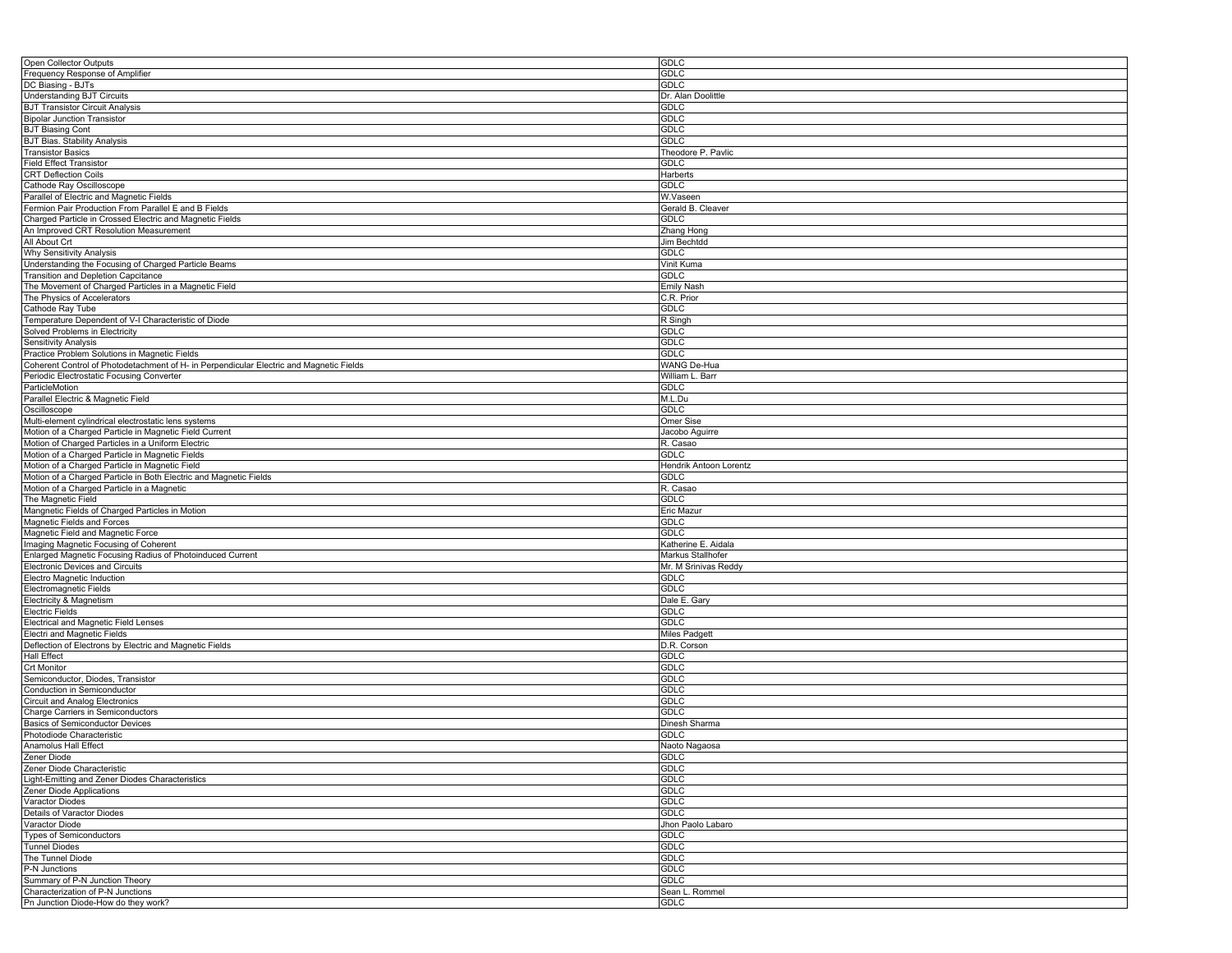| Open Collector Outputs                                                                  | GDLC                   |
|-----------------------------------------------------------------------------------------|------------------------|
| Frequency Response of Amplifier                                                         | <b>GDLC</b>            |
| DC Biasing - BJTs                                                                       | <b>GDLC</b>            |
| <b>Understanding BJT Circuits</b>                                                       | Dr. Alan Doolittle     |
| <b>BJT Transistor Circuit Analysis</b>                                                  | <b>GDLC</b>            |
| <b>Bipolar Junction Transistor</b>                                                      | <b>GDLC</b>            |
| <b>BJT Biasing Cont</b>                                                                 | <b>GDLC</b>            |
| <b>BJT Bias. Stability Analysis</b>                                                     | <b>GDLC</b>            |
| <b>Transistor Basics</b>                                                                | Theodore P. Pavlic     |
| <b>Field Effect Transistor</b>                                                          | <b>GDLC</b>            |
| <b>CRT Deflection Coils</b>                                                             | Harberts               |
| Cathode Ray Oscilloscope                                                                | <b>GDLC</b>            |
|                                                                                         |                        |
| Parallel of Electric and Magnetic Fields                                                | W.Vaseen               |
| Fermion Pair Production From Parallel E and B Fields                                    | Gerald B. Cleaver      |
| Charged Particle in Crossed Electric and Magnetic Fields                                | <b>GDLC</b>            |
| An Improved CRT Resolution Measurement                                                  | Zhang Hong             |
| All About Crt                                                                           | Jim Bechtdd            |
| <b>Why Sensitivity Analysis</b>                                                         | <b>GDLC</b>            |
| Understanding the Focusing of Charged Particle Beams                                    | Vinit Kuma             |
| Transition and Depletion Capcitance                                                     | <b>GDLC</b>            |
| The Movement of Charged Particles in a Magnetic Field                                   | Emily Nash             |
| The Physics of Accelerators                                                             | C.R. Prior             |
| Cathode Ray Tube                                                                        | <b>GDLC</b>            |
| Temperature Dependent of V-I Characteristic of Diode                                    | R Singh                |
| Solved Problems in Electricity                                                          | <b>GDLC</b>            |
| Sensitivity Analysis                                                                    | <b>GDLC</b>            |
| Practice Problem Solutions in Magnetic Fields                                           | <b>GDLC</b>            |
| Coherent Control of Photodetachment of H- in Perpendicular Electric and Magnetic Fields | WANG De-Hua            |
| Periodic Electrostatic Focusing Converter                                               | William L. Barr        |
| ParticleMotion                                                                          | <b>GDLC</b>            |
|                                                                                         | M.L.Du                 |
| Parallel Electric & Magnetic Field                                                      | <b>GDLC</b>            |
| Oscilloscope                                                                            |                        |
| Multi-element cylindrical electrostatic lens systems                                    | Omer Sise              |
| Motion of a Charged Particle in Magnetic Field Current                                  | Jacobo Aguirre         |
| Motion of Charged Particles in a Uniform Electric                                       | R. Casao               |
| Motion of a Charged Particle in Magnetic Fields                                         | <b>GDLC</b>            |
| Motion of a Charged Particle in Magnetic Field                                          | Hendrik Antoon Lorentz |
| Motion of a Charged Particle in Both Electric and Magnetic Fields                       | <b>GDLC</b>            |
| Motion of a Charged Particle in a Magnetic                                              | R. Casao               |
| The Magnetic Field                                                                      | <b>GDLC</b>            |
| Mangnetic Fields of Charged Particles in Motion                                         | Eric Mazur             |
| Magnetic Fields and Forces                                                              | <b>GDLC</b>            |
| Magnetic Field and Magnetic Force                                                       | <b>GDLC</b>            |
| Imaging Magnetic Focusing of Coherent                                                   | Katherine E. Aidala    |
| Enlarged Magnetic Focusing Radius of Photoinduced Current                               | Markus Stallhofer      |
| <b>Electronic Devices and Circuits</b>                                                  | Mr. M Srinivas Reddy   |
| Electro Magnetic Induction                                                              | <b>GDLC</b>            |
| Electromagnetic Fields                                                                  | <b>GDLC</b>            |
| Electricity & Magnetism                                                                 | Dale E. Gary           |
| <b>Electric Fields</b>                                                                  | <b>GDLC</b>            |
| Electrical and Magnetic Field Lenses                                                    | <b>GDLC</b>            |
| Electri and Magnetic Fields                                                             | <b>Miles Padgett</b>   |
| Deflection of Electrons by Electric and Magnetic Fields                                 | D.R. Corson            |
| <b>Hall Effect</b>                                                                      | <b>GDLC</b>            |
| <b>Crt Monitor</b>                                                                      | <b>GDLC</b>            |
|                                                                                         |                        |
| Semiconductor, Diodes, Transistor                                                       | <b>GDLC</b>            |
| Conduction in Semiconductor                                                             | GDLC                   |
| <b>Circuit and Analog Electronics</b>                                                   | <b>GDLC</b>            |
| Charge Carriers in Semiconductors                                                       | GDLC                   |
| Basics of Semiconductor Devices                                                         | Dinesh Sharma          |
| Photodiode Characteristic                                                               | <b>GDLC</b>            |
| Anamolus Hall Effect                                                                    | Naoto Nagaosa          |
| Zener Diode                                                                             | GDLC                   |
| Zener Diode Characteristic                                                              | GDLC                   |
| Light-Emitting and Zener Diodes Characteristics                                         | <b>GDLC</b>            |
| Zener Diode Applications                                                                | <b>GDLC</b>            |
| <b>Varactor Diodes</b>                                                                  | <b>GDLC</b>            |
| Details of Varactor Diodes                                                              | <b>GDLC</b>            |
| Varactor Diode                                                                          | Jhon Paolo Labaro      |
| <b>Types of Semiconductors</b>                                                          | <b>GDLC</b>            |
| <b>Tunnel Diodes</b>                                                                    | GDLC                   |
| The Tunnel Diode                                                                        | <b>GDLC</b>            |
| P-N Junctions                                                                           | <b>GDLC</b>            |
| Summary of P-N Junction Theory                                                          | GDLC                   |
| Characterization of P-N Junctions                                                       | Sean L. Rommel         |
| Pn Junction Diode-How do they work?                                                     | <b>GDLC</b>            |
|                                                                                         |                        |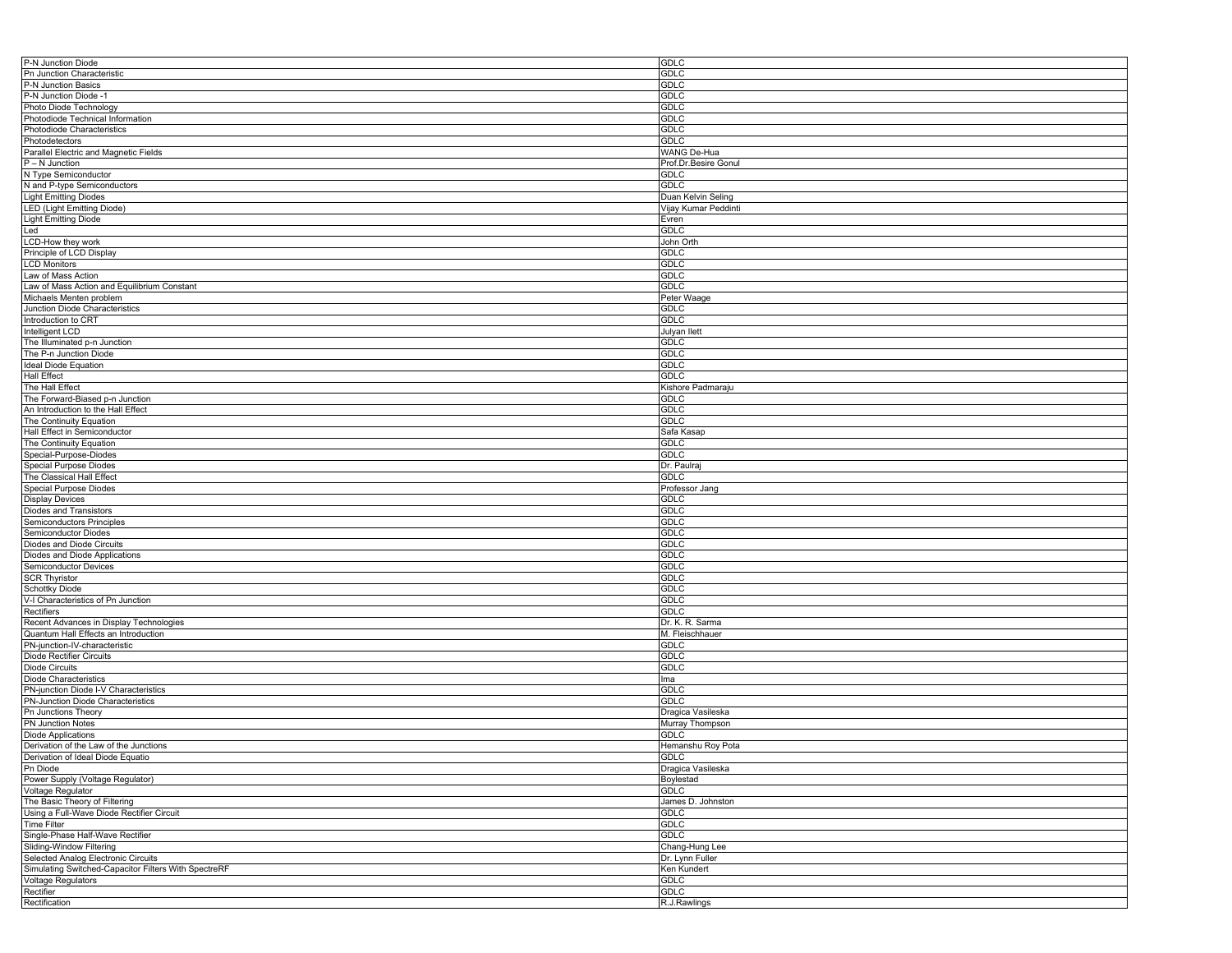| P-N Junction Diode                                   | GDLC                 |
|------------------------------------------------------|----------------------|
| Pn Junction Characteristic                           | <b>GDLC</b>          |
| P-N Junction Basics                                  | <b>GDLC</b>          |
| P-N Junction Diode -1                                | <b>GDLC</b>          |
| Photo Diode Technology                               |                      |
|                                                      | <b>GDLC</b>          |
| Photodiode Technical Information                     | <b>GDLC</b>          |
| Photodiode Characteristics                           | <b>GDLC</b>          |
| Photodetectors                                       | GDLC                 |
| Parallel Electric and Magnetic Fields                | WANG De-Hua          |
| $P - N$ Junction                                     | Prof.Dr.Besire Gonul |
| N Type Semiconductor                                 | <b>GDLC</b>          |
| N and P-type Semiconductors                          | <b>GDLC</b>          |
| <b>Light Emitting Diodes</b>                         | Duan Kelvin Seling   |
| <b>LED (Light Emitting Diode)</b>                    | Vijay Kumar Peddinti |
| <b>Light Emitting Diode</b>                          |                      |
|                                                      | Evren                |
| Led                                                  | <b>GDLC</b>          |
| LCD-How they work                                    | John Orth            |
| Principle of LCD Display                             | <b>GDLC</b>          |
| <b>LCD Monitors</b>                                  | <b>GDLC</b>          |
| Law of Mass Action                                   | <b>GDLC</b>          |
| Law of Mass Action and Equilibrium Constant          | <b>GDLC</b>          |
| Michaels Menten problem                              | Peter Waage          |
| Junction Diode Characteristics                       | <b>GDLC</b>          |
| Introduction to CRT                                  | <b>GDLC</b>          |
|                                                      |                      |
| Intelligent LCD                                      | Julyan Ilett         |
| The Illuminated p-n Junction                         | GDLC                 |
| The P-n Junction Diode                               | <b>GDLC</b>          |
| Ideal Diode Equation                                 | <b>GDLC</b>          |
| <b>Hall Effect</b>                                   | <b>GDLC</b>          |
| The Hall Effect                                      | Kishore Padmaraju    |
| The Forward-Biased p-n Junction                      | GDLC                 |
| An Introduction to the Hall Effect                   | <b>GDLC</b>          |
| The Continuity Equation                              | <b>GDLC</b>          |
|                                                      |                      |
| Hall Effect in Semiconductor                         | Safa Kasap           |
| The Continuity Equation                              | <b>GDLC</b>          |
| Special-Purpose-Diodes                               | <b>GDLC</b>          |
| <b>Special Purpose Diodes</b>                        | Dr. Paulra           |
| The Classical Hall Effect                            | <b>GDLC</b>          |
|                                                      |                      |
|                                                      |                      |
| <b>Special Purpose Diodes</b>                        | Professor Jang       |
| <b>Display Devices</b>                               | GDLC                 |
| Diodes and Transistors                               | <b>GDLC</b>          |
| Semiconductors Principles                            | <b>GDLC</b>          |
| Semiconductor Diodes                                 | <b>GDLC</b>          |
| Diodes and Diode Circuits                            | <b>GDLC</b>          |
| Diodes and Diode Applications                        | <b>GDLC</b>          |
| Semiconductor Devices                                | <b>GDLC</b>          |
| <b>SCR Thyristor</b>                                 | <b>GDLC</b>          |
| <b>Schottky Diode</b>                                | <b>GDLC</b>          |
|                                                      |                      |
| V-I Characteristics of Pn Junction                   | <b>GDLC</b>          |
| Rectifiers                                           | <b>GDLC</b>          |
| Recent Advances in Display Technologies              | Dr. K. R. Sarma      |
| Quantum Hall Effects an Introduction                 | M. Fleischhauer      |
| PN-junction-IV-characteristic                        | <b>GDLC</b>          |
| <b>Diode Rectifier Circuits</b>                      | <b>GDLC</b>          |
| Diode Circuits                                       | <b>GDLC</b>          |
| Diode Characteristics                                | Ima                  |
|                                                      | <b>GDLC</b>          |
| PN-junction Diode I-V Characteristics                |                      |
| PN-Junction Diode Characteristics                    | <b>GDLC</b>          |
| Pn Junctions Theory                                  | Dragica Vasileska    |
| <b>PN Junction Notes</b>                             | Murray Thompson      |
| <b>Diode Applications</b>                            | <b>GDLC</b>          |
| Derivation of the Law of the Junctions               | Hemanshu Roy Pota    |
| Derivation of Ideal Diode Equatio                    | <b>GDLC</b>          |
| Pn Diode                                             | Dragica Vasileska    |
| Power Supply (Voltage Regulator)                     | Boylestad            |
| Voltage Regulator                                    | <b>GDLC</b>          |
| The Basic Theory of Filtering                        | James D. Johnston    |
|                                                      |                      |
| Using a Full-Wave Diode Rectifier Circuit            | GDLC                 |
| <b>Time Filter</b>                                   | <b>GDLC</b>          |
| Single-Phase Half-Wave Rectifier                     | <b>GDLC</b>          |
| Sliding-Window Filtering                             | Chang-Hung Lee       |
| Selected Analog Electronic Circuits                  | Dr. Lynn Fuller      |
| Simulating Switched-Capacitor Filters With SpectreRF | Ken Kundert          |
| <b>Voltage Regulators</b>                            | <b>GDLC</b>          |
| Rectifier                                            | <b>GDLC</b>          |
| Rectification                                        | R.J.Rawlings         |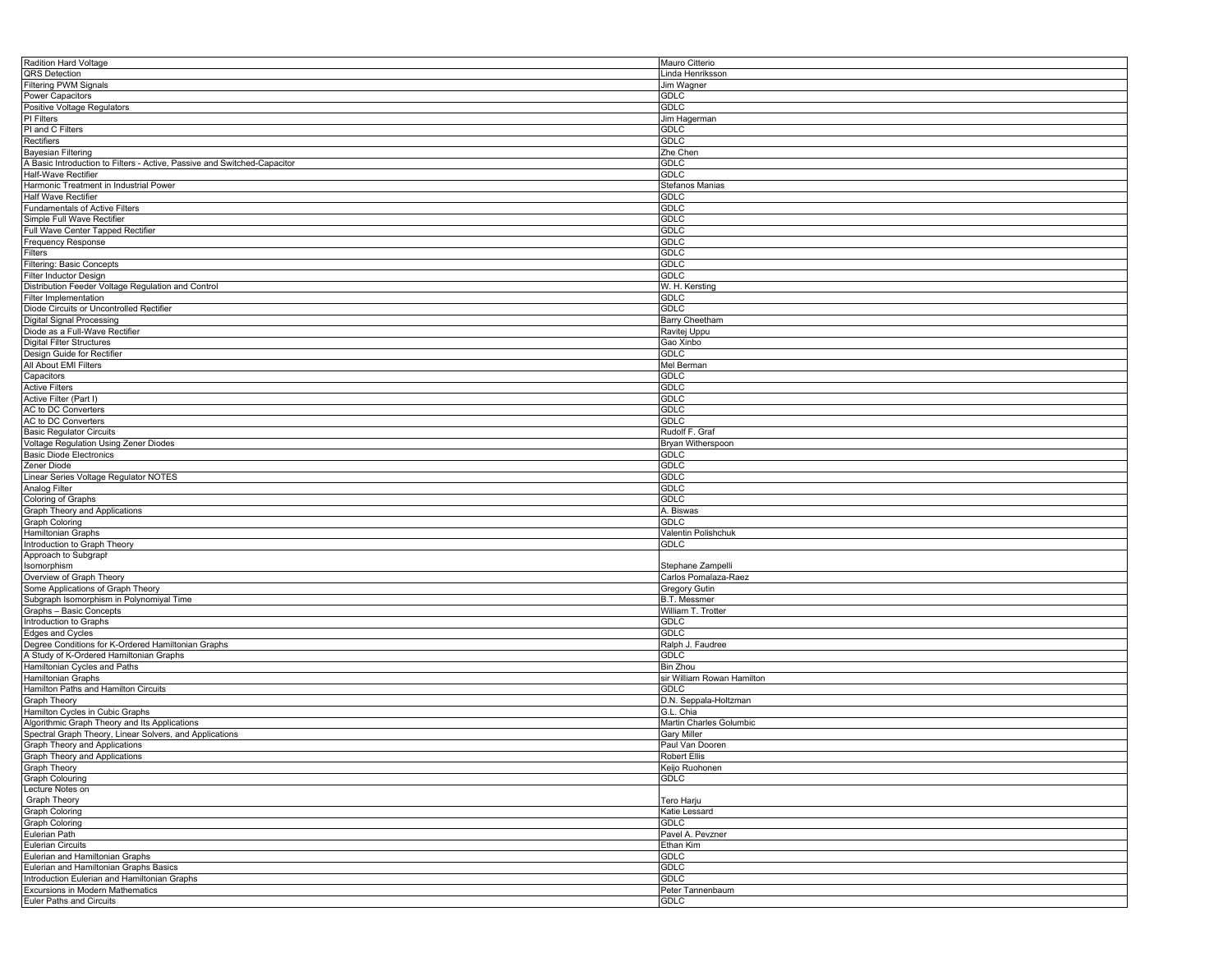| Radition Hard Voltage                                                    | Mauro Citterio             |
|--------------------------------------------------------------------------|----------------------------|
| QRS Detection                                                            | Linda Henriksson           |
|                                                                          |                            |
| <b>Filtering PWM Signals</b>                                             | Jim Wagner                 |
| Power Capacitors                                                         | <b>GDLC</b>                |
| Positive Voltage Regulators                                              | <b>GDLC</b>                |
| PI Filters                                                               |                            |
|                                                                          | Jim Hagerman               |
| PI and C Filters                                                         | GDLC                       |
| Rectifiers                                                               | <b>GDLC</b>                |
| <b>Bayesian Filtering</b>                                                | Zhe Chen                   |
|                                                                          |                            |
| A Basic Introduction to Filters - Active, Passive and Switched-Capacitor | <b>GDLC</b>                |
| Half-Wave Rectifier                                                      | <b>GDLC</b>                |
| Harmonic Treatment in Industrial Power                                   | Stefanos Manias            |
|                                                                          |                            |
| Half Wave Rectifier                                                      | GDLC                       |
| <b>Fundamentals of Active Filters</b>                                    | <b>GDLC</b>                |
| Simple Full Wave Rectifier                                               | <b>GDLC</b>                |
| Full Wave Center Tapped Rectifier                                        | <b>GDLC</b>                |
|                                                                          |                            |
| Frequency Response                                                       | <b>GDLC</b>                |
| Filters                                                                  | <b>GDLC</b>                |
| Filtering: Basic Concepts                                                | <b>GDLC</b>                |
|                                                                          |                            |
| Filter Inductor Design                                                   | <b>GDLC</b>                |
| Distribution Feeder Voltage Regulation and Control                       | W. H. Kersting             |
| Filter Implementation                                                    | <b>GDLC</b>                |
|                                                                          | <b>GDLC</b>                |
| Diode Circuits or Uncontrolled Rectifier                                 |                            |
| <b>Digital Signal Processing</b>                                         | Barry Cheetham             |
| Diode as a Full-Wave Rectifier                                           | Ravitej Uppu               |
| Digital Filter Structures                                                | Gao Xinbo                  |
|                                                                          |                            |
| Design Guide for Rectifier                                               | <b>GDLC</b>                |
| All About EMI Filters                                                    | Mel Berman                 |
| Capacitors                                                               | <b>GDLC</b>                |
|                                                                          |                            |
| <b>Active Filters</b>                                                    | <b>GDLC</b>                |
| Active Filter (Part I)                                                   | <b>GDLC</b>                |
| AC to DC Converters                                                      | <b>GDLC</b>                |
|                                                                          |                            |
| AC to DC Converters                                                      | <b>GDLC</b>                |
| <b>Basic Regulator Circuits</b>                                          | Rudolf F. Graf             |
| Voltage Regulation Using Zener Diodes                                    | Bryan Witherspoon          |
| <b>Basic Diode Electronics</b>                                           |                            |
|                                                                          | GDLC                       |
| Zener Diode                                                              | <b>GDLC</b>                |
| Linear Series Voltage Regulator NOTES                                    | <b>GDLC</b>                |
| Analog Filter                                                            | <b>GDLC</b>                |
|                                                                          |                            |
| Coloring of Graphs                                                       | <b>GDLC</b>                |
| Graph Theory and Applications                                            | A. Biswas                  |
| <b>Graph Coloring</b>                                                    | <b>GDLC</b>                |
|                                                                          |                            |
| Hamiltonian Graphs                                                       | Valentin Polishchuk        |
| Introduction to Graph Theory                                             | <b>GDLC</b>                |
| Approach to Subgraph                                                     |                            |
| Isomorphism                                                              | Stephane Zampelli          |
|                                                                          |                            |
| Overview of Graph Theory                                                 | Carlos Pomalaza-Raez       |
| Some Applications of Graph Theory                                        | <b>Gregory Gutin</b>       |
| Subgraph Isomorphism in Polynomiyal Time                                 | <b>B.T. Messmer</b>        |
|                                                                          |                            |
| Graphs - Basic Concepts                                                  | William T. Trotter         |
| Introduction to Graphs                                                   | <b>GDLC</b>                |
| Edges and Cycles                                                         | <b>GDLC</b>                |
|                                                                          |                            |
| Degree Conditions for K-Ordered Hamiltonian Graphs                       | Ralph J. Faudree           |
| A Study of K-Ordered Hamiltonian Graphs                                  | <b>GDLC</b>                |
| Hamiltonian Cycles and Paths                                             | Bin Zhou                   |
| Hamiltonian Graphs                                                       | sir William Rowan Hamilton |
|                                                                          |                            |
| Hamilton Paths and Hamilton Circuits                                     | <b>GDLC</b>                |
| Graph Theory                                                             | D.N. Seppala-Holtzman      |
| Hamilton Cycles in Cubic Graphs                                          | G.L. Chia                  |
| Algorithmic Graph Theory and Its Applications                            | Martin Charles Golumbic    |
|                                                                          |                            |
| Spectral Graph Theory, Linear Solvers, and Applications                  | Gary Miller                |
| Graph Theory and Applications                                            | Paul Van Dooren            |
| Graph Theory and Applications                                            | <b>Robert Ellis</b>        |
|                                                                          |                            |
| Graph Theory                                                             | Keijo Ruohonen             |
| Graph Colouring                                                          | GDLC                       |
| Lecture Notes on                                                         |                            |
| <b>Graph Theory</b>                                                      | Tero Harju                 |
|                                                                          |                            |
| <b>Graph Coloring</b>                                                    | Katie Lessard              |
| <b>Graph Coloring</b>                                                    | GDLC                       |
| Eulerian Path                                                            | Pavel A. Pevzner           |
|                                                                          |                            |
| <b>Eulerian Circuits</b>                                                 | Ethan Kim                  |
| Eulerian and Hamiltonian Graphs                                          | <b>GDLC</b>                |
| Eulerian and Hamiltonian Graphs Basics                                   | <b>GDLC</b>                |
|                                                                          |                            |
| Introduction Eulerian and Hamiltonian Graphs                             | <b>GDLC</b>                |
| Excursions in Modern Mathematics                                         | Peter Tannenbaum           |
| Euler Paths and Circuits                                                 | <b>GDLC</b>                |
|                                                                          |                            |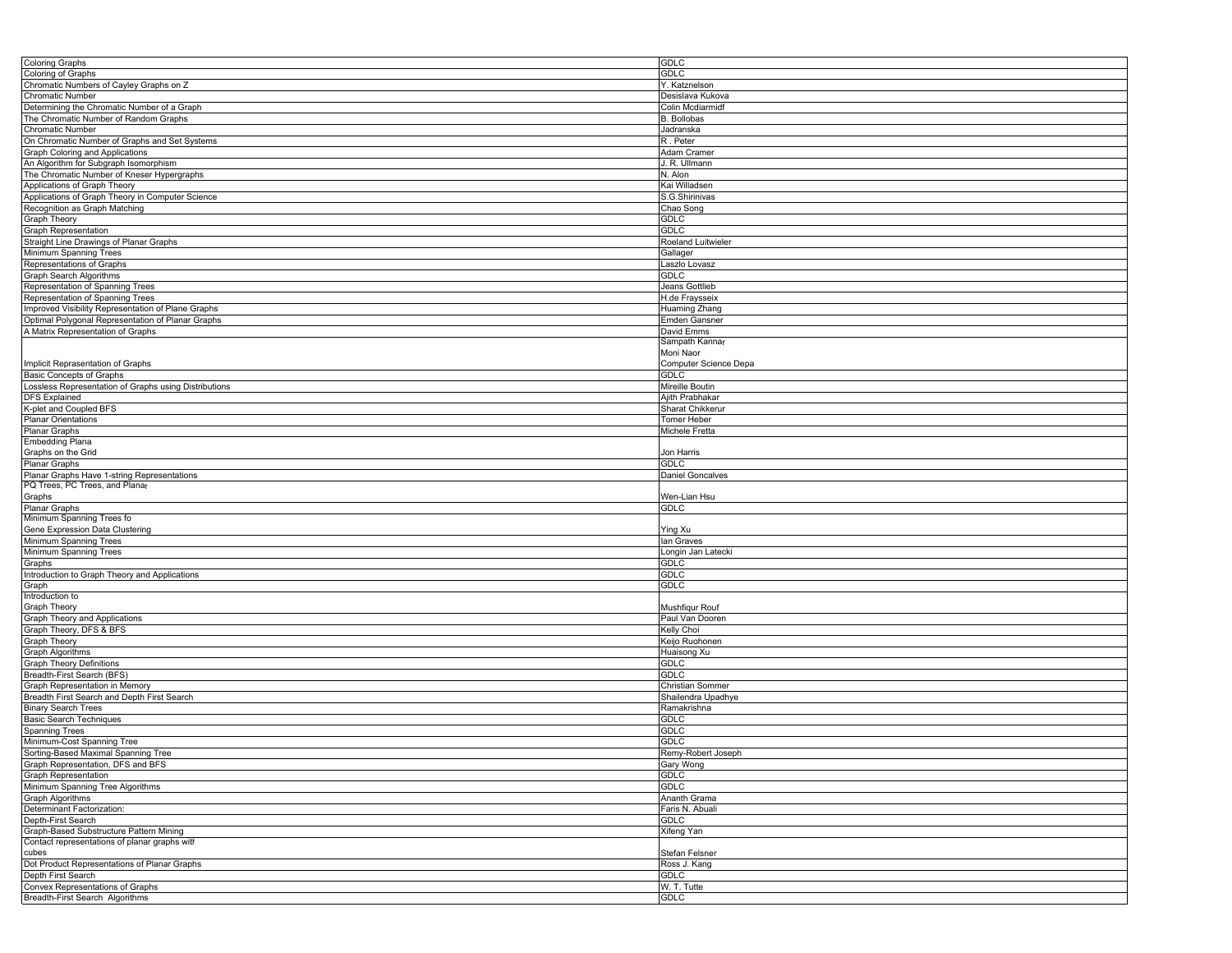| <b>Coloring Graphs</b>                               | <b>GDLC</b>             |
|------------------------------------------------------|-------------------------|
| Coloring of Graphs                                   | GDLC                    |
| Chromatic Numbers of Cayley Graphs on Z              | Y. Katznelson           |
| <b>Chromatic Number</b>                              | Desislava Kukova        |
| Determining the Chromatic Number of a Graph          | Colin Mcdiarmidf        |
| The Chromatic Number of Random Graphs                | <b>B.</b> Bollobas      |
| Chromatic Number                                     | Jadranska               |
| On Chromatic Number of Graphs and Set Systems        | R. Peter                |
|                                                      |                         |
| Graph Coloring and Applications                      | Adam Cramer             |
| An Algorithm for Subgraph Isomorphism                | J. R. Ullmann           |
| The Chromatic Number of Kneser Hypergraphs           | N. Alon                 |
| Applications of Graph Theory                         | Kai Willadsen           |
| Applications of Graph Theory in Computer Science     | S.G.Shirinivas          |
| Recognition as Graph Matching                        | Chao Song               |
| <b>Graph Theory</b>                                  | <b>GDLC</b>             |
| Graph Representation                                 | <b>GDLC</b>             |
| Straight Line Drawings of Planar Graphs              | Roeland Luitwieler      |
| Minimum Spanning Trees                               | Gallager                |
| Representations of Graphs                            | Laszlo Lovasz           |
| Graph Search Algorithms                              | GDLC                    |
| Representation of Spanning Trees                     | Jeans Gottlieb          |
| Representation of Spanning Trees                     | H.de Fraysseix          |
| Improved Visibility Representation of Plane Graphs   | Huaming Zhang           |
| Optimal Polygonal Representation of Planar Graphs    | <b>Emden Gansner</b>    |
| A Matrix Representation of Graphs                    | David Emms              |
|                                                      | Sampath Kannar          |
|                                                      | Moni Naor               |
| Implicit Reprasentation of Graphs                    | Computer Science Depa   |
|                                                      | <b>GDLC</b>             |
| Basic Concepts of Graphs                             |                         |
| ossless Representation of Graphs using Distributions | Mireille Boutin         |
| DFS Explained                                        | Ajith Prabhakar         |
| K-plet and Coupled BFS                               | Sharat Chikkerur        |
| <b>Planar Orientations</b>                           | <b>Tomer Heber</b>      |
| Planar Graphs                                        | Michele Fretta          |
| <b>Embedding Plana</b>                               |                         |
| Graphs on the Grid                                   | Jon Harris              |
| Planar Graphs                                        | <b>GDLC</b>             |
| Planar Graphs Have 1-string Representations          | <b>Daniel Goncalves</b> |
| PQ Trees, PC Trees, and Planar                       |                         |
| Graphs                                               | Wen-Lian Hsu            |
| Planar Graphs                                        | <b>GDLC</b>             |
| Minimum Spanning Trees fo                            |                         |
| Gene Expression Data Clustering                      | Ying Xu                 |
| Minimum Spanning Trees                               | lan Graves              |
| Minimum Spanning Trees                               | Longin Jan Latecki      |
| Graphs                                               | GDLC                    |
| Introduction to Graph Theory and Applications        | GDLC                    |
| Graph                                                | <b>GDLC</b>             |
| Introduction to                                      |                         |
| Graph Theory                                         | Mushfiqur Rouf          |
| Graph Theory and Applications                        | Paul Van Dooren         |
| Graph Theory, DFS & BFS                              | Kelly Choi              |
| <b>Graph Theory</b>                                  | Keijo Ruohonen          |
| Graph Algorithms                                     | Huaisong Xu             |
| <b>Graph Theory Definitions</b>                      | <b>GDLC</b>             |
| Breadth-First Search (BFS)                           | <b>GDLC</b>             |
|                                                      |                         |
| Graph Representation in Memory                       | Christian Sommer        |
| Breadth First Search and Depth First Search          | Shailendra Upadhye      |
| <b>Binary Search Trees</b>                           | Ramakrishna             |
| Basic Search Techniques                              | GDLC                    |
| <b>Spanning Trees</b>                                | <b>GDLC</b>             |
| Minimum-Cost Spanning Tree                           | GDLC                    |
| Sorting-Based Maximal Spanning Tree                  | Remy-Robert Joseph      |
| Graph Representation, DFS and BFS                    | Gary Wong               |
| Graph Representation                                 | <b>GDLC</b>             |
| Minimum Spanning Tree Algorithms                     | <b>GDLC</b>             |
| Graph Algorithms                                     | Ananth Grama            |
| Determinant Factorization:                           | Faris N. Abuali         |
| Depth-First Search                                   | GDLC                    |
| Graph-Based Substructure Pattern Mining              | Xifeng Yan              |
| Contact representations of planar graphs with        |                         |
| cubes                                                | Stefan Felsner          |
| Dot Product Representations of Planar Graphs         | Ross J. Kang            |
| Depth First Search                                   | GDLC                    |
| Convex Representations of Graphs                     | W. T. Tutte             |
| Breadth-First Search Algorithms                      | <b>GDLC</b>             |
|                                                      |                         |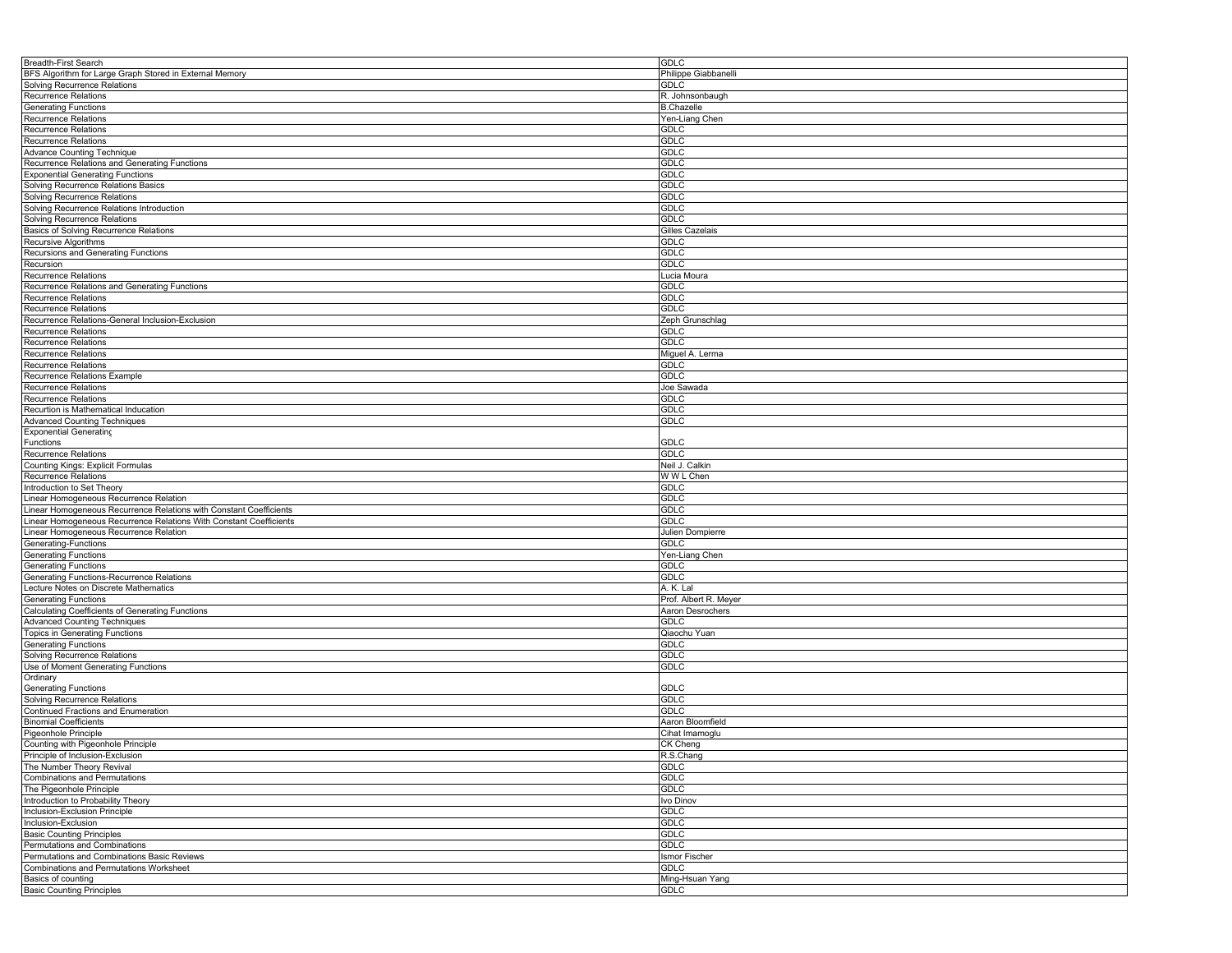| Breadth-First Search                                               | <b>GDLC</b>           |
|--------------------------------------------------------------------|-----------------------|
| BFS Algorithm for Large Graph Stored in External Memory            | Philippe Giabbanelli  |
| Solving Recurrence Relations                                       | <b>GDLC</b>           |
| <b>Recurrence Relations</b>                                        | R. Johnsonbaugh       |
| <b>Generating Functions</b>                                        | <b>B.Chazelle</b>     |
|                                                                    |                       |
| Recurrence Relations                                               | Yen-Liang Chen        |
| <b>Recurrence Relations</b>                                        | GDLC                  |
| Recurrence Relations                                               | <b>GDLC</b>           |
| Advance Counting Technique                                         | <b>GDLC</b>           |
| Recurrence Relations and Generating Functions                      | <b>GDLC</b>           |
|                                                                    | <b>GDLC</b>           |
| <b>Exponential Generating Functions</b>                            |                       |
| Solving Recurrence Relations Basics                                | GDLC                  |
| Solving Recurrence Relations                                       | <b>GDLC</b>           |
| Solving Recurrence Relations Introduction                          | <b>GDLC</b>           |
| Solving Recurrence Relations                                       | <b>GDLC</b>           |
| Basics of Solving Recurrence Relations                             | Gilles Cazelais       |
| Recursive Algorithms                                               | GDLC                  |
|                                                                    |                       |
| Recursions and Generating Functions                                | <b>GDLC</b>           |
| Recursion                                                          | <b>GDLC</b>           |
| Recurrence Relations                                               | Lucia Moura           |
| Recurrence Relations and Generating Functions                      | <b>GDLC</b>           |
| <b>Recurrence Relations</b>                                        | GDLC                  |
| Recurrence Relations                                               | <b>GDLC</b>           |
| Recurrence Relations-General Inclusion-Exclusion                   | Zeph Grunschlag       |
|                                                                    |                       |
| <b>Recurrence Relations</b>                                        | <b>GDLC</b>           |
| Recurrence Relations                                               | <b>GDLC</b>           |
| <b>Recurrence Relations</b>                                        | Miguel A. Lerma       |
| Recurrence Relations                                               | <b>GDLC</b>           |
| Recurrence Relations Example                                       | <b>GDLC</b>           |
| <b>Recurrence Relations</b>                                        | Joe Sawada            |
|                                                                    |                       |
| <b>Recurrence Relations</b>                                        | GDLC                  |
| Recurtion is Mathematical Inducation                               | GDLC                  |
| <b>Advanced Counting Techniques</b>                                | <b>GDLC</b>           |
| <b>Exponential Generating</b>                                      |                       |
| Functions                                                          | <b>GDLC</b>           |
| <b>Recurrence Relations</b>                                        | <b>GDLC</b>           |
| Counting Kings: Explicit Formulas                                  | Neil J. Calkin        |
|                                                                    |                       |
| <b>Recurrence Relations</b>                                        | W W L Chen            |
| Introduction to Set Theory                                         | GDLC                  |
| Linear Homogeneous Recurrence Relation                             | <b>GDLC</b>           |
| Linear Homogeneous Recurrence Relations with Constant Coefficients | <b>GDLC</b>           |
| Linear Homogeneous Recurrence Relations With Constant Coefficients | <b>GDLC</b>           |
| Linear Homogeneous Recurrence Relation                             | Julien Dompierre      |
|                                                                    | <b>GDLC</b>           |
| Generating-Functions                                               |                       |
| <b>Generating Functions</b>                                        | Yen-Liang Chen        |
| <b>Generating Functions</b>                                        | GDLC                  |
| Generating Functions-Recurrence Relations                          | <b>GDLC</b>           |
| Lecture Notes on Discrete Mathematics                              | A. K. Lal             |
| <b>Generating Functions</b>                                        | Prof. Albert R. Meyer |
| Calculating Coefficients of Generating Functions                   | Aaron Desrochers      |
| <b>Advanced Counting Techniques</b>                                | <b>GDLC</b>           |
|                                                                    |                       |
| Topics in Generating Functions                                     | Qiaochu Yuan          |
| <b>Generating Functions</b>                                        | <b>GDLC</b>           |
| Solving Recurrence Relations                                       | <b>GDLC</b>           |
| Use of Moment Generating Functions                                 | <b>GDLC</b>           |
| Ordinary                                                           |                       |
| <b>Generating Functions</b>                                        | GDLC                  |
| <b>Solving Recurrence Relations</b>                                | <b>GDLC</b>           |
| Continued Fractions and Enumeration                                | GDLC                  |
|                                                                    |                       |
| <b>Binomial Coefficients</b>                                       | Aaron Bloomfield      |
| Pigeonhole Principle                                               | Cihat Imamoglu        |
| Counting with Pigeonhole Principle                                 | CK Cheng              |
| Principle of Inclusion-Exclusion                                   | R.S.Chang             |
| The Number Theory Revival                                          | <b>GDLC</b>           |
| <b>Combinations and Permutations</b>                               | <b>GDLC</b>           |
| The Pigeonhole Principle                                           | GDLC                  |
|                                                                    |                       |
| Introduction to Probability Theory                                 | Ivo Dinov             |
| Inclusion-Exclusion Principle                                      | <b>GDLC</b>           |
| Inclusion-Exclusion                                                | <b>GDLC</b>           |
| <b>Basic Counting Principles</b>                                   | <b>GDLC</b>           |
| Permutations and Combinations                                      | <b>GDLC</b>           |
| Permutations and Combinations Basic Reviews                        | Ismor Fischer         |
| Combinations and Permutations Worksheet                            | <b>GDLC</b>           |
|                                                                    |                       |
| Basics of counting                                                 | Ming-Hsuan Yang       |
| <b>Basic Counting Principles</b>                                   | <b>GDLC</b>           |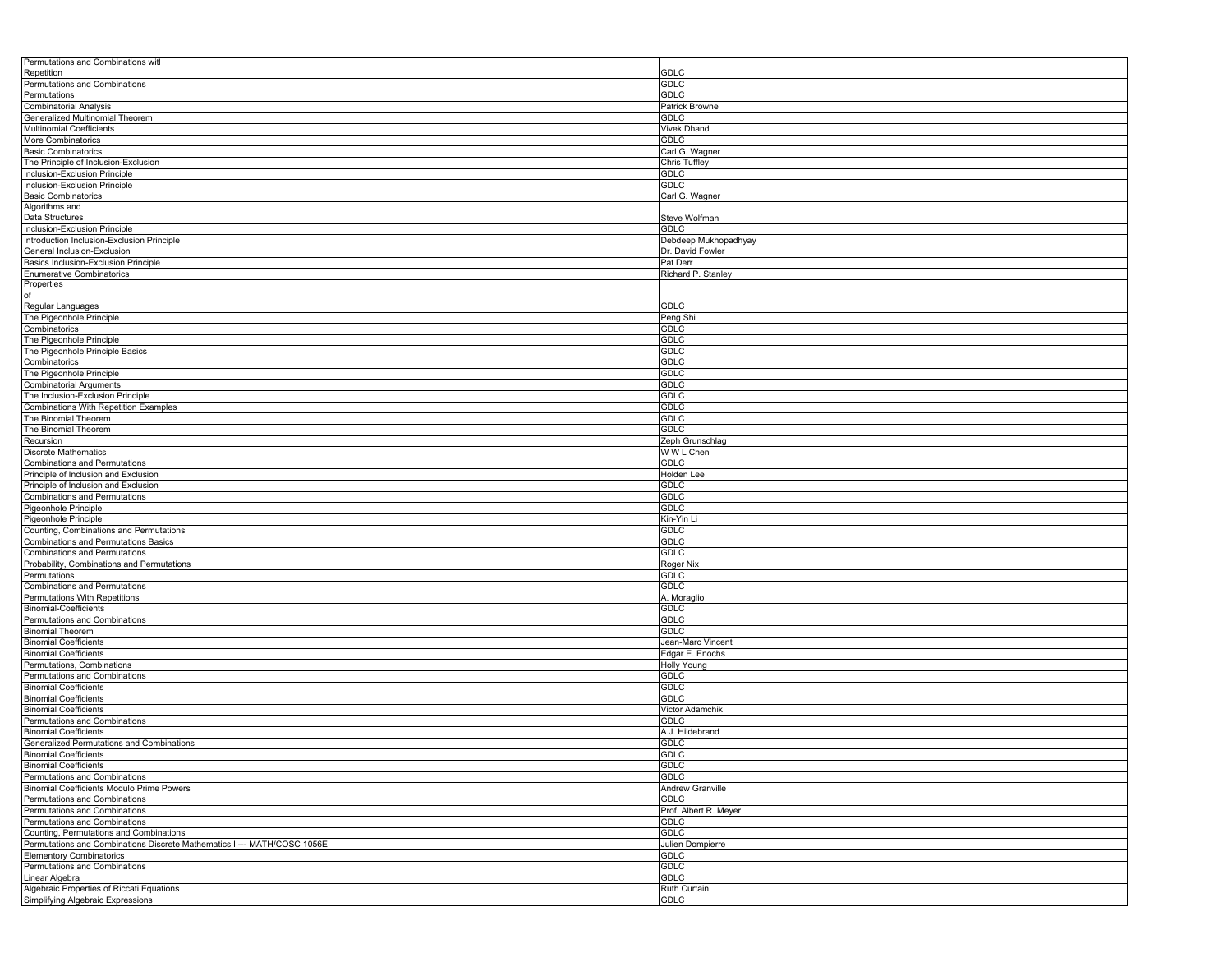| Permutations and Combinations with                                                |                                          |
|-----------------------------------------------------------------------------------|------------------------------------------|
| Repetition<br>Permutations and Combinations                                       | GDLC<br><b>GDLC</b>                      |
| Permutations                                                                      | GDLC                                     |
| <b>Combinatorial Analysis</b>                                                     | Patrick Browne                           |
| Generalized Multinomial Theorem                                                   | GDLC                                     |
| <b>Multinomial Coefficients</b>                                                   | Vivek Dhand                              |
| More Combinatorics                                                                | <b>GDLC</b>                              |
| <b>Basic Combinatorics</b>                                                        | Carl G. Wagner                           |
| The Principle of Inclusion-Exclusion                                              | Chris Tuffley                            |
| Inclusion-Exclusion Principle                                                     | GDLC                                     |
| Inclusion-Exclusion Principle                                                     | GDLC                                     |
| <b>Basic Combinatorics</b>                                                        | Carl G. Wagner                           |
| Algorithms and                                                                    |                                          |
| Data Structures                                                                   | Steve Wolfman                            |
| Inclusion-Exclusion Principle                                                     | <b>GDLC</b>                              |
| Introduction Inclusion-Exclusion Principle<br>General Inclusion-Exclusion         | Debdeep Mukhopadhyay<br>Dr. David Fowler |
| Basics Inclusion-Exclusion Principle                                              | Pat Derr                                 |
| <b>Enumerative Combinatorics</b>                                                  | Richard P. Stanley                       |
| Properties                                                                        |                                          |
| of                                                                                |                                          |
| Regular Languages                                                                 | GDLC                                     |
| The Pigeonhole Principle                                                          | Peng Shi                                 |
| Combinatorics                                                                     | GDLC                                     |
| The Pigeonhole Principle                                                          | GDLC                                     |
| The Pigeonhole Principle Basics                                                   | GDLC                                     |
| Combinatorics                                                                     | GDLC                                     |
| The Pigeonhole Principle                                                          | <b>GDLC</b>                              |
| <b>Combinatorial Arguments</b>                                                    | GDLC                                     |
| The Inclusion-Exclusion Principle                                                 | GDLC                                     |
| Combinations With Repetition Examples                                             | GDLC                                     |
| The Binomial Theorem<br>The Binomial Theorem                                      | GDLC<br><b>GDLC</b>                      |
| Recursion                                                                         | Zeph Grunschlag                          |
| <b>Discrete Mathematics</b>                                                       | W W L Chen                               |
| <b>Combinations and Permutations</b>                                              | GDLC                                     |
| Principle of Inclusion and Exclusion                                              | Holden Lee                               |
| Principle of Inclusion and Exclusion                                              | <b>GDLC</b>                              |
| <b>Combinations and Permutations</b>                                              | GDLC                                     |
| Pigeonhole Principle                                                              | GDLC                                     |
| Pigeonhole Principle                                                              | Kin-Yin Li                               |
| Counting, Combinations and Permutations                                           | GDLC                                     |
| Combinations and Permutations Basics                                              | <b>GDLC</b>                              |
| Combinations and Permutations                                                     | GDLC                                     |
| Probability, Combinations and Permutations                                        | Roger Nix                                |
| Permutations                                                                      | GDLC                                     |
| <b>Combinations and Permutations</b>                                              | GDLC                                     |
| Permutations With Repetitions                                                     | A. Moraglio<br>GDLC                      |
| <b>Binomial-Coefficients</b><br>Permutations and Combinations                     | GDLC                                     |
| <b>Binomial Theorem</b>                                                           | GDLC                                     |
| <b>Binomial Coefficients</b>                                                      | Jean-Marc Vincent                        |
| <b>Binomial Coefficients</b>                                                      | Edgar E. Enochs                          |
| Permutations, Combinations                                                        | <b>Holly Young</b>                       |
| Permutations and Combinations                                                     | GDLC                                     |
| <b>Binomial Coefficients</b>                                                      | GDLC                                     |
| <b>Binomial Coefficients</b>                                                      | GDLC                                     |
| <b>Binomial Coefficients</b>                                                      | Victor Adamchik                          |
| Permutations and Combinations                                                     | <b>GDLC</b>                              |
| <b>Binomial Coefficients</b>                                                      | A.J. Hildebrand                          |
| Generalized Permutations and Combinations                                         | GDLC                                     |
| <b>Binomial Coefficients</b>                                                      | GDLC                                     |
| <b>Binomial Coefficients</b>                                                      | <b>GDLC</b>                              |
| Permutations and Combinations                                                     | GDLC                                     |
| <b>Binomial Coefficients Modulo Prime Powers</b><br>Permutations and Combinations | Andrew Granville<br>GDLC                 |
| Permutations and Combinations                                                     | Prof. Albert R. Meyer                    |
| Permutations and Combinations                                                     | <b>GDLC</b>                              |
| Counting, Permutations and Combinations                                           | GDLC                                     |
| Permutations and Combinations Discrete Mathematics I --- MATH/COSC 1056E          | Julien Dompierre                         |
| <b>Elementory Combinatorics</b>                                                   | GDLC                                     |
| Permutations and Combinations                                                     | GDLC                                     |
| Linear Algebra                                                                    | <b>GDLC</b>                              |
| Algebraic Properties of Riccati Equations                                         | Ruth Curtain                             |
| Simplifying Algebraic Expressions                                                 | GDLC                                     |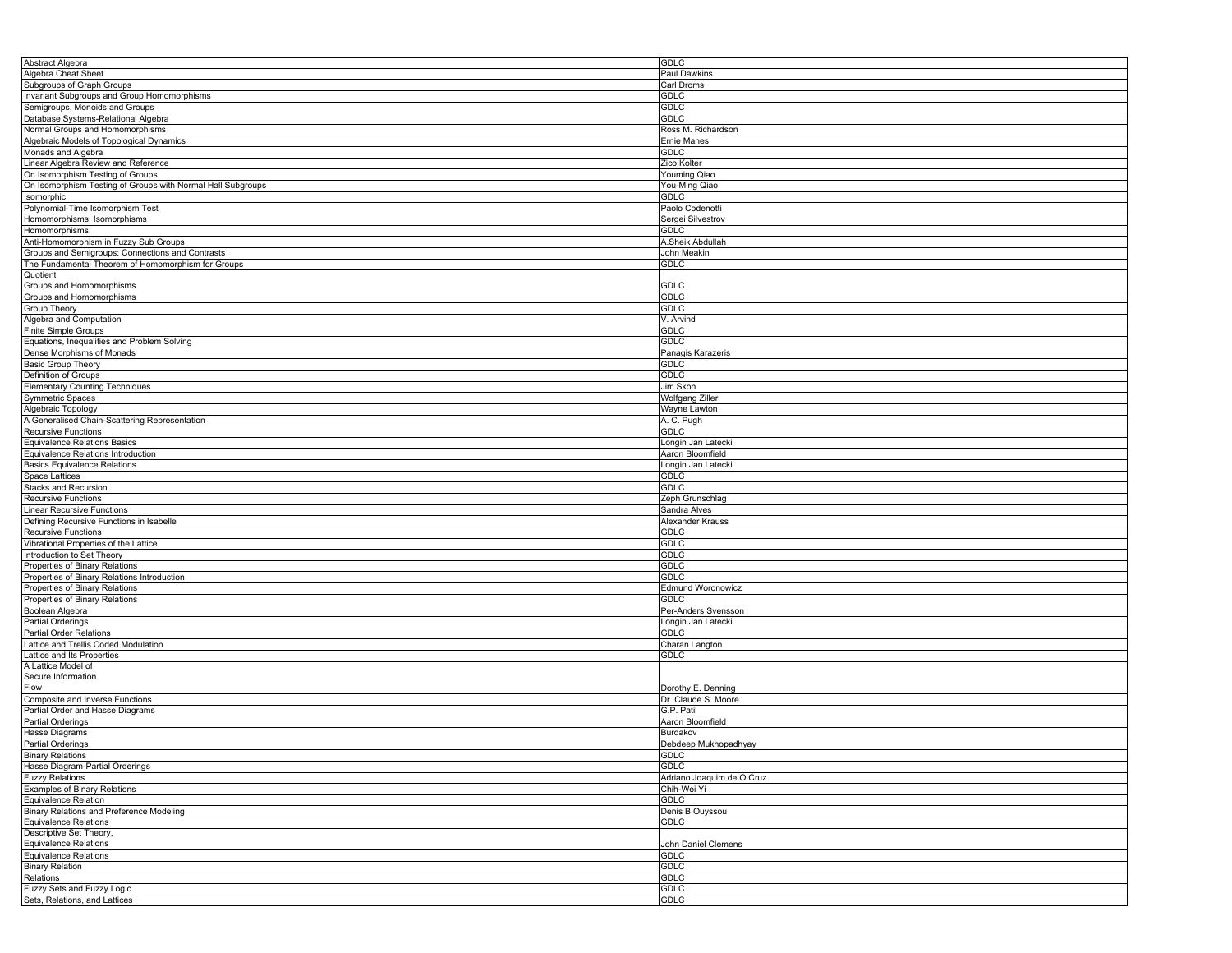| Abstract Algebra                                            | <b>GDLC</b>               |
|-------------------------------------------------------------|---------------------------|
| Algebra Cheat Sheet                                         | Paul Dawkins              |
|                                                             |                           |
| Subgroups of Graph Groups                                   | Carl Droms                |
| <b>Invariant Subgroups and Group Homomorphisms</b>          | <b>GDLC</b>               |
| Semigroups, Monoids and Groups                              | <b>GDLC</b>               |
| Database Systems-Relational Algebra                         | <b>GDLC</b>               |
|                                                             |                           |
| Normal Groups and Homomorphisms                             | Ross M. Richardson        |
| Algebraic Models of Topological Dynamics                    | Ernie Manes               |
| Monads and Algebra                                          | <b>GDLC</b>               |
|                                                             |                           |
| Linear Algebra Review and Reference                         | Zico Kolter               |
| On Isomorphism Testing of Groups                            | <b>Youming Qiao</b>       |
| On Isomorphism Testing of Groups with Normal Hall Subgroups | You-Ming Qiao             |
| Isomorphic                                                  | <b>GDLC</b>               |
|                                                             |                           |
| Polynomial-Time Isomorphism Test                            | Paolo Codenotti           |
| Homomorphisms, Isomorphisms                                 | Sergei Silvestrov         |
| Homomorphisms                                               | <b>GDLC</b>               |
| Anti-Homomorphism in Fuzzy Sub Groups                       | A.Sheik Abdullah          |
|                                                             |                           |
| Groups and Semigroups: Connections and Contrasts            | John Meakin               |
| The Fundamental Theorem of Homomorphism for Groups          | <b>GDLC</b>               |
| Quotient                                                    |                           |
| Groups and Homomorphisms                                    | <b>GDLC</b>               |
|                                                             |                           |
| Groups and Homomorphisms                                    | <b>GDLC</b>               |
| Group Theory                                                | <b>GDLC</b>               |
| Algebra and Computation                                     | V. Arvind                 |
|                                                             |                           |
| Finite Simple Groups                                        | <b>GDLC</b>               |
| Equations, Inequalities and Problem Solving                 | <b>GDLC</b>               |
| Dense Morphisms of Monads                                   | Panagis Karazeris         |
|                                                             | <b>GDLC</b>               |
| <b>Basic Group Theory</b>                                   |                           |
| Definition of Groups                                        | <b>GDLC</b>               |
| <b>Elementary Counting Techniques</b>                       | Jim Skon                  |
| Symmetric Spaces                                            | Wolfgang Ziller           |
|                                                             |                           |
| Algebraic Topology                                          | Wayne Lawton              |
| A Generalised Chain-Scattering Representation               | A. C. Pugh                |
| Recursive Functions                                         | <b>GDLC</b>               |
|                                                             |                           |
| <b>Equivalence Relations Basics</b>                         | Longin Jan Latecki        |
| Equivalence Relations Introduction                          | Aaron Bloomfield          |
| <b>Basics Equivalence Relations</b>                         | Longin Jan Latecki        |
| Space Lattices                                              | <b>GDLC</b>               |
|                                                             |                           |
| <b>Stacks and Recursion</b>                                 | <b>GDLC</b>               |
| <b>Recursive Functions</b>                                  | Zeph Grunschlag           |
| Linear Recursive Functions                                  | Sandra Alves              |
|                                                             |                           |
| Defining Recursive Functions in Isabelle                    | Alexander Krauss          |
| Recursive Functions                                         | <b>GDLC</b>               |
| Vibrational Properties of the Lattice                       | <b>GDLC</b>               |
| Introduction to Set Theory                                  | <b>GDLC</b>               |
|                                                             |                           |
| Properties of Binary Relations                              | GDLC                      |
| Properties of Binary Relations Introduction                 | <b>GDLC</b>               |
| Properties of Binary Relations                              | <b>Edmund Woronowicz</b>  |
|                                                             | <b>GDLC</b>               |
| Properties of Binary Relations                              |                           |
| Boolean Algebra                                             | Per-Anders Svensson       |
| Partial Orderings                                           | Longin Jan Latecki        |
| Partial Order Relations                                     | <b>GDLC</b>               |
|                                                             |                           |
| Lattice and Trellis Coded Modulation                        | Charan Langton            |
| Lattice and Its Properties                                  | <b>GDLC</b>               |
| A Lattice Model of                                          |                           |
| Secure Information                                          |                           |
|                                                             |                           |
| Flow                                                        | Dorothy E. Denning        |
| Composite and Inverse Functions                             | Dr. Claude S. Moore       |
| Partial Order and Hasse Diagrams                            | G.P. Patil                |
| <b>Partial Orderings</b>                                    | Aaron Bloomfield          |
|                                                             |                           |
| Hasse Diagrams                                              | Burdakov                  |
| <b>Partial Orderings</b>                                    | Debdeep Mukhopadhyay      |
| <b>Binary Relations</b>                                     | <b>GDLC</b>               |
|                                                             | <b>GDLC</b>               |
| Hasse Diagram-Partial Orderings                             |                           |
| <b>Fuzzy Relations</b>                                      | Adriano Joaquim de O Cruz |
| Examples of Binary Relations                                | Chih-Wei Yi               |
| Equivalence Relation                                        | <b>GDLC</b>               |
|                                                             |                           |
| <b>Binary Relations and Preference Modeling</b>             | Denis B Ouyssou           |
| Equivalence Relations                                       | <b>GDLC</b>               |
| Descriptive Set Theory,                                     |                           |
| <b>Equivalence Relations</b>                                | John Daniel Clemens       |
|                                                             |                           |
| <b>Equivalence Relations</b>                                | <b>GDLC</b>               |
| <b>Binary Relation</b>                                      | <b>GDLC</b>               |
| Relations                                                   | <b>GDLC</b>               |
|                                                             |                           |
| Fuzzy Sets and Fuzzy Logic                                  | <b>GDLC</b>               |
| Sets, Relations, and Lattices                               | <b>GDLC</b>               |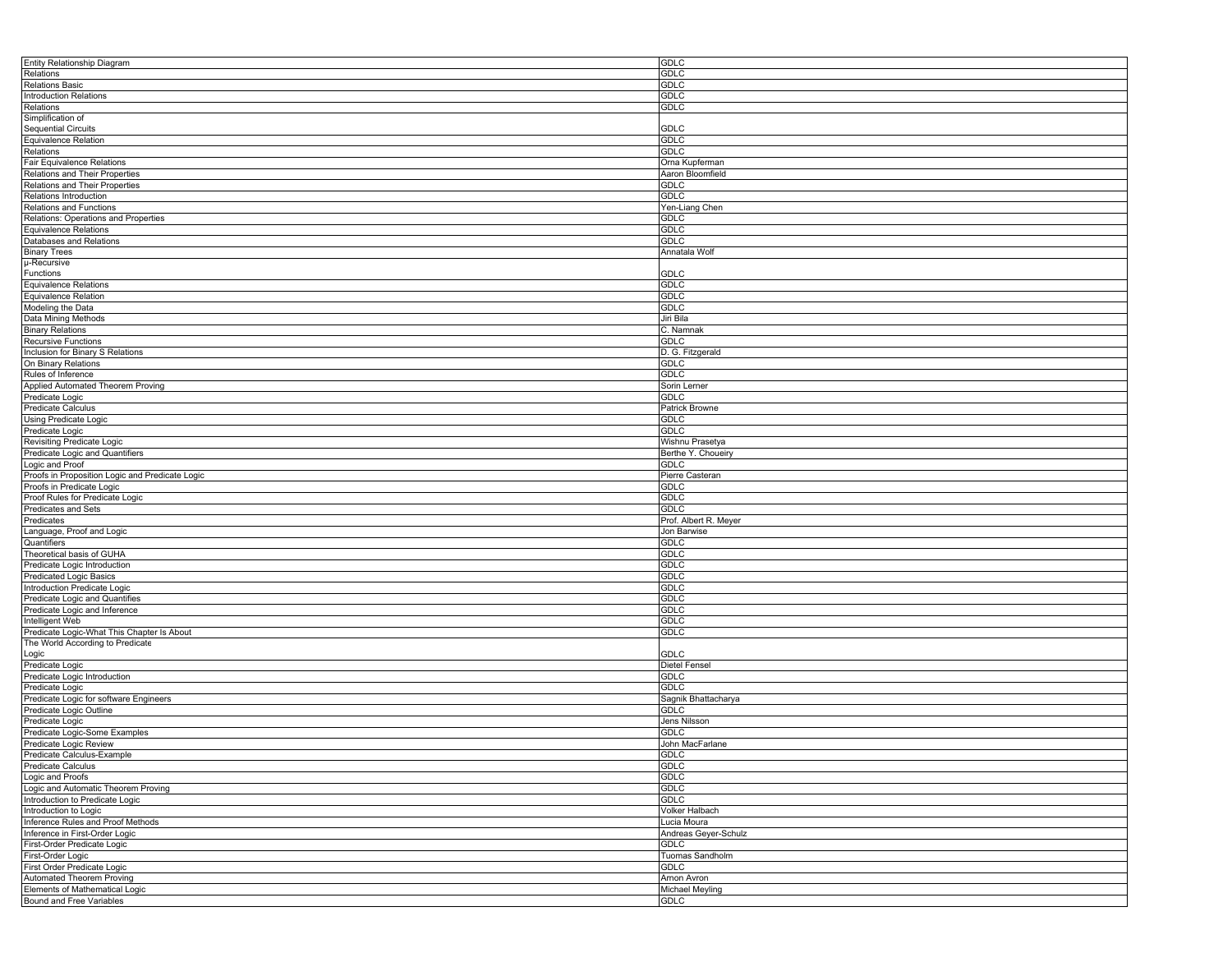| Entity Relationship Diagram                     | <b>GDLC</b>           |
|-------------------------------------------------|-----------------------|
| Relations                                       | <b>GDLC</b>           |
| <b>Relations Basic</b>                          | <b>GDLC</b>           |
| <b>Introduction Relations</b>                   | <b>GDLC</b>           |
| Relations                                       | <b>GDLC</b>           |
| Simplification of                               |                       |
| <b>Sequential Circuits</b>                      | <b>GDLC</b>           |
| Equivalence Relation                            | <b>GDLC</b>           |
| Relations                                       | <b>GDLC</b>           |
|                                                 |                       |
| Fair Equivalence Relations                      | Orna Kupferman        |
| Relations and Their Properties                  | Aaron Bloomfield      |
| Relations and Their Properties                  | <b>GDLC</b>           |
| Relations Introduction                          | GDLC                  |
| Relations and Functions                         | Yen-Liang Chen        |
| Relations: Operations and Properties            | <b>GDLC</b>           |
| <b>Equivalence Relations</b>                    | <b>GDLC</b>           |
| Databases and Relations                         | <b>GDLC</b>           |
| <b>Binary Trees</b>                             | Annatala Wolf         |
| µ-Recursive                                     |                       |
| Functions                                       | <b>GDLC</b>           |
| Equivalence Relations                           | GDLC                  |
| Equivalence Relation                            | <b>GDLC</b>           |
| Modeling the Data                               | <b>GDLC</b>           |
| Data Mining Methods                             | Jiri Bila             |
|                                                 |                       |
| <b>Binary Relations</b>                         | C. Namnak             |
| Recursive Functions                             | GDLC                  |
| Inclusion for Binary S Relations                | D. G. Fitzgerald      |
| On Binary Relations                             | <b>GDLC</b>           |
| Rules of Inference                              | <b>GDLC</b>           |
| Applied Automated Theorem Proving               | Sorin Lerner          |
| Predicate Logic                                 | GDLC                  |
| <b>Predicate Calculus</b>                       | <b>Patrick Browne</b> |
| Using Predicate Logic                           | GDLC                  |
| Predicate Logic                                 | <b>GDLC</b>           |
| Revisiting Predicate Logic                      | Wishnu Prasetya       |
| Predicate Logic and Quantifiers                 | Berthe Y. Choueiry    |
| Logic and Proof                                 | <b>GDLC</b>           |
|                                                 |                       |
| Proofs in Proposition Logic and Predicate Logic | Pierre Casteran       |
| Proofs in Predicate Logic                       | GDLC                  |
| Proof Rules for Predicate Logic                 | <b>GDLC</b>           |
| Predicates and Sets                             | GDLC                  |
| Predicates                                      | Prof. Albert R. Meyer |
| Language, Proof and Logic                       | Jon Barwise           |
| Quantifiers                                     | <b>GDLC</b>           |
| Theoretical basis of GUHA                       | <b>GDLC</b>           |
| Predicate Logic Introduction                    | <b>GDLC</b>           |
| Predicated Logic Basics                         | <b>GDLC</b>           |
| Introduction Predicate Logic                    | <b>GDLC</b>           |
| Predicate Logic and Quantifies                  | <b>GDLC</b>           |
| Predicate Logic and Inference                   | <b>GDLC</b>           |
| Intelligent Web                                 | <b>GDLC</b>           |
|                                                 | <b>GDLC</b>           |
| Predicate Logic-What This Chapter Is About      |                       |
| The World According to Predicate                |                       |
| ∟ogic                                           | <b>GDLC</b>           |
| Predicate Logic                                 | <b>Dietel Fensel</b>  |
| Predicate Logic Introduction                    | <b>GDLC</b>           |
| Predicate Logic                                 | GDLC                  |
| Predicate Logic for software Engineers          | Sagnik Bhattacharya   |
| Predicate Logic Outline                         | <b>GDLC</b>           |
| Predicate Logic                                 | Jens Nilsson          |
| Predicate Logic-Some Examples                   | <b>GDLC</b>           |
| Predicate Logic Review                          | John MacFarlane       |
| Predicate Calculus-Example                      | GDLC                  |
| Predicate Calculus                              | GDLC                  |
| Logic and Proofs                                | <b>GDLC</b>           |
|                                                 | <b>GDLC</b>           |
| Logic and Automatic Theorem Proving             |                       |
| Introduction to Predicate Logic                 | <b>GDLC</b>           |
| Introduction to Logic                           | Volker Halbach        |
| Inference Rules and Proof Methods               | Lucia Moura           |
| Inference in First-Order Logic                  | Andreas Geyer-Schulz  |
| First-Order Predicate Logic                     | <b>GDLC</b>           |
| First-Order Logic                               | Tuomas Sandholm       |
| First Order Predicate Logic                     | <b>GDLC</b>           |
| Automated Theorem Proving                       | Arnon Avron           |
| Elements of Mathematical Logic                  | Michael Meyling       |
| Bound and Free Variables                        | <b>GDLC</b>           |
|                                                 |                       |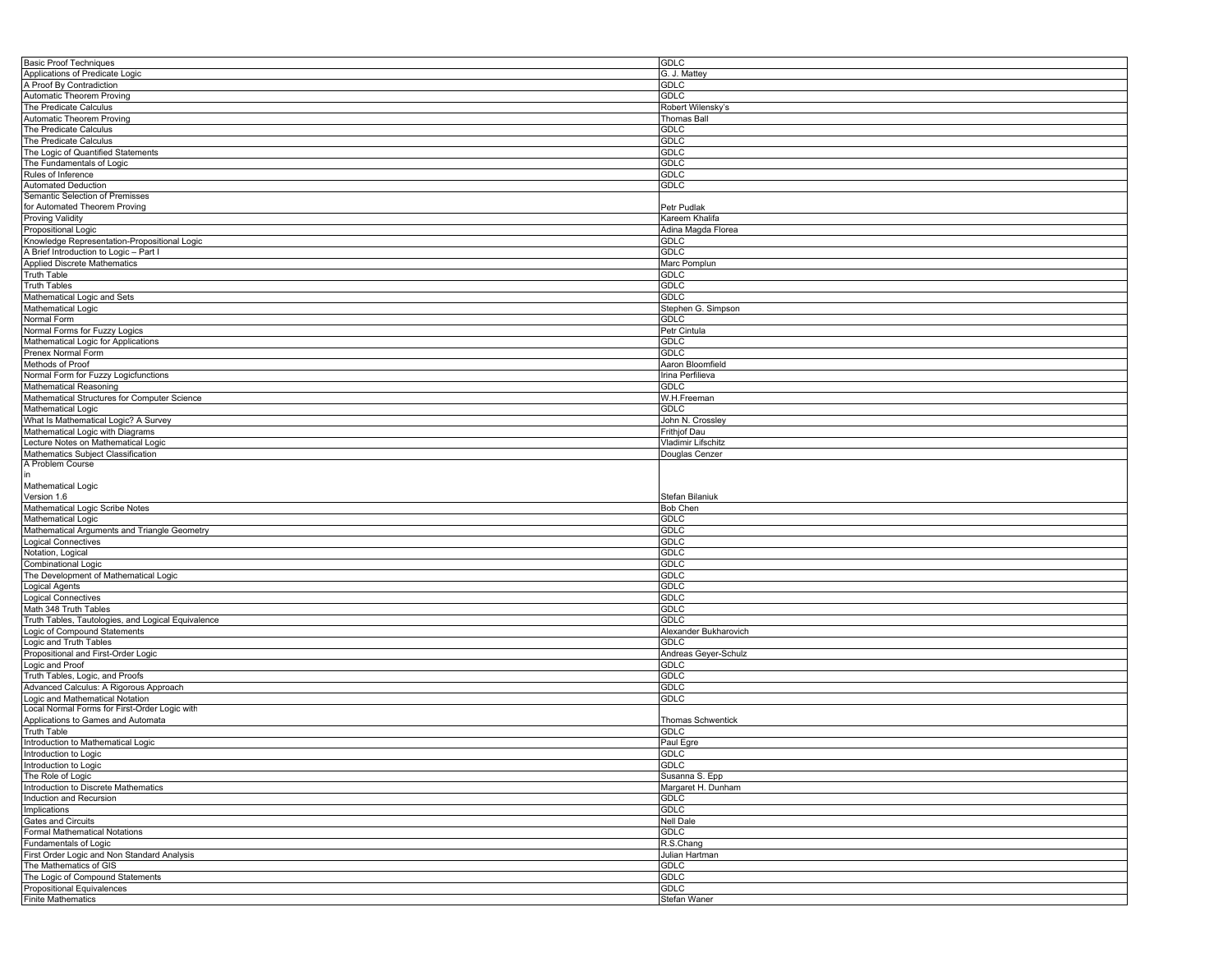| <b>Basic Proof Techniques</b>                           |                             |
|---------------------------------------------------------|-----------------------------|
|                                                         | <b>GDLC</b>                 |
| Applications of Predicate Logic                         | G. J. Mattey                |
|                                                         |                             |
|                                                         | <b>GDLC</b>                 |
| A Proof By Contradiction<br>Automatic Theorem Proving   | <b>GDLC</b>                 |
| The Predicate Calculus                                  | Robert Wilensky's           |
|                                                         | Thomas Ball                 |
| Automatic Theorem Proving                               |                             |
| The Predicate Calculus                                  | <b>GDLC</b>                 |
| The Predicate Calculus                                  | <b>GDLC</b>                 |
| The Logic of Quantified Statements                      | <b>GDLC</b>                 |
|                                                         |                             |
| The Fundamentals of Logic                               | <b>GDLC</b>                 |
| Rules of Inference                                      | <b>GDLC</b>                 |
| <b>Automated Deduction</b>                              | <b>GDLC</b>                 |
|                                                         |                             |
| Semantic Selection of Premisses                         |                             |
| for Automated Theorem Proving                           | Petr Pudlak                 |
| Proving Validity                                        | Kareem Khalifa              |
| Propositional Logic                                     | Adina Magda Florea          |
|                                                         |                             |
| Knowledge Representation-Propositional Logic            | <b>GDLC</b>                 |
| A Brief Introduction to Logic - Part I                  | GDLC                        |
| <b>Applied Discrete Mathematics</b>                     | Marc Pomplun                |
|                                                         |                             |
| <b>Truth Table</b>                                      | <b>GDLC</b>                 |
| <b>Truth Tables</b>                                     | <b>GDLC</b>                 |
| Mathematical Logic and Sets                             | <b>GDLC</b>                 |
| Mathematical Logic                                      |                             |
|                                                         | Stephen G. Simpson          |
| Normal Form                                             | <b>GDLC</b>                 |
| Normal Forms for Fuzzy Logics                           | Petr Cintula                |
| Mathematical Logic for Applications                     | GDLC                        |
|                                                         |                             |
| Prenex Normal Form                                      | <b>GDLC</b>                 |
| Methods of Proof                                        | Aaron Bloomfield            |
| Normal Form for Fuzzy Logicfunctions                    | Irina Perfilieva            |
|                                                         |                             |
| Mathematical Reasoning                                  | GDLC                        |
| Mathematical Structures for Computer Science            | W.H.Freeman                 |
| <b>Mathematical Logic</b>                               | <b>GDLC</b>                 |
|                                                         |                             |
| What Is Mathematical Logic? A Survey                    | John N. Crossley            |
| Mathematical Logic with Diagrams                        | Frithjof Dau                |
| Lecture Notes on Mathematical Logic                     | Vladimir Lifschitz          |
| Mathematics Subject Classification                      |                             |
|                                                         | Douglas Cenzer              |
| A Problem Course                                        |                             |
| in                                                      |                             |
| Mathematical Logic                                      |                             |
| Version 1.6                                             |                             |
|                                                         | Stefan Bilaniuk             |
| Mathematical Logic Scribe Notes                         | <b>Bob Chen</b>             |
| Mathematical Logic                                      | <b>GDLC</b>                 |
| Mathematical Arguments and Triangle Geometry            | <b>GDLC</b>                 |
|                                                         |                             |
| <b>Logical Connectives</b>                              | GDLC                        |
| Notation, Logical                                       | <b>GDLC</b>                 |
| Combinational Logic                                     | <b>GDLC</b>                 |
|                                                         |                             |
|                                                         |                             |
| The Development of Mathematical Logic                   | <b>GDLC</b>                 |
|                                                         | <b>GDLC</b>                 |
| Logical Agents                                          |                             |
| <b>Logical Connectives</b>                              | GDLC                        |
| Math 348 Truth Tables                                   | <b>GDLC</b>                 |
|                                                         | <b>GDLC</b>                 |
| Truth Tables, Tautologies, and Logical Equivalence      |                             |
| Logic of Compound Statements                            | Alexander Bukharovich       |
| Logic and Truth Tables                                  | <b>GDLC</b>                 |
| Propositional and First-Order Logic                     | Andreas Geyer-Schulz        |
|                                                         | GDLC                        |
| Logic and Proof                                         |                             |
| Truth Tables, Logic, and Proofs                         | <b>GDLC</b>                 |
| Advanced Calculus: A Rigorous Approach                  | <b>GDLC</b>                 |
| Logic and Mathematical Notation                         | <b>GDLC</b>                 |
|                                                         |                             |
| Local Normal Forms for First-Order Logic with           |                             |
| Applications to Games and Automata                      | Thomas Schwentick           |
| <b>Truth Table</b>                                      | <b>GDLC</b>                 |
| Introduction to Mathematical Logic                      |                             |
|                                                         | Paul Egre                   |
| Introduction to Logic                                   | GDLC                        |
| Introduction to Logic                                   | <b>GDLC</b>                 |
| The Role of Logic                                       | Susanna S. Epp              |
|                                                         |                             |
| Introduction to Discrete Mathematics                    | Margaret H. Dunham          |
| Induction and Recursion                                 | <b>GDLC</b>                 |
| Implications                                            | <b>GDLC</b>                 |
|                                                         |                             |
| Gates and Circuits                                      | <b>Nell Dale</b>            |
| <b>Formal Mathematical Notations</b>                    | <b>GDLC</b>                 |
| Fundamentals of Logic                                   | R.S.Chang                   |
|                                                         |                             |
| First Order Logic and Non Standard Analysis             | Julian Hartman              |
| The Mathematics of GIS                                  | <b>GDLC</b>                 |
| The Logic of Compound Statements                        | <b>GDLC</b>                 |
|                                                         |                             |
| Propositional Equivalences<br><b>Finite Mathematics</b> | <b>GDLC</b><br>Stefan Waner |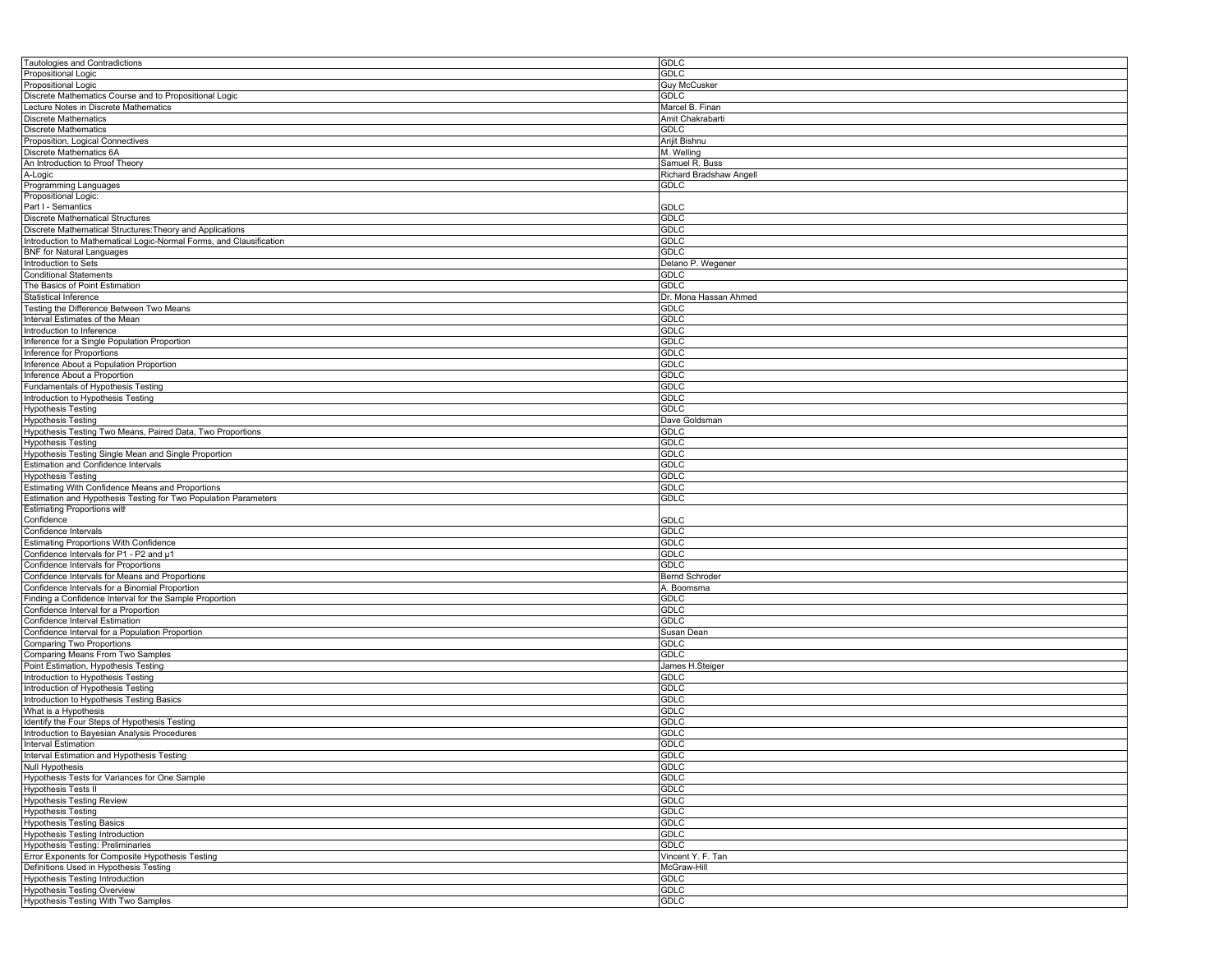| Tautologies and Contradictions                                      | <b>GDLC</b>             |
|---------------------------------------------------------------------|-------------------------|
| Propositional Logic                                                 | <b>GDLC</b>             |
| Propositional Logic                                                 | <b>Guy McCusker</b>     |
|                                                                     |                         |
| Discrete Mathematics Course and to Propositional Logic              | <b>GDLC</b>             |
| Lecture Notes in Discrete Mathematics                               | Marcel B. Finan         |
| <b>Discrete Mathematics</b>                                         | Amit Chakrabarti        |
|                                                                     | <b>GDLC</b>             |
| <b>Discrete Mathematics</b>                                         |                         |
| Proposition, Logical Connectives                                    | Arijit Bishnu           |
| Discrete Mathematics 6A                                             | M. Welling              |
| An Introduction to Proof Theory                                     | Samuel R. Buss          |
|                                                                     |                         |
| A-Logic                                                             | Richard Bradshaw Angell |
| Programming Languages                                               | GDLC                    |
| Propositional Logic:                                                |                         |
| Part I - Semantics                                                  | GDLC                    |
| <b>Discrete Mathematical Structures</b>                             | <b>GDLC</b>             |
|                                                                     |                         |
| Discrete Mathematical Structures: Theory and Applications           | GDLC                    |
| Introduction to Mathematical Logic-Normal Forms, and Clausification | <b>GDLC</b>             |
| <b>BNF</b> for Natural Languages                                    | GDLC                    |
| Introduction to Sets                                                | Delano P. Wegener       |
|                                                                     |                         |
| <b>Conditional Statements</b>                                       | GDLC                    |
| The Basics of Point Estimation                                      | GDLC                    |
| Statistical Inference                                               | Dr. Mona Hassan Ahmed   |
| Testing the Difference Between Two Means                            | GDLC                    |
|                                                                     |                         |
| Interval Estimates of the Mean                                      | GDLC                    |
| Introduction to Inference                                           | <b>GDLC</b>             |
| Inference for a Single Population Proportion                        | GDLC                    |
| Inference for Proportions                                           | <b>GDLC</b>             |
|                                                                     |                         |
| Inference About a Population Proportion                             | <b>GDLC</b>             |
| Inference About a Proportion                                        | GDLC                    |
| Fundamentals of Hypothesis Testing                                  | <b>GDLC</b>             |
| Introduction to Hypothesis Testing                                  | GDLC                    |
|                                                                     |                         |
| <b>Hypothesis Testing</b>                                           | <b>GDLC</b>             |
| <b>Hypothesis Testing</b>                                           | Dave Goldsman           |
| Hypothesis Testing Two Means, Paired Data, Two Proportions          | GDLC                    |
| <b>Hypothesis Testing</b>                                           | GDLC                    |
|                                                                     |                         |
| Hypothesis Testing Single Mean and Single Proportion                | GDLC                    |
| <b>Estimation and Confidence Intervals</b>                          | <b>GDLC</b>             |
| <b>Hypothesis Testing</b>                                           | <b>GDLC</b>             |
| Estimating With Confidence Means and Proportions                    | GDLC                    |
|                                                                     |                         |
| Estimation and Hypothesis Testing for Two Population Parameters     | <b>GDLC</b>             |
| <b>Estimating Proportions with</b>                                  |                         |
| Confidence                                                          | GDLC                    |
| Confidence Intervals                                                | <b>GDLC</b>             |
|                                                                     |                         |
| <b>Estimating Proportions With Confidence</b>                       | <b>GDLC</b>             |
| Confidence Intervals for P1 - P2 and µ1                             | <b>GDLC</b>             |
| Confidence Intervals for Proportions                                | <b>GDLC</b>             |
| Confidence Intervals for Means and Proportions                      | <b>Bernd Schroder</b>   |
|                                                                     |                         |
| Confidence Intervals for a Binomial Proportion                      | A. Boomsma              |
| Finding a Confidence Interval for the Sample Proportion             | GDLC                    |
| Confidence Interval for a Proportion                                | GDLC                    |
| Confidence Interval Estimation                                      | <b>GDLC</b>             |
|                                                                     |                         |
| Confidence Interval for a Population Proportion                     | Susan Dean              |
| Comparing Two Proportions                                           | GDLC                    |
| Comparing Means From Two Samples                                    | GDLC                    |
| Point Estimation, Hypothesis Testing                                | James H.Steiger         |
| Introduction to Hypothesis Testing                                  | GDLC                    |
|                                                                     |                         |
| Introduction of Hypothesis Testing                                  | GDLC                    |
| Introduction to Hypothesis Testing Basics                           | <b>GDLC</b>             |
| What is a Hypothesis                                                | <b>GDLC</b>             |
| Identify the Four Steps of Hypothesis Testing                       | GDLC                    |
|                                                                     | <b>GDLC</b>             |
| Introduction to Bayesian Analysis Procedures                        |                         |
| <b>Interval Estimation</b>                                          | <b>GDLC</b>             |
| Interval Estimation and Hypothesis Testing                          | <b>GDLC</b>             |
| <b>Null Hypothesis</b>                                              | <b>GDLC</b>             |
| Hypothesis Tests for Variances for One Sample                       | <b>GDLC</b>             |
|                                                                     |                         |
| <b>Hypothesis Tests II</b>                                          | <b>GDLC</b>             |
| <b>Hypothesis Testing Review</b>                                    | <b>GDLC</b>             |
| <b>Hypothesis Testing</b>                                           | <b>GDLC</b>             |
|                                                                     |                         |
| <b>Hypothesis Testing Basics</b>                                    | <b>GDLC</b>             |
| <b>Hypothesis Testing Introduction</b>                              | <b>GDLC</b>             |
| Hypothesis Testing: Preliminaries                                   | <b>GDLC</b>             |
| Error Exponents for Composite Hypothesis Testing                    | Vincent Y. F. Tan       |
|                                                                     | McGraw-Hill             |
| Definitions Used in Hypothesis Testing                              |                         |
| Hypothesis Testing Introduction                                     | <b>GDLC</b>             |
| <b>Hypothesis Testing Overview</b>                                  | <b>GDLC</b>             |
|                                                                     |                         |
| Hypothesis Testing With Two Samples                                 | GDLC                    |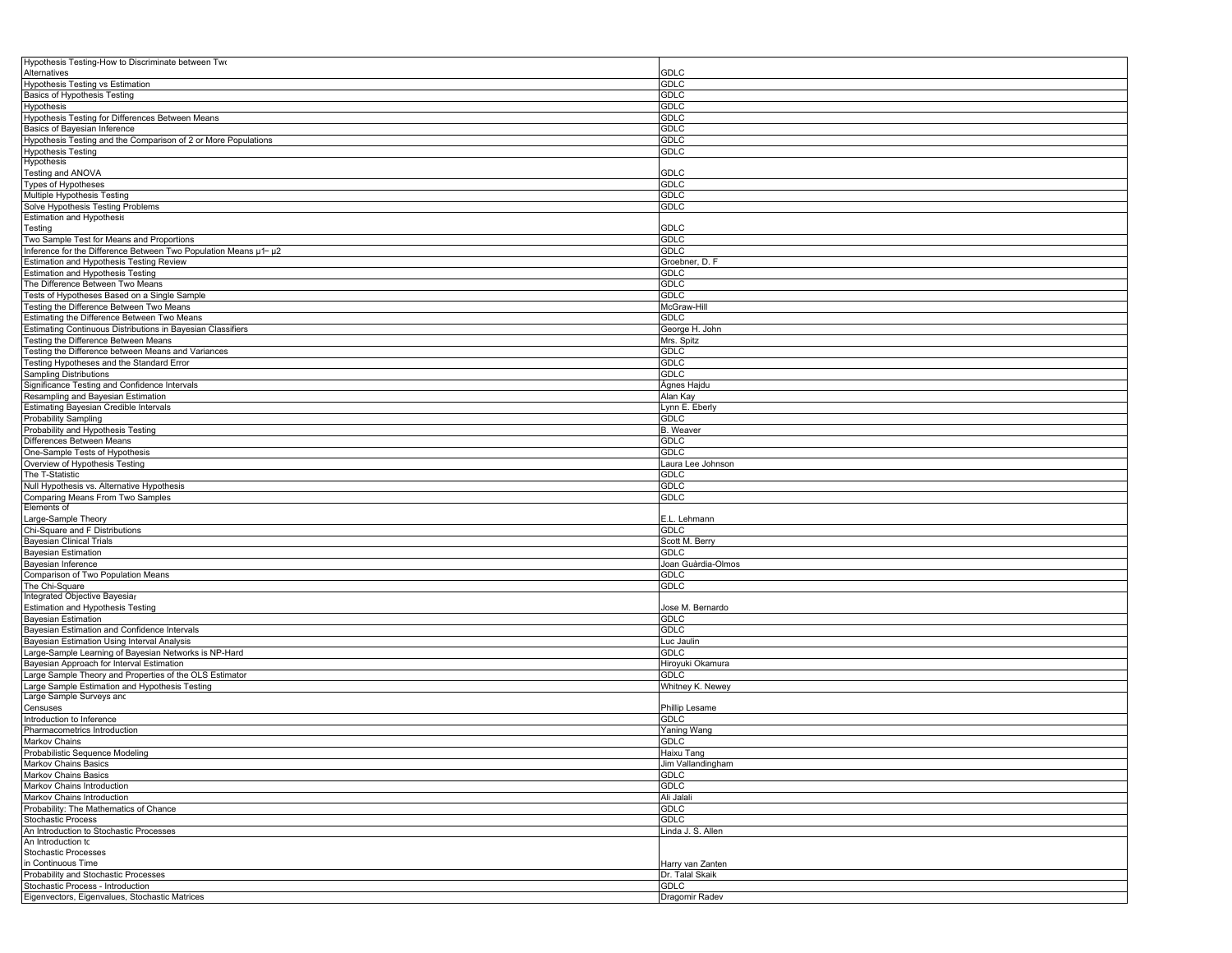| Hypothesis Testing-How to Discriminate between Two                                  |                                     |
|-------------------------------------------------------------------------------------|-------------------------------------|
| Alternatives<br>Hypothesis Testing vs Estimation                                    | <b>GDLC</b><br>GDLC                 |
| Basics of Hypothesis Testing                                                        | <b>GDLC</b>                         |
| <b>Hypothesis</b>                                                                   | <b>GDLC</b>                         |
| Hypothesis Testing for Differences Between Means                                    | <b>GDLC</b>                         |
| Basics of Bayesian Inference                                                        | GDLC                                |
| Hypothesis Testing and the Comparison of 2 or More Populations                      | GDLC                                |
| <b>Hypothesis Testing</b><br>Hypothesis                                             | <b>GDLC</b>                         |
| Testing and ANOVA                                                                   | GDLC                                |
| Types of Hypotheses                                                                 | GDLC                                |
| Multiple Hypothesis Testing                                                         | <b>GDLC</b>                         |
| Solve Hypothesis Testing Problems                                                   | <b>GDLC</b>                         |
| <b>Estimation and Hypothesis</b><br>Testing                                         | <b>GDLC</b>                         |
| Two Sample Test for Means and Proportions                                           | GDLC                                |
| Inference for the Difference Between Two Population Means u1- u2                    | <b>GDLC</b>                         |
| <b>Estimation and Hypothesis Testing Review</b>                                     | Groebner, D. F                      |
| Estimation and Hypothesis Testing<br>The Difference Between Two Means               | GDLC<br><b>GDLC</b>                 |
| Tests of Hypotheses Based on a Single Sample                                        | <b>GDLC</b>                         |
| Testing the Difference Between Two Means                                            | McGraw-Hill                         |
| Estimating the Difference Between Two Means                                         | <b>GDLC</b>                         |
| Estimating Continuous Distributions in Bayesian Classifiers                         | George H. John                      |
| Testing the Difference Between Means                                                | Mrs. Spitz                          |
| Testing the Difference between Means and Variances                                  | GDLC                                |
| Testing Hypotheses and the Standard Error<br><b>Sampling Distributions</b>          | <b>GDLC</b>                         |
| Significance Testing and Confidence Intervals                                       | <b>GDLC</b><br>Ágnes Hajdu          |
| Resampling and Bayesian Estimation                                                  | Alan Kay                            |
| Estimating Bayesian Credible Intervals                                              | ynn E. Eberly                       |
| <b>Probability Sampling</b>                                                         | <b>GDLC</b>                         |
| Probability and Hypothesis Testing                                                  | <b>B.</b> Weaver                    |
| Differences Between Means                                                           | GDLC                                |
| One-Sample Tests of Hypothesis                                                      | GDLC                                |
| Overview of Hypothesis Testing                                                      | Laura Lee Johnson                   |
| The T-Statistic<br>Null Hypothesis vs. Alternative Hypothesis                       | GDLC<br><b>GDLC</b>                 |
| Comparing Means From Two Samples                                                    | GDLC                                |
| Elements of                                                                         |                                     |
| Large-Sample Theory                                                                 | E.L. Lehmann                        |
| Chi-Square and F Distributions                                                      | GDLC                                |
| <b>Bayesian Clinical Trials</b>                                                     | Scott M. Berry                      |
| Bayesian Estimation<br>Bayesian Inference                                           | GDLC<br>Joan Guàrdia-Olmos          |
| Comparison of Two Population Means                                                  | GDLC                                |
| The Chi-Square                                                                      | GDLC                                |
| Integrated Objective Bayesiar                                                       |                                     |
| Estimation and Hypothesis Testing<br><b>Bayesian Estimation</b>                     | Jose M. Bernardo<br><b>GDLC</b>     |
| Bayesian Estimation and Confidence Intervals                                        | <b>GDLC</b>                         |
| Bayesian Estimation Using Interval Analysis                                         | Luc Jaulin                          |
| Large-Sample Learning of Bayesian Networks is NP-Hard                               | <b>GDLC</b>                         |
| Bayesian Approach for Interval Estimation                                           | Hiroyuki Okamura                    |
| Large Sample Theory and Properties of the OLS Estimator                             | GDLC                                |
| Large Sample Estimation and Hypothesis Testing<br>Large Sample Surveys and          | Whitney K. Newey                    |
| Censuses                                                                            | Phillip Lesame                      |
| Introduction to Inference                                                           | GDLC                                |
| Pharmacometrics Introduction                                                        | Yaning Wang<br><b>GDLC</b>          |
| Markov Chains                                                                       |                                     |
| Probabilistic Sequence Modeling<br>Markov Chains Basics                             | Haixu Tand<br>Jim Vallandingham     |
| Markov Chains Basics                                                                | GDLC                                |
| Markov Chains Introduction                                                          | <b>GDLC</b>                         |
| Markov Chains Introduction                                                          | Ali Jalali                          |
| Probability: The Mathematics of Chance                                              | <b>GDLC</b>                         |
| <b>Stochastic Process</b>                                                           | <b>GDLC</b>                         |
| An Introduction to Stochastic Processes                                             | Linda J. S. Allen                   |
| An Introduction tc<br>Stochastic Processes                                          |                                     |
|                                                                                     |                                     |
|                                                                                     |                                     |
| in Continuous Time<br>Probability and Stochastic Processes                          | Harry van Zanten<br>Dr. Talal Skaik |
| Stochastic Process - Introduction<br>Eigenvectors, Eigenvalues, Stochastic Matrices | GDLC<br>Dragomir Radev              |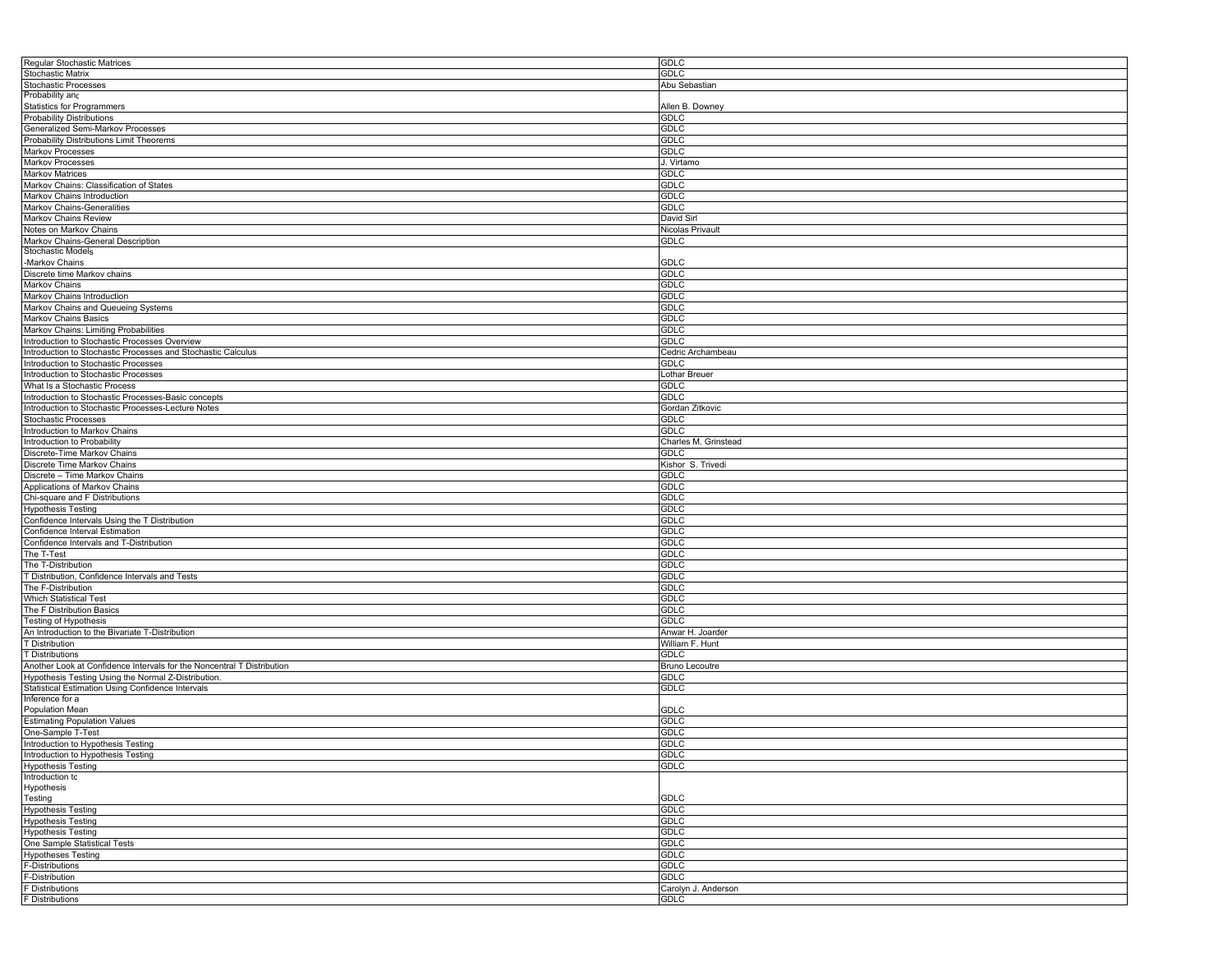| Regular Stochastic Matrices                                            | <b>GDLC</b>           |
|------------------------------------------------------------------------|-----------------------|
| Stochastic Matrix                                                      | <b>GDLC</b>           |
| Stochastic Processes                                                   | Abu Sebastian         |
| Probability and                                                        |                       |
| <b>Statistics for Programmers</b>                                      | Allen B. Downey       |
|                                                                        |                       |
| <b>Probability Distributions</b>                                       | <b>GDLC</b>           |
| Generalized Semi-Markov Processes                                      | <b>GDLC</b>           |
| Probability Distributions Limit Theorems                               | <b>GDLC</b>           |
| Markov Processes                                                       | <b>GDLC</b>           |
| <b>Markov Processes</b>                                                | J. Virtamo            |
| <b>Markov Matrices</b>                                                 | <b>GDLC</b>           |
| Markov Chains: Classification of States                                | <b>GDLC</b>           |
| Markov Chains Introduction                                             | <b>GDLC</b>           |
|                                                                        | <b>GDLC</b>           |
| Markov Chains-Generalities                                             |                       |
| Markov Chains Review                                                   | David Sirl            |
| Notes on Markov Chains                                                 | Nicolas Privault      |
| Markov Chains-General Description                                      | <b>GDLC</b>           |
| <b>Stochastic Models</b>                                               |                       |
| -Markov Chains                                                         | GDLC                  |
| Discrete time Markov chains                                            | <b>GDLC</b>           |
| Markov Chains                                                          | <b>GDLC</b>           |
| Markov Chains Introduction                                             | <b>GDLC</b>           |
| Markov Chains and Queueing Systems                                     | <b>GDLC</b>           |
| Markov Chains Basics                                                   | GDLC                  |
|                                                                        |                       |
| Markov Chains: Limiting Probabilities                                  | <b>GDLC</b>           |
| Introduction to Stochastic Processes Overview                          | <b>GDLC</b>           |
| Introduction to Stochastic Processes and Stochastic Calculus           | Cedric Archambeau     |
| Introduction to Stochastic Processes                                   | <b>GDLC</b>           |
| Introduction to Stochastic Processes                                   | Lothar Breuer         |
| What Is a Stochastic Process                                           | <b>GDLC</b>           |
| Introduction to Stochastic Processes-Basic concepts                    | <b>GDLC</b>           |
| Introduction to Stochastic Processes-Lecture Notes                     | Gordan Zitkovic       |
| <b>Stochastic Processes</b>                                            | <b>GDLC</b>           |
|                                                                        |                       |
| Introduction to Markov Chains                                          | <b>GDLC</b>           |
| Introduction to Probability                                            | Charles M. Grinstead  |
| Discrete-Time Markov Chains                                            | <b>GDLC</b>           |
| Discrete Time Markov Chains                                            | Kishor S. Trivedi     |
| Discrete - Time Markov Chains                                          | <b>GDLC</b>           |
| Applications of Markov Chains                                          | <b>GDLC</b>           |
| Chi-square and F Distributions                                         | <b>GDLC</b>           |
| <b>Hypothesis Testing</b>                                              | <b>GDLC</b>           |
|                                                                        |                       |
| Confidence Intervals Using the T Distribution                          | GDLC                  |
| Confidence Interval Estimation                                         | <b>GDLC</b>           |
| Confidence Intervals and T-Distribution                                | GDLC                  |
| The T-Test                                                             | <b>GDLC</b>           |
| The T-Distribution                                                     | <b>GDLC</b>           |
| T Distribution, Confidence Intervals and Tests                         | <b>GDLC</b>           |
| The F-Distribution                                                     | <b>GDLC</b>           |
| Which Statistical Test                                                 | GDLC                  |
|                                                                        | <b>GDLC</b>           |
| The F Distribution Basics                                              |                       |
| Testing of Hypothesis                                                  | <b>GDLC</b>           |
| An Introduction to the Bivariate T-Distribution                        | Anwar H. Joarder      |
| T Distribution                                                         | William F. Hunt       |
| <b>T Distributions</b>                                                 | <b>GDLC</b>           |
| Another Look at Confidence Intervals for the Noncentral T Distribution | <b>Bruno Lecoutre</b> |
| Hypothesis Testing Using the Normal Z-Distribution                     | <b>GDLC</b>           |
| Statistical Estimation Using Confidence Intervals                      | GDLC                  |
| Inference for a                                                        |                       |
| Population Mean                                                        | <b>GDLC</b>           |
|                                                                        |                       |
| <b>Estimating Population Values</b>                                    | <b>GDLC</b>           |
| One-Sample T-Test                                                      | <b>GDLC</b>           |
| Introduction to Hypothesis Testing                                     | GDLC                  |
| Introduction to Hypothesis Testing                                     | GDLC                  |
| <b>Hypothesis Testing</b>                                              | <b>GDLC</b>           |
| Introduction tc                                                        |                       |
| Hypothesis                                                             |                       |
| Testing                                                                | <b>GDLC</b>           |
| <b>Hypothesis Testing</b>                                              | <b>GDLC</b>           |
| <b>Hypothesis Testing</b>                                              | <b>GDLC</b>           |
|                                                                        |                       |
| <b>Hypothesis Testing</b>                                              | <b>GDLC</b>           |
| One Sample Statistical Tests                                           | <b>GDLC</b>           |
| <b>Hypotheses Testing</b>                                              | <b>GDLC</b>           |
| F-Distributions                                                        | <b>GDLC</b>           |
| F-Distribution                                                         | <b>GDLC</b>           |
| F Distributions                                                        | Carolyn J. Anderson   |
| F Distributions                                                        | <b>GDLC</b>           |
|                                                                        |                       |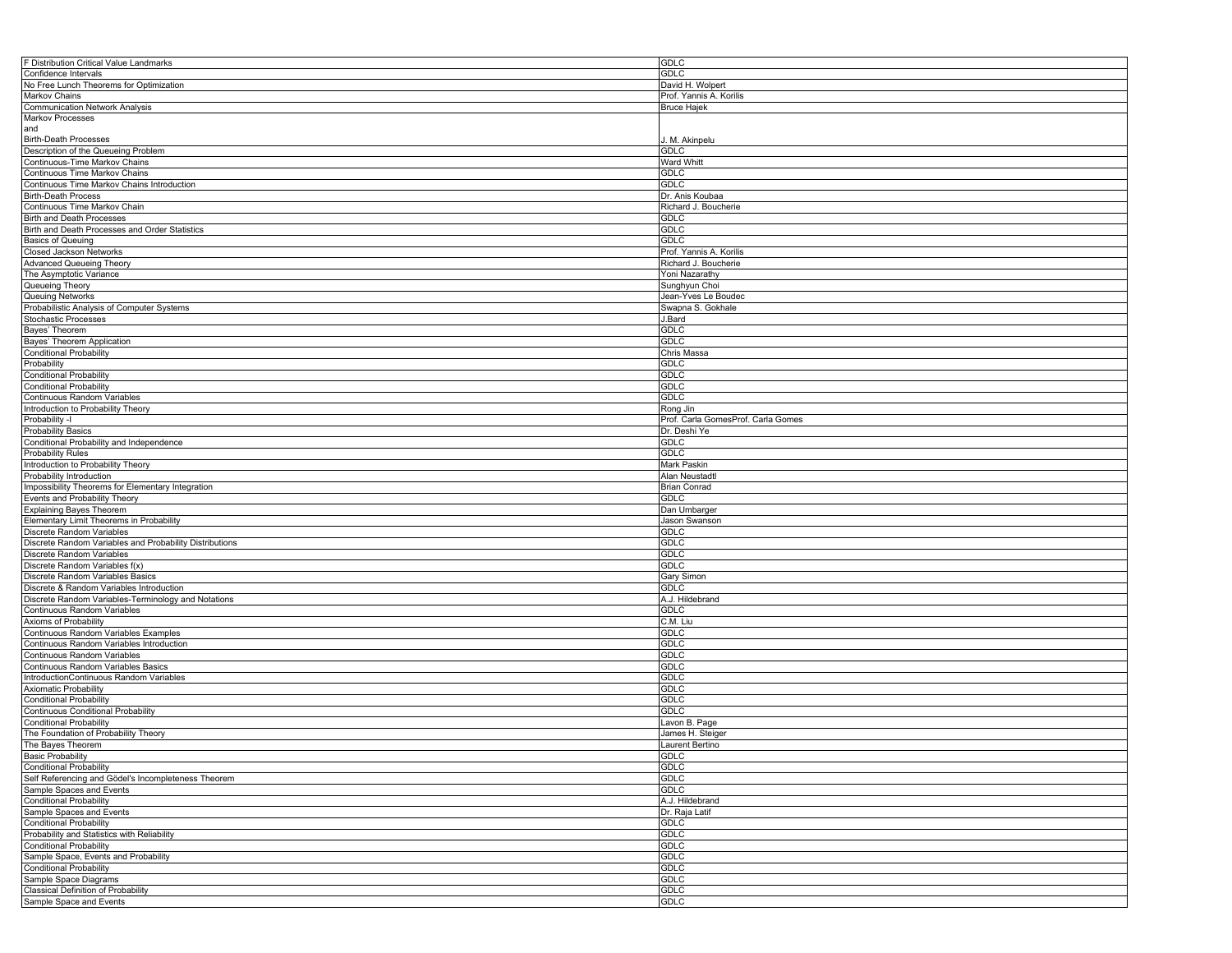| F Distribution Critical Value Landmarks                        | <b>GDLC</b>                        |
|----------------------------------------------------------------|------------------------------------|
| Confidence Intervals                                           | <b>GDLC</b>                        |
| No Free Lunch Theorems for Optimization                        | David H. Wolpert                   |
| Markov Chains                                                  | Prof. Yannis A. Korilis            |
| <b>Communication Network Analysis</b>                          | <b>Bruce Hajek</b>                 |
| <b>Markov Processes</b>                                        |                                    |
|                                                                |                                    |
| and                                                            |                                    |
| <b>Birth-Death Processes</b>                                   | J. M. Akinpelu                     |
| Description of the Queueing Problem                            | <b>GDLC</b>                        |
| Continuous-Time Markov Chains                                  | <b>Ward Whitt</b>                  |
| Continuous Time Markov Chains                                  | <b>GDLC</b>                        |
| Continuous Time Markov Chains Introduction                     | GDLC                               |
| <b>Birth-Death Process</b>                                     | Dr. Anis Koubaa                    |
| Continuous Time Markov Chain                                   | Richard J. Boucherie               |
|                                                                |                                    |
| Birth and Death Processes                                      | <b>GDLC</b>                        |
| Birth and Death Processes and Order Statistics                 | <b>GDLC</b>                        |
| <b>Basics of Queuing</b>                                       | GDLC                               |
| Closed Jackson Networks                                        | Prof. Yannis A. Korilis            |
| <b>Advanced Queueing Theory</b>                                | Richard J. Boucherie               |
| The Asymptotic Variance                                        | Yoni Nazarathy                     |
| Queueing Theory                                                | Sunghyun Choi                      |
| Queuing Networks                                               | Jean-Yves Le Boudec                |
|                                                                | Swapna S. Gokhale                  |
| Probabilistic Analysis of Computer Systems                     |                                    |
| Stochastic Processes                                           | J.Bard                             |
| Bayes' Theorem                                                 | <b>GDLC</b>                        |
| Bayes' Theorem Application                                     | <b>GDLC</b>                        |
| <b>Conditional Probability</b>                                 | Chris Massa                        |
| Probability                                                    | <b>GDLC</b>                        |
| <b>Conditional Probability</b>                                 | <b>GDLC</b>                        |
| <b>Conditional Probability</b>                                 | <b>GDLC</b>                        |
| Continuous Random Variables                                    | <b>GDLC</b>                        |
| Introduction to Probability Theory                             |                                    |
|                                                                | Rong Jin                           |
| Probability -I                                                 | Prof. Carla GomesProf. Carla Gomes |
| <b>Probability Basics</b>                                      | Dr. Deshi Ye                       |
| Conditional Probability and Independence                       | <b>GDLC</b>                        |
| <b>Probability Rules</b>                                       | <b>GDLC</b>                        |
| Introduction to Probability Theory                             | Mark Paskin                        |
| Probability Introduction                                       | Alan Neustadtl                     |
| Impossibility Theorems for Elementary Integration              | <b>Brian Conrad</b>                |
| Events and Probability Theory                                  | GDLC                               |
| <b>Explaining Bayes Theorem</b>                                | Dan Umbarger                       |
| Elementary Limit Theorems in Probability                       | Jason Swanson                      |
|                                                                | GDLC                               |
| Discrete Random Variables                                      |                                    |
| Discrete Random Variables and Probability Distributions        | <b>GDLC</b>                        |
| Discrete Random Variables                                      | <b>GDLC</b>                        |
| Discrete Random Variables f(x)                                 | <b>GDLC</b>                        |
| Discrete Random Variables Basics                               | Gary Simon                         |
| Discrete & Random Variables Introduction                       | <b>GDLC</b>                        |
| Discrete Random Variables-Terminology and Notations            | A.J. Hildebrand                    |
| Continuous Random Variables                                    | <b>GDLC</b>                        |
| Axioms of Probability                                          | C.M. Liu                           |
|                                                                | GDLC                               |
| Continuous Random Variables Examples                           | <b>GDLC</b>                        |
| Continuous Random Variables Introduction                       |                                    |
| Continuous Random Variables                                    | <b>GDLC</b>                        |
| Continuous Random Variables Basics                             | <b>GDLC</b>                        |
| IntroductionContinuous Random Variables                        | <b>GDLC</b>                        |
| <b>Axiomatic Probability</b>                                   | <b>GDLC</b>                        |
| <b>Conditional Probability</b>                                 | <b>GDLC</b>                        |
| Continuous Conditional Probability                             | <b>GDLC</b>                        |
| <b>Conditional Probability</b>                                 | avon B. Page                       |
| The Foundation of Probability Theory                           | James H. Steiger                   |
| The Bayes Theorem                                              | Laurent Bertino                    |
| <b>Basic Probability</b>                                       | <b>GDLC</b>                        |
|                                                                |                                    |
| <b>Conditional Probability</b>                                 | <b>GDLC</b>                        |
| Self Referencing and Gödel's Incompleteness Theorem            | <b>GDLC</b>                        |
| Sample Spaces and Events                                       | <b>GDLC</b>                        |
| <b>Conditional Probability</b>                                 | A.J. Hildebrand                    |
| Sample Spaces and Events                                       | Dr. Raja Latif                     |
| <b>Conditional Probability</b>                                 | <b>GDLC</b>                        |
| Probability and Statistics with Reliability                    | <b>GDLC</b>                        |
| <b>Conditional Probability</b>                                 | <b>GDLC</b>                        |
| Sample Space, Events and Probability                           | GDLC                               |
| <b>Conditional Probability</b>                                 | <b>GDLC</b>                        |
|                                                                |                                    |
| Sample Space Diagrams                                          | GDLC                               |
|                                                                |                                    |
| Classical Definition of Probability<br>Sample Space and Events | <b>GDLC</b><br><b>GDLC</b>         |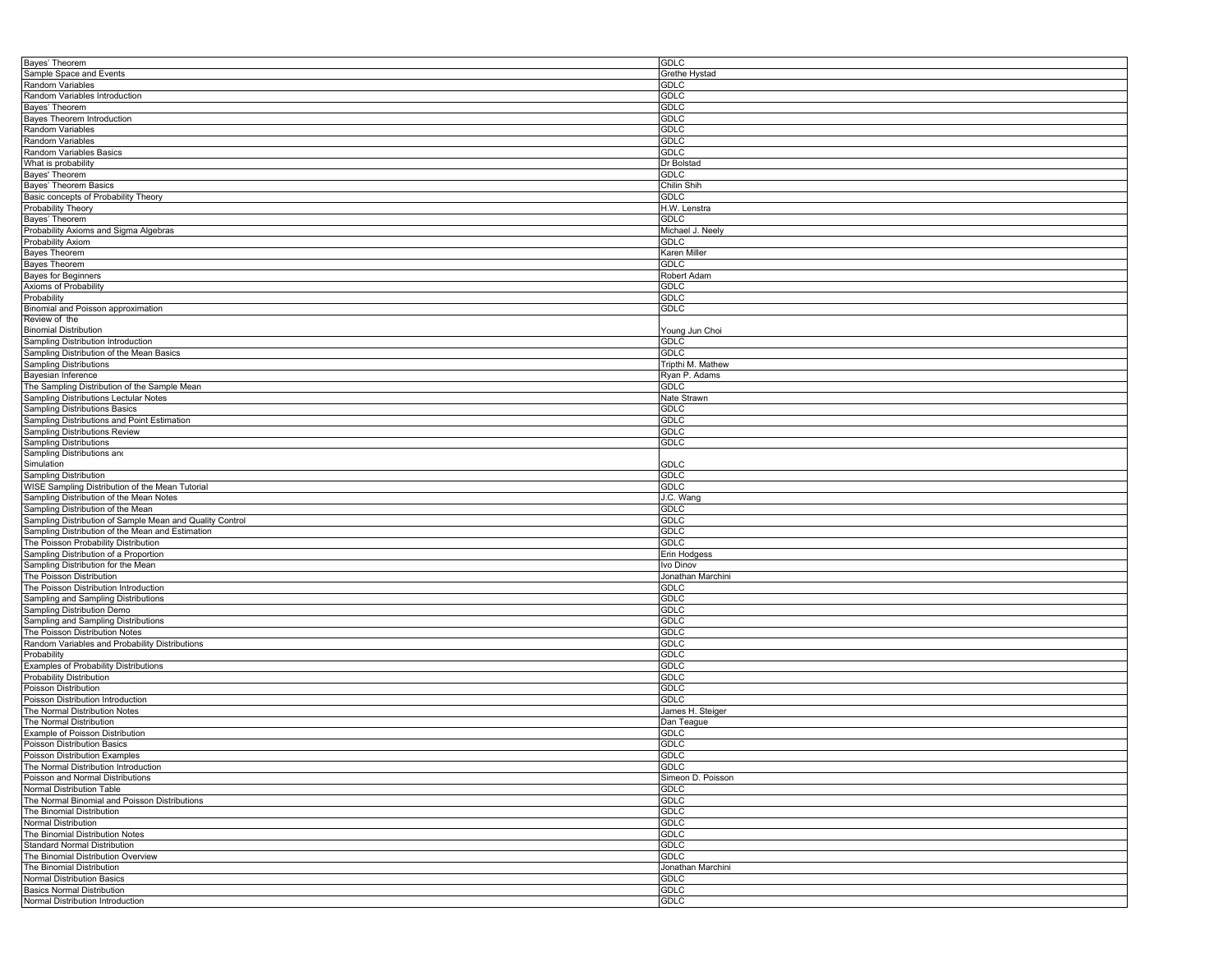| Bayes' Theorem                                                        | <b>GDLC</b>       |
|-----------------------------------------------------------------------|-------------------|
| Sample Space and Events                                               | Grethe Hystad     |
| Random Variables                                                      | <b>GDLC</b>       |
| Random Variables Introduction                                         | <b>GDLC</b>       |
| Bayes' Theorem                                                        | <b>GDLC</b>       |
|                                                                       |                   |
| Bayes Theorem Introduction                                            | <b>GDLC</b>       |
| Random Variables                                                      | <b>GDLC</b>       |
| Random Variables                                                      | <b>GDLC</b>       |
| Random Variables Basics                                               | <b>GDLC</b>       |
| What is probability                                                   | Dr Bolstad        |
| Bayes' Theorem                                                        | <b>GDLC</b>       |
| Bayes' Theorem Basics                                                 | Chilin Shih       |
| Basic concepts of Probability Theory                                  | <b>GDLC</b>       |
| Probability Theory                                                    | H.W. Lenstra      |
|                                                                       |                   |
| Bayes' Theorem                                                        | <b>GDLC</b>       |
| Probability Axioms and Sigma Algebras                                 | Michael J. Neely  |
| Probability Axiom                                                     | <b>GDLC</b>       |
| Bayes Theorem                                                         | Karen Miller      |
| <b>Bayes Theorem</b>                                                  | <b>GDLC</b>       |
| <b>Bayes for Beginners</b>                                            | Robert Adam       |
| Axioms of Probability                                                 | GDLC              |
| Probability                                                           | <b>GDLC</b>       |
|                                                                       | <b>GDLC</b>       |
| Binomial and Poisson approximation                                    |                   |
| Review of the                                                         |                   |
| <b>Binomial Distribution</b>                                          | Young Jun Choi    |
| Sampling Distribution Introduction                                    | GDLC              |
| Sampling Distribution of the Mean Basics                              | <b>GDLC</b>       |
| <b>Sampling Distributions</b>                                         | Tripthi M. Mathew |
| Bayesian Inference                                                    | Ryan P. Adams     |
| The Sampling Distribution of the Sample Mean                          | <b>GDLC</b>       |
|                                                                       |                   |
| Sampling Distributions Lectular Notes                                 | Nate Strawn       |
| <b>Sampling Distributions Basics</b>                                  | <b>GDLC</b>       |
| Sampling Distributions and Point Estimation                           | GDLC              |
| Sampling Distributions Review                                         | <b>GDLC</b>       |
| <b>Sampling Distributions</b>                                         | <b>GDLC</b>       |
| Sampling Distributions and                                            |                   |
| Simulation                                                            | <b>GDLC</b>       |
| Sampling Distribution                                                 | <b>GDLC</b>       |
|                                                                       |                   |
|                                                                       |                   |
| WISE Sampling Distribution of the Mean Tutorial                       | <b>GDLC</b>       |
| Sampling Distribution of the Mean Notes                               | J.C. Wang         |
| Sampling Distribution of the Mean                                     | <b>GDLC</b>       |
| Sampling Distribution of Sample Mean and Quality Control              | <b>GDLC</b>       |
| Sampling Distribution of the Mean and Estimation                      | <b>GDLC</b>       |
| The Poisson Probability Distribution                                  | <b>GDLC</b>       |
|                                                                       |                   |
| Sampling Distribution of a Proportion                                 | Erin Hodgess      |
| Sampling Distribution for the Mean                                    | Ivo Dinov         |
| The Poisson Distribution                                              | Jonathan Marchini |
| The Poisson Distribution Introduction                                 | GDLC              |
| Sampling and Sampling Distributions                                   | <b>GDLC</b>       |
| Sampling Distribution Demo                                            | <b>GDLC</b>       |
| Sampling and Sampling Distributions                                   | <b>GDLC</b>       |
| The Poisson Distribution Notes                                        | <b>GDLC</b>       |
| Random Variables and Probability Distributions                        | <b>GDLC</b>       |
| Probability                                                           | <b>GDLC</b>       |
|                                                                       | <b>GDLC</b>       |
| Examples of Probability Distributions                                 |                   |
| Probability Distribution                                              | <b>GDLC</b>       |
| Poisson Distribution                                                  | <b>GDLC</b>       |
| Poisson Distribution Introduction                                     | GDLC              |
| The Normal Distribution Notes                                         | James H. Steiger  |
| The Normal Distribution                                               | Dan Teague        |
| Example of Poisson Distribution                                       | GDLC              |
| Poisson Distribution Basics                                           | <b>GDLC</b>       |
| Poisson Distribution Examples                                         | GDLC              |
|                                                                       |                   |
| The Normal Distribution Introduction                                  | <b>GDLC</b>       |
| Poisson and Normal Distributions                                      | Simeon D. Poisson |
| Normal Distribution Table                                             | <b>GDLC</b>       |
| The Normal Binomial and Poisson Distributions                         | <b>GDLC</b>       |
| The Binomial Distribution                                             | <b>GDLC</b>       |
| Normal Distribution                                                   | GDLC              |
| The Binomial Distribution Notes                                       | <b>GDLC</b>       |
| Standard Normal Distribution                                          | <b>GDLC</b>       |
| The Binomial Distribution Overview                                    | <b>GDLC</b>       |
|                                                                       |                   |
| The Binomial Distribution                                             | Jonathan Marchini |
| Normal Distribution Basics                                            | GDLC              |
| <b>Basics Normal Distribution</b><br>Normal Distribution Introduction | GDLC<br>GDLC      |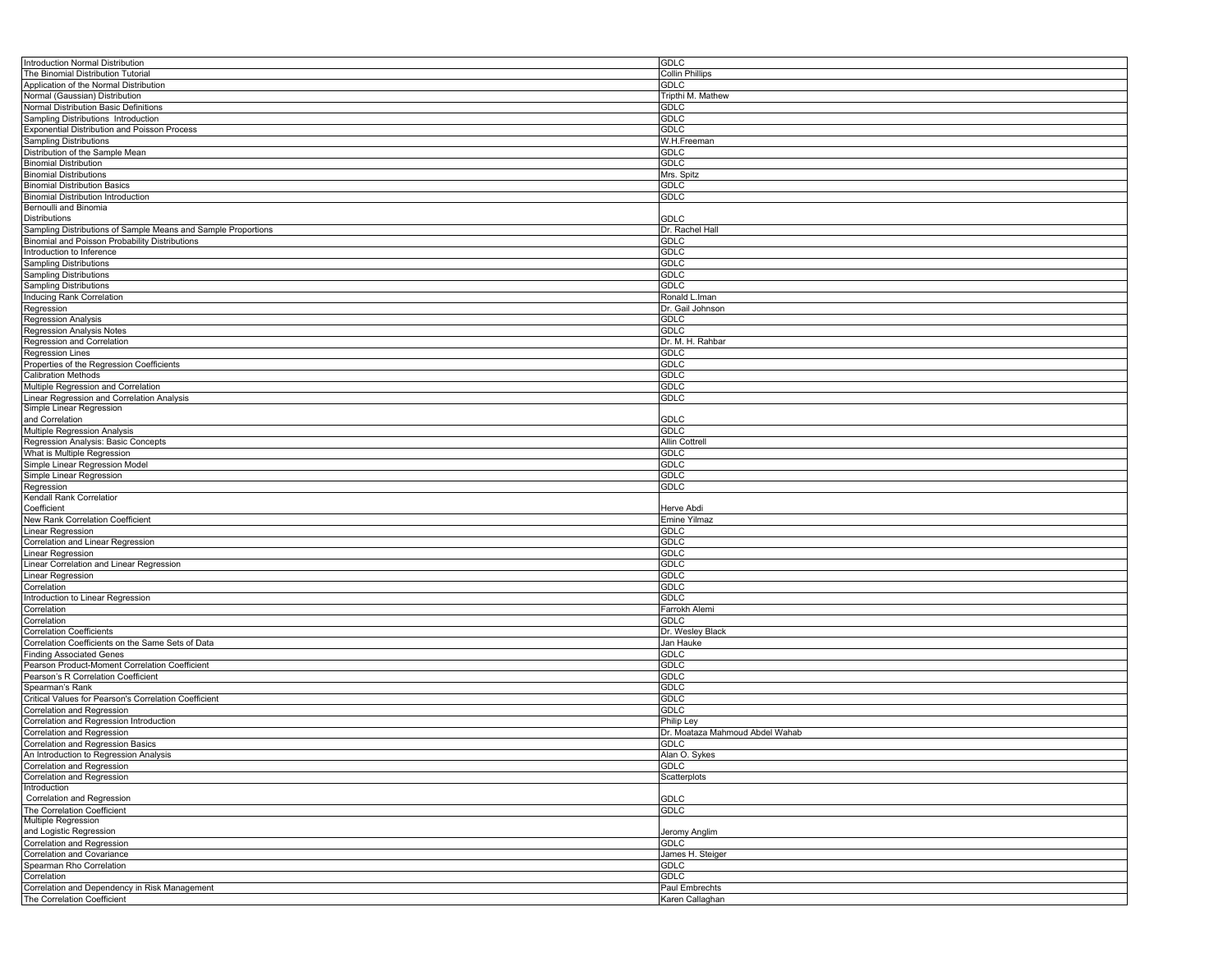| Introduction Normal Distribution                                                    | <b>GDLC</b>                     |
|-------------------------------------------------------------------------------------|---------------------------------|
| The Binomial Distribution Tutorial                                                  | Collin Phillips                 |
| Application of the Normal Distribution                                              | GDLC                            |
| Normal (Gaussian) Distribution                                                      | Tripthi M. Mathew               |
|                                                                                     |                                 |
| Normal Distribution Basic Definitions                                               | <b>GDLC</b>                     |
| Sampling Distributions Introduction                                                 | <b>GDLC</b>                     |
| Exponential Distribution and Poisson Process                                        | <b>GDLC</b>                     |
| <b>Sampling Distributions</b>                                                       | W.H.Freeman                     |
| Distribution of the Sample Mean                                                     | <b>GDLC</b>                     |
| <b>Binomial Distribution</b>                                                        | <b>GDLC</b>                     |
| <b>Binomial Distributions</b>                                                       | Mrs. Spitz                      |
| <b>Binomial Distribution Basics</b>                                                 | <b>GDLC</b>                     |
| <b>Binomial Distribution Introduction</b>                                           | <b>GDLC</b>                     |
|                                                                                     |                                 |
| Bernoulli and Binomia                                                               |                                 |
| Distributions                                                                       | <b>GDLC</b>                     |
| Sampling Distributions of Sample Means and Sample Proportions                       | Dr. Rachel Hall                 |
| <b>Binomial and Poisson Probability Distributions</b>                               | <b>GDLC</b>                     |
| Introduction to Inference                                                           | GDLC                            |
| Sampling Distributions                                                              | <b>GDLC</b>                     |
| Sampling Distributions                                                              | <b>GDLC</b>                     |
| Sampling Distributions                                                              | <b>GDLC</b>                     |
|                                                                                     |                                 |
| <b>Inducing Rank Correlation</b>                                                    | Ronald L.Iman                   |
| Regression                                                                          | Dr. Gail Johnson                |
| Regression Analysis                                                                 | <b>GDLC</b>                     |
| Regression Analysis Notes                                                           | <b>GDLC</b>                     |
| Regression and Correlation                                                          | Dr. M. H. Rahbar                |
| <b>Regression Lines</b>                                                             | <b>GDLC</b>                     |
| Properties of the Regression Coefficients                                           | GDLC                            |
| Calibration Methods                                                                 | GDLC                            |
| Multiple Regression and Correlation                                                 | <b>GDLC</b>                     |
|                                                                                     |                                 |
| Linear Regression and Correlation Analysis                                          | <b>GDLC</b>                     |
| Simple Linear Regression                                                            |                                 |
| and Correlation                                                                     | GDLC                            |
| Multiple Regression Analysis                                                        | GDLC                            |
| Regression Analysis: Basic Concepts                                                 | Allin Cottrell                  |
| What is Multiple Regression                                                         | GDLC                            |
| Simple Linear Regression Model                                                      | <b>GDLC</b>                     |
| Simple Linear Regression                                                            | <b>GDLC</b>                     |
| Regression                                                                          | GDLC                            |
| Kendall Rank Correlatior                                                            |                                 |
| Coefficient                                                                         | Herve Abdi                      |
|                                                                                     |                                 |
| New Rank Correlation Coefficient                                                    | Emine Yilmaz                    |
| Linear Regression                                                                   | <b>GDLC</b>                     |
| Correlation and Linear Regression                                                   | <b>GDLC</b>                     |
| inear Regression                                                                    | <b>GDLC</b>                     |
| Linear Correlation and Linear Regression                                            | <b>GDLC</b>                     |
| Linear Regression                                                                   | GDLC                            |
| Correlation                                                                         | <b>GDLC</b>                     |
| Introduction to Linear Regression                                                   | <b>GDLC</b>                     |
|                                                                                     |                                 |
| Correlation                                                                         | Farrokh Alemi                   |
| Correlation                                                                         | <b>GDLC</b>                     |
| <b>Correlation Coefficients</b>                                                     | Dr. Wesley Black                |
| Correlation Coefficients on the Same Sets of Data                                   | Jan Hauke                       |
| <b>Finding Associated Genes</b>                                                     | <b>GDLC</b>                     |
| Pearson Product-Moment Correlation Coefficient                                      | <b>GDLC</b>                     |
| Pearson's R Correlation Coefficient                                                 | <b>GDLC</b>                     |
| Spearman's Rank                                                                     | GDLC                            |
|                                                                                     | <b>GDLC</b>                     |
| Critical Values for Pearson's Correlation Coefficient<br>Correlation and Regression | <b>GDLC</b>                     |
|                                                                                     |                                 |
| Correlation and Regression Introduction                                             | Philip Ley                      |
| Correlation and Regression                                                          | Dr. Moataza Mahmoud Abdel Wahab |
| Correlation and Regression Basics                                                   | <b>GDLC</b>                     |
| An Introduction to Regression Analysis                                              | Alan O. Sykes                   |
| Correlation and Regression                                                          | GDLC                            |
| Correlation and Regression                                                          | Scatterplots                    |
| Introduction                                                                        |                                 |
| Correlation and Regression                                                          | GDLC                            |
| The Correlation Coefficient                                                         | <b>GDLC</b>                     |
| Multiple Regression                                                                 |                                 |
| and Logistic Regression                                                             |                                 |
|                                                                                     | Jeromy Anglim                   |
| Correlation and Regression                                                          | <b>GDLC</b>                     |
| Correlation and Covariance                                                          | James H. Steiger                |
| Spearman Rho Correlation                                                            | GDLC                            |
| Correlation                                                                         | <b>GDLC</b>                     |
| Correlation and Dependency in Risk Management                                       |                                 |
|                                                                                     | Paul Embrechts                  |
| The Correlation Coefficient                                                         | Karen Callaghan                 |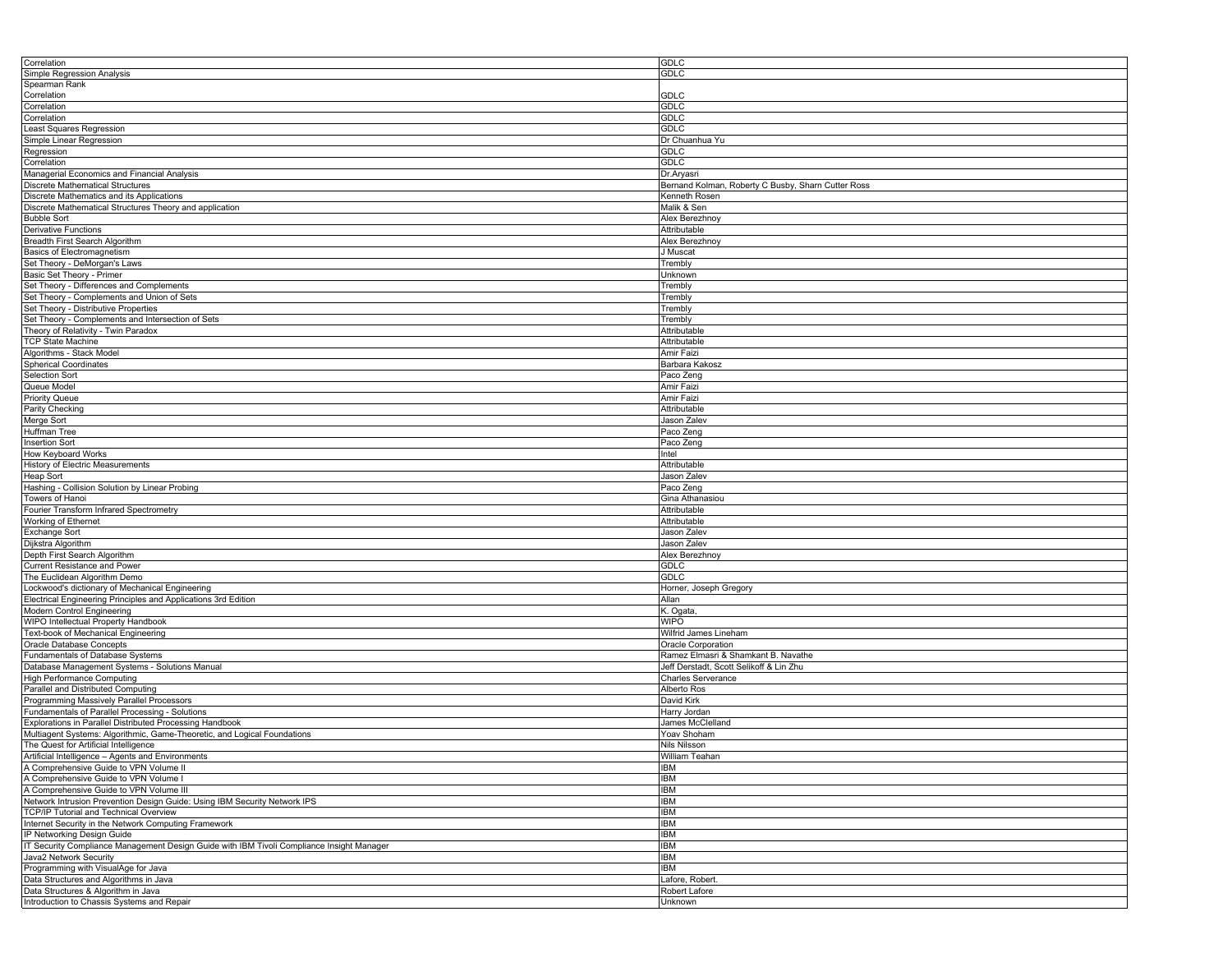| Correlation                                                                               | <b>GDLC</b>                                        |
|-------------------------------------------------------------------------------------------|----------------------------------------------------|
| Simple Regression Analysis                                                                | <b>GDLC</b>                                        |
| Spearman Rank                                                                             |                                                    |
| Correlation                                                                               | GDLC                                               |
| Correlation                                                                               | <b>GDLC</b>                                        |
|                                                                                           | GDLC                                               |
| Correlation                                                                               |                                                    |
| Least Squares Regression                                                                  | <b>GDLC</b>                                        |
| Simple Linear Regression                                                                  | Dr Chuanhua Yu                                     |
| Regression                                                                                | GDLC                                               |
| Correlation                                                                               | <b>GDLC</b>                                        |
| Managerial Economics and Financial Analysis                                               | Dr.Aryasri                                         |
|                                                                                           |                                                    |
| <b>Discrete Mathematical Structures</b>                                                   | Bernand Kolman, Roberty C Busby, Sharn Cutter Ross |
| Discrete Mathematics and its Applications                                                 | Kenneth Rosen                                      |
| Discrete Mathematical Structures Theory and application                                   | Malik & Sen                                        |
| <b>Bubble Sort</b>                                                                        | Alex Berezhnoy                                     |
| Derivative Functions                                                                      | Attributable                                       |
| Breadth First Search Algorithm                                                            | Alex Berezhnoy                                     |
|                                                                                           | J Muscat                                           |
| Basics of Electromagnetism                                                                |                                                    |
| Set Theory - DeMorgan's Laws                                                              | Trembly                                            |
| Basic Set Theory - Primer                                                                 | Unknown                                            |
| Set Theory - Differences and Complements                                                  | Trembly                                            |
| Set Theory - Complements and Union of Sets                                                | Trembly                                            |
| Set Theory - Distributive Properties                                                      | Trembly                                            |
|                                                                                           |                                                    |
| Set Theory - Complements and Intersection of Sets                                         | Trembly                                            |
| Theory of Relativity - Twin Paradox                                                       | Attributable                                       |
| <b>TCP State Machine</b>                                                                  | Attributable                                       |
| Algorithms - Stack Model                                                                  | Amir Faizi                                         |
| <b>Spherical Coordinates</b>                                                              | Barbara Kakosz                                     |
| Selection Sort                                                                            | Paco Zeng                                          |
|                                                                                           |                                                    |
| Queue Model                                                                               | Amir Faizi                                         |
| <b>Priority Queue</b>                                                                     | Amir Faizi                                         |
| Parity Checking                                                                           | Attributable                                       |
| Merge Sort                                                                                | Jason Zalev                                        |
| Huffman Tree                                                                              | Paco Zeng                                          |
| Insertion Sort                                                                            | Paco Zeng                                          |
|                                                                                           |                                                    |
| How Keyboard Works                                                                        | Intel                                              |
| History of Electric Measurements                                                          | Attributable                                       |
| Heap Sort                                                                                 | Jason Zalev                                        |
| Hashing - Collision Solution by Linear Probing                                            | Paco Zeng                                          |
| Towers of Hanoi                                                                           | Gina Athanasiou                                    |
| Fourier Transform Infrared Spectrometry                                                   | Attributable                                       |
|                                                                                           |                                                    |
| Working of Ethernet                                                                       | Attributable                                       |
| Exchange Sort                                                                             | Jason Zalev                                        |
| Dijkstra Algorithm                                                                        | Jason Zalev                                        |
| Depth First Search Algorithm                                                              | Alex Berezhnoy                                     |
| Current Resistance and Power                                                              | GDLC                                               |
| The Euclidean Algorithm Demo                                                              | GDLC                                               |
|                                                                                           |                                                    |
| Lockwood's dictionary of Mechanical Engineering                                           | Horner, Joseph Gregory                             |
| Electrical Engineering Principles and Applications 3rd Edition                            | Allan                                              |
| Modern Control Engineering                                                                | K. Ogata,                                          |
| WIPO Intellectual Property Handbook                                                       | <b>WIPO</b>                                        |
| Text-book of Mechanical Engineering                                                       | Wilfrid James Lineham                              |
| Oracle Database Concepts                                                                  | Oracle Corporation                                 |
|                                                                                           |                                                    |
| Fundamentals of Database Systems                                                          | Ramez Elmasri & Shamkant B. Navathe                |
| Database Management Systems - Solutions Manual                                            | Jeff Derstadt, Scott Selikoff & Lin Zhu            |
| <b>High Performance Computing</b>                                                         | <b>Charles Serverance</b>                          |
| Parallel and Distributed Computing                                                        | Alberto Ros                                        |
| Programming Massively Parallel Processors                                                 | David Kirk                                         |
| Fundamentals of Parallel Processing - Solutions                                           | Harry Jordan                                       |
|                                                                                           |                                                    |
| Explorations in Parallel Distributed Processing Handbook                                  | James McClelland                                   |
| Multiagent Systems: Algorithmic, Game-Theoretic, and Logical Foundations                  | Yoav Shoham                                        |
| The Quest for Artificial Intelligence                                                     | Nils Nilsson                                       |
| Artificial Intelligence - Agents and Environments                                         | William Teahan                                     |
| A Comprehensive Guide to VPN Volume II                                                    | <b>IBM</b>                                         |
| A Comprehensive Guide to VPN Volume I                                                     | <b>IBM</b>                                         |
|                                                                                           |                                                    |
| A Comprehensive Guide to VPN Volume III                                                   | <b>IBM</b>                                         |
| Network Intrusion Prevention Design Guide: Using IBM Security Network IPS                 | <b>IBM</b>                                         |
| TCP/IP Tutorial and Technical Overview                                                    | <b>IBM</b>                                         |
| Internet Security in the Network Computing Framework                                      | <b>IBM</b>                                         |
| IP Networking Design Guide                                                                | <b>IBM</b>                                         |
| IT Security Compliance Management Design Guide with IBM Tivoli Compliance Insight Manager | <b>IBM</b>                                         |
|                                                                                           |                                                    |
| Java2 Network Security                                                                    | <b>IBM</b>                                         |
| Programming with VisualAge for Java                                                       | <b>IBM</b>                                         |
| Data Structures and Algorithms in Java                                                    | Lafore, Robert.                                    |
| Data Structures & Algorithm in Java                                                       | Robert Lafore                                      |
| Introduction to Chassis Systems and Repair                                                | Unknown                                            |
|                                                                                           |                                                    |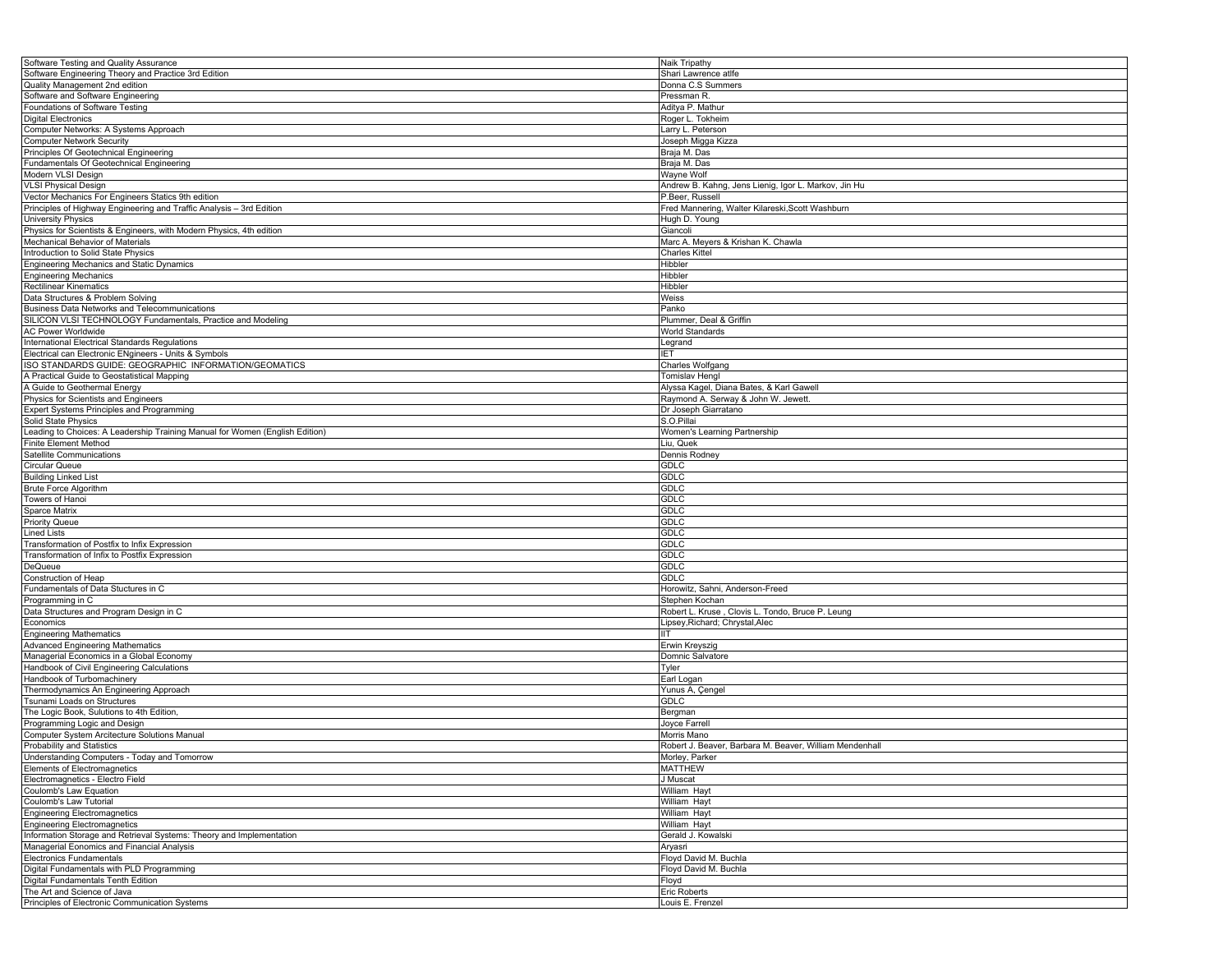| Software Testing and Quality Assurance                                        | Naik Tripathy                                           |
|-------------------------------------------------------------------------------|---------------------------------------------------------|
| Software Engineering Theory and Practice 3rd Edition                          | Shari Lawrence atlfe                                    |
| Quality Management 2nd edition                                                | Donna C.S Summers                                       |
| Software and Software Engineering                                             | Pressman R.                                             |
| Foundations of Software Testing                                               | Aditya P. Mathur                                        |
| <b>Digital Electronics</b>                                                    | Roger L. Tokheim                                        |
| Computer Networks: A Systems Approach                                         | Larry L. Peterson                                       |
| <b>Computer Network Security</b>                                              | Joseph Migga Kizza                                      |
| Principles Of Geotechnical Engineering                                        |                                                         |
|                                                                               | Braja M. Das                                            |
| Fundamentals Of Geotechnical Engineering                                      | Braja M. Das                                            |
| Modern VLSI Design                                                            | Wayne Wolf                                              |
| <b>VLSI Physical Design</b>                                                   | Andrew B. Kahng, Jens Lienig, Igor L. Markov, Jin Hu    |
| Vector Mechanics For Engineers Statics 9th edition                            | P.Beer, Russell                                         |
| Principles of Highway Engineering and Traffic Analysis - 3rd Edition          | Fred Mannering, Walter Kilareski, Scott Washburn        |
| <b>University Physics</b>                                                     | Hugh D. Young                                           |
| Physics for Scientists & Engineers, with Modern Physics, 4th edition          | Giancoli                                                |
| Mechanical Behavior of Materials                                              | Marc A. Meyers & Krishan K. Chawla                      |
| Introduction to Solid State Physics                                           | <b>Charles Kittel</b>                                   |
| Engineering Mechanics and Static Dynamics                                     | Hibbler                                                 |
| <b>Engineering Mechanics</b>                                                  | Hibbler                                                 |
| <b>Rectilinear Kinematics</b>                                                 | Hibbler                                                 |
|                                                                               |                                                         |
| Data Structures & Problem Solving                                             | Weiss                                                   |
| Business Data Networks and Telecommunications                                 | Panko                                                   |
| SILICON VLSI TECHNOLOGY Fundamentals, Practice and Modeling                   | Plummer, Deal & Griffin                                 |
| <b>AC Power Worldwide</b>                                                     | <b>World Standards</b>                                  |
| International Electrical Standards Regulations                                | Legrand                                                 |
| Electrical can Electronic ENgineers - Units & Symbols                         | IET                                                     |
| ISO STANDARDS GUIDE: GEOGRAPHIC INFORMATION/GEOMATICS                         | Charles Wolfgang                                        |
| A Practical Guide to Geostatistical Mapping                                   | <b>Tomislav Hengl</b>                                   |
| A Guide to Geothermal Energy                                                  | Alyssa Kagel, Diana Bates, & Karl Gawell                |
| Physics for Scientists and Engineers                                          | Raymond A. Serway & John W. Jewett.                     |
| Expert Systems Principles and Programming                                     | Dr Joseph Giarratano                                    |
| Solid State Physics                                                           | S.O.Pillai                                              |
| Leading to Choices: A Leadership Training Manual for Women (English Edition)  | Women's Learning Partnership                            |
|                                                                               |                                                         |
| <b>Finite Element Method</b>                                                  | Liu, Quek                                               |
| Satellite Communications                                                      | Dennis Rodney                                           |
| Circular Queue                                                                | GDLC                                                    |
| <b>Building Linked List</b>                                                   | GDLC                                                    |
| Brute Force Algorithm                                                         | GDLC                                                    |
| Towers of Hanoi                                                               | <b>GDLC</b>                                             |
| Sparce Matrix                                                                 | <b>GDLC</b>                                             |
| <b>Priority Queue</b>                                                         | GDLC                                                    |
| Lined Lists                                                                   | GDLC                                                    |
| Transformation of Postfix to Infix Expression                                 | GDLC                                                    |
| Transformation of Infix to Postfix Expression                                 | <b>GDLC</b>                                             |
| DeQueue                                                                       | <b>GDLC</b>                                             |
| Construction of Heap                                                          | GDLC                                                    |
|                                                                               |                                                         |
| Fundamentals of Data Stuctures in C                                           | Horowitz, Sahni, Anderson-Freed                         |
| Programming in C                                                              | Stephen Kochan                                          |
| Data Structures and Program Design in C                                       | Robert L. Kruse, Clovis L. Tondo, Bruce P. Leung        |
| Economics                                                                     | Lipsey,Richard; Chrystal,Alec                           |
| <b>Engineering Mathematics</b>                                                | IIТ                                                     |
| <b>Advanced Engineering Mathematics</b>                                       | Erwin Kreyszig                                          |
| Managerial Economics in a Global Economy                                      | Domnic Salvatore                                        |
| Handbook of Civil Engineering Calculations                                    | Tyler                                                   |
| Handbook of Turbomachinery                                                    | Earl Logan                                              |
| Thermodynamics An Engineering Approach                                        | Yunus A, Çengel                                         |
| Tsunami Loads on Structures                                                   | GDLC                                                    |
| The Logic Book, Sulutions to 4th Edition,                                     | Bergman                                                 |
|                                                                               | Joyce Farrell                                           |
| Programming Logic and Design                                                  |                                                         |
| Computer System Arcitecture Solutions Manual                                  | Morris Mano                                             |
| Probability and Statistics                                                    | Robert J. Beaver, Barbara M. Beaver, William Mendenhall |
| Understanding Computers - Today and Tomorrow                                  | Morley, Parker                                          |
| Elements of Electromagnetics                                                  | <b>MATTHEW</b>                                          |
| Electromagnetics - Electro Field                                              | J Muscat                                                |
| Coulomb's Law Equation                                                        | William Hayt                                            |
| Coulomb's Law Tutorial                                                        | William Hayt                                            |
| <b>Engineering Electromagnetics</b>                                           | William Hayt                                            |
| <b>Engineering Electromagnetics</b>                                           | William Hayt                                            |
| Information Storage and Retrieval Systems: Theory and Implementation          | Gerald J. Kowalski                                      |
| Managerial Eonomics and Financial Analysis                                    | Aryasri                                                 |
| <b>Electronics Fundamentals</b>                                               | Floyd David M. Buchla                                   |
|                                                                               |                                                         |
| Digital Fundamentals with PLD Programming                                     | Floyd David M. Buchla                                   |
| Digital Fundamentals Tenth Edition                                            |                                                         |
|                                                                               | Floyd                                                   |
| The Art and Science of Java<br>Principles of Electronic Communication Systems | Eric Roberts<br>Louis E. Frenzel                        |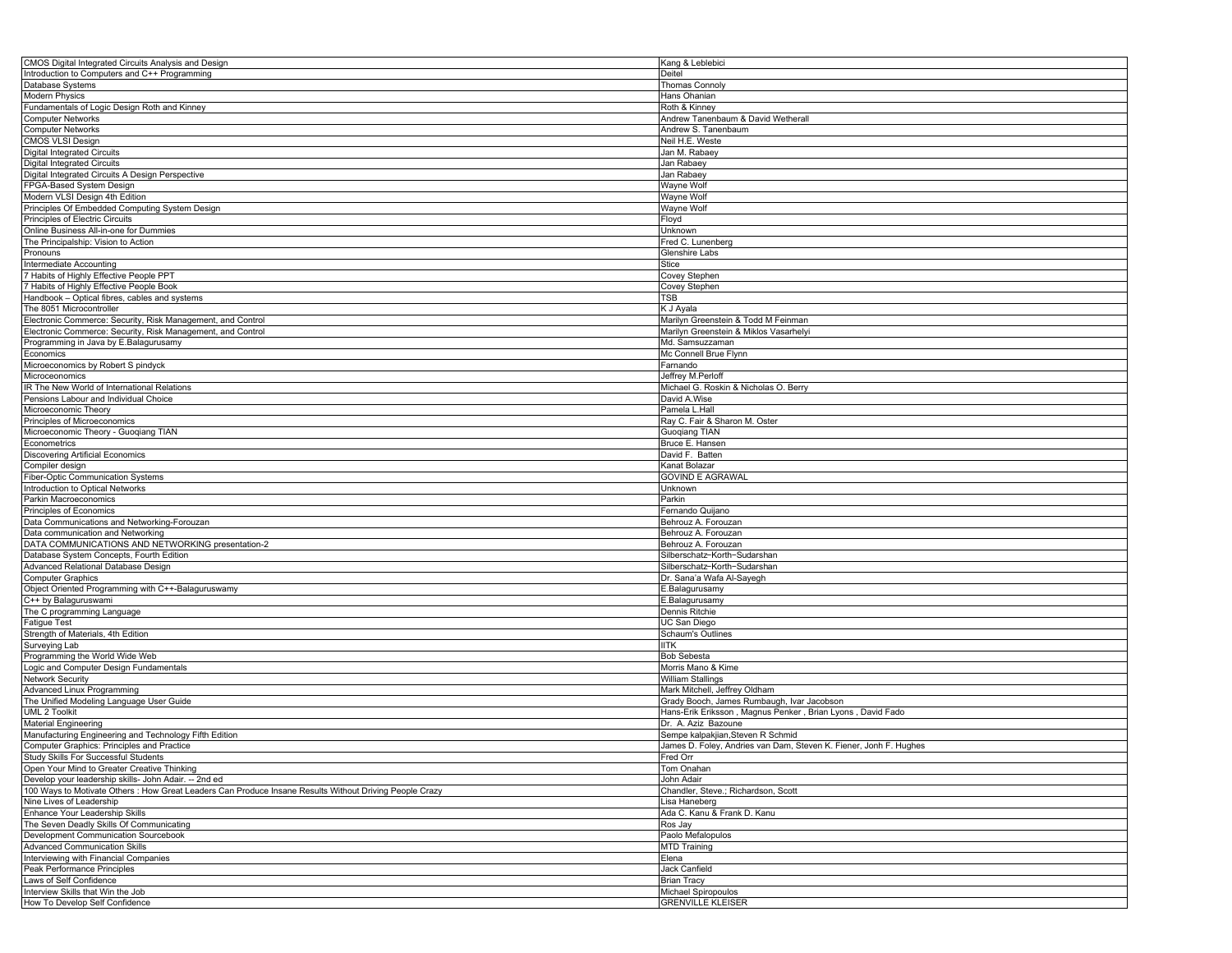| CMOS Digital Integrated Circuits Analysis and Design                                                    | Kang & Leblebici                                                  |
|---------------------------------------------------------------------------------------------------------|-------------------------------------------------------------------|
| Introduction to Computers and C++ Programming                                                           | Deitel                                                            |
| Database Systems                                                                                        | <b>Thomas Connoly</b>                                             |
| <b>Modern Physics</b>                                                                                   | Hans Ohanian                                                      |
| Fundamentals of Logic Design Roth and Kinney                                                            | Roth & Kinney                                                     |
| <b>Computer Networks</b>                                                                                | Andrew Tanenbaum & David Wetherall                                |
| <b>Computer Networks</b>                                                                                | Andrew S. Tanenbaum                                               |
|                                                                                                         |                                                                   |
| <b>CMOS VLSI Design</b>                                                                                 | Neil H.E. Weste                                                   |
| <b>Digital Integrated Circuits</b>                                                                      | Jan M. Rabaey                                                     |
| <b>Digital Integrated Circuits</b>                                                                      | Jan Rabaey                                                        |
| Digital Integrated Circuits A Design Perspective                                                        | Jan Rabaey                                                        |
| FPGA-Based System Design                                                                                | Wayne Wolf                                                        |
| Modern VLSI Design 4th Edition                                                                          | Wayne Wolf                                                        |
| Principles Of Embedded Computing System Design                                                          | Wayne Wolf                                                        |
| Principles of Electric Circuits                                                                         | Floyd                                                             |
| Online Business All-in-one for Dummies                                                                  | Unknown                                                           |
| The Principalship: Vision to Action                                                                     | Fred C. Lunenberg                                                 |
| Pronouns                                                                                                | Glenshire Labs                                                    |
| Intermediate Accounting                                                                                 | Stice                                                             |
|                                                                                                         |                                                                   |
| 7 Habits of Highly Effective People PPT                                                                 | Covey Stephen                                                     |
| 7 Habits of Highly Effective People Book                                                                | Covey Stephen                                                     |
| Handbook - Optical fibres, cables and systems                                                           | TSB                                                               |
| The 8051 Microcontroller                                                                                | K J Ayala                                                         |
| Electronic Commerce: Security, Risk Management, and Control                                             | Marilyn Greenstein & Todd M Feinman                               |
| Electronic Commerce: Security, Risk Management, and Control                                             | Marilyn Greenstein & Miklos Vasarhelyi                            |
| Programming in Java by E.Balagurusamy                                                                   | Md. Samsuzzaman                                                   |
| Economics                                                                                               | Mc Connell Brue Flynn                                             |
| Microeconomics by Robert S pindyck                                                                      | Farnando                                                          |
| Microceonomics                                                                                          | Jeffrey M.Perloff                                                 |
| IR The New World of International Relations                                                             | Michael G. Roskin & Nicholas O. Berry                             |
|                                                                                                         |                                                                   |
| Pensions Labour and Individual Choice                                                                   | David A.Wise                                                      |
| Microeconomic Theory                                                                                    | Pamela L.Hall                                                     |
| Principles of Microeconomics                                                                            | Ray C. Fair & Sharon M. Oster                                     |
| Microeconomic Theory - Guogiang TIAN                                                                    | Guoqiang TIAN                                                     |
| Econometrics                                                                                            | Bruce E. Hansen                                                   |
| <b>Discovering Artificial Economics</b>                                                                 | David F. Batten                                                   |
| Compiler design                                                                                         | Kanat Bolazar                                                     |
| Fiber-Optic Communication Systems                                                                       | <b>GOVIND E AGRAWAL</b>                                           |
| Introduction to Optical Networks                                                                        | Unknown                                                           |
| Parkin Macroeconomics                                                                                   | Parkin                                                            |
| Principles of Economics                                                                                 | ernando Quijano                                                   |
|                                                                                                         |                                                                   |
| Data Communications and Networking-Forouzan                                                             | Behrouz A. Forouzan                                               |
| Data communication and Networking                                                                       | Behrouz A. Forouzan                                               |
| DATA COMMUNICATIONS AND NETWORKING presentation-2                                                       | Behrouz A. Forouzan                                               |
| Database System Concepts, Fourth Edition                                                                | Silberschatz-Korth-Sudarshan                                      |
| Advanced Relational Database Design                                                                     | Silberschatz-Korth-Sudarshan                                      |
| <b>Computer Graphics</b>                                                                                | Dr. Sana'a Wafa Al-Sayegh                                         |
| Object Oriented Programming with C++-Balaguruswamy                                                      | E.Balagurusamy                                                    |
| C++ by Balaguruswami                                                                                    | E.Balagurusamy                                                    |
| The C programming Language                                                                              | Dennis Ritchie                                                    |
| <b>Fatigue Test</b>                                                                                     | UC San Diego                                                      |
| Strength of Materials, 4th Edition                                                                      | <b>Schaum's Outlines</b>                                          |
|                                                                                                         |                                                                   |
| Surveying Lab                                                                                           | IITK                                                              |
| Programming the World Wide Web                                                                          | <b>Bob Sebesta</b>                                                |
| Logic and Computer Design Fundamentals                                                                  | Morris Mano & Kime                                                |
| <b>Network Security</b>                                                                                 | William Stallings                                                 |
| Advanced Linux Programming                                                                              | Mark Mitchell, Jeffrey Oldham                                     |
| The Unified Modeling Language User Guide                                                                | Grady Booch, James Rumbaugh, Ivar Jacobson                        |
| <b>UML 2 Toolkit</b>                                                                                    | Hans-Erik Eriksson, Magnus Penker, Brian Lyons, David Fado        |
| <b>Material Engineering</b>                                                                             | Dr. A. Aziz Bazoune                                               |
| Manufacturing Engineering and Technology Fifth Edition                                                  | Sempe kalpakjian, Steven R Schmid                                 |
| Computer Graphics: Principles and Practice                                                              | James D. Foley, Andries van Dam, Steven K. Fiener, Jonh F. Hughes |
| Study Skills For Successful Students                                                                    | Fred Orr                                                          |
| Open Your Mind to Greater Creative Thinking                                                             |                                                                   |
|                                                                                                         | Tom Onahan                                                        |
| Develop your leadership skills- John Adair. -- 2nd ed                                                   | John Adair                                                        |
| 100 Ways to Motivate Others : How Great Leaders Can Produce Insane Results Without Driving People Crazy | Chandler, Steve.; Richardson, Scott                               |
| Nine Lives of Leadership                                                                                | Lisa Haneberg                                                     |
| Enhance Your Leadership Skills                                                                          | Ada C. Kanu & Frank D. Kanu                                       |
| The Seven Deadly Skills Of Communicating                                                                | Ros Jay                                                           |
| Development Communication Sourcebook                                                                    | Paolo Mefalopulos                                                 |
| <b>Advanced Communication Skills</b>                                                                    | MTD Training                                                      |
| Interviewing with Financial Companies                                                                   | Elena                                                             |
| Peak Performance Principles                                                                             | Jack Canfield                                                     |
| Laws of Self Confidence                                                                                 | <b>Brian Tracy</b>                                                |
| Interview Skills that Win the Job                                                                       | Michael Spiropoulos                                               |
|                                                                                                         | <b>GRENVILLE KLEISER</b>                                          |
| How To Develop Self Confidence                                                                          |                                                                   |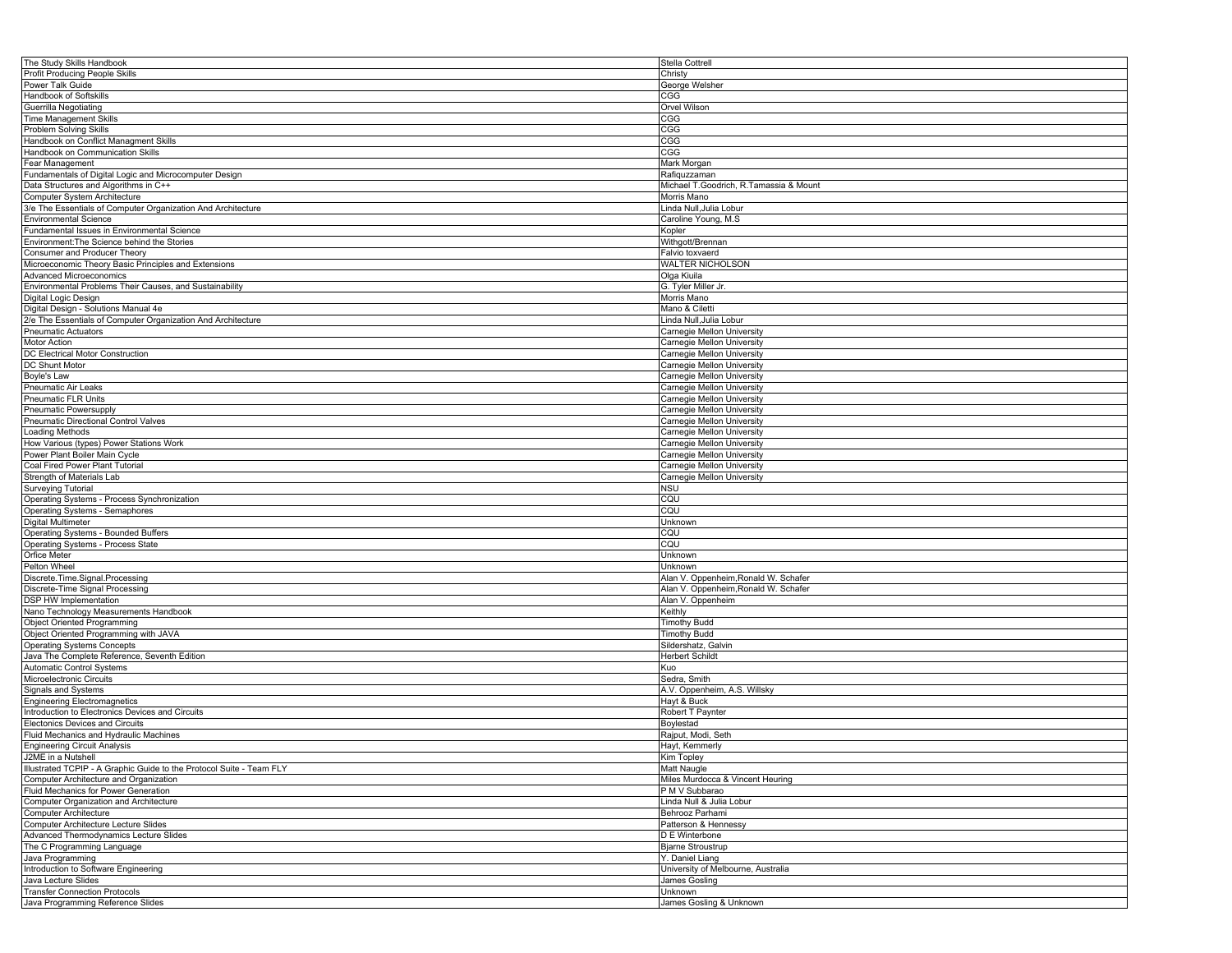| The Study Skills Handbook                                              | Stella Cottrell                             |
|------------------------------------------------------------------------|---------------------------------------------|
| Profit Producing People Skills                                         | Christy                                     |
| Power Talk Guide                                                       | George Welsher                              |
| Handbook of Softskills                                                 | CGG                                         |
| Guerrilla Negotiating                                                  | Orvel Wilson                                |
| <b>Time Management Skills</b>                                          | CGG                                         |
| <b>Problem Solving Skills</b>                                          | CGG                                         |
| Handbook on Conflict Managment Skills                                  | CGG                                         |
| Handbook on Communication Skills                                       | CGG                                         |
| Fear Management                                                        | Mark Morgan                                 |
| Fundamentals of Digital Logic and Microcomputer Design                 | Rafiquzzaman                                |
| Data Structures and Algorithms in C++                                  | Michael T.Goodrich, R.Tamassia & Mount      |
|                                                                        |                                             |
| Computer System Architecture                                           | Morris Mano                                 |
| 3/e The Essentials of Computer Organization And Architecture           | Linda Null, Julia Lobur                     |
| <b>Environmental Science</b>                                           | Caroline Young, M.S.                        |
| Fundamental Issues in Environmental Science                            | Kopler                                      |
| Environment: The Science behind the Stories                            | Withgott/Brennan                            |
| Consumer and Producer Theory                                           | Falvio toxvaerd                             |
| Microeconomic Theory Basic Principles and Extensions                   | WALTER NICHOLSON                            |
| <b>Advanced Microeconomics</b>                                         | Olga Kiuila                                 |
| Environmental Problems Their Causes, and Sustainability                | G. Tyler Miller Jr.                         |
| Digital Logic Design                                                   | Morris Mano                                 |
| Digital Design - Solutions Manual 4e                                   | Mano & Ciletti                              |
| 2/e The Essentials of Computer Organization And Architecture           | Linda Null, Julia Lobur                     |
| <b>Pneumatic Actuators</b>                                             | Carnegie Mellon University                  |
| Motor Action                                                           | Carnegie Mellon University                  |
| DC Electrical Motor Construction                                       | Carnegie Mellon University                  |
| <b>DC</b> Shunt Motor                                                  | Carnegie Mellon University                  |
| Boyle's Law                                                            | Carnegie Mellon University                  |
| Pneumatic Air Leaks                                                    | Carnegie Mellon University                  |
| <b>Pneumatic FLR Units</b>                                             | Carnegie Mellon University                  |
| Pneumatic Powersupply                                                  | Carnegie Mellon University                  |
| Pneumatic Directional Control Valves                                   | Carnegie Mellon University                  |
| Loading Methods                                                        | Carnegie Mellon University                  |
| How Various (types) Power Stations Work                                | Carnegie Mellon University                  |
| Power Plant Boiler Main Cycle                                          | Carnegie Mellon University                  |
| Coal Fired Power Plant Tutorial                                        | Carnegie Mellon University                  |
| Strength of Materials Lab                                              | Carnegie Mellon University                  |
| Surveying Tutorial                                                     | <b>NSU</b>                                  |
| Operating Systems - Process Synchronization                            | CQU                                         |
| Operating Systems - Semaphores                                         | CQU                                         |
| Digital Multimeter                                                     | Unknown                                     |
| Operating Systems - Bounded Buffers                                    | CQU                                         |
| Operating Systems - Process State                                      | CQU                                         |
| Orfice Meter                                                           | Unknown                                     |
| Pelton Wheel                                                           | Unknown                                     |
| Discrete.Time.Signal.Processing                                        | Alan V. Oppenheim, Ronald W. Schafer        |
| Discrete-Time Signal Processing                                        | Alan V. Oppenheim, Ronald W. Schafer        |
| DSP HW Implementation                                                  | Alan V. Oppenheim                           |
| Nano Technology Measurements Handbook                                  | Keithly                                     |
| <b>Object Oriented Programming</b>                                     | <b>Timothy Budd</b>                         |
| Object Oriented Programming with JAVA                                  | <b>Timothy Budd</b>                         |
| <b>Operating Systems Concepts</b>                                      | Sildershatz, Galvin                         |
| Java The Complete Reference, Seventh Edition                           | <b>Herbert Schildt</b>                      |
| <b>Automatic Control Systems</b>                                       | Kuo                                         |
| Microelectronic Circuits                                               | Sedra, Smith                                |
| Signals and Systems                                                    | A.V. Oppenheim, A.S. Willsky                |
| <b>Engineering Electromagnetics</b>                                    | Hayt & Buck                                 |
| Introduction to Electronics Devices and Circuits                       | Robert T Paynter                            |
| <b>Electonics Devices and Circuits</b>                                 | Boylestad                                   |
| Fluid Mechanics and Hydraulic Machines                                 | Rajput, Modi, Seth                          |
| <b>Engineering Circuit Analysis</b>                                    | Hayt, Kemmerly                              |
| J2ME in a Nutshell                                                     | Kim Topley                                  |
| Illustrated TCPIP - A Graphic Guide to the Protocol Suite - Team FLY   | <b>Matt Naugle</b>                          |
| Computer Architecture and Organization                                 | Miles Murdocca & Vincent Heuring            |
| Fluid Mechanics for Power Generation                                   |                                             |
|                                                                        | P M V Subbarao<br>Linda Null & Julia Lobur  |
| Computer Organization and Architecture<br><b>Computer Architecture</b> |                                             |
| Computer Architecture Lecture Slides                                   | Behrooz Parhami<br>Patterson & Hennessy     |
| Advanced Thermodynamics Lecture Slides                                 | D E Winterbone                              |
| The C Programming Language                                             |                                             |
|                                                                        | <b>Bjarne Stroustrup</b><br>Y. Daniel Liang |
| Java Programming<br>Introduction to Software Engineering               | University of Melbourne, Australia          |
| Java Lecture Slides                                                    | James Gosling                               |
| <b>Transfer Connection Protocols</b>                                   | Unknown                                     |
|                                                                        |                                             |
| Java Programming Reference Slides                                      | James Gosling & Unknown                     |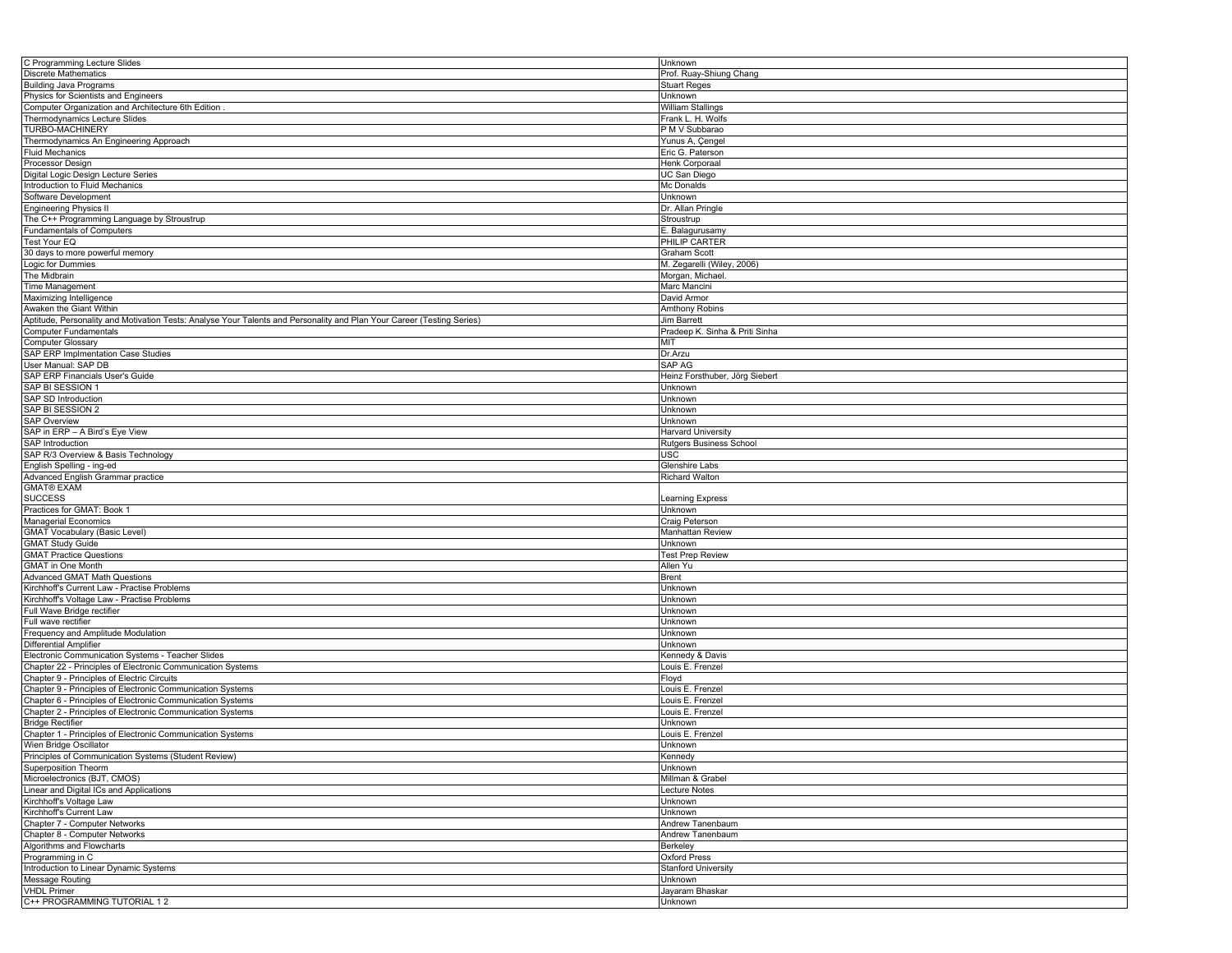| C Programming Lecture Slides                                                                                           | Unknown                        |
|------------------------------------------------------------------------------------------------------------------------|--------------------------------|
| <b>Discrete Mathematics</b>                                                                                            | Prof. Ruay-Shiung Chang        |
| <b>Building Java Programs</b>                                                                                          | <b>Stuart Reges</b>            |
| Physics for Scientists and Engineers                                                                                   | Unknown                        |
|                                                                                                                        |                                |
| Computer Organization and Architecture 6th Edition                                                                     | William Stallings              |
| Thermodynamics Lecture Slides                                                                                          | Frank L. H. Wolfs              |
| TURBO-MACHINERY                                                                                                        | P M V Subbarao                 |
| Thermodynamics An Engineering Approach                                                                                 | Yunus A, Çengel                |
| <b>Fluid Mechanics</b>                                                                                                 | Eric G. Paterson               |
| Processor Design                                                                                                       | Henk Corporaal                 |
| Digital Logic Design Lecture Series                                                                                    | UC San Diego                   |
| Introduction to Fluid Mechanics                                                                                        | Mc Donalds                     |
| Software Development                                                                                                   | Unknown                        |
| <b>Engineering Physics II</b>                                                                                          | Dr. Allan Pringle              |
| The C++ Programming Language by Stroustrup                                                                             | Stroustrup                     |
| <b>Fundamentals of Computers</b>                                                                                       | E. Balagurusamy                |
| Test Your EQ                                                                                                           | PHILIP CARTER                  |
|                                                                                                                        | Graham Scott                   |
| 30 days to more powerful memory                                                                                        |                                |
| Logic for Dummies                                                                                                      | M. Zegarelli (Wiley, 2006)     |
| The Midbrain                                                                                                           | Morgan, Michael.               |
| Time Management                                                                                                        | Marc Mancini                   |
| Maximizing Intelligence                                                                                                | David Armor                    |
| Awaken the Giant Within                                                                                                | Amthony Robins                 |
| Aptitude, Personality and Motivation Tests: Analyse Your Talents and Personality and Plan Your Career (Testing Series) | <b>Jim Barrett</b>             |
| Computer Fundamentals                                                                                                  | Pradeep K. Sinha & Priti Sinha |
| <b>Computer Glossary</b>                                                                                               | MIT                            |
| SAP ERP Implmentation Case Studies                                                                                     | Dr.Arzu                        |
| User Manual: SAP DB                                                                                                    | SAP AG                         |
| SAP ERP Financials User's Guide                                                                                        | Heinz Forsthuber, Jörg Siebert |
|                                                                                                                        |                                |
| SAP BI SESSION 1                                                                                                       | Unknown                        |
| SAP SD Introduction                                                                                                    | Unknown                        |
| SAP BI SESSION 2                                                                                                       | Unknown                        |
| <b>SAP Overview</b>                                                                                                    | Unknown                        |
| SAP in ERP - A Bird's Eye View                                                                                         | <b>Harvard University</b>      |
| SAP Introduction                                                                                                       | Rutgers Business School        |
| SAP R/3 Overview & Basis Technology                                                                                    | USC                            |
| English Spelling - ing-ed                                                                                              | Glenshire Labs                 |
| Advanced English Grammar practice                                                                                      | <b>Richard Walton</b>          |
| <b>GMAT® EXAM</b>                                                                                                      |                                |
| <b>SUCCESS</b>                                                                                                         | Learning Express               |
| Practices for GMAT: Book 1                                                                                             | Unknown                        |
| <b>Managerial Economics</b>                                                                                            | Craig Peterson                 |
|                                                                                                                        |                                |
| <b>GMAT Vocabulary (Basic Level)</b>                                                                                   | Manhattan Review               |
| <b>GMAT Study Guide</b>                                                                                                | Unknown                        |
| <b>GMAT Practice Questions</b>                                                                                         | <b>Test Prep Review</b>        |
| <b>GMAT</b> in One Month                                                                                               | Allen Yu                       |
| <b>Advanced GMAT Math Questions</b>                                                                                    | <b>Brent</b>                   |
| Kirchhoff's Current Law - Practise Problems                                                                            | Unknown                        |
| Kirchhoff's Voltage Law - Practise Problems                                                                            | Unknown                        |
| Full Wave Bridge rectifier                                                                                             | Unknown                        |
| Full wave rectifier                                                                                                    | Unknown                        |
| Frequency and Amplitude Modulation                                                                                     | Unknown                        |
| Differential Amplifier                                                                                                 | Unknown                        |
| Electronic Communication Systems - Teacher Slides                                                                      | Kennedy & Davis                |
| Chapter 22 - Principles of Electronic Communication Systems                                                            | Louis E. Frenzel               |
|                                                                                                                        |                                |
| Chapter 9 - Principles of Electric Circuits                                                                            | Floyd                          |
| Chapter 9 - Principles of Electronic Communication Systems                                                             | Louis E. Frenzel               |
| Chapter 6 - Principles of Electronic Communication Systems                                                             | ouis E. Frenzel                |
| Chapter 2 - Principles of Electronic Communication Systems                                                             | Louis E. Frenzel               |
| <b>Bridge Rectifier</b>                                                                                                | Unknown                        |
| Chapter 1 - Principles of Electronic Communication Systems                                                             | Louis E. Frenzel               |
| Wien Bridge Oscillator                                                                                                 | Unknown                        |
| Principles of Communication Systems (Student Review)                                                                   | Kennedy                        |
| Superposition Theorm                                                                                                   | Unknown                        |
| Microelectronics (BJT, CMOS)                                                                                           | Millman & Grabel               |
| Linear and Digital ICs and Applications                                                                                | <b>Lecture Notes</b>           |
|                                                                                                                        |                                |
| Kirchhoff's Voltage Law                                                                                                | Unknown                        |
| Kirchhoff's Current Law                                                                                                | Unknown                        |
| Chapter 7 - Computer Networks                                                                                          | Andrew Tanenbaum               |
| Chapter 8 - Computer Networks                                                                                          | Andrew Tanenbaum               |
| Algorithms and Flowcharts                                                                                              | Berkeley                       |
| Programming in C                                                                                                       | Oxford Press                   |
| Introduction to Linear Dynamic Systems                                                                                 | <b>Stanford University</b>     |
| Message Routing                                                                                                        | Unknown                        |
| <b>VHDL Primer</b>                                                                                                     | Jayaram Bhaskar                |
| C++ PROGRAMMING TUTORIAL 12                                                                                            | Unknown                        |
|                                                                                                                        |                                |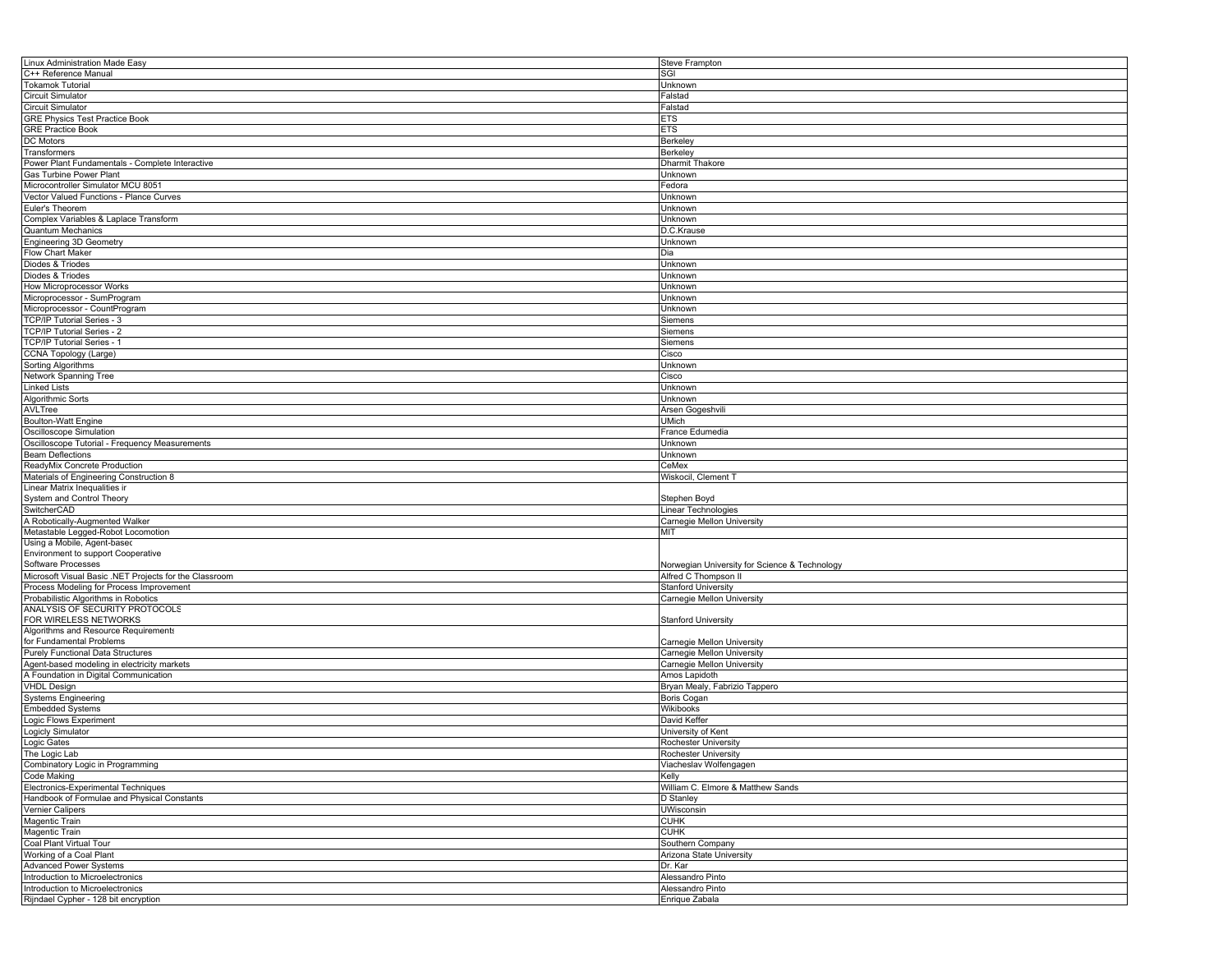| Linux Administration Made Easy                                           | Steve Frampton                                |
|--------------------------------------------------------------------------|-----------------------------------------------|
| C++ Reference Manual                                                     | SGI                                           |
| <b>Tokamok Tutorial</b>                                                  | Unknown                                       |
| Circuit Simulator                                                        | Falstad                                       |
| Circuit Simulator                                                        | Falstad                                       |
| <b>GRE Physics Test Practice Book</b>                                    | ETS                                           |
| <b>GRE Practice Book</b>                                                 | ETS                                           |
| DC Motors                                                                | Berkeley                                      |
| Transformers                                                             | Berkeley                                      |
|                                                                          |                                               |
| Power Plant Fundamentals - Complete Interactive                          | Dharmit Thakore                               |
| Gas Turbine Power Plant                                                  | Unknown                                       |
| Microcontroller Simulator MCU 8051                                       | Fedora                                        |
| Vector Valued Functions - Plance Curves                                  | Unknown                                       |
| Euler's Theorem                                                          | Unknown                                       |
| Complex Variables & Laplace Transform                                    | Unknown                                       |
| <b>Quantum Mechanics</b>                                                 | D.C.Krause                                    |
| <b>Engineering 3D Geometry</b>                                           | Unknown                                       |
| Flow Chart Maker                                                         | Dia                                           |
| Diodes & Triodes                                                         | Unknown                                       |
| Diodes & Triodes                                                         | Unknown                                       |
| <b>How Microprocessor Works</b>                                          | Unknown                                       |
| Microprocessor - SumProgram                                              | Unknown                                       |
| Microprocessor - CountProgram                                            | Unknown                                       |
| TCP/IP Tutorial Series - 3                                               | Siemens                                       |
| TCP/IP Tutorial Series - 2                                               | Siemens                                       |
|                                                                          |                                               |
| TCP/IP Tutorial Series - 1                                               | Siemens                                       |
| CCNA Topology (Large)                                                    | Cisco                                         |
| Sorting Algorithms                                                       | Unknown                                       |
| Network Spanning Tree                                                    | Cisco                                         |
| Linked Lists                                                             | Unknown                                       |
| Algorithmic Sorts                                                        | Unknown                                       |
| AVLTree                                                                  | Arsen Gogeshvili                              |
| <b>Boulton-Watt Engine</b>                                               | <b>UMich</b>                                  |
| Oscilloscope Simulation                                                  | France Edumedia                               |
| Oscilloscope Tutorial - Frequency Measurements                           | Unknown                                       |
| <b>Beam Deflections</b>                                                  | Unknown                                       |
| ReadyMix Concrete Production                                             | CeMex                                         |
| Materials of Engineering Construction 8                                  | Wiskocil, Clement T                           |
| Linear Matrix Inequalities ir                                            |                                               |
| System and Control Theory                                                | Stephen Boyd                                  |
| SwitcherCAD                                                              | Linear Technologies                           |
| A Robotically-Augmented Walker                                           | Carnegie Mellon University                    |
| Metastable Legged-Robot Locomotion                                       | MIT                                           |
|                                                                          |                                               |
|                                                                          |                                               |
| Using a Mobile, Agent-based                                              |                                               |
| Environment to support Cooperative                                       |                                               |
| Software Processes                                                       | Norwegian University for Science & Technology |
| Microsoft Visual Basic .NET Projects for the Classroom                   | Alfred C Thompson II                          |
| Process Modeling for Process Improvement                                 | <b>Stanford University</b>                    |
| Probabilistic Algorithms in Robotics                                     | Carnegie Mellon University                    |
| ANALYSIS OF SECURITY PROTOCOLS                                           |                                               |
| FOR WIRELESS NETWORKS                                                    | <b>Stanford University</b>                    |
| Algorithms and Resource Requirements                                     |                                               |
| for Fundamental Problems                                                 | Carnegie Mellon University                    |
| <b>Purely Functional Data Structures</b>                                 | Carnegie Mellon University                    |
| Agent-based modeling in electricity markets                              | Carnegie Mellon University                    |
| A Foundation in Digital Communication                                    | Amos Lapidoth                                 |
| <b>VHDL Design</b>                                                       | Bryan Mealy, Fabrizio Tappero                 |
| Systems Engineering                                                      | Boris Cogan                                   |
|                                                                          |                                               |
| <b>Embedded Systems</b>                                                  | Wikibooks                                     |
| Logic Flows Experiment                                                   | David Keffer                                  |
| Logicly Simulator                                                        | University of Kent                            |
| Logic Gates                                                              | Rochester University                          |
| The Logic Lab                                                            | Rochester University                          |
| Combinatory Logic in Programming                                         | Viacheslav Wolfengagen                        |
| Code Making                                                              | Kelly                                         |
| Electronics-Experimental Techniques                                      | William C. Elmore & Matthew Sands             |
| Handbook of Formulae and Physical Constants                              | D Stanley                                     |
| Vernier Calipers                                                         | <b>UWisconsin</b>                             |
|                                                                          | <b>CUHK</b>                                   |
| Magentic Train<br>Magentic Train                                         | <b>CUHK</b>                                   |
| Coal Plant Virtual Tour                                                  | Southern Company                              |
| Working of a Coal Plant                                                  | Arizona State University                      |
| <b>Advanced Power Systems</b>                                            | Dr. Kar                                       |
| Introduction to Microelectronics                                         | Alessandro Pinto                              |
| Introduction to Microelectronics<br>Rijndael Cypher - 128 bit encryption | Alessandro Pinto<br>Enrique Zabala            |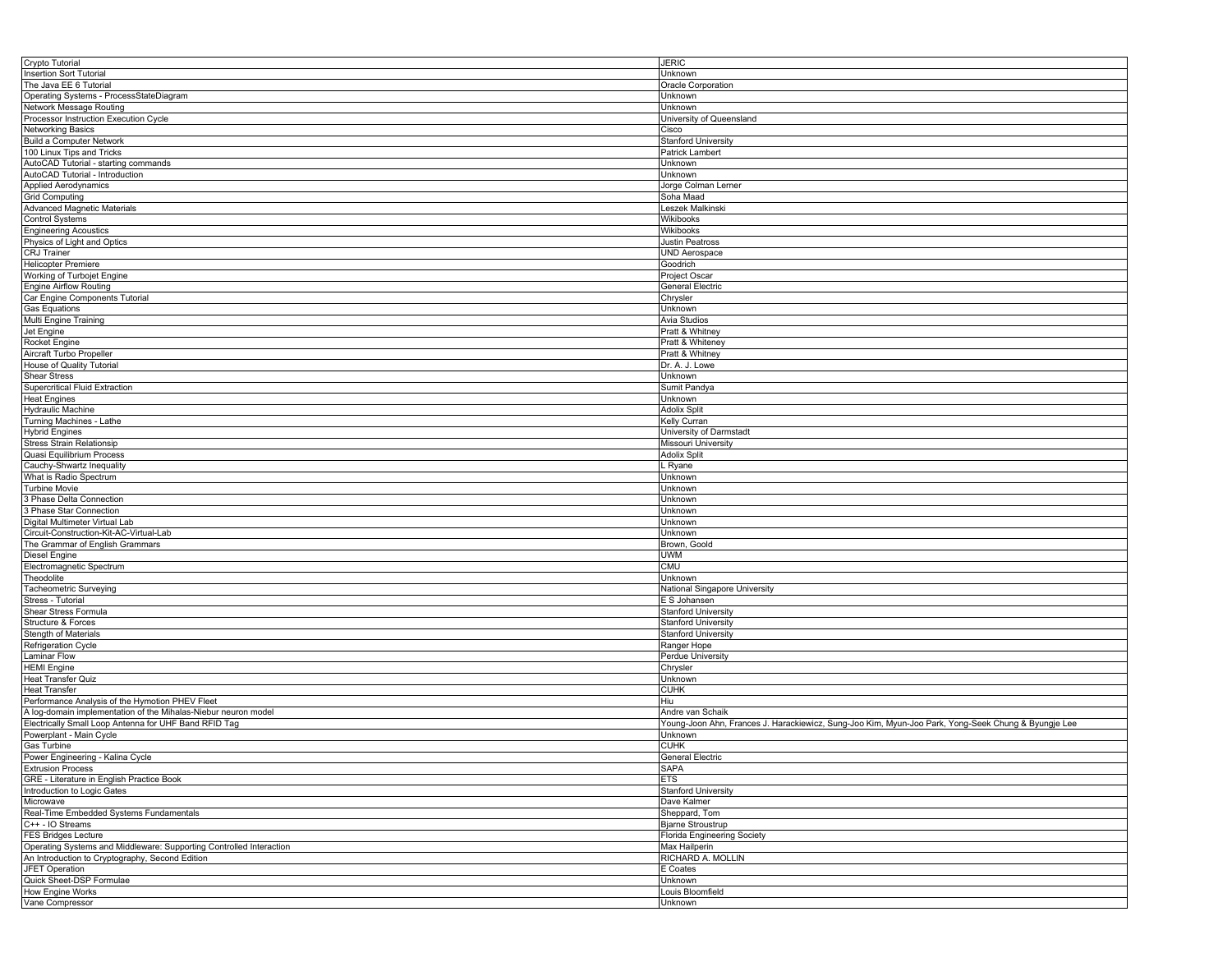| Crypto Tutorial                                                     | <b>JERIC</b>                                                                                        |
|---------------------------------------------------------------------|-----------------------------------------------------------------------------------------------------|
| <b>Insertion Sort Tutorial</b>                                      | Unknown                                                                                             |
| The Java EE 6 Tutorial                                              | Oracle Corporation                                                                                  |
|                                                                     |                                                                                                     |
| Operating Systems - ProcessStateDiagram                             | Unknown                                                                                             |
| <b>Network Message Routing</b>                                      | Unknown                                                                                             |
| Processor Instruction Execution Cycle                               | University of Queensland                                                                            |
| <b>Networking Basics</b>                                            | Cisco                                                                                               |
|                                                                     |                                                                                                     |
| <b>Build a Computer Network</b>                                     | <b>Stanford University</b>                                                                          |
| 100 Linux Tips and Tricks                                           | Patrick Lambert                                                                                     |
| AutoCAD Tutorial - starting commands                                | Unknown                                                                                             |
| AutoCAD Tutorial - Introduction                                     | Unknown                                                                                             |
| <b>Applied Aerodynamics</b>                                         | Jorge Colman Lerner                                                                                 |
| Grid Computing                                                      |                                                                                                     |
|                                                                     | Soha Maad                                                                                           |
| Advanced Magnetic Materials                                         | Leszek Malkinski                                                                                    |
| <b>Control Systems</b>                                              | Wikibooks                                                                                           |
| <b>Engineering Acoustics</b>                                        | Wikibooks                                                                                           |
| Physics of Light and Optics                                         | <b>Justin Peatross</b>                                                                              |
| CRJ Trainer                                                         | <b>UND Aerospace</b>                                                                                |
|                                                                     |                                                                                                     |
| <b>Helicopter Premiere</b>                                          | Goodrich                                                                                            |
| Working of Turbojet Engine                                          | <b>Project Oscar</b>                                                                                |
| <b>Engine Airflow Routing</b>                                       | General Electric                                                                                    |
| Car Engine Components Tutorial                                      | Chrysler                                                                                            |
| Gas Equations                                                       | Unknown                                                                                             |
|                                                                     |                                                                                                     |
| Multi Engine Training                                               | <b>Avia Studios</b>                                                                                 |
| Jet Engine                                                          | Pratt & Whitney                                                                                     |
| Rocket Engine                                                       | Pratt & Whiteney                                                                                    |
| Aircraft Turbo Propeller                                            | Pratt & Whitney                                                                                     |
| House of Quality Tutorial                                           | Dr. A. J. Lowe                                                                                      |
|                                                                     |                                                                                                     |
| <b>Shear Stress</b>                                                 | Unknown                                                                                             |
| Supercritical Fluid Extraction                                      | Sumit Pandya                                                                                        |
| <b>Heat Engines</b>                                                 | Unknown                                                                                             |
| <b>Hydraulic Machine</b>                                            | <b>Adolix Split</b>                                                                                 |
| Turning Machines - Lathe                                            | Kelly Curran                                                                                        |
|                                                                     |                                                                                                     |
| <b>Hybrid Engines</b>                                               | University of Darmstadt                                                                             |
| <b>Stress Strain Relationsip</b>                                    | Missouri University                                                                                 |
| Quasi Equilibrium Process                                           | <b>Adolix Split</b>                                                                                 |
| Cauchy-Shwartz Inequality                                           | . Ryane                                                                                             |
| What is Radio Spectrum                                              | Unknown                                                                                             |
|                                                                     | Unknown                                                                                             |
| <b>Turbine Movie</b>                                                |                                                                                                     |
| 3 Phase Delta Connection                                            | Unknown                                                                                             |
| 3 Phase Star Connection                                             | Unknown                                                                                             |
| Digital Multimeter Virtual Lab                                      | Unknown                                                                                             |
| Circuit-Construction-Kit-AC-Virtual-Lab                             | Unknown                                                                                             |
| The Grammar of English Grammars                                     |                                                                                                     |
|                                                                     | Brown, Goold                                                                                        |
| <b>Diesel Engine</b>                                                | UWM                                                                                                 |
| Electromagnetic Spectrum                                            | <b>CMU</b>                                                                                          |
| Theodolite                                                          | Unknown                                                                                             |
| Tacheometric Surveying                                              | National Singapore University                                                                       |
| Stress - Tutorial                                                   | E S Johansen                                                                                        |
|                                                                     |                                                                                                     |
| Shear Stress Formula                                                | <b>Stanford University</b>                                                                          |
| Structure & Forces                                                  | <b>Stanford University</b>                                                                          |
| Stength of Materials                                                | <b>Stanford University</b>                                                                          |
| Refrigeration Cycle                                                 | Ranger Hope                                                                                         |
| Laminar Flow                                                        | Perdue University                                                                                   |
| <b>HEMI</b> Engine                                                  |                                                                                                     |
|                                                                     | Chrysler                                                                                            |
| <b>Heat Transfer Quiz</b>                                           | Unknown                                                                                             |
| <b>Heat Transfer</b>                                                | <b>CUHK</b>                                                                                         |
| Performance Analysis of the Hymotion PHEV Fleet                     | Hiu                                                                                                 |
| A log-domain implementation of the Mihalas-Niebur neuron model      | Andre van Schaik                                                                                    |
| Electrically Small Loop Antenna for UHF Band RFID Tag               | Young-Joon Ahn, Frances J. Harackiewicz, Sung-Joo Kim, Myun-Joo Park, Yong-Seek Chung & Byungje Lee |
|                                                                     |                                                                                                     |
| Powerplant - Main Cycle                                             | Unknown                                                                                             |
| Gas Turbine                                                         | <b>CUHK</b>                                                                                         |
| Power Engineering - Kalina Cycle                                    | <b>General Electric</b>                                                                             |
| <b>Extrusion Process</b>                                            | <b>SAPA</b>                                                                                         |
| GRE - Literature in English Practice Book                           | <b>ETS</b>                                                                                          |
|                                                                     |                                                                                                     |
| Introduction to Logic Gates                                         | <b>Stanford University</b>                                                                          |
| Microwave                                                           | Dave Kalmer                                                                                         |
| Real-Time Embedded Systems Fundamentals                             | Sheppard, Tom                                                                                       |
| C++ - IO Streams                                                    | <b>Bjarne Stroustrup</b>                                                                            |
| <b>FES Bridges Lecture</b>                                          | Florida Engineering Society                                                                         |
| Operating Systems and Middleware: Supporting Controlled Interaction | Max Hailperin                                                                                       |
|                                                                     |                                                                                                     |
| An Introduction to Cryptography, Second Edition                     | RICHARD A. MOLLIN                                                                                   |
| <b>JFET Operation</b>                                               | E Coates                                                                                            |
| Quick Sheet-DSP Formulae                                            | Unknown                                                                                             |
| <b>How Engine Works</b>                                             | Louis Bloomfield                                                                                    |
| Vane Compressor                                                     | Unknown                                                                                             |
|                                                                     |                                                                                                     |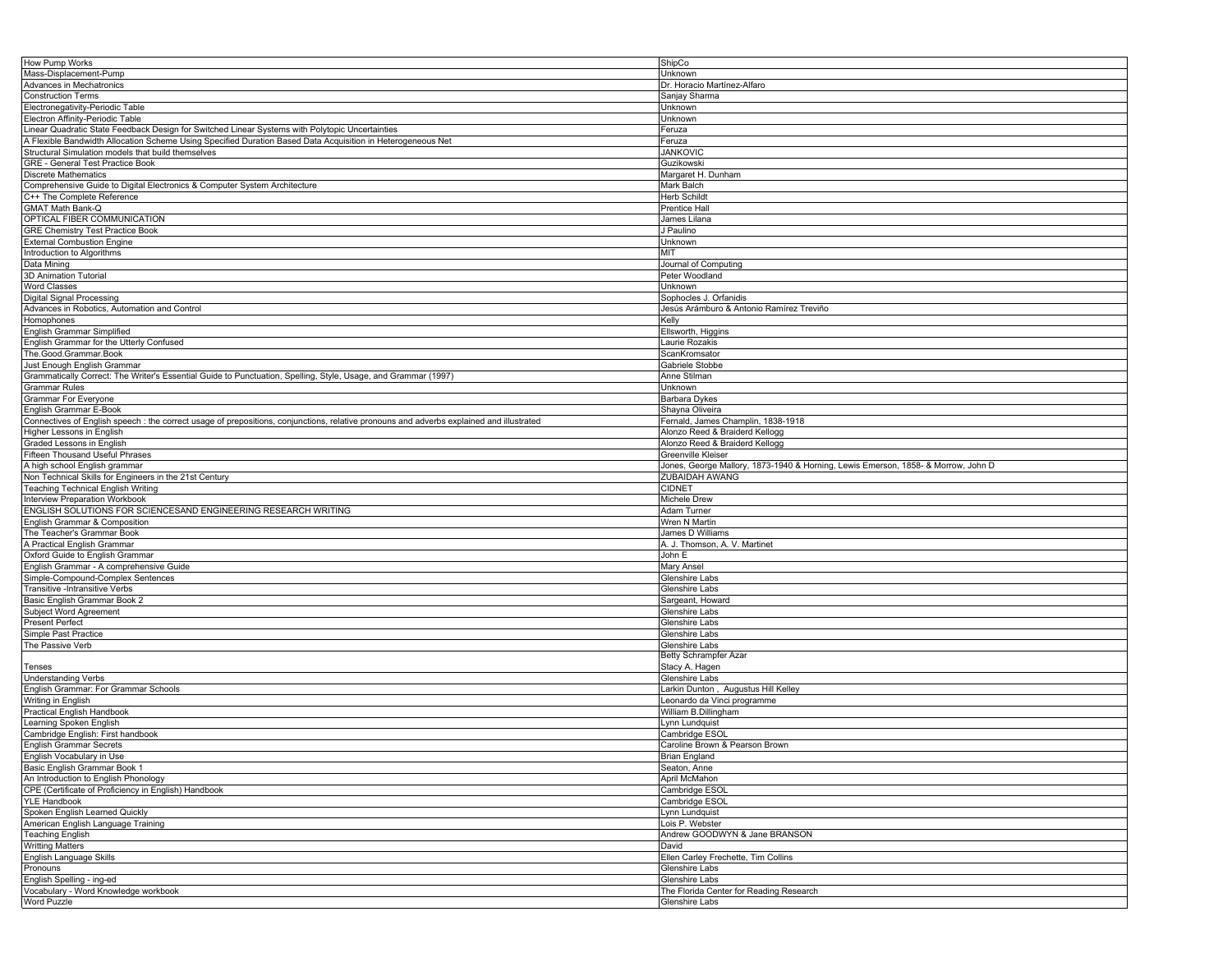| How Pump Works                                                                                                                           | ShipCo                                                                            |
|------------------------------------------------------------------------------------------------------------------------------------------|-----------------------------------------------------------------------------------|
| Mass-Displacement-Pump                                                                                                                   | Unknown                                                                           |
|                                                                                                                                          |                                                                                   |
| Advances in Mechatronics                                                                                                                 | Dr. Horacio Martínez-Alfaro                                                       |
| <b>Construction Terms</b>                                                                                                                | Sanjay Sharma                                                                     |
| Electronegativity-Periodic Table                                                                                                         | Unknown                                                                           |
| Electron Affinity-Periodic Table                                                                                                         |                                                                                   |
|                                                                                                                                          | Jnknown                                                                           |
| Linear Quadratic State Feedback Design for Switched Linear Systems with Polytopic Uncertainties                                          | Feruza                                                                            |
| A Flexible Bandwidth Allocation Scheme Using Specified Duration Based Data Acquisition in Heterogeneous Net                              | <sup>=</sup> eruza                                                                |
| Structural Simulation models that build themselves                                                                                       | <b>JANKOVIC</b>                                                                   |
|                                                                                                                                          |                                                                                   |
| GRE - General Test Practice Book                                                                                                         | Guzikowski                                                                        |
| <b>Discrete Mathematics</b>                                                                                                              | Margaret H. Dunham                                                                |
| Comprehensive Guide to Digital Electronics & Computer System Architecture                                                                | Mark Balch                                                                        |
|                                                                                                                                          |                                                                                   |
| C++ The Complete Reference                                                                                                               | Herb Schildt                                                                      |
| <b>GMAT Math Bank-Q</b>                                                                                                                  | Prentice Hall                                                                     |
| OPTICAL FIBER COMMUNICATION                                                                                                              | James Lilana                                                                      |
|                                                                                                                                          |                                                                                   |
| <b>GRE Chemistry Test Practice Book</b>                                                                                                  | J Paulino                                                                         |
| <b>External Combustion Engine</b>                                                                                                        | <b>Jnknown</b>                                                                    |
| Introduction to Algorithms                                                                                                               | MIT                                                                               |
| Data Mining                                                                                                                              |                                                                                   |
|                                                                                                                                          | Journal of Computing                                                              |
| 3D Animation Tutorial                                                                                                                    | Peter Woodland                                                                    |
| <b>Word Classes</b>                                                                                                                      | Jnknown                                                                           |
| Digital Signal Processing                                                                                                                | Sophocles J. Orfanidis                                                            |
|                                                                                                                                          |                                                                                   |
| Advances in Robotics, Automation and Control                                                                                             | Jesús Arámburo & Antonio Ramírez Treviño                                          |
| Homophones                                                                                                                               | Kelly                                                                             |
| English Grammar Simplified                                                                                                               | Ellsworth, Higgins                                                                |
|                                                                                                                                          |                                                                                   |
| English Grammar for the Utterly Confused                                                                                                 | aurie Rozakis                                                                     |
| The.Good.Grammar.Book                                                                                                                    | ScanKromsator                                                                     |
| Just Enough English Grammar                                                                                                              | Gabriele Stobbe                                                                   |
|                                                                                                                                          |                                                                                   |
| Grammatically Correct: The Writer's Essential Guide to Punctuation, Spelling, Style, Usage, and Grammar (1997)                           | Anne Stilman                                                                      |
| <b>Grammar Rules</b>                                                                                                                     | Unknown                                                                           |
| <b>Grammar For Everyone</b>                                                                                                              | Barbara Dykes                                                                     |
|                                                                                                                                          |                                                                                   |
| English Grammar E-Book                                                                                                                   | Shayna Oliveira                                                                   |
| Connectives of English speech : the correct usage of prepositions, conjunctions, relative pronouns and adverbs explained and illustrated | Fernald, James Champlin, 1838-1918                                                |
| Higher Lessons in English                                                                                                                | Alonzo Reed & Braiderd Kellogg                                                    |
|                                                                                                                                          |                                                                                   |
| Graded Lessons in English                                                                                                                | Alonzo Reed & Braiderd Kellogg                                                    |
| Fifteen Thousand Useful Phrases                                                                                                          | Greenville Kleiser                                                                |
| A high school English grammar                                                                                                            | Jones, George Mallory, 1873-1940 & Horning, Lewis Emerson, 1858- & Morrow, John D |
|                                                                                                                                          |                                                                                   |
| Non Technical Skills for Engineers in the 21st Century                                                                                   | ZUBAIDAH AWANG                                                                    |
| <b>Teaching Technical English Writing</b>                                                                                                | <b>CIDNET</b>                                                                     |
| <b>Interview Preparation Workbook</b>                                                                                                    | <b>Michele Drew</b>                                                               |
|                                                                                                                                          |                                                                                   |
| ENGLISH SOLUTIONS FOR SCIENCESAND ENGINEERING RESEARCH WRITING                                                                           | Adam Turner                                                                       |
| English Grammar & Composition                                                                                                            | Wren N Martin                                                                     |
| The Teacher's Grammar Book                                                                                                               | James D Williams                                                                  |
|                                                                                                                                          |                                                                                   |
| A Practical English Grammar                                                                                                              | A. J. Thomson, A. V. Martinet                                                     |
| Oxford Guide to English Grammar                                                                                                          | John E                                                                            |
| English Grammar - A comprehensive Guide                                                                                                  |                                                                                   |
|                                                                                                                                          | Mary Ansel                                                                        |
|                                                                                                                                          |                                                                                   |
| Simple-Compound-Complex Sentences                                                                                                        | <b>Glenshire Labs</b>                                                             |
|                                                                                                                                          |                                                                                   |
| Transitive -Intransitive Verbs                                                                                                           | Glenshire Labs                                                                    |
| Basic English Grammar Book 2                                                                                                             | Sargeant, Howard                                                                  |
| Subject Word Agreement                                                                                                                   | Glenshire Labs                                                                    |
|                                                                                                                                          |                                                                                   |
| <b>Present Perfect</b>                                                                                                                   | Glenshire Labs                                                                    |
| Simple Past Practice                                                                                                                     | Glenshire Labs                                                                    |
| The Passive Verb                                                                                                                         | <b>Glenshire Labs</b>                                                             |
|                                                                                                                                          | Betty Schrampfer Azar                                                             |
|                                                                                                                                          |                                                                                   |
| Tenses                                                                                                                                   | Stacy A. Hagen                                                                    |
| <b>Understanding Verbs</b>                                                                                                               | Glenshire Labs                                                                    |
| English Grammar: For Grammar Schools                                                                                                     | Larkin Dunton, Augustus Hill Kelley                                               |
|                                                                                                                                          |                                                                                   |
| Writing in English                                                                                                                       | Leonardo da Vinci programme                                                       |
| <b>Practical English Handbook</b>                                                                                                        | William B.Dillingham                                                              |
| Learning Spoken English                                                                                                                  | ynn Lundquist                                                                     |
|                                                                                                                                          |                                                                                   |
| Cambridge English: First handbook                                                                                                        | Cambridge ESOL                                                                    |
| English Grammar Secrets                                                                                                                  | Caroline Brown & Pearson Brown                                                    |
|                                                                                                                                          |                                                                                   |
| English Vocabulary in Use                                                                                                                | <b>Brian England</b>                                                              |
| Basic English Grammar Book 1                                                                                                             | Seaton, Anne                                                                      |
| An Introduction to English Phonology                                                                                                     | April McMahon                                                                     |
| CPE (Certificate of Proficiency in English) Handbook                                                                                     | Cambridge ESOL                                                                    |
|                                                                                                                                          |                                                                                   |
| <b>YLE Handbook</b>                                                                                                                      | Cambridge ESOL                                                                    |
| Spoken English Learned Quickly                                                                                                           | vnn Lundauist                                                                     |
|                                                                                                                                          |                                                                                   |
| American English Language Training                                                                                                       | ois P. Webster                                                                    |
| <b>Teaching English</b>                                                                                                                  | Andrew GOODWYN & Jane BRANSON                                                     |
| <b>Writting Matters</b>                                                                                                                  | David                                                                             |
|                                                                                                                                          |                                                                                   |
| English Language Skills                                                                                                                  | Ellen Carley Frechette, Tim Collins                                               |
| Pronouns                                                                                                                                 | Glenshire Labs                                                                    |
| English Spelling - ing-ed                                                                                                                | Glenshire Labs                                                                    |
|                                                                                                                                          |                                                                                   |
| Vocabulary - Word Knowledge workbook<br>Word Puzzle                                                                                      | The Florida Center for Reading Research<br>Glenshire Labs                         |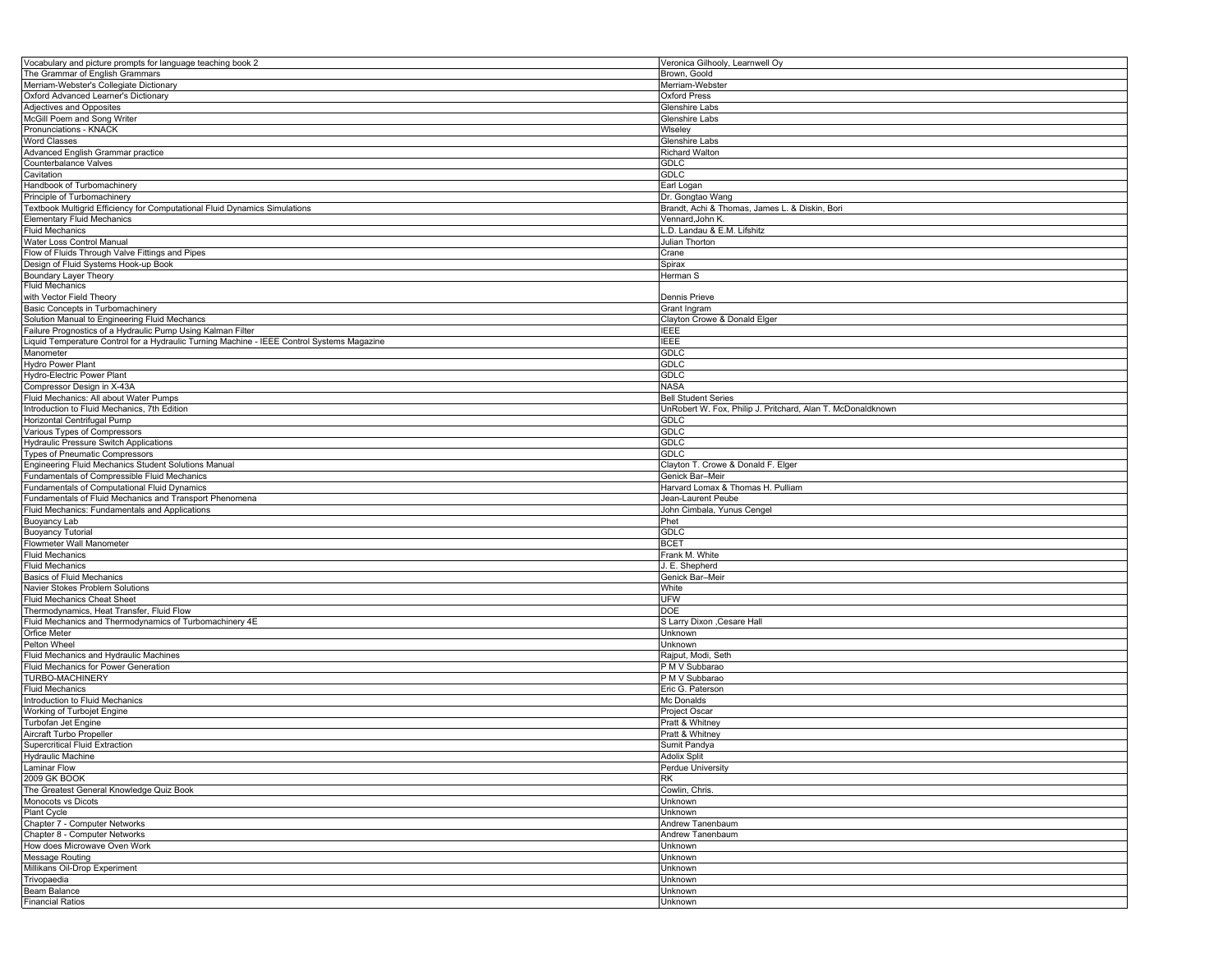| Vocabulary and picture prompts for language teaching book 2                                | Veronica Gilhooly, Learnwell Oy                             |
|--------------------------------------------------------------------------------------------|-------------------------------------------------------------|
| The Grammar of English Grammars                                                            | Brown, Goold                                                |
| Merriam-Webster's Collegiate Dictionary                                                    | Merriam-Webster                                             |
| Oxford Advanced Learner's Dictionary                                                       | Oxford Press                                                |
| <b>Adjectives and Opposites</b>                                                            | <b>Glenshire Labs</b>                                       |
| McGill Poem and Song Writer                                                                | <b>Glenshire Labs</b>                                       |
| Pronunciations - KNACK                                                                     | Wiseley                                                     |
| <b>Word Classes</b>                                                                        | Glenshire Labs                                              |
|                                                                                            |                                                             |
| Advanced English Grammar practice                                                          | <b>Richard Walton</b>                                       |
| Counterbalance Valves                                                                      | GDLC                                                        |
| Cavitation                                                                                 | <b>GDLC</b>                                                 |
| Handbook of Turbomachinery                                                                 | Earl Logan                                                  |
| Principle of Turbomachinery                                                                | Dr. Gongtao Wang                                            |
| Textbook Multigrid Efficiency for Computational Fluid Dynamics Simulations                 | Brandt, Achi & Thomas, James L. & Diskin, Bori              |
| <b>Elementary Fluid Mechanics</b>                                                          | Vennard, John K.                                            |
| <b>Fluid Mechanics</b>                                                                     | D. Landau & E.M. Lifshitz                                   |
| Water Loss Control Manual                                                                  | Julian Thorton                                              |
| Flow of Fluids Through Valve Fittings and Pipes                                            | Crane                                                       |
| Design of Fluid Systems Hook-up Book                                                       | Spirax                                                      |
| Boundary Layer Theory                                                                      | Herman S                                                    |
| <b>Fluid Mechanics</b>                                                                     |                                                             |
| with Vector Field Theory                                                                   |                                                             |
|                                                                                            | Dennis Prieve                                               |
| Basic Concepts in Turbomachinery                                                           | Grant Ingram                                                |
| Solution Manual to Engineering Fluid Mechancs                                              | Clayton Crowe & Donald Elger                                |
| Failure Prognostics of a Hydraulic Pump Using Kalman Filter                                | <b>IEEE</b>                                                 |
| Liquid Temperature Control for a Hydraulic Turning Machine - IEEE Control Systems Magazine | IEEE                                                        |
| Manometer                                                                                  | <b>GDLC</b>                                                 |
| Hydro Power Plant                                                                          | GDLC                                                        |
| Hydro-Electric Power Plant                                                                 | GDLC                                                        |
| Compressor Design in X-43A                                                                 | <b>NASA</b>                                                 |
| Fluid Mechanics: All about Water Pumps                                                     | <b>Bell Student Series</b>                                  |
| Introduction to Fluid Mechanics, 7th Edition                                               | UnRobert W. Fox, Philip J. Pritchard, Alan T. McDonaldknown |
| Horizontal Centrifugal Pump                                                                | <b>GDLC</b>                                                 |
|                                                                                            |                                                             |
| Various Types of Compressors                                                               | <b>GDLC</b>                                                 |
| Hydraulic Pressure Switch Applications                                                     | <b>GDLC</b>                                                 |
| <b>Types of Pneumatic Compressors</b>                                                      | <b>GDLC</b>                                                 |
| Engineering Fluid Mechanics Student Solutions Manual                                       | Clayton T. Crowe & Donald F. Elger                          |
| Fundamentals of Compressible Fluid Mechanics                                               | Genick Bar-Meir                                             |
| Fundamentals of Computational Fluid Dynamics                                               | Harvard Lomax & Thomas H. Pulliam                           |
| Fundamentals of Fluid Mechanics and Transport Phenomena                                    | Jean-Laurent Peube                                          |
| Fluid Mechanics: Fundamentals and Applications                                             | John Cimbala, Yunus Cengel                                  |
| Buoyancy Lab                                                                               | Phet                                                        |
| <b>Buoyancy Tutorial</b>                                                                   | GDLC                                                        |
| Flowmeter Wall Manometer                                                                   | <b>BCET</b>                                                 |
| <b>Fluid Mechanics</b>                                                                     | Frank M. White                                              |
| <b>Fluid Mechanics</b>                                                                     | J. E. Shepherd                                              |
|                                                                                            |                                                             |
| <b>Basics of Fluid Mechanics</b>                                                           | Genick Bar-Meir                                             |
| Navier Stokes Problem Solutions                                                            | White                                                       |
| Fluid Mechanics Cheat Sheet                                                                | UFW                                                         |
| Thermodynamics, Heat Transfer, Fluid Flow                                                  | <b>DOE</b>                                                  |
| Fluid Mechanics and Thermodynamics of Turbomachinery 4E                                    | S Larry Dixon , Cesare Hall                                 |
| Orfice Meter                                                                               | Unknown                                                     |
| Pelton Wheel                                                                               | Unknown                                                     |
| Fluid Mechanics and Hydraulic Machines                                                     | Rajput, Modi, Seth                                          |
| Fluid Mechanics for Power Generation                                                       | P M V Subbarao                                              |
| TURBO-MACHINERY                                                                            | P M V Subbarao                                              |
| <b>Fluid Mechanics</b>                                                                     | Eric G. Paterson                                            |
| Introduction to Fluid Mechanics                                                            | Mc Donalds                                                  |
|                                                                                            |                                                             |
| Working of Turbojet Engine                                                                 | Project Oscar                                               |
| Turbofan Jet Engine                                                                        | Pratt & Whitney                                             |
| Aircraft Turbo Propeller                                                                   |                                                             |
|                                                                                            | Pratt & Whitney                                             |
| <b>Supercritical Fluid Extraction</b>                                                      | Sumit Pandya                                                |
| <b>Hydraulic Machine</b>                                                                   | <b>Adolix Split</b>                                         |
| Laminar Flow                                                                               | Perdue University                                           |
| 2009 GK BOOK                                                                               | <b>RK</b>                                                   |
| The Greatest General Knowledge Quiz Book                                                   | Cowlin, Chris.                                              |
| Monocots vs Dicots                                                                         |                                                             |
|                                                                                            | Unknown                                                     |
| Plant Cycle                                                                                | Unknown                                                     |
| Chapter 7 - Computer Networks                                                              | Andrew Tanenbaum                                            |
| Chapter 8 - Computer Networks                                                              | Andrew Tanenbaum                                            |
| How does Microwave Oven Work                                                               | Unknown                                                     |
| Message Routing                                                                            | Unknown                                                     |
| Millikans Oil-Drop Experiment                                                              | Unknown                                                     |
| Trivopaedia                                                                                | Unknown                                                     |
| Beam Balance<br><b>Financial Ratios</b>                                                    | Unknown<br>Unknown                                          |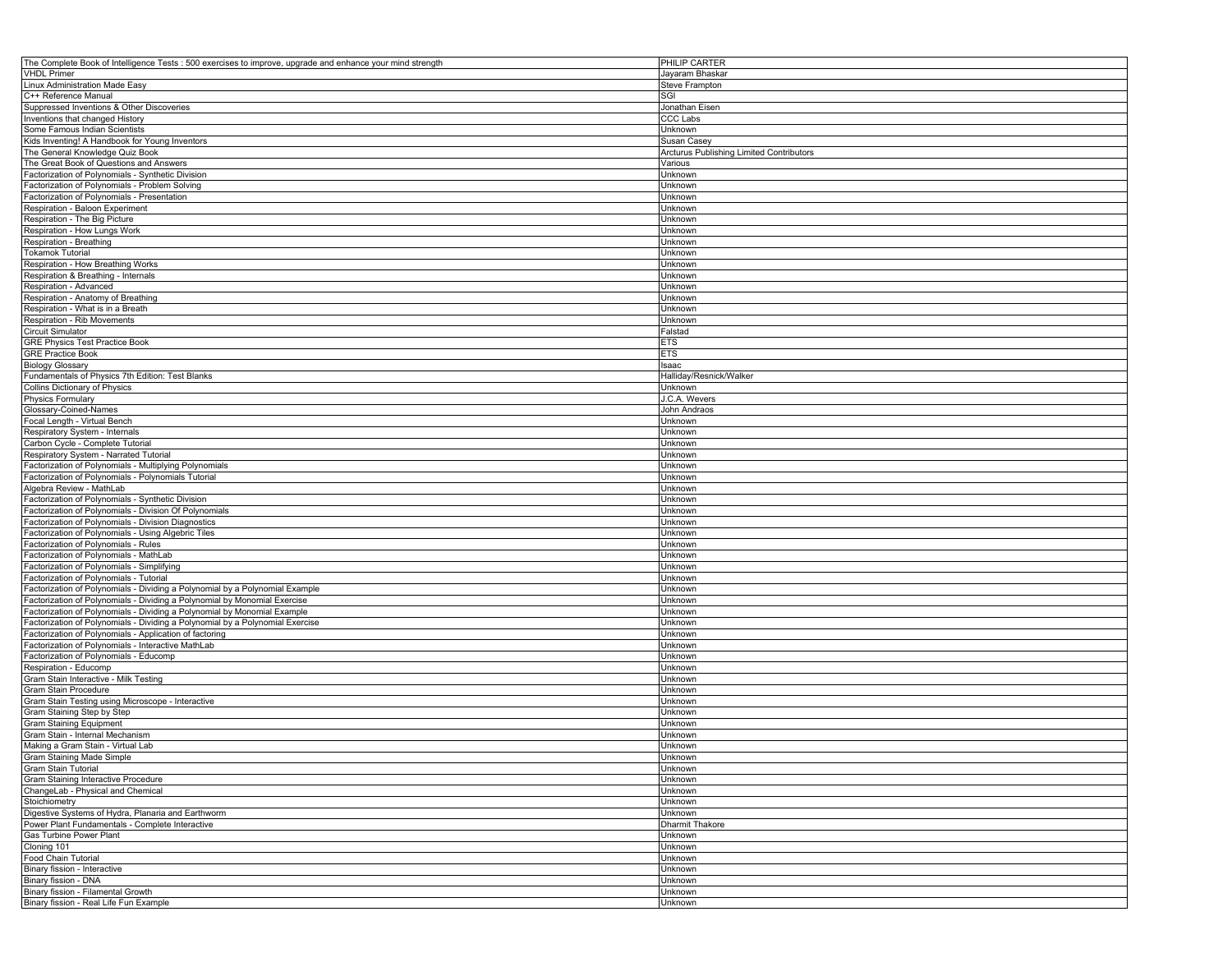| The Complete Book of Intelligence Tests : 500 exercises to improve, upgrade and enhance your mind strength | PHILIP CARTER                            |
|------------------------------------------------------------------------------------------------------------|------------------------------------------|
| <b>VHDL Primer</b>                                                                                         | Jayaram Bhaskar                          |
| Linux Administration Made Easy                                                                             | <b>Steve Frampton</b>                    |
| C++ Reference Manual                                                                                       | SGI                                      |
| Suppressed Inventions & Other Discoveries                                                                  | Jonathan Eisen                           |
| Inventions that changed History                                                                            | <b>CCC Labs</b>                          |
| Some Famous Indian Scientists                                                                              | Unknown                                  |
| Kids Inventing! A Handbook for Young Inventors                                                             | <b>Susan Casey</b>                       |
| The General Knowledge Quiz Book                                                                            | Arcturus Publishing Limited Contributors |
| The Great Book of Questions and Answers                                                                    | Various                                  |
| Factorization of Polynomials - Synthetic Division                                                          | Unknown                                  |
| Factorization of Polynomials - Problem Solving                                                             | Unknown                                  |
| Factorization of Polynomials - Presentation                                                                |                                          |
|                                                                                                            | Unknown                                  |
| Respiration - Baloon Experiment                                                                            | Unknown                                  |
| Respiration - The Big Picture                                                                              | Unknown                                  |
| Respiration - How Lungs Work                                                                               | Unknown                                  |
| Respiration - Breathing                                                                                    | Unknown                                  |
| <b>Tokamok Tutorial</b>                                                                                    | Unknown                                  |
| Respiration - How Breathing Works                                                                          | Unknown                                  |
| Respiration & Breathing - Internals                                                                        | Unknown                                  |
| Respiration - Advanced                                                                                     | Unknown                                  |
| Respiration - Anatomy of Breathing                                                                         | Unknown                                  |
| Respiration - What is in a Breath                                                                          | Unknown                                  |
| Respiration - Rib Movements                                                                                | Unknown                                  |
| Circuit Simulator                                                                                          | Falstad                                  |
| <b>GRE Physics Test Practice Book</b>                                                                      | ETS                                      |
| <b>GRE Practice Book</b>                                                                                   | <b>ETS</b>                               |
| <b>Biology Glossary</b>                                                                                    | Isaac                                    |
| Fundamentals of Physics 7th Edition: Test Blanks                                                           | Halliday/Resnick/Walker                  |
| <b>Collins Dictionary of Physics</b>                                                                       | Unknown                                  |
| <b>Physics Formulary</b>                                                                                   | J.C.A. Wevers                            |
| Glossary-Coined-Names                                                                                      | John Andraos                             |
|                                                                                                            |                                          |
| Focal Length - Virtual Bench                                                                               | Unknown                                  |
| Respiratory System - Internals                                                                             | Unknown                                  |
| Carbon Cycle - Complete Tutorial                                                                           | Unknown                                  |
| Respiratory System - Narrated Tutorial                                                                     | Unknown                                  |
| Factorization of Polynomials - Multiplying Polynomials                                                     | Unknown                                  |
| Factorization of Polynomials - Polynomials Tutorial                                                        | Unknown                                  |
| Algebra Review - MathLab                                                                                   | Unknown                                  |
| Factorization of Polynomials - Synthetic Division                                                          | Unknown                                  |
| Factorization of Polynomials - Division Of Polynomials                                                     | Unknown                                  |
| Factorization of Polynomials - Division Diagnostics                                                        | Unknown                                  |
| Factorization of Polynomials - Using Algebric Tiles                                                        | Unknown                                  |
| Factorization of Polynomials - Rules                                                                       | Unknown                                  |
| Factorization of Polynomials - MathLab                                                                     | Unknown                                  |
| Factorization of Polynomials - Simplifying                                                                 | Unknown                                  |
| Factorization of Polynomials - Tutorial                                                                    | Unknown                                  |
| Factorization of Polynomials - Dividing a Polynomial by a Polynomial Example                               | Unknown                                  |
| Factorization of Polynomials - Dividing a Polynomial by Monomial Exercise                                  | Unknown                                  |
| Factorization of Polynomials - Dividing a Polynomial by Monomial Example                                   | Unknown                                  |
| Factorization of Polynomials - Dividing a Polynomial by a Polynomial Exercise                              | Unknown                                  |
| Factorization of Polynomials - Application of factoring                                                    | Unknown                                  |
| Factorization of Polynomials - Interactive MathLab                                                         | Unknown                                  |
| Factorization of Polynomials - Educomp                                                                     | Unknown                                  |
| Respiration - Educomp                                                                                      | Unknown                                  |
|                                                                                                            |                                          |
| Gram Stain Interactive - Milk Testing<br>Gram Stain Procedure                                              | Unknown                                  |
|                                                                                                            | Unknown                                  |
| Gram Stain Testing using Microscope - Interactive                                                          | Unknown                                  |
| Gram Staining Step by Step                                                                                 | Unknown                                  |
| <b>Gram Staining Equipment</b>                                                                             | Unknown                                  |
| Gram Stain - Internal Mechanism                                                                            | Unknown                                  |
| Making a Gram Stain - Virtual Lab                                                                          | Unknown                                  |
| <b>Gram Staining Made Simple</b>                                                                           | Unknown                                  |
| Gram Stain Tutorial                                                                                        | Unknown                                  |
| Gram Staining Interactive Procedure                                                                        | Unknown                                  |
| ChangeLab - Physical and Chemical                                                                          | Unknown                                  |
| Stoichiometry                                                                                              | Unknown                                  |
| Digestive Systems of Hydra, Planaria and Earthworm                                                         | Unknown                                  |
| Power Plant Fundamentals - Complete Interactive                                                            | Dharmit Thakore                          |
| Gas Turbine Power Plant                                                                                    | Unknown                                  |
| Cloning 101                                                                                                | Unknown                                  |
| <b>Food Chain Tutorial</b>                                                                                 | Unknown                                  |
| Binary fission - Interactive                                                                               | Unknown                                  |
| Binary fission - DNA                                                                                       | Unknown                                  |
| Binary fission - Filamental Growth                                                                         | Unknown                                  |
| Binary fission - Real Life Fun Example                                                                     | Unknown                                  |
|                                                                                                            |                                          |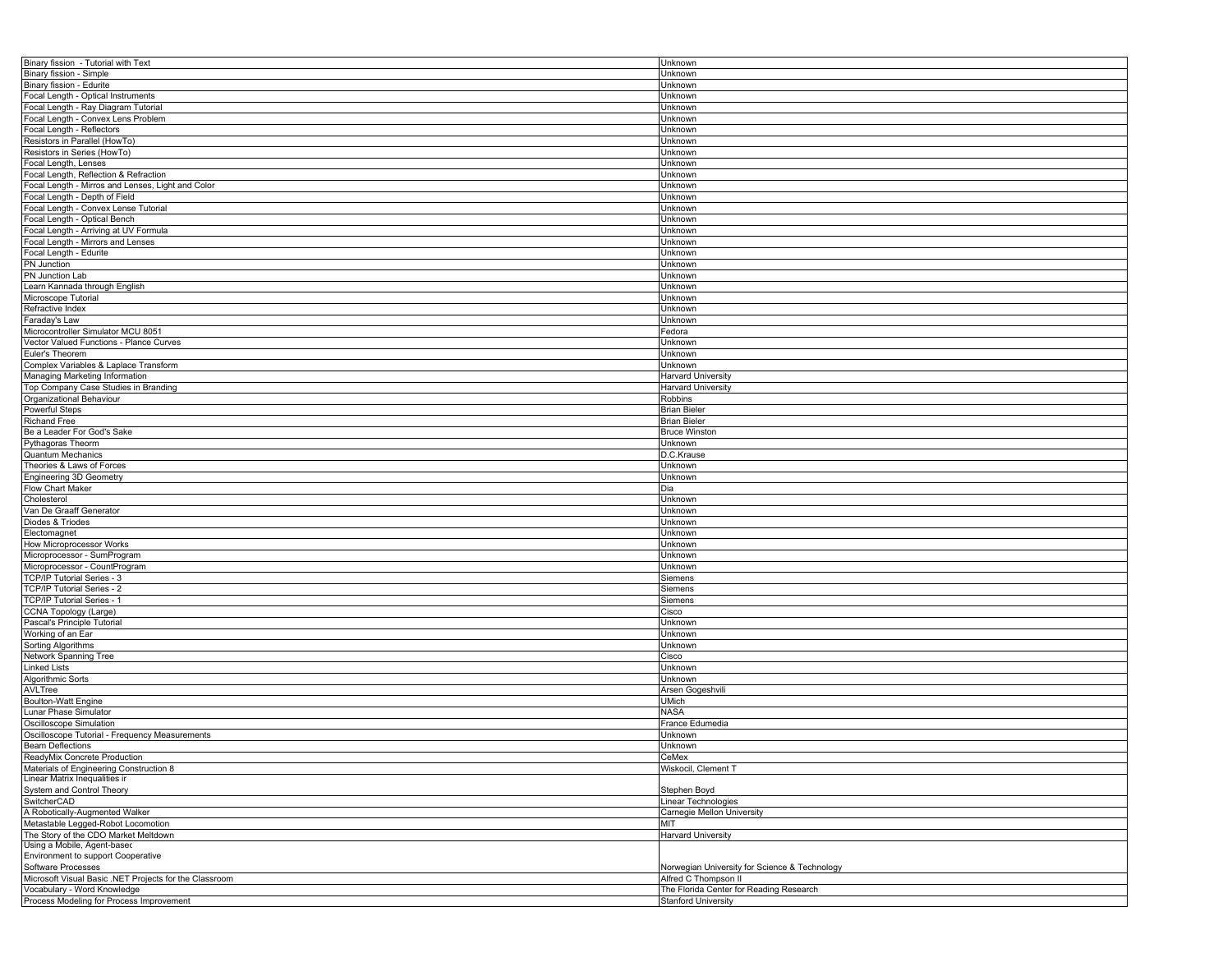| Binary fission - Tutorial with Text                    | Unknown                                       |
|--------------------------------------------------------|-----------------------------------------------|
| Binary fission - Simple                                | Unknown                                       |
| Binary fission - Edurite                               | Unknown                                       |
| Focal Length - Optical Instruments                     | Unknown                                       |
| Focal Length - Ray Diagram Tutorial                    | Unknown                                       |
| Focal Length - Convex Lens Problem                     | Unknown                                       |
| Focal Length - Reflectors                              | Unknown                                       |
| Resistors in Parallel (HowTo)                          | Unknown                                       |
| Resistors in Series (HowTo)                            |                                               |
|                                                        | Unknown                                       |
| Focal Length, Lenses                                   | Unknown                                       |
| Focal Length, Reflection & Refraction                  | Unknown                                       |
| Focal Length - Mirros and Lenses, Light and Color      | Unknown                                       |
| Focal Length - Depth of Field                          | Unknown                                       |
| Focal Length - Convex Lense Tutorial                   | Unknown                                       |
| Focal Length - Optical Bench                           | Unknown                                       |
| Focal Length - Arriving at UV Formula                  | Unknown                                       |
| Focal Length - Mirrors and Lenses                      | Unknown                                       |
| Focal Length - Edurite                                 | Unknown                                       |
| PN Junction                                            | Unknown                                       |
| PN Junction Lab                                        | Unknown                                       |
| Learn Kannada through English                          | Unknown                                       |
|                                                        |                                               |
| Microscope Tutorial                                    | Unknown                                       |
| Refractive Index                                       | Unknown                                       |
| Faraday's Law                                          | Unknown                                       |
| Microcontroller Simulator MCU 8051                     | Fedora                                        |
| Vector Valued Functions - Plance Curves                | Unknown                                       |
| Euler's Theorem                                        | Unknown                                       |
| Complex Variables & Laplace Transform                  | Unknown                                       |
| Managing Marketing Information                         | <b>Harvard University</b>                     |
| Top Company Case Studies in Branding                   | <b>Harvard University</b>                     |
| Organizational Behaviour                               | Robbins                                       |
| <b>Powerful Steps</b>                                  | <b>Brian Bieler</b>                           |
| Richand Free                                           | <b>Brian Bieler</b>                           |
| Be a Leader For God's Sake                             | <b>Bruce Winston</b>                          |
|                                                        |                                               |
| Pythagoras Theorm                                      | Unknown                                       |
| <b>Quantum Mechanics</b>                               | D.C.Krause                                    |
| Theories & Laws of Forces                              | Unknown                                       |
| Engineering 3D Geometry                                | Unknown                                       |
| Flow Chart Maker                                       | Dia                                           |
| Cholesterol                                            | Unknown                                       |
| Van De Graaff Generator                                | Unknown                                       |
| Diodes & Triodes                                       | Unknown                                       |
| Electomagnet                                           | Unknown                                       |
| How Microprocessor Works                               | Unknown                                       |
| Microprocessor - SumProgram                            | Unknown                                       |
| Microprocessor - CountProgram                          | Unknown                                       |
| TCP/IP Tutorial Series - 3                             | Siemens                                       |
| TCP/IP Tutorial Series - 2                             | Siemens                                       |
|                                                        |                                               |
| TCP/IP Tutorial Series - 1                             | Siemens                                       |
| CCNA Topology (Large)                                  | Cisco                                         |
| Pascal's Principle Tutorial                            | Unknown                                       |
| Working of an Ear                                      | Unknown                                       |
| Sorting Algorithms                                     | Unknown                                       |
| Network Spanning Tree                                  | Cisco                                         |
| <b>Linked Lists</b>                                    | Unknown                                       |
| Algorithmic Sorts                                      | Unknown                                       |
| AVLTree                                                | Arsen Gogeshvili                              |
| <b>Boulton-Watt Engine</b>                             | <b>UMich</b>                                  |
| Lunar Phase Simulator                                  | <b>NASA</b>                                   |
| Oscilloscope Simulation                                | France Edumedia                               |
| Oscilloscope Tutorial - Frequency Measurements         | Unknown                                       |
| <b>Beam Deflections</b>                                | Unknown                                       |
|                                                        |                                               |
| ReadyMix Concrete Production                           | CeMex                                         |
| Materials of Engineering Construction 8                | Wiskocil, Clement T                           |
| Linear Matrix Inequalities ir                          |                                               |
| System and Control Theory                              | Stephen Boyd                                  |
| SwitcherCAD                                            | Linear Technologies                           |
| A Robotically-Augmented Walker                         | Carnegie Mellon University                    |
| Metastable Legged-Robot Locomotion                     | MIT                                           |
| The Story of the CDO Market Meltdown                   | <b>Harvard University</b>                     |
| Using a Mobile, Agent-based                            |                                               |
| Environment to support Cooperative                     |                                               |
| Software Processes                                     | Norwegian University for Science & Technology |
| Microsoft Visual Basic .NET Projects for the Classroom | Alfred C Thompson II                          |
| Vocabulary - Word Knowledge                            | The Florida Center for Reading Research       |
| Process Modeling for Process Improvement               | <b>Stanford University</b>                    |
|                                                        |                                               |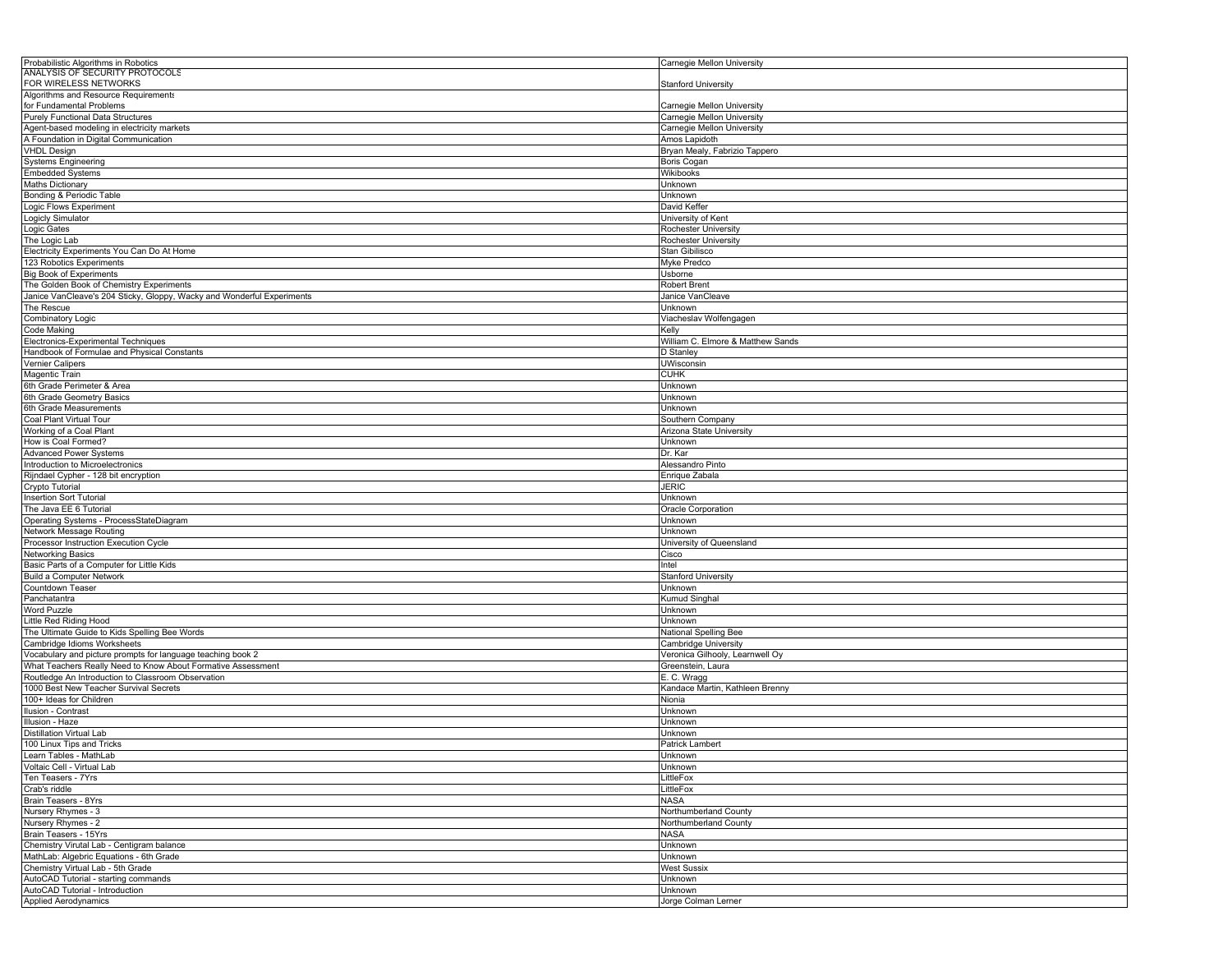| Probabilistic Algorithms in Robotics                                   |                                   |
|------------------------------------------------------------------------|-----------------------------------|
|                                                                        | Carnegie Mellon University        |
| ANALYSIS OF SECURITY PROTOCOLS                                         |                                   |
| FOR WIRELESS NETWORKS                                                  | <b>Stanford University</b>        |
| Algorithms and Resource Requirements                                   |                                   |
| for Fundamental Problems                                               | Carnegie Mellon University        |
| <b>Purely Functional Data Structures</b>                               | Carnegie Mellon University        |
| Agent-based modeling in electricity markets                            | Carnegie Mellon University        |
| A Foundation in Digital Communication                                  | Amos Lapidoth                     |
| <b>VHDL Design</b>                                                     | Bryan Mealy, Fabrizio Tappero     |
| <b>Systems Engineering</b>                                             | Boris Cogan                       |
| <b>Embedded Systems</b>                                                | Wikibooks                         |
|                                                                        |                                   |
| <b>Maths Dictionary</b>                                                | Unknown                           |
| Bonding & Periodic Table                                               | Unknown                           |
| Logic Flows Experiment                                                 | David Keffer                      |
| Logicly Simulator                                                      | University of Kent                |
| Logic Gates                                                            | Rochester University              |
| The Logic Lab                                                          | Rochester University              |
| Electricity Experiments You Can Do At Home                             | Stan Gibilisco                    |
| 123 Robotics Experiments                                               | Myke Predco                       |
| <b>Big Book of Experiments</b>                                         | Usborne                           |
| The Golden Book of Chemistry Experiments                               |                                   |
|                                                                        | <b>Robert Brent</b>               |
| Janice VanCleave's 204 Sticky, Gloppy, Wacky and Wonderful Experiments | Janice VanCleave                  |
| The Rescue                                                             | Unknown                           |
| Combinatory Logic                                                      | Viacheslav Wolfengagen            |
| <b>Code Making</b>                                                     | Kelly                             |
| Electronics-Experimental Techniques                                    | William C. Elmore & Matthew Sands |
| Handbook of Formulae and Physical Constants                            | D Stanley                         |
| <b>Vernier Calipers</b>                                                | <b>UWisconsin</b>                 |
|                                                                        | <b>CUHK</b>                       |
| Magentic Train                                                         |                                   |
| 6th Grade Perimeter & Area                                             | Unknown                           |
| 6th Grade Geometry Basics                                              | Unknown                           |
| 6th Grade Measurements                                                 | Unknown                           |
| Coal Plant Virtual Tour                                                | Southern Company                  |
| Working of a Coal Plant                                                | Arizona State University          |
| How is Coal Formed?                                                    | Unknown                           |
| <b>Advanced Power Systems</b>                                          | Dr. Kar                           |
| Introduction to Microelectronics                                       | Alessandro Pinto                  |
|                                                                        |                                   |
| Rijndael Cypher - 128 bit encryption                                   | Enrique Zabala                    |
| Crypto Tutorial                                                        | <b>JERIC</b>                      |
| <b>Insertion Sort Tutorial</b>                                         | Unknown                           |
| The Java EE 6 Tutorial                                                 | Oracle Corporation                |
| Operating Systems - ProcessStateDiagram                                | Unknown                           |
| Network Message Routing                                                | Unknown                           |
| Processor Instruction Execution Cycle                                  | University of Queensland          |
| <b>Networking Basics</b>                                               | Cisco                             |
| Basic Parts of a Computer for Little Kids                              | Intel                             |
|                                                                        |                                   |
| <b>Build a Computer Network</b>                                        | <b>Stanford University</b>        |
| Countdown Teaser                                                       | Unknown                           |
| Panchatantra                                                           | Kumud Singhal                     |
| <b>Word Puzzle</b>                                                     | Unknown                           |
| Little Red Riding Hood                                                 | Unknown                           |
| The Ultimate Guide to Kids Spelling Bee Words                          | National Spelling Bee             |
| Cambridge Idioms Worksheets                                            | Cambridge University              |
| Vocabulary and picture prompts for language teaching book 2            | Veronica Gilhooly, Learnwell Oy   |
|                                                                        |                                   |
| What Teachers Really Need to Know About Formative Assessment           | Greenstein, Laura                 |
| Routledge An Introduction to Classroom Observation                     | E. C. Wragg                       |
| 1000 Best New Teacher Survival Secrets                                 | Kandace Martin, Kathleen Brenny   |
| 100+ Ideas for Children                                                | Nionia                            |
| Ilusion - Contrast                                                     | <b>Unknown</b>                    |
| Illusion - Haze                                                        | Unknown                           |
| <b>Distillation Virtual Lab</b>                                        | Unknown                           |
| 100 Linux Tips and Tricks                                              | Patrick Lambert                   |
| Learn Tables - MathLab                                                 | Unknown                           |
|                                                                        |                                   |
| Voltaic Cell - Virtual Lab                                             | Unknown                           |
| Ten Teasers - 7Yrs                                                     | LittleFox                         |
| Crab's riddle                                                          | LittleFox                         |
| Brain Teasers - 8Yrs                                                   | NASA                              |
| Nursery Rhymes - 3                                                     | Northumberland County             |
| Nursery Rhymes - 2                                                     | Northumberland County             |
| Brain Teasers - 15Yrs                                                  | NASA                              |
| Chemistry Virutal Lab - Centigram balance                              | Unknown                           |
| MathLab: Algebric Equations - 6th Grade                                |                                   |
|                                                                        | Unknown<br><b>West Sussix</b>     |
| Chemistry Virtual Lab - 5th Grade                                      |                                   |
|                                                                        |                                   |
| AutoCAD Tutorial - starting commands                                   | Unknown                           |
| AutoCAD Tutorial - Introduction<br><b>Applied Aerodynamics</b>         | Unknown                           |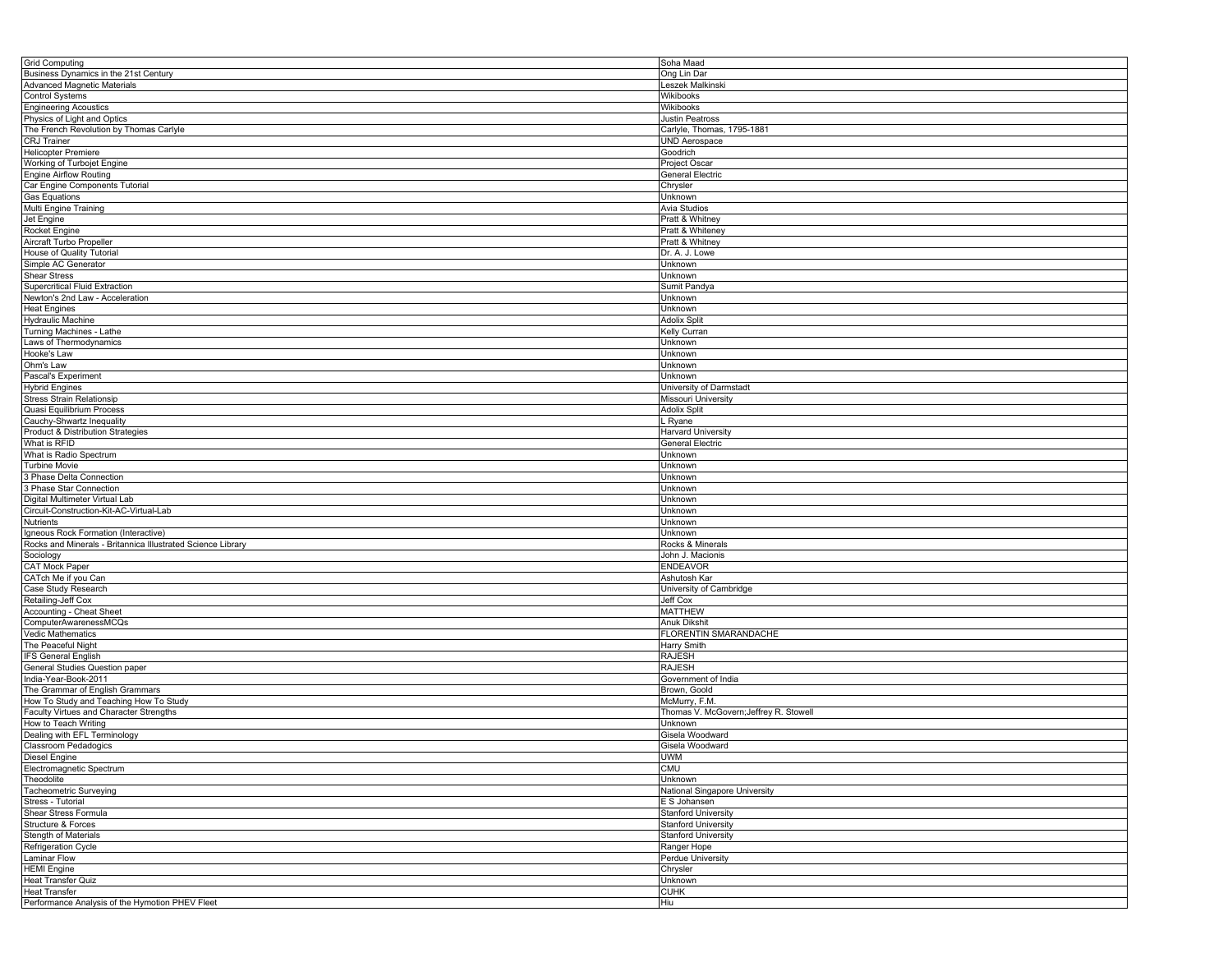| <b>Grid Computing</b>                                       | Soha Maad                              |
|-------------------------------------------------------------|----------------------------------------|
| Business Dynamics in the 21st Century                       | Ong Lin Dar                            |
| Advanced Magnetic Materials                                 | Leszek Malkinski                       |
|                                                             |                                        |
| <b>Control Systems</b>                                      | Wikibooks                              |
| <b>Engineering Acoustics</b>                                | Wikibooks                              |
| Physics of Light and Optics                                 | Justin Peatross                        |
| The French Revolution by Thomas Carlyle                     | Carlyle, Thomas, 1795-1881             |
|                                                             | <b>UND Aerospace</b>                   |
| CRJ Trainer                                                 |                                        |
| <b>Helicopter Premiere</b>                                  | Goodrich                               |
| Working of Turbojet Engine                                  | Project Oscar                          |
| <b>Engine Airflow Routing</b>                               | General Electric                       |
| Car Engine Components Tutorial                              | Chrysler                               |
|                                                             |                                        |
| <b>Gas Equations</b>                                        | Unknown                                |
| Multi Engine Training                                       | Avia Studios                           |
| Jet Engine                                                  | Pratt & Whitney                        |
| Rocket Engine                                               | Pratt & Whiteney                       |
|                                                             | Pratt & Whitney                        |
| Aircraft Turbo Propeller                                    |                                        |
| House of Quality Tutorial                                   | Dr. A. J. Lowe                         |
| Simple AC Generator                                         | Unknown                                |
| <b>Shear Stress</b>                                         | Unknown                                |
| <b>Supercritical Fluid Extraction</b>                       | Sumit Pandya                           |
|                                                             |                                        |
| Newton's 2nd Law - Acceleration                             | <b>Jnknown</b>                         |
| <b>Heat Engines</b>                                         | Unknown                                |
| <b>Hydraulic Machine</b>                                    | <b>Adolix Split</b>                    |
| Turning Machines - Lathe                                    | Kelly Curran                           |
| Laws of Thermodynamics                                      | <b>Jnknown</b>                         |
|                                                             |                                        |
| Hooke's Law                                                 | <b>Jnknown</b>                         |
| Ohm's Law                                                   | Unknown                                |
| Pascal's Experiment                                         | Unknown                                |
| <b>Hybrid Engines</b>                                       | University of Darmstadt                |
|                                                             | Missouri University                    |
| <b>Stress Strain Relationsip</b>                            |                                        |
| Quasi Equilibrium Process                                   | Adolix Split                           |
| Cauchy-Shwartz Inequality                                   | ∟ Ryane                                |
| Product & Distribution Strategies                           | Harvard University                     |
| What is RFID                                                | <b>General Electric</b>                |
| What is Radio Spectrum                                      | <b>Jnknown</b>                         |
|                                                             |                                        |
| <b>Turbine Movie</b>                                        | <b>Jnknown</b>                         |
| 3 Phase Delta Connection                                    | Unknown                                |
| 3 Phase Star Connection                                     | Unknown                                |
| Digital Multimeter Virtual Lab                              | Unknown                                |
| Circuit-Construction-Kit-AC-Virtual-Lab                     | Unknown                                |
|                                                             |                                        |
| Nutrients                                                   | <b>Jnknown</b>                         |
| Igneous Rock Formation (Interactive)                        | Unknown                                |
| Rocks and Minerals - Britannica Illustrated Science Library | Rocks & Minerals                       |
| Sociology                                                   | John J. Macionis                       |
| CAT Mock Paper                                              | <b>ENDEAVOR</b>                        |
| CATch Me if you Can                                         | Ashutosh Kar                           |
|                                                             |                                        |
| Case Study Research                                         | University of Cambridge                |
| Retailing-Jeff Cox                                          | Jeff Cox                               |
| Accounting - Cheat Sheet                                    | <b>MATTHEW</b>                         |
| ComputerAwarenessMCQs                                       | Anuk Dikshit                           |
| Vedic Mathematics                                           | FLORENTIN SMARANDACHE                  |
| The Peaceful Night                                          |                                        |
|                                                             | Harry Smith                            |
| <b>IFS General English</b>                                  | <b>RAJESH</b>                          |
| General Studies Question paper                              | RAJESH                                 |
| India-Year-Book-2011                                        | Government of India                    |
| The Grammar of English Grammars                             | Brown, Goold                           |
| How To Study and Teaching How To Study                      | McMurry, F.M.                          |
| Faculty Virtues and Character Strengths                     | Thomas V. McGovern; Jeffrey R. Stowell |
|                                                             |                                        |
| How to Teach Writing                                        | Unknown                                |
| Dealing with EFL Terminology                                | Gisela Woodward                        |
| Classroom Pedadogics                                        | Gisela Woodward                        |
| Diesel Engine                                               | <b>UWM</b>                             |
| Electromagnetic Spectrum                                    | <b>CMU</b>                             |
| Theodolite                                                  | Unknown                                |
|                                                             |                                        |
| Tacheometric Surveying                                      | National Singapore University          |
| Stress - Tutorial                                           | E S Johansen                           |
| Shear Stress Formula                                        | <b>Stanford University</b>             |
| Structure & Forces                                          | <b>Stanford University</b>             |
| Stength of Materials                                        | <b>Stanford University</b>             |
| Refrigeration Cycle                                         | Ranger Hope                            |
|                                                             |                                        |
| <b>Laminar Flow</b>                                         | Perdue University                      |
| <b>HEMI</b> Engine                                          | Chrysler                               |
| <b>Heat Transfer Quiz</b>                                   | Unknown                                |
| <b>Heat Transfer</b>                                        | <b>CUHK</b>                            |
| Performance Analysis of the Hymotion PHEV Fleet             | Hiu                                    |
|                                                             |                                        |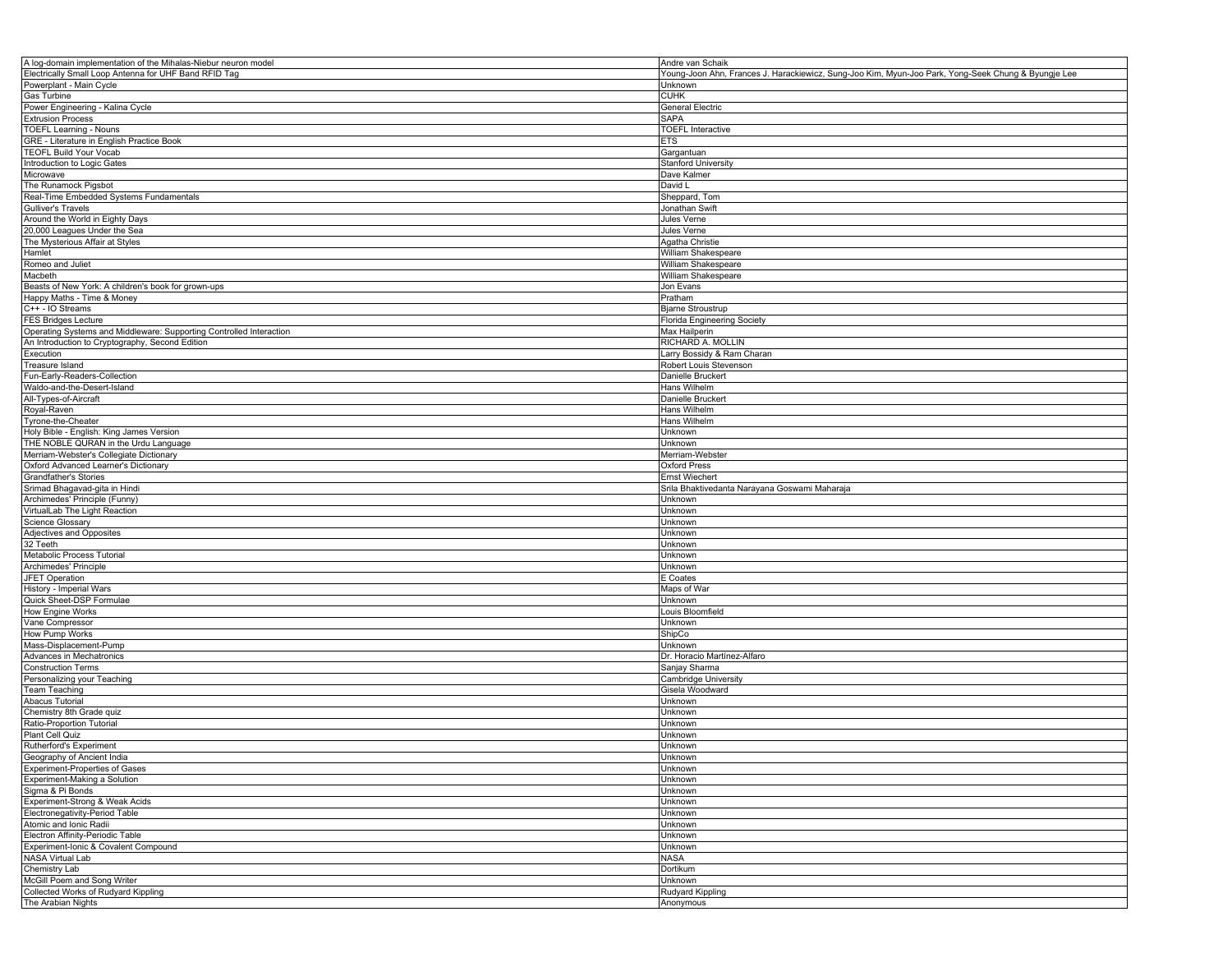| A log-domain implementation of the Mihalas-Niebur neuron model      | Andre van Schaik                                                                                    |
|---------------------------------------------------------------------|-----------------------------------------------------------------------------------------------------|
| Electrically Small Loop Antenna for UHF Band RFID Tag               | Young-Joon Ahn, Frances J. Harackiewicz, Sung-Joo Kim, Myun-Joo Park, Yong-Seek Chung & Byungje Lee |
| Powerplant - Main Cycle                                             | Unknown                                                                                             |
| Gas Turbine                                                         | CUHK                                                                                                |
| Power Engineering - Kalina Cycle                                    | General Electric                                                                                    |
|                                                                     |                                                                                                     |
| <b>Extrusion Process</b>                                            | <b>SAPA</b>                                                                                         |
| <b>TOEFL Learning - Nouns</b>                                       | <b>TOEFL Interactive</b>                                                                            |
| GRE - Literature in English Practice Book                           | ETS                                                                                                 |
| <b>TEOFL Build Your Vocab</b>                                       | Gargantuan                                                                                          |
| Introduction to Logic Gates                                         | <b>Stanford University</b>                                                                          |
|                                                                     |                                                                                                     |
| Microwave                                                           | Dave Kalmer                                                                                         |
| The Runamock Pigsbot                                                | David L                                                                                             |
| Real-Time Embedded Systems Fundamentals                             | Sheppard, Tom                                                                                       |
| Gulliver's Travels                                                  | Jonathan Swift                                                                                      |
| Around the World in Eighty Days                                     | Jules Verne                                                                                         |
| 20,000 Leagues Under the Sea                                        | Jules Verne                                                                                         |
|                                                                     |                                                                                                     |
| The Mysterious Affair at Styles                                     | Agatha Christie                                                                                     |
| Hamlet                                                              | William Shakespeare                                                                                 |
| Romeo and Juliet                                                    | William Shakespeare                                                                                 |
| Macbeth                                                             | William Shakespeare                                                                                 |
| Beasts of New York: A children's book for grown-ups                 | Jon Evans                                                                                           |
|                                                                     |                                                                                                     |
| Happy Maths - Time & Money                                          | Pratham                                                                                             |
| C++ - IO Streams                                                    | <b>Bjarne Stroustrup</b>                                                                            |
| <b>FES Bridges Lecture</b>                                          | <b>Florida Engineering Society</b>                                                                  |
| Operating Systems and Middleware: Supporting Controlled Interaction | Max Hailperin                                                                                       |
| An Introduction to Cryptography, Second Edition                     | RICHARD A. MOLLIN                                                                                   |
| Execution                                                           | Larry Bossidy & Ram Charan                                                                          |
|                                                                     |                                                                                                     |
| Treasure Island                                                     | Robert Louis Stevenson                                                                              |
| Fun-Early-Readers-Collection                                        | Danielle Bruckert                                                                                   |
| Waldo-and-the-Desert-Island                                         | Hans Wilhelm                                                                                        |
| All-Types-of-Aircraft                                               | Danielle Bruckert                                                                                   |
| Royal-Raven                                                         | Hans Wilhelm                                                                                        |
|                                                                     | Hans Wilhelm                                                                                        |
| Tyrone-the-Cheater                                                  |                                                                                                     |
| Holy Bible - English: King James Version                            | Unknown                                                                                             |
| THE NOBLE QURAN in the Urdu Language                                | Unknown                                                                                             |
| Merriam-Webster's Collegiate Dictionary                             | Merriam-Webster                                                                                     |
| Oxford Advanced Learner's Dictionary                                | Oxford Press                                                                                        |
| Grandfather's Stories                                               | Ernst Wiechert                                                                                      |
|                                                                     |                                                                                                     |
|                                                                     |                                                                                                     |
| Srimad Bhagavad-gita in Hindi                                       | Srila Bhaktivedanta Narayana Goswami Maharaja                                                       |
| Archimedes' Principle (Funny)                                       | Unknown                                                                                             |
| VirtualLab The Light Reaction                                       | Unknown                                                                                             |
|                                                                     |                                                                                                     |
| <b>Science Glossary</b>                                             | Unknown                                                                                             |
| Adjectives and Opposites                                            | Unknown                                                                                             |
| 32 Teeth                                                            | Unknown                                                                                             |
| Metabolic Process Tutorial                                          | Unknown                                                                                             |
| Archimedes' Principle                                               | Unknown                                                                                             |
| JFET Operation                                                      | E Coates                                                                                            |
|                                                                     |                                                                                                     |
| History - Imperial Wars                                             | Maps of War                                                                                         |
| Quick Sheet-DSP Formulae                                            | Unknown                                                                                             |
| How Engine Works                                                    | Louis Bloomfield                                                                                    |
| Vane Compressor                                                     | Unknown                                                                                             |
| How Pump Works                                                      | ShipCo                                                                                              |
| Mass-Displacement-Pump                                              | Unknown                                                                                             |
| Advances in Mechatronics                                            | Dr. Horacio Martínez-Alfaro                                                                         |
|                                                                     |                                                                                                     |
| <b>Construction Terms</b>                                           | Sanjay Sharma                                                                                       |
| Personalizing your Teaching                                         | Cambridge University                                                                                |
| <b>Team Teaching</b>                                                | Gisela Woodward                                                                                     |
| Abacus Tutorial                                                     | Unknown                                                                                             |
| Chemistry 8th Grade quiz                                            | Unknown                                                                                             |
|                                                                     |                                                                                                     |
| Ratio-Proportion Tutorial                                           | Unknown                                                                                             |
| Plant Cell Quiz                                                     | Unknown                                                                                             |
| Rutherford's Experiment                                             | Unknown                                                                                             |
| Geography of Ancient India                                          | Unknown                                                                                             |
| Experiment-Properties of Gases                                      | Unknown                                                                                             |
| Experiment-Making a Solution                                        | Unknown                                                                                             |
|                                                                     |                                                                                                     |
| Sigma & Pi Bonds                                                    | Unknown                                                                                             |
| Experiment-Strong & Weak Acids                                      | Unknown                                                                                             |
| Electronegativity-Period Table                                      | Unknown                                                                                             |
| Atomic and Ionic Radii                                              | Unknown                                                                                             |
| Electron Affinity-Periodic Table                                    | Unknown                                                                                             |
|                                                                     |                                                                                                     |
| Experiment-Ionic & Covalent Compound                                | Unknown                                                                                             |
| NASA Virtual Lab                                                    | NASA                                                                                                |
| Chemistry Lab                                                       | Dortikum                                                                                            |
| McGill Poem and Song Writer                                         | Unknown                                                                                             |
| Collected Works of Rudyard Kippling                                 | Rudyard Kippling                                                                                    |
| The Arabian Nights                                                  | Anonymous                                                                                           |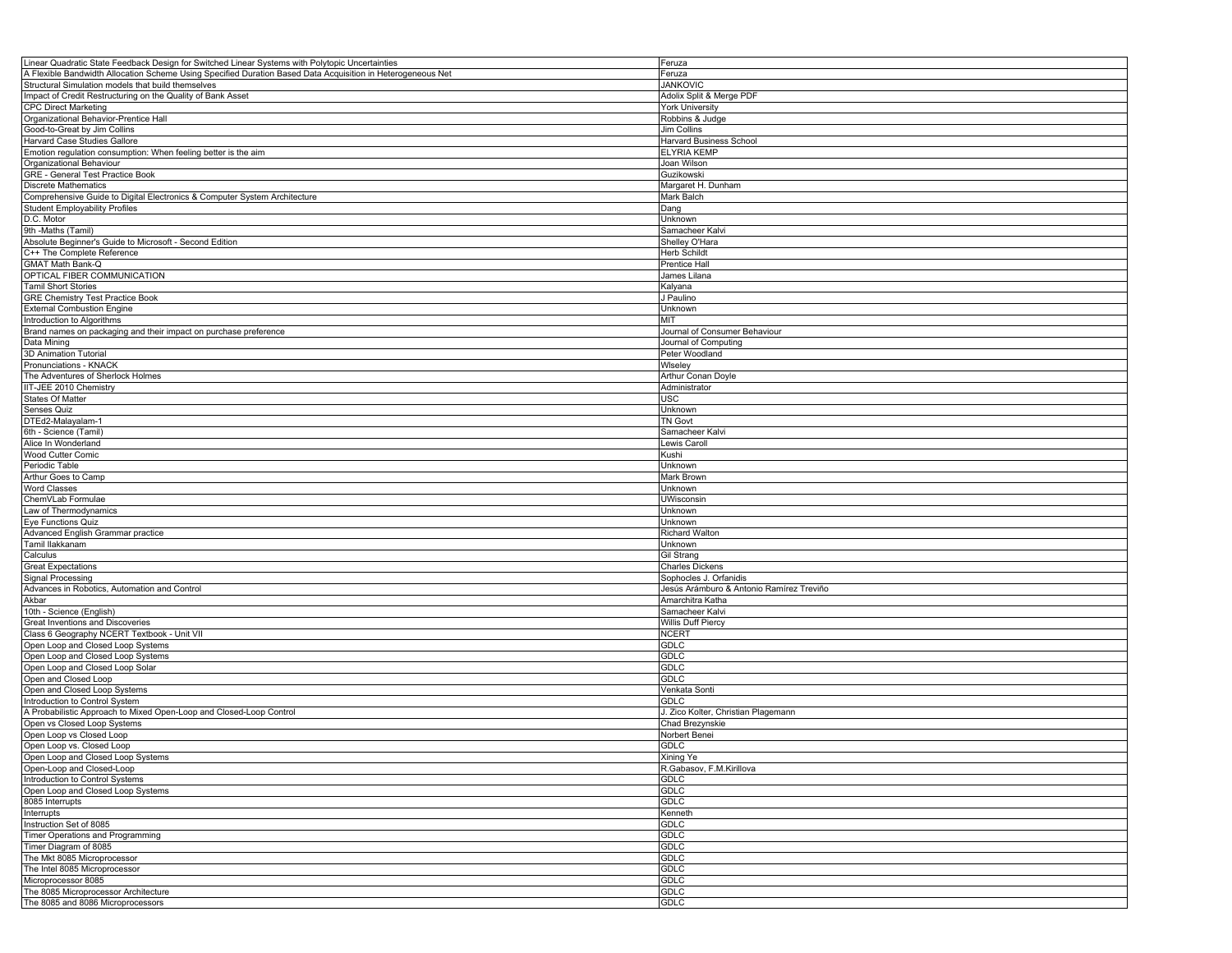| Linear Quadratic State Feedback Design for Switched Linear Systems with Polytopic Uncertainties             | <sup>=</sup> eruza                       |
|-------------------------------------------------------------------------------------------------------------|------------------------------------------|
| A Flexible Bandwidth Allocation Scheme Using Specified Duration Based Data Acquisition in Heterogeneous Net | Feruza                                   |
| Structural Simulation models that build themselves                                                          | <b>JANKOVIC</b>                          |
| Impact of Credit Restructuring on the Quality of Bank Asset                                                 | Adolix Split & Merge PDF                 |
| <b>CPC Direct Marketing</b>                                                                                 | York University                          |
| Organizational Behavior-Prentice Hall                                                                       | Robbins & Judge                          |
| Good-to-Great by Jim Collins                                                                                | Jim Collins                              |
| Harvard Case Studies Gallore                                                                                | Harvard Business School                  |
| Emotion regulation consumption: When feeling better is the aim                                              |                                          |
|                                                                                                             | <b>ELYRIA KEMP</b>                       |
| Organizational Behaviour                                                                                    | Joan Wilson                              |
| GRE - General Test Practice Book                                                                            | Guzikowski                               |
| <b>Discrete Mathematics</b>                                                                                 | Margaret H. Dunham                       |
| Comprehensive Guide to Digital Electronics & Computer System Architecture                                   | Mark Balch                               |
| <b>Student Employability Profiles</b>                                                                       | Dang                                     |
| D.C. Motor                                                                                                  | Unknown                                  |
| 9th -Maths (Tamil)                                                                                          | Samacheer Kalvi                          |
| Absolute Beginner's Guide to Microsoft - Second Edition                                                     | Shelley O'Hara                           |
| C++ The Complete Reference                                                                                  | Herb Schildt                             |
| GMAT Math Bank-Q                                                                                            | Prentice Hall                            |
| OPTICAL FIBER COMMUNICATION                                                                                 | James Lilana                             |
| Tamil Short Stories                                                                                         |                                          |
|                                                                                                             | Kalyana                                  |
| <b>GRE Chemistry Test Practice Book</b>                                                                     | J Paulino                                |
| <b>External Combustion Engine</b>                                                                           | Unknown                                  |
| Introduction to Algorithms                                                                                  | міт                                      |
| Brand names on packaging and their impact on purchase preference                                            | Journal of Consumer Behaviour            |
| Data Mining                                                                                                 | Journal of Computing                     |
| 3D Animation Tutorial                                                                                       | Peter Woodland                           |
| Pronunciations - KNACK                                                                                      | Wiseley                                  |
| The Adventures of Sherlock Holmes                                                                           | Arthur Conan Doyle                       |
| IIT-JEE 2010 Chemistry                                                                                      | Administrator                            |
| States Of Matter                                                                                            | USC                                      |
| Senses Quiz                                                                                                 | Unknown                                  |
| DTEd2-Malayalam-1                                                                                           | TN Govt                                  |
| 6th - Science (Tamil)                                                                                       |                                          |
|                                                                                                             | Samacheer Kalvi                          |
| Alice In Wonderland                                                                                         | Lewis Caroll                             |
| Wood Cutter Comic                                                                                           | Kushi                                    |
| Periodic Table                                                                                              | Unknown                                  |
| Arthur Goes to Camp                                                                                         | Mark Brown                               |
| <b>Word Classes</b>                                                                                         | Unknown                                  |
| ChemVLab Formulae                                                                                           | UWisconsin                               |
| Law of Thermodynamics                                                                                       | Unknown                                  |
| Eye Functions Quiz                                                                                          | Unknown                                  |
| Advanced English Grammar practice                                                                           | Richard Walton                           |
| Tamil Ilakkanam                                                                                             | Unknown                                  |
| Calculus                                                                                                    | <b>Gil Strang</b>                        |
| <b>Great Expectations</b>                                                                                   | <b>Charles Dickens</b>                   |
| Signal Processing                                                                                           | Sophocles J. Orfanidis                   |
|                                                                                                             |                                          |
| Advances in Robotics, Automation and Control                                                                | Jesús Arámburo & Antonio Ramírez Treviño |
| Akbar                                                                                                       | Amarchitra Katha                         |
| 10th - Science (English)                                                                                    | Samacheer Kalvi                          |
| Great Inventions and Discoveries                                                                            | Willis Duff Piercy                       |
| Class 6 Geography NCERT Textbook - Unit VII                                                                 | NCERT                                    |
| Open Loop and Closed Loop Systems                                                                           | <b>GDLC</b>                              |
| Open Loop and Closed Loop Systems                                                                           | GDLC                                     |
| Open Loop and Closed Loop Solar                                                                             | GDLC                                     |
| Open and Closed Loop                                                                                        | GDLC                                     |
| Open and Closed Loop Systems                                                                                | Venkata Sonti                            |
| Introduction to Control System                                                                              | GDLC                                     |
| A Probabilistic Approach to Mixed Open-Loop and Closed-Loop Control                                         | J. Zico Kolter, Christian Plagemann      |
| Open vs Closed Loop Systems                                                                                 | Chad Brezynskie                          |
|                                                                                                             |                                          |
| Open Loop vs Closed Loop<br>Open Loop vs. Closed Loop                                                       | Norbert Benei<br><b>GDLC</b>             |
|                                                                                                             |                                          |
| Open Loop and Closed Loop Systems                                                                           | Xining Ye                                |
| Open-Loop and Closed-Loop                                                                                   | R.Gabasov, F.M.Kirillova                 |
| Introduction to Control Systems                                                                             | GDLC                                     |
| Open Loop and Closed Loop Systems                                                                           | <b>GDLC</b>                              |
| 8085 Interrupts                                                                                             | <b>GDLC</b>                              |
| Interrupts                                                                                                  | Kenneth                                  |
| Instruction Set of 8085                                                                                     | <b>GDLC</b>                              |
| Timer Operations and Programming                                                                            | <b>GDLC</b>                              |
| Timer Diagram of 8085                                                                                       | <b>GDLC</b>                              |
| The Mkt 8085 Microprocessor                                                                                 | <b>GDLC</b>                              |
| The Intel 8085 Microprocessor                                                                               | GDLC                                     |
| Microprocessor 8085                                                                                         | <b>GDLC</b>                              |
|                                                                                                             |                                          |
| The 8085 Microprocessor Architecture                                                                        | <b>GDLC</b>                              |
| The 8085 and 8086 Microprocessors                                                                           | <b>GDLC</b>                              |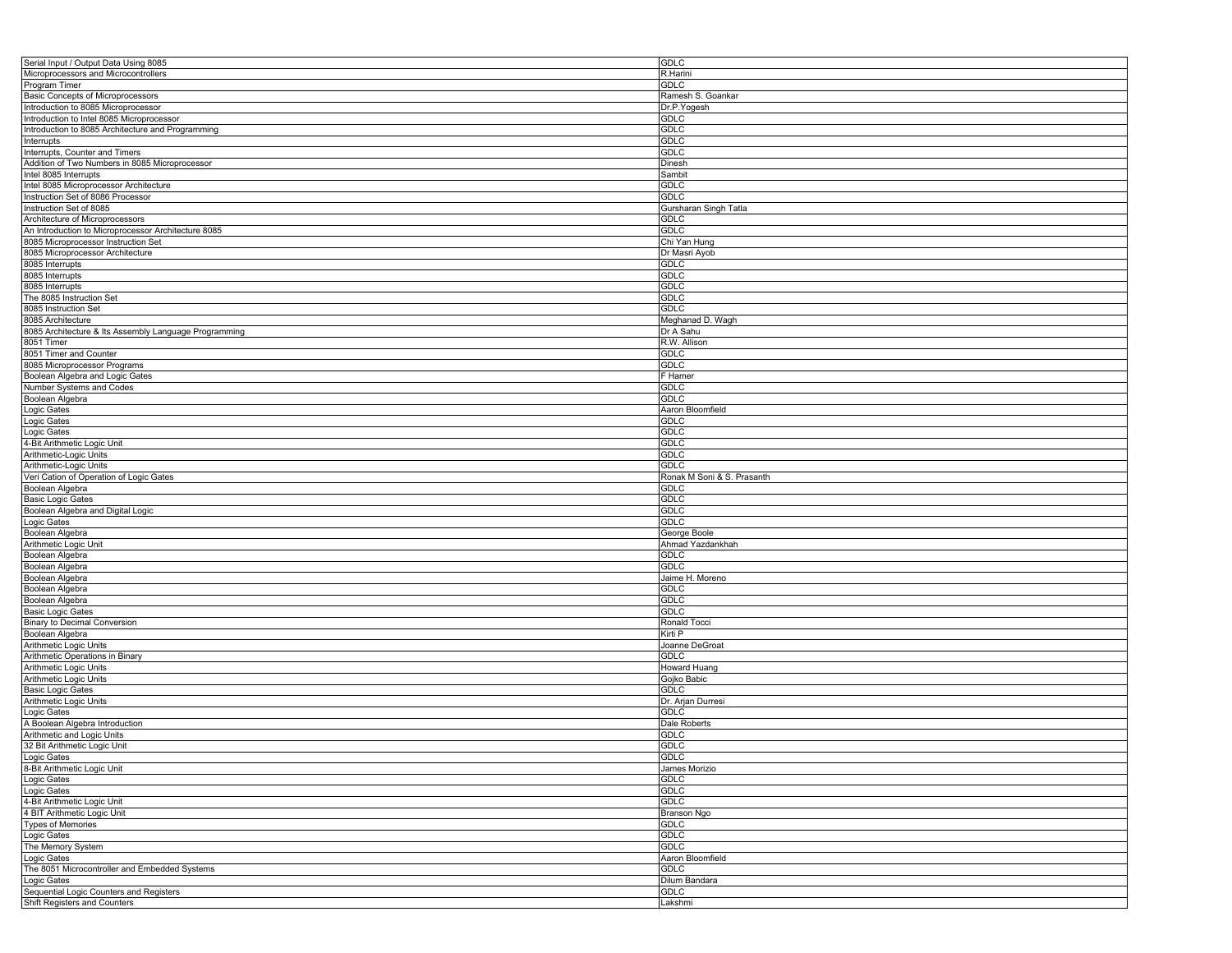| Serial Input / Output Data Using 8085                      | <b>GDLC</b>                |
|------------------------------------------------------------|----------------------------|
| Microprocessors and Microcontrollers                       | R.Harini                   |
| Program Timer                                              | <b>GDLC</b>                |
| <b>Basic Concepts of Microprocessors</b>                   | Ramesh S. Goankar          |
| Introduction to 8085 Microprocessor                        | Dr.P.Yogesh                |
|                                                            |                            |
| Introduction to Intel 8085 Microprocessor                  | <b>GDLC</b>                |
| Introduction to 8085 Architecture and Programming          | <b>GDLC</b>                |
| Interrupts                                                 | <b>GDLC</b>                |
| Interrupts, Counter and Timers                             | <b>GDLC</b>                |
| Addition of Two Numbers in 8085 Microprocessor             | Dinesh                     |
| Intel 8085 Interrupts                                      | Sambit                     |
| Intel 8085 Microprocessor Architecture                     | <b>GDLC</b>                |
| Instruction Set of 8086 Processor                          | <b>GDLC</b>                |
| Instruction Set of 8085                                    | Gursharan Singh Tatla      |
| Architecture of Microprocessors                            |                            |
|                                                            | <b>GDLC</b>                |
| An Introduction to Microprocessor Architecture 8085        | <b>GDLC</b>                |
| 8085 Microprocessor Instruction Set                        | Chi Yan Hung               |
| 8085 Microprocessor Architecture                           | Dr Masri Ayob              |
| 8085 Interrupts                                            | <b>GDLC</b>                |
| 8085 Interrupts                                            | <b>GDLC</b>                |
| 8085 Interrupts                                            | <b>GDLC</b>                |
| The 8085 Instruction Set                                   | <b>GDLC</b>                |
| 8085 Instruction Set                                       | <b>GDLC</b>                |
| 8085 Architecture                                          |                            |
|                                                            | Meghanad D. Wagh           |
| 8085 Architecture & Its Assembly Language Programming      | Dr A Sahu                  |
| 8051 Timer                                                 | R.W. Allison               |
| 8051 Timer and Counter                                     | <b>GDLC</b>                |
| 8085 Microprocessor Programs                               | <b>GDLC</b>                |
| Boolean Algebra and Logic Gates                            | F Hamer                    |
| Number Systems and Codes                                   | <b>GDLC</b>                |
| Boolean Algebra                                            | <b>GDLC</b>                |
| Logic Gates                                                | Aaron Bloomfield           |
|                                                            | <b>GDLC</b>                |
| Logic Gates                                                |                            |
| Logic Gates                                                | <b>GDLC</b>                |
| 4-Bit Arithmetic Logic Unit                                | <b>GDLC</b>                |
| Arithmetic-Logic Units                                     | <b>GDLC</b>                |
| Arithmetic-Logic Units                                     | <b>GDLC</b>                |
| Veri Cation of Operation of Logic Gates                    | Ronak M Soni & S. Prasanth |
| Boolean Algebra                                            | <b>GDLC</b>                |
| <b>Basic Logic Gates</b>                                   | <b>GDLC</b>                |
| Boolean Algebra and Digital Logic                          | <b>GDLC</b>                |
|                                                            | <b>GDLC</b>                |
| Logic Gates                                                |                            |
| Boolean Algebra                                            | George Boole               |
| Arithmetic Logic Unit                                      | Ahmad Yazdankhah           |
| Boolean Algebra                                            | <b>GDLC</b>                |
| Boolean Algebra                                            | <b>GDLC</b>                |
| Boolean Algebra                                            | Jaime H. Moreno            |
| Boolean Algebra                                            | <b>GDLC</b>                |
| Boolean Algebra                                            | <b>GDLC</b>                |
| <b>Basic Logic Gates</b>                                   | <b>GDLC</b>                |
| <b>Binary to Decimal Conversion</b>                        | Ronald Tocci               |
|                                                            |                            |
| Boolean Algebra                                            | Kirti P                    |
| Arithmetic Logic Units                                     | Joanne DeGroat             |
| Arithmetic Operations in Binary                            | <b>GDLC</b>                |
| Arithmetic Logic Units                                     | Howard Huang               |
| Arithmetic Logic Units                                     | Gojko Babic                |
| <b>Basic Logic Gates</b>                                   | <b>GDLC</b>                |
| Arithmetic Logic Units                                     | Dr. Arjan Durresi          |
| Logic Gates                                                | <b>GDLC</b>                |
| A Boolean Algebra Introduction                             | Dale Roberts               |
|                                                            | <b>GDLC</b>                |
| Arithmetic and Logic Units<br>32 Bit Arithmetic Logic Unit |                            |
|                                                            | <b>GDLC</b>                |
|                                                            | <b>GDLC</b>                |
| Logic Gates<br>8-Bit Arithmetic Logic Unit                 | James Morizio              |
| Logic Gates                                                | GDLC                       |
| Logic Gates                                                | <b>GDLC</b>                |
| 4-Bit Arithmetic Logic Unit                                | <b>GDLC</b>                |
| 4 BIT Arithmetic Logic Unit                                | Branson Ngo                |
| <b>Types of Memories</b>                                   | <b>GDLC</b>                |
|                                                            | <b>GDLC</b>                |
| Logic Gates<br>The Memory System                           |                            |
|                                                            | <b>GDLC</b>                |
| Logic Gates                                                | Aaron Bloomfield           |
| The 8051 Microcontroller and Embedded Systems              | <b>GDLC</b>                |
| Logic Gates                                                | Dilum Bandara              |
| Sequential Logic Counters and Registers                    | <b>GDLC</b>                |
| Shift Registers and Counters                               | Lakshmi                    |
|                                                            |                            |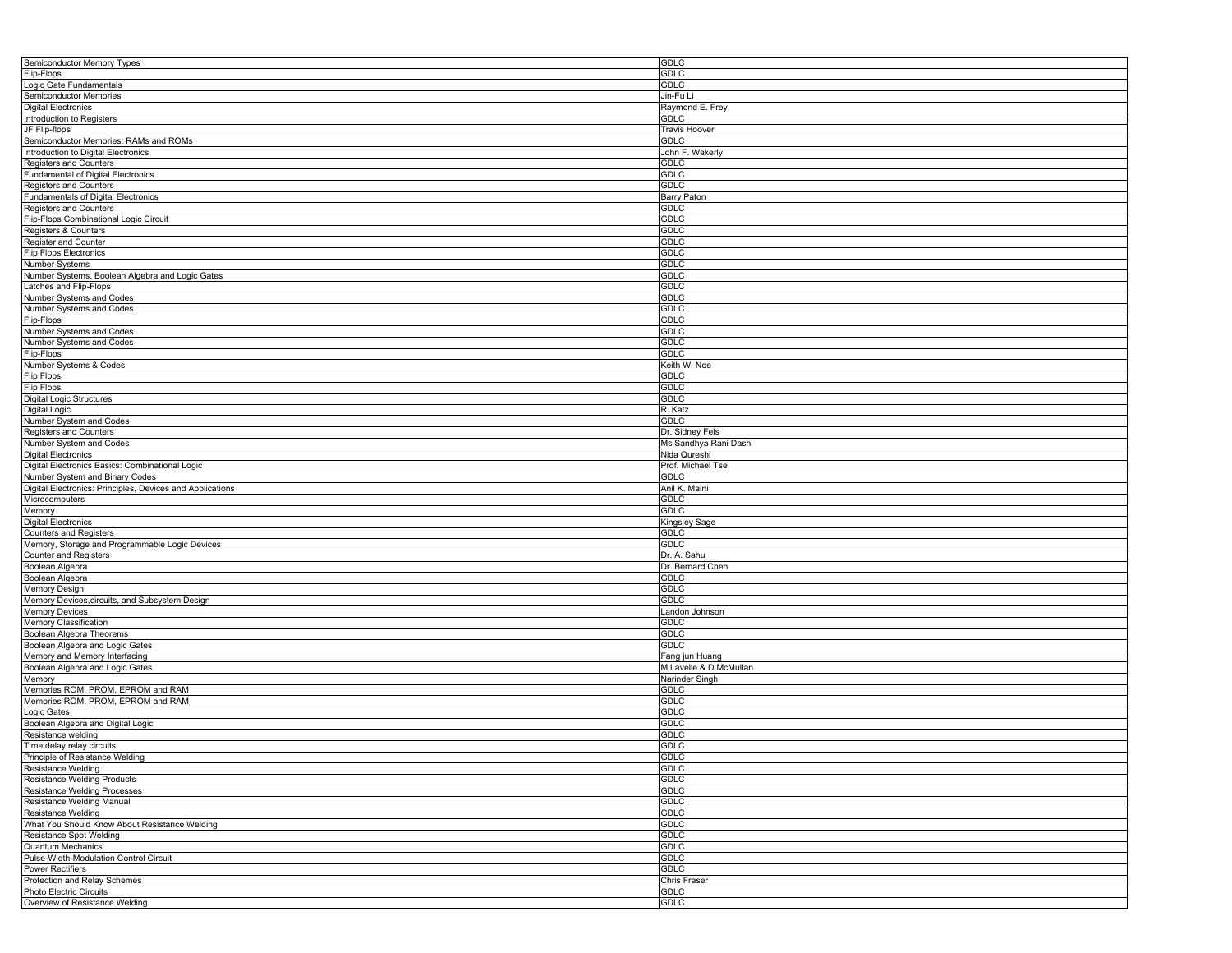| Semiconductor Memory Types                                | <b>GDLC</b>            |
|-----------------------------------------------------------|------------------------|
| Flip-Flops                                                | <b>GDLC</b>            |
| Logic Gate Fundamentals                                   | <b>GDLC</b>            |
| Semiconductor Memories                                    | Jin-Fu Li              |
| <b>Digital Electronics</b>                                | Raymond E. Frey        |
| Introduction to Registers                                 | <b>GDLC</b>            |
| JF Flip-flops                                             | <b>Travis Hoover</b>   |
| Semiconductor Memories: RAMs and ROMs                     | <b>GDLC</b>            |
| Introduction to Digital Electronics                       | John F. Wakerly        |
|                                                           |                        |
| Registers and Counters                                    | <b>GDLC</b>            |
| Fundamental of Digital Electronics                        | <b>GDLC</b>            |
| Registers and Counters                                    | <b>GDLC</b>            |
| <b>Fundamentals of Digital Electronics</b>                | Barry Paton            |
| Registers and Counters                                    | <b>GDLC</b>            |
| Flip-Flops Combinational Logic Circuit                    | <b>GDLC</b>            |
| Registers & Counters                                      | <b>GDLC</b>            |
| <b>Register and Counter</b>                               | <b>GDLC</b>            |
| <b>Flip Flops Electronics</b>                             | <b>GDLC</b>            |
| Number Systems                                            | <b>GDLC</b>            |
| Number Systems, Boolean Algebra and Logic Gates           | <b>GDLC</b>            |
| Latches and Flip-Flops                                    | <b>GDLC</b>            |
| Number Systems and Codes                                  | <b>GDLC</b>            |
| Number Systems and Codes                                  | <b>GDLC</b>            |
|                                                           | <b>GDLC</b>            |
| Flip-Flops                                                | <b>GDLC</b>            |
| Number Systems and Codes                                  |                        |
| Number Systems and Codes                                  | <b>GDLC</b>            |
| Flip-Flops                                                | <b>GDLC</b>            |
| Number Systems & Codes                                    | Keith W. Noe           |
| Flip Flops                                                | <b>GDLC</b>            |
| <b>Flip Flops</b>                                         | <b>GDLC</b>            |
| Digital Logic Structures                                  | <b>GDLC</b>            |
| Digital Logic                                             | R. Katz                |
| Number System and Codes                                   | <b>GDLC</b>            |
| <b>Registers and Counters</b>                             | Dr. Sidney Fels        |
| Number System and Codes                                   | Ms Sandhya Rani Dash   |
| <b>Digital Electronics</b>                                | Nida Qureshi           |
| Digital Electronics Basics: Combinational Logic           | Prof. Michael Tse      |
| Number System and Binary Codes                            | <b>GDLC</b>            |
|                                                           |                        |
|                                                           |                        |
| Digital Electronics: Principles, Devices and Applications | Anil K. Maini          |
| Microcomputers                                            | <b>GDLC</b>            |
| Memory                                                    | <b>GDLC</b>            |
| <b>Digital Electronics</b>                                | Kingsley Sage          |
| <b>Counters and Registers</b>                             | <b>GDLC</b>            |
| Memory, Storage and Programmable Logic Devices            | <b>GDLC</b>            |
| Counter and Registers                                     | Dr. A. Sahu            |
| Boolean Algebra                                           | Dr. Bernard Chen       |
| Boolean Algebra                                           | <b>GDLC</b>            |
| Memory Design                                             | <b>GDLC</b>            |
| Memory Devices, circuits, and Subsystem Design            | <b>GDLC</b>            |
| <b>Memory Devices</b>                                     |                        |
|                                                           | Landon Johnson         |
| Memory Classification                                     | GDLC                   |
| Boolean Algebra Theorems                                  | <b>GDLC</b>            |
| Boolean Algebra and Logic Gates                           | <b>GDLC</b>            |
| Memory and Memory Interfacing                             | Fang jun Huang         |
| Boolean Algebra and Logic Gates                           | M Lavelle & D McMullan |
| Memory                                                    | Narinder Singh         |
| Memories ROM, PROM, EPROM and RAM                         | GDLC                   |
| Memories ROM, PROM, EPROM and RAM                         | <b>GDLC</b>            |
| Logic Gates                                               | <b>GDLC</b>            |
| Boolean Algebra and Digital Logic                         | <b>GDLC</b>            |
| Resistance welding                                        | GDLC                   |
| Time delay relay circuits                                 | <b>GDLC</b>            |
| Principle of Resistance Welding                           | GDLC                   |
| Resistance Welding                                        | <b>GDLC</b>            |
| <b>Resistance Welding Products</b>                        | <b>GDLC</b>            |
| Resistance Welding Processes                              | <b>GDLC</b>            |
| Resistance Welding Manual                                 | <b>GDLC</b>            |
| Resistance Welding                                        | <b>GDLC</b>            |
|                                                           |                        |
| What You Should Know About Resistance Welding             | <b>GDLC</b>            |
| Resistance Spot Welding                                   | <b>GDLC</b>            |
| <b>Quantum Mechanics</b>                                  | <b>GDLC</b>            |
| Pulse-Width-Modulation Control Circuit                    | <b>GDLC</b>            |
| Power Rectifiers                                          | <b>GDLC</b>            |
| Protection and Relay Schemes                              | <b>Chris Fraser</b>    |
| Photo Electric Circuits<br>Overview of Resistance Welding | GDLC<br><b>GDLC</b>    |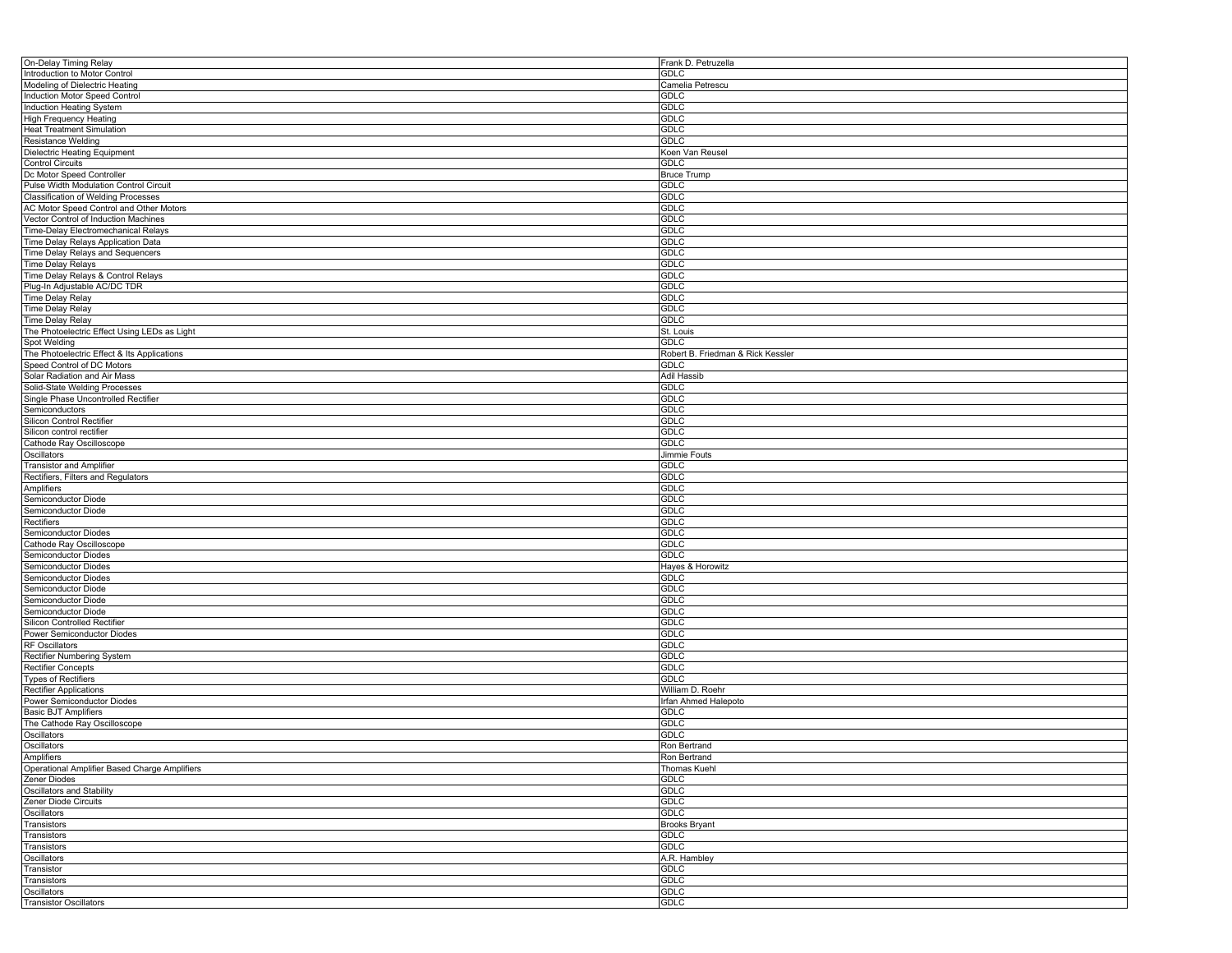| On-Delay Timing Relay                         | Frank D. Petruzella               |
|-----------------------------------------------|-----------------------------------|
| Introduction to Motor Control                 | <b>GDLC</b>                       |
| Modeling of Dielectric Heating                | Camelia Petrescu                  |
| <b>Induction Motor Speed Control</b>          | <b>GDLC</b>                       |
| Induction Heating System                      |                                   |
|                                               | <b>GDLC</b>                       |
| <b>High Frequency Heating</b>                 | <b>GDLC</b>                       |
| <b>Heat Treatment Simulation</b>              | <b>GDLC</b>                       |
| Resistance Welding                            | <b>GDLC</b>                       |
| <b>Dielectric Heating Equipment</b>           | Koen Van Reusel                   |
| <b>Control Circuits</b>                       | <b>GDLC</b>                       |
| Dc Motor Speed Controller                     | <b>Bruce Trump</b>                |
|                                               |                                   |
| Pulse Width Modulation Control Circuit        | <b>GDLC</b>                       |
| <b>Classification of Welding Processes</b>    | <b>GDLC</b>                       |
| AC Motor Speed Control and Other Motors       | <b>GDLC</b>                       |
| Vector Control of Induction Machines          | <b>GDLC</b>                       |
| Time-Delay Electromechanical Relays           | <b>GDLC</b>                       |
| Time Delay Relays Application Data            | <b>GDLC</b>                       |
| Time Delay Relays and Sequencers              | <b>GDLC</b>                       |
| <b>Time Delay Relays</b>                      | <b>GDLC</b>                       |
|                                               |                                   |
| Time Delay Relays & Control Relays            | <b>GDLC</b>                       |
| Plug-In Adjustable AC/DC TDR                  | <b>GDLC</b>                       |
| <b>Time Delay Relay</b>                       | <b>GDLC</b>                       |
| Time Delay Relay                              | <b>GDLC</b>                       |
| <b>Time Delay Relay</b>                       | <b>GDLC</b>                       |
| The Photoelectric Effect Using LEDs as Light  | St. Louis                         |
| Spot Welding                                  | <b>GDLC</b>                       |
|                                               |                                   |
| The Photoelectric Effect & Its Applications   | Robert B. Friedman & Rick Kessler |
| Speed Control of DC Motors                    | <b>GDLC</b>                       |
| Solar Radiation and Air Mass                  | Adil Hassib                       |
| Solid-State Welding Processes                 | <b>GDLC</b>                       |
| Single Phase Uncontrolled Rectifier           | <b>GDLC</b>                       |
| Semiconductors                                | <b>GDLC</b>                       |
| Silicon Control Rectifier                     | <b>GDLC</b>                       |
|                                               |                                   |
| Silicon control rectifier                     | <b>GDLC</b>                       |
| Cathode Ray Oscilloscope                      | <b>GDLC</b>                       |
| Oscillators                                   | Jimmie Fouts                      |
| <b>Transistor and Amplifier</b>               | <b>GDLC</b>                       |
| Rectifiers, Filters and Regulators            | <b>GDLC</b>                       |
| Amplifiers                                    | <b>GDLC</b>                       |
| Semiconductor Diode                           | <b>GDLC</b>                       |
|                                               |                                   |
| Semiconductor Diode                           | <b>GDLC</b>                       |
| Rectifiers                                    | <b>GDLC</b>                       |
| Semiconductor Diodes                          | <b>GDLC</b>                       |
| Cathode Ray Oscilloscope                      | <b>GDLC</b>                       |
| <b>Semiconductor Diodes</b>                   | <b>GDLC</b>                       |
| Semiconductor Diodes                          | Hayes & Horowitz                  |
| Semiconductor Diodes                          | <b>GDLC</b>                       |
|                                               |                                   |
| Semiconductor Diode                           | <b>GDLC</b>                       |
| Semiconductor Diode                           | <b>GDLC</b>                       |
| Semiconductor Diode                           | <b>GDLC</b>                       |
| Silicon Controlled Rectifier                  | <b>GDLC</b>                       |
| Power Semiconductor Diodes                    | <b>GDLC</b>                       |
| <b>RF Oscillators</b>                         | <b>GDLC</b>                       |
| Rectifier Numbering System                    | <b>GDLC</b>                       |
| <b>Rectifier Concepts</b>                     | <b>GDLC</b>                       |
|                                               |                                   |
| <b>Types of Rectifiers</b>                    | <b>GDLC</b>                       |
| Rectifier Applications                        | William D. Roehr                  |
| Power Semiconductor Diodes                    | Irfan Ahmed Halepoto              |
| <b>Basic BJT Amplifiers</b>                   | <b>GDLC</b>                       |
| The Cathode Ray Oscilloscope                  | <b>GDLC</b>                       |
| Oscillators                                   | <b>GDLC</b>                       |
| Oscillators                                   | Ron Bertrand                      |
|                                               |                                   |
| Amplifiers                                    | Ron Bertrand                      |
| Operational Amplifier Based Charge Amplifiers | <b>Thomas Kuehl</b>               |
| Zener Diodes                                  | <b>GDLC</b>                       |
| Oscillators and Stability                     | <b>GDLC</b>                       |
| Zener Diode Circuits                          | GDLC                              |
| Oscillators                                   | <b>GDLC</b>                       |
| Transistors                                   | <b>Brooks Bryant</b>              |
| Transistors                                   | <b>GDLC</b>                       |
|                                               |                                   |
| Transistors                                   | <b>GDLC</b>                       |
| Oscillators                                   | A.R. Hambley                      |
| Transistor                                    | <b>GDLC</b>                       |
| Transistors                                   | <b>GDLC</b>                       |
| Oscillators                                   | <b>GDLC</b>                       |
| <b>Transistor Oscillators</b>                 | <b>GDLC</b>                       |
|                                               |                                   |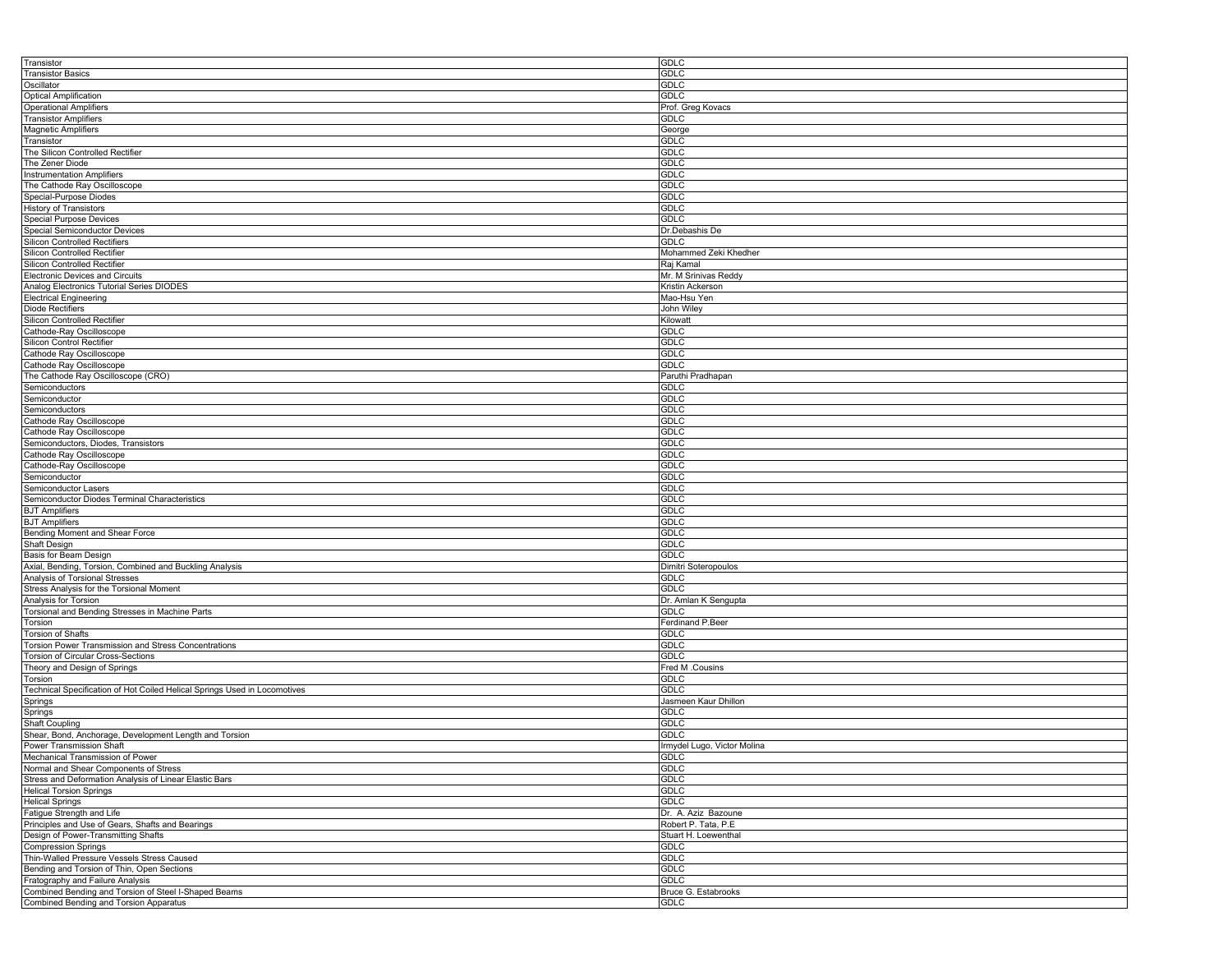| Transistor                                                                                     | <b>GDLC</b>                 |
|------------------------------------------------------------------------------------------------|-----------------------------|
| <b>Transistor Basics</b>                                                                       | <b>GDLC</b>                 |
| Oscillator                                                                                     | <b>GDLC</b>                 |
| <b>Optical Amplification</b>                                                                   | <b>GDLC</b>                 |
|                                                                                                |                             |
| <b>Operational Amplifiers</b>                                                                  | Prof. Greg Kovacs           |
| <b>Transistor Amplifiers</b>                                                                   | <b>GDLC</b>                 |
| <b>Magnetic Amplifiers</b>                                                                     | George                      |
| Transistor                                                                                     | <b>GDLC</b>                 |
| The Silicon Controlled Rectifier                                                               | <b>GDLC</b>                 |
| The Zener Diode                                                                                | <b>GDLC</b>                 |
| <b>Instrumentation Amplifiers</b>                                                              | <b>GDLC</b>                 |
|                                                                                                |                             |
| The Cathode Ray Oscilloscope                                                                   | <b>GDLC</b>                 |
| Special-Purpose Diodes                                                                         | <b>GDLC</b>                 |
| <b>History of Transistors</b>                                                                  | <b>GDLC</b>                 |
| <b>Special Purpose Devices</b>                                                                 | GDLC                        |
| <b>Special Semiconductor Devices</b>                                                           | Dr.Debashis De              |
| Silicon Controlled Rectifiers                                                                  | <b>GDLC</b>                 |
| Silicon Controlled Rectifier                                                                   | Mohammed Zeki Khedher       |
| Silicon Controlled Rectifier                                                                   | Raj Kamal                   |
|                                                                                                |                             |
| <b>Electronic Devices and Circuits</b>                                                         | Mr. M Srinivas Reddy        |
| Analog Electronics Tutorial Series DIODES                                                      | Kristin Ackerson            |
| <b>Electrical Engineering</b>                                                                  | Mao-Hsu Yen                 |
| Diode Rectifiers                                                                               | John Wiley                  |
| Silicon Controlled Rectifier                                                                   | Kilowatt                    |
| Cathode-Ray Oscilloscope                                                                       | <b>GDLC</b>                 |
|                                                                                                | <b>GDLC</b>                 |
| Silicon Control Rectifier                                                                      |                             |
| Cathode Ray Oscilloscope                                                                       | <b>GDLC</b>                 |
| Cathode Ray Oscilloscope                                                                       | <b>GDLC</b>                 |
| The Cathode Ray Oscilloscope (CRO)                                                             | Paruthi Pradhapan           |
| Semiconductors                                                                                 | <b>GDLC</b>                 |
| Semiconductor                                                                                  | <b>GDLC</b>                 |
| Semiconductors                                                                                 | <b>GDLC</b>                 |
| Cathode Ray Oscilloscope                                                                       | <b>GDLC</b>                 |
|                                                                                                |                             |
| Cathode Ray Oscilloscope                                                                       | <b>GDLC</b>                 |
| Semiconductors, Diodes, Transistors                                                            | <b>GDLC</b>                 |
| Cathode Ray Oscilloscope                                                                       | <b>GDLC</b>                 |
| Cathode-Ray Oscilloscope                                                                       | <b>GDLC</b>                 |
| Semiconductor                                                                                  | <b>GDLC</b>                 |
| Semiconductor Lasers                                                                           | <b>GDLC</b>                 |
| Semiconductor Diodes Terminal Characteristics                                                  | <b>GDLC</b>                 |
|                                                                                                |                             |
| <b>BJT Amplifiers</b>                                                                          | <b>GDLC</b>                 |
| <b>BJT Amplifiers</b>                                                                          | <b>GDLC</b>                 |
| Bending Moment and Shear Force                                                                 | <b>GDLC</b>                 |
| Shaft Design                                                                                   | <b>GDLC</b>                 |
| Basis for Beam Design                                                                          | GDLC                        |
| Axial, Bending, Torsion, Combined and Buckling Analysis                                        | Dimitri Soteropoulos        |
| Analysis of Torsional Stresses                                                                 | <b>GDLC</b>                 |
| Stress Analysis for the Torsional Moment                                                       | <b>GDLC</b>                 |
|                                                                                                |                             |
| Analysis for Torsion                                                                           | Dr. Amlan K Sengupta        |
| Torsional and Bending Stresses in Machine Parts                                                | GDLC                        |
| Torsion                                                                                        | Ferdinand P.Beer            |
| Torsion of Shafts                                                                              | <b>GDLC</b>                 |
| Torsion Power Transmission and Stress Concentrations                                           | <b>GDLC</b>                 |
| Torsion of Circular Cross-Sections                                                             | <b>GDLC</b>                 |
| Theory and Design of Springs                                                                   | Fred M .Cousins             |
| Torsion                                                                                        | <b>GDLC</b>                 |
| Technical Specification of Hot Coiled Helical Springs Used in Locomotives                      | <b>GDLC</b>                 |
|                                                                                                |                             |
| Springs                                                                                        | Jasmeen Kaur Dhillon        |
| Springs                                                                                        | <b>GDLC</b>                 |
| Shaft Coupling                                                                                 | <b>GDLC</b>                 |
| Shear, Bond, Anchorage, Development Length and Torsion                                         | <b>GDLC</b>                 |
| Power Transmission Shaft                                                                       | Irmydel Lugo, Victor Molina |
| Mechanical Transmission of Power                                                               | <b>GDLC</b>                 |
| Normal and Shear Components of Stress                                                          | GDLC                        |
| Stress and Deformation Analysis of Linear Elastic Bars                                         | <b>GDLC</b>                 |
|                                                                                                |                             |
| <b>Helical Torsion Springs</b>                                                                 | <b>GDLC</b>                 |
| <b>Helical Springs</b>                                                                         | GDLC                        |
| Fatigue Strength and Life                                                                      | Dr. A. Aziz Bazoune         |
| Principles and Use of Gears, Shafts and Bearings                                               | Robert P. Tata, P.E         |
| Design of Power-Transmitting Shafts                                                            | Stuart H. Loewenthal        |
| <b>Compression Springs</b>                                                                     | <b>GDLC</b>                 |
| Thin-Walled Pressure Vessels Stress Caused                                                     | <b>GDLC</b>                 |
| Bending and Torsion of Thin, Open Sections                                                     | <b>GDLC</b>                 |
| Fratography and Failure Analysis                                                               |                             |
|                                                                                                |                             |
|                                                                                                | <b>GDLC</b>                 |
| Combined Bending and Torsion of Steel I-Shaped Beams<br>Combined Bending and Torsion Apparatus | Bruce G. Estabrooks<br>GDLC |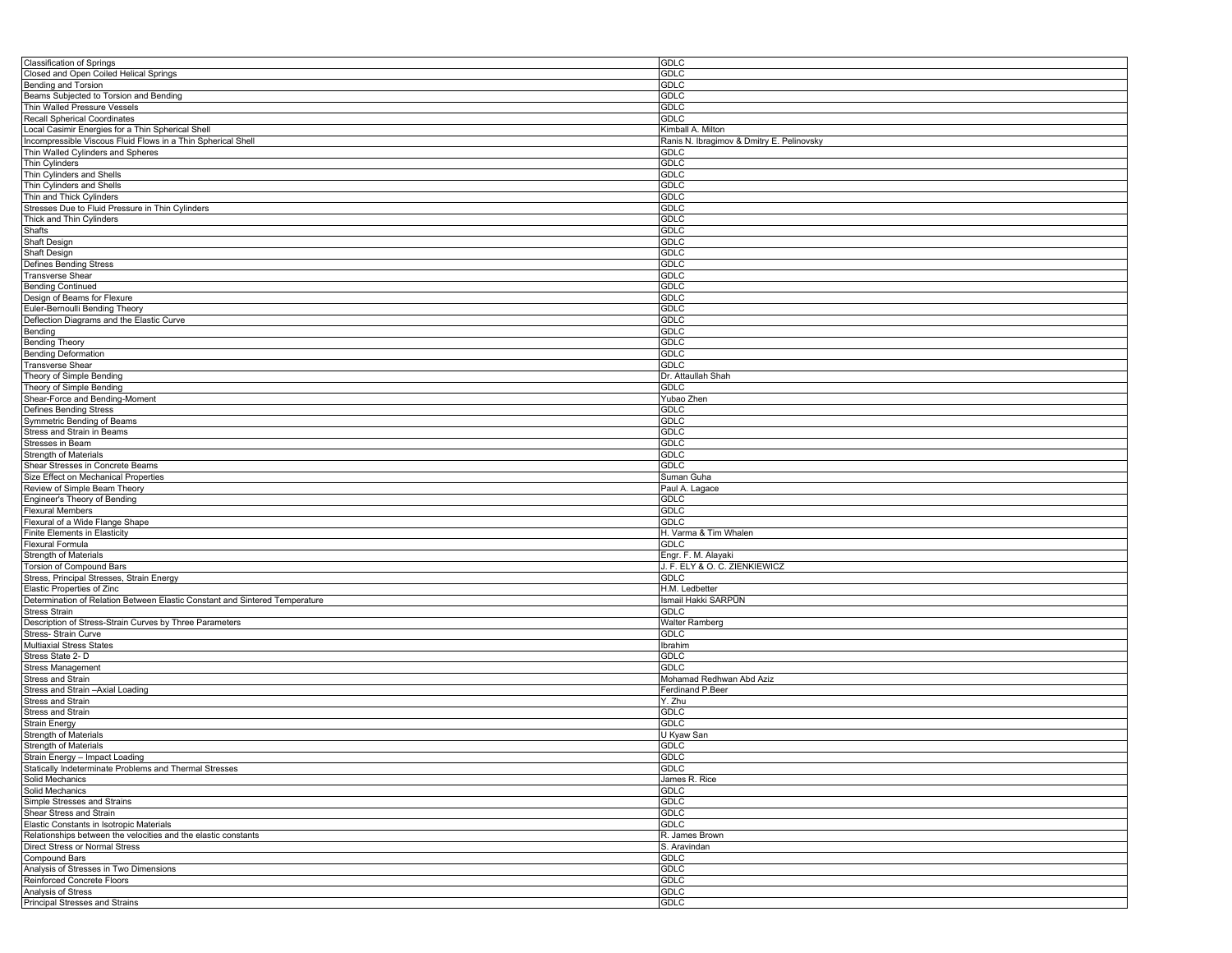| <b>Classification of Springs</b>                                            | GDLC                                      |
|-----------------------------------------------------------------------------|-------------------------------------------|
| Closed and Open Coiled Helical Springs                                      | <b>GDLC</b>                               |
| Bending and Torsion                                                         | GDLC                                      |
| Beams Subjected to Torsion and Bending                                      | <b>GDLC</b>                               |
| Thin Walled Pressure Vessels                                                | <b>GDLC</b>                               |
| Recall Spherical Coordinates                                                | GDLC                                      |
| Local Casimir Energies for a Thin Spherical Shell                           | Kimball A. Milton                         |
|                                                                             | Ranis N. Ibragimov & Dmitry E. Pelinovsky |
| Incompressible Viscous Fluid Flows in a Thin Spherical Shell                |                                           |
| Thin Walled Cylinders and Spheres                                           | GDLC                                      |
| Thin Cylinders                                                              | <b>GDLC</b>                               |
| Thin Cylinders and Shells                                                   | GDLC                                      |
| Thin Cylinders and Shells                                                   | <b>GDLC</b>                               |
| Thin and Thick Cylinders                                                    | GDLC                                      |
| Stresses Due to Fluid Pressure in Thin Cylinders                            | <b>GDLC</b>                               |
| Thick and Thin Cylinders                                                    | <b>GDLC</b>                               |
| Shafts                                                                      | GDLC                                      |
| Shaft Design                                                                | <b>GDLC</b>                               |
| Shaft Design                                                                | GDLC                                      |
| Defines Bending Stress                                                      | <b>GDLC</b>                               |
|                                                                             | <b>GDLC</b>                               |
| <b>Transverse Shear</b>                                                     |                                           |
| <b>Bending Continued</b>                                                    | GDLC                                      |
| Design of Beams for Flexure                                                 | <b>GDLC</b>                               |
| Euler-Bernoulli Bending Theory                                              | GDLC                                      |
| Deflection Diagrams and the Elastic Curve                                   | <b>GDLC</b>                               |
| Bending                                                                     | <b>GDLC</b>                               |
| <b>Bending Theory</b>                                                       | GDLC                                      |
| <b>Bending Deformation</b>                                                  | <b>GDLC</b>                               |
| Transverse Shear                                                            | <b>GDLC</b>                               |
| Theory of Simple Bending                                                    | Dr. Attaullah Shah                        |
| Theory of Simple Bending                                                    | <b>GDLC</b>                               |
|                                                                             |                                           |
| Shear-Force and Bending-Moment                                              | Yubao Zhen                                |
| <b>Defines Bending Stress</b>                                               | <b>GDLC</b>                               |
| Symmetric Bending of Beams                                                  | <b>GDLC</b>                               |
| Stress and Strain in Beams                                                  | <b>GDLC</b>                               |
| Stresses in Beam                                                            | <b>GDLC</b>                               |
| Strength of Materials                                                       | GDLC                                      |
| Shear Stresses in Concrete Beams                                            | GDLC                                      |
| Size Effect on Mechanical Properties                                        | Suman Guha                                |
| Review of Simple Beam Theory                                                | Paul A. Lagace                            |
| Engineer's Theory of Bending                                                | <b>GDLC</b>                               |
| Flexural Members                                                            | GDLC                                      |
| Flexural of a Wide Flange Shape                                             | GDLC                                      |
|                                                                             |                                           |
| <b>Finite Elements in Elasticity</b>                                        | H. Varma & Tim Whalen                     |
| Flexural Formula                                                            | <b>GDLC</b>                               |
| <b>Strength of Materials</b>                                                | Engr. F. M. Alayaki                       |
| Torsion of Compound Bars                                                    | J. F. ELY & O. C. ZIENKIEWICZ             |
| Stress, Principal Stresses, Strain Energy                                   | <b>GDLC</b>                               |
| Elastic Properties of Zinc                                                  | H.M. Ledbetter                            |
| Determination of Relation Between Elastic Constant and Sintered Temperature | Ismail Hakki SARPÜN                       |
| <b>Stress Strain</b>                                                        | GDLC                                      |
| Description of Stress-Strain Curves by Three Parameters                     | Walter Ramberg                            |
| Stress- Strain Curve                                                        | <b>GDLC</b>                               |
| Multiaxial Stress States                                                    | Ibrahim                                   |
| Stress State 2-D                                                            | <b>GDLC</b>                               |
| <b>Stress Management</b>                                                    | <b>GDLC</b>                               |
|                                                                             |                                           |
| Stress and Strain                                                           | Mohamad Redhwan Abd Aziz                  |
| Stress and Strain - Axial Loading                                           | Ferdinand P.Beer                          |
| Stress and Strain                                                           | Y. Zhu                                    |
| Stress and Strain                                                           | <b>GDLC</b>                               |
| <b>Strain Energy</b>                                                        | <b>GDLC</b>                               |
| Strength of Materials                                                       | U Kyaw San                                |
| Strength of Materials                                                       | <b>GDLC</b>                               |
| Strain Energy - Impact Loading                                              | GDLC                                      |
| Statically Indeterminate Problems and Thermal Stresses                      | GDLC                                      |
| Solid Mechanics                                                             | James R. Rice                             |
|                                                                             |                                           |
| Solid Mechanics                                                             | <b>GDLC</b>                               |
| Simple Stresses and Strains                                                 | <b>GDLC</b>                               |
| Shear Stress and Strain                                                     | <b>GDLC</b>                               |
| Elastic Constants in Isotropic Materials                                    | <b>GDLC</b>                               |
| Relationships between the velocities and the elastic constants              | R. James Brown                            |
| Direct Stress or Normal Stress                                              | S. Aravindan                              |
| Compound Bars                                                               | <b>GDLC</b>                               |
| Analysis of Stresses in Two Dimensions                                      | <b>GDLC</b>                               |
| Reinforced Concrete Floors                                                  | <b>GDLC</b>                               |
| Analysis of Stress                                                          | <b>GDLC</b>                               |
| Principal Stresses and Strains                                              | <b>GDLC</b>                               |
|                                                                             |                                           |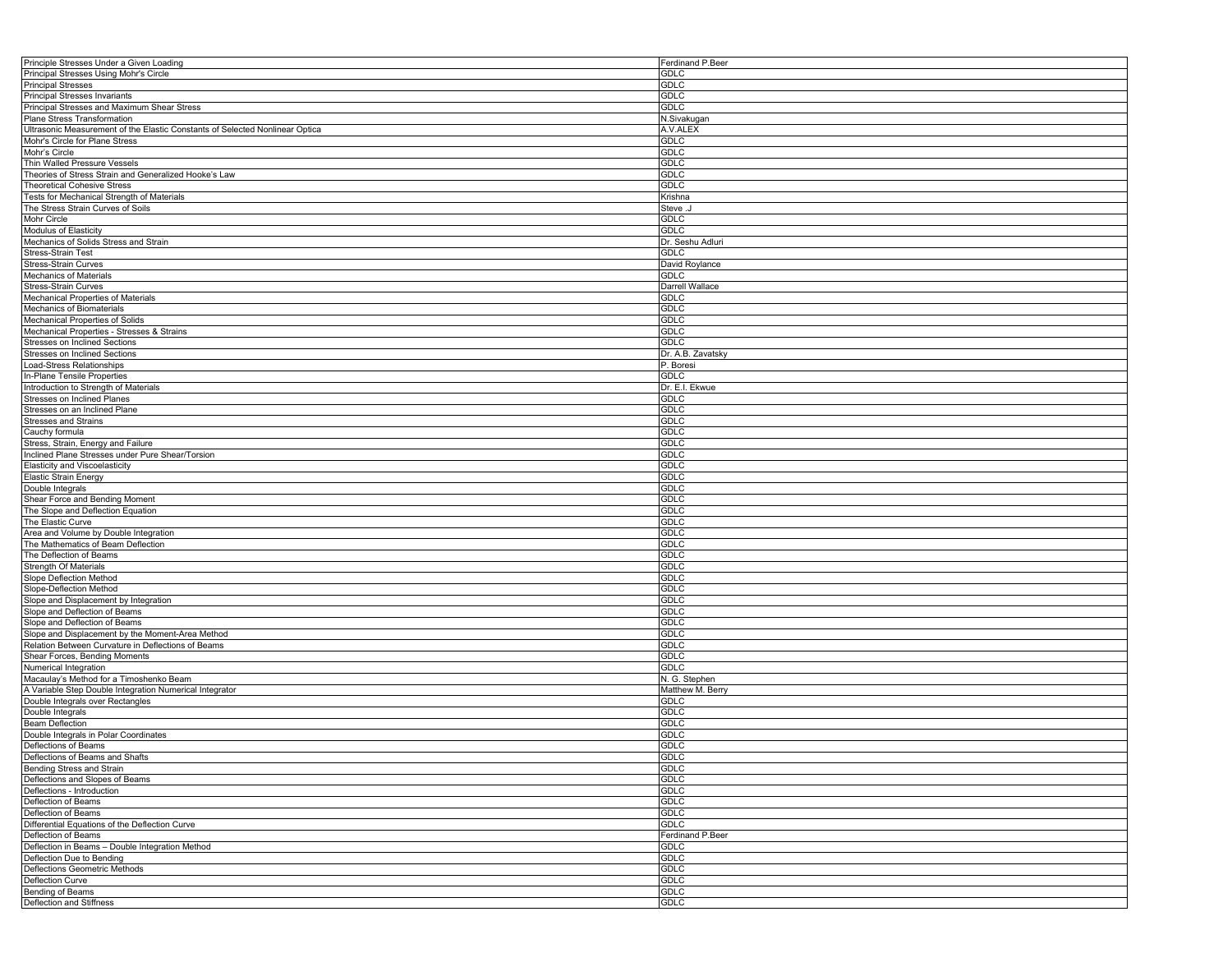| Principle Stresses Under a Given Loading                                     | Ferdinand P.Beer  |
|------------------------------------------------------------------------------|-------------------|
| Principal Stresses Using Mohr's Circle                                       | <b>GDLC</b>       |
| <b>Principal Stresses</b>                                                    | GDLC              |
| <b>Principal Stresses Invariants</b>                                         | <b>GDLC</b>       |
| Principal Stresses and Maximum Shear Stress                                  | <b>GDLC</b>       |
|                                                                              |                   |
| Plane Stress Transformation                                                  | N.Sivakugan       |
| Ultrasonic Measurement of the Elastic Constants of Selected Nonlinear Optica | A.V.ALEX          |
| Mohr's Circle for Plane Stress                                               | GDLC              |
| Mohr's Circle                                                                | <b>GDLC</b>       |
| Thin Walled Pressure Vessels                                                 | <b>GDLC</b>       |
| Theories of Stress Strain and Generalized Hooke's Law                        | GDLC              |
| <b>Theoretical Cohesive Stress</b>                                           | <b>GDLC</b>       |
| Tests for Mechanical Strength of Materials                                   | Krishna           |
| The Stress Strain Curves of Soils                                            | Steve .J          |
| Mohr Circle                                                                  | <b>GDLC</b>       |
| Modulus of Elasticity                                                        | GDLC              |
|                                                                              |                   |
| Mechanics of Solids Stress and Strain                                        | Dr. Seshu Adluri  |
| Stress-Strain Test                                                           | <b>GDLC</b>       |
| <b>Stress-Strain Curves</b>                                                  | David Roylance    |
| <b>Mechanics of Materials</b>                                                | <b>GDLC</b>       |
| Stress-Strain Curves                                                         | Darrell Wallace   |
| Mechanical Properties of Materials                                           | <b>GDLC</b>       |
| Mechanics of Biomaterials                                                    | <b>GDLC</b>       |
| Mechanical Properties of Solids                                              | <b>GDLC</b>       |
| Mechanical Properties - Stresses & Strains                                   | <b>GDLC</b>       |
| Stresses on Inclined Sections                                                | <b>GDLC</b>       |
| Stresses on Inclined Sections                                                | Dr. A.B. Zavatsky |
|                                                                              |                   |
| Load-Stress Relationships                                                    | P. Boresi         |
| In-Plane Tensile Properties                                                  | <b>GDLC</b>       |
| Introduction to Strength of Materials                                        | Dr. E.I. Ekwue    |
| <b>Stresses on Inclined Planes</b>                                           | <b>GDLC</b>       |
| Stresses on an Inclined Plane                                                | <b>GDLC</b>       |
| <b>Stresses and Strains</b>                                                  | <b>GDLC</b>       |
| Cauchy formula                                                               | GDLC              |
| Stress, Strain, Energy and Failure                                           | GDLC              |
| Inclined Plane Stresses under Pure Shear/Torsion                             | GDLC              |
| Elasticity and Viscoelasticity                                               | <b>GDLC</b>       |
| <b>Elastic Strain Energy</b>                                                 | <b>GDLC</b>       |
| Double Integrals                                                             | <b>GDLC</b>       |
|                                                                              |                   |
| Shear Force and Bending Moment                                               | GDLC              |
| The Slope and Deflection Equation                                            | GDLC              |
| The Elastic Curve                                                            | <b>GDLC</b>       |
| Area and Volume by Double Integration                                        | GDLC              |
| The Mathematics of Beam Deflection                                           | GDLC              |
| The Deflection of Beams                                                      | GDLC              |
| Strength Of Materials                                                        | GDLC              |
| Slope Deflection Method                                                      | <b>GDLC</b>       |
| Slope-Deflection Method                                                      | GDLC              |
| Slope and Displacement by Integration                                        | <b>GDLC</b>       |
| Slope and Deflection of Beams                                                | <b>GDLC</b>       |
|                                                                              |                   |
| Slope and Deflection of Beams                                                | GDLC              |
| Slope and Displacement by the Moment-Area Method                             | <b>GDLC</b>       |
| Relation Between Curvature in Deflections of Beams                           | GDLC              |
| Shear Forces, Bending Moments                                                | <b>GDLC</b>       |
| Numerical Integration                                                        | <b>GDLC</b>       |
| Macaulay's Method for a Timoshenko Beam                                      | N. G. Stephen     |
| A Variable Step Double Integration Numerical Integrator                      | Matthew M. Berry  |
| Double Integrals over Rectangles                                             | <b>GDLC</b>       |
| Double Integrals                                                             | <b>GDLC</b>       |
| <b>Beam Deflection</b>                                                       | GDLC              |
| Double Integrals in Polar Coordinates                                        | <b>GDLC</b>       |
|                                                                              | <b>GDLC</b>       |
| Deflections of Beams                                                         |                   |
| Deflections of Beams and Shafts                                              | <b>GDLC</b>       |
| <b>Bending Stress and Strain</b>                                             | <b>GDLC</b>       |
| Deflections and Slopes of Beams                                              | <b>GDLC</b>       |
| Deflections - Introduction                                                   | <b>GDLC</b>       |
| Deflection of Beams                                                          | <b>GDLC</b>       |
| Deflection of Beams                                                          | <b>GDLC</b>       |
| Differential Equations of the Deflection Curve                               | <b>GDLC</b>       |
| Deflection of Beams                                                          | Ferdinand P.Beer  |
| Deflection in Beams - Double Integration Method                              | <b>GDLC</b>       |
| Deflection Due to Bending                                                    | <b>GDLC</b>       |
| Deflections Geometric Methods                                                | <b>GDLC</b>       |
|                                                                              |                   |
| <b>Deflection Curve</b>                                                      | <b>GDLC</b>       |
| <b>Bending of Beams</b>                                                      | <b>GDLC</b>       |
| Deflection and Stiffness                                                     | <b>GDLC</b>       |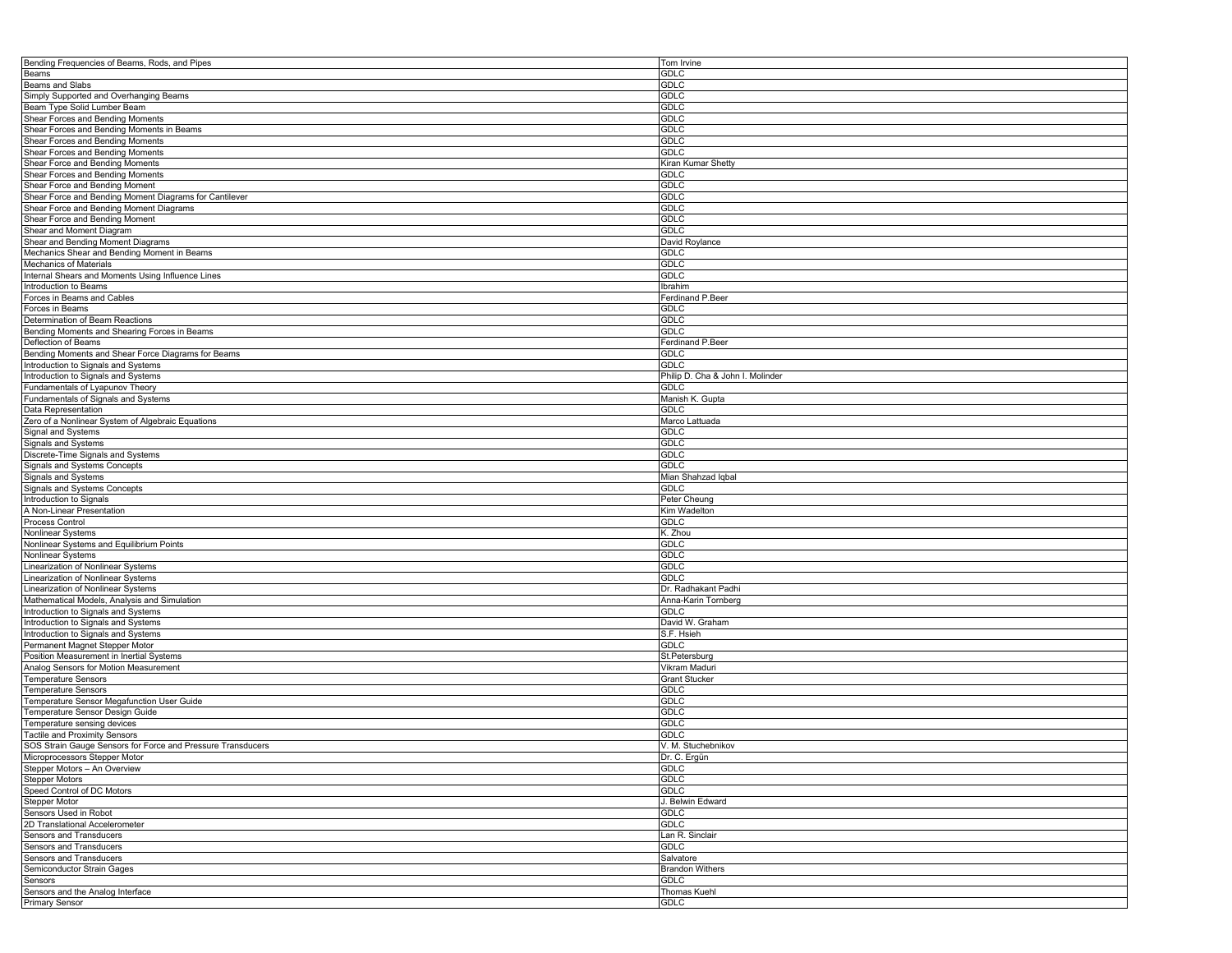| Bending Frequencies of Beams, Rods, and Pipes               | Tom Irvine                       |
|-------------------------------------------------------------|----------------------------------|
| Beams                                                       | <b>GDLC</b>                      |
| <b>Beams and Slabs</b>                                      | <b>GDLC</b>                      |
| Simply Supported and Overhanging Beams                      | <b>GDLC</b>                      |
| Beam Type Solid Lumber Beam                                 | <b>GDLC</b>                      |
| Shear Forces and Bending Moments                            | <b>GDLC</b>                      |
| Shear Forces and Bending Moments in Beams                   | <b>GDLC</b>                      |
|                                                             |                                  |
| Shear Forces and Bending Moments                            | <b>GDLC</b>                      |
| Shear Forces and Bending Moments                            | <b>GDLC</b>                      |
| Shear Force and Bending Moments                             | Kiran Kumar Shetty               |
| Shear Forces and Bending Moments                            | <b>GDLC</b>                      |
| Shear Force and Bending Moment                              | <b>GDLC</b>                      |
| Shear Force and Bending Moment Diagrams for Cantilever      | <b>GDLC</b>                      |
| Shear Force and Bending Moment Diagrams                     | <b>GDLC</b>                      |
| Shear Force and Bending Moment                              | <b>GDLC</b>                      |
| Shear and Moment Diagram                                    | <b>GDLC</b>                      |
| Shear and Bending Moment Diagrams                           | David Roylance                   |
| Mechanics Shear and Bending Moment in Beams                 | <b>GDLC</b>                      |
| <b>Mechanics of Materials</b>                               | <b>GDLC</b>                      |
|                                                             |                                  |
| Internal Shears and Moments Using Influence Lines           | <b>GDLC</b>                      |
| Introduction to Beams                                       | Ibrahim                          |
| Forces in Beams and Cables                                  | Ferdinand P.Beer                 |
| Forces in Beams                                             | <b>GDLC</b>                      |
| Determination of Beam Reactions                             | <b>GDLC</b>                      |
| Bending Moments and Shearing Forces in Beams                | <b>GDLC</b>                      |
| Deflection of Beams                                         | Ferdinand P.Beer                 |
| Bending Moments and Shear Force Diagrams for Beams          | <b>GDLC</b>                      |
| Introduction to Signals and Systems                         | <b>GDLC</b>                      |
| Introduction to Signals and Systems                         | Philip D. Cha & John I. Molinder |
| Fundamentals of Lyapunov Theory                             | <b>GDLC</b>                      |
|                                                             |                                  |
| Fundamentals of Signals and Systems                         | Manish K. Gupta                  |
| Data Representation                                         | <b>GDLC</b>                      |
| Zero of a Nonlinear System of Algebraic Equations           | Marco Lattuada                   |
| Signal and Systems                                          | <b>GDLC</b>                      |
| Signals and Systems                                         | <b>GDLC</b>                      |
| Discrete-Time Signals and Systems                           | <b>GDLC</b>                      |
| Signals and Systems Concepts                                | <b>GDLC</b>                      |
| Signals and Systems                                         | Mian Shahzad Iqbal               |
| Signals and Systems Concepts                                | <b>GDLC</b>                      |
| Introduction to Signals                                     | Peter Cheung                     |
|                                                             |                                  |
| A Non-Linear Presentation                                   | Kim Wadelton                     |
| Process Control                                             | <b>GDLC</b>                      |
| Nonlinear Systems                                           | K. Zhou                          |
| Nonlinear Systems and Equilibrium Points                    | <b>GDLC</b>                      |
| Nonlinear Systems                                           | <b>GDLC</b>                      |
| Linearization of Nonlinear Systems                          | <b>GDLC</b>                      |
| Linearization of Nonlinear Systems                          | <b>GDLC</b>                      |
| Linearization of Nonlinear Systems                          | Dr. Radhakant Padhi              |
| Mathematical Models, Analysis and Simulation                | Anna-Karin Tornberg              |
| Introduction to Signals and Systems                         | <b>GDLC</b>                      |
| Introduction to Signals and Systems                         | David W. Graham                  |
| Introduction to Signals and Systems                         | S.F. Hsieh                       |
| Permanent Magnet Stepper Motor                              | <b>GDLC</b>                      |
|                                                             |                                  |
| Position Measurement in Inertial Systems                    | St.Petersburg                    |
| Analog Sensors for Motion Measurement                       | Vikram Maduri                    |
| Temperature Sensors                                         | <b>Grant Stucker</b>             |
| <b>Temperature Sensors</b>                                  | <b>GDLC</b>                      |
| Temperature Sensor Megafunction User Guide                  | <b>GDLC</b>                      |
| Temperature Sensor Design Guide                             | <b>GDLC</b>                      |
| Temperature sensing devices                                 | <b>GDLC</b>                      |
| <b>Tactile and Proximity Sensors</b>                        | <b>GDLC</b>                      |
| SOS Strain Gauge Sensors for Force and Pressure Transducers | V. M. Stuchebnikov               |
| Microprocessors Stepper Motor                               | Dr. C. Ergün                     |
| Stepper Motors - An Overview                                | <b>GDLC</b>                      |
| <b>Stepper Motors</b>                                       |                                  |
|                                                             | <b>GDLC</b>                      |
| Speed Control of DC Motors                                  | <b>GDLC</b>                      |
| <b>Stepper Motor</b>                                        | J. Belwin Edward                 |
| Sensors Used in Robot                                       | <b>GDLC</b>                      |
| 2D Translational Accelerometer                              | <b>GDLC</b>                      |
| Sensors and Transducers                                     | Lan R. Sinclair                  |
| Sensors and Transducers                                     | <b>GDLC</b>                      |
| Sensors and Transducers                                     | Salvatore                        |
| Semiconductor Strain Gages                                  | <b>Brandon Withers</b>           |
| Sensors                                                     | <b>GDLC</b>                      |
|                                                             |                                  |
| Sensors and the Analog Interface<br>Primary Sensor          | Thomas Kuehl                     |
|                                                             | <b>GDLC</b>                      |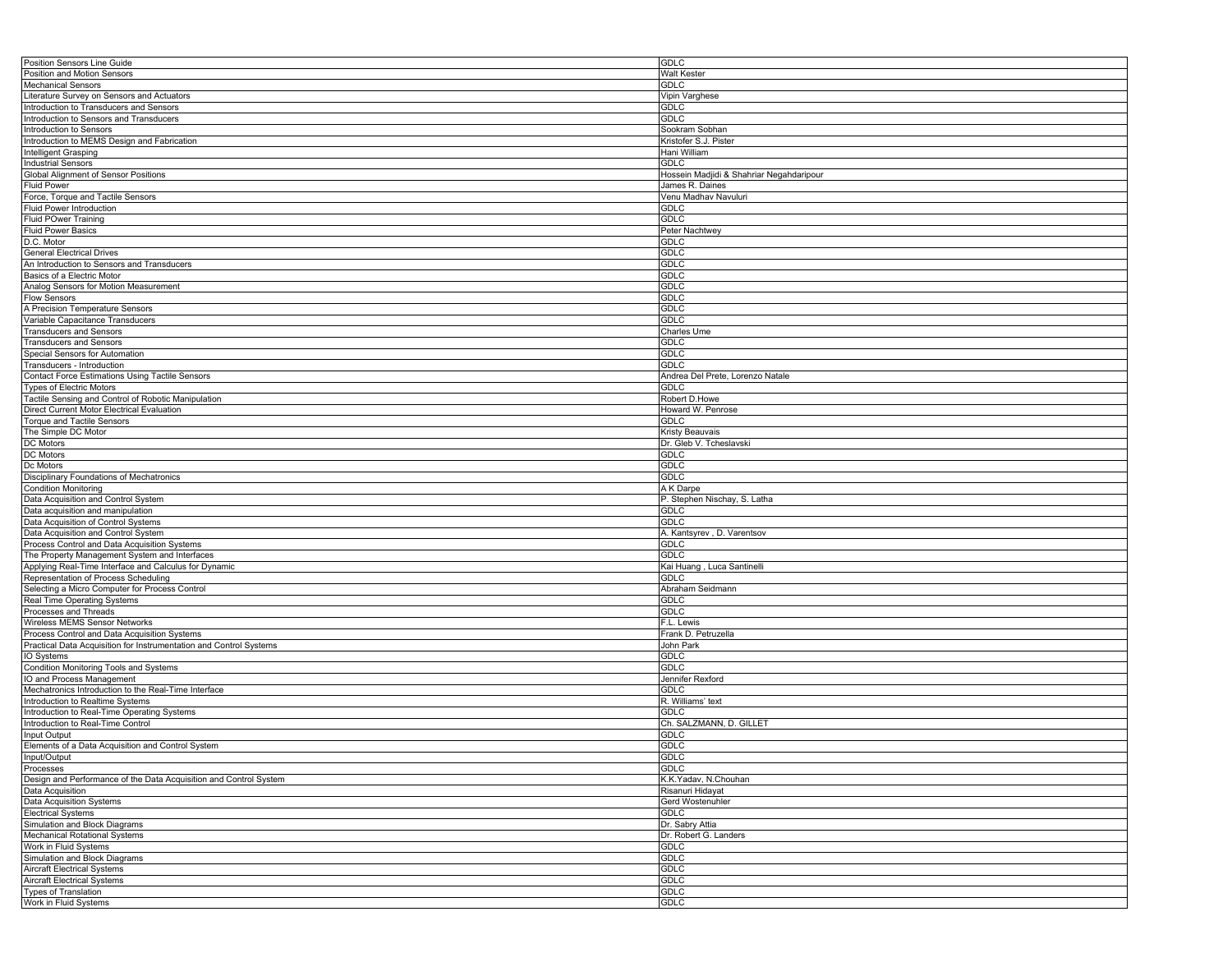| Position Sensors Line Guide                                        | <b>GDLC</b>                              |
|--------------------------------------------------------------------|------------------------------------------|
| Position and Motion Sensors                                        | Walt Kester                              |
| <b>Mechanical Sensors</b>                                          | GDLC                                     |
| Literature Survey on Sensors and Actuators                         | Vipin Varghese                           |
| Introduction to Transducers and Sensors                            | <b>GDLC</b>                              |
| Introduction to Sensors and Transducers                            | GDLC                                     |
| Introduction to Sensors                                            | Sookram Sobhan                           |
| Introduction to MEMS Design and Fabrication                        | Kristofer S.J. Pister                    |
| Intelligent Grasping                                               | Hani William                             |
| <b>Industrial Sensors</b>                                          | <b>GDLC</b>                              |
| Global Alignment of Sensor Positions                               | Hossein Madjidi & Shahriar Negahdaripour |
| <b>Fluid Power</b>                                                 | James R. Daines                          |
| Force, Torque and Tactile Sensors                                  | Venu Madhav Navuluri                     |
| Fluid Power Introduction                                           | <b>GDLC</b>                              |
| <b>Fluid POwer Training</b>                                        | <b>GDLC</b>                              |
| <b>Fluid Power Basics</b>                                          | Peter Nachtwey                           |
| D.C. Motor                                                         | GDLC                                     |
| <b>General Electrical Drives</b>                                   | <b>GDLC</b>                              |
| An Introduction to Sensors and Transducers                         | <b>GDLC</b>                              |
| Basics of a Electric Motor                                         | <b>GDLC</b>                              |
| Analog Sensors for Motion Measurement                              | <b>GDLC</b>                              |
| <b>Flow Sensors</b>                                                | <b>GDLC</b>                              |
| A Precision Temperature Sensors                                    | <b>GDLC</b>                              |
| Variable Capacitance Transducers                                   | <b>GDLC</b>                              |
| <b>Transducers and Sensors</b>                                     | Charles Ume                              |
| <b>Transducers and Sensors</b>                                     | GDLC                                     |
|                                                                    | <b>GDLC</b>                              |
| Special Sensors for Automation                                     | <b>GDLC</b>                              |
| Transducers - Introduction                                         |                                          |
| Contact Force Estimations Using Tactile Sensors                    | Andrea Del Prete, Lorenzo Natale         |
| <b>Types of Electric Motors</b>                                    | <b>GDLC</b>                              |
| Tactile Sensing and Control of Robotic Manipulation                | Robert D.Howe                            |
| Direct Current Motor Electrical Evaluation                         | Howard W. Penrose                        |
| <b>Torque and Tactile Sensors</b>                                  | <b>GDLC</b>                              |
| The Simple DC Motor                                                | Kristy Beauvais                          |
| <b>DC</b> Motors                                                   | Dr. Gleb V. Tcheslavski                  |
| DC Motors                                                          | <b>GDLC</b>                              |
| Dc Motors                                                          | <b>GDLC</b>                              |
| Disciplinary Foundations of Mechatronics                           | <b>GDLC</b>                              |
| <b>Condition Monitoring</b>                                        | A K Darpe                                |
| Data Acquisition and Control System                                | P. Stephen Nischay, S. Latha             |
| Data acquisition and manipulation                                  | <b>GDLC</b>                              |
| Data Acquisition of Control Systems                                | <b>GDLC</b>                              |
| Data Acquisition and Control System                                | A. Kantsyrev, D. Varentsov               |
| Process Control and Data Acquisition Systems                       | <b>GDLC</b>                              |
| The Property Management System and Interfaces                      | <b>GDLC</b>                              |
| Applying Real-Time Interface and Calculus for Dynamic              | Kai Huang, Luca Santinelli               |
| Representation of Process Scheduling                               | <b>GDLC</b>                              |
| Selecting a Micro Computer for Process Control                     | Abraham Seidmann                         |
| Real Time Operating Systems                                        |                                          |
|                                                                    |                                          |
|                                                                    | <b>GDLC</b>                              |
| Processes and Threads                                              | <b>GDLC</b>                              |
| Wireless MEMS Sensor Networks                                      | F.L. Lewis                               |
| Process Control and Data Acquisition Systems                       | Frank D. Petruzella                      |
| Practical Data Acquisition for Instrumentation and Control Systems | John Park                                |
| IO Systems                                                         | <b>GDLC</b>                              |
| Condition Monitoring Tools and Systems                             | <b>GDLC</b>                              |
| IO and Process Management                                          | Jennifer Rexford                         |
| Mechatronics Introduction to the Real-Time Interface               | GDLC                                     |
| Introduction to Realtime Systems                                   | R. Williams' text                        |
| Introduction to Real-Time Operating Systems                        | <b>GDLC</b>                              |
| Introduction to Real-Time Control                                  | Ch. SALZMANN, D. GILLET                  |
| Input Output                                                       | <b>GDLC</b>                              |
| Elements of a Data Acquisition and Control System                  | <b>GDLC</b>                              |
| Input/Output                                                       | <b>GDLC</b>                              |
| Processes                                                          | <b>GDLC</b>                              |
| Design and Performance of the Data Acquisition and Control System  | K.K.Yadav, N.Chouhan                     |
| Data Acquisition                                                   | Risanuri Hidayat                         |
| Data Acquisition Systems                                           | Gerd Wostenuhler                         |
| <b>Electrical Systems</b>                                          | <b>GDLC</b>                              |
| Simulation and Block Diagrams                                      | Dr. Sabry Attia                          |
| <b>Mechanical Rotational Systems</b>                               | Dr. Robert G. Landers                    |
| Work in Fluid Systems                                              | <b>GDLC</b>                              |
| Simulation and Block Diagrams                                      | GDLC                                     |
| <b>Aircraft Electrical Systems</b>                                 | <b>GDLC</b>                              |
| <b>Aircraft Electrical Systems</b>                                 | <b>GDLC</b>                              |
| Types of Translation<br>Work in Fluid Systems                      | <b>GDLC</b><br>GDLC                      |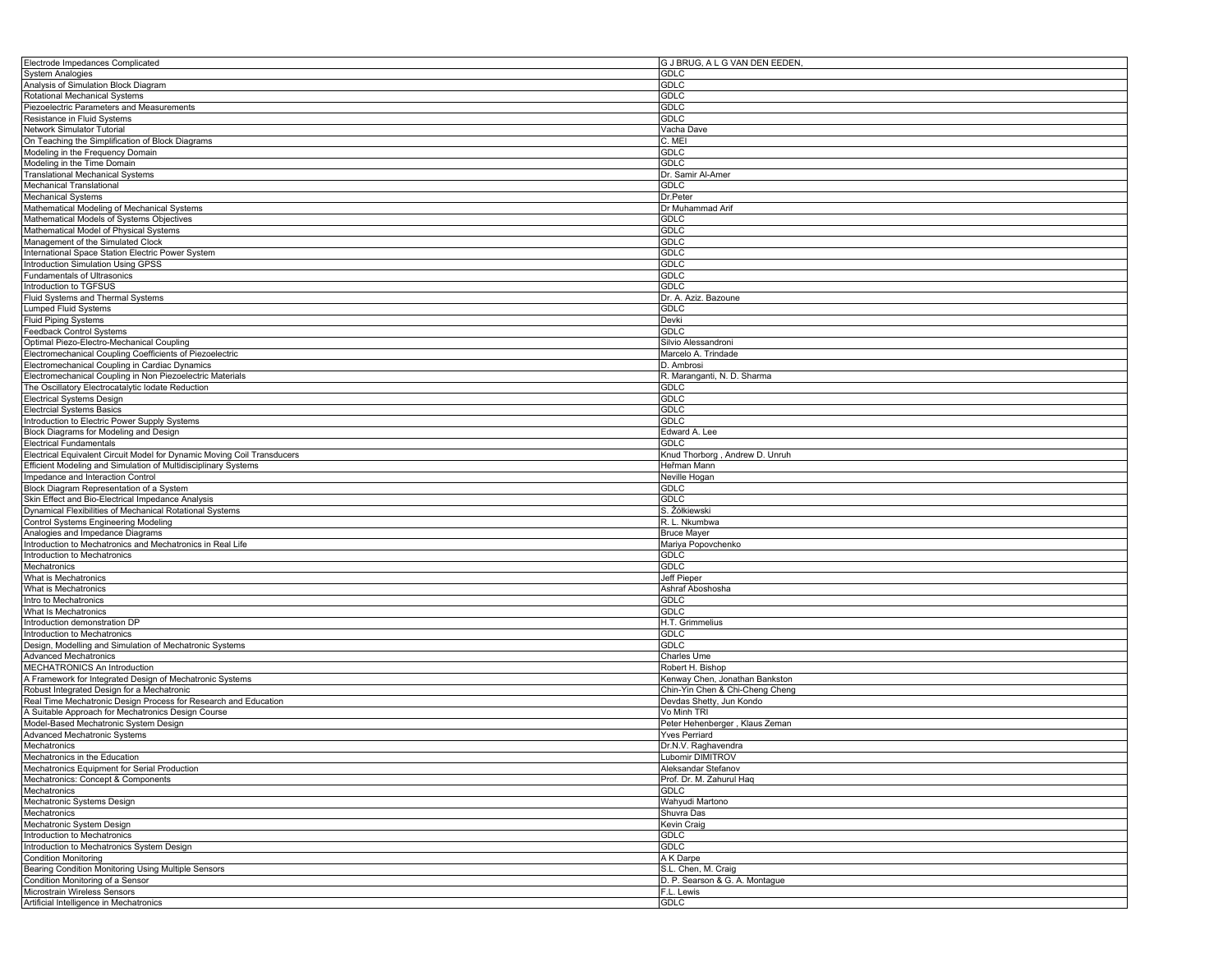| Electrode Impedances Complicated                                        | G J BRUG, A L G VAN DEN EEDEN,  |
|-------------------------------------------------------------------------|---------------------------------|
| <b>System Analogies</b>                                                 | <b>GDLC</b>                     |
| Analysis of Simulation Block Diagram                                    | GDLC                            |
| Rotational Mechanical Systems                                           | GDLC                            |
| Piezoelectric Parameters and Measurements                               | <b>GDLC</b>                     |
| Resistance in Fluid Systems                                             | <b>GDLC</b>                     |
| Network Simulator Tutorial                                              | Vacha Dave                      |
| On Teaching the Simplification of Block Diagrams                        | C. MEI                          |
| Modeling in the Frequency Domain                                        | GDLC                            |
| Modeling in the Time Domain                                             | <b>GDLC</b>                     |
| <b>Translational Mechanical Systems</b>                                 | Dr. Samir Al-Amer               |
| <b>Mechanical Translational</b>                                         | <b>GDLC</b>                     |
| Mechanical Systems                                                      |                                 |
|                                                                         | Dr.Peter                        |
| Mathematical Modeling of Mechanical Systems                             | Dr Muhammad Arif                |
| Mathematical Models of Systems Objectives                               | <b>GDLC</b>                     |
| Mathematical Model of Physical Systems                                  | <b>GDLC</b>                     |
| Management of the Simulated Clock                                       | <b>GDLC</b>                     |
| International Space Station Electric Power System                       | GDLC                            |
| Introduction Simulation Using GPSS                                      | <b>GDLC</b>                     |
| <b>Fundamentals of Ultrasonics</b>                                      | <b>GDLC</b>                     |
| Introduction to TGFSUS                                                  | <b>GDLC</b>                     |
| Fluid Systems and Thermal Systems                                       | Dr. A. Aziz. Bazoune            |
| <b>Lumped Fluid Systems</b>                                             | <b>GDLC</b>                     |
| Fluid Piping Systems                                                    | Devki                           |
| Feedback Control Systems                                                | <b>GDLC</b>                     |
| Optimal Piezo-Electro-Mechanical Coupling                               | Silvio Alessandroni             |
| Electromechanical Coupling Coefficients of Piezoelectric                | Marcelo A. Trindade             |
| Electromechanical Coupling in Cardiac Dynamics                          | D. Ambrosi                      |
| Electromechanical Coupling in Non Piezoelectric Materials               | R. Maranganti, N. D. Sharma     |
| The Oscillatory Electrocatalytic Iodate Reduction                       | <b>GDLC</b>                     |
| <b>Electrical Systems Design</b>                                        | <b>GDLC</b>                     |
| <b>Electrcial Systems Basics</b>                                        | <b>GDLC</b>                     |
| Introduction to Electric Power Supply Systems                           | <b>GDLC</b>                     |
| Block Diagrams for Modeling and Design                                  | Edward A. Lee                   |
| <b>Electrical Fundamentals</b>                                          | <b>GDLC</b>                     |
| Electrical Equivalent Circuit Model for Dynamic Moving Coil Transducers | Knud Thorborg, Andrew D. Unruh  |
|                                                                         |                                 |
| Efficient Modeling and Simulation of Multidisciplinary Systems          | Heřman Mann                     |
| Impedance and Interaction Control                                       | Neville Hogan                   |
| Block Diagram Representation of a System                                | <b>GDLC</b>                     |
| Skin Effect and Bio-Electrical Impedance Analysis                       | <b>GDLC</b>                     |
| Dynamical Flexibilities of Mechanical Rotational Systems                | S. Żółkiewski                   |
| Control Systems Engineering Modeling                                    | R. L. Nkumbwa                   |
| Analogies and Impedance Diagrams                                        | <b>Bruce Mayer</b>              |
| Introduction to Mechatronics and Mechatronics in Real Life              | Mariya Popovchenko              |
| Introduction to Mechatronics                                            | <b>GDLC</b>                     |
| Mechatronics                                                            | <b>GDLC</b>                     |
| What is Mechatronics                                                    | Jeff Pieper                     |
| What is Mechatronics                                                    | Ashraf Aboshosha                |
| Intro to Mechatronics                                                   | <b>GDLC</b>                     |
| What Is Mechatronics                                                    | <b>GDLC</b>                     |
| Introduction demonstration DP                                           | H.T. Grimmelius                 |
| Introduction to Mechatronics                                            | <b>GDLC</b>                     |
| Design, Modelling and Simulation of Mechatronic Systems                 | <b>GDLC</b>                     |
| <b>Advanced Mechatronics</b>                                            | Charles Ume                     |
| MECHATRONICS An Introduction                                            | Robert H. Bishop                |
| A Framework for Integrated Design of Mechatronic Systems                | Kenway Chen, Jonathan Bankston  |
| Robust Integrated Design for a Mechatronic                              | Chin-Yin Chen & Chi-Cheng Cheng |
| Real Time Mechatronic Design Process for Research and Education         | Devdas Shetty, Jun Kondo        |
| A Suitable Approach for Mechatronics Design Course                      | Vo Minh TRI                     |
| Model-Based Mechatronic System Design                                   |                                 |
|                                                                         | Peter Hehenberger, Klaus Zeman  |
| <b>Advanced Mechatronic Systems</b>                                     | <b>Yves Perriard</b>            |
| Mechatronics                                                            | Dr.N.V. Raghavendra             |
| Mechatronics in the Education                                           | Lubomir DIMITROV                |
| Mechatronics Equipment for Serial Production                            | Aleksandar Stefanov             |
| Mechatronics: Concept & Components                                      | Prof. Dr. M. Zahurul Haq        |
| Mechatronics                                                            | <b>GDLC</b>                     |
| Mechatronic Systems Design                                              | Wahyudi Martono                 |
| Mechatronics                                                            | Shuvra Das                      |
| Mechatronic System Design                                               | Kevin Craig                     |
| Introduction to Mechatronics                                            | <b>GDLC</b>                     |
| Introduction to Mechatronics System Design                              | <b>GDLC</b>                     |
| <b>Condition Monitoring</b>                                             | A K Darpe                       |
| Bearing Condition Monitoring Using Multiple Sensors                     | S.L. Chen, M. Craig             |
| Condition Monitoring of a Sensor                                        | D. P. Searson & G. A. Montague  |
| Microstrain Wireless Sensors                                            | F.L. Lewis                      |
| Artificial Intelligence in Mechatronics                                 | <b>GDLC</b>                     |
|                                                                         |                                 |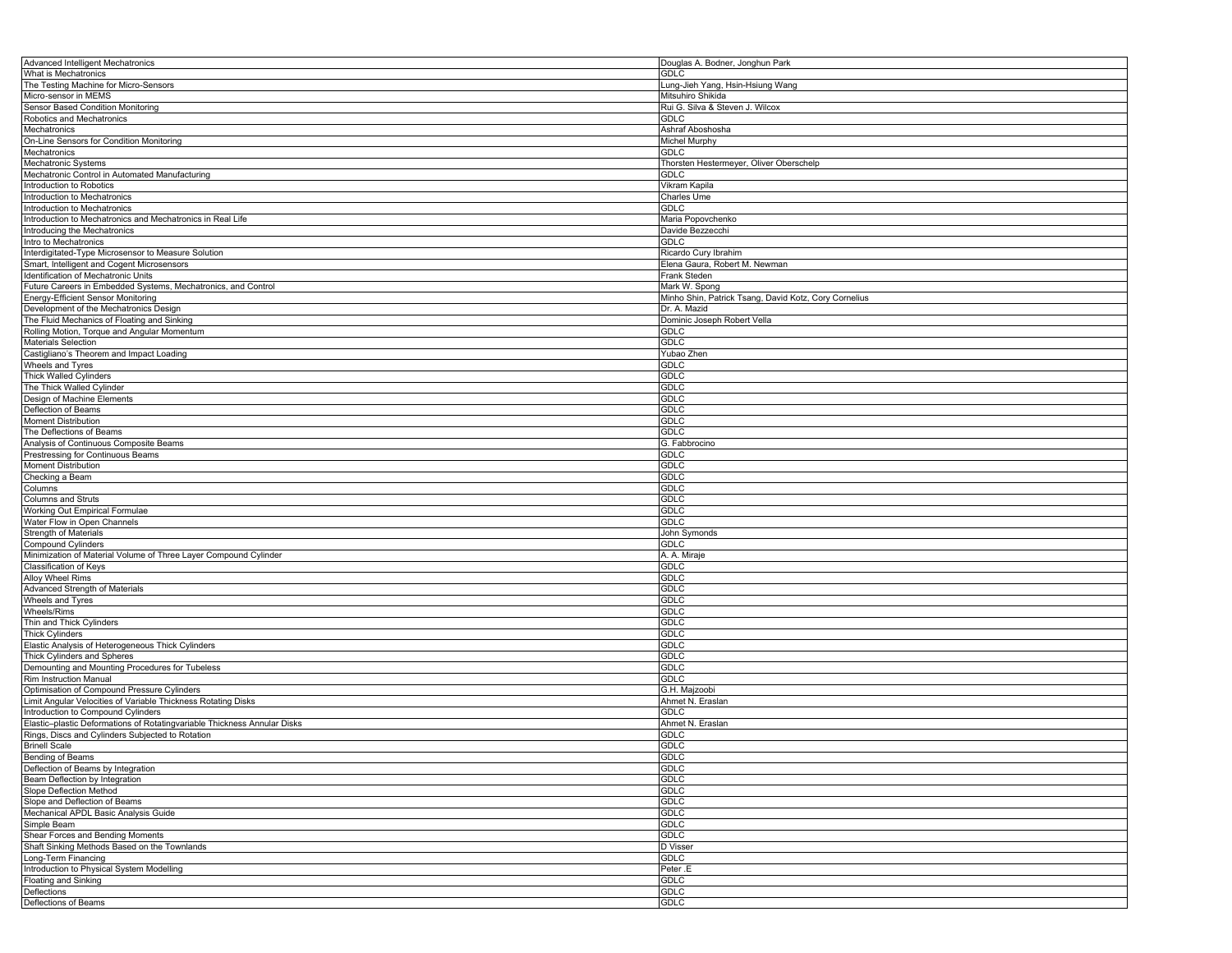| Advanced Intelligent Mechatronics                                        | Douglas A. Bodner, Jonghun Park                       |
|--------------------------------------------------------------------------|-------------------------------------------------------|
| What is Mechatronics                                                     | <b>GDLC</b>                                           |
| The Testing Machine for Micro-Sensors                                    | Lung-Jieh Yang, Hsin-Hsiung Wang                      |
| Micro-sensor in MEMS                                                     | Mitsuhiro Shikida                                     |
| Sensor Based Condition Monitoring                                        | Rui G. Silva & Steven J. Wilcox                       |
| Robotics and Mechatronics                                                | <b>GDLC</b>                                           |
| Mechatronics                                                             | Ashraf Aboshosha                                      |
| On-Line Sensors for Condition Monitoring                                 | Michel Murphy                                         |
| Mechatronics                                                             | <b>GDLC</b>                                           |
| Mechatronic Systems                                                      | Thorsten Hestermeyer, Oliver Oberschelp               |
| Mechatronic Control in Automated Manufacturing                           | GDLC                                                  |
|                                                                          |                                                       |
| Introduction to Robotics                                                 | Vikram Kapila                                         |
| Introduction to Mechatronics                                             | Charles Ume                                           |
| Introduction to Mechatronics                                             | GDLC                                                  |
| Introduction to Mechatronics and Mechatronics in Real Life               | Maria Popovchenko                                     |
| Introducing the Mechatronics                                             | Davide Bezzecchi                                      |
| Intro to Mechatronics                                                    | <b>GDLC</b>                                           |
| Interdigitated-Type Microsensor to Measure Solution                      | Ricardo Cury Ibrahim                                  |
| Smart, Intelligent and Cogent Microsensors                               | Elena Gaura, Robert M. Newman                         |
| Identification of Mechatronic Units                                      | Frank Steden                                          |
| Future Careers in Embedded Systems, Mechatronics, and Control            | Mark W. Spong                                         |
| Energy-Efficient Sensor Monitoring                                       | Minho Shin, Patrick Tsang, David Kotz, Cory Cornelius |
| Development of the Mechatronics Design                                   | Dr. A. Mazid                                          |
| The Fluid Mechanics of Floating and Sinking                              | Dominic Joseph Robert Vella                           |
| Rolling Motion, Torque and Angular Momentum                              | GDLC                                                  |
| Materials Selection                                                      | <b>GDLC</b>                                           |
| Castigliano's Theorem and Impact Loading                                 | Yubao Zhen                                            |
| Wheels and Tyres                                                         | <b>GDLC</b>                                           |
| <b>Thick Walled Cylinders</b>                                            | GDLC                                                  |
| The Thick Walled Cylinder                                                | GDLC                                                  |
| Design of Machine Elements                                               |                                                       |
|                                                                          | <b>GDLC</b>                                           |
| Deflection of Beams                                                      | <b>GDLC</b>                                           |
| <b>Moment Distribution</b>                                               | GDLC                                                  |
| The Deflections of Beams                                                 | <b>GDLC</b>                                           |
| Analysis of Continuous Composite Beams                                   | G. Fabbrocino                                         |
| Prestressing for Continuous Beams                                        | GDLC                                                  |
| <b>Moment Distribution</b>                                               | <b>GDLC</b>                                           |
| Checking a Beam                                                          | GDLC                                                  |
| Columns                                                                  | GDLC                                                  |
| <b>Columns and Struts</b>                                                | GDLC                                                  |
| Working Out Empirical Formulae                                           | <b>GDLC</b>                                           |
| Water Flow in Open Channels                                              | GDLC                                                  |
| <b>Strength of Materials</b>                                             | John Symonds                                          |
| <b>Compound Cylinders</b>                                                | GDLC                                                  |
| Minimization of Material Volume of Three Layer Compound Cylinder         | A. A. Miraje                                          |
| Classification of Keys                                                   | GDLC                                                  |
| Alloy Wheel Rims                                                         | GDLC                                                  |
| Advanced Strength of Materials                                           | <b>GDLC</b>                                           |
| Wheels and Tyres                                                         | <b>GDLC</b>                                           |
| Wheels/Rims                                                              | <b>GDLC</b>                                           |
| Thin and Thick Cylinders                                                 | GDLC                                                  |
|                                                                          |                                                       |
| <b>Thick Cylinders</b>                                                   | <b>GDLC</b>                                           |
| Elastic Analysis of Heterogeneous Thick Cylinders                        | <b>GDLC</b>                                           |
| <b>Thick Cylinders and Spheres</b>                                       | <b>GDLC</b>                                           |
| Demounting and Mounting Procedures for Tubeless                          | <b>GDLC</b>                                           |
| Rim Instruction Manual                                                   | <b>GDLC</b>                                           |
| Optimisation of Compound Pressure Cylinders                              | G.H. Majzoobi                                         |
| Limit Angular Velocities of Variable Thickness Rotating Disks            | Ahmet N. Eraslan                                      |
| Introduction to Compound Cylinders                                       | GDLC                                                  |
| Elastic-plastic Deformations of Rotatingvariable Thickness Annular Disks | Ahmet N. Eraslan                                      |
| Rings, Discs and Cylinders Subjected to Rotation                         | GDLC                                                  |
| <b>Brinell Scale</b>                                                     | <b>GDLC</b>                                           |
| Bending of Beams                                                         | GDLC                                                  |
| Deflection of Beams by Integration                                       | <b>GDLC</b>                                           |
| Beam Deflection by Integration                                           | <b>GDLC</b>                                           |
| Slope Deflection Method                                                  | <b>GDLC</b>                                           |
| Slope and Deflection of Beams                                            | <b>GDLC</b>                                           |
| Mechanical APDL Basic Analysis Guide                                     | <b>GDLC</b>                                           |
| Simple Beam                                                              | <b>GDLC</b>                                           |
| Shear Forces and Bending Moments                                         | GDLC                                                  |
| Shaft Sinking Methods Based on the Townlands                             | D Visser                                              |
| Long-Term Financing                                                      |                                                       |
|                                                                          | GDLC                                                  |
| Introduction to Physical System Modelling                                | Peter .E                                              |
| <b>Floating and Sinking</b>                                              | <b>GDLC</b>                                           |
| Deflections                                                              | GDLC                                                  |
| Deflections of Beams                                                     | <b>GDLC</b>                                           |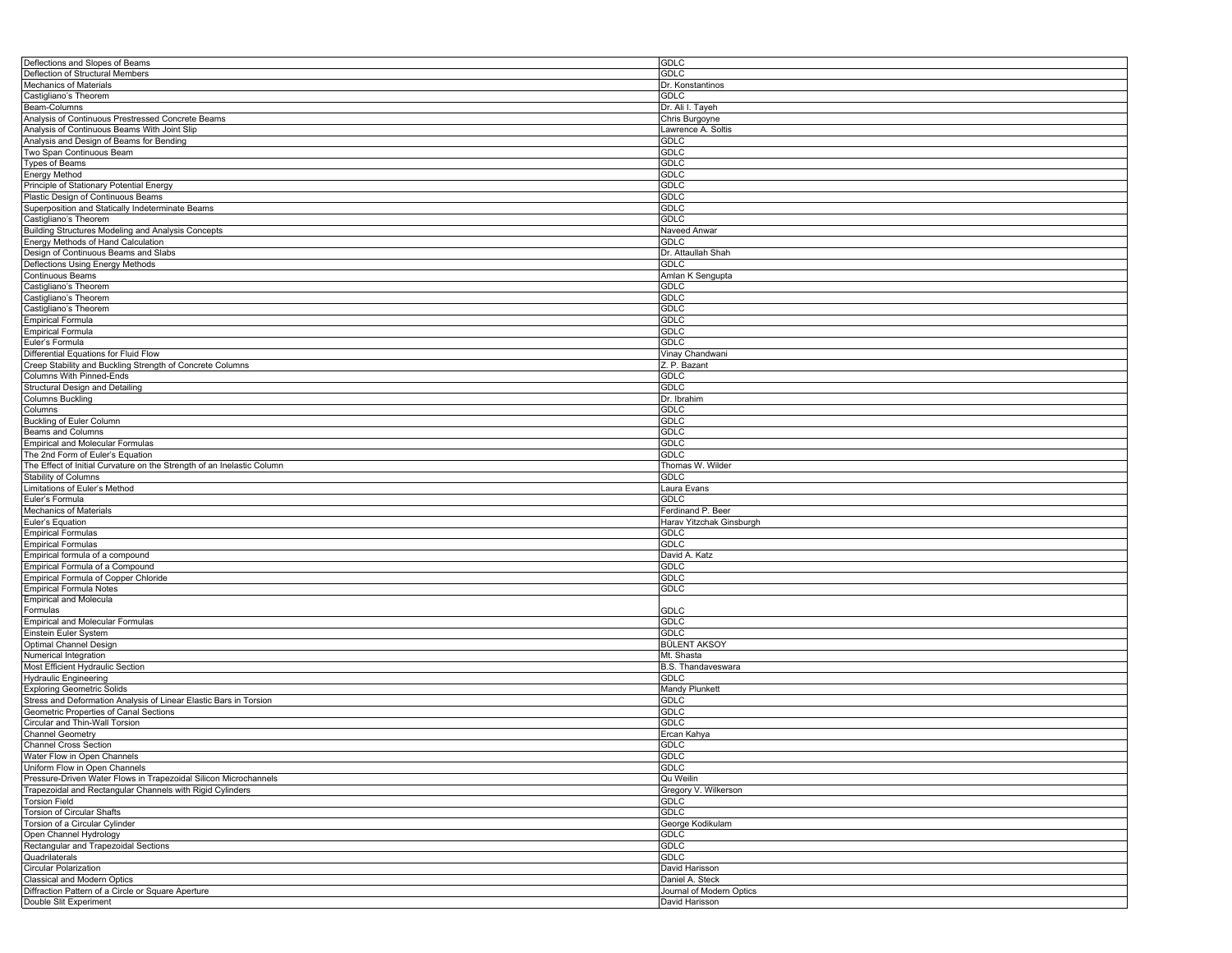| Deflections and Slopes of Beams                                              | <b>GDLC</b>                                |
|------------------------------------------------------------------------------|--------------------------------------------|
| Deflection of Structural Members                                             | <b>GDLC</b>                                |
| Mechanics of Materials                                                       | Dr. Konstantinos                           |
| Castigliano's Theorem                                                        | <b>GDLC</b>                                |
| Beam-Columns                                                                 | Dr. Ali I. Tayeh                           |
| Analysis of Continuous Prestressed Concrete Beams                            | Chris Burgoyne                             |
| Analysis of Continuous Beams With Joint Slip                                 | Lawrence A. Soltis                         |
|                                                                              |                                            |
| Analysis and Design of Beams for Bending                                     | <b>GDLC</b>                                |
| Two Span Continuous Beam                                                     | <b>GDLC</b>                                |
| <b>Types of Beams</b>                                                        | <b>GDLC</b>                                |
| <b>Energy Method</b>                                                         | <b>GDLC</b>                                |
| Principle of Stationary Potential Energy                                     | <b>GDLC</b>                                |
| Plastic Design of Continuous Beams                                           | <b>GDLC</b>                                |
| Superposition and Statically Indeterminate Beams                             | <b>GDLC</b>                                |
| Castigliano's Theorem                                                        | GDLC                                       |
| Building Structures Modeling and Analysis Concepts                           | Naveed Anwar                               |
| Energy Methods of Hand Calculation                                           | <b>GDLC</b>                                |
| Design of Continuous Beams and Slabs                                         | Dr. Attaullah Shah                         |
| Deflections Using Energy Methods                                             | <b>GDLC</b>                                |
| Continuous Beams                                                             |                                            |
|                                                                              | Amlan K Sengupta                           |
| Castigliano's Theorem                                                        | <b>GDLC</b>                                |
| Castigliano's Theorem                                                        | <b>GDLC</b>                                |
| Castigliano's Theorem                                                        | <b>GDLC</b>                                |
| <b>Empirical Formula</b>                                                     | <b>GDLC</b>                                |
| <b>Empirical Formula</b>                                                     | <b>GDLC</b>                                |
| Euler's Formula                                                              | <b>GDLC</b>                                |
| Differential Equations for Fluid Flow                                        | Vinay Chandwani                            |
| Creep Stability and Buckling Strength of Concrete Columns                    | Z. P. Bazant                               |
| <b>Columns With Pinned-Ends</b>                                              | <b>GDLC</b>                                |
| <b>Structural Design and Detailing</b>                                       | <b>GDLC</b>                                |
| <b>Columns Buckling</b>                                                      | Dr. Ibrahim                                |
| Columns                                                                      | <b>GDLC</b>                                |
|                                                                              | <b>GDLC</b>                                |
| Buckling of Euler Column                                                     |                                            |
| Beams and Columns                                                            | <b>GDLC</b>                                |
| <b>Empirical and Molecular Formulas</b>                                      | <b>GDLC</b>                                |
| The 2nd Form of Euler's Equation                                             | <b>GDLC</b>                                |
| The Effect of Initial Curvature on the Strength of an Inelastic Column       | Thomas W. Wilder                           |
| Stability of Columns                                                         | <b>GDLC</b>                                |
|                                                                              |                                            |
| Limitations of Euler's Method                                                | Laura Evans                                |
| Euler's Formula                                                              | GDLC                                       |
|                                                                              |                                            |
| Mechanics of Materials                                                       | Ferdinand P. Beer                          |
| Euler's Equation                                                             | Harav Yitzchak Ginsburgh                   |
| <b>Empirical Formulas</b>                                                    | <b>GDLC</b>                                |
| <b>Empirical Formulas</b>                                                    | <b>GDLC</b>                                |
| Empirical formula of a compound                                              | David A. Katz                              |
| Empirical Formula of a Compound                                              | GDLC                                       |
| Empirical Formula of Copper Chloride                                         | <b>GDLC</b>                                |
| <b>Empirical Formula Notes</b>                                               | GDLC                                       |
| <b>Empirical and Molecula</b>                                                |                                            |
| Formulas                                                                     | <b>GDLC</b>                                |
| <b>Empirical and Molecular Formulas</b>                                      | <b>GDLC</b>                                |
| Einstein Euler System                                                        | <b>GDLC</b>                                |
| Optimal Channel Design                                                       | BÜLENT AKSOY                               |
| Numerical Integration                                                        | Mt. Shasta                                 |
| Most Efficient Hydraulic Section                                             | B.S. Thandaveswara                         |
|                                                                              |                                            |
| <b>Hydraulic Engineering</b>                                                 | <b>GDLC</b>                                |
| <b>Exploring Geometric Solids</b>                                            | Mandy Plunkett                             |
| Stress and Deformation Analysis of Linear Elastic Bars in Torsion            | <b>GDLC</b>                                |
| Geometric Properties of Canal Sections                                       | <b>GDLC</b>                                |
| Circular and Thin-Wall Torsion                                               | <b>GDLC</b>                                |
| <b>Channel Geometry</b>                                                      | Ercan Kahya                                |
| <b>Channel Cross Section</b>                                                 | <b>GDLC</b>                                |
| Water Flow in Open Channels                                                  | <b>GDLC</b>                                |
| Uniform Flow in Open Channels                                                | <b>GDLC</b>                                |
| Pressure-Driven Water Flows in Trapezoidal Silicon Microchannels             | Qu Weilin                                  |
| Trapezoidal and Rectangular Channels with Rigid Cylinders                    | Gregory V. Wilkerson                       |
| <b>Torsion Field</b>                                                         | <b>GDLC</b>                                |
| <b>Torsion of Circular Shafts</b>                                            | <b>GDLC</b>                                |
|                                                                              |                                            |
| Torsion of a Circular Cylinder                                               | George Kodikulam                           |
| Open Channel Hydrology                                                       | <b>GDLC</b>                                |
| Rectangular and Trapezoidal Sections                                         | <b>GDLC</b>                                |
| Quadrilaterals                                                               | <b>GDLC</b>                                |
| <b>Circular Polarization</b>                                                 | David Harisson                             |
| Classical and Modern Optics                                                  | Daniel A. Steck                            |
| Diffraction Pattern of a Circle or Square Aperture<br>Double Slit Experiment | Journal of Modern Optics<br>David Harisson |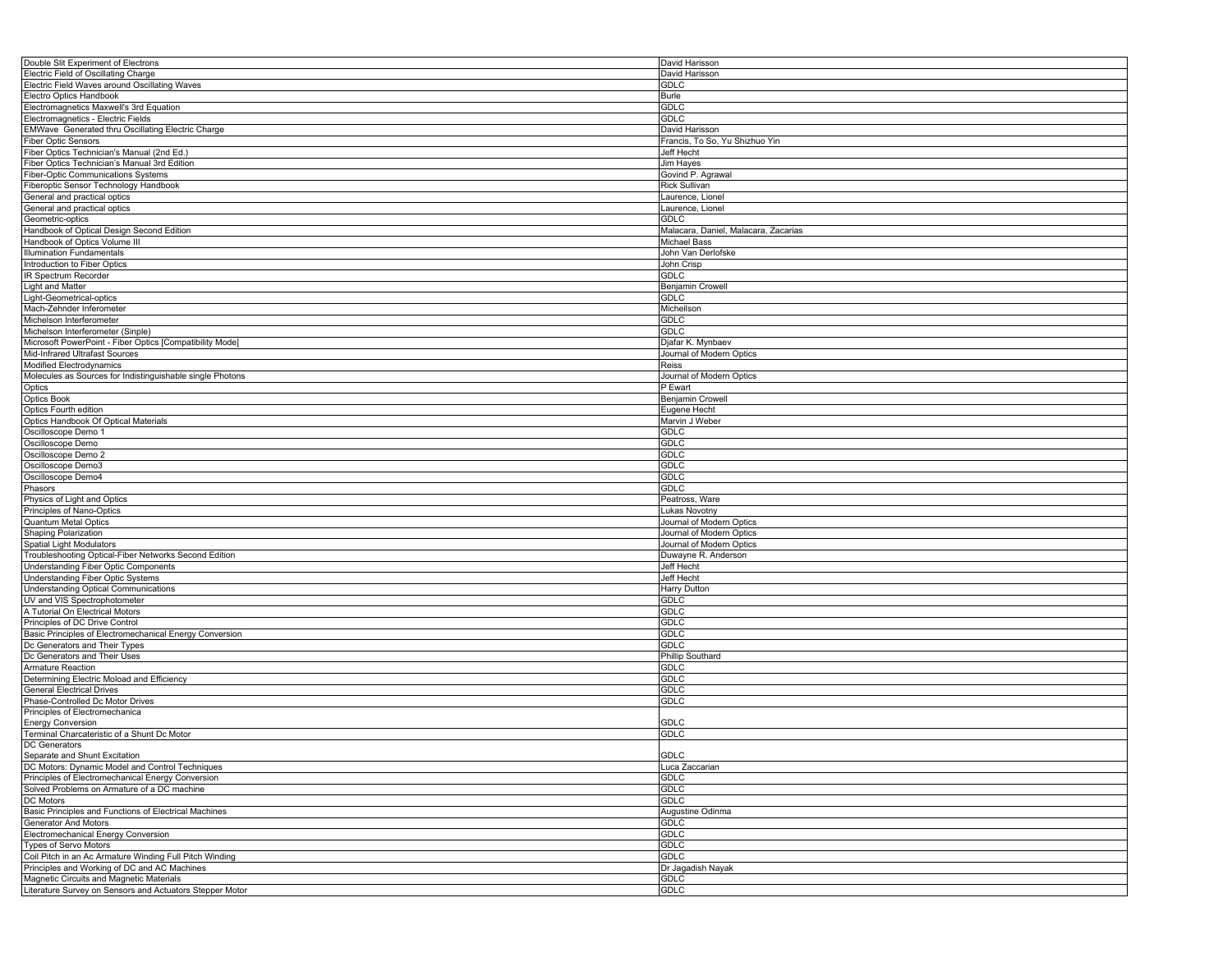| Double Slit Experiment of Electrons                       | David Harisson                       |
|-----------------------------------------------------------|--------------------------------------|
| Electric Field of Oscillating Charge                      | David Harisson                       |
| Electric Field Waves around Oscillating Waves             | <b>GDLC</b>                          |
| Electro Optics Handbook                                   | Burle                                |
| Electromagnetics Maxwell's 3rd Equation                   | GDLC                                 |
|                                                           | GDLC                                 |
| Electromagnetics - Electric Fields                        |                                      |
| EMWave Generated thru Oscillating Electric Charge         | David Harisson                       |
| <b>Fiber Optic Sensors</b>                                | Francis, To So, Yu Shizhuo Yin       |
| Fiber Optics Technician's Manual (2nd Ed.)                | Jeff Hecht                           |
| Fiber Optics Technician's Manual 3rd Edition              | Jim Hayes                            |
| Fiber-Optic Communications Systems                        | Govind P. Agrawal                    |
| Fiberoptic Sensor Technology Handbook                     | Rick Sullivan                        |
| General and practical optics                              | Laurence, Lionel                     |
| General and practical optics                              | Laurence, Lionel                     |
| Geometric-optics                                          | GDLC                                 |
|                                                           |                                      |
| Handbook of Optical Design Second Edition                 | Malacara, Daniel, Malacara, Zacarias |
| Handbook of Optics Volume III                             | Michael Bass                         |
| <b>Illumination Fundamentals</b>                          | John Van Derlofske                   |
| Introduction to Fiber Optics                              | John Crisp                           |
| IR Spectrum Recorder                                      | GDLC                                 |
| Light and Matter                                          | Benjamin Crowell                     |
| Light-Geometrical-optics                                  | <b>GDLC</b>                          |
| Mach-Zehnder Inferometer                                  | Micheilson                           |
| Michelson Interferometer                                  | GDLC                                 |
|                                                           |                                      |
| Michelson Interferometer (Sinple)                         | GDLC                                 |
| Microsoft PowerPoint - Fiber Optics [Compatibility Mode]  | Djafar K. Mynbaev                    |
| Mid-Infrared Ultrafast Sources                            | Journal of Modern Optics             |
| Modified Electrodynamics                                  | Reiss                                |
| Molecules as Sources for Indistinguishable single Photons | Journal of Modern Optics             |
| Optics                                                    | P Ewart                              |
| <b>Optics Book</b>                                        | Benjamin Crowell                     |
| Optics Fourth edition                                     | Eugene Hecht                         |
| Optics Handbook Of Optical Materials                      | Marvin J Weber                       |
|                                                           |                                      |
| Oscilloscope Demo 1                                       | GDLC                                 |
| Oscilloscope Demo                                         | GDLC                                 |
| Oscilloscope Demo 2                                       | GDLC                                 |
| Oscilloscope Demo3                                        | GDLC                                 |
| Oscilloscope Demo4                                        | GDLC                                 |
| Phasors                                                   | <b>GDLC</b>                          |
| Physics of Light and Optics                               | Peatross, Ware                       |
| Principles of Nano-Optics                                 | Lukas Novotny                        |
| <b>Quantum Metal Optics</b>                               | Journal of Modern Optics             |
| Shaping Polarization                                      | Journal of Modern Optics             |
|                                                           |                                      |
| Spatial Light Modulators                                  | Journal of Modern Optics             |
| Troubleshooting Optical-Fiber Networks Second Edition     | Duwayne R. Anderson                  |
| <b>Understanding Fiber Optic Components</b>               | Jeff Hecht                           |
| Understanding Fiber Optic Systems                         | Jeff Hecht                           |
| <b>Understanding Optical Communications</b>               | Harry Dutton                         |
| UV and VIS Spectrophotometer                              | <b>GDLC</b>                          |
| A Tutorial On Electrical Motors                           | GDLC                                 |
| Principles of DC Drive Control                            | GDLC                                 |
| Basic Principles of Electromechanical Energy Conversion   | <b>GDLC</b>                          |
| Dc Generators and Their Types                             | GDLC                                 |
| Dc Generators and Their Uses                              | <b>Phillip Southard</b>              |
|                                                           |                                      |
| Armature Reaction                                         | GDLC                                 |
| Determining Electric Moload and Efficiency                | GDLC                                 |
| <b>General Electrical Drives</b>                          | GDLC                                 |
| Phase-Controlled Dc Motor Drives                          | GDLC                                 |
| Principles of Electromechanica                            |                                      |
| <b>Energy Conversion</b>                                  | <b>GDLC</b>                          |
| Terminal Charcateristic of a Shunt Dc Motor               | <b>GDLC</b>                          |
| DC Generators                                             |                                      |
| Separate and Shunt Excitation                             | GDLC                                 |
| DC Motors: Dynamic Model and Control Techniques           | Luca Zaccarian                       |
|                                                           |                                      |
| Principles of Electromechanical Energy Conversion         | <b>GDLC</b>                          |
| Solved Problems on Armature of a DC machine               | GDLC                                 |
| DC Motors                                                 | GDLC                                 |
| Basic Principles and Functions of Electrical Machines     | Augustine Odinma                     |
| Generator And Motors                                      | GDLC                                 |
| Electromechanical Energy Conversion                       | GDLC                                 |
| <b>Types of Servo Motors</b>                              | GDLC                                 |
| Coil Pitch in an Ac Armature Winding Full Pitch Winding   | GDLC                                 |
| Principles and Working of DC and AC Machines              | Dr Jagadish Nayak                    |
| Magnetic Circuits and Magnetic Materials                  |                                      |
|                                                           | GDLC                                 |
| Literature Survey on Sensors and Actuators Stepper Motor  | <b>GDLC</b>                          |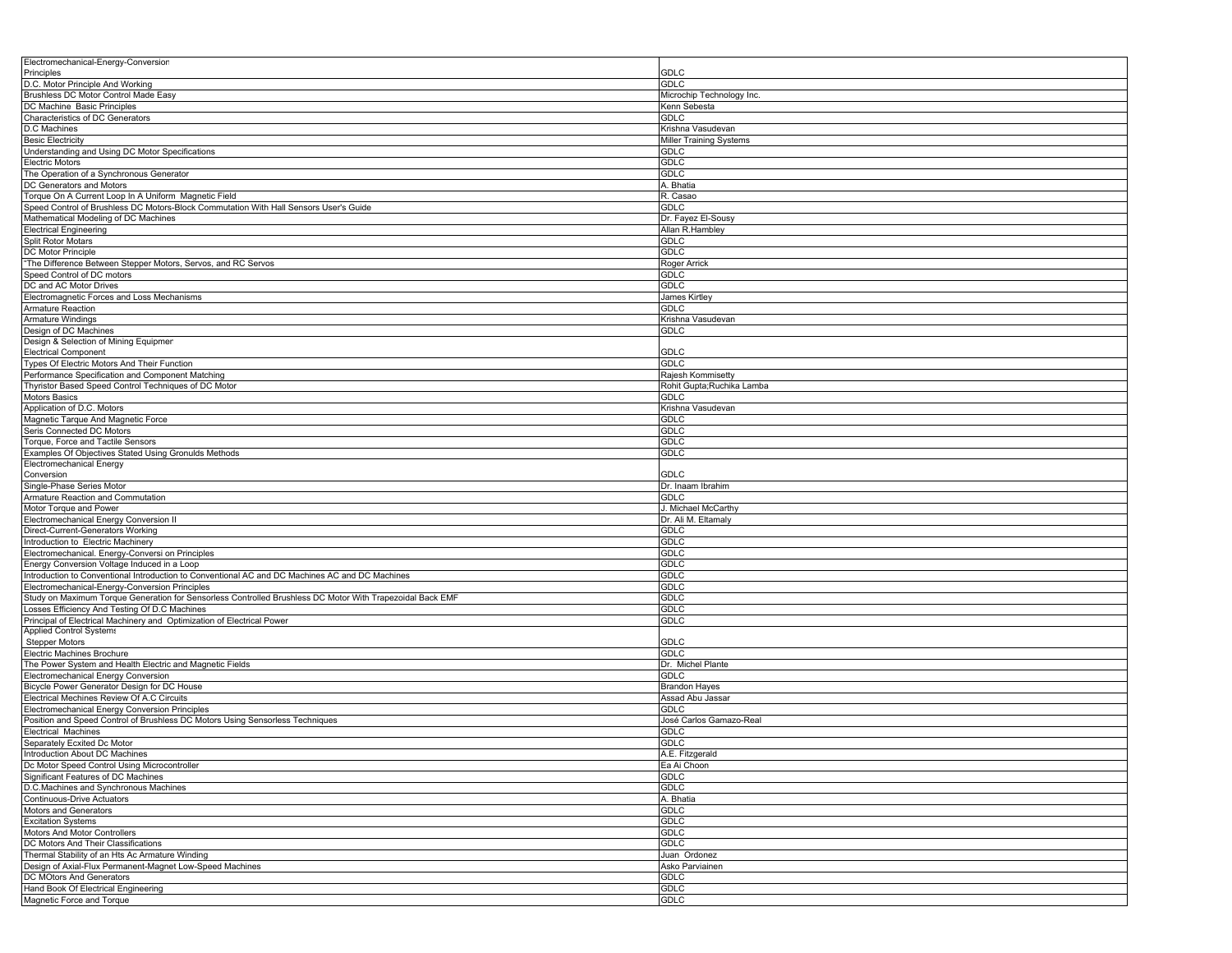| Electromechanical-Energy-Conversion                                                                                                            |                            |
|------------------------------------------------------------------------------------------------------------------------------------------------|----------------------------|
| Principles<br>D.C. Motor Principle And Working                                                                                                 | GDLC<br>GDLC               |
| Brushless DC Motor Control Made Easy                                                                                                           | Microchip Technology Inc.  |
| DC Machine Basic Principles                                                                                                                    | Kenn Sebesta               |
| Characteristics of DC Generators                                                                                                               | GDLC                       |
| D.C Machines                                                                                                                                   | Krishna Vasudevan          |
| <b>Besic Electricity</b>                                                                                                                       | Miller Training Systems    |
| Understanding and Using DC Motor Specifications                                                                                                | GDLC                       |
| <b>Electric Motors</b><br>The Operation of a Synchronous Generator                                                                             | <b>GDLC</b><br><b>GDLC</b> |
| DC Generators and Motors                                                                                                                       | A. Bhatia                  |
| Torque On A Current Loop In A Uniform Magnetic Field                                                                                           | R. Casao                   |
| Speed Control of Brushless DC Motors-Block Commutation With Hall Sensors User's Guide                                                          | GDLC                       |
| Mathematical Modeling of DC Machines                                                                                                           | Dr. Fayez El-Sousy         |
| <b>Electrical Engineering</b>                                                                                                                  | Allan R.Hambley            |
| <b>Split Rotor Motars</b>                                                                                                                      | GDLC                       |
| DC Motor Principle                                                                                                                             | GDLC                       |
| "The Difference Between Stepper Motors, Servos, and RC Servos<br>Speed Control of DC motors                                                    | Roger Arrick<br>GDLC       |
| DC and AC Motor Drives                                                                                                                         | GDLC                       |
| Electromagnetic Forces and Loss Mechanisms                                                                                                     | James Kirtley              |
| Armature Reaction                                                                                                                              | GDLC                       |
| <b>Armature Windings</b>                                                                                                                       | Krishna Vasudevan          |
| Design of DC Machines                                                                                                                          | GDLC                       |
| Design & Selection of Mining Equipmer                                                                                                          |                            |
| <b>Electrical Component</b>                                                                                                                    | GDLC                       |
| Types Of Electric Motors And Their Function<br>Performance Specification and Component Matching                                                | GDLC<br>Rajesh Kommisetty  |
| Thyristor Based Speed Control Techniques of DC Motor                                                                                           | Rohit Gupta;Ruchika Lamba  |
| Motors Basics                                                                                                                                  | GDLC                       |
| Application of D.C. Motors                                                                                                                     | Krishna Vasudevan          |
| Magnetic Tarque And Magnetic Force                                                                                                             | GDLC                       |
| Seris Connected DC Motors                                                                                                                      | GDLC                       |
| Torque, Force and Tactile Sensors                                                                                                              | GDLC                       |
| Examples Of Objectives Stated Using Gronulds Methods                                                                                           | GDLC                       |
| <b>Electromechanical Energy</b><br>Conversion                                                                                                  | GDLC                       |
| Single-Phase Series Motor                                                                                                                      | Dr. Inaam Ibrahim          |
| Armature Reaction and Commutation                                                                                                              | GDLC                       |
| Motor Torque and Power                                                                                                                         | J. Michael McCarthy        |
| Electromechanical Energy Conversion II                                                                                                         | Dr. Ali M. Eltamaly        |
| Direct-Current-Generators Working                                                                                                              | GDLC                       |
| Introduction to Electric Machinery                                                                                                             | GDLC                       |
| Electromechanical. Energy-Conversi on Principles                                                                                               | GDLC                       |
| Energy Conversion Voltage Induced in a Loop<br>Introduction to Conventional Introduction to Conventional AC and DC Machines AC and DC Machines | GDLC<br>GDLC               |
| Electromechanical-Energy-Conversion Principles                                                                                                 | GDLC                       |
| Study on Maximum Torque Generation for Sensorless Controlled Brushless DC Motor With Trapezoidal Back EMF                                      | GDLC                       |
| Losses Efficiency And Testing Of D.C Machines                                                                                                  | GDLC                       |
| Principal of Electrical Machinery and Optimization of Electrical Power                                                                         | GDLC                       |
| Applied Control Systems                                                                                                                        |                            |
| <b>Stepper Motors</b>                                                                                                                          | GDLC                       |
| Electric Machines Brochure                                                                                                                     | GDLC                       |
| The Power System and Health Electric and Magnetic Fields<br>Electromechanical Energy Conversion                                                | Dr. Michel Plante<br>GDLC  |
| Bicycle Power Generator Design for DC House                                                                                                    | Brandon Hayes              |
| Electrical Mechines Review Of A.C Circuits                                                                                                     | Assad Abu Jassar           |
| Electromechanical Energy Conversion Principles                                                                                                 | GDLC                       |
| Position and Speed Control of Brushless DC Motors Using Sensorless Techniques                                                                  | José Carlos Gamazo-Real    |
| Electrical Machines                                                                                                                            | GDLC                       |
| Separately Ecxited Dc Motor                                                                                                                    | GDLC                       |
| Introduction About DC Machines                                                                                                                 | A.E. Fitzgerald            |
| Dc Motor Speed Control Using Microcontroller<br>Significant Features of DC Machines                                                            | Ea Ai Choon<br>GDLC        |
| D.C.Machines and Synchronous Machines                                                                                                          | GDLC                       |
| <b>Continuous-Drive Actuators</b>                                                                                                              | A. Bhatia                  |
| Motors and Generators                                                                                                                          | GDLC                       |
| <b>Excitation Systems</b>                                                                                                                      | GDLC                       |
| Motors And Motor Controllers                                                                                                                   | GDLC                       |
| DC Motors And Their Classifications                                                                                                            | <b>GDLC</b>                |
| Thermal Stability of an Hts Ac Armature Winding                                                                                                | Juan Ordonez               |
| Design of Axial-Flux Permanent-Magnet Low-Speed Machines                                                                                       | Asko Parviainen            |
| DC MOtors And Generators                                                                                                                       | GDLC                       |
| Hand Book Of Electrical Engineering<br>Magnetic Force and Torque                                                                               | GDLC<br>GDLC               |
|                                                                                                                                                |                            |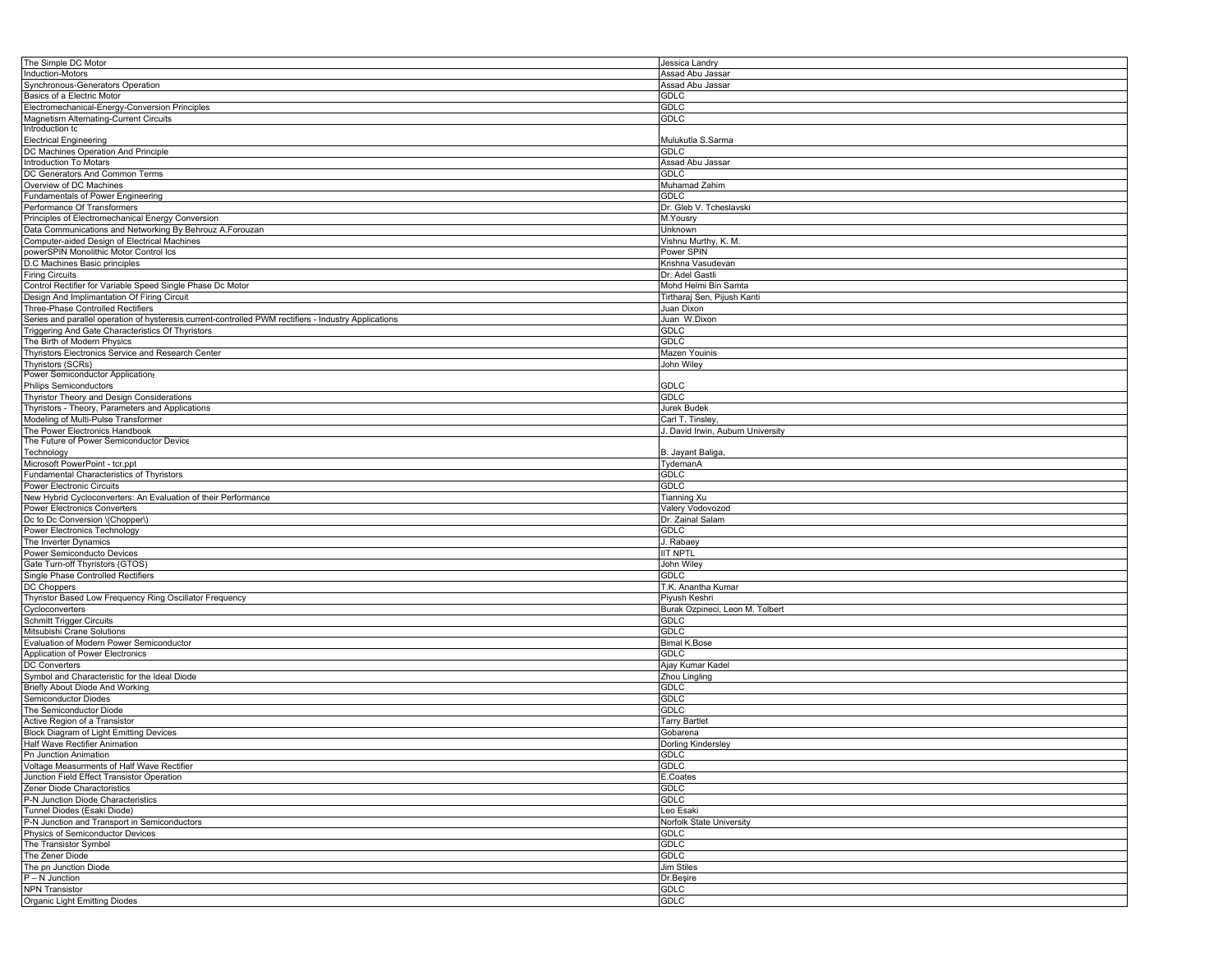| The Simple DC Motor                                                                                   | Jessica Landry                    |
|-------------------------------------------------------------------------------------------------------|-----------------------------------|
| Induction-Motors                                                                                      | Assad Abu Jassar                  |
|                                                                                                       |                                   |
| Synchronous-Generators Operation                                                                      | Assad Abu Jassar                  |
| Basics of a Electric Motor                                                                            | <b>GDLC</b>                       |
| Electromechanical-Energy-Conversion Principles                                                        | <b>GDLC</b>                       |
| Magnetism Alternating-Current Circuits                                                                | <b>GDLC</b>                       |
|                                                                                                       |                                   |
| Introduction tc                                                                                       |                                   |
| <b>Electrical Engineering</b>                                                                         | Mulukutla S.Sarma                 |
| DC Machines Operation And Principle                                                                   | <b>GDLC</b>                       |
| Introduction To Motars                                                                                | Assad Abu Jassar                  |
| DC Generators And Common Terms                                                                        | <b>GDLC</b>                       |
|                                                                                                       |                                   |
| Overview of DC Machines                                                                               | Muhamad Zahim                     |
| Fundamentals of Power Engineering                                                                     | GDLC                              |
| Performance Of Transformers                                                                           | Dr. Gleb V. Tcheslavski           |
| Principles of Electromechanical Energy Conversion                                                     | M.Yousry                          |
|                                                                                                       | Unknown                           |
| Data Communications and Networking By Behrouz A.Forouzan                                              |                                   |
| Computer-aided Design of Electrical Machines                                                          | Vishnu Murthy, K. M.              |
| powerSPIN Monolithic Motor Control Ics                                                                | Power SPIN                        |
| D.C Machines Basic principles                                                                         | Krishna Vasudevan                 |
| <b>Firing Circuits</b>                                                                                | Dr. Adel Gastli                   |
|                                                                                                       |                                   |
| Control Rectifier for Variable Speed Single Phase Dc Motor                                            | Mohd Helmi Bin Samta              |
| Design And Implimantation Of Firing Circuit                                                           | Tirtharaj Sen, Pijush Kanti       |
| Three-Phase Controlled Rectifiers                                                                     | Juan Dixon                        |
| Series and parallel operation of hysteresis current-controlled PWM rectifiers - Industry Applications | Juan W.Dixon                      |
|                                                                                                       | GDLC                              |
| Triggering And Gate Characteristics Of Thyristors                                                     |                                   |
| The Birth of Modern Physics                                                                           | <b>GDLC</b>                       |
| Thyristors Electronics Service and Research Center                                                    | Mazen Youinis                     |
| Thyristors (SCRs)                                                                                     | John Wiley                        |
| Power Semiconductor Applications                                                                      |                                   |
|                                                                                                       |                                   |
| <b>Philips Semiconductors</b>                                                                         | <b>GDLC</b>                       |
| Thyristor Theory and Design Considerations                                                            | <b>GDLC</b>                       |
| Thyristors - Theory, Parameters and Applications                                                      | Jurek Budek                       |
| Modeling of Multi-Pulse Transformer                                                                   | Carl T. Tinsley                   |
| The Power Electronics Handbook                                                                        | J. David Irwin, Auburn University |
|                                                                                                       |                                   |
| The Future of Power Semiconductor Device                                                              |                                   |
| Technology                                                                                            | B. Jayant Baliga,                 |
| Microsoft PowerPoint - tcr.ppt                                                                        | TydemanA                          |
| Fundamental Characteristics of Thyristors                                                             | <b>GDLC</b>                       |
| <b>Power Electronic Circuits</b>                                                                      | <b>GDLC</b>                       |
| New Hybrid Cycloconverters: An Evaluation of their Performance                                        | <b>Tianning Xu</b>                |
|                                                                                                       |                                   |
| <b>Power Electronics Converters</b>                                                                   | Valery Vodovozod                  |
| Dc to Dc Conversion \(Chopper\)                                                                       | Dr. Zainal Salam                  |
| Power Electronics Technology                                                                          | GDLC                              |
| The Inverter Dynamics                                                                                 | J. Rabaey                         |
| Power Semiconducto Devices                                                                            | <b>IIT NPTL</b>                   |
| Gate Turn-off Thyristors (GTOS)                                                                       | John Wiley                        |
|                                                                                                       |                                   |
| Single Phase Controlled Rectifiers                                                                    | <b>GDLC</b>                       |
| DC Choppers                                                                                           | T.K. Anantha Kumar                |
| Thyristor Based Low Frequency Ring Oscillator Frequency                                               | Piyush Keshri                     |
| Cycloconverters                                                                                       | Burak Ozpineci, Leon M. Tolbert   |
|                                                                                                       | GDLC                              |
| <b>Schmitt Trigger Circuits</b>                                                                       |                                   |
| Mitsubishi Crane Solutions                                                                            | <b>GDLC</b>                       |
| Evaluation of Modern Power Semiconductor                                                              | <b>Bimal K.Bose</b>               |
| Application of Power Electronics                                                                      | <b>GDLC</b>                       |
| <b>DC Converters</b>                                                                                  | Ajay Kumar Kadel                  |
| Symbol and Characteristic for the Ideal Diode                                                         | Zhou Lingling                     |
| Briefly About Diode And Working                                                                       | <b>GDLC</b>                       |
|                                                                                                       |                                   |
| Semiconductor Diodes                                                                                  | <b>GDLC</b>                       |
| The Semiconductor Diode                                                                               | <b>GDLC</b>                       |
| Active Region of a Transistor                                                                         | <b>Tarry Bartlet</b>              |
| Block Diagram of Light Emitting Devices                                                               | Gobarena                          |
| Half Wave Rectifier Animation                                                                         | <b>Dorling Kindersley</b>         |
| Pn Junction Animation                                                                                 | GDLC                              |
|                                                                                                       |                                   |
| Voltage Measurments of Half Wave Rectifier                                                            | <b>GDLC</b>                       |
| Junction Field Effect Transistor Operation                                                            | E.Coates                          |
| Zener Diode Charactoristics                                                                           | GDLC                              |
| P-N Junction Diode Characteristics                                                                    | <b>GDLC</b>                       |
| Tunnel Diodes (Esaki Diode)                                                                           | Leo Esaki                         |
| P-N Junction and Transport in Semiconductors                                                          | Norfolk State University          |
|                                                                                                       |                                   |
| Physics of Semiconductor Devices                                                                      | GDLC                              |
| The Transistor Symbol                                                                                 | GDLC                              |
| The Zener Diode                                                                                       | <b>GDLC</b>                       |
| The pn Junction Diode                                                                                 | <b>Jim Stiles</b>                 |
| $P - N$ Junction                                                                                      | Dr.Beşire                         |
| <b>NPN Transistor</b>                                                                                 | <b>GDLC</b>                       |
|                                                                                                       |                                   |
| Organic Light Emitting Diodes                                                                         | GDLC                              |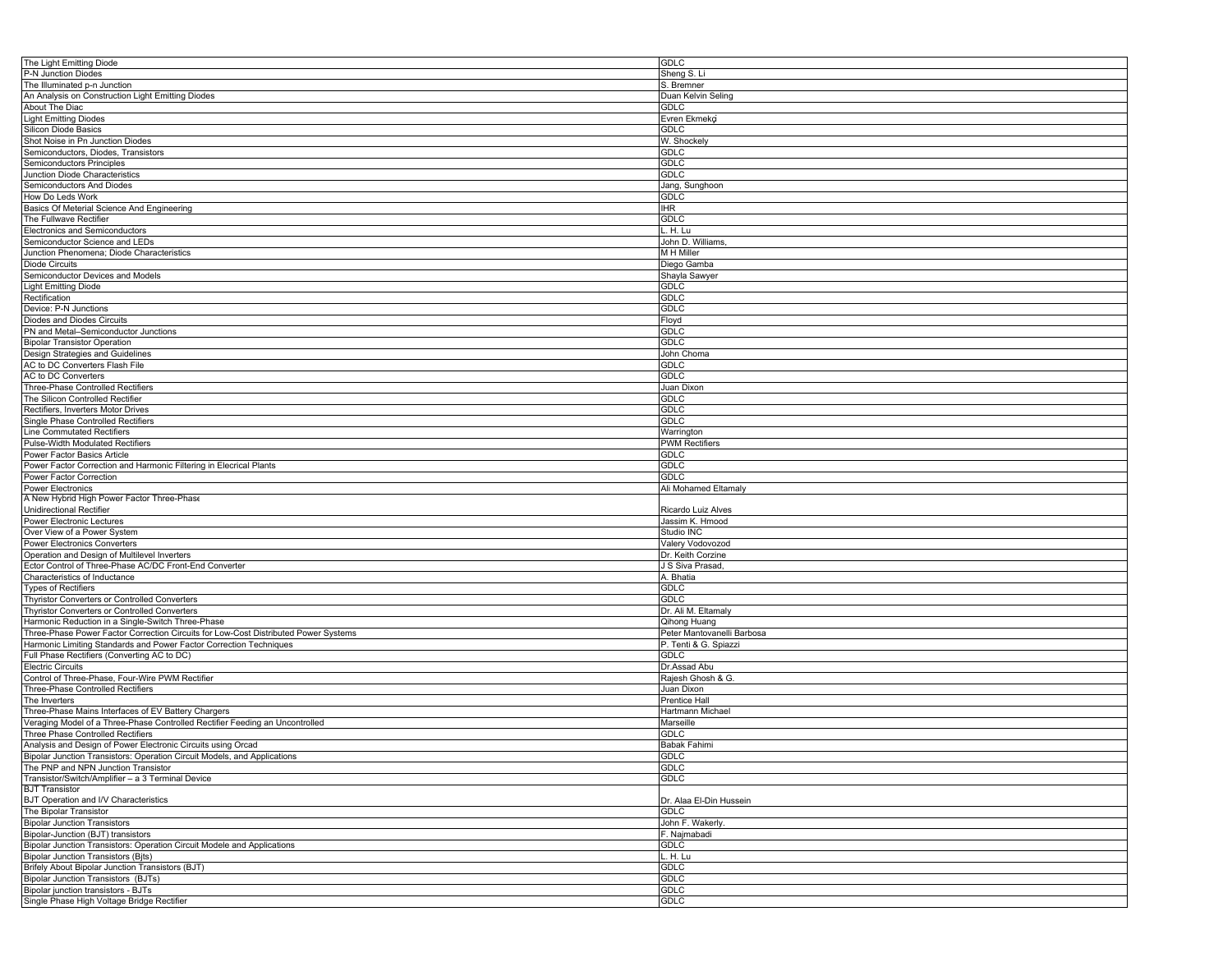| The Light Emitting Diode                                                            | <b>GDLC</b>                |
|-------------------------------------------------------------------------------------|----------------------------|
| P-N Junction Diodes                                                                 | Sheng S. Li                |
| The Illuminated p-n Junction                                                        | S. Bremner                 |
| An Analysis on Construction Light Emitting Diodes                                   | Duan Kelvin Seling         |
| About The Diac                                                                      | <b>GDLC</b>                |
|                                                                                     |                            |
| <b>Light Emitting Diodes</b>                                                        | Evren Ekmekçi              |
| Silicon Diode Basics                                                                | GDLC                       |
| Shot Noise in Pn Junction Diodes                                                    | W. Shockely                |
| Semiconductors, Diodes, Transistors                                                 | <b>GDLC</b>                |
| Semiconductors Principles                                                           | <b>GDLC</b>                |
| Junction Diode Characteristics                                                      | GDLC                       |
| Semiconductors And Diodes                                                           | Jang, Sunghoon             |
| How Do Leds Work                                                                    | <b>GDLC</b>                |
|                                                                                     |                            |
| Basics Of Meterial Science And Engineering                                          | <b>IHR</b>                 |
| The Fullwave Rectifier                                                              | GDLC                       |
| Electronics and Semiconductors                                                      | H. Lu                      |
| Semiconductor Science and LEDs                                                      | John D. Williams,          |
| Junction Phenomena; Diode Characteristics                                           | M H Miller                 |
| <b>Diode Circuits</b>                                                               | Diego Gamba                |
| Semiconductor Devices and Models                                                    | Shayla Sawyer              |
| <b>Light Emitting Diode</b>                                                         | <b>GDLC</b>                |
|                                                                                     |                            |
| Rectification                                                                       | <b>GDLC</b>                |
| Device: P-N Junctions                                                               | GDLC                       |
| Diodes and Diodes Circuits                                                          | Floyd                      |
| PN and Metal-Semiconductor Junctions                                                | <b>GDLC</b>                |
| <b>Bipolar Transistor Operation</b>                                                 | <b>GDLC</b>                |
| Design Strategies and Guidelines                                                    | John Choma                 |
| AC to DC Converters Flash File                                                      | GDLC                       |
| AC to DC Converters                                                                 | <b>GDLC</b>                |
|                                                                                     |                            |
| Three-Phase Controlled Rectifiers                                                   | Juan Dixon                 |
| The Silicon Controlled Rectifier                                                    | <b>GDLC</b>                |
| Rectifiers, Inverters Motor Drives                                                  | GDLC                       |
| Single Phase Controlled Rectifiers                                                  | GDLC                       |
| <b>Line Commutated Rectifiers</b>                                                   | Warrington                 |
| Pulse-Width Modulated Rectifiers                                                    | <b>PWM Rectifiers</b>      |
| Power Factor Basics Article                                                         | <b>GDLC</b>                |
| Power Factor Correction and Harmonic Filtering in Elecrical Plants                  | <b>GDLC</b>                |
| Power Factor Correction                                                             | <b>GDLC</b>                |
|                                                                                     |                            |
|                                                                                     |                            |
| <b>Power Electronics</b>                                                            | Ali Mohamed Eltamaly       |
| A New Hybrid High Power Factor Three-Phase                                          |                            |
| Unidirectional Rectifier                                                            | Ricardo Luiz Alves         |
| <b>Power Electronic Lectures</b>                                                    | Jassim K. Hmood            |
|                                                                                     | Studio INC                 |
| Over View of a Power System                                                         |                            |
| Power Electronics Converters                                                        | Valery Vodovozod           |
| Operation and Design of Multilevel Inverters                                        | Dr. Keith Corzine          |
| Ector Control of Three-Phase AC/DC Front-End Converter                              | J S Siva Prasad,           |
| Characteristics of Inductance                                                       | A. Bhatia                  |
| <b>Types of Rectifiers</b>                                                          | GDLC                       |
| Thyristor Converters or Controlled Converters                                       | <b>GDLC</b>                |
| Thyristor Converters or Controlled Converters                                       | Dr. Ali M. Eltamaly        |
|                                                                                     | Qihong Huang               |
| Harmonic Reduction in a Single-Switch Three-Phase                                   |                            |
| Three-Phase Power Factor Correction Circuits for Low-Cost Distributed Power Systems | Peter Mantovanelli Barbosa |
| Harmonic Limiting Standards and Power Factor Correction Techniques                  | P. Tenti & G. Spiazzi      |
| Full Phase Rectifiers (Converting AC to DC)                                         | <b>GDLC</b>                |
| <b>Electric Circuits</b>                                                            | Dr.Assad Abu               |
| Control of Three-Phase, Four-Wire PWM Rectifier                                     | Rajesh Ghosh & G.          |
| Three-Phase Controlled Rectifiers                                                   | Juan Dixon                 |
| The Inverters                                                                       | Prentice Hall              |
| Three-Phase Mains Interfaces of EV Battery Chargers                                 | Hartmann Michael           |
|                                                                                     | Marseille                  |
| Veraging Model of a Three-Phase Controlled Rectifier Feeding an Uncontrolled        |                            |
| Three Phase Controlled Rectifiers                                                   | GDLC                       |
| Analysis and Design of Power Electronic Circuits using Orcad                        | <b>Babak Fahimi</b>        |
| Bipolar Junction Transistors: Operation Circuit Models, and Applications            | <b>GDLC</b>                |
| The PNP and NPN Junction Transistor                                                 | GDLC                       |
| Transistor/Switch/Amplifier - a 3 Terminal Device                                   | <b>GDLC</b>                |
| <b>BJT Transistor</b>                                                               |                            |
| BJT Operation and I/V Characteristics                                               | Dr. Alaa El-Din Hussein    |
| The Bipolar Transistor                                                              | GDLC                       |
|                                                                                     |                            |
| <b>Bipolar Junction Transistors</b>                                                 | John F. Wakerly.           |
| Bipolar-Junction (BJT) transistors                                                  | F. Najmabadi               |
| Bipolar Junction Transistors: Operation Circuit Modele and Applications             | <b>GDLC</b>                |
| <b>Bipolar Junction Transistors (Bjts)</b>                                          | L. H. Lu                   |
| Brifely About Bipolar Junction Transistors (BJT)                                    | <b>GDLC</b>                |
| <b>Bipolar Junction Transistors (BJTs)</b>                                          | <b>GDLC</b>                |
| Bipolar junction transistors - BJTs<br>Single Phase High Voltage Bridge Rectifier   | GDLC<br><b>GDLC</b>        |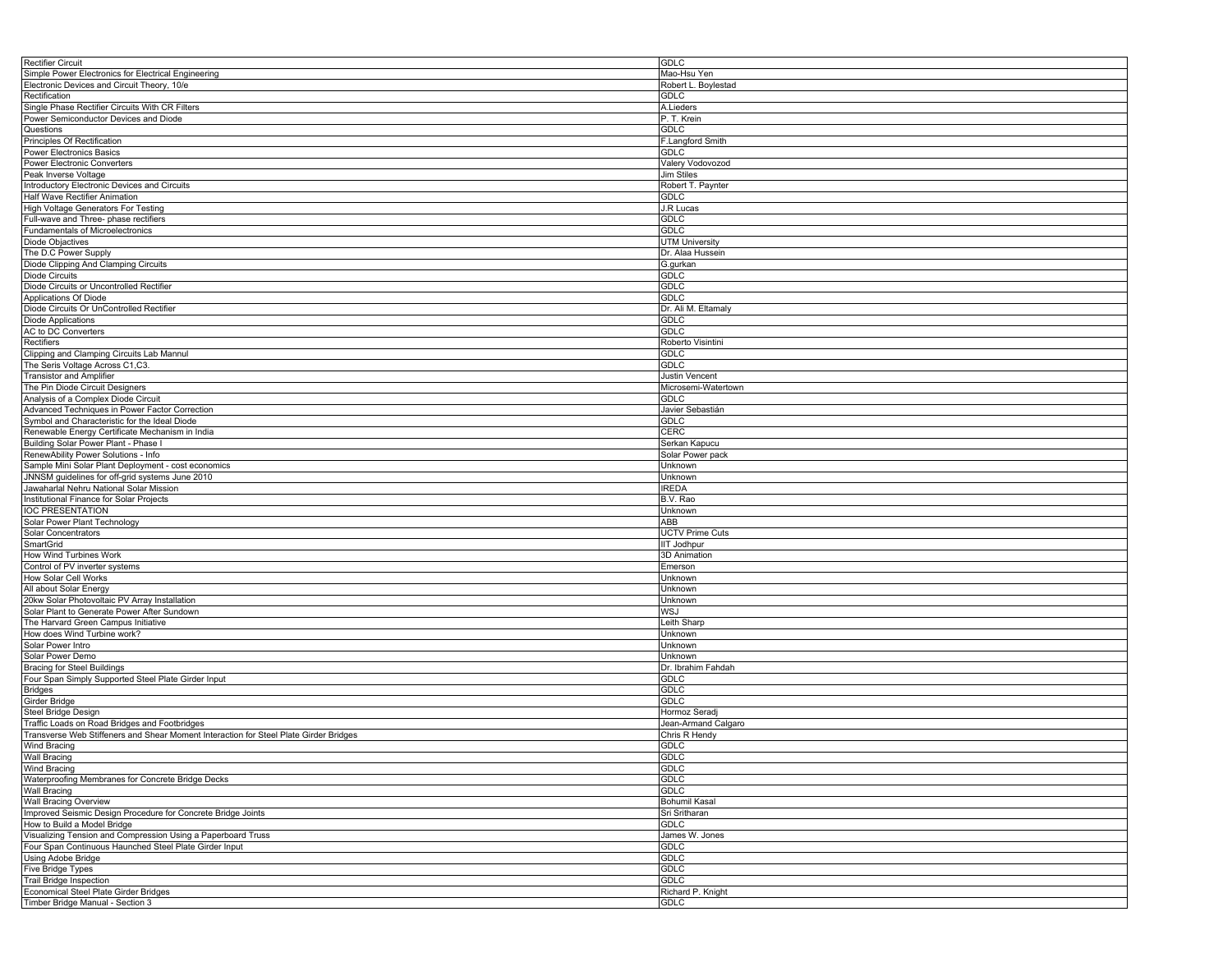| <b>Rectifier Circuit</b>                                                              | <b>GDLC</b>            |
|---------------------------------------------------------------------------------------|------------------------|
| Simple Power Electronics for Electrical Engineering                                   | Mao-Hsu Yen            |
| Electronic Devices and Circuit Theory, 10/e                                           | Robert L. Boylestad    |
| Rectification                                                                         | GDLC                   |
| Single Phase Rectifier Circuits With CR Filters                                       |                        |
|                                                                                       | A.Lieders              |
| Power Semiconductor Devices and Diode                                                 | P. T. Krein            |
| Questions                                                                             | GDLC                   |
| Principles Of Rectification                                                           | F.Langford Smith       |
| Power Electronics Basics                                                              | <b>GDLC</b>            |
| Power Electronic Converters                                                           | Valery Vodovozod       |
| Peak Inverse Voltage                                                                  | Jim Stiles             |
| Introductory Electronic Devices and Circuits                                          | Robert T. Paynter      |
|                                                                                       | <b>GDLC</b>            |
| Half Wave Rectifier Animation                                                         |                        |
| High Voltage Generators For Testing                                                   | J.R Lucas              |
| Full-wave and Three- phase rectifiers                                                 | <b>GDLC</b>            |
| Fundamentals of Microelectronics                                                      | GDLC                   |
| Diode Objactives                                                                      | <b>UTM University</b>  |
| The D.C Power Supply                                                                  | Dr. Alaa Hussein       |
| Diode Clipping And Clamping Circuits                                                  | G.gurkan               |
| <b>Diode Circuits</b>                                                                 | <b>GDLC</b>            |
|                                                                                       |                        |
| Diode Circuits or Uncontrolled Rectifier                                              | GDLC                   |
| Applications Of Diode                                                                 | GDLC                   |
| Diode Circuits Or UnControlled Rectifier                                              | Dr. Ali M. Eltamaly    |
| Diode Applications                                                                    | <b>GDLC</b>            |
| AC to DC Converters                                                                   | <b>GDLC</b>            |
| Rectifiers                                                                            | Roberto Visintini      |
| Clipping and Clamping Circuits Lab Mannul                                             | GDLC                   |
| The Seris Voltage Across C1,C3.                                                       | <b>GDLC</b>            |
|                                                                                       | <b>Justin Vencent</b>  |
| <b>Transistor and Amplifier</b>                                                       |                        |
| The Pin Diode Circuit Designers                                                       | Microsemi-Watertown    |
| Analysis of a Complex Diode Circuit                                                   | GDLC                   |
| Advanced Techniques in Power Factor Correction                                        | Javier Sebastián       |
| Symbol and Characteristic for the Ideal Diode                                         | GDLC                   |
| Renewable Energy Certificate Mechanism in India                                       | CERC                   |
| Building Solar Power Plant - Phase I                                                  | Serkan Kapucu          |
| RenewAbility Power Solutions - Info                                                   | Solar Power pack       |
|                                                                                       |                        |
| Sample Mini Solar Plant Deployment - cost economics                                   | Unknown                |
| JNNSM guidelines for off-grid systems June 2010                                       | Unknown                |
| Jawaharlal Nehru National Solar Mission                                               | <b>IREDA</b>           |
| Institutional Finance for Solar Projects                                              | B.V. Rao               |
| IOC PRESENTATION                                                                      | Unknown                |
| Solar Power Plant Technology                                                          | ABB                    |
| Solar Concentrators                                                                   | <b>UCTV Prime Cuts</b> |
| SmartGrid                                                                             | IIT Jodhpur            |
| How Wind Turbines Work                                                                | 3D Animation           |
|                                                                                       |                        |
| Control of PV inverter systems                                                        | Emerson                |
| How Solar Cell Works                                                                  | Unknown                |
| All about Solar Energy                                                                | Unknown                |
| 20kw Solar Photovoltaic PV Array Installation                                         | Unknown                |
| Solar Plant to Generate Power After Sundown                                           | WSJ                    |
| The Harvard Green Campus Initiative                                                   | Leith Sharp            |
| How does Wind Turbine work?                                                           | Unknown                |
| Solar Power Intro                                                                     | Unknown                |
| Solar Power Demo                                                                      | Unknown                |
|                                                                                       |                        |
| <b>Bracing for Steel Buildings</b>                                                    | Dr. Ibrahim Fahdah     |
| Four Span Simply Supported Steel Plate Girder Input                                   | GDLC                   |
| <b>Bridges</b>                                                                        | <b>GDLC</b>            |
| Girder Bridge                                                                         | <b>GDLC</b>            |
| <b>Steel Bridge Design</b>                                                            | Hormoz Seradj          |
| Traffic Loads on Road Bridges and Footbridges                                         | Jean-Armand Calgaro    |
| Transverse Web Stiffeners and Shear Moment Interaction for Steel Plate Girder Bridges | Chris R Hendy          |
| <b>Wind Bracing</b>                                                                   | <b>GDLC</b>            |
|                                                                                       |                        |
| Wall Bracing                                                                          | GDLC                   |
| <b>Wind Bracing</b>                                                                   | <b>GDLC</b>            |
| Waterproofing Membranes for Concrete Bridge Decks                                     | <b>GDLC</b>            |
| Wall Bracing                                                                          | GDLC                   |
| <b>Wall Bracing Overview</b>                                                          | Bohumil Kasal          |
| Improved Seismic Design Procedure for Concrete Bridge Joints                          | Sri Sritharan          |
| How to Build a Model Bridge                                                           | <b>GDLC</b>            |
| Visualizing Tension and Compression Using a Paperboard Truss                          | James W. Jones         |
|                                                                                       |                        |
| Four Span Continuous Haunched Steel Plate Girder Input                                | GDLC                   |
| Using Adobe Bridge                                                                    | GDLC                   |
| Five Bridge Types                                                                     | <b>GDLC</b>            |
| Trail Bridge Inspection                                                               | <b>GDLC</b>            |
| Economical Steel Plate Girder Bridges                                                 | Richard P. Knight      |
| Timber Bridge Manual - Section 3                                                      | <b>GDLC</b>            |
|                                                                                       |                        |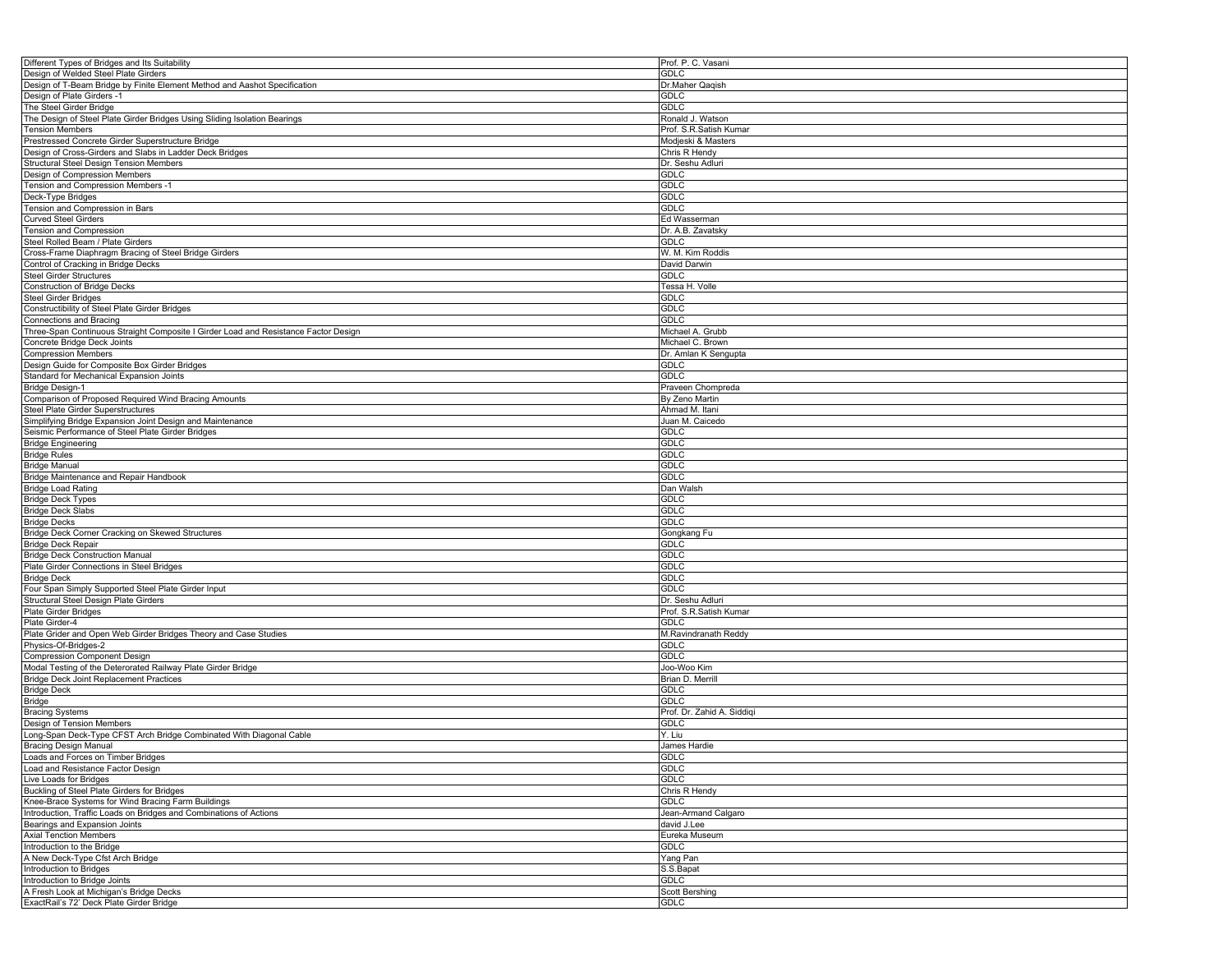| Different Types of Bridges and Its Suitability                                      | Prof. P. C. Vasani         |
|-------------------------------------------------------------------------------------|----------------------------|
| Design of Welded Steel Plate Girders                                                | GDLC                       |
| Design of T-Beam Bridge by Finite Element Method and Aashot Specification           | Dr.Maher Qaqish            |
| Design of Plate Girders -1                                                          | <b>GDLC</b>                |
|                                                                                     | GDLC                       |
| The Steel Girder Bridge                                                             |                            |
| The Design of Steel Plate Girder Bridges Using Sliding Isolation Bearings           | Ronald J. Watson           |
| <b>Tension Members</b>                                                              | Prof. S.R.Satish Kumar     |
| Prestressed Concrete Girder Superstructure Bridge                                   | Modjeski & Masters         |
| Design of Cross-Girders and Slabs in Ladder Deck Bridges                            | Chris R Hendy              |
| <b>Structural Steel Design Tension Members</b>                                      | Dr. Seshu Adluri           |
| Design of Compression Members                                                       | GDLC                       |
| Tension and Compression Members -1                                                  | <b>GDLC</b>                |
|                                                                                     | GDLC                       |
| Deck-Type Bridges                                                                   |                            |
| Tension and Compression in Bars                                                     | <b>GDLC</b>                |
| <b>Curved Steel Girders</b>                                                         | Ed Wasserman               |
| Tension and Compression                                                             | Dr. A.B. Zavatsky          |
| Steel Rolled Beam / Plate Girders                                                   | <b>GDLC</b>                |
| Cross-Frame Diaphragm Bracing of Steel Bridge Girders                               | W. M. Kim Roddis           |
| Control of Cracking in Bridge Decks                                                 | David Darwin               |
| <b>Steel Girder Structures</b>                                                      | GDLC                       |
|                                                                                     |                            |
| <b>Construction of Bridge Decks</b>                                                 | Tessa H. Volle             |
| Steel Girder Bridges                                                                | GDLC                       |
| Constructibility of Steel Plate Girder Bridges                                      | GDLC                       |
| Connections and Bracing                                                             | <b>GDLC</b>                |
| Three-Span Continuous Straight Composite I Girder Load and Resistance Factor Design | Michael A. Grubb           |
| Concrete Bridge Deck Joints                                                         | Michael C. Brown           |
| <b>Compression Members</b>                                                          | Dr. Amlan K Sengupta       |
| Design Guide for Composite Box Girder Bridges                                       | GDLC                       |
|                                                                                     |                            |
| Standard for Mechanical Expansion Joints                                            | <b>GDLC</b>                |
| <b>Bridge Design-1</b>                                                              | Praveen Chompreda          |
| Comparison of Proposed Required Wind Bracing Amounts                                | By Zeno Martin             |
| Steel Plate Girder Superstructures                                                  | Ahmad M. Itani             |
| Simplifying Bridge Expansion Joint Design and Maintenance                           | Juan M. Caicedo            |
| Seismic Performance of Steel Plate Girder Bridges                                   | <b>GDLC</b>                |
| <b>Bridge Engineering</b>                                                           | <b>GDLC</b>                |
|                                                                                     |                            |
| <b>Bridge Rules</b>                                                                 | GDLC                       |
| <b>Bridge Manual</b>                                                                | GDLC                       |
| Bridge Maintenance and Repair Handbook                                              | GDLC                       |
| <b>Bridge Load Rating</b>                                                           | Dan Walsh                  |
| <b>Bridge Deck Types</b>                                                            | <b>GDLC</b>                |
| <b>Bridge Deck Slabs</b>                                                            | GDLC                       |
| <b>Bridge Decks</b>                                                                 | GDLC                       |
|                                                                                     | Gongkang Fu                |
| Bridge Deck Corner Cracking on Skewed Structures                                    |                            |
| <b>Bridge Deck Repair</b>                                                           | <b>GDLC</b>                |
| <b>Bridge Deck Construction Manual</b>                                              | <b>GDLC</b>                |
| Plate Girder Connections in Steel Bridges                                           | GDLC                       |
| <b>Bridge Deck</b>                                                                  | <b>GDLC</b>                |
| Four Span Simply Supported Steel Plate Girder Input                                 | <b>GDLC</b>                |
| Structural Steel Design Plate Girders                                               | Dr. Seshu Adluri           |
| Plate Girder Bridges                                                                | Prof. S.R.Satish Kumar     |
| Plate Girder-4                                                                      | GDLC                       |
|                                                                                     |                            |
| Plate Grider and Open Web Girder Bridges Theory and Case Studies                    | M.Ravindranath Reddy       |
| Physics-Of-Bridges-2                                                                | GDLC                       |
| <b>Compression Component Design</b>                                                 | <b>GDLC</b>                |
| Modal Testing of the Deterorated Railway Plate Girder Bridge                        | Joo-Woo Kim                |
| <b>Bridge Deck Joint Replacement Practices</b>                                      | Brian D. Merrill           |
| <b>Bridge Deck</b>                                                                  | GDLC                       |
| Bridge                                                                              | GDLC                       |
| <b>Bracing Systems</b>                                                              | Prof. Dr. Zahid A. Siddigi |
| Design of Tension Members                                                           | GDLC                       |
|                                                                                     |                            |
| Long-Span Deck-Type CFST Arch Bridge Combinated With Diagonal Cable                 | Y. Liu                     |
| <b>Bracing Design Manual</b>                                                        | James Hardie               |
| Loads and Forces on Timber Bridges                                                  | <b>GDLC</b>                |
| Load and Resistance Factor Design                                                   | <b>GDLC</b>                |
| Live Loads for Bridges                                                              | <b>GDLC</b>                |
| Buckling of Steel Plate Girders for Bridges                                         | Chris R Hendy              |
| Knee-Brace Systems for Wind Bracing Farm Buildings                                  | GDLC                       |
| Introduction, Traffic Loads on Bridges and Combinations of Actions                  | Jean-Armand Calgaro        |
|                                                                                     |                            |
| Bearings and Expansion Joints                                                       | david J.Lee                |
| <b>Axial Tenction Members</b>                                                       | Eureka Museum              |
| Introduction to the Bridge                                                          | <b>GDLC</b>                |
| A New Deck-Type Cfst Arch Bridge                                                    | Yang Pan                   |
| Introduction to Bridges                                                             | S.S.Bapat                  |
| Introduction to Bridge Joints                                                       | <b>GDLC</b>                |
| A Fresh Look at Michigan's Bridge Decks                                             | <b>Scott Bershing</b>      |
| ExactRail's 72' Deck Plate Girder Bridge                                            | <b>GDLC</b>                |
|                                                                                     |                            |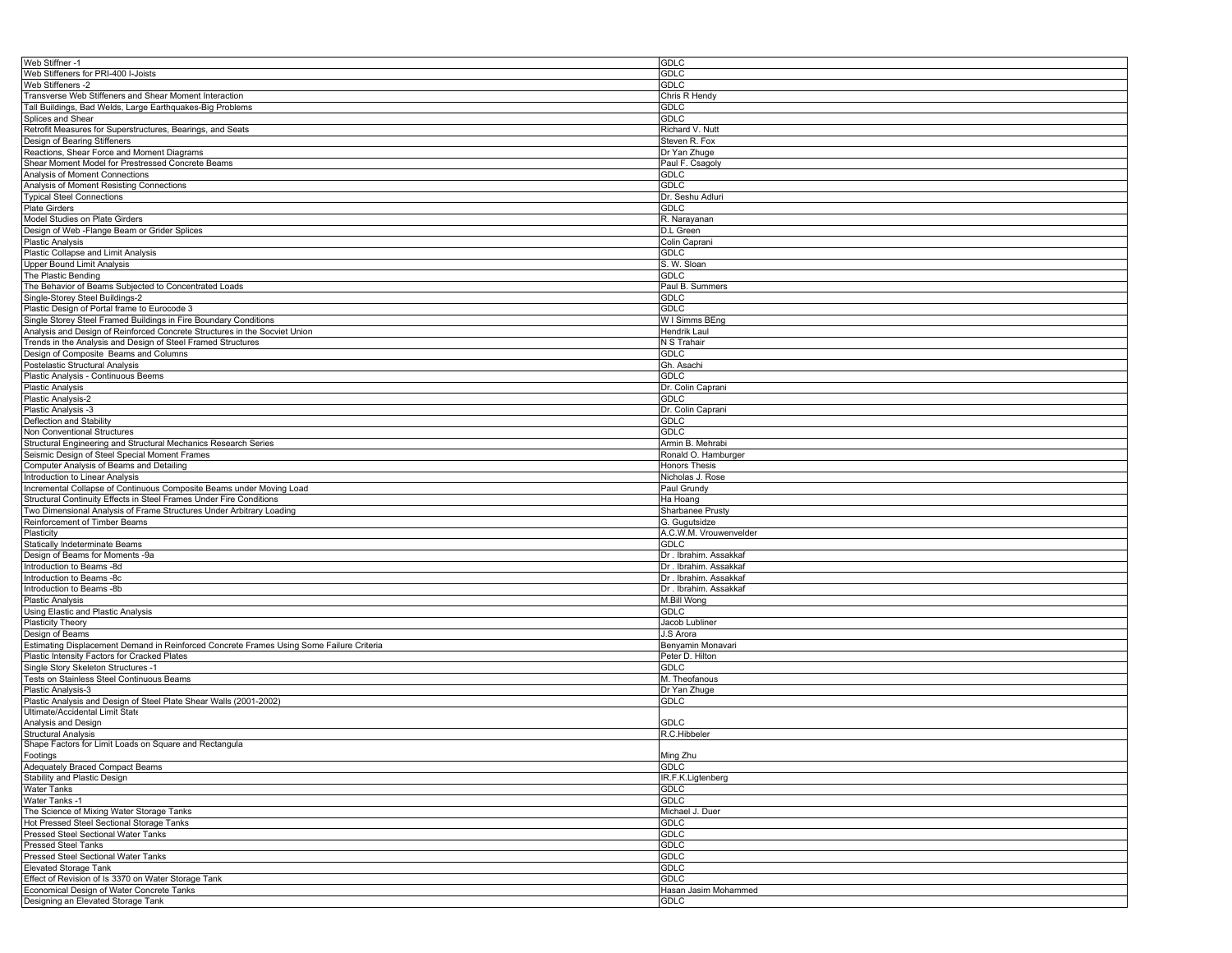| Web Stiffner -1                                                                          | GDLC                   |
|------------------------------------------------------------------------------------------|------------------------|
| Web Stiffeners for PRI-400 I-Joists                                                      | <b>GDLC</b>            |
| Web Stiffeners -2                                                                        | GDLC                   |
| Transverse Web Stiffeners and Shear Moment Interaction                                   | Chris R Hendy          |
| Tall Buildings, Bad Welds, Large Earthquakes-Big Problems                                | <b>GDLC</b>            |
|                                                                                          |                        |
| Splices and Shear                                                                        | <b>GDLC</b>            |
| Retrofit Measures for Superstructures, Bearings, and Seats                               | Richard V. Nutt        |
| Design of Bearing Stiffeners                                                             | Steven R. Fox          |
| Reactions, Shear Force and Moment Diagrams                                               | Dr Yan Zhuge           |
| Shear Moment Model for Prestressed Concrete Beams                                        | Paul F. Csagoly        |
| Analysis of Moment Connections                                                           | <b>GDLC</b>            |
| Analysis of Moment Resisting Connections                                                 | <b>GDLC</b>            |
| <b>Typical Steel Connections</b>                                                         | Dr. Seshu Adluri       |
| Plate Girders                                                                            | <b>GDLC</b>            |
| Model Studies on Plate Girders                                                           | R. Narayanan           |
|                                                                                          |                        |
| Design of Web - Flange Beam or Grider Splices                                            | D.L Green              |
| Plastic Analysis                                                                         | Colin Caprani          |
| Plastic Collapse and Limit Analysis                                                      | <b>GDLC</b>            |
| <b>Upper Bound Limit Analysis</b>                                                        | S. W. Sloan            |
| The Plastic Bending                                                                      | <b>GDLC</b>            |
| The Behavior of Beams Subjected to Concentrated Loads                                    | Paul B. Summers        |
| Single-Storey Steel Buildings-2                                                          | <b>GDLC</b>            |
| Plastic Design of Portal frame to Eurocode 3                                             | GDLC                   |
| Single Storey Steel Framed Buildings in Fire Boundary Conditions                         | W I Simms BEng         |
|                                                                                          |                        |
| Analysis and Design of Reinforced Concrete Structures in the Socviet Union               | Hendrik Laul           |
| Trends in the Analysis and Design of Steel Framed Structures                             | N S Trahair            |
| Design of Composite Beams and Columns                                                    | <b>GDLC</b>            |
| Postelastic Structural Analysis                                                          | Gh. Asachi             |
| Plastic Analysis - Continuous Beems                                                      | <b>GDLC</b>            |
| <b>Plastic Analysis</b>                                                                  | Dr. Colin Caprani      |
| Plastic Analysis-2                                                                       | <b>GDLC</b>            |
| Plastic Analysis -3                                                                      | Dr. Colin Caprani      |
|                                                                                          |                        |
| Deflection and Stability                                                                 | <b>GDLC</b>            |
| Non Conventional Structures                                                              | <b>GDLC</b>            |
| Structural Engineering and Structural Mechanics Research Series                          | Armin B. Mehrabi       |
| Seismic Design of Steel Special Moment Frames                                            | Ronald O. Hamburger    |
| Computer Analysis of Beams and Detailing                                                 | <b>Honors Thesis</b>   |
| Introduction to Linear Analysis                                                          | Nicholas J. Rose       |
| Incremental Collapse of Continuous Composite Beams under Moving Load                     | Paul Grundy            |
| Structural Continuity Effects in Steel Frames Under Fire Conditions                      | Ha Hoang               |
| Two Dimensional Analysis of Frame Structures Under Arbitrary Loading                     | Sharbanee Prusty       |
|                                                                                          |                        |
| Reinforcement of Timber Beams                                                            | G. Gugutsidze          |
| Plasticity                                                                               | A.C.W.M. Vrouwenvelder |
| Statically Indeterminate Beams                                                           | <b>GDLC</b>            |
| Design of Beams for Moments -9a                                                          | Dr. Ibrahim. Assakkaf  |
| Introduction to Beams -8d                                                                | Dr. Ibrahim. Assakkaf  |
| Introduction to Beams -8c                                                                | Dr. Ibrahim. Assakkat  |
| Introduction to Beams -8b                                                                | Dr. Ibrahim. Assakkaf  |
| <b>Plastic Analysis</b>                                                                  | M.Bill Wong            |
| Using Elastic and Plastic Analysis                                                       | <b>GDLC</b>            |
|                                                                                          |                        |
| <b>Plasticity Theory</b>                                                                 | Jacob Lubliner         |
| Design of Beams                                                                          | J.S Arora              |
| Estimating Displacement Demand in Reinforced Concrete Frames Using Some Failure Criteria | Benyamin Monavari      |
| Plastic Intensity Factors for Cracked Plates                                             | Peter D. Hilton        |
| Single Story Skeleton Structures -1                                                      | <b>GDLC</b>            |
| Tests on Stainless Steel Continuous Beams                                                | M. Theofanous          |
| Plastic Analysis-3                                                                       | Dr Yan Zhuge           |
| Plastic Analysis and Design of Steel Plate Shear Walls (2001-2002)                       | GDLC                   |
| Ultimate/Accidental Limit State                                                          |                        |
|                                                                                          |                        |
| Analysis and Design                                                                      | <b>GDLC</b>            |
| <b>Structural Analysis</b>                                                               | R.C.Hibbeler           |
| Shape Factors for Limit Loads on Square and Rectangula                                   |                        |
| Footings                                                                                 | Ming Zhu               |
| Adequately Braced Compact Beams                                                          | GDLC                   |
| Stability and Plastic Design                                                             | IR.F.K.Ligtenberg      |
| Water Tanks                                                                              | <b>GDLC</b>            |
| <b>Water Tanks-1</b>                                                                     | <b>GDLC</b>            |
| The Science of Mixing Water Storage Tanks                                                | Michael J. Duer        |
|                                                                                          |                        |
| Hot Pressed Steel Sectional Storage Tanks                                                | <b>GDLC</b>            |
| Pressed Steel Sectional Water Tanks                                                      | <b>GDLC</b>            |
| Pressed Steel Tanks                                                                      | <b>GDLC</b>            |
| Pressed Steel Sectional Water Tanks                                                      | <b>GDLC</b>            |
| Elevated Storage Tank                                                                    | <b>GDLC</b>            |
| Effect of Revision of Is 3370 on Water Storage Tank                                      | <b>GDLC</b>            |
| Economical Design of Water Concrete Tanks                                                | Hasan Jasim Mohammed   |
| Designing an Elevated Storage Tank                                                       | <b>GDLC</b>            |
|                                                                                          |                        |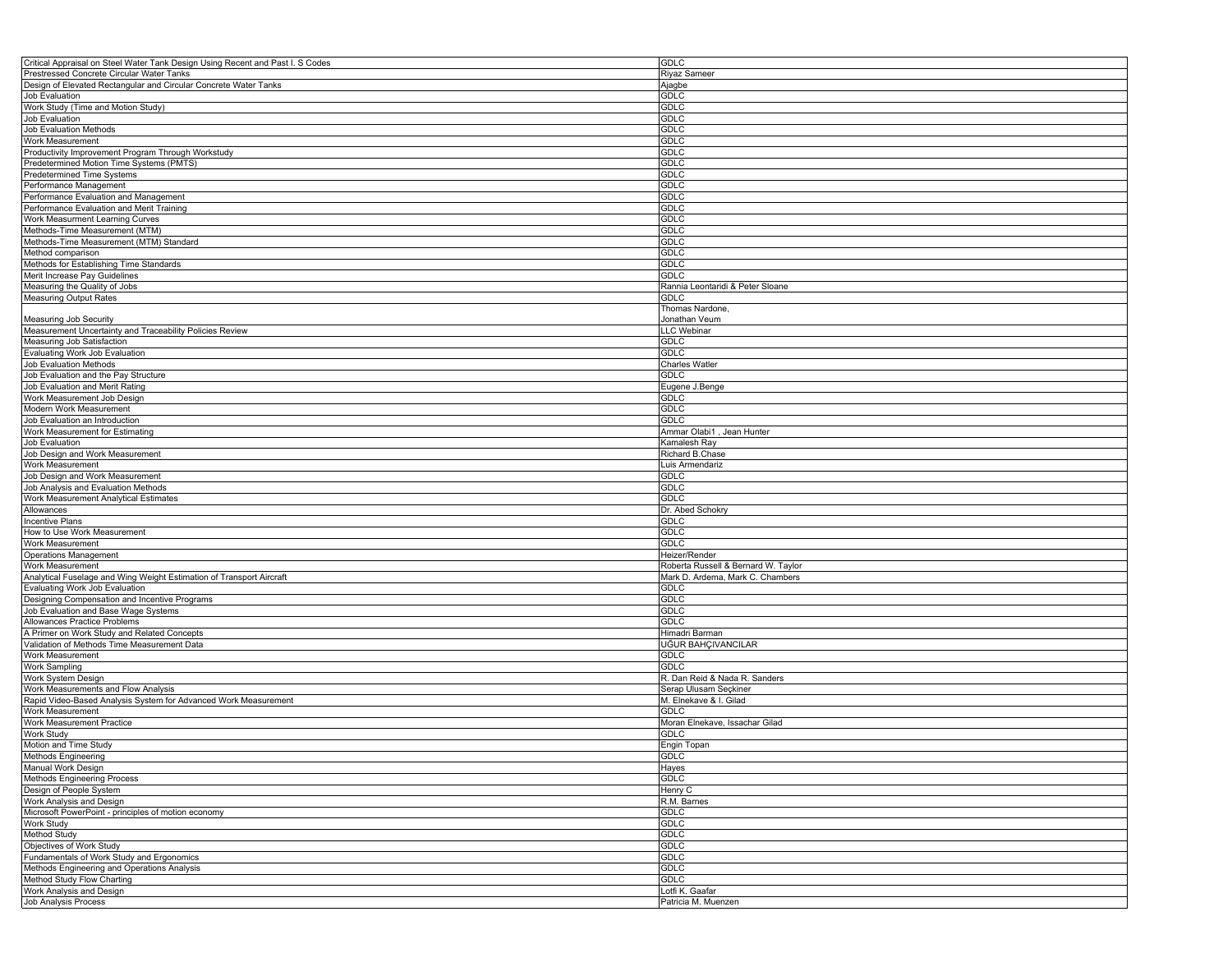| Critical Appraisal on Steel Water Tank Design Using Recent and Past I. S Codes | <b>GDLC</b>                         |
|--------------------------------------------------------------------------------|-------------------------------------|
| Prestressed Concrete Circular Water Tanks                                      | <b>Riyaz Sameer</b>                 |
| Design of Elevated Rectangular and Circular Concrete Water Tanks               | Ajagbe                              |
| Job Evaluation                                                                 | GDLC                                |
| Work Study (Time and Motion Study)                                             | GDLC                                |
| Job Evaluation                                                                 | <b>GDLC</b>                         |
| Job Evaluation Methods                                                         | GDLC                                |
| Work Measurement                                                               | <b>GDLC</b>                         |
| Productivity Improvement Program Through Workstudy                             | GDLC                                |
| Predetermined Motion Time Systems (PMTS)                                       | GDLC                                |
| Predetermined Time Systems                                                     | <b>GDLC</b>                         |
| Performance Management                                                         | GDLC                                |
| Performance Evaluation and Management                                          | <b>GDLC</b>                         |
| Performance Evaluation and Merit Training                                      | GDLC                                |
| Work Measurment Learning Curves                                                | <b>GDLC</b>                         |
| Methods-Time Measurement (MTM)                                                 | <b>GDLC</b>                         |
| Methods-Time Measurement (MTM) Standard                                        | GDLC                                |
| Method comparison                                                              | <b>GDLC</b>                         |
| Methods for Establishing Time Standards                                        | GDLC                                |
| Merit Increase Pay Guidelines                                                  | GDLC                                |
| Measuring the Quality of Jobs                                                  | Rannia Leontaridi & Peter Sloane    |
| <b>Measuring Output Rates</b>                                                  | GDLC                                |
|                                                                                | Thomas Nardone,                     |
| Measuring Job Security                                                         | Jonathan Veum                       |
| Measurement Uncertainty and Traceability Policies Review                       | LLC Webinar                         |
| Measuring Job Satisfaction                                                     | GDLC                                |
| Evaluating Work Job Evaluation                                                 | GDLC                                |
| Job Evaluation Methods                                                         | <b>Charles Watler</b>               |
| Job Evaluation and the Pay Structure                                           | GDLC                                |
| Job Evaluation and Merit Rating                                                | Eugene J.Benge                      |
| Work Measurement Job Design                                                    | GDLC                                |
| Modern Work Measurement                                                        | GDLC                                |
| Job Evaluation an Introduction                                                 | <b>GDLC</b>                         |
| Work Measurement for Estimating                                                | Ammar Olabi1, Jean Hunter           |
| Job Evaluation                                                                 | Kamalesh Ray                        |
| Job Design and Work Measurement                                                | Richard B.Chase                     |
| Work Measurement                                                               | Luis Armendariz                     |
| Job Design and Work Measurement                                                | GDLC                                |
| Job Analysis and Evaluation Methods                                            | <b>GDLC</b>                         |
| Work Measurement Analytical Estimates                                          | <b>GDLC</b>                         |
| Allowances                                                                     | Dr. Abed Schokry                    |
| Incentive Plans                                                                | <b>GDLC</b>                         |
| How to Use Work Measurement                                                    | <b>GDLC</b>                         |
| Work Measurement                                                               | GDLC                                |
| <b>Operations Management</b>                                                   | Heizer/Render                       |
| Work Measurement                                                               | Roberta Russell & Bernard W. Taylor |
| Analytical Fuselage and Wing Weight Estimation of Transport Aircraft           | Mark D. Ardema, Mark C. Chambers    |
| Evaluating Work Job Evaluation                                                 | <b>GDLC</b>                         |
| Designing Compensation and Incentive Programs                                  | <b>GDLC</b>                         |
| Job Evaluation and Base Wage Systems                                           | <b>GDLC</b>                         |
| Allowances Practice Problems                                                   | <b>GDLC</b>                         |
| A Primer on Work Study and Related Concepts                                    | Himadri Barman                      |
| Validation of Methods Time Measurement Data                                    | UĞUR BAHÇIVANCILAR                  |
| Work Measurement                                                               | <b>GDLC</b>                         |
| <b>Work Sampling</b>                                                           | GDLC                                |
| Work System Design                                                             | R. Dan Reid & Nada R. Sanders       |
| Work Measurements and Flow Analysis                                            | Serap Ulusam Seçkiner               |
| Rapid Video-Based Analysis System for Advanced Work Measurement                | M. Elnekave & I. Gilad              |
| Work Measurement                                                               | GDLC                                |
| Work Measurement Practice                                                      | Moran Elnekave, Issachar Gilad      |
| Work Study                                                                     | GDLC                                |
| Motion and Time Study                                                          | Engin Topan                         |
| Methods Engineering                                                            | <b>GDLC</b>                         |
| Manual Work Design                                                             | Hayes                               |
| Methods Engineering Process                                                    | <b>GDLC</b>                         |
| Design of People System                                                        | Henry C                             |
| Work Analysis and Design                                                       | R.M. Barnes                         |
| Microsoft PowerPoint - principles of motion economy                            | GDLC                                |
| Work Study                                                                     | GDLC                                |
| Method Study                                                                   | <b>GDLC</b>                         |
| Objectives of Work Study                                                       | <b>GDLC</b>                         |
| Fundamentals of Work Study and Ergonomics                                      | GDLC                                |
| Methods Engineering and Operations Analysis                                    | <b>GDLC</b>                         |
| Method Study Flow Charting                                                     | GDLC                                |
| Work Analysis and Design                                                       | Lotfi K. Gaafar                     |
| Job Analysis Process                                                           | Patricia M. Muenzen                 |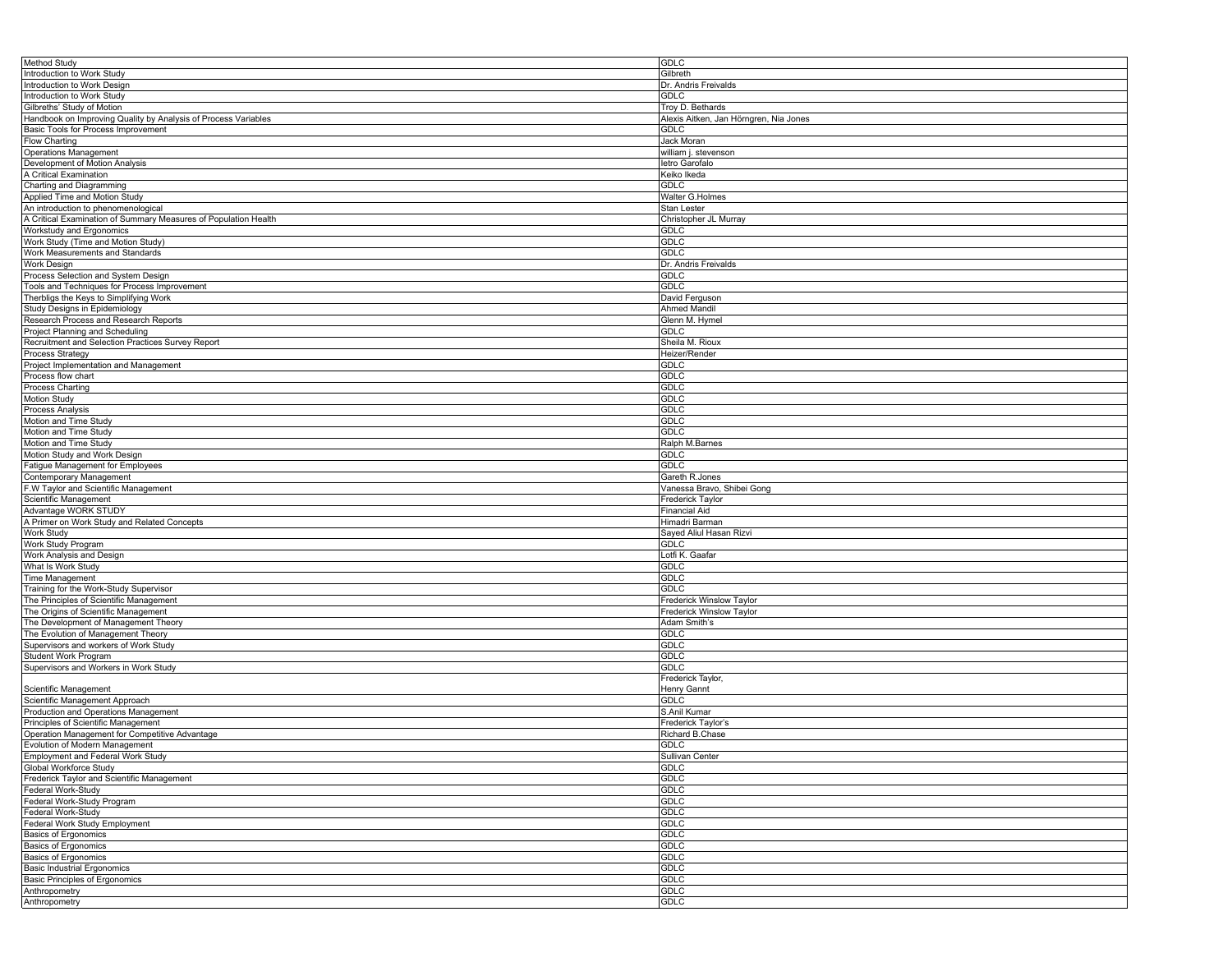| Method Study                                                    | <b>GDLC</b>                            |
|-----------------------------------------------------------------|----------------------------------------|
| Introduction to Work Study                                      | Gilbreth                               |
| Introduction to Work Design                                     | Dr. Andris Freivalds                   |
| Introduction to Work Study                                      | <b>GDLC</b>                            |
|                                                                 |                                        |
| Gilbreths' Study of Motion                                      | Troy D. Bethards                       |
| Handbook on Improving Quality by Analysis of Process Variables  | Alexis Aitken, Jan Hörngren, Nia Jones |
| Basic Tools for Process Improvement                             | <b>GDLC</b>                            |
| <b>Flow Charting</b>                                            | Jack Moran                             |
| <b>Operations Management</b>                                    | william j. stevenson                   |
| Development of Motion Analysis                                  | letro Garofalo                         |
| A Critical Examination                                          | Keiko Ikeda                            |
|                                                                 |                                        |
| Charting and Diagramming                                        | <b>GDLC</b>                            |
| Applied Time and Motion Study                                   | Walter G.Holmes                        |
| An introduction to phenomenological                             | Stan Lester                            |
| A Critical Examination of Summary Measures of Population Health | Christopher JL Murray                  |
| Workstudy and Ergonomics                                        | <b>GDLC</b>                            |
| Work Study (Time and Motion Study)                              | <b>GDLC</b>                            |
| Work Measurements and Standards                                 | <b>GDLC</b>                            |
| Work Design                                                     | Dr. Andris Freivalds                   |
|                                                                 |                                        |
| Process Selection and System Design                             | <b>GDLC</b>                            |
| Tools and Techniques for Process Improvement                    | <b>GDLC</b>                            |
| Therbligs the Keys to Simplifying Work                          | David Ferguson                         |
| Study Designs in Epidemiology                                   | <b>Ahmed Mandil</b>                    |
| Research Process and Research Reports                           | Glenn M. Hymel                         |
| Project Planning and Scheduling                                 | GDLC                                   |
| Recruitment and Selection Practices Survey Report               | Sheila M. Rioux                        |
| Process Strategy                                                | Heizer/Render                          |
|                                                                 |                                        |
| Project Implementation and Management                           | <b>GDLC</b>                            |
| Process flow chart                                              | <b>GDLC</b>                            |
| Process Charting                                                | <b>GDLC</b>                            |
| Motion Study                                                    | <b>GDLC</b>                            |
| Process Analysis                                                | <b>GDLC</b>                            |
| Motion and Time Study                                           | GDLC                                   |
| Motion and Time Study                                           | <b>GDLC</b>                            |
| Motion and Time Study                                           | Ralph M.Barnes                         |
|                                                                 |                                        |
| Motion Study and Work Design                                    | <b>GDLC</b>                            |
| Fatigue Management for Employees                                | <b>GDLC</b>                            |
| Contemporary Management                                         | Gareth R.Jones                         |
| F.W Taylor and Scientific Management                            | Vanessa Bravo, Shibei Gong             |
| Scientific Management                                           | Frederick Taylor                       |
| Advantage WORK STUDY                                            | <b>Financial Aid</b>                   |
| A Primer on Work Study and Related Concepts                     | Himadri Barman                         |
| <b>Work Study</b>                                               | Sayed Aliul Hasan Rizvi                |
|                                                                 |                                        |
| Work Study Program                                              | GDLC                                   |
| Work Analysis and Design                                        | Lotfi K. Gaafar                        |
| What Is Work Study                                              | <b>GDLC</b>                            |
| Time Management                                                 | <b>GDLC</b>                            |
| Training for the Work-Study Supervisor                          | <b>GDLC</b>                            |
| The Principles of Scientific Management                         | Frederick Winslow Taylor               |
| The Origins of Scientific Management                            | Frederick Winslow Taylor               |
| The Development of Management Theory                            | Adam Smith's                           |
|                                                                 |                                        |
| The Evolution of Management Theory                              | <b>GDLC</b><br><b>GDLC</b>             |
| Supervisors and workers of Work Study                           |                                        |
| <b>Student Work Program</b>                                     | <b>GDLC</b>                            |
| Supervisors and Workers in Work Study                           | GDLC                                   |
|                                                                 | Frederick Taylor,                      |
| Scientific Management                                           | <b>Henry Gannt</b>                     |
| Scientific Management Approach                                  | <b>GDLC</b>                            |
| Production and Operations Management                            | S.Anil Kumar                           |
| Principles of Scientific Management                             | Frederick Taylor's                     |
| Operation Management for Competitive Advantage                  | Richard B.Chase                        |
|                                                                 | <b>GDLC</b>                            |
| Evolution of Modern Management                                  |                                        |
| <b>Employment and Federal Work Study</b>                        | Sullivan Center                        |
| Global Workforce Study                                          | <b>GDLC</b>                            |
| Frederick Taylor and Scientific Management                      | <b>GDLC</b>                            |
| Federal Work-Study                                              | GDLC                                   |
| Federal Work-Study Program                                      | <b>GDLC</b>                            |
| Federal Work-Study                                              | <b>GDLC</b>                            |
| Federal Work Study Employment                                   | <b>GDLC</b>                            |
| <b>Basics of Ergonomics</b>                                     | <b>GDLC</b>                            |
|                                                                 |                                        |
| <b>Basics of Ergonomics</b>                                     | <b>GDLC</b>                            |
| <b>Basics of Ergonomics</b>                                     | <b>GDLC</b>                            |
| <b>Basic Industrial Ergonomics</b>                              | <b>GDLC</b>                            |
| <b>Basic Principles of Ergonomics</b>                           | <b>GDLC</b>                            |
| Anthropometry                                                   | <b>GDLC</b>                            |
| Anthropometry                                                   | GDLC                                   |
|                                                                 |                                        |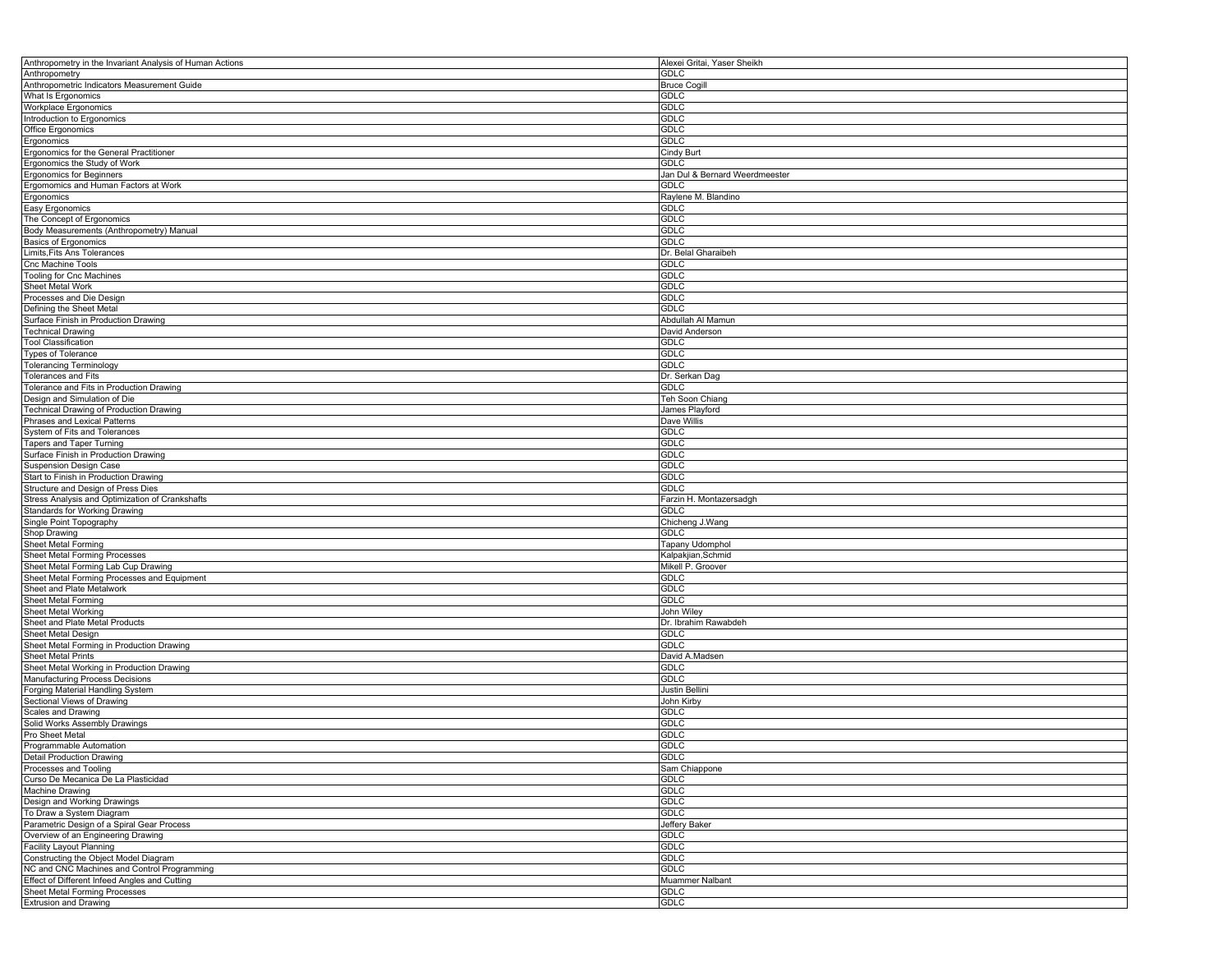| Anthropometry in the Invariant Analysis of Human Actions             | Alexei Gritai, Yaser Sheikh    |
|----------------------------------------------------------------------|--------------------------------|
| Anthropometry                                                        | <b>GDLC</b>                    |
| Anthropometric Indicators Measurement Guide                          | <b>Bruce Cogill</b>            |
| What Is Ergonomics                                                   | <b>GDLC</b>                    |
| Workplace Ergonomics                                                 | GDLC                           |
| Introduction to Ergonomics                                           | GDLC                           |
| Office Ergonomics                                                    | <b>GDLC</b>                    |
| Ergonomics                                                           | GDLC                           |
| Ergonomics for the General Practitioner                              |                                |
|                                                                      | <b>Cindy Burt</b>              |
| Ergonomics the Study of Work                                         | <b>GDLC</b>                    |
| <b>Ergonomics for Beginners</b>                                      | Jan Dul & Bernard Weerdmeester |
| Ergomomics and Human Factors at Work                                 | <b>GDLC</b>                    |
| Ergonomics                                                           | Raylene M. Blandino            |
| Easy Ergonomics                                                      | <b>GDLC</b>                    |
| The Concept of Ergonomics                                            | <b>GDLC</b>                    |
| Body Measurements (Anthropometry) Manual                             | <b>GDLC</b>                    |
| <b>Basics of Ergonomics</b>                                          | GDLC                           |
| Limits, Fits Ans Tolerances                                          | Dr. Belal Gharaibeh            |
| Cnc Machine Tools                                                    | <b>GDLC</b>                    |
| <b>Tooling for Cnc Machines</b>                                      | <b>GDLC</b>                    |
| Sheet Metal Work                                                     | GDLC                           |
|                                                                      | <b>GDLC</b>                    |
| Processes and Die Design                                             |                                |
| Defining the Sheet Metal                                             | <b>GDLC</b>                    |
| Surface Finish in Production Drawing                                 | Abdullah Al Mamun              |
| <b>Technical Drawing</b>                                             | David Anderson                 |
| <b>Tool Classification</b>                                           | <b>GDLC</b>                    |
| <b>Types of Tolerance</b>                                            | <b>GDLC</b>                    |
| <b>Tolerancing Terminology</b>                                       | GDLC                           |
| Tolerances and Fits                                                  | Dr. Serkan Dag                 |
| Tolerance and Fits in Production Drawing                             | <b>GDLC</b>                    |
| Design and Simulation of Die                                         | Teh Soon Chiang                |
| Technical Drawing of Production Drawing                              | James Playford                 |
| Phrases and Lexical Patterns                                         | Dave Willis                    |
|                                                                      |                                |
| System of Fits and Tolerances                                        | <b>GDLC</b>                    |
| Tapers and Taper Turning                                             | <b>GDLC</b>                    |
| Surface Finish in Production Drawing                                 | GDLC                           |
| <b>Suspension Design Case</b>                                        | <b>GDLC</b>                    |
| Start to Finish in Production Drawing                                | GDLC                           |
|                                                                      |                                |
| Structure and Design of Press Dies                                   | <b>GDLC</b>                    |
| Stress Analysis and Optimization of Crankshafts                      | Farzin H. Montazersadgh        |
|                                                                      | <b>GDLC</b>                    |
| <b>Standards for Working Drawing</b>                                 |                                |
| Single Point Topography                                              | Chicheng J.Wang                |
| Shop Drawing                                                         | <b>GDLC</b>                    |
| Sheet Metal Forming                                                  | Tapany Udomphol                |
| Sheet Metal Forming Processes                                        | Kalpakjian, Schmid             |
| Sheet Metal Forming Lab Cup Drawing                                  | Mikell P. Groover              |
| Sheet Metal Forming Processes and Equipment                          | GDLC                           |
| Sheet and Plate Metalwork                                            | GDLC                           |
| <b>Sheet Metal Forming</b>                                           | <b>GDLC</b>                    |
| Sheet Metal Working                                                  | John Wiley                     |
| Sheet and Plate Metal Products                                       | Dr. Ibrahim Rawabdeh           |
| Sheet Metal Design                                                   | <b>GDLC</b>                    |
| Sheet Metal Forming in Production Drawing                            | GDLC                           |
| <b>Sheet Metal Prints</b>                                            | David A.Madsen                 |
|                                                                      |                                |
| Sheet Metal Working in Production Drawing                            | <b>GDLC</b>                    |
| Manufacturing Process Decisions                                      | <b>GDLC</b>                    |
| Forging Material Handling System                                     | Justin Bellini                 |
| Sectional Views of Drawing                                           | John Kirby                     |
| Scales and Drawing                                                   | <b>GDLC</b>                    |
| Solid Works Assembly Drawings                                        | <b>GDLC</b>                    |
| Pro Sheet Metal                                                      | GDLC                           |
| Programmable Automation                                              | GDLC                           |
| <b>Detail Production Drawing</b>                                     | <b>GDLC</b>                    |
| Processes and Tooling                                                | Sam Chiappone                  |
| Curso De Mecanica De La Plasticidad                                  | <b>GDLC</b>                    |
| Machine Drawing                                                      | <b>GDLC</b>                    |
|                                                                      | GDLC                           |
| Design and Working Drawings                                          |                                |
| To Draw a System Diagram                                             | GDLC                           |
| Parametric Design of a Spiral Gear Process                           | Jeffery Baker                  |
| Overview of an Engineering Drawing                                   | <b>GDLC</b>                    |
| <b>Facility Layout Planning</b>                                      | <b>GDLC</b>                    |
| Constructing the Object Model Diagram                                | GDLC                           |
| NC and CNC Machines and Control Programming                          | GDLC                           |
| Effect of Different Infeed Angles and Cutting                        | Muammer Nalbant                |
| <b>Sheet Metal Forming Processes</b><br><b>Extrusion and Drawing</b> | <b>GDLC</b><br>GDLC            |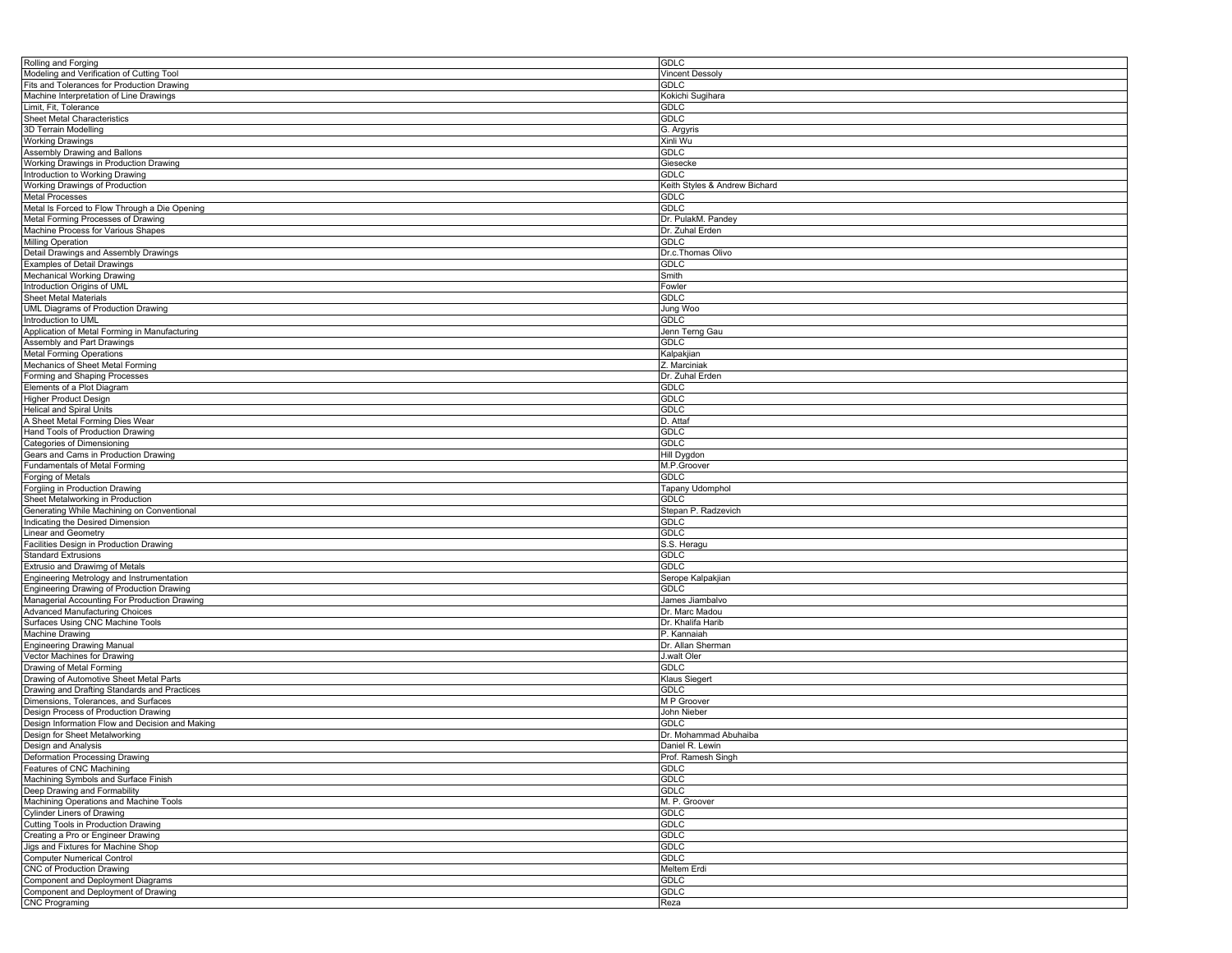| Rolling and Forging                             | <b>GDLC</b>                   |
|-------------------------------------------------|-------------------------------|
| Modeling and Verification of Cutting Tool       | <b>Vincent Dessoly</b>        |
| Fits and Tolerances for Production Drawing      | <b>GDLC</b>                   |
| Machine Interpretation of Line Drawings         | Kokichi Sugihara              |
| Limit, Fit, Tolerance                           | <b>GDLC</b>                   |
| Sheet Metal Characteristics                     | GDLC                          |
| 3D Terrain Modelling                            | G. Argyris                    |
| Working Drawings                                | Xinli Wu                      |
| Assembly Drawing and Ballons                    |                               |
|                                                 | <b>GDLC</b>                   |
| Working Drawings in Production Drawing          | Giesecke                      |
| Introduction to Working Drawing                 | <b>GDLC</b>                   |
| Working Drawings of Production                  | Keith Styles & Andrew Bichard |
| <b>Metal Processes</b>                          | <b>GDLC</b>                   |
| Metal Is Forced to Flow Through a Die Opening   | <b>GDLC</b>                   |
| Metal Forming Processes of Drawing              | Dr. PulakM. Pandey            |
| Machine Process for Various Shapes              | Dr. Zuhal Erden               |
| Milling Operation                               | GDLC                          |
| Detail Drawings and Assembly Drawings           | Dr.c.Thomas Olivo             |
| <b>Examples of Detail Drawings</b>              | <b>GDLC</b>                   |
| <b>Mechanical Working Drawing</b>               | Smith                         |
| Introduction Origins of UML                     | Fowler                        |
| Sheet Metal Materials                           | <b>GDLC</b>                   |
|                                                 |                               |
| <b>UML Diagrams of Production Drawing</b>       | Jung Woo                      |
| Introduction to UML                             | <b>GDLC</b>                   |
| Application of Metal Forming in Manufacturing   | Jenn Terng Gau                |
| Assembly and Part Drawings                      | <b>GDLC</b>                   |
| <b>Metal Forming Operations</b>                 | Kalpakjian                    |
| Mechanics of Sheet Metal Forming                | Z. Marciniak                  |
| Forming and Shaping Processes                   | Dr. Zuhal Erden               |
| Elements of a Plot Diagram                      | <b>GDLC</b>                   |
| Higher Product Design                           | <b>GDLC</b>                   |
| <b>Helical and Spiral Units</b>                 | <b>GDLC</b>                   |
| A Sheet Metal Forming Dies Wear                 | D. Attaf                      |
| Hand Tools of Production Drawing                | <b>GDLC</b>                   |
| Categories of Dimensioning                      | <b>GDLC</b>                   |
| Gears and Cams in Production Drawing            | Hill Dygdon                   |
| Fundamentals of Metal Forming                   |                               |
|                                                 | M.P.Groover                   |
| Forging of Metals                               | <b>GDLC</b>                   |
| Forgiing in Production Drawing                  | Tapany Udomphol               |
| Sheet Metalworking in Production                | <b>GDLC</b>                   |
| Generating While Machining on Conventional      | Stepan P. Radzevich           |
| Indicating the Desired Dimension                | <b>GDLC</b>                   |
| Linear and Geometry                             | <b>GDLC</b>                   |
| Facilities Design in Production Drawing         | S.S. Heragu                   |
| <b>Standard Extrusions</b>                      | <b>GDLC</b>                   |
| Extrusio and Drawimg of Metals                  | <b>GDLC</b>                   |
| Engineering Metrology and Instrumentation       | Serope Kalpakjian             |
| Engineering Drawing of Production Drawing       | GDLC                          |
| Managerial Accounting For Production Drawing    | James Jiambalvo               |
| <b>Advanced Manufacturing Choices</b>           | Dr. Marc Madou                |
| Surfaces Using CNC Machine Tools                | Dr. Khalifa Harib             |
|                                                 |                               |
| Machine Drawing                                 | P. Kannaiah                   |
| <b>Engineering Drawing Manual</b>               | Dr. Allan Sherman             |
| Vector Machines for Drawing                     | J.walt Oler                   |
| Drawing of Metal Forming                        | <b>GDLC</b>                   |
| Drawing of Automotive Sheet Metal Parts         | Klaus Siegert                 |
| Drawing and Drafting Standards and Practices    | <b>GDLC</b>                   |
| Dimensions, Tolerances, and Surfaces            | M P Groover                   |
| Design Process of Production Drawing            | John Nieber                   |
| Design Information Flow and Decision and Making | <b>GDLC</b>                   |
| Design for Sheet Metalworking                   | Dr. Mohammad Abuhaiba         |
| Design and Analysis                             | Daniel R. Lewin               |
| Deformation Processing Drawing                  | Prof. Ramesh Singh            |
| Features of CNC Machining                       | <b>GDLC</b>                   |
| Machining Symbols and Surface Finish            | <b>GDLC</b>                   |
| Deep Drawing and Formability                    | <b>GDLC</b>                   |
|                                                 |                               |
| Machining Operations and Machine Tools          | M. P. Groover                 |
| <b>Cylinder Liners of Drawing</b>               | <b>GDLC</b>                   |
| Cutting Tools in Production Drawing             | <b>GDLC</b>                   |
| Creating a Pro or Engineer Drawing              | <b>GDLC</b>                   |
| Jigs and Fixtures for Machine Shop              | <b>GDLC</b>                   |
| <b>Computer Numerical Control</b>               | <b>GDLC</b>                   |
| <b>CNC of Production Drawing</b>                | Meltem Erdi                   |
| Component and Deployment Diagrams               | <b>GDLC</b>                   |
| Component and Deployment of Drawing             | <b>GDLC</b>                   |
| <b>CNC Programing</b>                           | Reza                          |
|                                                 |                               |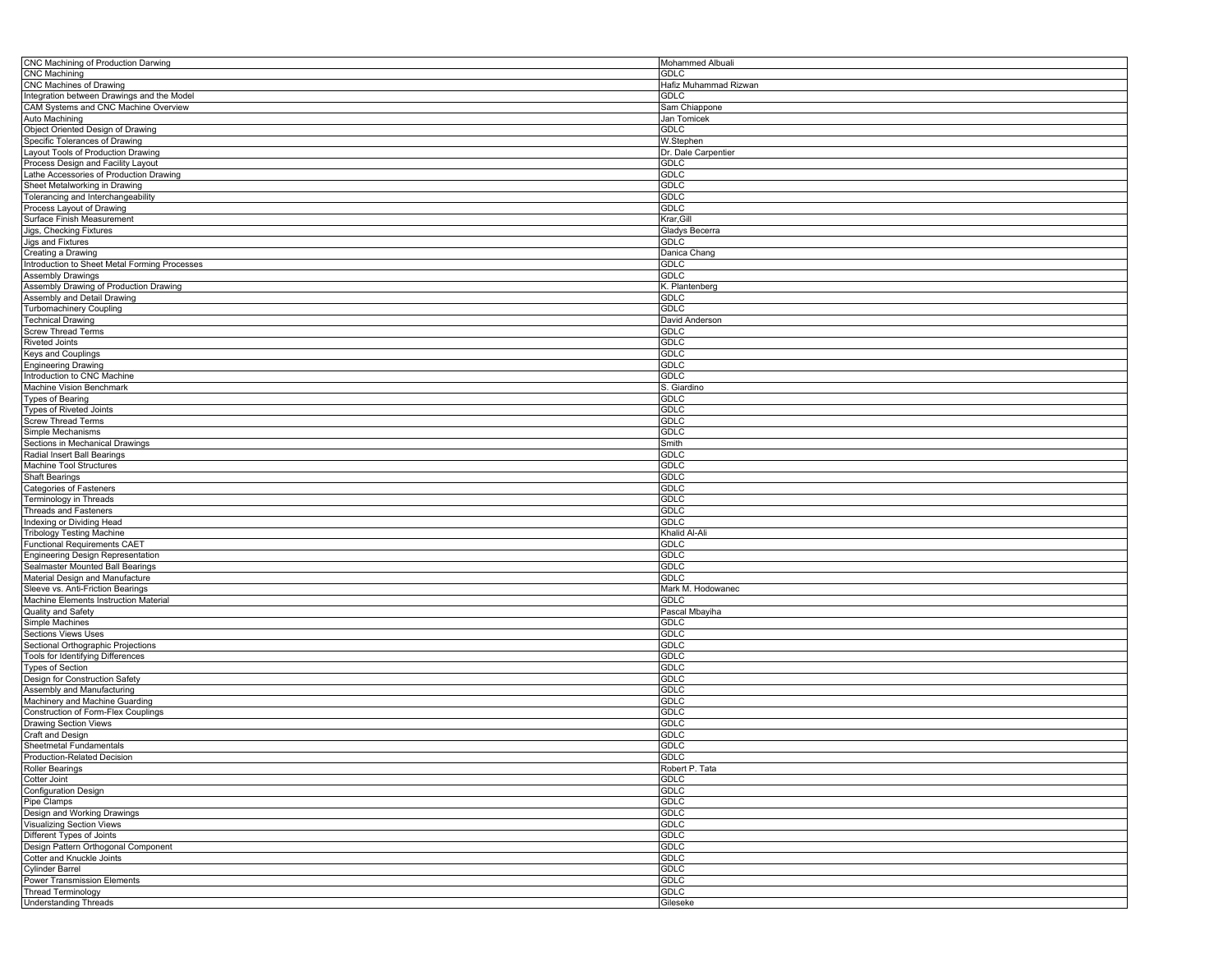| CNC Machining of Production Darwing           | Mohammed Albuali      |
|-----------------------------------------------|-----------------------|
| CNC Machining                                 | GDLC                  |
| CNC Machines of Drawing                       | Hafiz Muhammad Rizwan |
|                                               |                       |
| Integration between Drawings and the Model    | <b>GDLC</b>           |
| CAM Systems and CNC Machine Overview          | Sam Chiappone         |
| Auto Machining                                | Jan Tomicek           |
| Object Oriented Design of Drawing             | GDLC                  |
|                                               |                       |
| Specific Tolerances of Drawing                | W.Stephen             |
| Layout Tools of Production Drawing            | Dr. Dale Carpentier   |
| Process Design and Facility Layout            | <b>GDLC</b>           |
| Lathe Accessories of Production Drawing       | <b>GDLC</b>           |
| Sheet Metalworking in Drawing                 | <b>GDLC</b>           |
|                                               |                       |
| Tolerancing and Interchangeability            | GDLC                  |
| Process Layout of Drawing                     | GDLC                  |
| Surface Finish Measurement                    | Krar, Gill            |
| Jigs, Checking Fixtures                       | Gladys Becerra        |
|                                               | GDLC                  |
| Jigs and Fixtures                             |                       |
| Creating a Drawing                            | Danica Chang          |
| Introduction to Sheet Metal Forming Processes | GDLC                  |
| <b>Assembly Drawings</b>                      | <b>GDLC</b>           |
| Assembly Drawing of Production Drawing        | K. Plantenberg        |
|                                               |                       |
| Assembly and Detail Drawing                   | <b>GDLC</b>           |
| Turbomachinery Coupling                       | GDLC                  |
| <b>Technical Drawing</b>                      | David Anderson        |
| <b>Screw Thread Terms</b>                     | GDLC                  |
| <b>Riveted Joints</b>                         | <b>GDLC</b>           |
|                                               |                       |
| Keys and Couplings                            | <b>GDLC</b>           |
| <b>Engineering Drawing</b>                    | GDLC                  |
| Introduction to CNC Machine                   | GDLC                  |
| Machine Vision Benchmark                      | S. Giardino           |
|                                               |                       |
| <b>Types of Bearing</b>                       | GDLC                  |
| Types of Riveted Joints                       | <b>GDLC</b>           |
| Screw Thread Terms                            | GDLC                  |
| Simple Mechanisms                             | GDLC                  |
| Sections in Mechanical Drawings               | Smith                 |
| Radial Insert Ball Bearings                   | <b>GDLC</b>           |
|                                               |                       |
| Machine Tool Structures                       | <b>GDLC</b>           |
| <b>Shaft Bearings</b>                         | <b>GDLC</b>           |
| Categories of Fasteners                       | <b>GDLC</b>           |
| Terminology in Threads                        | <b>GDLC</b>           |
| <b>Threads and Fasteners</b>                  | <b>GDLC</b>           |
|                                               |                       |
| Indexing or Dividing Head                     | <b>GDLC</b>           |
| <b>Tribology Testing Machine</b>              | Khalid Al-Ali         |
| <b>Functional Requirements CAET</b>           | GDLC                  |
| Engineering Design Representation             | <b>GDLC</b>           |
| Sealmaster Mounted Ball Bearings              | <b>GDLC</b>           |
| Material Design and Manufacture               | <b>GDLC</b>           |
|                                               |                       |
| Sleeve vs. Anti-Friction Bearings             | Mark M. Hodowanec     |
| Machine Elements Instruction Material         | GDLC                  |
| Quality and Safety                            | Pascal Mbayiha        |
| Simple Machines                               | GDLC                  |
| <b>Sections Views Uses</b>                    | <b>GDLC</b>           |
|                                               |                       |
| Sectional Orthographic Projections            | GDLC                  |
| Tools for Identifying Differences             | GDLC                  |
| <b>Types of Section</b>                       | <b>GDLC</b>           |
| Design for Construction Safety                | <b>GDLC</b>           |
| Assembly and Manufacturing                    | <b>GDLC</b>           |
| Machinery and Machine Guarding                | <b>GDLC</b>           |
|                                               |                       |
| Construction of Form-Flex Couplings           | <b>GDLC</b>           |
| Drawing Section Views                         | <b>GDLC</b>           |
| Craft and Design                              | <b>GDLC</b>           |
| Sheetmetal Fundamentals                       | GDLC                  |
| Production-Related Decision                   | <b>GDLC</b>           |
|                                               |                       |
| <b>Roller Bearings</b>                        | Robert P. Tata        |
| Cotter Joint                                  | <b>GDLC</b>           |
| <b>Configuration Design</b>                   | GDLC                  |
| Pipe Clamps                                   | <b>GDLC</b>           |
| Design and Working Drawings                   | <b>GDLC</b>           |
|                                               |                       |
| <b>Visualizing Section Views</b>              | <b>GDLC</b>           |
| Different Types of Joints                     | <b>GDLC</b>           |
| Design Pattern Orthogonal Component           | GDLC                  |
| Cotter and Knuckle Joints                     | <b>GDLC</b>           |
| Cylinder Barrel                               | <b>GDLC</b>           |
| Power Transmission Elements                   | <b>GDLC</b>           |
|                                               |                       |
| <b>Thread Terminology</b>                     | <b>GDLC</b>           |
| <b>Understanding Threads</b>                  | Gileseke              |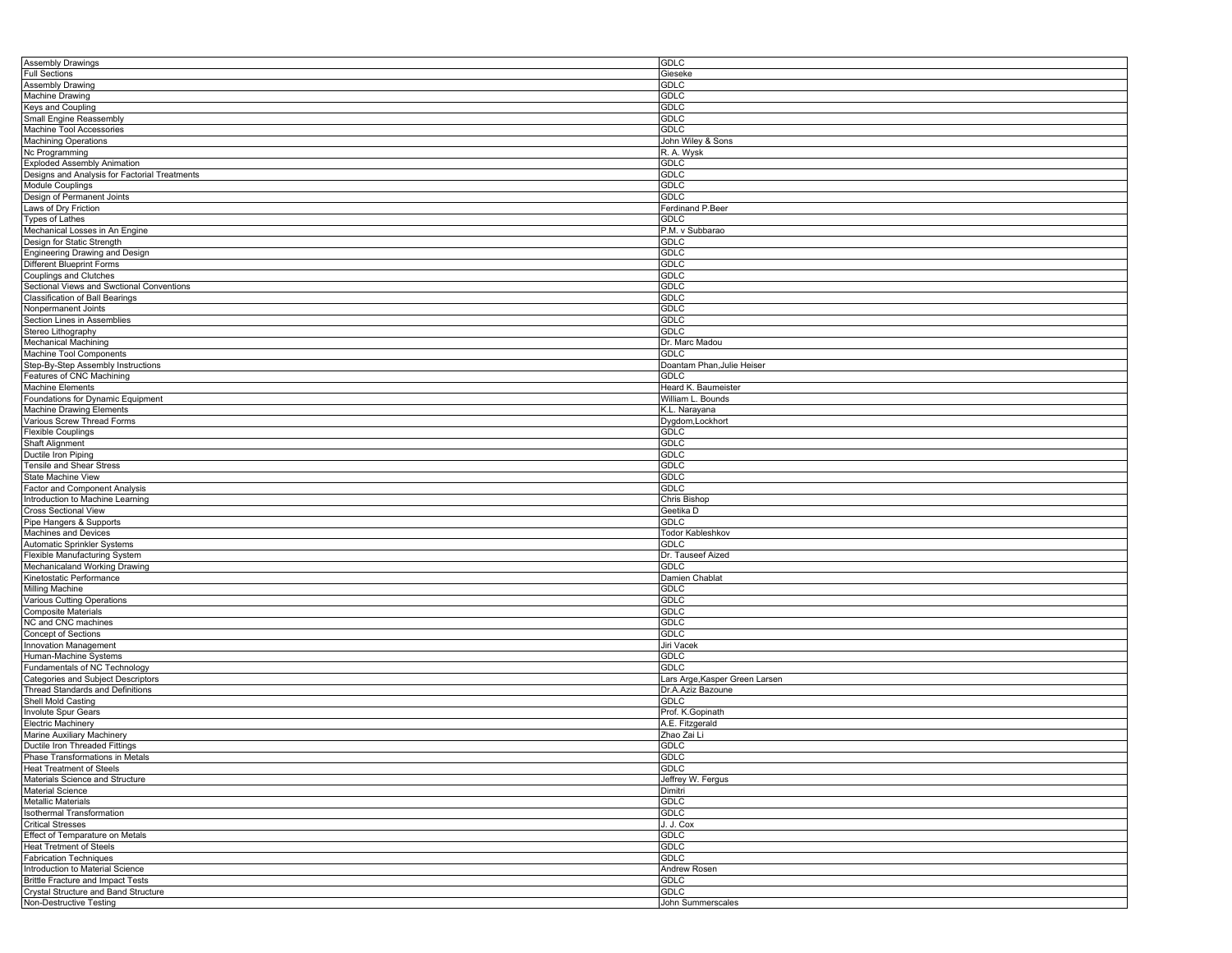| Assembly Drawings                             | <b>GDLC</b>                    |
|-----------------------------------------------|--------------------------------|
| <b>Full Sections</b>                          | Gieseke                        |
| Assembly Drawing                              | <b>GDLC</b>                    |
| <b>Machine Drawing</b>                        | <b>GDLC</b>                    |
|                                               |                                |
| Keys and Coupling                             | <b>GDLC</b>                    |
| Small Engine Reassembly                       | <b>GDLC</b>                    |
| Machine Tool Accessories                      | <b>GDLC</b>                    |
| Machining Operations                          | John Wiley & Sons              |
| Nc Programming                                | R. A. Wysk                     |
| <b>Exploded Assembly Animation</b>            | GDLC                           |
|                                               |                                |
| Designs and Analysis for Factorial Treatments | <b>GDLC</b>                    |
| <b>Module Couplings</b>                       | <b>GDLC</b>                    |
| Design of Permanent Joints                    | <b>GDLC</b>                    |
| Laws of Dry Friction                          | Ferdinand P.Beer               |
| <b>Types of Lathes</b>                        | <b>GDLC</b>                    |
| Mechanical Losses in An Engine                | P.M. v Subbarao                |
| Design for Static Strength                    | <b>GDLC</b>                    |
|                                               | <b>GDLC</b>                    |
| Engineering Drawing and Design                |                                |
| <b>Different Blueprint Forms</b>              | <b>GDLC</b>                    |
| <b>Couplings and Clutches</b>                 | <b>GDLC</b>                    |
| Sectional Views and Swctional Conventions     | <b>GDLC</b>                    |
| Classification of Ball Bearings               | <b>GDLC</b>                    |
| Nonpermanent Joints                           | <b>GDLC</b>                    |
| Section Lines in Assemblies                   | <b>GDLC</b>                    |
|                                               |                                |
| Stereo Lithography                            | <b>GDLC</b>                    |
| <b>Mechanical Machining</b>                   | Dr. Marc Madou                 |
| Machine Tool Components                       | GDLC                           |
| Step-By-Step Assembly Instructions            | Doantam Phan, Julie Heiser     |
| Features of CNC Machining                     | <b>GDLC</b>                    |
| <b>Machine Elements</b>                       | Heard K. Baumeister            |
|                                               |                                |
| Foundations for Dynamic Equipment             | William L. Bounds              |
| Machine Drawing Elements                      | K.L. Narayana                  |
| Various Screw Thread Forms                    | Dygdom, Lockhort               |
| <b>Flexible Couplings</b>                     | <b>GDLC</b>                    |
| Shaft Alignment                               | <b>GDLC</b>                    |
| Ductile Iron Piping                           | <b>GDLC</b>                    |
|                                               | <b>GDLC</b>                    |
| Tensile and Shear Stress                      |                                |
| State Machine View                            | <b>GDLC</b>                    |
| <b>Factor and Component Analysis</b>          | <b>GDLC</b>                    |
| Introduction to Machine Learning              | Chris Bishop                   |
| <b>Cross Sectional View</b>                   | Geetika D                      |
| Pipe Hangers & Supports                       | <b>GDLC</b>                    |
| Machines and Devices                          | Todor Kableshkov               |
| Automatic Sprinkler Systems                   | <b>GDLC</b>                    |
|                                               |                                |
| Flexible Manufacturing System                 | Dr. Tauseef Aized              |
| Mechanicaland Working Drawing                 | <b>GDLC</b>                    |
| Kinetostatic Performance                      | Damien Chablat                 |
| Milling Machine                               | <b>GDLC</b>                    |
| Various Cutting Operations                    | <b>GDLC</b>                    |
| <b>Composite Materials</b>                    | <b>GDLC</b>                    |
| NC and CNC machines                           | <b>GDLC</b>                    |
|                                               |                                |
| Concept of Sections                           | <b>GDLC</b>                    |
| Innovation Management                         | Jiri Vacek                     |
| Human-Machine Systems                         | <b>GDLC</b>                    |
| Fundamentals of NC Technology                 | <b>GDLC</b>                    |
| Categories and Subject Descriptors            | Lars Arge, Kasper Green Larsen |
| Thread Standards and Definitions              | Dr.A.Aziz Bazoune              |
| Shell Mold Casting                            | <b>GDLC</b>                    |
|                                               |                                |
| Involute Spur Gears                           | Prof. K.Gopinath               |
| <b>Electric Machinery</b>                     | A.E. Fitzgerald                |
| Marine Auxiliary Machinery                    | Zhao Zai Li                    |
| Ductile Iron Threaded Fittings                | <b>GDLC</b>                    |
| Phase Transformations in Metals               | <b>GDLC</b>                    |
| <b>Heat Treatment of Steels</b>               | <b>GDLC</b>                    |
| Materials Science and Structure               | Jeffrey W. Fergus              |
|                                               |                                |
| <b>Material Science</b>                       | Dimitri                        |
| Metallic Materials                            | GDLC                           |
| <b>Isothermal Transformation</b>              | <b>GDLC</b>                    |
| <b>Critical Stresses</b>                      | J. J. Cox                      |
| Effect of Temparature on Metals               | <b>GDLC</b>                    |
| <b>Heat Tretment of Steels</b>                | GDLC                           |
| <b>Fabrication Techniques</b>                 | <b>GDLC</b>                    |
|                                               |                                |
| Introduction to Material Science              | Andrew Rosen                   |
| <b>Brittle Fracture and Impact Tests</b>      | GDLC                           |
| Crystal Structure and Band Structure          | GDLC                           |
| Non-Destructive Testing                       | John Summerscales              |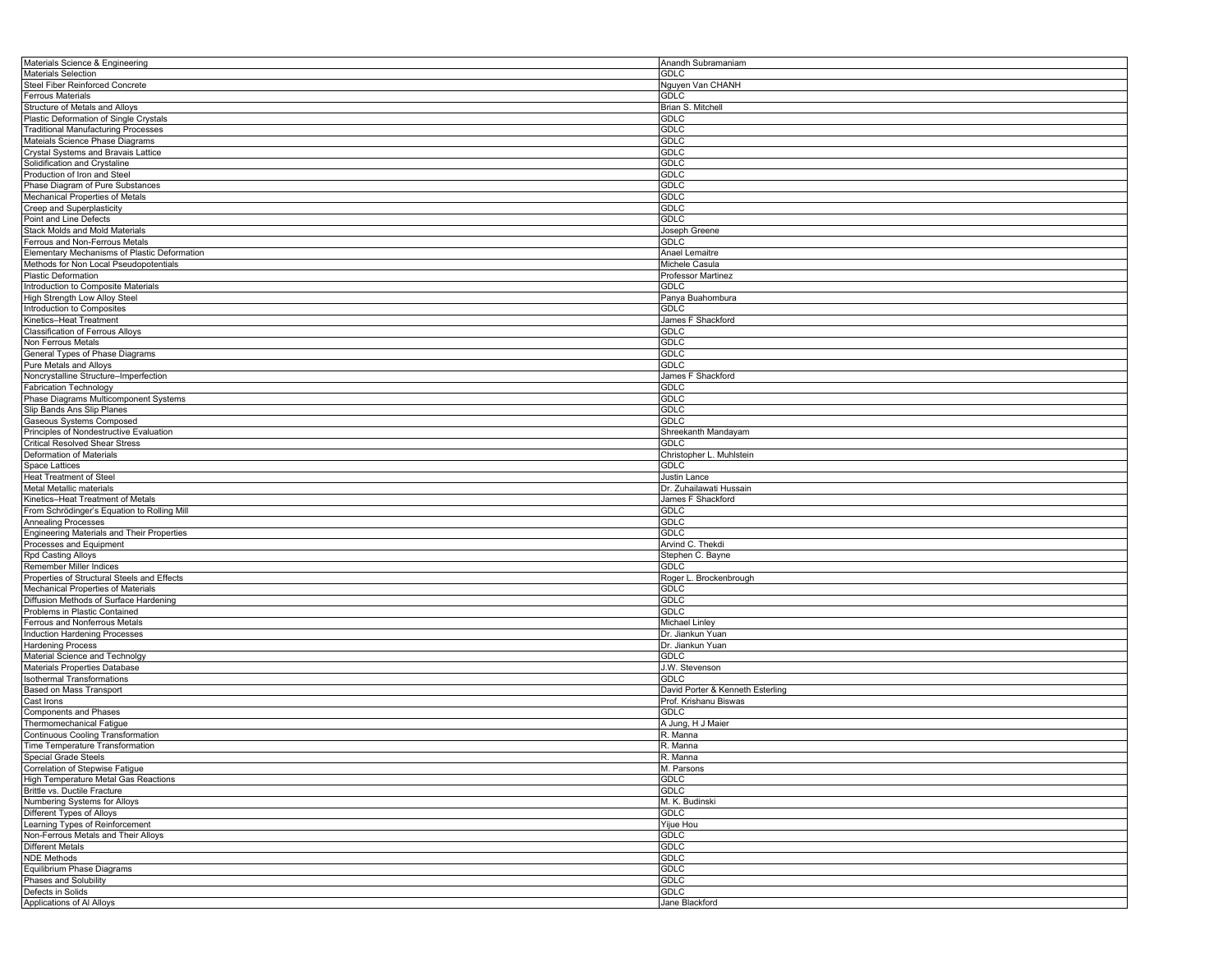| Materials Science & Engineering                            | Anandh Subramaniam               |
|------------------------------------------------------------|----------------------------------|
| <b>Materials Selection</b>                                 | <b>GDLC</b>                      |
| Steel Fiber Reinforced Concrete                            | Nguyen Van CHANH                 |
| <b>Ferrous Materials</b>                                   | <b>GDLC</b>                      |
| Structure of Metals and Alloys                             | Brian S. Mitchell                |
| Plastic Deformation of Single Crystals                     | <b>GDLC</b>                      |
| <b>Traditional Manufacturing Processes</b>                 | <b>GDLC</b>                      |
| Mateials Science Phase Diagrams                            | <b>GDLC</b>                      |
| Crystal Systems and Bravais Lattice                        | <b>GDLC</b>                      |
| Solidification and Crystaline                              | <b>GDLC</b>                      |
|                                                            |                                  |
| Production of Iron and Steel                               | <b>GDLC</b>                      |
| Phase Diagram of Pure Substances                           | <b>GDLC</b>                      |
| Mechanical Properties of Metals                            | GDLC                             |
| Creep and Superplasticity                                  | <b>GDLC</b>                      |
| Point and Line Defects                                     | GDLC                             |
| Stack Molds and Mold Materials                             | Joseph Greene                    |
| Ferrous and Non-Ferrous Metals                             | <b>GDLC</b>                      |
| Elementary Mechanisms of Plastic Deformation               | Anael Lemaitre                   |
| Methods for Non Local Pseudopotentials                     | Michele Casula                   |
| Plastic Deformation                                        | <b>Professor Martinez</b>        |
| Introduction to Composite Materials                        | <b>GDLC</b>                      |
| High Strength Low Alloy Steel                              | Panya Buahombura                 |
| Introduction to Composites                                 | <b>GDLC</b>                      |
| Kinetics-Heat Treatment                                    | James F Shackford                |
| <b>Classification of Ferrous Alloys</b>                    | GDLC                             |
| Non Ferrous Metals                                         | <b>GDLC</b>                      |
| General Types of Phase Diagrams                            | <b>GDLC</b>                      |
| Pure Metals and Alloys                                     | <b>GDLC</b>                      |
| Noncrystalline Structure-Imperfection                      | James F Shackford                |
| <b>Fabrication Technology</b>                              | GDLC                             |
|                                                            |                                  |
| Phase Diagrams Multicomponent Systems                      | <b>GDLC</b>                      |
| Slip Bands Ans Slip Planes                                 | <b>GDLC</b>                      |
| Gaseous Systems Composed                                   | <b>GDLC</b>                      |
| Principles of Nondestructive Evaluation                    | Shreekanth Mandayam              |
| <b>Critical Resolved Shear Stress</b>                      | GDLC                             |
| Deformation of Materials                                   | Christopher L. Muhlstein         |
| Space Lattices                                             | <b>GDLC</b>                      |
| Heat Treatment of Steel                                    | Justin Lance                     |
| Metal Metallic materials                                   | Dr. Zuhailawati Hussain          |
| Kinetics-Heat Treatment of Metals                          | James F Shackford                |
| From Schrödinger's Equation to Rolling Mill                | <b>GDLC</b>                      |
| <b>Annealing Processes</b>                                 | <b>GDLC</b>                      |
| Engineering Materials and Their Properties                 | <b>GDLC</b>                      |
| Processes and Equipment                                    | Arvind C. Thekdi                 |
| Rpd Casting Alloys                                         | Stephen C. Bayne                 |
| Remember Miller Indices                                    | <b>GDLC</b>                      |
| Properties of Structural Steels and Effects                | Roger L. Brockenbrough           |
| Mechanical Properties of Materials                         | <b>GDLC</b>                      |
| Diffusion Methods of Surface Hardening                     | <b>GDLC</b>                      |
| Problems in Plastic Contained                              | <b>GDLC</b>                      |
| Ferrous and Nonferrous Metals                              | Michael Linley                   |
|                                                            | Dr. Jiankun Yuan                 |
| Induction Hardening Processes                              |                                  |
| <b>Hardening Process</b><br>Material Science and Technolgy | Dr. Jiankun Yuan<br><b>GDLC</b>  |
|                                                            | J.W. Stevenson                   |
| Materials Properties Database                              |                                  |
| <b>Isothermal Transformations</b>                          | <b>GDLC</b>                      |
| Based on Mass Transport                                    | David Porter & Kenneth Esterling |
| Cast Irons                                                 | Prof. Krishanu Biswas            |
| <b>Components and Phases</b>                               | <b>GDLC</b>                      |
| Thermomechanical Fatigue                                   | A Jung, H J Maier                |
| Continuous Cooling Transformation                          | R. Manna                         |
| Time Temperature Transformation                            | R. Manna                         |
| Special Grade Steels                                       | R. Manna                         |
| Correlation of Stepwise Fatique                            | M. Parsons                       |
| High Temperature Metal Gas Reactions                       | <b>GDLC</b>                      |
| Brittle vs. Ductile Fracture                               | <b>GDLC</b>                      |
| Numbering Systems for Alloys                               | M. K. Budinski                   |
| Different Types of Alloys                                  | <b>GDLC</b>                      |
| Learning Types of Reinforcement                            | Yijue Hou                        |
| Non-Ferrous Metals and Their Alloys                        | <b>GDLC</b>                      |
| <b>Different Metals</b>                                    | <b>GDLC</b>                      |
| <b>NDE Methods</b>                                         | GDLC                             |
| Equilibrium Phase Diagrams                                 | <b>GDLC</b>                      |
| Phases and Solubility                                      | <b>GDLC</b>                      |
| Defects in Solids                                          | <b>GDLC</b>                      |
|                                                            | Jane Blackford                   |
| Applications of Al Alloys                                  |                                  |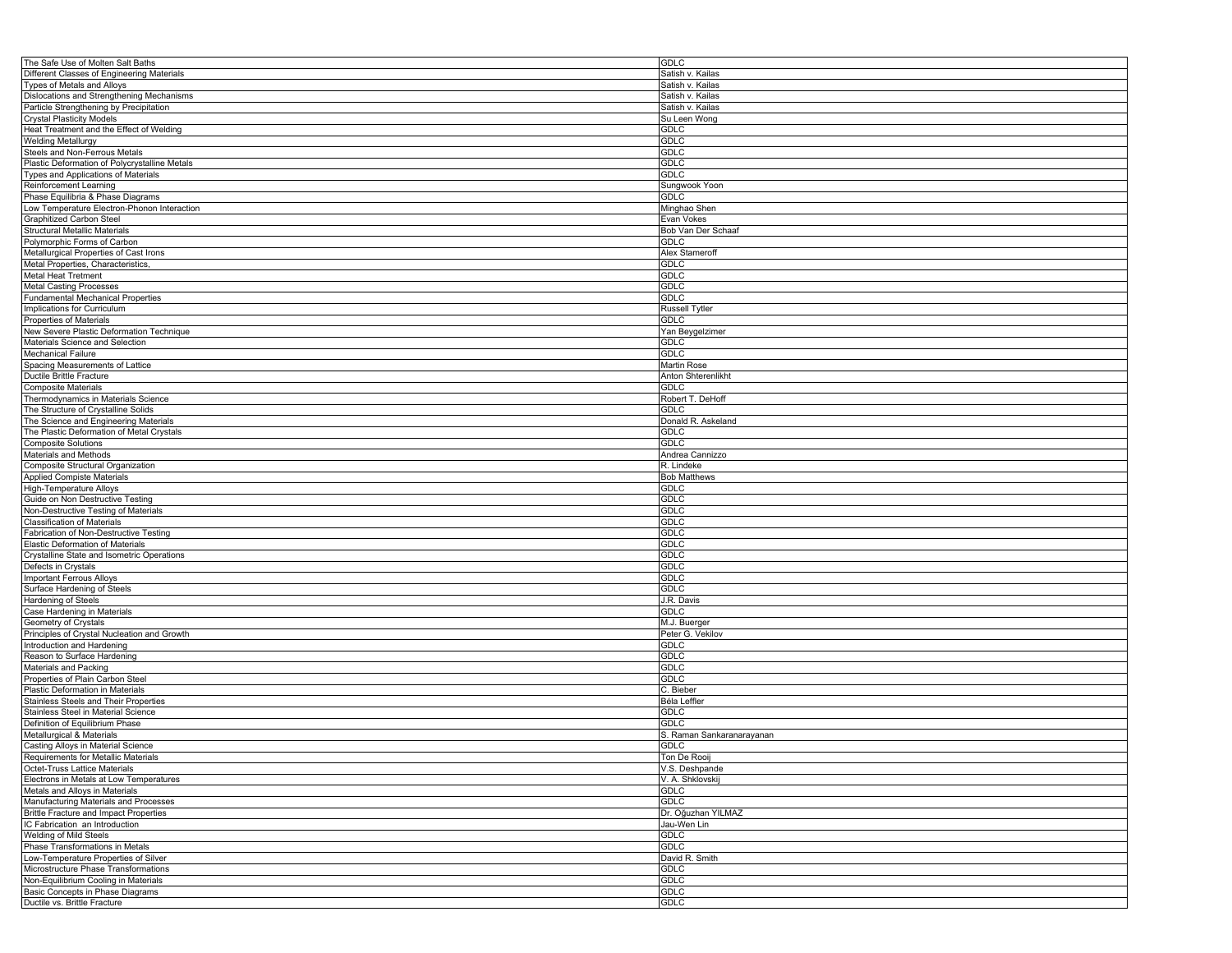| The Safe Use of Molten Salt Baths             | <b>GDLC</b>               |
|-----------------------------------------------|---------------------------|
| Different Classes of Engineering Materials    | Satish v. Kailas          |
| Types of Metals and Alloys                    | Satish v. Kailas          |
| Dislocations and Strengthening Mechanisms     | Satish v. Kailas          |
| Particle Strengthening by Precipitation       | Satish v. Kailas          |
| <b>Crystal Plasticity Models</b>              |                           |
|                                               | Su Leen Wong              |
| Heat Treatment and the Effect of Welding      | <b>GDLC</b>               |
| <b>Welding Metallurgy</b>                     | <b>GDLC</b>               |
| Steels and Non-Ferrous Metals                 | <b>GDLC</b>               |
| Plastic Deformation of Polycrystalline Metals | <b>GDLC</b>               |
| Types and Applications of Materials           | GDLC                      |
| Reinforcement Learning                        | Sungwook Yoon             |
| Phase Equilibria & Phase Diagrams             | <b>GDLC</b>               |
| Low Temperature Electron-Phonon Interaction   | Minghao Shen              |
| <b>Graphitized Carbon Steel</b>               | Evan Vokes                |
| Structural Metallic Materials                 | Bob Van Der Schaaf        |
| Polymorphic Forms of Carbon                   | <b>GDLC</b>               |
|                                               |                           |
| Metallurgical Properties of Cast Irons        | Alex Stameroff            |
| Metal Properties, Characteristics,            | <b>GDLC</b>               |
| Metal Heat Tretment                           | <b>GDLC</b>               |
| <b>Metal Casting Processes</b>                | <b>GDLC</b>               |
| <b>Fundamental Mechanical Properties</b>      | <b>GDLC</b>               |
| Implications for Curriculum                   | <b>Russell Tytler</b>     |
| Properties of Materials                       | <b>GDLC</b>               |
| New Severe Plastic Deformation Technique      | Yan Beygelzimer           |
| Materials Science and Selection               | <b>GDLC</b>               |
| Mechanical Failure                            | GDLC                      |
| Spacing Measurements of Lattice               | Martin Rose               |
| Ductile Brittle Fracture                      | Anton Shterenlikht        |
|                                               |                           |
| <b>Composite Materials</b>                    | GDLC                      |
| Thermodynamics in Materials Science           | Robert T. DeHoff          |
| The Structure of Crystalline Solids           | <b>GDLC</b>               |
| The Science and Engineering Materials         | Donald R. Askeland        |
| The Plastic Deformation of Metal Crystals     | <b>GDLC</b>               |
| <b>Composite Solutions</b>                    | <b>GDLC</b>               |
| Materials and Methods                         | Andrea Cannizzo           |
| <b>Composite Structural Organization</b>      | R. Lindeke                |
| <b>Applied Compiste Materials</b>             | <b>Bob Matthews</b>       |
| High-Temperature Alloys                       | <b>GDLC</b>               |
| Guide on Non Destructive Testing              | <b>GDLC</b>               |
| Non-Destructive Testing of Materials          | <b>GDLC</b>               |
|                                               |                           |
| <b>Classification of Materials</b>            | <b>GDLC</b>               |
| Fabrication of Non-Destructive Testing        | <b>GDLC</b>               |
| Elastic Deformation of Materials              | <b>GDLC</b>               |
| Crystalline State and Isometric Operations    | <b>GDLC</b>               |
| Defects in Crystals                           | <b>GDLC</b>               |
| <b>Important Ferrous Alloys</b>               | <b>GDLC</b>               |
| Surface Hardening of Steels                   | <b>GDLC</b>               |
| Hardening of Steels                           | J.R. Davis                |
| Case Hardening in Materials                   | <b>GDLC</b>               |
| Geometry of Crystals                          | M.J. Buerger              |
| Principles of Crystal Nucleation and Growth   | Peter G. Vekilov          |
| Introduction and Hardening                    | <b>GDLC</b>               |
|                                               |                           |
| Reason to Surface Hardening                   | <b>GDLC</b>               |
| Materials and Packing                         | <b>GDLC</b>               |
| Properties of Plain Carbon Steel              | <b>GDLC</b>               |
| Plastic Deformation in Materials              | C. Bieber                 |
| Stainless Steels and Their Properties         | Béla Leffler              |
| Stainless Steel in Material Science           | <b>GDLC</b>               |
| Definition of Equilibrium Phase               | <b>GDLC</b>               |
| Metallurgical & Materials                     | S. Raman Sankaranarayanan |
| Casting Alloys in Material Science            | <b>GDLC</b>               |
| Requirements for Metallic Materials           | Ton De Rooij              |
| Octet-Truss Lattice Materials                 | V.S. Deshpande            |
| Electrons in Metals at Low Temperatures       | V. A. Shklovskij          |
|                                               |                           |
| Metals and Alloys in Materials                | <b>GDLC</b>               |
| Manufacturing Materials and Processes         | <b>GDLC</b>               |
| <b>Brittle Fracture and Impact Properties</b> | Dr. Oğuzhan YILMAZ        |
| IC Fabrication an Introduction                | Jau-Wen Lin               |
| Welding of Mild Steels                        | <b>GDLC</b>               |
| Phase Transformations in Metals               | GDLC                      |
| Low-Temperature Properties of Silver          | David R. Smith            |
| Microstructure Phase Transformations          | GDLC                      |
| Non-Equilibrium Cooling in Materials          | <b>GDLC</b>               |
| Basic Concepts in Phase Diagrams              | <b>GDLC</b>               |
|                                               |                           |
| Ductile vs. Brittle Fracture                  | GDLC                      |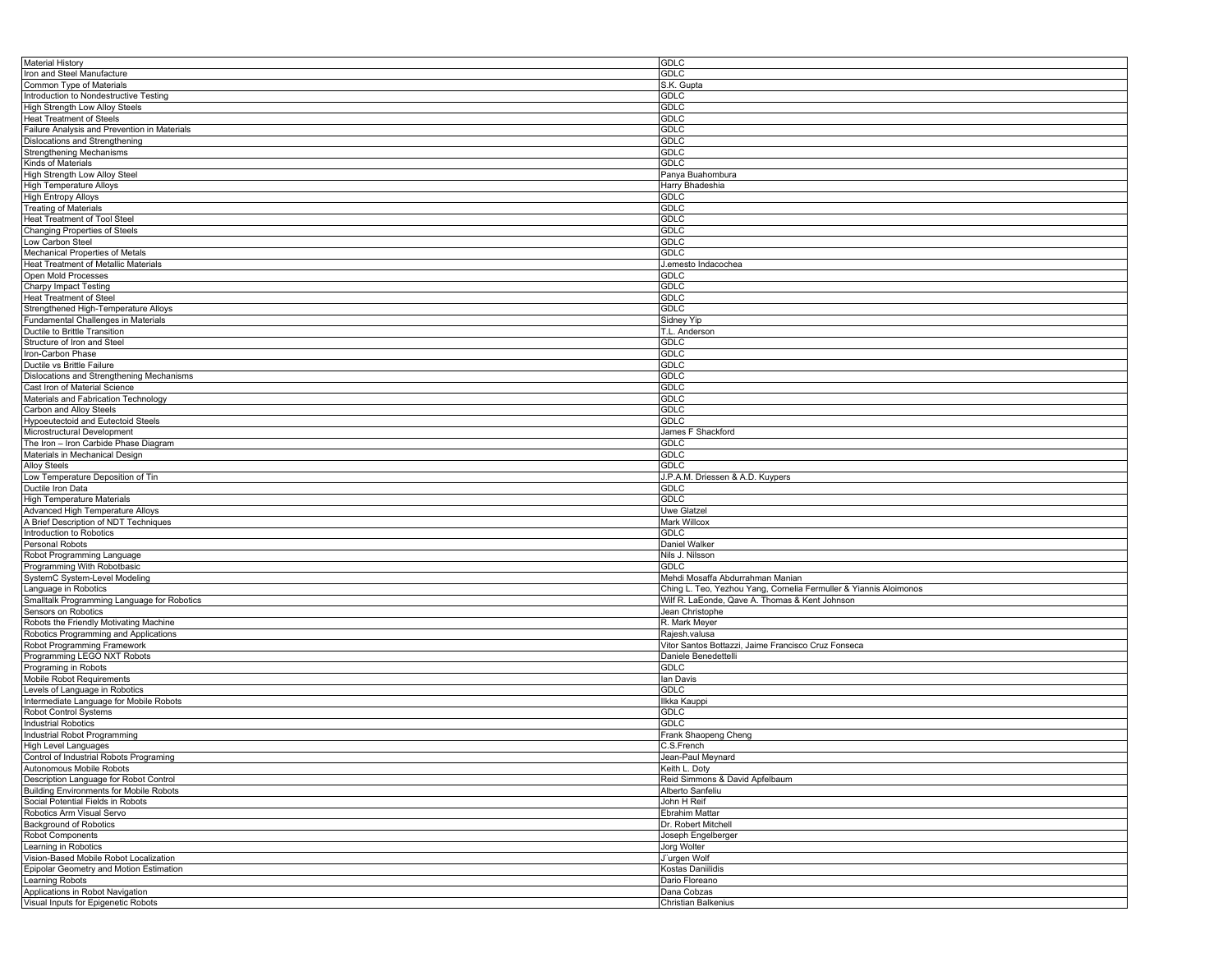| <b>Material History</b>                        | <b>GDLC</b>                                                       |
|------------------------------------------------|-------------------------------------------------------------------|
| Iron and Steel Manufacture                     | <b>GDLC</b>                                                       |
| Common Type of Materials                       | S.K. Gupta                                                        |
|                                                |                                                                   |
| Introduction to Nondestructive Testing         | <b>GDLC</b>                                                       |
| High Strength Low Alloy Steels                 | <b>GDLC</b>                                                       |
| <b>Heat Treatment of Steels</b>                | <b>GDLC</b>                                                       |
| Failure Analysis and Prevention in Materials   | <b>GDLC</b>                                                       |
|                                                |                                                                   |
| <b>Dislocations and Strengthening</b>          | GDLC                                                              |
| <b>Strengthening Mechanisms</b>                | <b>GDLC</b>                                                       |
| Kinds of Materials                             | <b>GDLC</b>                                                       |
| High Strength Low Alloy Steel                  | Panya Buahombura                                                  |
| <b>High Temperature Alloys</b>                 | Harry Bhadeshia                                                   |
|                                                |                                                                   |
| <b>High Entropy Alloys</b>                     | GDLC                                                              |
| <b>Treating of Materials</b>                   | <b>GDLC</b>                                                       |
| <b>Heat Treatment of Tool Steel</b>            | <b>GDLC</b>                                                       |
| Changing Properties of Steels                  | <b>GDLC</b>                                                       |
| Low Carbon Steel                               | <b>GDLC</b>                                                       |
|                                                |                                                                   |
| Mechanical Properties of Metals                | <b>GDLC</b>                                                       |
| <b>Heat Treatment of Metallic Materials</b>    | J.emesto Indacochea                                               |
| Open Mold Processes                            | <b>GDLC</b>                                                       |
| <b>Charpy Impact Testing</b>                   | <b>GDLC</b>                                                       |
| <b>Heat Treatment of Steel</b>                 | <b>GDLC</b>                                                       |
|                                                |                                                                   |
| Strengthened High-Temperature Alloys           | <b>GDLC</b>                                                       |
| Fundamental Challenges in Materials            | Sidney Yip                                                        |
| Ductile to Brittle Transition                  | T.L. Anderson                                                     |
| Structure of Iron and Steel                    | GDLC                                                              |
| Iron-Carbon Phase                              | <b>GDLC</b>                                                       |
|                                                |                                                                   |
| Ductile vs Brittle Failure                     | <b>GDLC</b>                                                       |
| Dislocations and Strengthening Mechanisms      | <b>GDLC</b>                                                       |
| Cast Iron of Material Science                  | <b>GDLC</b>                                                       |
| Materials and Fabrication Technology           | <b>GDLC</b>                                                       |
| Carbon and Alloy Steels                        | <b>GDLC</b>                                                       |
|                                                | <b>GDLC</b>                                                       |
| <b>Hypoeutectoid and Eutectoid Steels</b>      |                                                                   |
| Microstructural Development                    | James F Shackford                                                 |
| The Iron - Iron Carbide Phase Diagram          | GDLC                                                              |
| Materials in Mechanical Design                 | GDLC                                                              |
| <b>Alloy Steels</b>                            | <b>GDLC</b>                                                       |
| Low Temperature Deposition of Tin              | J.P.A.M. Driessen & A.D. Kuypers                                  |
|                                                |                                                                   |
| Ductile Iron Data                              | <b>GDLC</b>                                                       |
| <b>High Temperature Materials</b>              | <b>GDLC</b>                                                       |
| Advanced High Temperature Alloys               | Uwe Glatzel                                                       |
| A Brief Description of NDT Techniques          | Mark Willcox                                                      |
| Introduction to Robotics                       | <b>GDLC</b>                                                       |
| Personal Robots                                |                                                                   |
|                                                | Daniel Walker                                                     |
| Robot Programming Language                     | Nils J. Nilsson                                                   |
| Programming With Robotbasic                    | GDLC                                                              |
| SystemC System-Level Modeling                  | Mehdi Mosaffa Abdurrahman Manian                                  |
| Language in Robotics                           | Ching L. Teo, Yezhou Yang, Cornelia Fermuller & Yiannis Aloimonos |
| Smalltalk Programming Language for Robotics    | Wilf R. LaEonde, Qave A. Thomas & Kent Johnson                    |
|                                                |                                                                   |
| Sensors on Robotics                            | Jean Christophe                                                   |
| Robots the Friendly Motivating Machine         | R. Mark Meyer                                                     |
| Robotics Programming and Applications          | Rajesh.valusa                                                     |
| Robot Programming Framework                    | Vitor Santos Bottazzi, Jaime Francisco Cruz Fonseca               |
| Programming LEGO NXT Robots                    | Daniele Benedettelli                                              |
| Programing in Robots                           | <b>GDLC</b>                                                       |
|                                                |                                                                   |
| Mobile Robot Requirements                      | lan Davis                                                         |
| Levels of Language in Robotics                 | <b>GDLC</b>                                                       |
| Intermediate Language for Mobile Robots        | Ilkka Kauppi                                                      |
| Robot Control Systems                          | <b>GDLC</b>                                                       |
| <b>Industrial Robotics</b>                     | GDLC                                                              |
|                                                |                                                                   |
| Industrial Robot Programming                   | Frank Shaopeng Cheng                                              |
| <b>High Level Languages</b>                    | C.S.French                                                        |
| Control of Industrial Robots Programing        | Jean-Paul Meynard                                                 |
| Autonomous Mobile Robots                       | Keith L. Doty                                                     |
| Description Language for Robot Control         | Reid Simmons & David Apfelbaum                                    |
| <b>Building Environments for Mobile Robots</b> | Alberto Sanfeliu                                                  |
|                                                |                                                                   |
| Social Potential Fields in Robots              | John H Reif                                                       |
| Robotics Arm Visual Servo                      | Ebrahim Mattar                                                    |
| <b>Background of Robotics</b>                  | Dr. Robert Mitchell                                               |
| <b>Robot Components</b>                        | Joseph Engelberger                                                |
| Learning in Robotics                           | Jorg Wolter                                                       |
| Vision-Based Mobile Robot Localization         | J"urgen Wolf                                                      |
|                                                |                                                                   |
| Epipolar Geometry and Motion Estimation        | Kostas Daniilidis                                                 |
| Learning Robots                                | Dario Floreano                                                    |
| Applications in Robot Navigation               | Dana Cobzas                                                       |
| Visual Inputs for Epigenetic Robots            | Christian Balkenius                                               |
|                                                |                                                                   |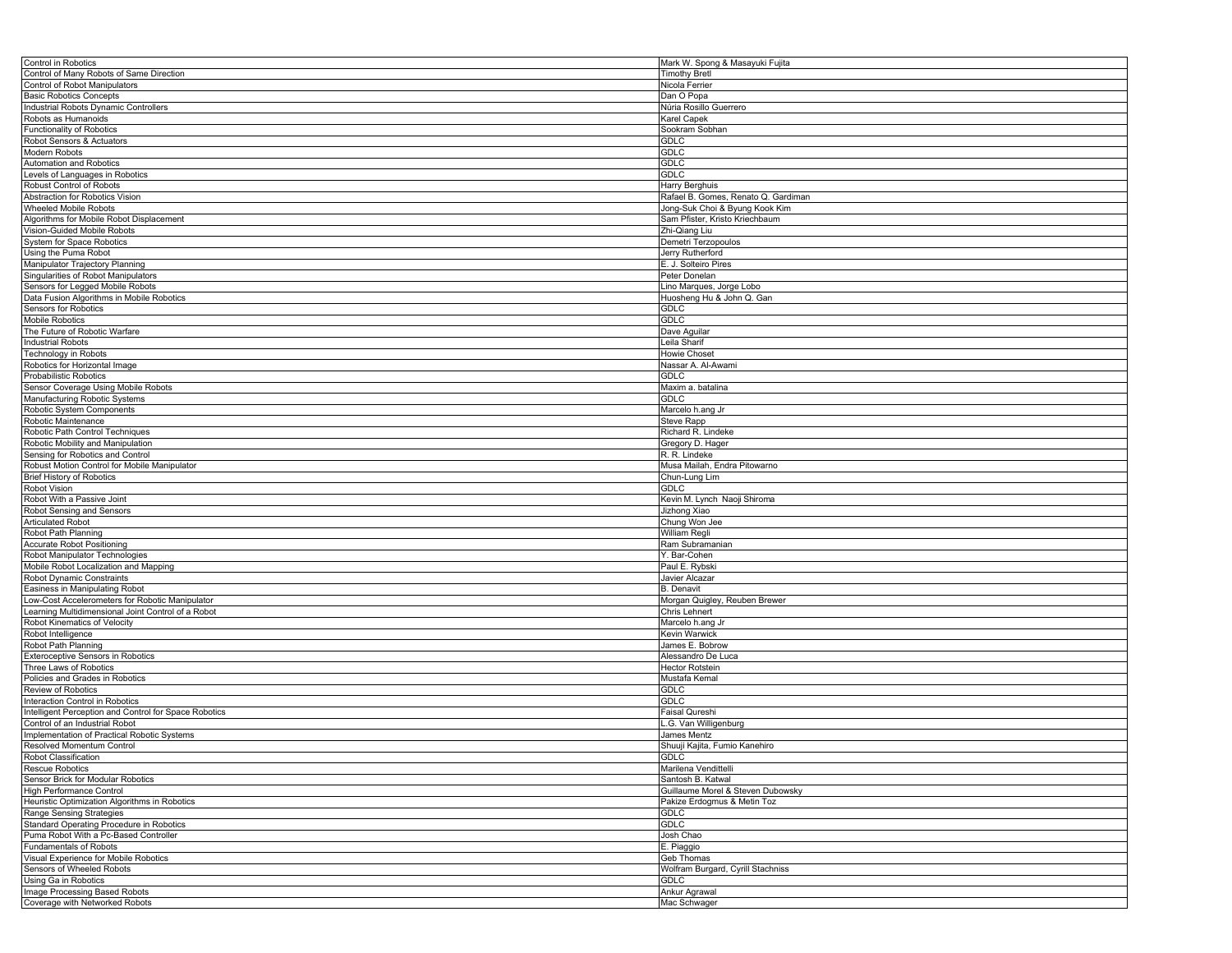| Control in Robotics                                             | Mark W. Spong & Masayuki Fujita                       |
|-----------------------------------------------------------------|-------------------------------------------------------|
| Control of Many Robots of Same Direction                        | <b>Timothy Bretl</b>                                  |
| Control of Robot Manipulators                                   | Nicola Ferrier                                        |
| <b>Basic Robotics Concepts</b>                                  | Dan O Popa                                            |
| Industrial Robots Dynamic Controllers                           | Núria Rosillo Guerrero                                |
| Robots as Humanoids                                             | Karel Capek                                           |
| <b>Functionality of Robotics</b>                                | Sookram Sobhan                                        |
| Robot Sensors & Actuators                                       | GDLC                                                  |
| Modern Robots                                                   | GDLC                                                  |
| Automation and Robotics                                         | <b>GDLC</b>                                           |
| Levels of Languages in Robotics                                 | GDLC                                                  |
| Robust Control of Robots                                        |                                                       |
|                                                                 | Harry Berghuis<br>Rafael B. Gomes, Renato Q. Gardiman |
| Abstraction for Robotics Vision                                 |                                                       |
| Wheeled Mobile Robots                                           | Jong-Suk Choi & Byung Kook Kim                        |
| Algorithms for Mobile Robot Displacement                        | Sam Pfister, Kristo Kriechbaum                        |
| Vision-Guided Mobile Robots                                     | Zhi-Qiang Liu                                         |
| System for Space Robotics                                       | Demetri Terzopoulos                                   |
| Using the Puma Robot                                            | Jerry Rutherford                                      |
| Manipulator Trajectory Planning                                 | E. J. Solteiro Pires                                  |
| Singularities of Robot Manipulators                             | Peter Donelan                                         |
| Sensors for Legged Mobile Robots                                | Lino Marques, Jorge Lobo                              |
| Data Fusion Algorithms in Mobile Robotics                       | Huosheng Hu & John Q. Gan                             |
| Sensors for Robotics                                            | GDLC                                                  |
| Mobile Robotics                                                 | <b>GDLC</b>                                           |
| The Future of Robotic Warfare                                   | Dave Aguilar                                          |
| <b>Industrial Robots</b>                                        | Leila Sharif                                          |
| Technology in Robots                                            | <b>Howie Choset</b>                                   |
| Robotics for Horizontal Image                                   | Nassar A. Al-Awami                                    |
| Probabilistic Robotics                                          | GDLC                                                  |
| Sensor Coverage Using Mobile Robots                             | Maxim a. batalina                                     |
| Manufacturing Robotic Systems                                   | GDLC                                                  |
|                                                                 |                                                       |
| Robotic System Components                                       | Marcelo h.ang Jr                                      |
| Robotic Maintenance                                             | Steve Rapp                                            |
| Robotic Path Control Techniques                                 | Richard R. Lindeke                                    |
| Robotic Mobility and Manipulation                               | Gregory D. Hager                                      |
| Sensing for Robotics and Control                                | R. R. Lindeke                                         |
| Robust Motion Control for Mobile Manipulator                    | Musa Mailah, Endra Pitowarno                          |
| <b>Brief History of Robotics</b>                                | Chun-Lung Lim                                         |
| Robot Vision                                                    | GDLC                                                  |
| Robot With a Passive Joint                                      | Kevin M. Lynch Naoji Shiroma                          |
| Robot Sensing and Sensors                                       | Jizhong Xiao                                          |
| <b>Articulated Robot</b>                                        | Chung Won Jee                                         |
| Robot Path Planning                                             | William Regli                                         |
| <b>Accurate Robot Positioning</b>                               | Ram Subramanian                                       |
| Robot Manipulator Technologies                                  | Y. Bar-Cohen                                          |
| Mobile Robot Localization and Mapping                           | Paul E. Rybski                                        |
| Robot Dynamic Constraints                                       | Javier Alcazar                                        |
| Easiness in Manipulating Robot                                  | <b>B.</b> Denavit                                     |
| Low-Cost Accelerometers for Robotic Manipulator                 | Morgan Quigley, Reuben Brewer                         |
| Learning Multidimensional Joint Control of a Robot              | Chris Lehnert                                         |
|                                                                 |                                                       |
| Robot Kinematics of Velocity                                    | Marcelo h.ang Jr                                      |
| Robot Intelligence                                              | Kevin Warwick                                         |
| Robot Path Planning                                             | James E. Bobrow                                       |
| Exteroceptive Sensors in Robotics                               | Alessandro De Luca                                    |
| Three Laws of Robotics                                          | <b>Hector Rotstein</b>                                |
| Policies and Grades in Robotics                                 | Mustafa Kemal                                         |
| Review of Robotics                                              | GDLC                                                  |
| Interaction Control in Robotics                                 | GDLC                                                  |
| Intelligent Perception and Control for Space Robotics           | Faisal Qureshi                                        |
| Control of an Industrial Robot                                  | G. Van Willigenburg                                   |
| Implementation of Practical Robotic Systems                     | James Mentz                                           |
| Resolved Momentum Control                                       | Shuuji Kajita, Fumio Kanehiro                         |
| Robot Classification                                            | <b>GDLC</b>                                           |
| Rescue Robotics                                                 |                                                       |
|                                                                 | Marilena Vendittelli                                  |
|                                                                 |                                                       |
| Sensor Brick for Modular Robotics                               | Santosh B. Katwal                                     |
| <b>High Performance Control</b>                                 | Guillaume Morel & Steven Dubowsky                     |
| Heuristic Optimization Algorithms in Robotics                   | Pakize Erdogmus & Metin Toz                           |
| Range Sensing Strategies                                        | GDLC                                                  |
| Standard Operating Procedure in Robotics                        | <b>GDLC</b>                                           |
| Puma Robot With a Pc-Based Controller                           | Josh Chao                                             |
| <b>Fundamentals of Robots</b>                                   | E. Piaggio                                            |
| Visual Experience for Mobile Robotics                           | Geb Thomas                                            |
| Sensors of Wheeled Robots                                       | Wolfram Burgard, Cyrill Stachniss                     |
| Using Ga in Robotics                                            | GDLC                                                  |
| Image Processing Based Robots<br>Coverage with Networked Robots | Ankur Agrawal<br>Mac Schwager                         |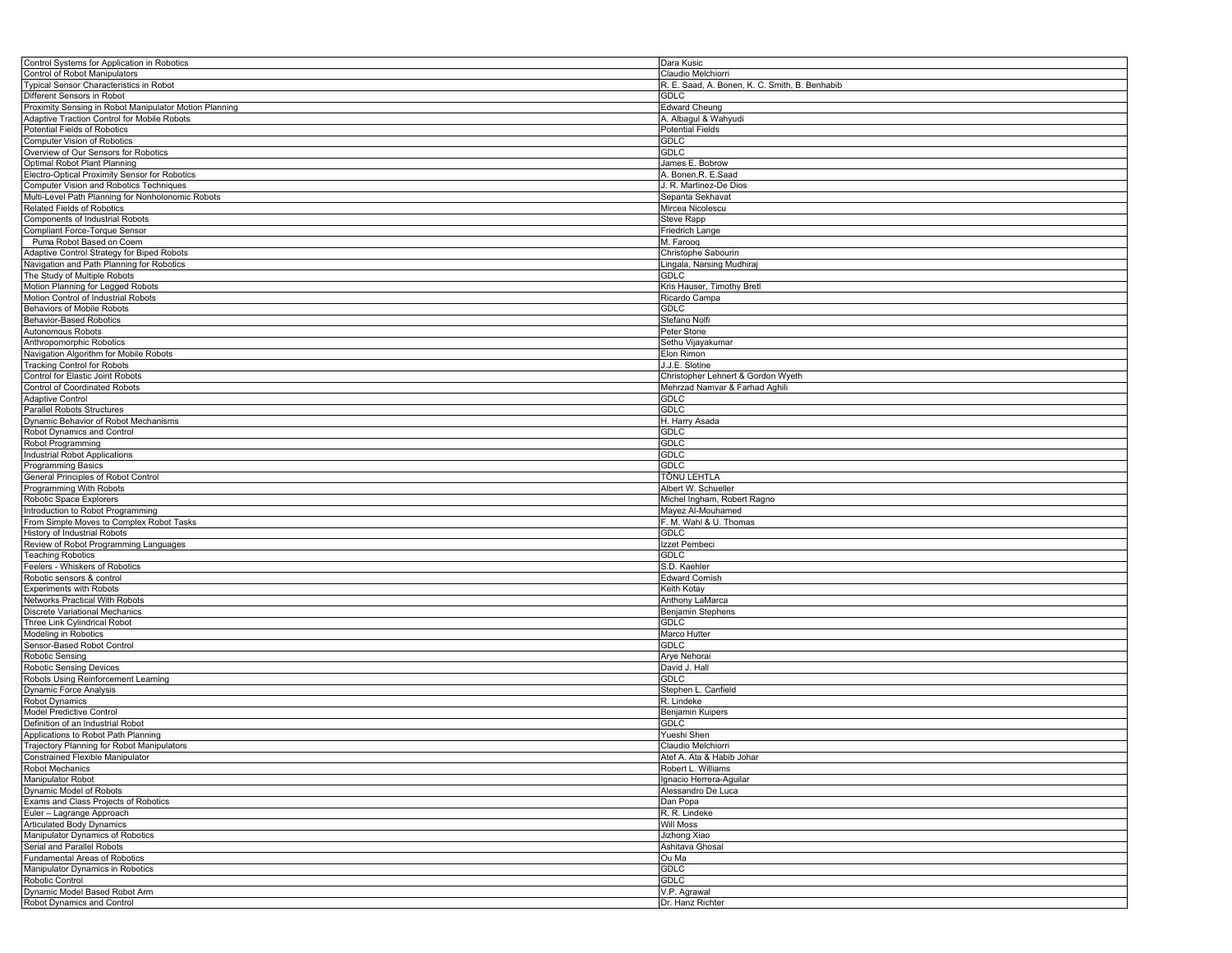| Control Systems for Application in Robotics            | Dara Kusic                                     |
|--------------------------------------------------------|------------------------------------------------|
| Control of Robot Manipulators                          | Claudio Melchiorri                             |
| Typical Sensor Characteristics in Robot                | R. E. Saad, A. Bonen, K. C. Smith, B. Benhabib |
| Different Sensors in Robot                             | <b>GDLC</b>                                    |
| Proximity Sensing in Robot Manipulator Motion Planning | <b>Edward Cheung</b>                           |
|                                                        |                                                |
| Adaptive Traction Control for Mobile Robots            | A. Albagul & Wahyudi                           |
| Potential Fields of Robotics                           | <b>Potential Fields</b>                        |
| Computer Vision of Robotics                            | <b>GDLC</b>                                    |
| Overview of Our Sensors for Robotics                   | <b>GDLC</b>                                    |
| Optimal Robot Plant Planning                           | James E. Bobrow                                |
| Electro-Optical Proximity Sensor for Robotics          | A. Bonen, R. E. Saad                           |
| Computer Vision and Robotics Techniques                | J. R. Martinez-De Dios                         |
| Multi-Level Path Planning for Nonholonomic Robots      | Sepanta Sekhavat                               |
| <b>Related Fields of Robotics</b>                      | Mircea Nicolescu                               |
| Components of Industrial Robots                        | Steve Rapp                                     |
| Compliant Force-Torque Sensor                          | Friedrich Lange                                |
| Puma Robot Based on Coem                               | M. Farooq                                      |
|                                                        | Christophe Sabourin                            |
| Adaptive Control Strategy for Biped Robots             |                                                |
| Navigation and Path Planning for Robotics              | Lingala, Narsing Mudhiraj                      |
| The Study of Multiple Robots                           | GDLC                                           |
| Motion Planning for Legged Robots                      | Kris Hauser, Timothy Bretl                     |
| Motion Control of Industrial Robots                    | Ricardo Campa                                  |
| Behaviors of Mobile Robots                             | <b>GDLC</b>                                    |
| <b>Behavior-Based Robotics</b>                         | Stefano Nolfi                                  |
| Autonomous Robots                                      | Peter Stone                                    |
| Anthropomorphic Robotics                               | Sethu Vijayakumar                              |
| Navigation Algorithm for Mobile Robots                 | Elon Rimon                                     |
| <b>Tracking Control for Robots</b>                     | J.J.E. Slotine                                 |
| Control for Elastic Joint Robots                       |                                                |
|                                                        | Christopher Lehnert & Gordon Wyeth             |
| <b>Control of Coordinated Robots</b>                   | Mehrzad Namvar & Farhad Aghili                 |
| <b>Adaptive Control</b>                                | <b>GDLC</b>                                    |
| Parallel Robots Structures                             | <b>GDLC</b>                                    |
| Dynamic Behavior of Robot Mechanisms                   | H. Harry Asada                                 |
| Robot Dynamics and Control                             | GDLC                                           |
| Robot Programming                                      | GDLC                                           |
| Industrial Robot Applications                          | <b>GDLC</b>                                    |
| Programming Basics                                     | <b>GDLC</b>                                    |
| General Principles of Robot Control                    | TÕNU LEHTLA                                    |
| Programming With Robots                                | Albert W. Schueller                            |
| Robotic Space Explorers                                | Michel Ingham, Robert Ragno                    |
|                                                        | Mayez Al-Mouhamed                              |
| Introduction to Robot Programming                      |                                                |
| From Simple Moves to Complex Robot Tasks               | F. M. Wahl & U. Thomas                         |
| History of Industrial Robots                           | <b>GDLC</b>                                    |
| Review of Robot Programming Languages                  | Izzet Pembeci                                  |
| <b>Teaching Robotics</b>                               | GDLC                                           |
| Feelers - Whiskers of Robotics                         | S.D. Kaehler                                   |
| Robotic sensors & control                              | <b>Edward Cornish</b>                          |
| <b>Experiments with Robots</b>                         | Keith Kotay                                    |
| Networks Practical With Robots                         | Anthony LaMarca                                |
| Discrete Variational Mechanics                         | Benjamin Stephens                              |
| Three Link Cylindrical Robot                           | <b>GDLC</b>                                    |
| Modeling in Robotics                                   | Marco Hutter                                   |
| Sensor-Based Robot Control                             | <b>GDLC</b>                                    |
| Robotic Sensing                                        |                                                |
|                                                        | Arye Nehorai                                   |
| <b>Robotic Sensing Devices</b>                         | David J. Hall                                  |
| Robots Using Reinforcement Learning                    | <b>GDLC</b>                                    |
| <b>Dynamic Force Analysis</b>                          | Stephen L. Canfield                            |
| Robot Dynamics                                         | R. Lindeke                                     |
| Model Predictive Control                               | Benjamin Kuipers                               |
| Definition of an Industrial Robot                      | GDLC                                           |
| Applications to Robot Path Planning                    | Yueshi Shen                                    |
| Trajectory Planning for Robot Manipulators             | Claudio Melchiorri                             |
| Constrained Flexible Manipulator                       | Atef A. Ata & Habib Johar                      |
| <b>Robot Mechanics</b>                                 | Robert L. Williams                             |
| <b>Manipulator Robot</b>                               | Ignacio Herrera-Aguilar                        |
| Dynamic Model of Robots                                | Alessandro De Luca                             |
|                                                        |                                                |
| Exams and Class Projects of Robotics                   | Dan Popa                                       |
| Euler - Lagrange Approach                              | R. R. Lindeke                                  |
| <b>Articulated Body Dynamics</b>                       | <b>Will Moss</b>                               |
| Manipulator Dynamics of Robotics                       | Jizhong Xiao                                   |
| Serial and Parallel Robots                             | Ashitava Ghosal                                |
| Fundamental Areas of Robotics                          | Ou Ma                                          |
| Manipulator Dynamics in Robotics                       | <b>GDLC</b>                                    |
| Robotic Control                                        | <b>GDLC</b>                                    |
| Dynamic Model Based Robot Arm                          | V.P. Agrawal                                   |
| Robot Dynamics and Control                             | Dr. Hanz Richter                               |
|                                                        |                                                |